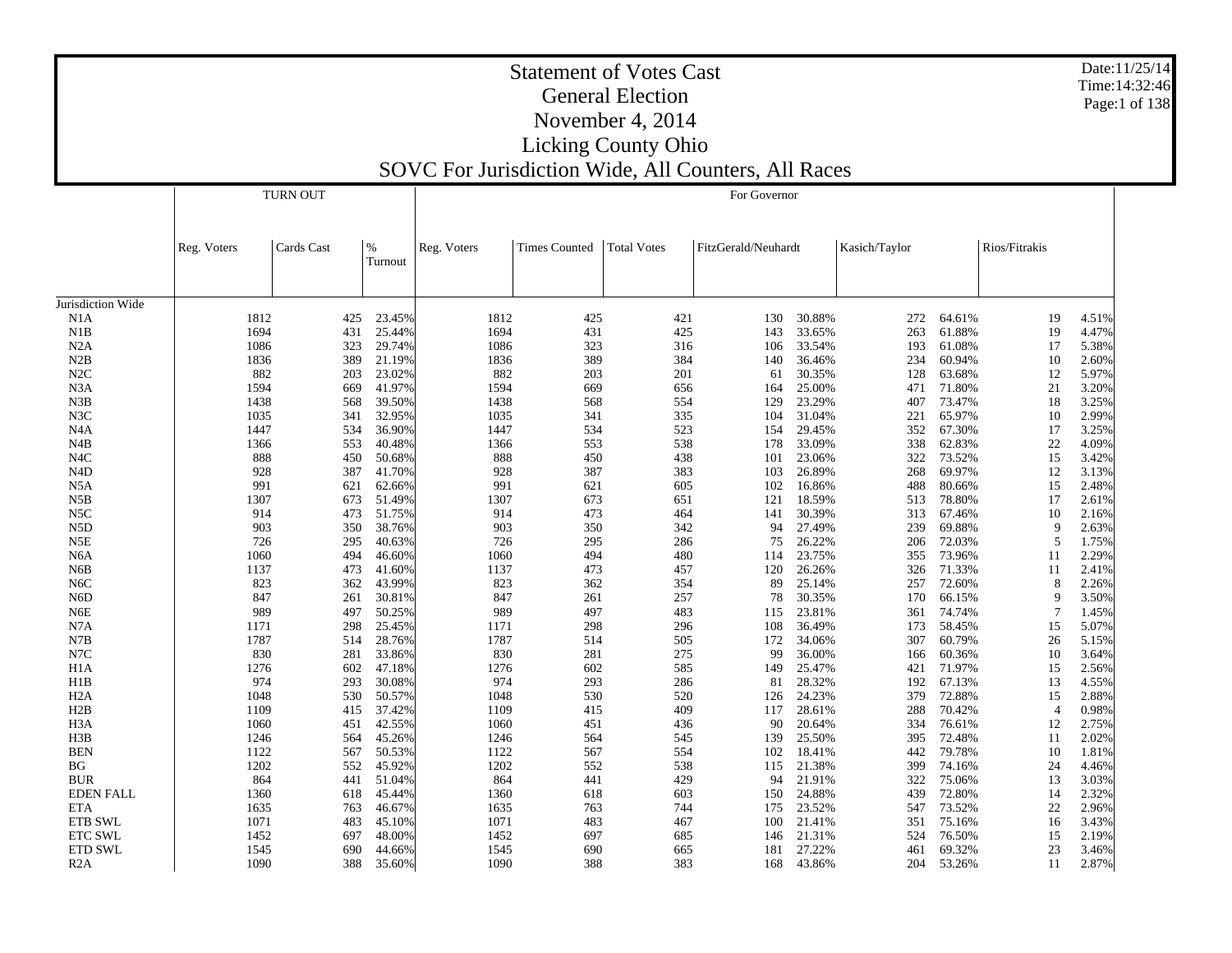Date:11/25/14 Time:14:32:46Page:1 of 138

|                   | <b>TURN OUT</b> |            |     | For Governor    |             |                      |                    |                     |        |               |        |                |       |
|-------------------|-----------------|------------|-----|-----------------|-------------|----------------------|--------------------|---------------------|--------|---------------|--------|----------------|-------|
|                   | Reg. Voters     | Cards Cast |     | $\%$<br>Turnout | Reg. Voters | <b>Times Counted</b> | <b>Total Votes</b> | FitzGerald/Neuhardt |        | Kasich/Taylor |        | Rios/Fitrakis  |       |
|                   |                 |            |     |                 |             |                      |                    |                     |        |               |        |                |       |
| Jurisdiction Wide |                 |            |     |                 |             |                      |                    |                     |        |               |        |                |       |
| N1A               | 1812            |            | 425 | 23.45%          | 1812        | 425                  | 421                | 130                 | 30.88% | 272           | 64.61% | 19             | 4.51% |
| N1B               | 1694            |            | 431 | 25.44%          | 1694        | 431                  | 425                | 143                 | 33.65% | 263           | 61.88% | 19             | 4.47% |
| N2A               | 1086            |            | 323 | 29.74%          | 1086        | 323                  | 316                | 106                 | 33.54% | 193           | 61.08% | 17             | 5.38% |
| N2B               | 1836            |            | 389 | 21.19%          | 1836        | 389                  | 384                | 140                 | 36.46% | 234           | 60.94% | 10             | 2.60% |
| N2C               | 882             |            | 203 | 23.02%          | 882         | 203                  | 201                | 61                  | 30.35% | 128           | 63.68% | 12             | 5.97% |
| N3A               | 1594            |            | 669 | 41.97%          | 1594        | 669                  | 656                | 164                 | 25.00% | 471           | 71.80% | 21             | 3.20% |
| N3B               | 1438            |            | 568 | 39.50%          | 1438        | 568                  | 554                | 129                 | 23.29% | 407           | 73.47% | 18             | 3.25% |
| N3C               | 1035            |            | 341 | 32.95%          | 1035        | 341                  | 335                | 104                 | 31.04% | 221           | 65.97% | 10             | 2.99% |
| N <sub>4</sub> A  | 1447            |            | 534 | 36.90%          | 1447        | 534                  | 523                | 154                 | 29.45% | 352           | 67.30% | 17             | 3.25% |
| N <sub>4</sub> B  | 1366            |            | 553 | 40.48%          | 1366        | 553                  | 538                | 178                 | 33.09% | 338           | 62.83% | 22             | 4.09% |
| N <sub>4</sub> C  | 888             |            | 450 | 50.68%          | 888         | 450                  | 438                | 101                 | 23.06% | 322           | 73.52% | 15             | 3.42% |
| N <sub>4</sub> D  | 928             |            | 387 | 41.70%          | 928         | 387                  | 383                | 103                 | 26.89% | 268           | 69.97% | 12             | 3.13% |
| N5A               | 991             |            | 621 | 62.66%          | 991         | 621                  | 605                | 102                 | 16.86% | 488           | 80.66% | 15             | 2.48% |
| N5B               | 1307            |            | 673 | 51.49%          | 1307        | 673                  | 651                | 121                 | 18.59% | 513           | 78.80% | 17             | 2.61% |
| N5C               | 914             |            | 473 | 51.75%          | 914         | 473                  | 464                | 141                 | 30.39% | 313           | 67.46% | 10             | 2.16% |
| N <sub>5</sub> D  | 903             |            | 350 | 38.76%          | 903         | 350                  | 342                | 94                  | 27.49% | 239           | 69.88% | 9              | 2.63% |
| N5E               | 726             |            | 295 | 40.63%          | 726         | 295                  | 286                | 75                  | 26.22% | 206           | 72.03% | 5              | 1.75% |
| N <sub>6</sub> A  | 1060            |            | 494 | 46.60%          | 1060        | 494                  | 480                | 114                 | 23.75% | 355           | 73.96% | 11             | 2.29% |
| N6B               | 1137            |            | 473 | 41.60%          | 1137        | 473                  | 457                | 120                 | 26.26% | 326           | 71.33% | 11             | 2.41% |
| N <sub>6</sub> C  | 823             |            | 362 | 43.99%          | 823         | 362                  | 354                | 89                  | 25.14% | 257           | 72.60% | 8              | 2.26% |
| N <sub>6</sub> D  | 847             |            | 261 | 30.81%          | 847         | 261                  | 257                | 78                  | 30.35% | 170           | 66.15% | 9              | 3.50% |
| N <sub>6</sub> E  | 989             |            | 497 | 50.25%          | 989         | 497                  | 483                | 115                 | 23.81% | 361           | 74.74% | 7              | 1.45% |
| N7A               | 1171            |            | 298 | 25.45%          | 1171        | 298                  | 296                | 108                 | 36.49% | 173           | 58.45% | 15             | 5.07% |
| N7B               | 1787            |            | 514 | 28.76%          | 1787        | 514                  | 505                | 172                 | 34.06% | 307           | 60.79% | 26             | 5.15% |
| N7C               | 830             |            | 281 | 33.86%          | 830         | 281                  | 275                | 99                  | 36.00% | 166           | 60.36% | 10             | 3.64% |
| H1A               | 1276            |            | 602 | 47.18%          | 1276        | 602                  | 585                | 149                 | 25.47% | 421           | 71.97% | 15             | 2.56% |
| H1B               | 974             |            | 293 | 30.08%          | 974         | 293                  | 286                | 81                  | 28.32% | 192           | 67.13% | 13             | 4.55% |
| H <sub>2</sub> A  | 1048            |            | 530 | 50.57%          | 1048        | 530                  | 520                | 126                 | 24.23% | 379           | 72.88% | 15             | 2.88% |
| H2B               | 1109            |            | 415 | 37.42%          | 1109        | 415                  | 409                | 117                 | 28.61% | 288           | 70.42% | $\overline{4}$ | 0.98% |
| H <sub>3</sub> A  | 1060            |            | 451 | 42.55%          | 1060        | 451                  | 436                | 90                  | 20.64% | 334           | 76.61% | 12             | 2.75% |
| H3B               | 1246            |            | 564 | 45.26%          | 1246        | 564                  | 545                | 139                 | 25.50% | 395           | 72.48% | 11             | 2.02% |
| <b>BEN</b>        | 1122            |            | 567 | 50.53%          | 1122        | 567                  | 554                | 102                 | 18.41% | 442           | 79.78% | 10             | 1.81% |
| BG                | 1202            |            | 552 | 45.92%          | 1202        | 552                  | 538                | 115                 | 21.38% | 399           | 74.16% | 24             | 4.46% |
| <b>BUR</b>        | 864             |            | 441 | 51.04%          | 864         | 441                  | 429                | 94                  | 21.91% | 322           | 75.06% | 13             | 3.03% |
| <b>EDEN FALL</b>  | 1360            |            | 618 | 45.44%          | 1360        | 618                  | 603                | 150                 | 24.88% | 439           | 72.80% | 14             | 2.32% |
| <b>ETA</b>        | 1635            |            | 763 | 46.67%          | 1635        | 763                  | 744                | 175                 | 23.52% | 547           | 73.52% | 22             | 2.96% |
| <b>ETB SWL</b>    | 1071            |            | 483 | 45.10%          | 1071        | 483                  | 467                | 100                 | 21.41% | 351           | 75.16% | 16             | 3.43% |
| <b>ETC SWL</b>    | 1452            |            | 697 | 48.00%          | 1452        | 697                  | 685                | 146                 | 21.31% | 524           | 76.50% | 15             | 2.19% |
| <b>ETD SWL</b>    | 1545            |            | 690 | 44.66%          | 1545        | 690                  | 665                | 181                 | 27.22% | 461           | 69.32% | 23             | 3.46% |
| R2A               | 1090            |            | 388 | 35.60%          | 1090        | 388                  | 383                | 168                 | 43.86% | 204           | 53.26% | 11             | 2.87% |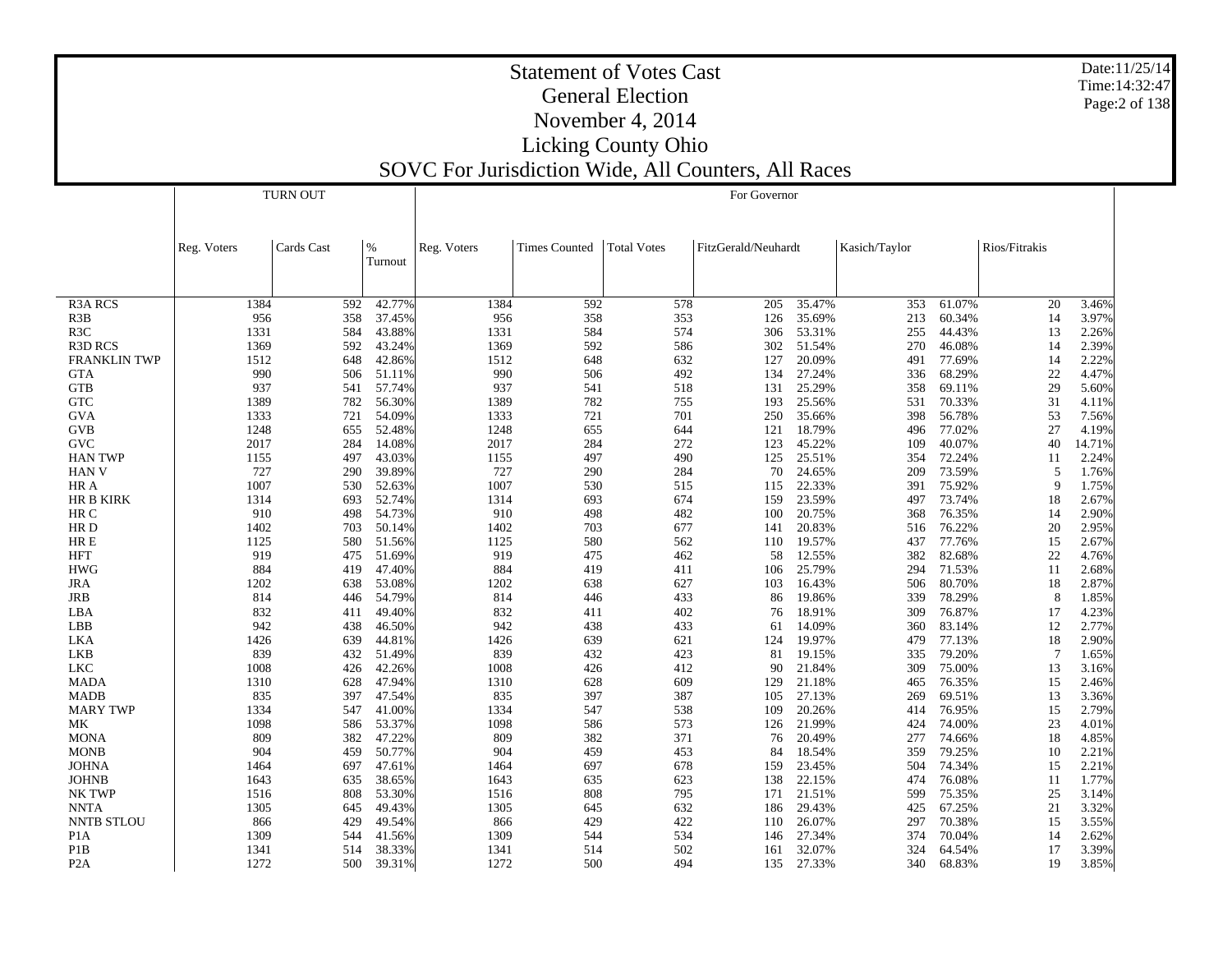Date:11/25/14 Time:14:32:47 Page:2 of 138

|                     |             | TURN OUT   |      |         | For Governor |                      |                    |                     |        |               |        |                 |        |  |
|---------------------|-------------|------------|------|---------|--------------|----------------------|--------------------|---------------------|--------|---------------|--------|-----------------|--------|--|
|                     | Reg. Voters | Cards Cast | $\%$ | Turnout | Reg. Voters  | <b>Times Counted</b> | <b>Total Votes</b> | FitzGerald/Neuhardt |        | Kasich/Taylor |        | Rios/Fitrakis   |        |  |
|                     |             |            |      |         |              |                      |                    |                     |        |               |        |                 |        |  |
| <b>R3A RCS</b>      | 1384        |            | 592  | 42.77%  | 1384         | 592                  | 578                | 205                 | 35.47% | 353           | 61.07% | 20              | 3.46%  |  |
| R3B                 | 956         |            | 358  | 37.45%  | 956          | 358                  | 353                | 126                 | 35.69% | 213           | 60.34% | 14              | 3.97%  |  |
| R3C                 | 1331        |            | 584  | 43.88%  | 1331         | 584                  | 574                | 306                 | 53.31% | 255           | 44.43% | 13              | 2.26%  |  |
| <b>R3D RCS</b>      | 1369        |            | 592  | 43.24%  | 1369         | 592                  | 586                | 302                 | 51.54% | 270           | 46.08% | 14              | 2.39%  |  |
| <b>FRANKLIN TWP</b> | 1512        |            | 648  | 42.86%  | 1512         | 648                  | 632                | 127                 | 20.09% | 491           | 77.69% | 14              | 2.22%  |  |
| <b>GTA</b>          | 990         |            | 506  | 51.11%  | 990          | 506                  | 492                | 134                 | 27.24% | 336           | 68.29% | 22              | 4.47%  |  |
| <b>GTB</b>          | 937         |            | 541  | 57.74%  | 937          | 541                  | 518                | 131                 | 25.29% | 358           | 69.11% | 29              | 5.60%  |  |
| <b>GTC</b>          | 1389        |            | 782  | 56.30%  | 1389         | 782                  | 755                | 193                 | 25.56% | 531           | 70.33% | 31              | 4.11%  |  |
| <b>GVA</b>          | 1333        |            | 721  | 54.09%  | 1333         | 721                  | 701                | 250                 | 35.66% | 398           | 56.78% | 53              | 7.56%  |  |
| <b>GVB</b>          | 1248        |            | 655  | 52.48%  | 1248         | 655                  | 644                | 121                 | 18.79% | 496           | 77.02% | 27              | 4.19%  |  |
| <b>GVC</b>          | 2017        |            | 284  | 14.08%  | 2017         | 284                  | 272                | 123                 | 45.22% | 109           | 40.07% | 40              | 14.71% |  |
| <b>HAN TWP</b>      | 1155        |            | 497  | 43.03%  | 1155         | 497                  | 490                | 125                 | 25.51% | 354           | 72.24% | 11              | 2.24%  |  |
| <b>HANV</b>         | 727         |            | 290  | 39.89%  | 727          | 290                  | 284                | 70                  | 24.65% | 209           | 73.59% | 5               | 1.76%  |  |
| HR A                | 1007        |            | 530  | 52.63%  | 1007         | 530                  | 515                | 115                 | 22.33% | 391           | 75.92% | 9               | 1.75%  |  |
| <b>HR B KIRK</b>    | 1314        |            | 693  | 52.74%  | 1314         | 693                  | 674                | 159                 | 23.59% | 497           | 73.74% | 18              | 2.67%  |  |
| HR C                | 910         |            | 498  | 54.73%  | 910          | 498                  | 482                | 100                 | 20.75% | 368           | 76.35% | 14              | 2.90%  |  |
| HR D                | 1402        |            | 703  | 50.14%  | 1402         | 703                  | 677                | 141                 | 20.83% | 516           | 76.22% | 20              | 2.95%  |  |
| HR E                | 1125        |            | 580  | 51.56%  | 1125         | 580                  | 562                | 110                 | 19.57% | 437           | 77.76% | 15              | 2.67%  |  |
| <b>HFT</b>          | 919         |            | 475  | 51.69%  | 919          | 475                  | 462                | 58                  | 12.55% | 382           | 82.68% | 22              | 4.76%  |  |
| <b>HWG</b>          | 884         |            | 419  | 47.40%  | 884          | 419                  | 411                | 106                 | 25.79% | 294           | 71.53% | 11              | 2.68%  |  |
| <b>JRA</b>          | 1202        |            | 638  | 53.08%  | 1202         | 638                  | 627                | 103                 | 16.43% | 506           | 80.70% | 18              | 2.87%  |  |
| <b>JRB</b>          | 814         |            | 446  | 54.79%  | 814          | 446                  | 433                | 86                  | 19.86% | 339           | 78.29% | 8               | 1.85%  |  |
| LBA                 | 832         |            | 411  | 49.40%  | 832          | 411                  | 402                | 76                  | 18.91% | 309           | 76.87% | 17              | 4.23%  |  |
| LBB                 | 942         |            | 438  | 46.50%  | 942          | 438                  | 433                | 61                  | 14.09% | 360           | 83.14% | 12              | 2.77%  |  |
| <b>LKA</b>          | 1426        |            | 639  | 44.81%  | 1426         | 639                  | 621                | 124                 | 19.97% | 479           | 77.13% | 18              | 2.90%  |  |
| <b>LKB</b>          | 839         |            | 432  | 51.49%  | 839          | 432                  | 423                | 81                  | 19.15% | 335           | 79.20% | $7\phantom{.0}$ | 1.65%  |  |
| <b>LKC</b>          | 1008        |            | 426  | 42.26%  | 1008         | 426                  | 412                | 90                  | 21.84% | 309           | 75.00% | 13              | 3.16%  |  |
| <b>MADA</b>         | 1310        |            | 628  | 47.94%  | 1310         | 628                  | 609                | 129                 | 21.18% | 465           | 76.35% | 15              | 2.46%  |  |
| <b>MADB</b>         | 835         |            | 397  | 47.54%  | 835          | 397                  | 387                | 105                 | 27.13% | 269           | 69.51% | 13              | 3.36%  |  |
| <b>MARY TWP</b>     | 1334        |            | 547  | 41.00%  | 1334         | 547                  | 538                | 109                 | 20.26% | 414           | 76.95% | 15              | 2.79%  |  |
| МK                  | 1098        |            | 586  | 53.37%  | 1098         | 586                  | 573                | 126                 | 21.99% | 424           | 74.00% | 23              | 4.01%  |  |
| <b>MONA</b>         | 809         |            | 382  | 47.22%  | 809          | 382                  | 371                | 76                  | 20.49% | 277           | 74.66% | 18              | 4.85%  |  |
| <b>MONB</b>         | 904         |            | 459  | 50.77%  | 904          | 459                  | 453                | 84                  | 18.54% | 359           | 79.25% | 10              | 2.21%  |  |
| <b>JOHNA</b>        | 1464        |            | 697  | 47.61%  | 1464         | 697                  | 678                | 159                 | 23.45% | 504           | 74.34% | 15              | 2.21%  |  |
| <b>JOHNB</b>        | 1643        |            | 635  | 38.65%  | 1643         | 635                  | 623                | 138                 | 22.15% | 474           | 76.08% | 11              | 1.77%  |  |
| <b>NK TWP</b>       | 1516        |            | 808  | 53.30%  | 1516         | 808                  | 795                | 171                 | 21.51% | 599           | 75.35% | 25              | 3.14%  |  |
| <b>NNTA</b>         | 1305        |            | 645  | 49.43%  | 1305         | 645                  | 632                | 186                 | 29.43% | 425           | 67.25% | 21              | 3.32%  |  |
| <b>NNTB STLOU</b>   | 866         |            | 429  | 49.54%  | 866          | 429                  | 422                | 110                 | 26.07% | 297           | 70.38% | 15              | 3.55%  |  |
| P <sub>1</sub> A    | 1309        |            | 544  | 41.56%  | 1309         | 544                  | 534                | 146                 | 27.34% | 374           | 70.04% | 14              | 2.62%  |  |
| P <sub>1</sub> B    | 1341        |            | 514  | 38.33%  | 1341         | 514                  | 502                | 161                 | 32.07% | 324           | 64.54% | 17              | 3.39%  |  |
| P <sub>2</sub> A    | 1272        |            | 500  | 39.31%  | 1272         | 500                  | 494                | 135                 | 27.33% | 340           | 68.83% | 19              | 3.85%  |  |
|                     |             |            |      |         |              |                      |                    |                     |        |               |        |                 |        |  |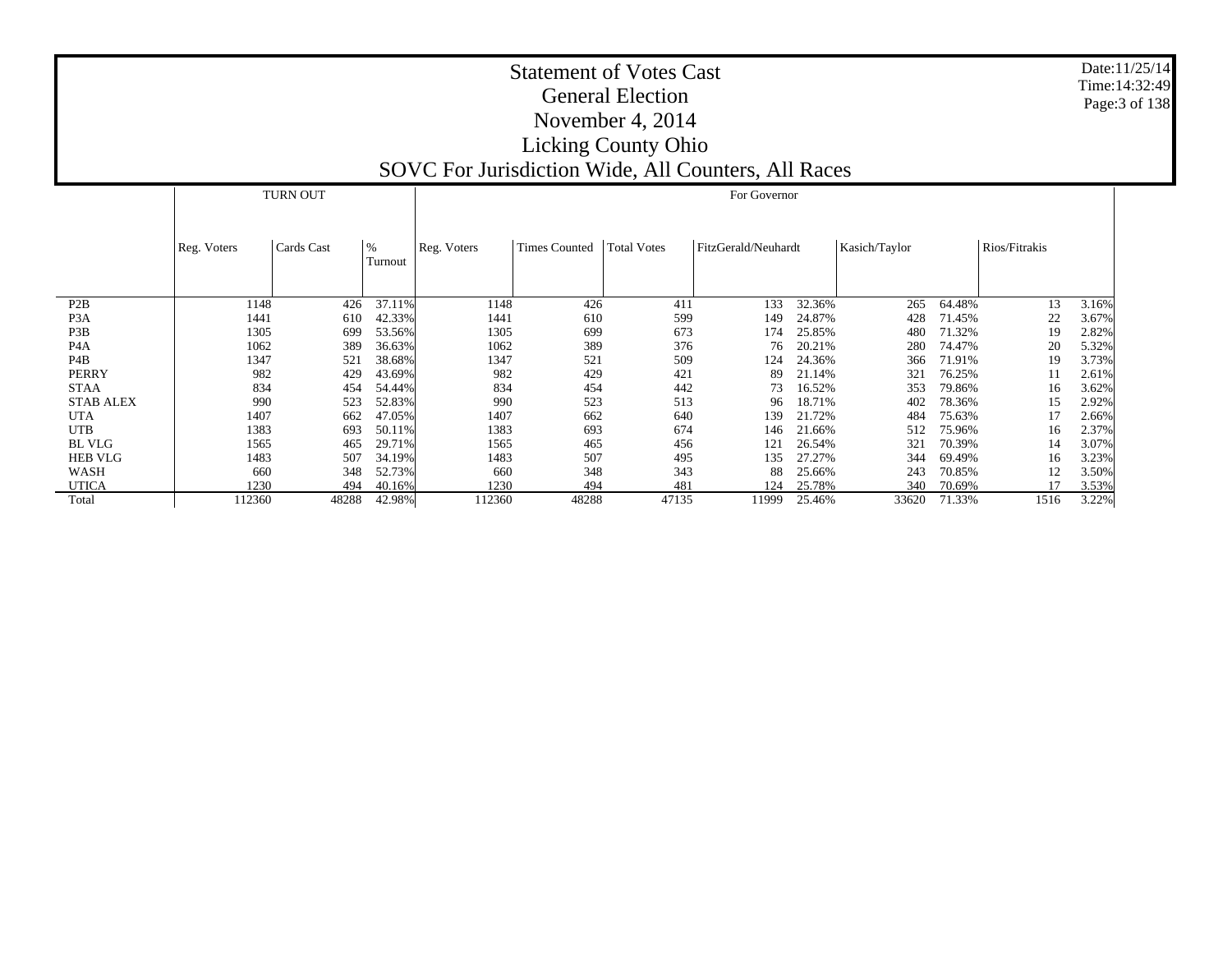P2B P3A P3B P4A P4B PERRY STAA STAB ALEX UTA UTB BL VLG HEB VLG WASH UTICA Total Reg. Voters  $\qquad$  Cards Cast  $\qquad$  % Turnout TURN OUTReg. Voters Times Counted Total Votes FitzGerald/Neuhardt Kasich/Taylor Rios/Fitrakis For Governor1148 426 37.11% 1148 426 411 133 32.36% 265 64.48% 13 3.16% 1441 610 42.33% 1441 610 599 149 24.87% 428 71.45% 22 3.67% 1305 699 53.56% 1305 699 673 174 25.85% 480 71.32% 19 2.82% 1062 389 36.63% 1062 389 376 76 20.21% 280 74.47% 20 5.32% 1347 521 38.68% 1347 521 509 124 24.36% 366 71.91% 19 3.73% 982 429 43.69% 982 429 421 89 21.14% 321 76.25% 11 2.61% 834 454 54.44% 834 454 442 73 16.52% 353 79.86% 16 3.62% 990 523 52.83% 990 523 513 96 18.71% 402 78.36% 15 2.92% 1407 662 47.05% 1407 662 640 139 21.72% 484 75.63% 17 2.66% 1383 693 50.11% 1383 693 674 146 21.66% 512 75.96% 16 2.37% 1565 465 29.71% 1565 465 456 121 26.54% 321 70.39% 14 3.07% 1483 507 34.19% 1483 507 495 135 27.27% 344 69.49% 16 3.23% 660 348 52.73% 660 348 343 88 25.66% 243 70.85% 12 3.50% 1230 494 40.16% 1230 494 481 124 25.78% 340 70.69% 17 3.53% 112360 48288 42.98%112360 48288 47135 11999 25.46% 33620 71.33% 1516 3.22%

Date:11/25/14Time:14:32:49Page:3 of 138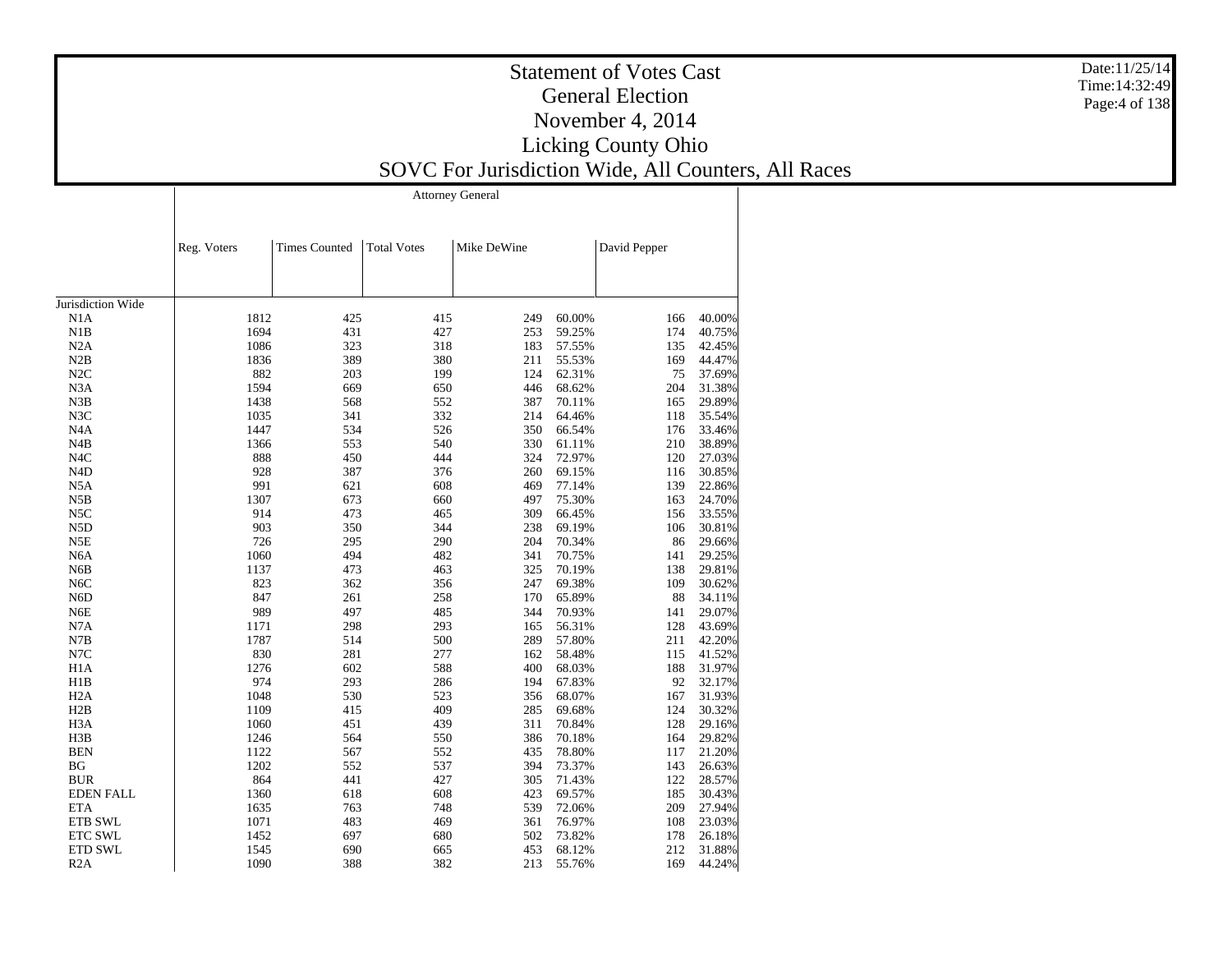|                   |             |                      |                    | Attorney General |        |              |        |
|-------------------|-------------|----------------------|--------------------|------------------|--------|--------------|--------|
|                   | Reg. Voters | <b>Times Counted</b> | <b>Total Votes</b> | Mike DeWine      |        | David Pepper |        |
|                   |             |                      |                    |                  |        |              |        |
| Jurisdiction Wide |             |                      |                    |                  |        |              |        |
| N1A               | 1812        | 425                  | 415                | 249              | 60.00% | 166          | 40.00% |
| N1B               | 1694        | 431                  | 427                | 253              | 59.25% | 174          | 40.75% |
| N2A               | 1086        | 323                  | 318                | 183              | 57.55% | 135          | 42.45% |
| N2B               | 1836        | 389                  | 380                | 211              | 55.53% | 169          | 44.47% |
| N2C               | 882         | 203                  | 199                | 124              | 62.31% | 75           | 37.69% |
| N <sub>3</sub> A  | 1594        | 669                  | 650                | 446              | 68.62% | 204          | 31.38% |
| N3B               | 1438        | 568                  | 552                | 387              | 70.11% | 165          | 29.89% |
| N3C               | 1035        | 341                  | 332                | 214              | 64.46% | 118          | 35.54% |
| N <sub>4</sub> A  | 1447        | 534                  | 526                | 350              | 66.54% | 176          | 33.46% |
| N4B               | 1366        | 553                  | 540                | 330              | 61.11% | 210          | 38.89% |
| N <sub>4</sub> C  | 888         | 450                  | 444                | 324              | 72.97% | 120          |        |
|                   | 928         |                      | 376                |                  |        |              | 27.03% |
| N <sub>4</sub> D  |             | 387                  |                    | 260              | 69.15% | 116          | 30.85% |
| N <sub>5</sub> A  | 991         | 621                  | 608                | 469              | 77.14% | 139          | 22.86% |
| N5B               | 1307        | 673                  | 660                | 497              | 75.30% | 163          | 24.70% |
| N <sub>5</sub> C  | 914         | 473                  | 465                | 309              | 66.45% | 156          | 33.55% |
| N <sub>5</sub> D  | 903         | 350                  | 344                | 238              | 69.19% | 106          | 30.81% |
| N5E               | 726         | 295                  | 290                | 204              | 70.34% | 86           | 29.66% |
| N <sub>6</sub> A  | 1060        | 494                  | 482                | 341              | 70.75% | 141          | 29.25% |
| N <sub>6</sub> B  | 1137        | 473                  | 463                | 325              | 70.19% | 138          | 29.81% |
| N <sub>6</sub> C  | 823         | 362                  | 356                | 247              | 69.38% | 109          | 30.62% |
| N <sub>6</sub> D  | 847         | 261                  | 258                | 170              | 65.89% | 88           | 34.11% |
| N <sub>6</sub> E  | 989         | 497                  | 485                | 344              | 70.93% | 141          | 29.07% |
| N7A               | 1171        | 298                  | 293                | 165              | 56.31% | 128          | 43.69% |
| N7B               | 1787        | 514                  | 500                | 289              | 57.80% | 211          | 42.20% |
| N7C               | 830         | 281                  | 277                | 162              | 58.48% | 115          | 41.52% |
| H <sub>1</sub> A  | 1276        | 602                  | 588                | 400              | 68.03% | 188          | 31.97% |
| H1B               | 974         | 293                  | 286                | 194              | 67.83% | 92           | 32.17% |
| H <sub>2</sub> A  | 1048        | 530                  | 523                | 356              | 68.07% | 167          | 31.93% |
| H2B               | 1109        | 415                  | 409                | 285              | 69.68% | 124          | 30.32% |
| H <sub>3</sub> A  | 1060        | 451                  | 439                | 311              | 70.84% | 128          | 29.16% |
| H3B               | 1246        | 564                  | 550                | 386              | 70.18% | 164          | 29.82% |
| <b>BEN</b>        | 1122        | 567                  | 552                | 435              | 78.80% | 117          | 21.20% |
| BG                | 1202        | 552                  | 537                | 394              | 73.37% | 143          | 26.63% |
| <b>BUR</b>        |             | 441                  |                    |                  |        | 122          |        |
|                   | 864         |                      | 427                | 305              | 71.43% |              | 28.57% |
| <b>EDEN FALL</b>  | 1360        | 618                  | 608                | 423              | 69.57% | 185          | 30.43% |
| <b>ETA</b>        | 1635        | 763                  | 748                | 539              | 72.06% | 209          | 27.94% |
| ETB SWL           | 1071        | 483                  | 469                | 361              | 76.97% | 108          | 23.03% |
| <b>ETC SWL</b>    | 1452        | 697                  | 680                | 502              | 73.82% | 178          | 26.18% |
| ETD SWL           | 1545        | 690                  | 665                | 453              | 68.12% | 212          | 31.88% |
| R2A               | 1090        | 388                  | 382                | 213              | 55.76% | 169          | 44.24% |

Date:11/25/14 Time:14:32:49Page:4 of 138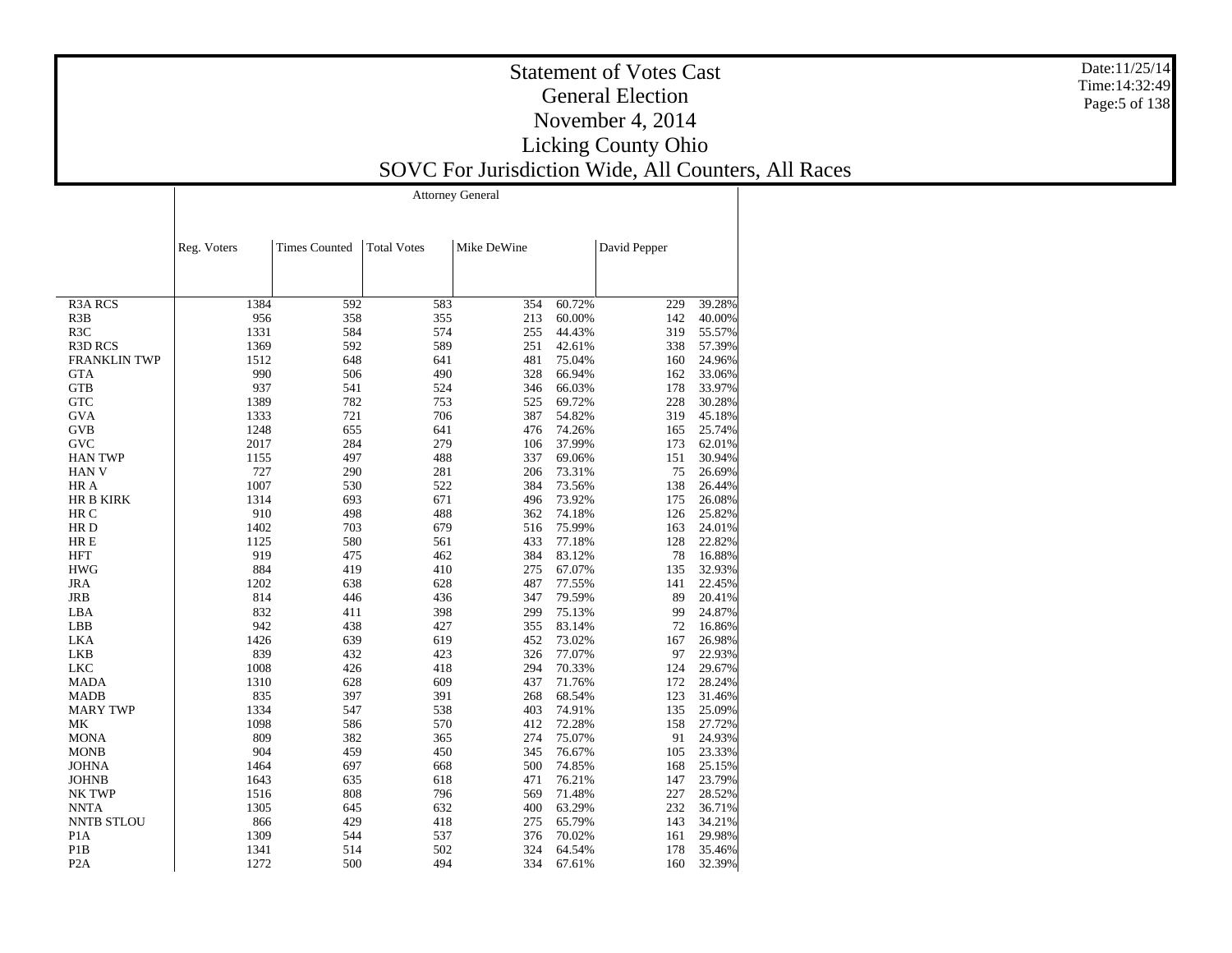|                     |             | <b>Attorney General</b> |                    |             |        |              |        |  |  |  |  |  |  |
|---------------------|-------------|-------------------------|--------------------|-------------|--------|--------------|--------|--|--|--|--|--|--|
|                     | Reg. Voters | <b>Times Counted</b>    | <b>Total Votes</b> | Mike DeWine |        | David Pepper |        |  |  |  |  |  |  |
|                     |             |                         |                    |             |        |              |        |  |  |  |  |  |  |
|                     |             |                         |                    |             |        |              |        |  |  |  |  |  |  |
| <b>R3A RCS</b>      | 1384        | 592                     | 583                | 354         | 60.72% | 229          | 39.28% |  |  |  |  |  |  |
| R3B                 | 956         | 358                     | 355                | 213         | 60.00% | 142          | 40.00% |  |  |  |  |  |  |
| R <sub>3</sub> C    | 1331        | 584                     | 574                | 255         | 44.43% | 319          | 55.57% |  |  |  |  |  |  |
| <b>R3D RCS</b>      | 1369        | 592                     | 589                | 251         | 42.61% | 338          | 57.39% |  |  |  |  |  |  |
| <b>FRANKLIN TWP</b> | 1512        | 648                     | 641                | 481         | 75.04% | 160          | 24.96% |  |  |  |  |  |  |
| <b>GTA</b>          | 990         | 506                     | 490                | 328         | 66.94% | 162          | 33.06% |  |  |  |  |  |  |
| <b>GTB</b>          | 937         | 541                     | 524                | 346         | 66.03% | 178          | 33.97% |  |  |  |  |  |  |
| <b>GTC</b>          | 1389        | 782                     | 753                | 525         | 69.72% | 228          | 30.28% |  |  |  |  |  |  |
| <b>GVA</b>          | 1333        | 721                     | 706                | 387         | 54.82% | 319          | 45.18% |  |  |  |  |  |  |
| <b>GVB</b>          | 1248        | 655                     | 641                | 476         | 74.26% | 165          | 25.74% |  |  |  |  |  |  |
| <b>GVC</b>          | 2017        | 284                     | 279                | 106         | 37.99% | 173          | 62.01% |  |  |  |  |  |  |
| <b>HAN TWP</b>      | 1155        | 497                     | 488                | 337         | 69.06% | 151          | 30.94% |  |  |  |  |  |  |
| <b>HAN V</b>        | 727         | 290                     | 281                | 206         | 73.31% | 75           | 26.69% |  |  |  |  |  |  |
| HR A                | 1007        | 530                     | 522                | 384         | 73.56% | 138          | 26.44% |  |  |  |  |  |  |
|                     | 1314        | 693                     | 671                |             |        |              |        |  |  |  |  |  |  |
| <b>HR B KIRK</b>    |             |                         |                    | 496         | 73.92% | 175          | 26.08% |  |  |  |  |  |  |
| HR C                | 910         | 498                     | 488                | 362         | 74.18% | 126          | 25.82% |  |  |  |  |  |  |
| HR <sub>D</sub>     | 1402        | 703                     | 679                | 516         | 75.99% | 163          | 24.01% |  |  |  |  |  |  |
| HR E                | 1125        | 580                     | 561                | 433         | 77.18% | 128          | 22.82% |  |  |  |  |  |  |
| <b>HFT</b>          | 919         | 475                     | 462                | 384         | 83.12% | 78           | 16.88% |  |  |  |  |  |  |
| <b>HWG</b>          | 884         | 419                     | 410                | 275         | 67.07% | 135          | 32.93% |  |  |  |  |  |  |
| <b>JRA</b>          | 1202        | 638                     | 628                | 487         | 77.55% | 141          | 22.45% |  |  |  |  |  |  |
| JRB                 | 814         | 446                     | 436                | 347         | 79.59% | 89           | 20.41% |  |  |  |  |  |  |
| LBA                 | 832         | 411                     | 398                | 299         | 75.13% | 99           | 24.87% |  |  |  |  |  |  |
| LBB                 | 942         | 438                     | 427                | 355         | 83.14% | 72           | 16.86% |  |  |  |  |  |  |
| <b>LKA</b>          | 1426        | 639                     | 619                | 452         | 73.02% | 167          | 26.98% |  |  |  |  |  |  |
| LKB                 | 839         | 432                     | 423                | 326         | 77.07% | 97           | 22.93% |  |  |  |  |  |  |
| <b>LKC</b>          | 1008        | 426                     | 418                | 294         | 70.33% | 124          | 29.67% |  |  |  |  |  |  |
| <b>MADA</b>         | 1310        | 628                     | 609                | 437         | 71.76% | 172          | 28.24% |  |  |  |  |  |  |
| <b>MADB</b>         | 835         | 397                     | 391                | 268         | 68.54% | 123          | 31.46% |  |  |  |  |  |  |
| <b>MARY TWP</b>     | 1334        | 547                     | 538                | 403         | 74.91% | 135          | 25.09% |  |  |  |  |  |  |
| МK                  | 1098        | 586                     | 570                | 412         | 72.28% | 158          | 27.72% |  |  |  |  |  |  |
| <b>MONA</b>         | 809         | 382                     | 365                | 274         | 75.07% | 91           | 24.93% |  |  |  |  |  |  |
| <b>MONB</b>         | 904         | 459                     | 450                | 345         | 76.67% | 105          | 23.33% |  |  |  |  |  |  |
| <b>JOHNA</b>        | 1464        | 697                     | 668                | 500         | 74.85% | 168          | 25.15% |  |  |  |  |  |  |
| <b>JOHNB</b>        | 1643        | 635                     | 618                | 471         | 76.21% | 147          | 23.79% |  |  |  |  |  |  |
|                     |             |                         |                    |             |        |              |        |  |  |  |  |  |  |
| NK TWP              | 1516        | 808                     | 796                | 569         | 71.48% | 227          | 28.52% |  |  |  |  |  |  |
| <b>NNTA</b>         | 1305        | 645                     | 632                | 400         | 63.29% | 232          | 36.71% |  |  |  |  |  |  |
| <b>NNTB STLOU</b>   | 866         | 429                     | 418                | 275         | 65.79% | 143          | 34.21% |  |  |  |  |  |  |
| P <sub>1</sub> A    | 1309        | 544                     | 537                | 376         | 70.02% | 161          | 29.98% |  |  |  |  |  |  |
| P <sub>1</sub> B    | 1341        | 514                     | 502                | 324         | 64.54% | 178          | 35.46% |  |  |  |  |  |  |
| P <sub>2</sub> A    | 1272        | 500                     | 494                | 334         | 67.61% | 160          | 32.39% |  |  |  |  |  |  |

Date:11/25/14 Time:14:32:49Page:5 of 138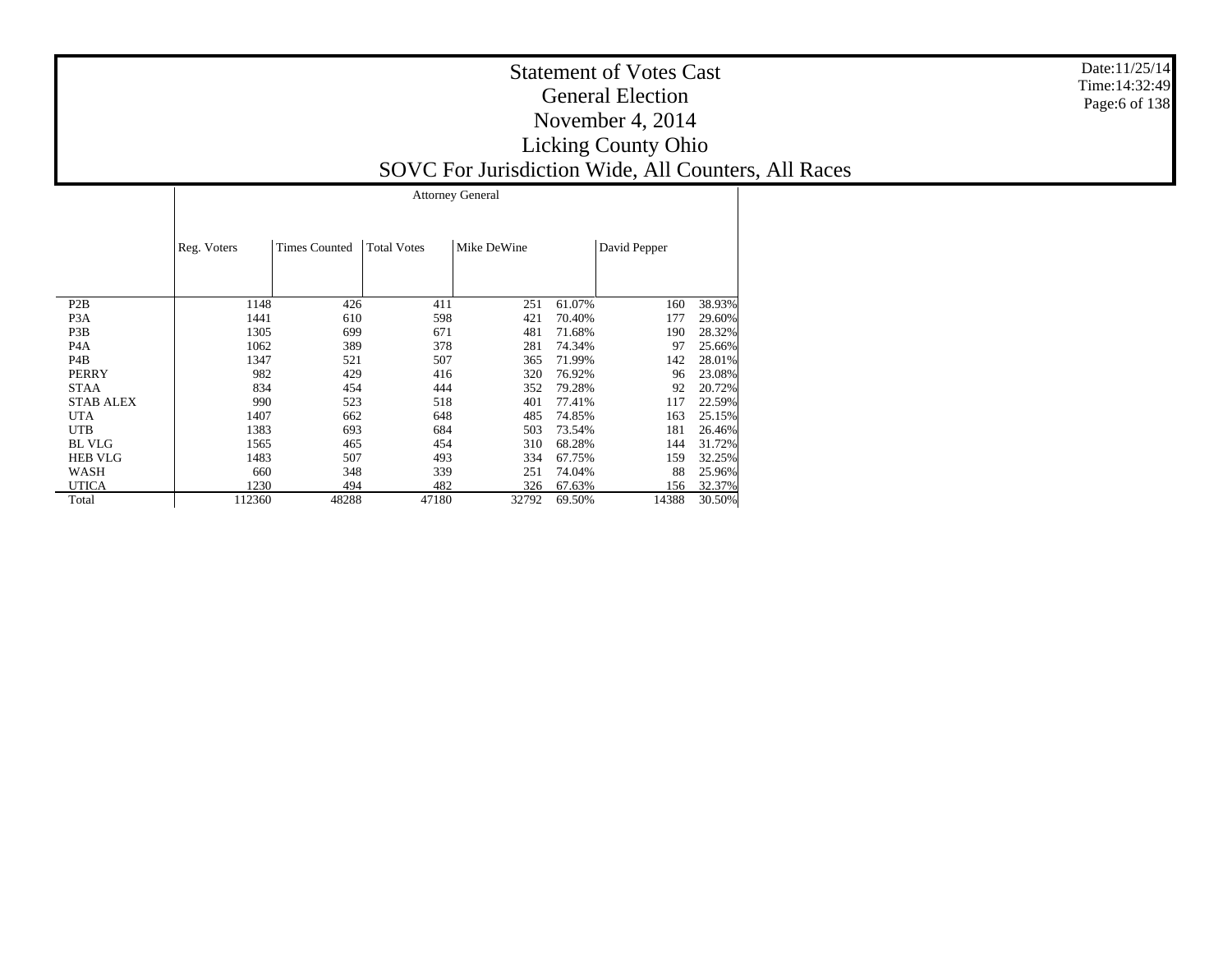|                  |             |                      |                    | <b>Attorney General</b> |        |              |        |
|------------------|-------------|----------------------|--------------------|-------------------------|--------|--------------|--------|
|                  |             | <b>Times Counted</b> |                    |                         |        |              |        |
|                  | Reg. Voters |                      | <b>Total Votes</b> | Mike DeWine             |        | David Pepper |        |
|                  |             |                      |                    |                         |        |              |        |
| P2B              | 1148        | 426                  | 411                | 251                     | 61.07% | 160          | 38.93% |
| P <sub>3</sub> A | 1441        | 610                  | 598                | 421                     | 70.40% | 177          | 29.60% |
| P <sub>3</sub> B | 1305        | 699                  | 671                | 481                     | 71.68% | 190          | 28.32% |
| P <sub>4</sub> A | 1062        | 389                  | 378                | 281                     | 74.34% | 97           | 25.66% |
| P <sub>4</sub> B | 1347        | 521                  | 507                | 365                     | 71.99% | 142          | 28.01% |
| <b>PERRY</b>     | 982         | 429                  | 416                | 320                     | 76.92% | 96           | 23.08% |
| <b>STAA</b>      | 834         | 454                  | 444                | 352                     | 79.28% | 92           | 20.72% |
| <b>STAB ALEX</b> | 990         | 523                  | 518                | 401                     | 77.41% | 117          | 22.59% |
| <b>UTA</b>       | 1407        | 662                  | 648                | 485                     | 74.85% | 163          | 25.15% |
| <b>UTB</b>       | 1383        | 693                  | 684                | 503                     | 73.54% | 181          | 26.46% |
| <b>BL VLG</b>    | 1565        | 465                  | 454                | 310                     | 68.28% | 144          | 31.72% |
| <b>HEB VLG</b>   | 1483        | 507                  | 493                | 334                     | 67.75% | 159          | 32.25% |
| WASH             | 660         | 348                  | 339                | 251                     | 74.04% | 88           | 25.96% |
| <b>UTICA</b>     | 1230        | 494                  | 482                | 326                     | 67.63% | 156          | 32.37% |
| Total            | 112360      | 48288                | 47180              | 32792                   | 69.50% | 14388        | 30.50% |

Date:11/25/14 Time:14:32:49Page:6 of 138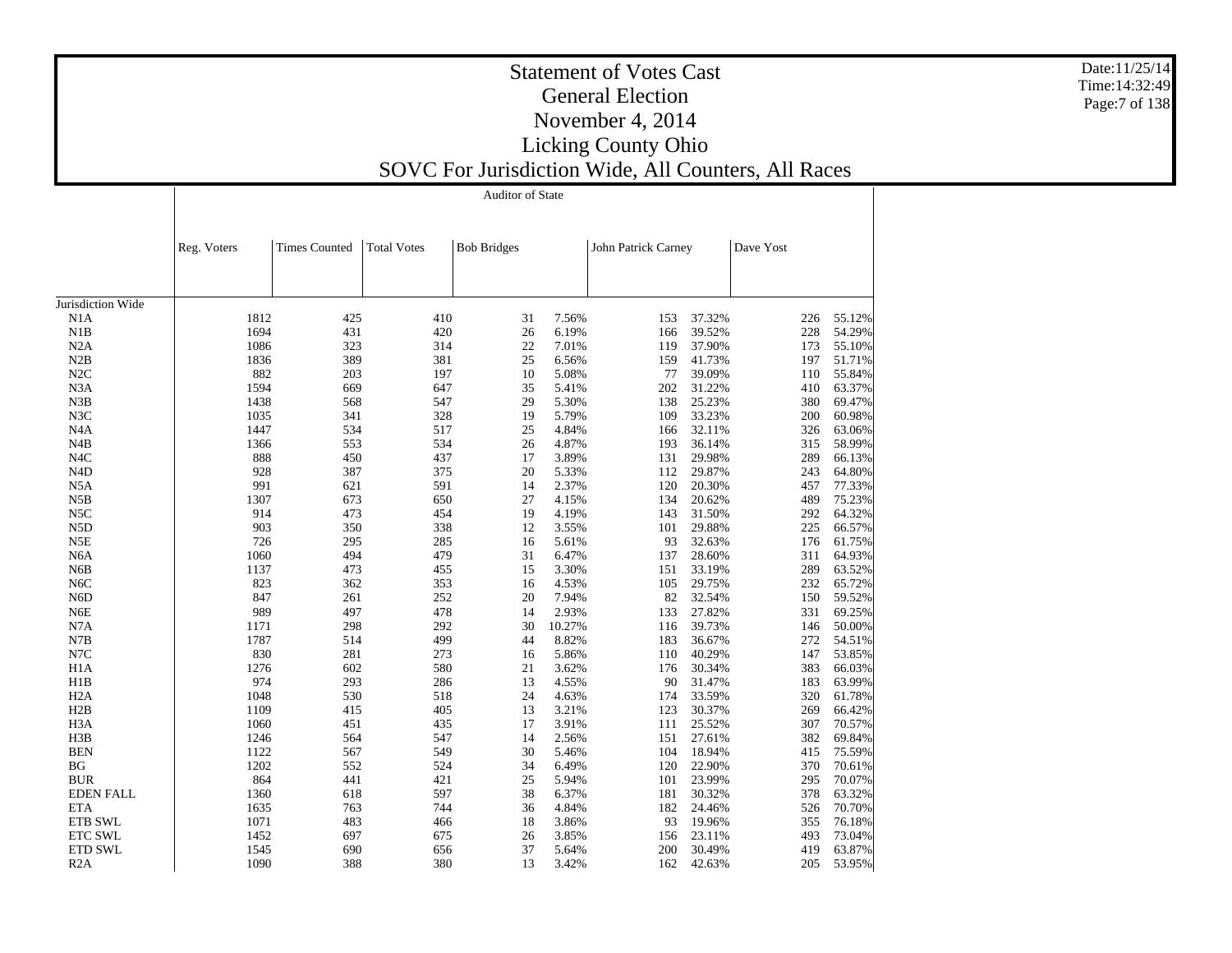|                   |             | <b>Auditor of State</b> |                    |                    |        |                     |        |           |        |  |  |  |
|-------------------|-------------|-------------------------|--------------------|--------------------|--------|---------------------|--------|-----------|--------|--|--|--|
|                   | Reg. Voters | <b>Times Counted</b>    | <b>Total Votes</b> | <b>Bob Bridges</b> |        | John Patrick Carney |        | Dave Yost |        |  |  |  |
|                   |             |                         |                    |                    |        |                     |        |           |        |  |  |  |
| Jurisdiction Wide |             |                         |                    |                    |        |                     |        |           |        |  |  |  |
| N1A               | 1812        | 425                     | 410                | 31                 | 7.56%  | 153                 | 37.32% | 226       | 55.12% |  |  |  |
| N1B               | 1694        | 431                     | 420                | 26                 | 6.19%  | 166                 | 39.52% | 228       | 54.29% |  |  |  |
| N2A               | 1086        | 323                     | 314                | 22                 | 7.01%  | 119                 | 37.90% | 173       | 55.10% |  |  |  |
| N2B               | 1836        | 389                     | 381                | 25                 | 6.56%  | 159                 | 41.73% | 197       | 51.71% |  |  |  |
| N2C               | 882         | 203                     | 197                | 10                 | 5.08%  | 77                  | 39.09% | 110       | 55.84% |  |  |  |
| N <sub>3</sub> A  | 1594        | 669                     | 647                | 35                 | 5.41%  | 202                 | 31.22% | 410       | 63.37% |  |  |  |
| N3B               | 1438        | 568                     | 547                | 29                 | 5.30%  | 138                 | 25.23% | 380       | 69.47% |  |  |  |
| N3C               | 1035        | 341                     | 328                | 19                 | 5.79%  | 109                 | 33.23% | 200       | 60.98% |  |  |  |
| N <sub>4</sub> A  | 1447        | 534                     | 517                | 25                 | 4.84%  | 166                 | 32.11% | 326       | 63.06% |  |  |  |
| N4B               | 1366        | 553                     | 534                | 26                 | 4.87%  | 193                 | 36.14% | 315       | 58.99% |  |  |  |
| N <sub>4</sub> C  | 888         | 450                     | 437                | 17                 | 3.89%  | 131                 | 29.98% | 289       | 66.13% |  |  |  |
| N <sub>4</sub> D  | 928         | 387                     | 375                | 20                 | 5.33%  | 112                 | 29.87% | 243       | 64.80% |  |  |  |
| N5A               | 991         | 621                     | 591                | 14                 | 2.37%  | 120                 | 20.30% | 457       | 77.33% |  |  |  |
| N5B               | 1307        | 673                     | 650                | 27                 | 4.15%  | 134                 | 20.62% | 489       | 75.23% |  |  |  |
|                   |             |                         |                    |                    | 4.19%  |                     | 31.50% | 292       | 64.32% |  |  |  |
| N5C               | 914         | 473                     | 454                | 19                 |        | 143                 |        |           |        |  |  |  |
| N <sub>5</sub> D  | 903         | 350                     | 338                | 12                 | 3.55%  | 101                 | 29.88% | 225       | 66.57% |  |  |  |
| N5E               | 726         | 295                     | 285                | 16                 | 5.61%  | 93                  | 32.63% | 176       | 61.75% |  |  |  |
| N <sub>6</sub> A  | 1060        | 494                     | 479                | 31                 | 6.47%  | 137                 | 28.60% | 311       | 64.93% |  |  |  |
| N6B               | 1137        | 473                     | 455                | 15                 | 3.30%  | 151                 | 33.19% | 289       | 63.52% |  |  |  |
| N <sub>6</sub> C  | 823         | 362                     | 353                | 16                 | 4.53%  | 105                 | 29.75% | 232       | 65.72% |  |  |  |
| N <sub>6</sub> D  | 847         | 261                     | 252                | 20                 | 7.94%  | 82                  | 32.54% | 150       | 59.52% |  |  |  |
| N <sub>6</sub> E  | 989         | 497                     | 478                | 14                 | 2.93%  | 133                 | 27.82% | 331       | 69.25% |  |  |  |
| N7A               | 1171        | 298                     | 292                | 30                 | 10.27% | 116                 | 39.73% | 146       | 50.00% |  |  |  |
| N7B               | 1787        | 514                     | 499                | 44                 | 8.82%  | 183                 | 36.67% | 272       | 54.51% |  |  |  |
| N7C               | 830         | 281                     | 273                | 16                 | 5.86%  | 110                 | 40.29% | 147       | 53.85% |  |  |  |
| H <sub>1</sub> A  | 1276        | 602                     | 580                | 21                 | 3.62%  | 176                 | 30.34% | 383       | 66.03% |  |  |  |
| H1B               | 974         | 293                     | 286                | 13                 | 4.55%  | 90                  | 31.47% | 183       | 63.99% |  |  |  |
| H <sub>2</sub> A  | 1048        | 530                     | 518                | 24                 | 4.63%  | 174                 | 33.59% | 320       | 61.78% |  |  |  |
| H2B               | 1109        | 415                     | 405                | 13                 | 3.21%  | 123                 | 30.37% | 269       | 66.42% |  |  |  |
| H <sub>3</sub> A  | 1060        | 451                     | 435                | 17                 | 3.91%  | 111                 | 25.52% | 307       | 70.57% |  |  |  |
| H3B               | 1246        | 564                     | 547                | 14                 | 2.56%  | 151                 | 27.61% | 382       | 69.84% |  |  |  |
| <b>BEN</b>        | 1122        | 567                     | 549                | 30                 | 5.46%  | 104                 | 18.94% | 415       | 75.59% |  |  |  |
| ΒG                | 1202        | 552                     | 524                | 34                 | 6.49%  | 120                 | 22.90% | 370       | 70.61% |  |  |  |
| <b>BUR</b>        | 864         | 441                     | 421                | 25                 | 5.94%  | 101                 | 23.99% | 295       | 70.07% |  |  |  |
| <b>EDEN FALL</b>  | 1360        | 618                     | 597                | 38                 | 6.37%  | 181                 | 30.32% | 378       | 63.32% |  |  |  |
| <b>ETA</b>        | 1635        | 763                     | 744                | 36                 | 4.84%  | 182                 | 24.46% | 526       | 70.70% |  |  |  |
| <b>ETB SWL</b>    | 1071        | 483                     | 466                | 18                 | 3.86%  | 93                  | 19.96% | 355       | 76.18% |  |  |  |
| <b>ETC SWL</b>    | 1452        | 697                     | 675                | 26                 | 3.85%  | 156                 | 23.11% | 493       | 73.04% |  |  |  |
| <b>ETD SWL</b>    | 1545        | 690                     | 656                | 37                 | 5.64%  | 200                 | 30.49% | 419       | 63.87% |  |  |  |
| R2A               | 1090        | 388                     | 380                | 13                 | 3.42%  | 162                 | 42.63% | 205       | 53.95% |  |  |  |
|                   |             |                         |                    |                    |        |                     |        |           |        |  |  |  |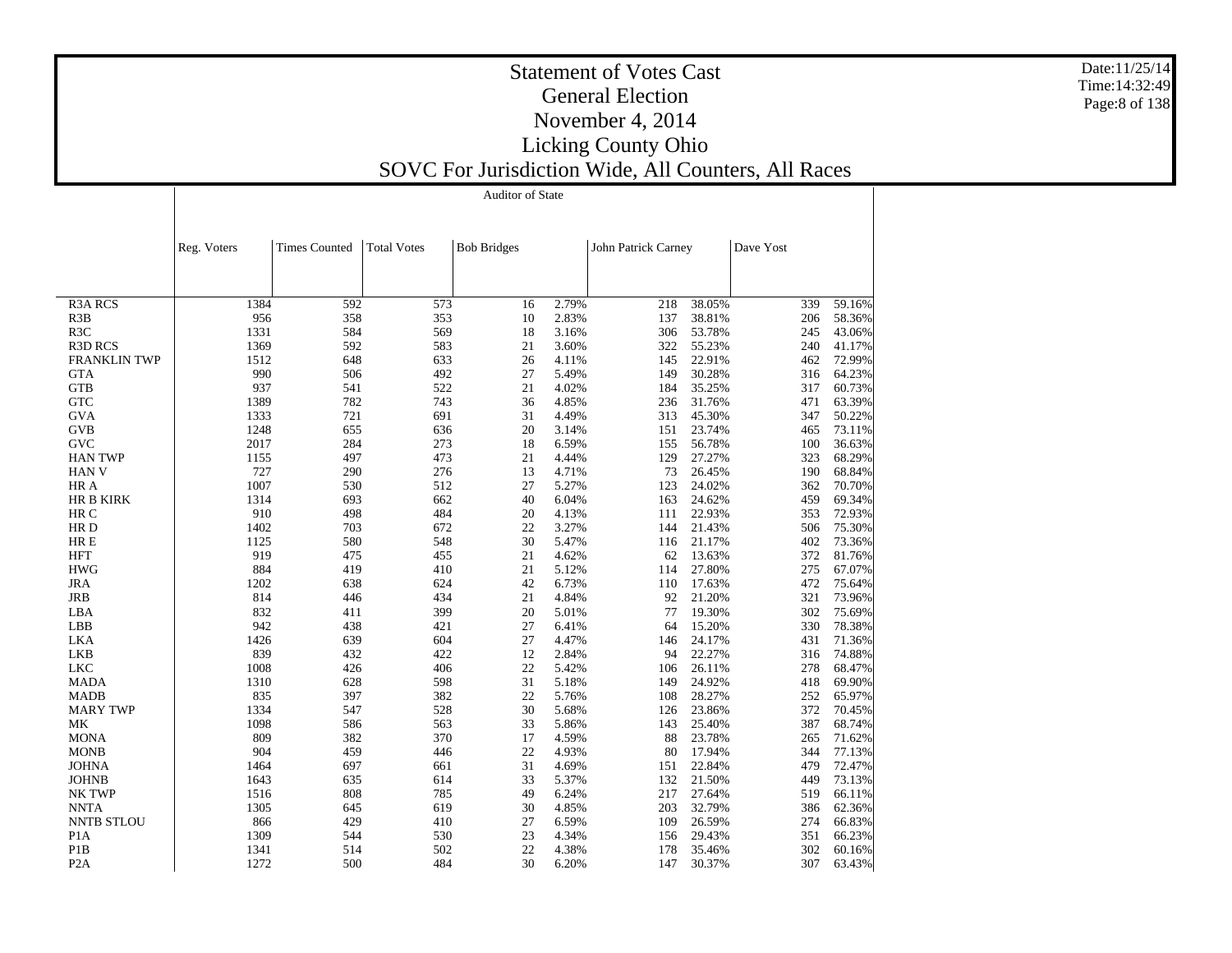|                     | Auditor of State |                      |                    |                    |       |                     |           |        |  |  |  |  |  |
|---------------------|------------------|----------------------|--------------------|--------------------|-------|---------------------|-----------|--------|--|--|--|--|--|
|                     |                  |                      |                    |                    |       |                     |           |        |  |  |  |  |  |
|                     |                  |                      |                    |                    |       |                     |           |        |  |  |  |  |  |
|                     | Reg. Voters      | <b>Times Counted</b> | <b>Total Votes</b> | <b>Bob Bridges</b> |       | John Patrick Carney | Dave Yost |        |  |  |  |  |  |
|                     |                  |                      |                    |                    |       |                     |           |        |  |  |  |  |  |
|                     |                  |                      |                    |                    |       |                     |           |        |  |  |  |  |  |
|                     |                  |                      |                    |                    |       |                     |           |        |  |  |  |  |  |
| <b>R3A RCS</b>      | 1384             | 592                  | 573                | 16                 | 2.79% | 218<br>38.05%       | 339       | 59.16% |  |  |  |  |  |
| R3B                 | 956              | 358                  | 353                | 10                 | 2.83% | 137<br>38.81%       | 206       | 58.36% |  |  |  |  |  |
| R <sub>3</sub> C    | 1331             | 584                  | 569                | 18                 | 3.16% | 306<br>53.78%       | 245       | 43.06% |  |  |  |  |  |
| R3D RCS             | 1369             | 592                  | 583                | 21                 | 3.60% | 322<br>55.23%       | 240       | 41.17% |  |  |  |  |  |
| <b>FRANKLIN TWP</b> | 1512             | 648                  | 633                | 26                 | 4.11% | 22.91%<br>145       | 462       | 72.99% |  |  |  |  |  |
| <b>GTA</b>          | 990              | 506                  | 492                | 27                 | 5.49% | 30.28%<br>149       | 316       | 64.23% |  |  |  |  |  |
| <b>GTB</b>          | 937              | 541                  | 522                | 21                 | 4.02% | 184<br>35.25%       | 317       | 60.73% |  |  |  |  |  |
| <b>GTC</b>          | 1389             | 782                  | 743                | 36                 | 4.85% | 31.76%<br>236       | 471       | 63.39% |  |  |  |  |  |
| <b>GVA</b>          | 1333             | 721                  | 691                | 31                 | 4.49% | 313<br>45.30%       | 347       | 50.22% |  |  |  |  |  |
| <b>GVB</b>          | 1248             | 655                  | 636                | 20                 | 3.14% | 23.74%<br>151       | 465       | 73.11% |  |  |  |  |  |
| GVC                 | 2017             | 284                  | 273                | 18                 | 6.59% | 155<br>56.78%       | 100       | 36.63% |  |  |  |  |  |
| <b>HAN TWP</b>      | 1155             | 497                  | 473                | 21                 | 4.44% | 129<br>27.27%       | 323       | 68.29% |  |  |  |  |  |
| <b>HAN V</b>        | 727              | 290                  | 276                | 13                 | 4.71% | 73<br>26.45%        | 190       | 68.84% |  |  |  |  |  |
| HR A                | 1007             | 530                  | 512                | 27                 | 5.27% | 123<br>24.02%       | 362       | 70.70% |  |  |  |  |  |
| <b>HR B KIRK</b>    | 1314             | 693                  | 662                | 40                 | 6.04% | 163<br>24.62%       | 459       | 69.34% |  |  |  |  |  |
| HR C                | 910              | 498                  | 484                | 20                 | 4.13% | 111<br>22.93%       | 353       | 72.93% |  |  |  |  |  |
| HR <sub>D</sub>     | 1402             | 703                  | 672                | 22                 | 3.27% | 21.43%<br>144       | 506       | 75.30% |  |  |  |  |  |
| $\rm HR \ E$        | 1125             | 580                  | 548                | 30                 | 5.47% | 21.17%<br>116       | 402       | 73.36% |  |  |  |  |  |
| <b>HFT</b>          | 919              | 475                  | 455                | 21                 | 4.62% | 13.63%<br>62        | 372       | 81.76% |  |  |  |  |  |
| <b>HWG</b>          | 884              | 419                  | 410                | 21                 | 5.12% | 27.80%<br>114       | 275       | 67.07% |  |  |  |  |  |
| <b>JRA</b>          | 1202             | 638                  | 624                | 42                 | 6.73% | 17.63%<br>110       | 472       | 75.64% |  |  |  |  |  |
| <b>JRB</b>          | 814              | 446                  | 434                | 21                 | 4.84% | 92<br>21.20%        | 321       | 73.96% |  |  |  |  |  |
| LBA                 | 832              | 411                  | 399                | 20                 | 5.01% | 19.30%<br>77        | 302       | 75.69% |  |  |  |  |  |
| LBB                 | 942              | 438                  | 421                | 27                 | 6.41% | 64<br>15.20%        | 330       | 78.38% |  |  |  |  |  |
| <b>LKA</b>          | 1426             | 639                  | 604                | 27                 | 4.47% | 24.17%<br>146       | 431       | 71.36% |  |  |  |  |  |
| <b>LKB</b>          | 839              | 432                  | 422                | 12                 | 2.84% | 22.27%<br>94        | 316       | 74.88% |  |  |  |  |  |
| <b>LKC</b>          | 1008             | 426                  | 406                | 22                 | 5.42% | 26.11%<br>106       | 278       | 68.47% |  |  |  |  |  |
| <b>MADA</b>         | 1310             | 628                  | 598                | 31                 | 5.18% | 24.92%<br>149       | 418       | 69.90% |  |  |  |  |  |
| <b>MADB</b>         | 835              | 397                  | 382                | 22                 | 5.76% | 28.27%<br>108       | 252       | 65.97% |  |  |  |  |  |
| <b>MARY TWP</b>     | 1334             | 547                  | 528                | 30                 | 5.68% | 23.86%<br>126       | 372       | 70.45% |  |  |  |  |  |
| МK                  | 1098             | 586                  | 563                | 33                 | 5.86% | 25.40%<br>143       | 387       | 68.74% |  |  |  |  |  |
| <b>MONA</b>         | 809              | 382                  | 370                | 17                 | 4.59% | 88<br>23.78%        | 265       | 71.62% |  |  |  |  |  |
| <b>MONB</b>         | 904              | 459                  | 446                | 22                 | 4.93% | 17.94%<br>80        | 344       | 77.13% |  |  |  |  |  |
| <b>JOHNA</b>        | 1464             | 697                  | 661                | 31                 | 4.69% | 22.84%<br>151       | 479       | 72.47% |  |  |  |  |  |
| <b>JOHNB</b>        | 1643             | 635                  | 614                | 33                 | 5.37% | 132<br>21.50%       | 449       | 73.13% |  |  |  |  |  |
| NK TWP              | 1516             | 808                  | 785                | 49                 | 6.24% | 217<br>27.64%       | 519       | 66.11% |  |  |  |  |  |
| <b>NNTA</b>         | 1305             | 645                  | 619                | 30                 | 4.85% | 203<br>32.79%       | 386       | 62.36% |  |  |  |  |  |
| <b>NNTB STLOU</b>   | 866              | 429                  | 410                | 27                 | 6.59% | 109<br>26.59%       | 274       | 66.83% |  |  |  |  |  |
| P <sub>1</sub> A    | 1309             | 544                  | 530                | 23                 | 4.34% | 29.43%<br>156       | 351       | 66.23% |  |  |  |  |  |
| P <sub>1</sub> B    | 1341             | 514                  | 502                | 22                 | 4.38% | 35.46%<br>178       | 302       | 60.16% |  |  |  |  |  |
| P <sub>2</sub> A    | 1272             | 500                  | 484                | 30                 | 6.20% | 147<br>30.37%       | 307       | 63.43% |  |  |  |  |  |

Date:11/25/14 Time:14:32:49Page:8 of 138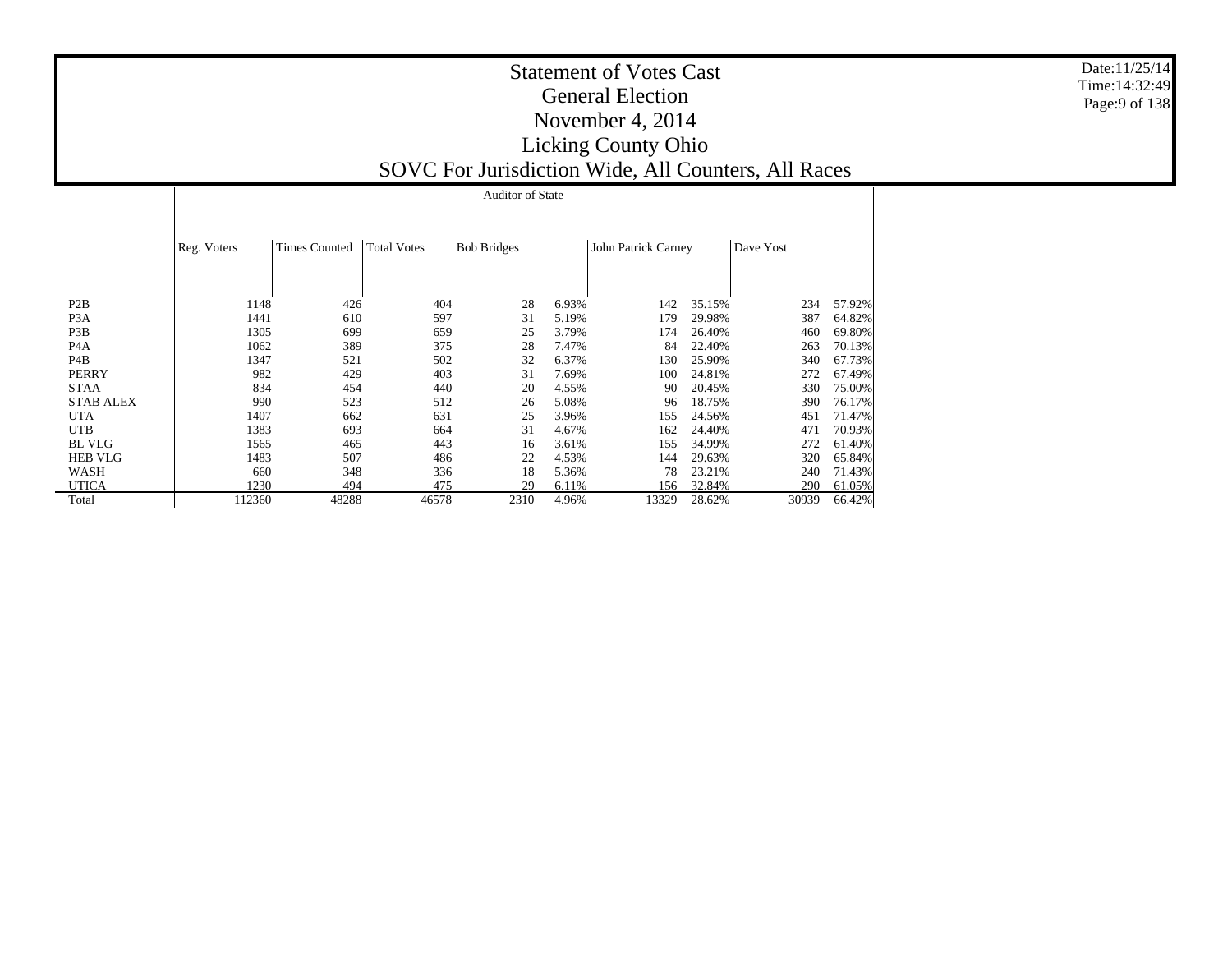|                  |             |                      |                    | <b>Auditor of State</b> |       |                     |        |           |        |
|------------------|-------------|----------------------|--------------------|-------------------------|-------|---------------------|--------|-----------|--------|
|                  |             |                      |                    |                         |       |                     |        |           |        |
|                  |             |                      |                    |                         |       |                     |        |           |        |
|                  | Reg. Voters | <b>Times Counted</b> | <b>Total Votes</b> | <b>Bob Bridges</b>      |       | John Patrick Carney |        | Dave Yost |        |
|                  |             |                      |                    |                         |       |                     |        |           |        |
|                  |             |                      |                    |                         |       |                     |        |           |        |
| P <sub>2</sub> B | 1148        | 426                  | 404                | 28                      | 6.93% | 142                 | 35.15% | 234       | 57.92% |
| P3A              | 1441        | 610                  | 597                | 31                      | 5.19% | 179                 | 29.98% | 387       | 64.82% |
| P3B              | 1305        | 699                  | 659                | 25                      | 3.79% | 174                 | 26.40% | 460       | 69.80% |
| P4A              | 1062        | 389                  | 375                | 28                      | 7.47% | 84                  | 22.40% | 263       | 70.13% |
| P <sub>4</sub> B | 1347        | 521                  | 502                | 32                      | 6.37% | 130                 | 25.90% | 340       | 67.73% |
| <b>PERRY</b>     | 982         | 429                  | 403                | 31                      | 7.69% | 100                 | 24.81% | 272       | 67.49% |
| <b>STAA</b>      | 834         | 454                  | 440                | 20                      | 4.55% | 90                  | 20.45% | 330       | 75.00% |
| <b>STAB ALEX</b> | 990         | 523                  | 512                | 26                      | 5.08% | 96                  | 18.75% | 390       | 76.17% |
| <b>UTA</b>       | 1407        | 662                  | 631                | 25                      | 3.96% | 155                 | 24.56% | 451       | 71.47% |
| <b>UTB</b>       | 1383        | 693                  | 664                | 31                      | 4.67% | 162                 | 24.40% | 471       | 70.93% |
| <b>BL VLG</b>    | 1565        | 465                  | 443                | 16                      | 3.61% | 155                 | 34.99% | 272       | 61.40% |
| <b>HEB VLG</b>   | 1483        | 507                  | 486                | 22                      | 4.53% | 144                 | 29.63% | 320       | 65.84% |
| WASH             | 660         | 348                  | 336                | 18                      | 5.36% | 78                  | 23.21% | 240       | 71.43% |
| <b>UTICA</b>     | 1230        | 494                  | 475                | 29                      | 6.11% | 156                 | 32.84% | 290       | 61.05% |
| Total            | 112360      | 48288                | 46578              | 2310                    | 4.96% | 13329               | 28.62% | 30939     | 66.42% |

Date:11/25/14 Time:14:32:49Page:9 of 138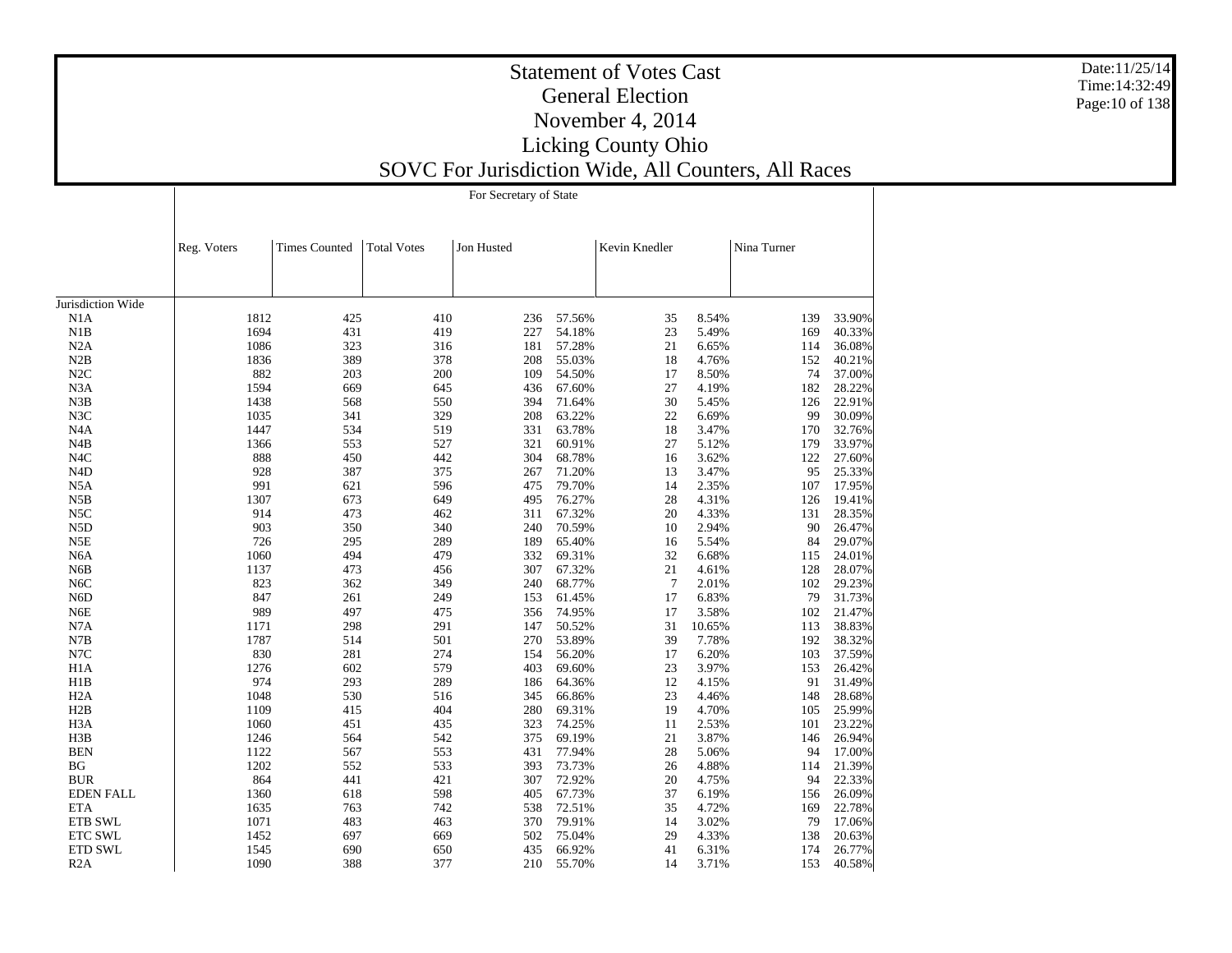|                   | For Secretary of State |                      |                    |            |                  |                            |             |        |
|-------------------|------------------------|----------------------|--------------------|------------|------------------|----------------------------|-------------|--------|
|                   |                        |                      |                    |            |                  |                            |             |        |
|                   | Reg. Voters            | <b>Times Counted</b> | <b>Total Votes</b> | Jon Husted |                  | Kevin Knedler              | Nina Turner |        |
|                   |                        |                      |                    |            |                  |                            |             |        |
| Jurisdiction Wide |                        |                      |                    |            |                  |                            |             |        |
|                   | 1812                   |                      | 410                |            |                  |                            |             | 33.90% |
| N1A<br>N1B        | 1694                   | 425<br>431           | 419                | 236<br>227 | 57.56%<br>54.18% | 35<br>8.54%<br>23          | 139<br>169  | 40.33% |
| N2A               | 1086                   | 323                  |                    |            | 57.28%           | 5.49%                      |             | 36.08% |
| N2B               | 1836                   | 389                  | 316<br>378         | 181<br>208 | 55.03%           | 21<br>6.65%<br>18<br>4.76% | 114<br>152  | 40.21% |
| N2C               | 882                    | 203                  | 200                | 109        | 54.50%           | 8.50%<br>17                | 74          | 37.00% |
| N <sub>3</sub> A  | 1594                   | 669                  | 645                | 436        | 67.60%           | 27<br>4.19%                | 182         | 28.22% |
| N3B               | 1438                   | 568                  | 550                | 394        | 71.64%           | 30<br>5.45%                | 126         | 22.91% |
| N3C               | 1035                   | 341                  | 329                | 208        | 63.22%           | 22<br>6.69%                | 99          | 30.09% |
| N4A               | 1447                   | 534                  | 519                | 331        | 63.78%           | 3.47%<br>18                | 170         | 32.76% |
| N <sub>4</sub> B  | 1366                   | 553                  | 527                | 321        | 60.91%           | 5.12%<br>27                | 179         | 33.97% |
| N <sub>4</sub> C  | 888                    | 450                  | 442                | 304        | 68.78%           | 3.62%<br>16                | 122         | 27.60% |
| N <sub>4</sub> D  | 928                    | 387                  | 375                | 267        | 71.20%           | 13<br>3.47%                | 95          | 25.33% |
| N5A               | 991                    | 621                  | 596                | 475        | 79.70%           | 2.35%<br>14                | 107         | 17.95% |
| N5B               | 1307                   | 673                  | 649                | 495        | 76.27%           | 28<br>4.31%                | 126         | 19.41% |
| N5C               | 914                    | 473                  | 462                | 311        | 67.32%           | 4.33%<br>20                | 131         | 28.35% |
| N <sub>5</sub> D  | 903                    | 350                  | 340                | 240        | 70.59%           | 2.94%<br>10                | 90          | 26.47% |
| N5E               | 726                    | 295                  | 289                | 189        | 65.40%           | 5.54%<br>16                | 84          | 29.07% |
| N <sub>6</sub> A  | 1060                   | 494                  | 479                | 332        | 69.31%           | 32<br>6.68%                | 115         | 24.01% |
| N <sub>6</sub> B  | 1137                   | 473                  | 456                | 307        | 67.32%           | 21<br>4.61%                | 128         | 28.07% |
| N <sub>6</sub> C  | 823                    | 362                  | 349                | 240        | 68.77%           | $7\phantom{.0}$<br>2.01%   | 102         | 29.23% |
| N <sub>6</sub> D  | 847                    | 261                  | 249                | 153        | 61.45%           | 17<br>6.83%                | 79          | 31.73% |
| N <sub>6</sub> E  | 989                    | 497                  | 475                |            | 74.95%           | 3.58%                      | 102         | 21.47% |
|                   |                        |                      | 291                | 356        | 50.52%           | 17                         |             | 38.83% |
| N7A               | 1171                   | 298                  |                    | 147<br>270 |                  | 31<br>10.65%<br>39         | 113<br>192  |        |
| N7B<br>N7C        | 1787<br>830            | 514                  | 501                |            | 53.89%           | 7.78%                      |             | 38.32% |
|                   |                        | 281                  | 274                | 154        | 56.20%           | 6.20%<br>17                | 103         | 37.59% |
| H1A               | 1276                   | 602                  | 579                | 403        | 69.60%           | 3.97%<br>23                | 153         | 26.42% |
| H1B               | 974                    | 293                  | 289                | 186        | 64.36%           | 12<br>4.15%                | 91<br>148   | 31.49% |
| H2A               | 1048                   | 530<br>415           | 516<br>404         | 345        | 66.86%           | 23<br>4.46%<br>19          | 105         | 28.68% |
| H2B               | 1109                   |                      |                    | 280        | 69.31%           | 4.70%                      | 101         | 25.99% |
| H <sub>3</sub> A  | 1060                   | 451                  | 435                | 323        | 74.25%           | 2.53%<br>11                |             | 23.22% |
| H3B               | 1246                   | 564                  | 542                | 375        | 69.19%           | 21<br>3.87%                | 146         | 26.94% |
| <b>BEN</b>        | 1122<br>1202           | 567                  | 553                | 431        | 77.94%           | 28<br>5.06%                | 94          | 17.00% |
| <b>BG</b>         |                        | 552                  | 533                | 393        | 73.73%           | 26<br>4.88%                | 114         | 21.39% |
| <b>BUR</b>        | 864                    | 441                  | 421                | 307        | 72.92%           | 20<br>4.75%                | 94          | 22.33% |
| <b>EDEN FALL</b>  | 1360                   | 618                  | 598                | 405        | 67.73%           | 37<br>6.19%                | 156         | 26.09% |
| <b>ETA</b>        | 1635                   | 763                  | 742                | 538        | 72.51%           | 4.72%<br>35                | 169         | 22.78% |
| <b>ETB SWL</b>    | 1071                   | 483                  | 463                | 370        | 79.91%           | 3.02%<br>14                | 79          | 17.06% |
| <b>ETC SWL</b>    | 1452                   | 697                  | 669                | 502        | 75.04%           | 4.33%<br>29                | 138         | 20.63% |
| <b>ETD SWL</b>    | 1545                   | 690                  | 650                | 435        | 66.92%           | 41<br>6.31%                | 174         | 26.77% |
| R2A               | 1090                   | 388                  | 377                | 210        | 55.70%           | 3.71%<br>14                | 153         | 40.58% |

Date:11/25/14 Time:14:32:49 Page:10 of 138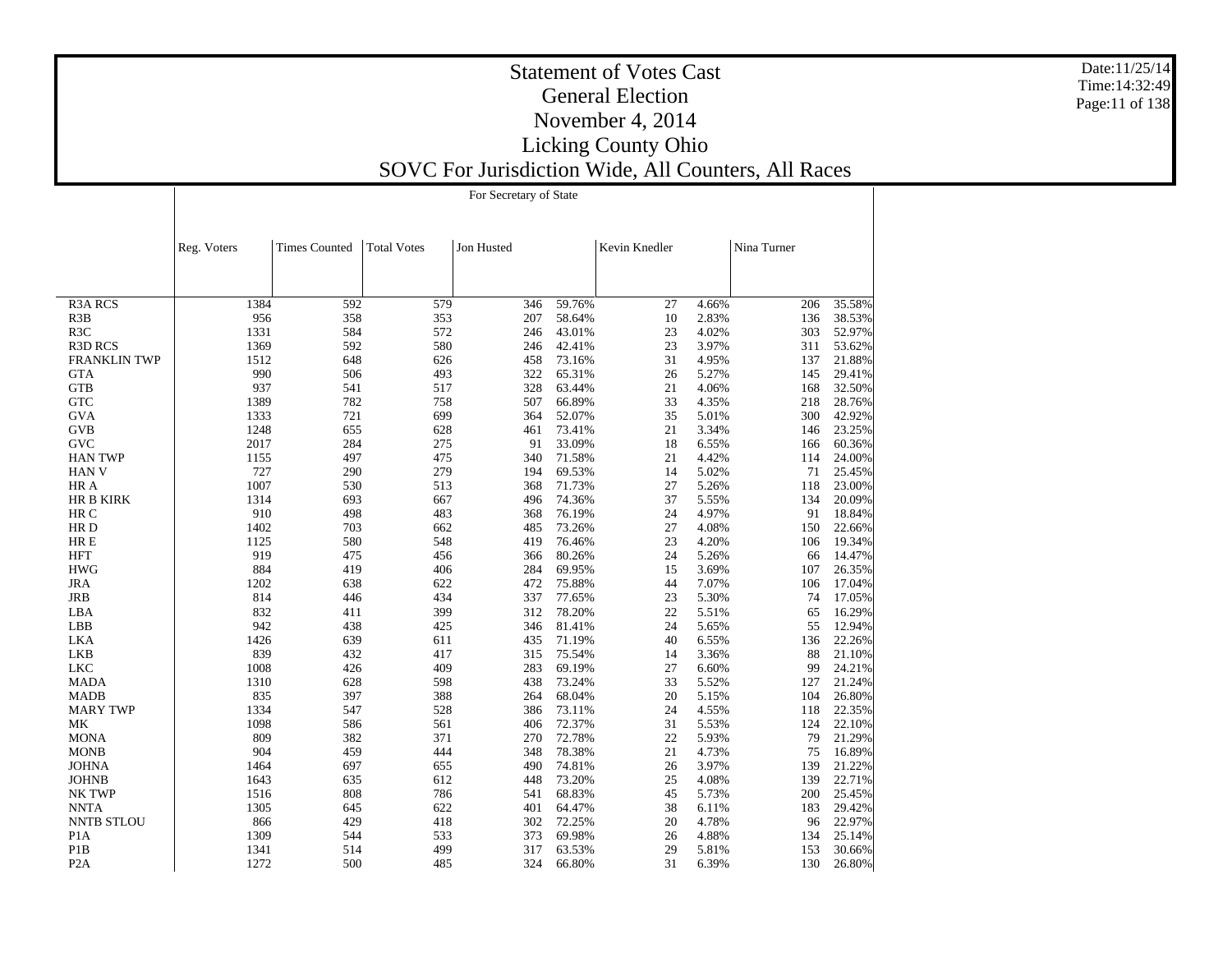|                     | For Secretary of State |                      |                    |            |        |               |             |        |  |
|---------------------|------------------------|----------------------|--------------------|------------|--------|---------------|-------------|--------|--|
|                     |                        |                      |                    |            |        |               |             |        |  |
|                     |                        |                      |                    |            |        |               |             |        |  |
|                     | Reg. Voters            | <b>Times Counted</b> | <b>Total Votes</b> | Jon Husted |        | Kevin Knedler | Nina Turner |        |  |
|                     |                        |                      |                    |            |        |               |             |        |  |
|                     |                        |                      |                    |            |        |               |             |        |  |
|                     |                        |                      |                    |            |        |               |             |        |  |
| <b>R3A RCS</b>      | 1384                   | 592                  | 579                | 346        | 59.76% | 27<br>4.66%   | 206         | 35.58% |  |
| R3B                 | 956                    | 358                  | 353                | 207        | 58.64% | 2.83%<br>10   | 136         | 38.53% |  |
| R <sub>3</sub> C    | 1331                   | 584                  | 572                | 246        | 43.01% | 23<br>4.02%   | 303         | 52.97% |  |
| <b>R3D RCS</b>      | 1369                   | 592                  | 580                | 246        | 42.41% | 23<br>3.97%   | 311         | 53.62% |  |
| <b>FRANKLIN TWP</b> | 1512                   | 648                  | 626                | 458        | 73.16% | 4.95%<br>31   | 137         | 21.88% |  |
| <b>GTA</b>          | 990                    | 506                  | 493                | 322        | 65.31% | 26<br>5.27%   | 145         | 29.41% |  |
| <b>GTB</b>          | 937                    | 541                  | 517                | 328        | 63.44% | 21<br>4.06%   | 168         | 32.50% |  |
| <b>GTC</b>          | 1389                   | 782                  | 758                | 507        | 66.89% | 33<br>4.35%   | 218         | 28.76% |  |
| <b>GVA</b>          | 1333                   | 721                  | 699                | 364        | 52.07% | 35<br>5.01%   | 300         | 42.92% |  |
| <b>GVB</b>          | 1248                   | 655                  | 628                | 461        | 73.41% | 21<br>3.34%   | 146         | 23.25% |  |
| GVC                 | 2017                   | 284                  | 275                | 91         | 33.09% | 18<br>6.55%   | 166         | 60.36% |  |
| <b>HAN TWP</b>      | 1155                   | 497                  | 475                | 340        | 71.58% | 21<br>4.42%   | 114         | 24.00% |  |
| <b>HAN V</b>        | 727                    | 290                  | 279                | 194        | 69.53% | 5.02%<br>14   | 71          | 25.45% |  |
| HR A                | 1007                   | 530                  | 513                | 368        | 71.73% | 27<br>5.26%   | 118         | 23.00% |  |
| <b>HR B KIRK</b>    | 1314                   | 693                  | 667                | 496        | 74.36% | 37<br>5.55%   | 134         | 20.09% |  |
| HR C                | 910                    | 498                  | 483                | 368        | 76.19% | 24<br>4.97%   | 91          | 18.84% |  |
| HR <sub>D</sub>     | 1402                   | 703                  | 662                | 485        | 73.26% | 27<br>4.08%   | 150         | 22.66% |  |
| HR E                | 1125                   | 580                  | 548                | 419        | 76.46% | 23<br>4.20%   | 106         | 19.34% |  |
| <b>HFT</b>          | 919                    | 475                  | 456                | 366        | 80.26% | 24<br>5.26%   | 66          | 14.47% |  |
| <b>HWG</b>          | 884                    | 419                  | 406                | 284        | 69.95% | 3.69%<br>15   | 107         | 26.35% |  |
| <b>JRA</b>          | 1202                   | 638                  | 622                | 472        | 75.88% | 7.07%<br>44   | 106         | 17.04% |  |
| <b>JRB</b>          | 814                    | 446                  | 434                | 337        | 77.65% | 23<br>5.30%   | 74          | 17.05% |  |
| LBA                 | 832                    | 411                  | 399                | 312        | 78.20% | 22<br>5.51%   | 65          | 16.29% |  |
| LBB                 | 942                    | 438                  | 425                | 346        | 81.41% | 24<br>5.65%   | 55          | 12.94% |  |
| LKA                 | 1426                   | 639                  | 611                | 435        | 71.19% | 40<br>6.55%   | 136         | 22.26% |  |
| <b>LKB</b>          | 839                    | 432                  | 417                | 315        | 75.54% | 14<br>3.36%   | 88          | 21.10% |  |
| <b>LKC</b>          | 1008                   | 426                  | 409                | 283        | 69.19% | 27<br>6.60%   | 99          | 24.21% |  |
| <b>MADA</b>         | 1310                   | 628                  | 598                | 438        | 73.24% | 33<br>5.52%   | 127         | 21.24% |  |
| <b>MADB</b>         | 835                    | 397                  | 388                | 264        | 68.04% | 20<br>5.15%   | 104         | 26.80% |  |
| <b>MARY TWP</b>     | 1334                   | 547                  | 528                | 386        | 73.11% | 24<br>4.55%   | 118         | 22.35% |  |
| <b>MK</b>           | 1098                   | 586                  | 561                | 406        | 72.37% | 31<br>5.53%   | 124         | 22.10% |  |
| <b>MONA</b>         | 809                    | 382                  | 371                | 270        | 72.78% | 22<br>5.93%   | 79          | 21.29% |  |
| <b>MONB</b>         | 904                    | 459                  | 444                | 348        | 78.38% | 21<br>4.73%   | 75          | 16.89% |  |
| <b>JOHNA</b>        | 1464                   | 697                  | 655                | 490        | 74.81% | 26<br>3.97%   | 139         | 21.22% |  |
| <b>JOHNB</b>        | 1643                   | 635                  | 612                | 448        | 73.20% | 4.08%<br>25   | 139         | 22.71% |  |
| NK TWP              | 1516                   | 808                  | 786                | 541        | 68.83% | 45<br>5.73%   | 200         | 25.45% |  |
| <b>NNTA</b>         | 1305                   | 645                  | 622                | 401        | 64.47% | 38<br>6.11%   | 183         | 29.42% |  |
| <b>NNTB STLOU</b>   | 866                    | 429                  | 418                | 302        | 72.25% | 20<br>4.78%   | 96          | 22.97% |  |
| P <sub>1</sub> A    | 1309                   | 544                  | 533                | 373        | 69.98% | 4.88%<br>26   | 134         | 25.14% |  |
| P1B                 | 1341                   | 514                  | 499                | 317        | 63.53% | 29<br>5.81%   | 153         | 30.66% |  |
| P <sub>2</sub> A    | 1272                   | 500                  | 485                | 324        | 66.80% | 31<br>6.39%   | 130         | 26.80% |  |

Date:11/25/14 Time:14:32:49Page:11 of 138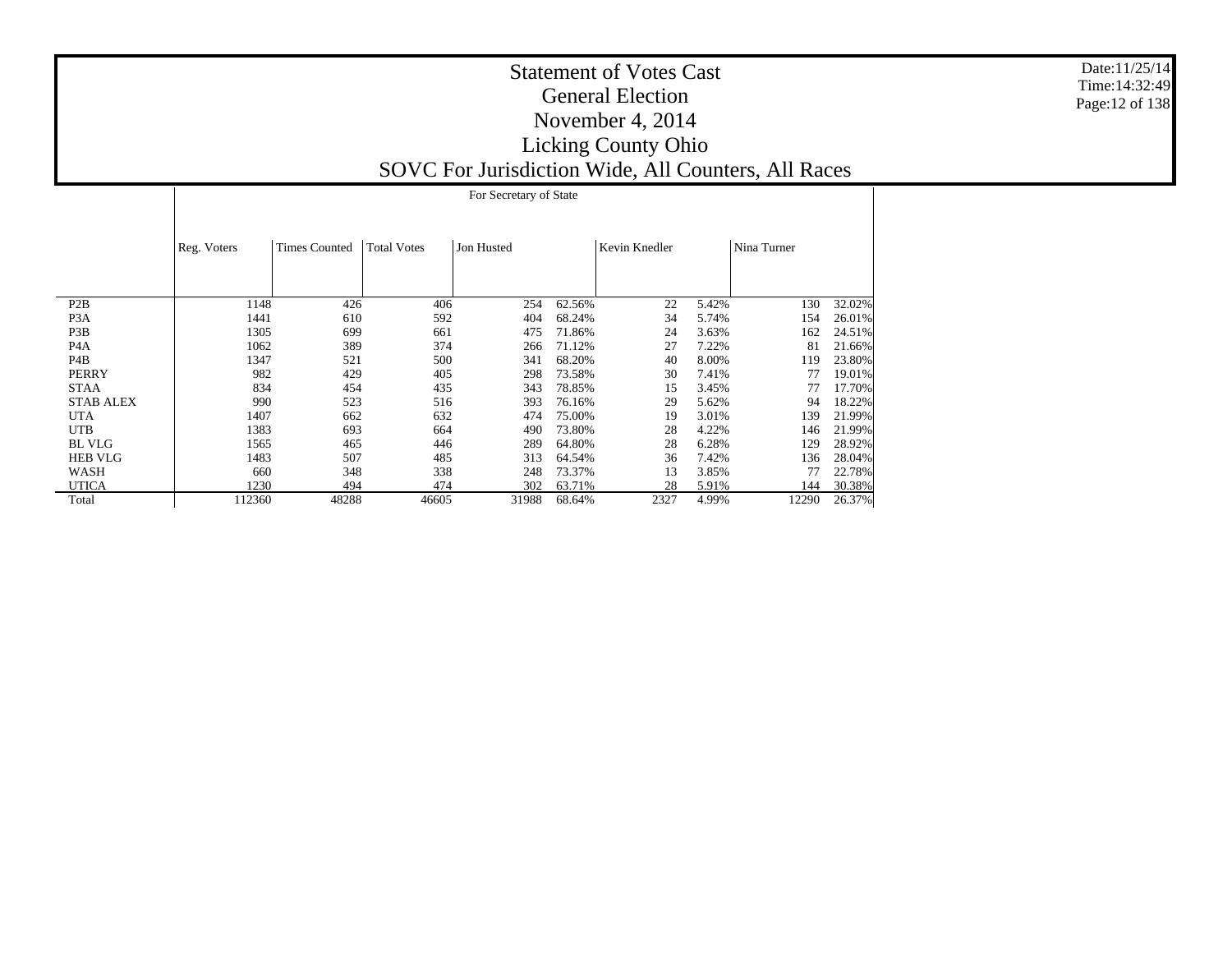|                  |             |                      |                    | For Secretary of State |        |               |       |             |        |
|------------------|-------------|----------------------|--------------------|------------------------|--------|---------------|-------|-------------|--------|
|                  | Reg. Voters | <b>Times Counted</b> | <b>Total Votes</b> | Jon Husted             |        | Kevin Knedler |       | Nina Turner |        |
| P <sub>2</sub> B | 1148        | 426                  | 406                | 254                    | 62.56% | 22            | 5.42% | 130         | 32.02% |
| P <sub>3</sub> A | 1441        | 610                  | 592                | 404                    | 68.24% | 34            | 5.74% | 154         | 26.01% |
| P3B              | 1305        | 699                  | 661                | 475                    | 71.86% | 24            | 3.63% | 162         | 24.51% |
| P4A              | 1062        | 389                  | 374                | 266                    | 71.12% | 27            | 7.22% | 81          | 21.66% |
| P <sub>4</sub> B | 1347        | 521                  | 500                | 341                    | 68.20% | 40            | 8.00% | 119         | 23.80% |
| PERRY            | 982         | 429                  | 405                | 298                    | 73.58% | 30            | 7.41% | 77          | 19.01% |
| <b>STAA</b>      | 834         | 454                  | 435                | 343                    | 78.85% | 15            | 3.45% | 77          | 17.70% |
| <b>STAB ALEX</b> | 990         | 523                  | 516                | 393                    | 76.16% | 29            | 5.62% | 94          | 18.22% |
| <b>UTA</b>       | 1407        | 662                  | 632                | 474                    | 75.00% | 19            | 3.01% | 139         | 21.99% |
| <b>UTB</b>       | 1383        | 693                  | 664                | 490                    | 73.80% | 28            | 4.22% | 146         | 21.99% |
| <b>BL VLG</b>    | 1565        | 465                  | 446                | 289                    | 64.80% | 28            | 6.28% | 129         | 28.92% |
| <b>HEB VLG</b>   | 1483        | 507                  | 485                | 313                    | 64.54% | 36            | 7.42% | 136         | 28.04% |
| WASH             | 660         | 348                  | 338                | 248                    | 73.37% | 13            | 3.85% | 77          | 22.78% |
| <b>UTICA</b>     | 1230        | 494                  | 474                | 302                    | 63.71% | 28            | 5.91% | 144         | 30.38% |
| Total            | 112360      | 48288                | 46605              | 31988                  | 68.64% | 2327          | 4.99% | 12290       | 26.37% |

Date:11/25/14 Time:14:32:49 Page:12 of 138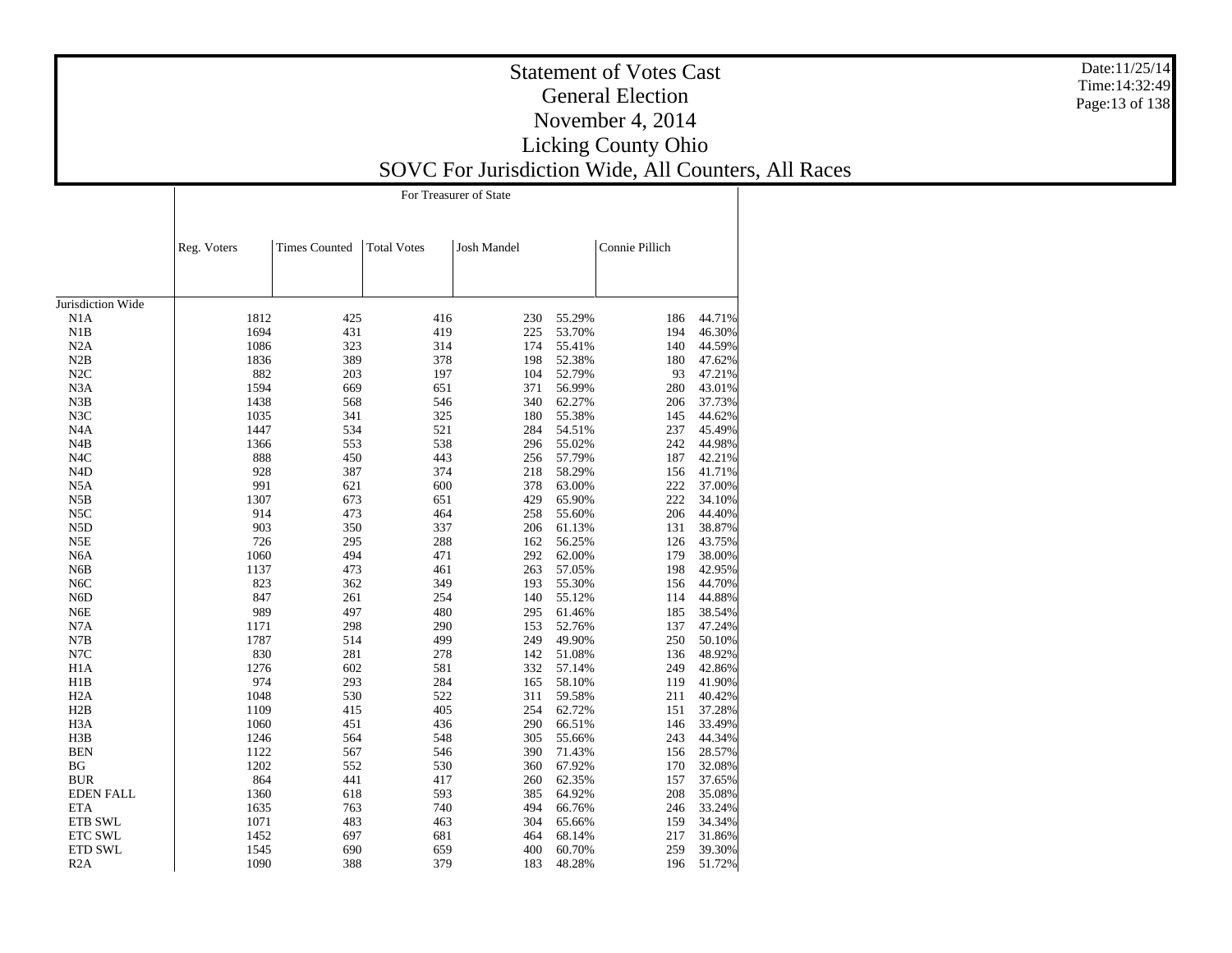|                   |             |                      |                    | For Treasurer of State |        |                |                  |
|-------------------|-------------|----------------------|--------------------|------------------------|--------|----------------|------------------|
|                   | Reg. Voters | <b>Times Counted</b> | <b>Total Votes</b> | <b>Josh Mandel</b>     |        | Connie Pillich |                  |
|                   |             |                      |                    |                        |        |                |                  |
| Jurisdiction Wide |             |                      |                    |                        |        |                |                  |
| N1A               | 1812        | 425                  | 416                | 230                    | 55.29% | 186            | 44.71%           |
| N1B               | 1694        | 431                  | 419                | 225                    | 53.70% | 194            | 46.30%           |
| N2A               | 1086        | 323                  | 314                | 174                    | 55.41% | 140            |                  |
| N2B               | 1836        | 389                  | 378                |                        | 52.38% |                | 44.59%<br>47.62% |
|                   |             |                      |                    | 198                    |        | 180            |                  |
| N2C               | 882         | 203                  | 197                | 104                    | 52.79% | 93             | 47.21%           |
| N3A               | 1594        | 669                  | 651                | 371                    | 56.99% | 280            | 43.01%           |
| N3B               | 1438        | 568                  | 546                | 340                    | 62.27% | 206            | 37.73%           |
| N3C               | 1035        | 341                  | 325                | 180                    | 55.38% | 145            | 44.62%           |
| N4A               | 1447        | 534                  | 521                | 284                    | 54.51% | 237            | 45.49%           |
| N4B               | 1366        | 553                  | 538                | 296                    | 55.02% | 242            | 44.98%           |
| N <sub>4</sub> C  | 888         | 450                  | 443                | 256                    | 57.79% | 187            | 42.21%           |
| N <sub>4</sub> D  | 928         | 387                  | 374                | 218                    | 58.29% | 156            | 41.71%           |
| N5A               | 991         | 621                  | 600                | 378                    | 63.00% | 222            | 37.00%           |
| N5B               | 1307        | 673                  | 651                | 429                    | 65.90% | 222            | 34.10%           |
| N <sub>5</sub> C  | 914         | 473                  | 464                | 258                    | 55.60% | 206            | 44.40%           |
| N <sub>5</sub> D  | 903         | 350                  | 337                | 206                    | 61.13% | 131            | 38.87%           |
| N5E               | 726         | 295                  | 288                | 162                    | 56.25% | 126            | 43.75%           |
| N <sub>6</sub> A  | 1060        | 494                  | 471                | 292                    | 62.00% | 179            | 38.00%           |
| N <sub>6</sub> B  | 1137        | 473                  | 461                | 263                    | 57.05% | 198            | 42.95%           |
| N <sub>6</sub> C  | 823         | 362                  | 349                | 193                    | 55.30% | 156            | 44.70%           |
| N <sub>6</sub> D  | 847         | 261                  | 254                | 140                    | 55.12% | 114            | 44.88%           |
| N <sub>6</sub> E  | 989         | 497                  | 480                | 295                    | 61.46% | 185            | 38.54%           |
|                   |             | 298                  | 290                |                        |        |                |                  |
| N7A               | 1171        |                      |                    | 153                    | 52.76% | 137            | 47.24%           |
| N7B               | 1787        | 514                  | 499                | 249                    | 49.90% | 250            | 50.10%           |
| N7C               | 830         | 281                  | 278                | 142                    | 51.08% | 136            | 48.92%           |
| H1A               | 1276        | 602                  | 581                | 332                    | 57.14% | 249            | 42.86%           |
| H1B               | 974         | 293                  | 284                | 165                    | 58.10% | 119            | 41.90%           |
| H2A               | 1048        | 530                  | 522                | 311                    | 59.58% | 211            | 40.42%           |
| H2B               | 1109        | 415                  | 405                | 254                    | 62.72% | 151            | 37.28%           |
| H <sub>3</sub> A  | 1060        | 451                  | 436                | 290                    | 66.51% | 146            | 33.49%           |
| H3B               | 1246        | 564                  | 548                | 305                    | 55.66% | 243            | 44.34%           |
| <b>BEN</b>        | 1122        | 567                  | 546                | 390                    | 71.43% | 156            | 28.57%           |
| $_{\rm BG}$       | 1202        | 552                  | 530                | 360                    | 67.92% | 170            | 32.08%           |
| <b>BUR</b>        | 864         | 441                  | 417                | 260                    | 62.35% | 157            | 37.65%           |
| <b>EDEN FALL</b>  | 1360        | 618                  | 593                | 385                    | 64.92% | 208            | 35.08%           |
| <b>ETA</b>        | 1635        | 763                  | 740                | 494                    | 66.76% | 246            | 33.24%           |
| ETB SWL           | 1071        | 483                  | 463                | 304                    | 65.66% | 159            | 34.34%           |
| ETC SWL           | 1452        | 697                  | 681                | 464                    | 68.14% | 217            | 31.86%           |
| ETD SWL           | 1545        | 690                  | 659                | 400                    | 60.70% | 259            | 39.30%           |
| R2A               | 1090        | 388                  | 379                |                        | 48.28% |                | 51.72%           |
|                   |             |                      |                    | 183                    |        | 196            |                  |

Date:11/25/14 Time:14:32:49Page:13 of 138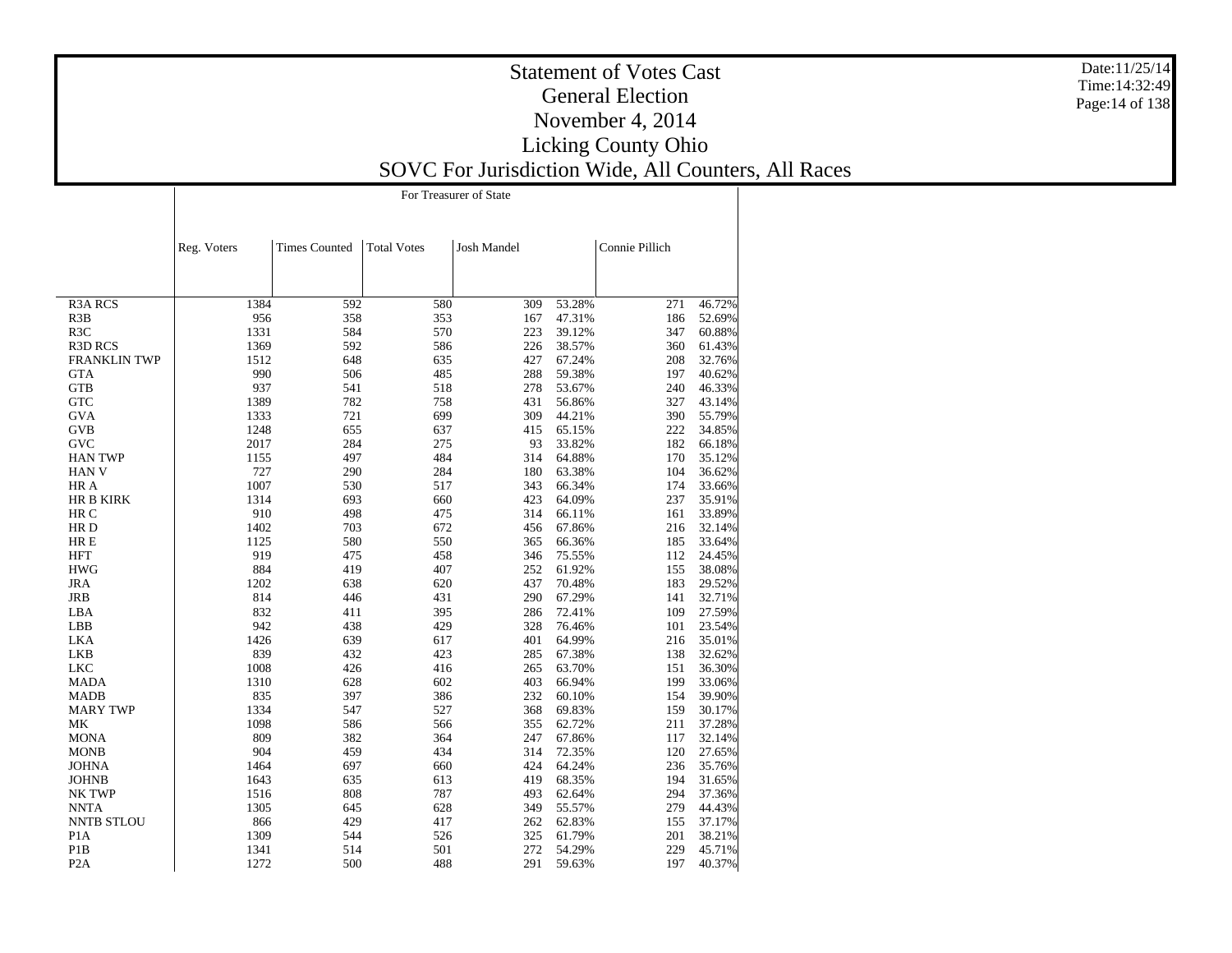|                     |             | For Treasurer of State |                    |                    |        |                |        |  |  |  |
|---------------------|-------------|------------------------|--------------------|--------------------|--------|----------------|--------|--|--|--|
|                     | Reg. Voters | <b>Times Counted</b>   | <b>Total Votes</b> | <b>Josh Mandel</b> |        | Connie Pillich |        |  |  |  |
|                     |             |                        |                    |                    |        |                |        |  |  |  |
| <b>R3A RCS</b>      | 1384        | 592                    | 580                | 309                | 53.28% | 271            | 46.72% |  |  |  |
| R3B                 | 956         | 358                    | 353                | 167                | 47.31% | 186            | 52.69% |  |  |  |
| R <sub>3</sub> C    | 1331        | 584                    | 570                | 223                | 39.12% | 347            | 60.88% |  |  |  |
| <b>R3D RCS</b>      | 1369        | 592                    | 586                | 226                | 38.57% | 360            | 61.43% |  |  |  |
| <b>FRANKLIN TWP</b> | 1512        | 648                    | 635                | 427                | 67.24% | 208            | 32.76% |  |  |  |
| <b>GTA</b>          | 990         | 506                    | 485                | 288                | 59.38% | 197            | 40.62% |  |  |  |
| <b>GTB</b>          | 937         | 541                    | 518                | 278                | 53.67% | 240            | 46.33% |  |  |  |
| <b>GTC</b>          | 1389        | 782                    | 758                | 431                | 56.86% | 327            | 43.14% |  |  |  |
| <b>GVA</b>          | 1333        | 721                    | 699                | 309                | 44.21% | 390            | 55.79% |  |  |  |
| <b>GVB</b>          | 1248        | 655                    | 637                | 415                | 65.15% | 222            | 34.85% |  |  |  |
| <b>GVC</b>          | 2017        | 284                    | 275                | 93                 | 33.82% | 182            | 66.18% |  |  |  |
| <b>HAN TWP</b>      | 1155        | 497                    | 484                | 314                | 64.88% | 170            | 35.12% |  |  |  |
| HAN V               | 727         | 290                    | 284                | 180                | 63.38% | 104            | 36.62% |  |  |  |
| HR A                | 1007        | 530                    | 517                | 343                | 66.34% | 174            | 33.66% |  |  |  |
| <b>HR B KIRK</b>    | 1314        | 693                    | 660                | 423                | 64.09% | 237            | 35.91% |  |  |  |
| HR C                | 910         | 498                    | 475                | 314                | 66.11% | 161            | 33.89% |  |  |  |
| HR D                | 1402        | 703                    | 672                | 456                | 67.86% | 216            | 32.14% |  |  |  |
| HR E                | 1125        | 580                    | 550                | 365                | 66.36% | 185            | 33.64% |  |  |  |
| <b>HFT</b>          | 919         | 475                    | 458                | 346                | 75.55% | 112            | 24.45% |  |  |  |
| <b>HWG</b>          | 884         | 419                    | 407                | 252                | 61.92% | 155            | 38.08% |  |  |  |
| <b>JRA</b>          | 1202        | 638                    | 620                | 437                | 70.48% | 183            | 29.52% |  |  |  |
| <b>JRB</b>          | 814         |                        |                    |                    |        |                |        |  |  |  |
|                     |             | 446                    | 431                | 290                | 67.29% | 141            | 32.71% |  |  |  |
| LBA                 | 832         | 411                    | 395                | 286                | 72.41% | 109            | 27.59% |  |  |  |
| LBB                 | 942         | 438                    | 429                | 328                | 76.46% | 101            | 23.54% |  |  |  |
| <b>LKA</b>          | 1426        | 639                    | 617                | 401                | 64.99% | 216            | 35.01% |  |  |  |
| <b>LKB</b>          | 839         | 432                    | 423                | 285                | 67.38% | 138            | 32.62% |  |  |  |
| <b>LKC</b>          | 1008        | 426                    | 416                | 265                | 63.70% | 151            | 36.30% |  |  |  |
| MADA                | 1310        | 628                    | 602                | 403                | 66.94% | 199            | 33.06% |  |  |  |
| <b>MADB</b>         | 835         | 397                    | 386                | 232                | 60.10% | 154            | 39.90% |  |  |  |
| <b>MARY TWP</b>     | 1334        | 547                    | 527                | 368                | 69.83% | 159            | 30.17% |  |  |  |
| MK                  | 1098        | 586                    | 566                | 355                | 62.72% | 211            | 37.28% |  |  |  |
| <b>MONA</b>         | 809         | 382                    | 364                | 247                | 67.86% | 117            | 32.14% |  |  |  |
| <b>MONB</b>         | 904         | 459                    | 434                | 314                | 72.35% | 120            | 27.65% |  |  |  |
| <b>JOHNA</b>        | 1464        | 697                    | 660                | 424                | 64.24% | 236            | 35.76% |  |  |  |
| <b>JOHNB</b>        | 1643        | 635                    | 613                | 419                | 68.35% | 194            | 31.65% |  |  |  |
| NK TWP              | 1516        | 808                    | 787                | 493                | 62.64% | 294            | 37.36% |  |  |  |
| <b>NNTA</b>         | 1305        | 645                    | 628                | 349                | 55.57% | 279            | 44.43% |  |  |  |
| NNTB STLOU          | 866         | 429                    | 417                | 262                | 62.83% | 155            | 37.17% |  |  |  |
| P <sub>1</sub> A    | 1309        | 544                    | 526                | 325                | 61.79% | 201            | 38.21% |  |  |  |
| P <sub>1</sub> B    | 1341        | 514                    | 501                | 272                | 54.29% | 229            | 45.71% |  |  |  |
| P <sub>2</sub> A    | 1272        | 500                    | 488                | 291                | 59.63% | 197            | 40.37% |  |  |  |

Date:11/25/14 Time:14:32:49Page:14 of 138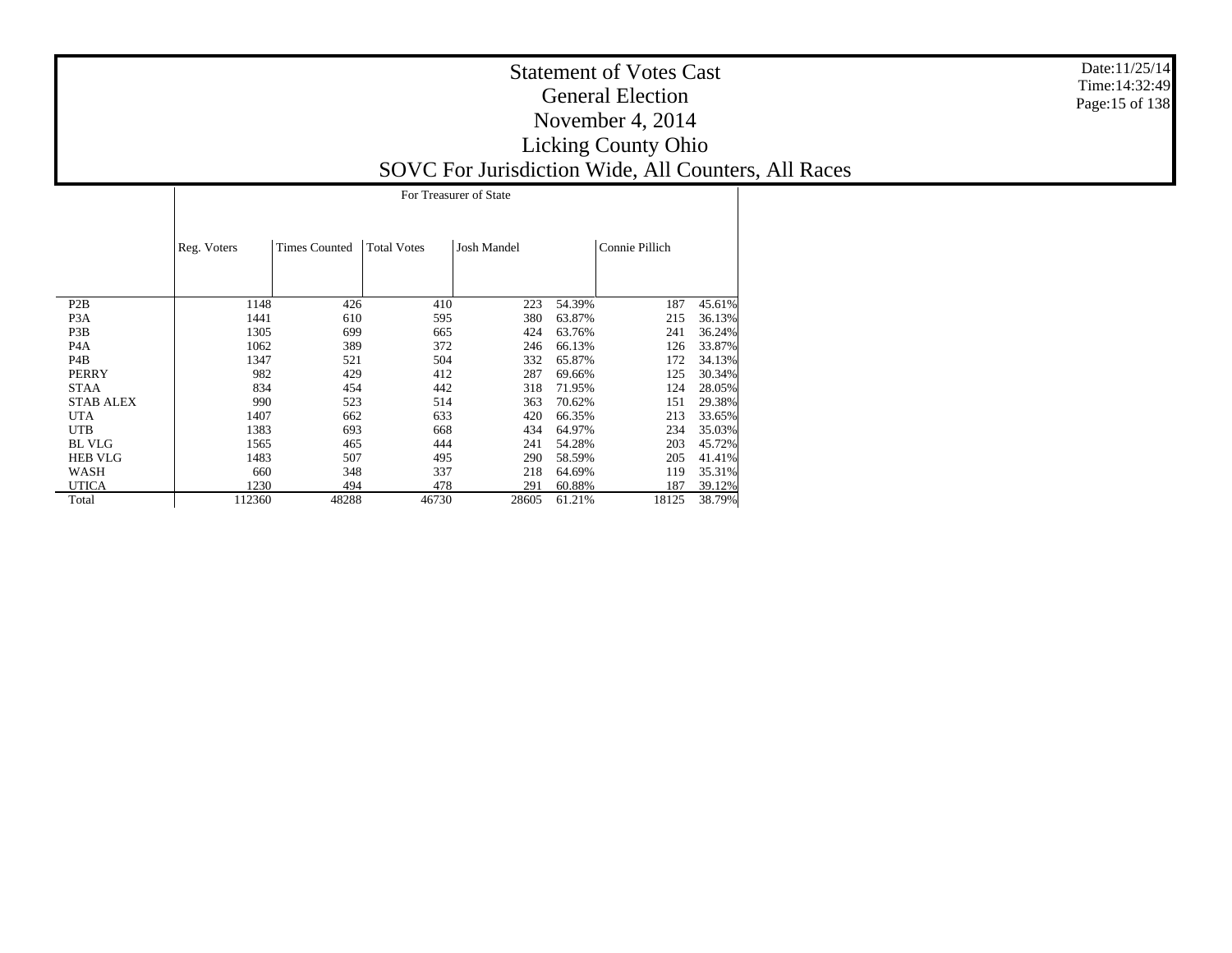|                  |             | For Treasurer of State |                    |                    |        |                |        |  |  |  |  |
|------------------|-------------|------------------------|--------------------|--------------------|--------|----------------|--------|--|--|--|--|
|                  | Reg. Voters | <b>Times Counted</b>   | <b>Total Votes</b> | <b>Josh Mandel</b> |        | Connie Pillich |        |  |  |  |  |
| P <sub>2</sub> B | 1148        | 426                    | 410                | 223                | 54.39% | 187            | 45.61% |  |  |  |  |
| P <sub>3</sub> A | 1441        | 610                    | 595                | 380                | 63.87% | 215            | 36.13% |  |  |  |  |
| P <sub>3</sub> B | 1305        | 699                    | 665                | 424                | 63.76% | 241            | 36.24% |  |  |  |  |
| P <sub>4</sub> A | 1062        | 389                    | 372                | 246                | 66.13% | 126            | 33.87% |  |  |  |  |
| P <sub>4</sub> B | 1347        | 521                    | 504                | 332                | 65.87% | 172            | 34.13% |  |  |  |  |
| <b>PERRY</b>     | 982         | 429                    | 412                | 287                | 69.66% | 125            | 30.34% |  |  |  |  |
| <b>STAA</b>      | 834         | 454                    | 442                | 318                | 71.95% | 124            | 28.05% |  |  |  |  |
| <b>STAB ALEX</b> | 990         | 523                    | 514                | 363                | 70.62% | 151            | 29.38% |  |  |  |  |
| <b>UTA</b>       | 1407        | 662                    | 633                | 420                | 66.35% | 213            | 33.65% |  |  |  |  |
| <b>UTB</b>       | 1383        | 693                    | 668                | 434                | 64.97% | 234            | 35.03% |  |  |  |  |
| <b>BL VLG</b>    | 1565        | 465                    | 444                | 241                | 54.28% | 203            | 45.72% |  |  |  |  |
| <b>HEB VLG</b>   | 1483        | 507                    | 495                | 290                | 58.59% | 205            | 41.41% |  |  |  |  |
| WASH             | 660         | 348                    | 337                | 218                | 64.69% | 119            | 35.31% |  |  |  |  |
| <b>UTICA</b>     | 1230        | 494                    | 478                | 291                | 60.88% | 187            | 39.12% |  |  |  |  |
| Total            | 112360      | 48288                  | 46730              | 28605              | 61.21% | 18125          | 38.79% |  |  |  |  |

Date:11/25/14 Time:14:32:49Page:15 of 138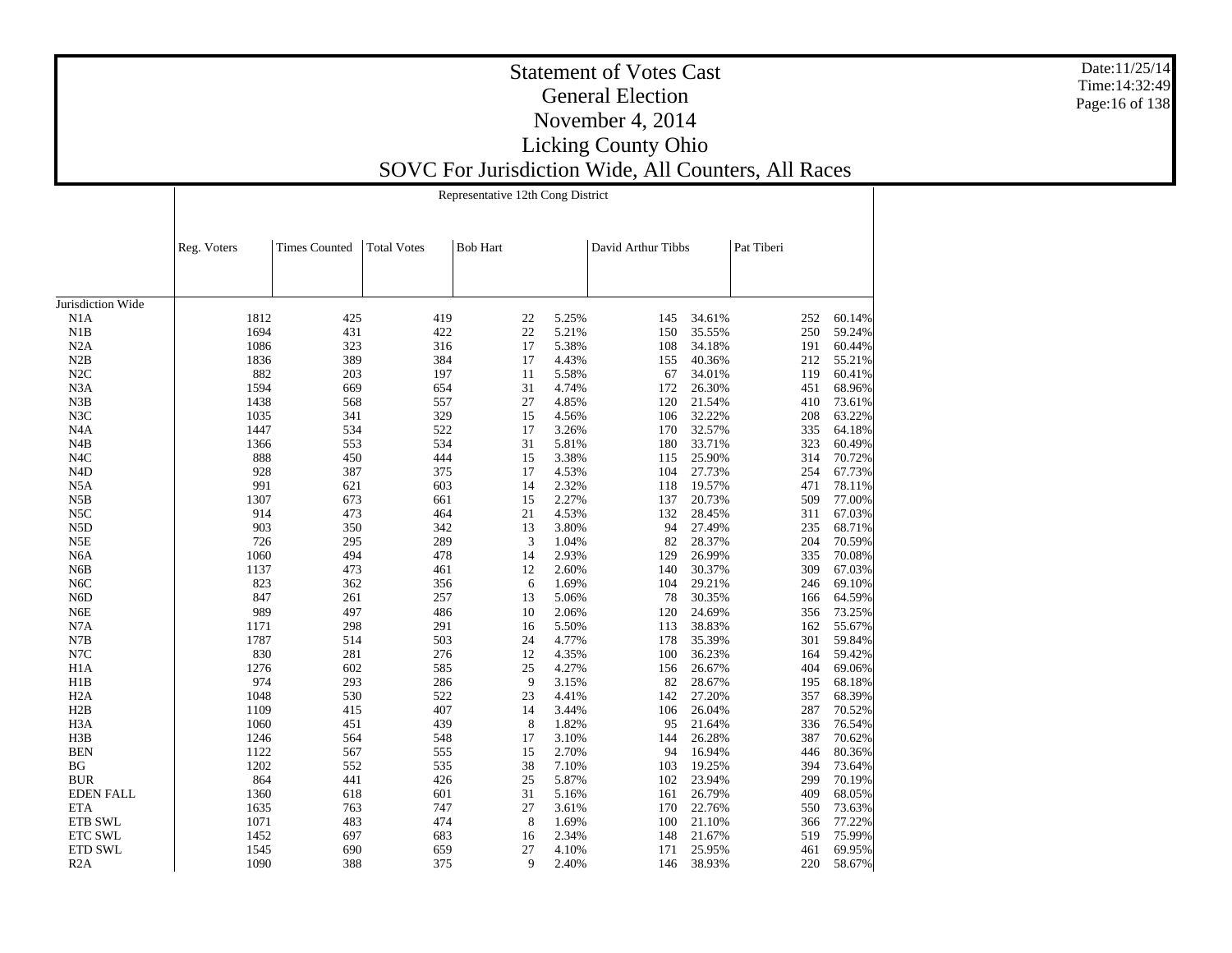|                   |             | Representative 12th Cong District |                    |                 |       |                    |            |               |  |  |
|-------------------|-------------|-----------------------------------|--------------------|-----------------|-------|--------------------|------------|---------------|--|--|
|                   |             |                                   |                    |                 |       |                    |            |               |  |  |
|                   | Reg. Voters | <b>Times Counted</b>              | <b>Total Votes</b> | <b>Bob Hart</b> |       | David Arthur Tibbs | Pat Tiberi |               |  |  |
|                   |             |                                   |                    |                 |       |                    |            |               |  |  |
|                   |             |                                   |                    |                 |       |                    |            |               |  |  |
| Jurisdiction Wide |             |                                   |                    |                 |       |                    |            |               |  |  |
| N1A               | 1812        | 425                               | 419                | 22              | 5.25% | 34.61%<br>145      |            | 252<br>60.14% |  |  |
| N1B               | 1694        | 431                               | 422                | 22              | 5.21% | 150<br>35.55%      |            | 250<br>59.24% |  |  |
| N2A               | 1086        | 323                               | 316                | 17              | 5.38% | 108<br>34.18%      |            | 191<br>60.44% |  |  |
| N2B               | 1836        | 389                               | 384                | 17              | 4.43% | 40.36%<br>155      |            | 212<br>55.21% |  |  |
| N2C               | 882         | 203                               | 197                | 11              | 5.58% | 67<br>34.01%       |            | 119<br>60.41% |  |  |
| N <sub>3</sub> A  | 1594        | 669                               | 654                | 31              | 4.74% | 172<br>26.30%      |            | 451<br>68.96% |  |  |
| N3B               | 1438        | 568                               | 557                | 27              | 4.85% | 120<br>21.54%      |            | 410<br>73.61% |  |  |
| N3C               | 1035        | 341                               | 329                | 15              | 4.56% | 32.22%<br>106      |            | 208<br>63.22% |  |  |
| N4A               | 1447        | 534                               | 522                | 17              | 3.26% | 32.57%<br>170      |            | 335<br>64.18% |  |  |
| N <sub>4</sub> B  | 1366        | 553                               | 534                | 31              | 5.81% | 33.71%<br>180      |            | 323<br>60.49% |  |  |
| N4C               | 888         | 450                               | 444                | 15              | 3.38% | 25.90%<br>115      |            | 314<br>70.72% |  |  |
| N <sub>4</sub> D  | 928         | 387                               | 375                | 17              | 4.53% | 27.73%<br>104      |            | 254<br>67.73% |  |  |
| N5A               | 991         | 621                               | 603                | 14              | 2.32% | 19.57%<br>118      |            | 471<br>78.11% |  |  |
| N5B               | 1307        | 673                               | 661                | 15              | 2.27% | 20.73%<br>137      |            | 509<br>77.00% |  |  |
| N <sub>5</sub> C  | 914         | 473                               | 464                | 21              | 4.53% | 132<br>28.45%      |            | 311<br>67.03% |  |  |
| N <sub>5</sub> D  | 903         | 350                               | 342                | 13              | 3.80% | 94<br>27.49%       |            | 235<br>68.71% |  |  |
| N5E               | 726         | 295                               | 289                | 3               | 1.04% | 28.37%<br>82       |            | 204<br>70.59% |  |  |
| N <sub>6</sub> A  | 1060        | 494                               | 478                | 14              | 2.93% | 26.99%<br>129      |            | 335<br>70.08% |  |  |
| N <sub>6</sub> B  | 1137        | 473                               | 461                | 12              | 2.60% | 140<br>30.37%      |            | 309<br>67.03% |  |  |
| N <sub>6</sub> C  | 823         | 362                               | 356                | 6               | 1.69% | 29.21%<br>104      |            | 246<br>69.10% |  |  |
| N <sub>6</sub> D  | 847         | 261                               | 257                | 13              | 5.06% | 78<br>30.35%       |            | 166<br>64.59% |  |  |
| N <sub>6</sub> E  | 989         | 497                               | 486                | 10              | 2.06% | 120<br>24.69%      |            | 356<br>73.25% |  |  |
| N7A               | 1171        | 298                               | 291                | 16              | 5.50% | 38.83%<br>113      |            | 162<br>55.67% |  |  |
| N7B               | 1787        | 514                               | 503                | 24              | 4.77% | 178<br>35.39%      |            | 301<br>59.84% |  |  |
| N7C               | 830         | 281                               | 276                | 12              | 4.35% | 100<br>36.23%      |            | 164<br>59.42% |  |  |
| H1A               | 1276        | 602                               | 585                | 25              | 4.27% | 156<br>26.67%      |            | 404<br>69.06% |  |  |
| H1B               | 974         | 293                               | 286                | 9               | 3.15% | 82<br>28.67%       |            | 195<br>68.18% |  |  |
| H <sub>2</sub> A  | 1048        | 530                               | 522                | 23              | 4.41% | 27.20%<br>142      |            | 357<br>68.39% |  |  |
| H2B               | 1109        | 415                               | 407                | 14              | 3.44% | 26.04%<br>106      |            | 287<br>70.52% |  |  |
| H <sub>3</sub> A  | 1060        | 451                               | 439                | 8               | 1.82% | 95<br>21.64%       |            | 336<br>76.54% |  |  |
| H3B               | 1246        | 564                               | 548                | 17              | 3.10% | 26.28%<br>144      |            | 387<br>70.62% |  |  |
| <b>BEN</b>        | 1122        | 567                               | 555                | 15              | 2.70% | 16.94%<br>94       |            | 80.36%<br>446 |  |  |
| <b>BG</b>         | 1202        | 552                               | 535                | 38              | 7.10% | 19.25%<br>103      |            | 394<br>73.64% |  |  |
| <b>BUR</b>        | 864         | 441                               | 426                | 25              | 5.87% | 23.94%<br>102      |            | 299<br>70.19% |  |  |
| <b>EDEN FALL</b>  | 1360        | 618                               | 601                | 31              | 5.16% | 26.79%<br>161      |            | 409<br>68.05% |  |  |
| <b>ETA</b>        | 1635        | 763                               | 747                | 27              | 3.61% | 170<br>22.76%      |            | 550<br>73.63% |  |  |
| ETB SWL           | 1071        | 483                               | 474                | 8               | 1.69% | 21.10%<br>100      |            | 77.22%<br>366 |  |  |
| <b>ETC SWL</b>    | 1452        | 697                               | 683                | 16              | 2.34% | 148<br>21.67%      |            | 75.99%<br>519 |  |  |
| <b>ETD SWL</b>    | 1545        | 690                               | 659                | 27              | 4.10% | 25.95%<br>171      |            | 461<br>69.95% |  |  |
| R2A               | 1090        | 388                               | 375                | 9               | 2.40% | 146<br>38.93%      |            | 220<br>58.67% |  |  |

Date:11/25/14 Time:14:32:49Page:16 of 138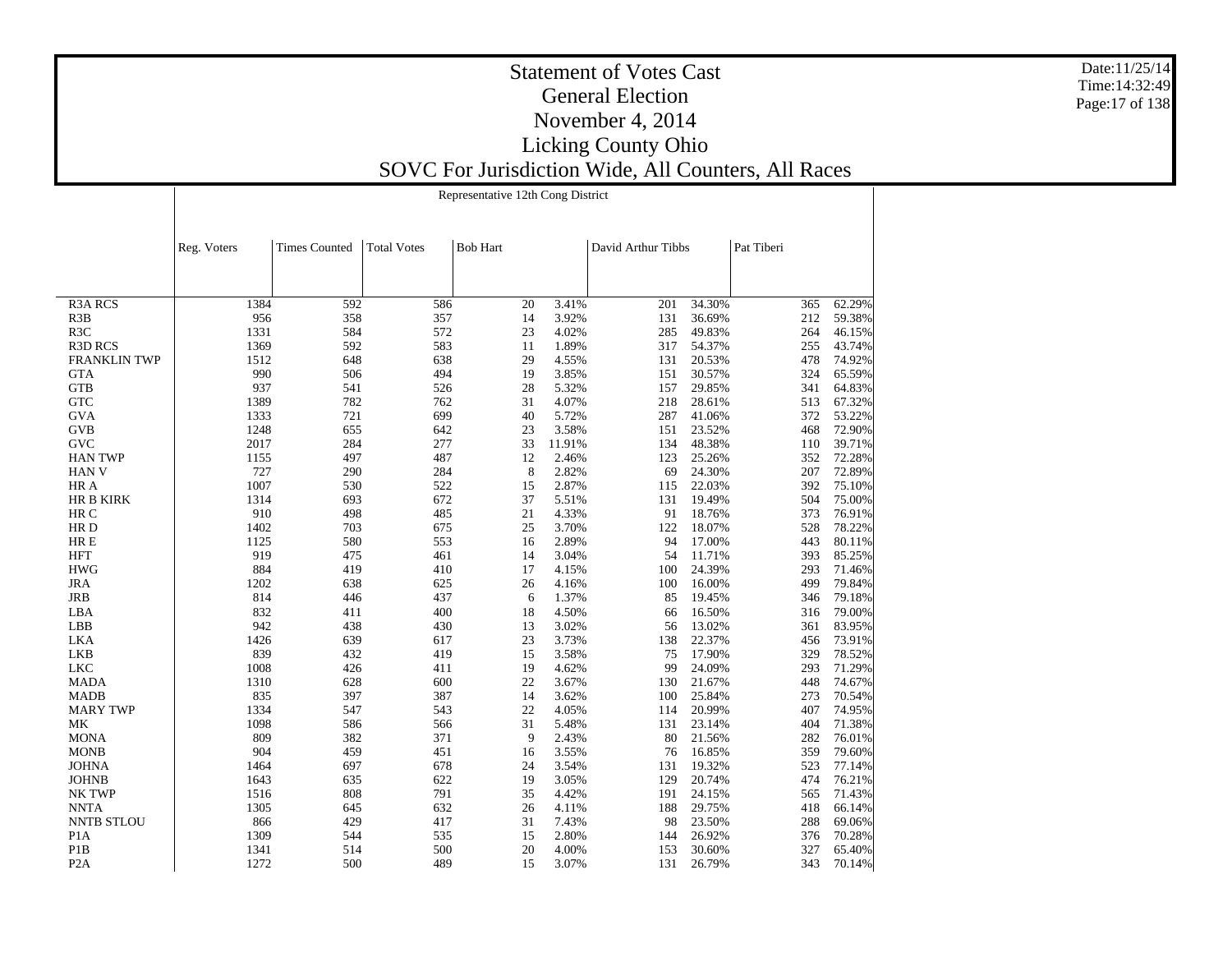|                     |             | Representative 12th Cong District |                    |                 |        |                    |            |        |  |  |
|---------------------|-------------|-----------------------------------|--------------------|-----------------|--------|--------------------|------------|--------|--|--|
|                     |             |                                   |                    |                 |        |                    |            |        |  |  |
|                     |             |                                   |                    |                 |        |                    |            |        |  |  |
|                     | Reg. Voters | <b>Times Counted</b>              | <b>Total Votes</b> | <b>Bob Hart</b> |        | David Arthur Tibbs | Pat Tiberi |        |  |  |
|                     |             |                                   |                    |                 |        |                    |            |        |  |  |
|                     |             |                                   |                    |                 |        |                    |            |        |  |  |
| <b>R3A RCS</b>      | 1384        | 592                               | 586                | 20              | 3.41%  | 34.30%<br>201      | 365        | 62.29% |  |  |
| R3B                 | 956         | 358                               | 357                | 14              | 3.92%  | 36.69%<br>131      | 212        | 59.38% |  |  |
| R <sub>3</sub> C    | 1331        | 584                               | 572                | 23              | 4.02%  | 285<br>49.83%      | 264        | 46.15% |  |  |
| <b>R3D RCS</b>      | 1369        | 592                               | 583                | 11              | 1.89%  | 317<br>54.37%      | 255        | 43.74% |  |  |
| <b>FRANKLIN TWP</b> | 1512        | 648                               | 638                | 29              | 4.55%  | 131<br>20.53%      | 478        | 74.92% |  |  |
| <b>GTA</b>          | 990         | 506                               | 494                | 19              | 3.85%  | 151<br>30.57%      | 324        | 65.59% |  |  |
| <b>GTB</b>          | 937         | 541                               | 526                | 28              | 5.32%  | 29.85%<br>157      | 341        | 64.83% |  |  |
| <b>GTC</b>          | 1389        | 782                               | 762                | 31              | 4.07%  | 218<br>28.61%      | 513        | 67.32% |  |  |
| <b>GVA</b>          | 1333        | 721                               | 699                | 40              | 5.72%  | 41.06%<br>287      | 372        | 53.22% |  |  |
| <b>GVB</b>          | 1248        | 655                               | 642                | 23              | 3.58%  | 151<br>23.52%      | 468        | 72.90% |  |  |
| GVC                 | 2017        | 284                               | 277                | 33              | 11.91% | 134<br>48.38%      | 110        | 39.71% |  |  |
| <b>HAN TWP</b>      | 1155        | 497                               | 487                | 12              | 2.46%  | 123<br>25.26%      | 352        | 72.28% |  |  |
| <b>HANV</b>         | 727         | 290                               | 284                | 8               | 2.82%  | 24.30%<br>69       | 207        | 72.89% |  |  |
| HR A                | 1007        | 530                               | 522                | 15              | 2.87%  | 22.03%<br>115      | 392        | 75.10% |  |  |
| <b>HR B KIRK</b>    | 1314        | 693                               | 672                | 37              | 5.51%  | 19.49%<br>131      | 504        | 75.00% |  |  |
| HR C                | 910         | 498                               | 485                | 21              | 4.33%  | 18.76%<br>91       | 373        | 76.91% |  |  |
| HR D                | 1402        | 703                               | 675                | 25              | 3.70%  | 18.07%<br>122      | 528        | 78.22% |  |  |
| HR E                | 1125        | 580                               | 553                | 16              | 2.89%  | 94<br>17.00%       | 443        | 80.11% |  |  |
| <b>HFT</b>          | 919         | 475                               | 461                | 14              | 3.04%  | 54<br>11.71%       | 393        | 85.25% |  |  |
| <b>HWG</b>          | 884         | 419                               | 410                | 17              | 4.15%  | 100<br>24.39%      | 293        | 71.46% |  |  |
| <b>JRA</b>          | 1202        | 638                               | 625                | 26              | 4.16%  | 16.00%<br>100      | 499        | 79.84% |  |  |
| JRB                 | 814         | 446                               | 437                | 6               | 1.37%  | 85<br>19.45%       | 346        | 79.18% |  |  |
| LBA                 | 832         | 411                               | 400                | 18              | 4.50%  | 16.50%<br>66       | 316        | 79.00% |  |  |
| LBB                 | 942         | 438                               | 430                | 13              | 3.02%  | 13.02%<br>56       | 361        | 83.95% |  |  |
| <b>LKA</b>          | 1426        | 639                               | 617                | 23              | 3.73%  | 22.37%<br>138      | 456        | 73.91% |  |  |
| <b>LKB</b>          | 839         | 432                               | 419                | 15              | 3.58%  | 17.90%<br>75       | 329        | 78.52% |  |  |
| <b>LKC</b>          | 1008        | 426                               | 411                | 19              | 4.62%  | 24.09%<br>99       | 293        | 71.29% |  |  |
| <b>MADA</b>         | 1310        | 628                               | 600                | 22              | 3.67%  | 21.67%<br>130      | 448        | 74.67% |  |  |
| <b>MADB</b>         | 835         | 397                               | 387                | 14              | 3.62%  | 25.84%<br>100      | 273        | 70.54% |  |  |
| <b>MARY TWP</b>     | 1334        | 547                               | 543                | 22              | 4.05%  | 20.99%<br>114      | 407        | 74.95% |  |  |
| MK                  | 1098        | 586                               | 566                | 31              | 5.48%  | 131<br>23.14%      | 404        | 71.38% |  |  |
| <b>MONA</b>         | 809         | 382                               | 371                | 9               | 2.43%  | 21.56%<br>80       | 282        | 76.01% |  |  |
| <b>MONB</b>         | 904         | 459                               | 451                | 16              | 3.55%  | 16.85%<br>76       | 359        | 79.60% |  |  |
| <b>JOHNA</b>        | 1464        | 697                               | 678                | 24              | 3.54%  | 19.32%<br>131      | 523        | 77.14% |  |  |
| <b>JOHNB</b>        | 1643        | 635                               | 622                | 19              | 3.05%  | 129<br>20.74%      | 474        | 76.21% |  |  |
| NK TWP              | 1516        | 808                               | 791                | 35              | 4.42%  | 24.15%<br>191      | 565        | 71.43% |  |  |
| <b>NNTA</b>         | 1305        | 645                               | 632                | 26              | 4.11%  | 29.75%<br>188      | 418        | 66.14% |  |  |
| <b>NNTB STLOU</b>   | 866         | 429                               | 417                | 31              | 7.43%  | 23.50%<br>98       | 288        | 69.06% |  |  |
| P <sub>1</sub> A    | 1309        | 544                               | 535                | 15              | 2.80%  | 144<br>26.92%      | 376        | 70.28% |  |  |
| P <sub>1</sub> B    | 1341        | 514                               | 500                | 20              | 4.00%  | 153<br>30.60%      | 327        | 65.40% |  |  |
| P <sub>2</sub> A    | 1272        | 500                               | 489                | 15              | 3.07%  | 131<br>26.79%      | 343        | 70.14% |  |  |

Date:11/25/14 Time:14:32:49Page:17 of 138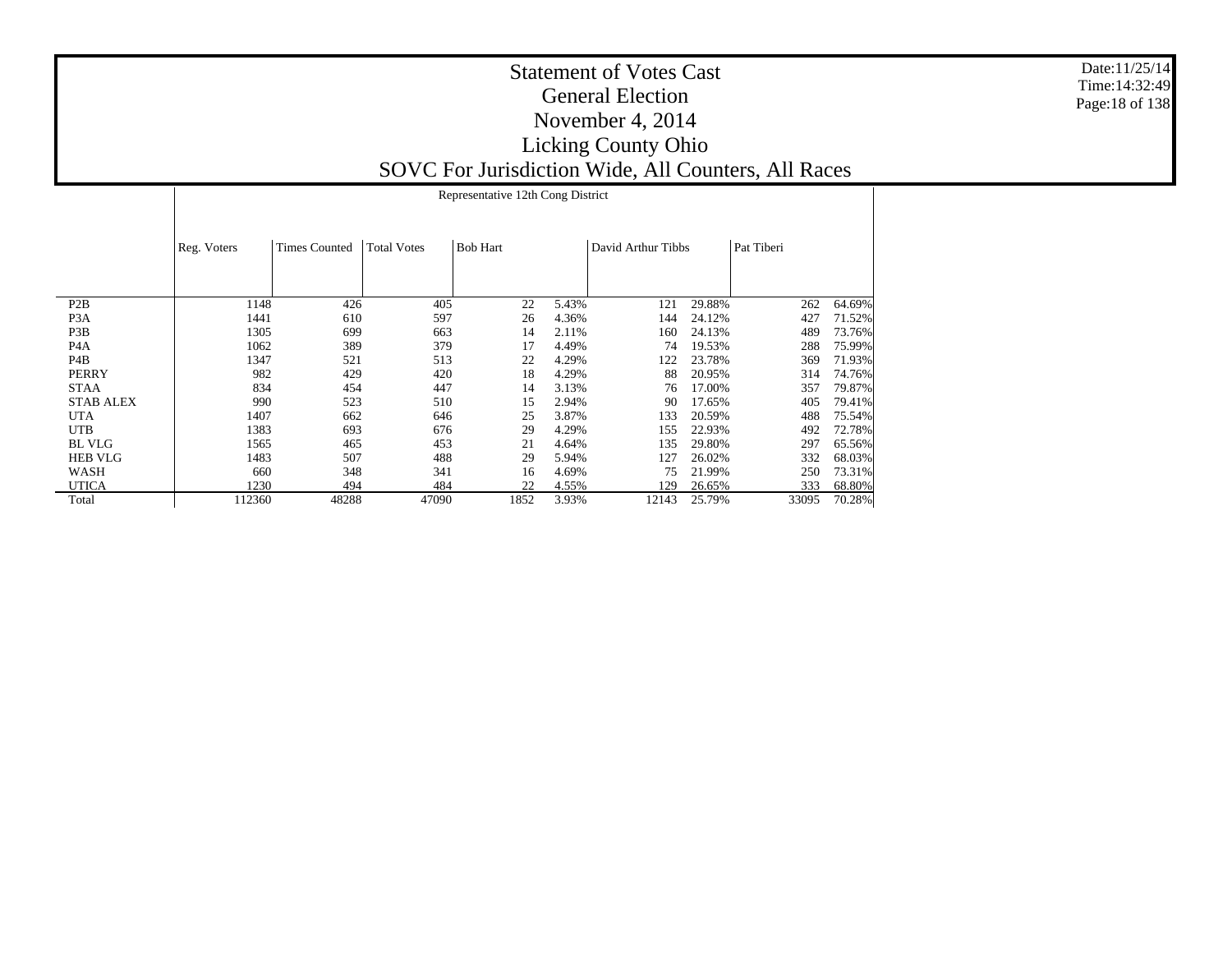|                  |             |                      |                    | Representative 12th Cong District |       |                    |        |            |        |
|------------------|-------------|----------------------|--------------------|-----------------------------------|-------|--------------------|--------|------------|--------|
|                  | Reg. Voters | <b>Times Counted</b> | <b>Total Votes</b> | <b>Bob Hart</b>                   |       | David Arthur Tibbs |        | Pat Tiberi |        |
| P <sub>2</sub> B | 1148        | 426                  | 405                | 22                                | 5.43% | 121                | 29.88% | 262        | 64.69% |
| P3A              | 1441        | 610                  | 597                | 26                                | 4.36% | 144                | 24.12% | 427        | 71.52% |
| P3B              | 1305        | 699                  | 663                | 14                                | 2.11% | 160                | 24.13% | 489        | 73.76% |
| P4A              | 1062        | 389                  | 379                | 17                                | 4.49% | 74                 | 19.53% | 288        | 75.99% |
| P4B              | 1347        | 521                  | 513                | 22                                | 4.29% | 122                | 23.78% | 369        | 71.93% |
| PERRY            | 982         | 429                  | 420                | 18                                | 4.29% | 88                 | 20.95% | 314        | 74.76% |
| STAA             | 834         | 454                  | 447                | 14                                | 3.13% | 76                 | 17.00% | 357        | 79.87% |
| <b>STAB ALEX</b> | 990         | 523                  | 510                | 15                                | 2.94% | 90                 | 17.65% | 405        | 79.41% |
| UTA              | 1407        | 662                  | 646                | 25                                | 3.87% | 133                | 20.59% | 488        | 75.54% |
| <b>UTB</b>       | 1383        | 693                  | 676                | 29                                | 4.29% | 155                | 22.93% | 492        | 72.78% |
| <b>BL VLG</b>    | 1565        | 465                  | 453                | 21                                | 4.64% | 135                | 29.80% | 297        | 65.56% |
| <b>HEB VLG</b>   | 1483        | 507                  | 488                | 29                                | 5.94% | 127                | 26.02% | 332        | 68.03% |
| WASH             | 660         | 348                  | 341                | 16                                | 4.69% | 75                 | 21.99% | 250        | 73.31% |
| <b>UTICA</b>     | 1230        | 494                  | 484                | 22                                | 4.55% | 129                | 26.65% | 333        | 68.80% |
| Total            | 112360      | 48288                | 47090              | 1852                              | 3.93% | 12143              | 25.79% | 33095      | 70.28% |

Date:11/25/14 Time:14:32:49Page:18 of 138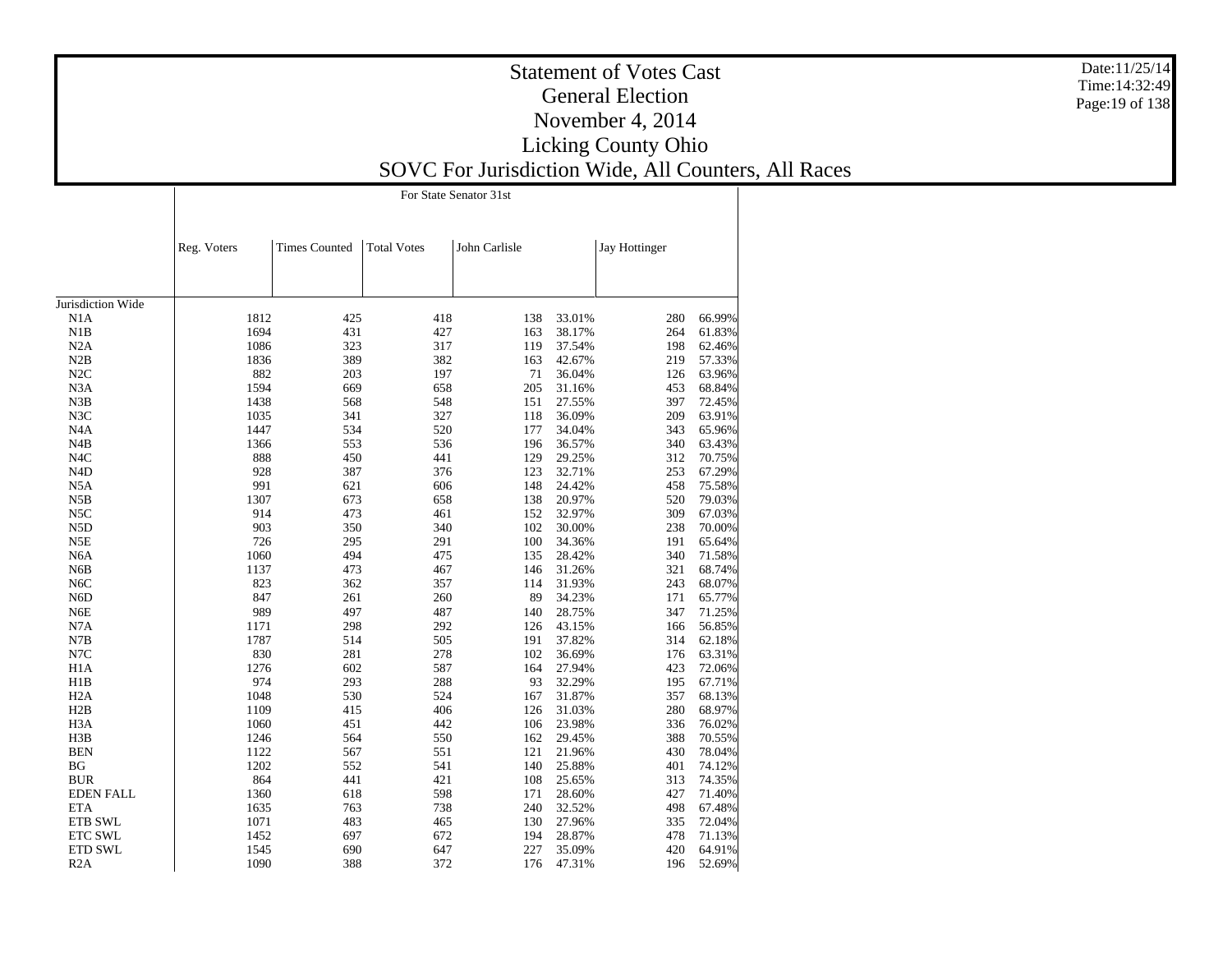|                   |             | For State Senator 31st |                    |               |        |               |        |  |  |  |  |
|-------------------|-------------|------------------------|--------------------|---------------|--------|---------------|--------|--|--|--|--|
|                   |             |                        |                    |               |        |               |        |  |  |  |  |
|                   | Reg. Voters | <b>Times Counted</b>   | <b>Total Votes</b> | John Carlisle |        | Jay Hottinger |        |  |  |  |  |
|                   |             |                        |                    |               |        |               |        |  |  |  |  |
| Jurisdiction Wide |             |                        |                    |               |        |               |        |  |  |  |  |
| N1A               | 1812        | 425                    | 418                | 138           | 33.01% | 280           | 66.99% |  |  |  |  |
| N1B               | 1694        | 431                    | 427                | 163           | 38.17% | 264           | 61.83% |  |  |  |  |
| N2A               | 1086        | 323                    | 317                | 119           | 37.54% | 198           | 62.46% |  |  |  |  |
| N2B               | 1836        | 389                    | 382                | 163           | 42.67% | 219           | 57.33% |  |  |  |  |
| N2C               | 882         | 203                    | 197                | 71            | 36.04% | 126           | 63.96% |  |  |  |  |
| N <sub>3</sub> A  | 1594        | 669                    | 658                | 205           | 31.16% | 453           | 68.84% |  |  |  |  |
| N3B               | 1438        | 568                    | 548                | 151           | 27.55% | 397           | 72.45% |  |  |  |  |
| N3C               | 1035        | 341                    | 327                | 118           | 36.09% | 209           | 63.91% |  |  |  |  |
| N <sub>4</sub> A  | 1447        | 534                    | 520                | 177           | 34.04% | 343           | 65.96% |  |  |  |  |
| N4B               | 1366        | 553                    | 536                | 196           | 36.57% | 340           | 63.43% |  |  |  |  |
| N <sub>4</sub> C  | 888         | 450                    | 441                | 129           | 29.25% | 312           | 70.75% |  |  |  |  |
| N <sub>4</sub> D  | 928         | 387                    | 376                | 123           | 32.71% | 253           | 67.29% |  |  |  |  |
| N <sub>5</sub> A  | 991         | 621                    | 606                | 148           | 24.42% | 458           | 75.58% |  |  |  |  |
| N5B               | 1307        | 673                    | 658                | 138           | 20.97% | 520           | 79.03% |  |  |  |  |
| N5C               | 914         | 473                    | 461                | 152           | 32.97% | 309           | 67.03% |  |  |  |  |
| N <sub>5</sub> D  | 903         | 350                    | 340                | 102           | 30.00% | 238           | 70.00% |  |  |  |  |
| N5E               | 726         | 295                    | 291                | 100           | 34.36% | 191           | 65.64% |  |  |  |  |
| N <sub>6</sub> A  | 1060        | 494                    | 475                | 135           | 28.42% | 340           | 71.58% |  |  |  |  |
| N <sub>6</sub> B  | 1137        | 473                    | 467                | 146           | 31.26% | 321           | 68.74% |  |  |  |  |
| N <sub>6</sub> C  | 823         | 362                    | 357                | 114           | 31.93% | 243           | 68.07% |  |  |  |  |
|                   | 847         | 261                    | 260                | 89            | 34.23% | 171           |        |  |  |  |  |
| N <sub>6</sub> D  | 989         |                        | 487                |               |        |               | 65.77% |  |  |  |  |
| N <sub>6</sub> E  |             | 497                    |                    | 140           | 28.75% | 347           | 71.25% |  |  |  |  |
| N7A               | 1171        | 298                    | 292                | 126           | 43.15% | 166           | 56.85% |  |  |  |  |
| N7B               | 1787        | 514                    | 505                | 191           | 37.82% | 314           | 62.18% |  |  |  |  |
| N7C               | 830         | 281                    | 278                | 102           | 36.69% | 176           | 63.31% |  |  |  |  |
| H <sub>1</sub> A  | 1276        | 602                    | 587                | 164           | 27.94% | 423           | 72.06% |  |  |  |  |
| H1B               | 974         | 293                    | 288                | 93            | 32.29% | 195           | 67.71% |  |  |  |  |
| H2A               | 1048        | 530                    | 524                | 167           | 31.87% | 357           | 68.13% |  |  |  |  |
| H2B               | 1109        | 415                    | 406                | 126           | 31.03% | 280           | 68.97% |  |  |  |  |
| H <sub>3</sub> A  | 1060        | 451                    | 442                | 106           | 23.98% | 336           | 76.02% |  |  |  |  |
| H3B               | 1246        | 564                    | 550                | 162           | 29.45% | 388           | 70.55% |  |  |  |  |
| <b>BEN</b>        | 1122        | 567                    | 551                | 121           | 21.96% | 430           | 78.04% |  |  |  |  |
| $_{\rm BG}$       | 1202        | 552                    | 541                | 140           | 25.88% | 401           | 74.12% |  |  |  |  |
| <b>BUR</b>        | 864         | 441                    | 421                | 108           | 25.65% | 313           | 74.35% |  |  |  |  |
| <b>EDEN FALL</b>  | 1360        | 618                    | 598                | 171           | 28.60% | 427           | 71.40% |  |  |  |  |
| <b>ETA</b>        | 1635        | 763                    | 738                | 240           | 32.52% | 498           | 67.48% |  |  |  |  |
| <b>ETB SWL</b>    | 1071        | 483                    | 465                | 130           | 27.96% | 335           | 72.04% |  |  |  |  |
| ETC SWL           | 1452        | 697                    | 672                | 194           | 28.87% | 478           | 71.13% |  |  |  |  |
| ETD SWL           | 1545        | 690                    | 647                | 227           | 35.09% | 420           | 64.91% |  |  |  |  |
| R <sub>2</sub> A  | 1090        | 388                    | 372                | 176           | 47.31% | 196           | 52.69% |  |  |  |  |
|                   |             |                        |                    |               |        |               |        |  |  |  |  |

Date:11/25/14 Time:14:32:49Page:19 of 138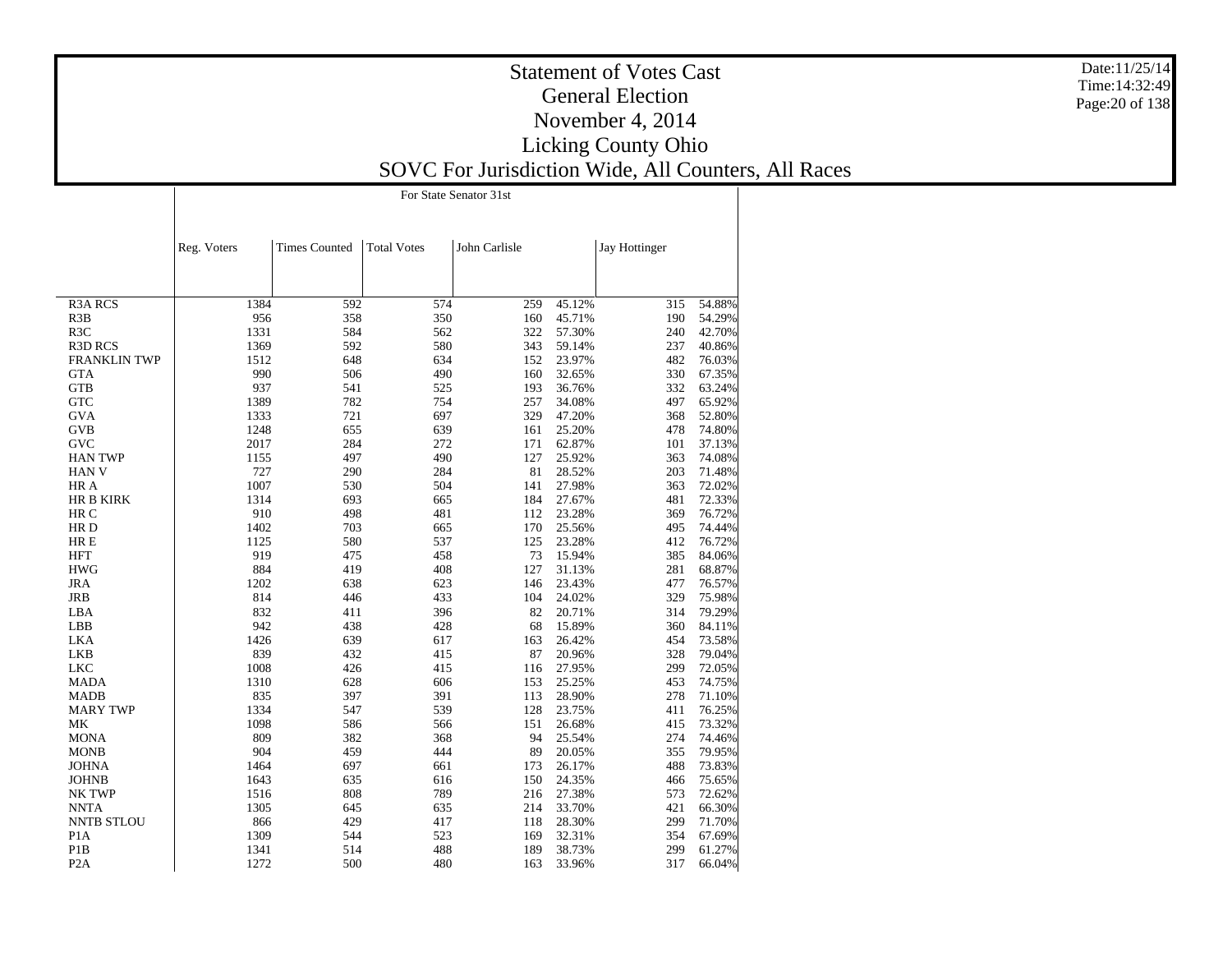|                     |             | For State Senator 31st |                    |               |        |               |        |  |  |  |
|---------------------|-------------|------------------------|--------------------|---------------|--------|---------------|--------|--|--|--|
|                     | Reg. Voters | <b>Times Counted</b>   | <b>Total Votes</b> | John Carlisle |        | Jay Hottinger |        |  |  |  |
|                     |             |                        |                    |               |        |               |        |  |  |  |
| <b>R3A RCS</b>      | 1384        | 592                    | 574                | 259           | 45.12% | 315           | 54.88% |  |  |  |
| R3B                 | 956         | 358                    | 350                | 160           | 45.71% | 190           | 54.29% |  |  |  |
| R <sub>3</sub> C    | 1331        | 584                    | 562                | 322           | 57.30% | 240           | 42.70% |  |  |  |
| <b>R3D RCS</b>      | 1369        | 592                    | 580                | 343           | 59.14% | 237           | 40.86% |  |  |  |
| <b>FRANKLIN TWP</b> | 1512        | 648                    | 634                | 152           | 23.97% | 482           | 76.03% |  |  |  |
| <b>GTA</b>          | 990         | 506                    | 490                | 160           | 32.65% | 330           | 67.35% |  |  |  |
| <b>GTB</b>          | 937         | 541                    | 525                | 193           | 36.76% | 332           | 63.24% |  |  |  |
| <b>GTC</b>          | 1389        | 782                    | 754                | 257           | 34.08% | 497           | 65.92% |  |  |  |
| <b>GVA</b>          | 1333        | 721                    | 697                | 329           | 47.20% | 368           | 52.80% |  |  |  |
| <b>GVB</b>          | 1248        | 655                    | 639                | 161           | 25.20% | 478           | 74.80% |  |  |  |
| <b>GVC</b>          | 2017        | 284                    | 272                | 171           | 62.87% | 101           | 37.13% |  |  |  |
| <b>HAN TWP</b>      | 1155        | 497                    | 490                | 127           | 25.92% | 363           | 74.08% |  |  |  |
| <b>HAN V</b>        | 727         | 290                    | 284                | 81            | 28.52% | 203           | 71.48% |  |  |  |
| HR A                | 1007        | 530                    | 504                | 141           | 27.98% | 363           | 72.02% |  |  |  |
| <b>HR B KIRK</b>    | 1314        | 693                    | 665                | 184           | 27.67% | 481           | 72.33% |  |  |  |
| HR C                | 910         | 498                    | 481                | 112           | 23.28% | 369           | 76.72% |  |  |  |
| HR D                | 1402        | 703                    | 665                | 170           | 25.56% | 495           | 74.44% |  |  |  |
| HR E                | 1125        | 580                    | 537                | 125           | 23.28% | 412           | 76.72% |  |  |  |
| <b>HFT</b>          | 919         | 475                    | 458                | 73            | 15.94% | 385           | 84.06% |  |  |  |
| <b>HWG</b>          | 884         | 419                    | 408                | 127           | 31.13% | 281           | 68.87% |  |  |  |
| <b>JRA</b>          | 1202        | 638                    | 623                | 146           | 23.43% | 477           | 76.57% |  |  |  |
| <b>JRB</b>          | 814         | 446                    | 433                | 104           | 24.02% | 329           | 75.98% |  |  |  |
| LBA                 | 832         | 411                    | 396                | 82            | 20.71% | 314           | 79.29% |  |  |  |
| LBB                 | 942         | 438                    | 428                | 68            | 15.89% | 360           | 84.11% |  |  |  |
| <b>LKA</b>          | 1426        | 639                    | 617                | 163           | 26.42% | 454           | 73.58% |  |  |  |
| <b>LKB</b>          | 839         | 432                    | 415                | 87            | 20.96% | 328           | 79.04% |  |  |  |
| <b>LKC</b>          | 1008        | 426                    | 415                |               | 27.95% | 299           | 72.05% |  |  |  |
|                     | 1310        |                        | 606                | 116           |        |               |        |  |  |  |
| MADA                |             | 628                    |                    | 153           | 25.25% | 453           | 74.75% |  |  |  |
| <b>MADB</b>         | 835         | 397                    | 391                | 113           | 28.90% | 278           | 71.10% |  |  |  |
| <b>MARY TWP</b>     | 1334        | 547                    | 539                | 128           | 23.75% | 411           | 76.25% |  |  |  |
| MK                  | 1098        | 586                    | 566                | 151           | 26.68% | 415           | 73.32% |  |  |  |
| <b>MONA</b>         | 809         | 382                    | 368                | 94            | 25.54% | 274           | 74.46% |  |  |  |
| <b>MONB</b>         | 904         | 459                    | 444                | 89            | 20.05% | 355           | 79.95% |  |  |  |
| <b>JOHNA</b>        | 1464        | 697                    | 661                | 173           | 26.17% | 488           | 73.83% |  |  |  |
| <b>JOHNB</b>        | 1643        | 635                    | 616                | 150           | 24.35% | 466           | 75.65% |  |  |  |
| NK TWP              | 1516        | 808                    | 789                | 216           | 27.38% | 573           | 72.62% |  |  |  |
| <b>NNTA</b>         | 1305        | 645                    | 635                | 214           | 33.70% | 421           | 66.30% |  |  |  |
| <b>NNTB STLOU</b>   | 866         | 429                    | 417                | 118           | 28.30% | 299           | 71.70% |  |  |  |
| P <sub>1</sub> A    | 1309        | 544                    | 523                | 169           | 32.31% | 354           | 67.69% |  |  |  |
| P <sub>1</sub> B    | 1341        | 514                    | 488                | 189           | 38.73% | 299           | 61.27% |  |  |  |
| P <sub>2</sub> A    | 1272        | 500                    | 480                | 163           | 33.96% | 317           | 66.04% |  |  |  |

Date:11/25/14 Time:14:32:49 Page:20 of 138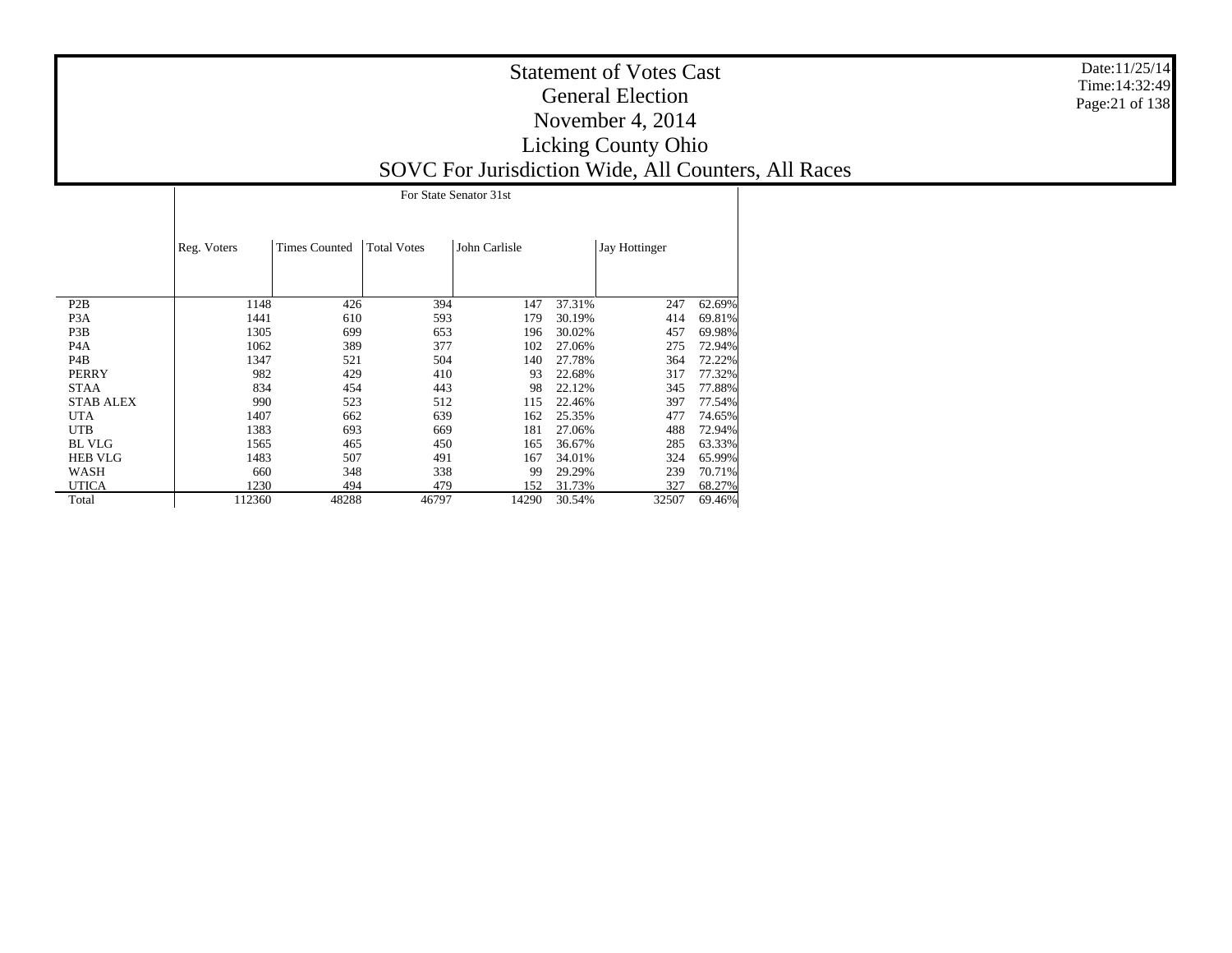|                  |             |                      |                    | For State Senator 31st |        |               |        |
|------------------|-------------|----------------------|--------------------|------------------------|--------|---------------|--------|
|                  | Reg. Voters | <b>Times Counted</b> | <b>Total Votes</b> | John Carlisle          |        | Jay Hottinger |        |
|                  |             |                      |                    |                        |        |               |        |
| P <sub>2</sub> B | 1148        | 426                  | 394                | 147                    | 37.31% | 247           | 62.69% |
| P <sub>3</sub> A | 1441        | 610                  | 593                | 179                    | 30.19% | 414           | 69.81% |
| P3B              | 1305        | 699                  | 653                | 196                    | 30.02% | 457           | 69.98% |
| P <sub>4</sub> A | 1062        | 389                  | 377                | 102                    | 27.06% | 275           | 72.94% |
| P <sub>4</sub> B | 1347        | 521                  | 504                | 140                    | 27.78% | 364           | 72.22% |
| <b>PERRY</b>     | 982         | 429                  | 410                | 93                     | 22.68% | 317           | 77.32% |
| <b>STAA</b>      | 834         | 454                  | 443                | 98                     | 22.12% | 345           | 77.88% |
| <b>STAB ALEX</b> | 990         | 523                  | 512                | 115                    | 22.46% | 397           | 77.54% |
| <b>UTA</b>       | 1407        | 662                  | 639                | 162                    | 25.35% | 477           | 74.65% |
| <b>UTB</b>       | 1383        | 693                  | 669                | 181                    | 27.06% | 488           | 72.94% |
| <b>BL VLG</b>    | 1565        | 465                  | 450                | 165                    | 36.67% | 285           | 63.33% |
| <b>HEB VLG</b>   | 1483        | 507                  | 491                | 167                    | 34.01% | 324           | 65.99% |
| WASH             | 660         | 348                  | 338                | 99                     | 29.29% | 239           | 70.71% |
| <b>UTICA</b>     | 1230        | 494                  | 479                | 152                    | 31.73% | 327           | 68.27% |
| Total            | 112360      | 48288                | 46797              | 14290                  | 30.54% | 32507         | 69.46% |

Date:11/25/14 Time:14:32:49Page:21 of 138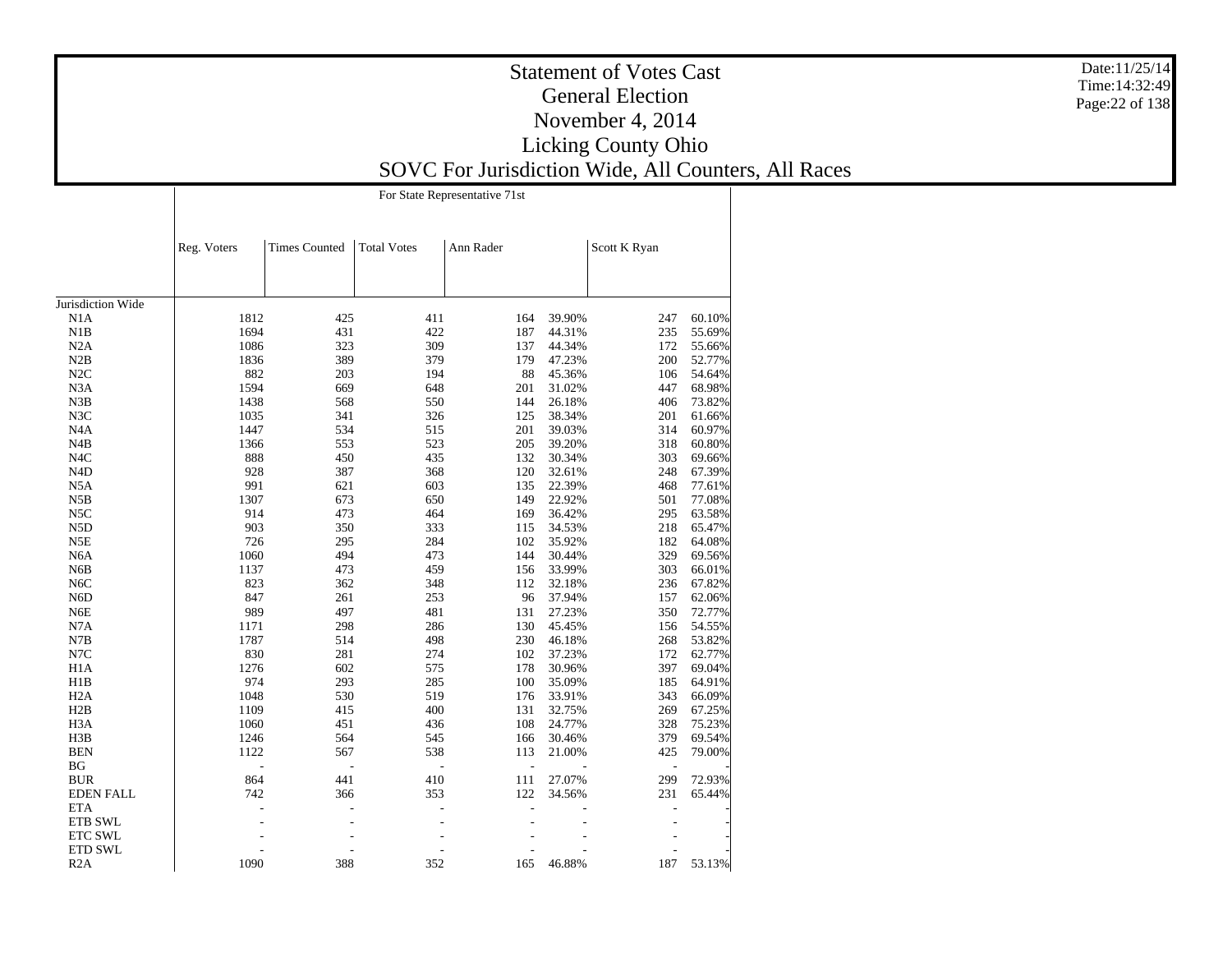|                   |                |                      |                    | For State Representative 71st |        |              |        |
|-------------------|----------------|----------------------|--------------------|-------------------------------|--------|--------------|--------|
|                   |                |                      |                    |                               |        |              |        |
|                   | Reg. Voters    | <b>Times Counted</b> | <b>Total Votes</b> | Ann Rader                     |        | Scott K Ryan |        |
|                   |                |                      |                    |                               |        |              |        |
| Jurisdiction Wide |                |                      |                    |                               |        |              |        |
| N <sub>1</sub> A  | 1812           | 425                  | 411                | 164                           | 39.90% | 247          | 60.10% |
| N1B               | 1694           | 431                  | 422                | 187                           | 44.31% | 235          | 55.69% |
| N2A               | 1086           | 323                  | 309                | 137                           | 44.34% | 172          | 55.66% |
| N2B               | 1836           | 389                  | 379                | 179                           | 47.23% | 200          | 52.77% |
| N2C               | 882            | 203                  | 194                | 88                            | 45.36% | 106          | 54.64% |
| N3A               | 1594           | 669                  | 648                | 201                           | 31.02% | 447          | 68.98% |
| N3B               | 1438           | 568                  | 550                | 144                           | 26.18% | 406          | 73.82% |
| N3C               | 1035           | 341                  | 326                | 125                           | 38.34% | 201          | 61.66% |
| N <sub>4</sub> A  | 1447           | 534                  | 515                | 201                           | 39.03% | 314          | 60.97% |
| N4B               | 1366           | 553                  | 523                | 205                           | 39.20% | 318          | 60.80% |
| N <sub>4</sub> C  | 888            | 450                  | 435                | 132                           | 30.34% | 303          | 69.66% |
| N <sub>4</sub> D  | 928            | 387                  | 368                | 120                           | 32.61% | 248          | 67.39% |
| N <sub>5</sub> A  | 991            | 621                  | 603                | 135                           | 22.39% | 468          | 77.61% |
| N5B               | 1307           | 673                  | 650                | 149                           | 22.92% | 501          | 77.08% |
|                   |                |                      |                    |                               |        | 295          |        |
| N <sub>5</sub> C  | 914            | 473                  | 464                | 169                           | 36.42% |              | 63.58% |
| N <sub>5</sub> D  | 903            | 350                  | 333                | 115                           | 34.53% | 218          | 65.47% |
| N5E               | 726            | 295                  | 284                | 102                           | 35.92% | 182          | 64.08% |
| N <sub>6</sub> A  | 1060           | 494                  | 473                | 144                           | 30.44% | 329          | 69.56% |
| N <sub>6</sub> B  | 1137           | 473                  | 459                | 156                           | 33.99% | 303          | 66.01% |
| N <sub>6</sub> C  | 823            | 362                  | 348                | 112                           | 32.18% | 236          | 67.82% |
| N <sub>6</sub> D  | 847            | 261                  | 253                | 96                            | 37.94% | 157          | 62.06% |
| N <sub>6</sub> E  | 989            | 497                  | 481                | 131                           | 27.23% | 350          | 72.77% |
| N7A               | 1171           | 298                  | 286                | 130                           | 45.45% | 156          | 54.55% |
| N7B               | 1787           | 514                  | 498                | 230                           | 46.18% | 268          | 53.82% |
| N7C               | 830            | 281                  | 274                | 102                           | 37.23% | 172          | 62.77% |
| H1A               | 1276           | 602                  | 575                | 178                           | 30.96% | 397          | 69.04% |
| H1B               | 974            | 293                  | 285                | 100                           | 35.09% | 185          | 64.91% |
| H <sub>2</sub> A  | 1048           | 530                  | 519                | 176                           | 33.91% | 343          | 66.09% |
| H2B               | 1109           | 415                  | 400                | 131                           | 32.75% | 269          | 67.25% |
| H <sub>3</sub> A  | 1060           | 451                  | 436                | 108                           | 24.77% | 328          | 75.23% |
| H3B               | 1246           | 564                  | 545                | 166                           | 30.46% | 379          | 69.54% |
| <b>BEN</b>        | 1122           | 567                  | 538                | 113                           | 21.00% | 425          | 79.00% |
| BG                | $\overline{a}$ |                      |                    | $\overline{a}$                |        |              |        |
| <b>BUR</b>        | 864            | 441                  | 410                | 111                           | 27.07% | 299          | 72.93% |
| <b>EDEN FALL</b>  | 742            | 366                  | 353                | 122                           | 34.56% | 231          | 65.44% |
| <b>ETA</b>        | L,             |                      |                    | L.                            |        |              |        |
| <b>ETB SWL</b>    |                |                      |                    |                               |        |              |        |
| <b>ETC SWL</b>    |                |                      |                    |                               |        |              |        |
| <b>ETD SWL</b>    |                |                      |                    |                               |        |              |        |
|                   | 1090           |                      |                    |                               |        |              |        |
| R2A               |                | 388                  | 352                | 165                           | 46.88% | 187          | 53.13% |

Date:11/25/14 Time:14:32:49Page:22 of 138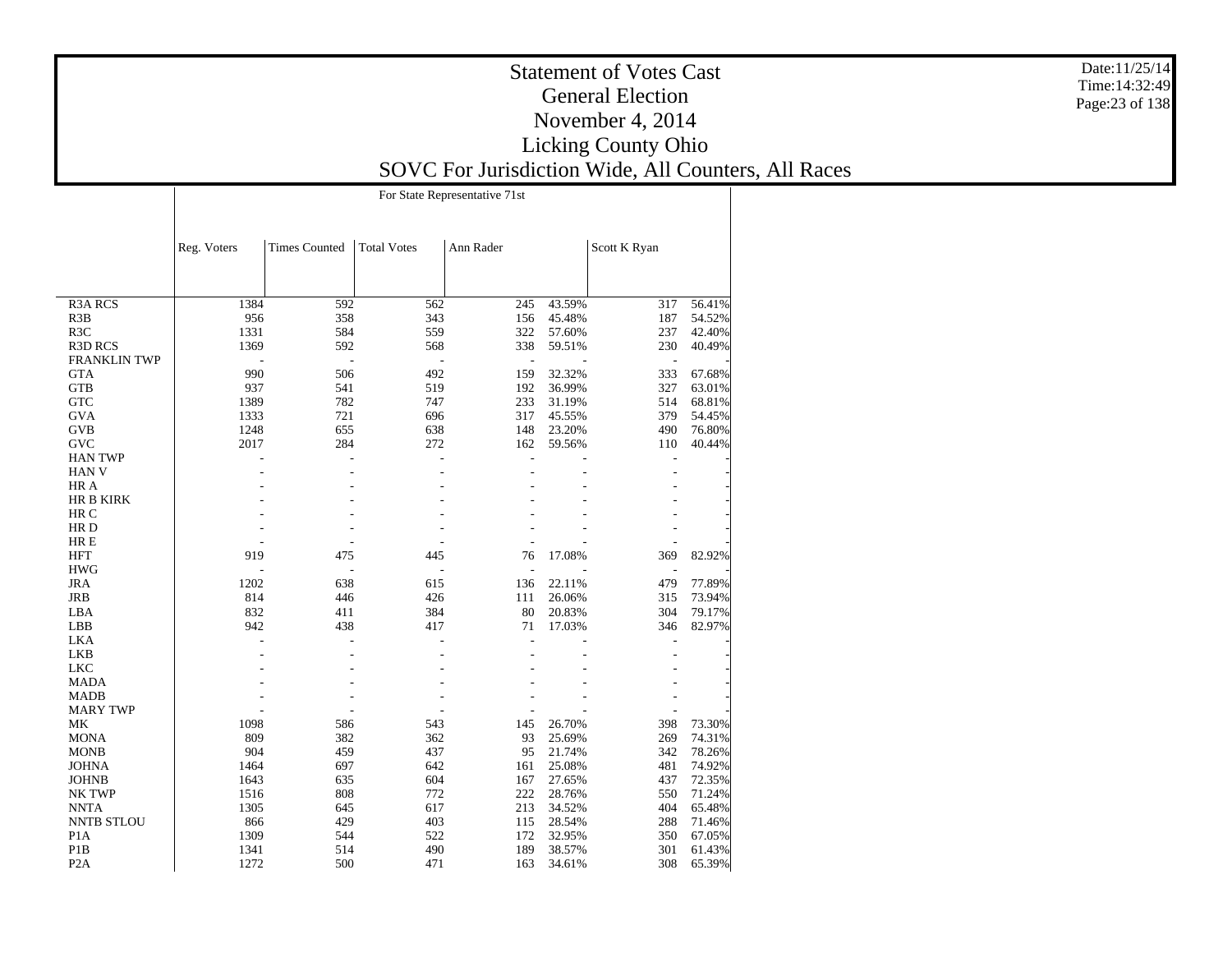|                     |             | For State Representative 71st |                    |           |        |              |        |  |  |
|---------------------|-------------|-------------------------------|--------------------|-----------|--------|--------------|--------|--|--|
|                     |             |                               |                    |           |        |              |        |  |  |
|                     | Reg. Voters | <b>Times Counted</b>          | <b>Total Votes</b> | Ann Rader |        | Scott K Ryan |        |  |  |
|                     |             |                               |                    |           |        |              |        |  |  |
|                     |             |                               |                    |           |        |              |        |  |  |
| <b>R3A RCS</b>      | 1384        | 592                           | 562                | 245       | 43.59% | 317          | 56.41% |  |  |
| R3B                 | 956         | 358                           | 343                | 156       | 45.48% | 187          | 54.52% |  |  |
| R <sub>3</sub> C    | 1331        | 584                           | 559                | 322       | 57.60% | 237          | 42.40% |  |  |
| R3D RCS             | 1369        | 592                           | 568                | 338       | 59.51% | 230          | 40.49% |  |  |
| <b>FRANKLIN TWP</b> |             | ÷,                            |                    | L,        |        |              |        |  |  |
| <b>GTA</b>          | 990         | 506                           | 492                | 159       | 32.32% | 333          | 67.68% |  |  |
| <b>GTB</b>          | 937         | 541                           | 519                | 192       | 36.99% | 327          | 63.01% |  |  |
| <b>GTC</b>          | 1389        | 782                           | 747                | 233       | 31.19% | 514          | 68.81% |  |  |
| <b>GVA</b>          | 1333        | 721                           | 696                | 317       | 45.55% | 379          | 54.45% |  |  |
| <b>GVB</b>          | 1248        | 655                           | 638                | 148       | 23.20% | 490          | 76.80% |  |  |
| <b>GVC</b>          | 2017        | 284                           | 272                | 162       | 59.56% | 110          | 40.44% |  |  |
| <b>HAN TWP</b>      |             |                               |                    | L,        |        | L,           |        |  |  |
| <b>HAN V</b>        |             |                               |                    |           |        |              |        |  |  |
| HR A                |             |                               |                    |           |        |              |        |  |  |
| <b>HR B KIRK</b>    |             |                               |                    |           |        |              |        |  |  |
|                     |             |                               |                    |           |        |              |        |  |  |
| HR C                |             |                               |                    |           |        |              |        |  |  |
| HR D                |             |                               |                    |           |        |              |        |  |  |
| HR E                |             |                               |                    | ÷,        |        |              |        |  |  |
| <b>HFT</b>          | 919         | 475                           | 445                | 76        | 17.08% | 369          | 82.92% |  |  |
| <b>HWG</b>          |             | J.                            | ÷.                 | L.        |        | ÷            |        |  |  |
| <b>JRA</b>          | 1202        | 638                           | 615                | 136       | 22.11% | 479          | 77.89% |  |  |
| <b>JRB</b>          | 814         | 446                           | 426                | 111       | 26.06% | 315          | 73.94% |  |  |
| LBA                 | 832         | 411                           | 384                | 80        | 20.83% | 304          | 79.17% |  |  |
| LBB                 | 942         | 438                           | 417                | 71        | 17.03% | 346          | 82.97% |  |  |
| <b>LKA</b>          |             |                               |                    |           |        | L,           |        |  |  |
| <b>LKB</b>          |             | J.                            |                    |           |        |              |        |  |  |
| <b>LKC</b>          |             |                               |                    |           |        |              |        |  |  |
| <b>MADA</b>         |             |                               |                    |           |        |              |        |  |  |
| <b>MADB</b>         |             |                               |                    |           |        |              |        |  |  |
| <b>MARY TWP</b>     |             |                               |                    |           |        |              |        |  |  |
| MK                  | 1098        | 586                           | 543                | 145       | 26.70% | 398          | 73.30% |  |  |
| <b>MONA</b>         | 809         | 382                           | 362                | 93        | 25.69% | 269          | 74.31% |  |  |
| <b>MONB</b>         | 904         | 459                           | 437                | 95        | 21.74% | 342          | 78.26% |  |  |
| <b>JOHNA</b>        | 1464        | 697                           | 642                | 161       | 25.08% | 481          | 74.92% |  |  |
| <b>JOHNB</b>        | 1643        | 635                           | 604                | 167       | 27.65% | 437          | 72.35% |  |  |
| NK TWP              | 1516        | 808                           | 772                | 222       | 28.76% | 550          | 71.24% |  |  |
| <b>NNTA</b>         | 1305        | 645                           | 617                | 213       | 34.52% | 404          | 65.48% |  |  |
| <b>NNTB STLOU</b>   | 866         | 429                           | 403                | 115       | 28.54% | 288          | 71.46% |  |  |
| P <sub>1</sub> A    | 1309        | 544                           | 522                | 172       | 32.95% | 350          | 67.05% |  |  |
| P <sub>1</sub> B    | 1341        | 514                           | 490                | 189       | 38.57% | 301          | 61.43% |  |  |
|                     |             |                               |                    |           |        |              |        |  |  |
| P <sub>2</sub> A    | 1272        | 500                           | 471                | 163       | 34.61% | 308          | 65.39% |  |  |

Date:11/25/14 Time:14:32:49Page:23 of 138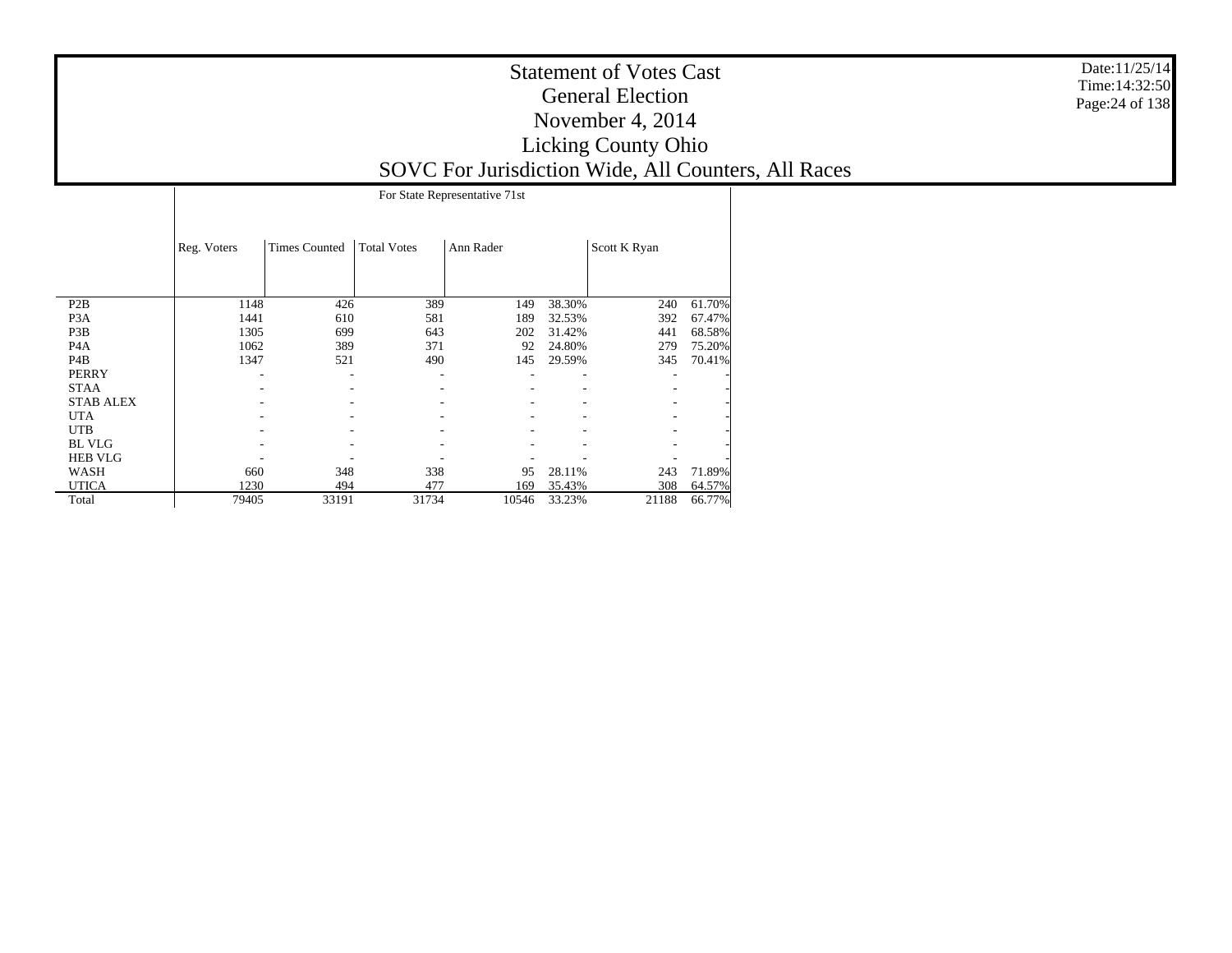|                                      |              |                      |                    | For State Representative 71st |        |              |        |
|--------------------------------------|--------------|----------------------|--------------------|-------------------------------|--------|--------------|--------|
|                                      | Reg. Voters  | <b>Times Counted</b> | <b>Total Votes</b> | Ann Rader                     |        | Scott K Ryan |        |
|                                      |              |                      |                    |                               |        |              |        |
| P <sub>2</sub> B<br>P <sub>3</sub> A | 1148<br>1441 | 426                  | 389                | 149                           | 38.30% | 240          | 61.70% |
|                                      |              | 610                  | 581                | 189                           | 32.53% | 392          | 67.47% |
| P3B                                  | 1305         | 699                  | 643                | 202                           | 31.42% | 441          | 68.58% |
| P <sub>4</sub> A                     | 1062         | 389                  | 371                | 92                            | 24.80% | 279          | 75.20% |
| P <sub>4</sub> B                     | 1347         | 521                  | 490                | 145                           | 29.59% | 345          | 70.41% |
| <b>PERRY</b>                         |              |                      |                    |                               |        |              |        |
| <b>STAA</b>                          |              |                      |                    |                               |        |              |        |
| <b>STAB ALEX</b>                     |              |                      |                    |                               |        |              |        |
| <b>UTA</b>                           |              |                      |                    |                               |        |              |        |
| <b>UTB</b>                           |              |                      |                    |                               |        |              |        |
| <b>BL VLG</b>                        |              |                      |                    |                               |        |              |        |
| <b>HEB VLG</b>                       |              |                      |                    |                               |        |              |        |
| WASH                                 | 660          | 348                  | 338                | 95                            | 28.11% | 243          | 71.89% |
| <b>UTICA</b>                         | 1230         | 494                  | 477                | 169                           | 35.43% | 308          | 64.57% |
| Total                                | 79405        | 33191                | 31734              | 10546                         | 33.23% | 21188        | 66.77% |

Date:11/25/14 Time:14:32:50 Page:24 of 138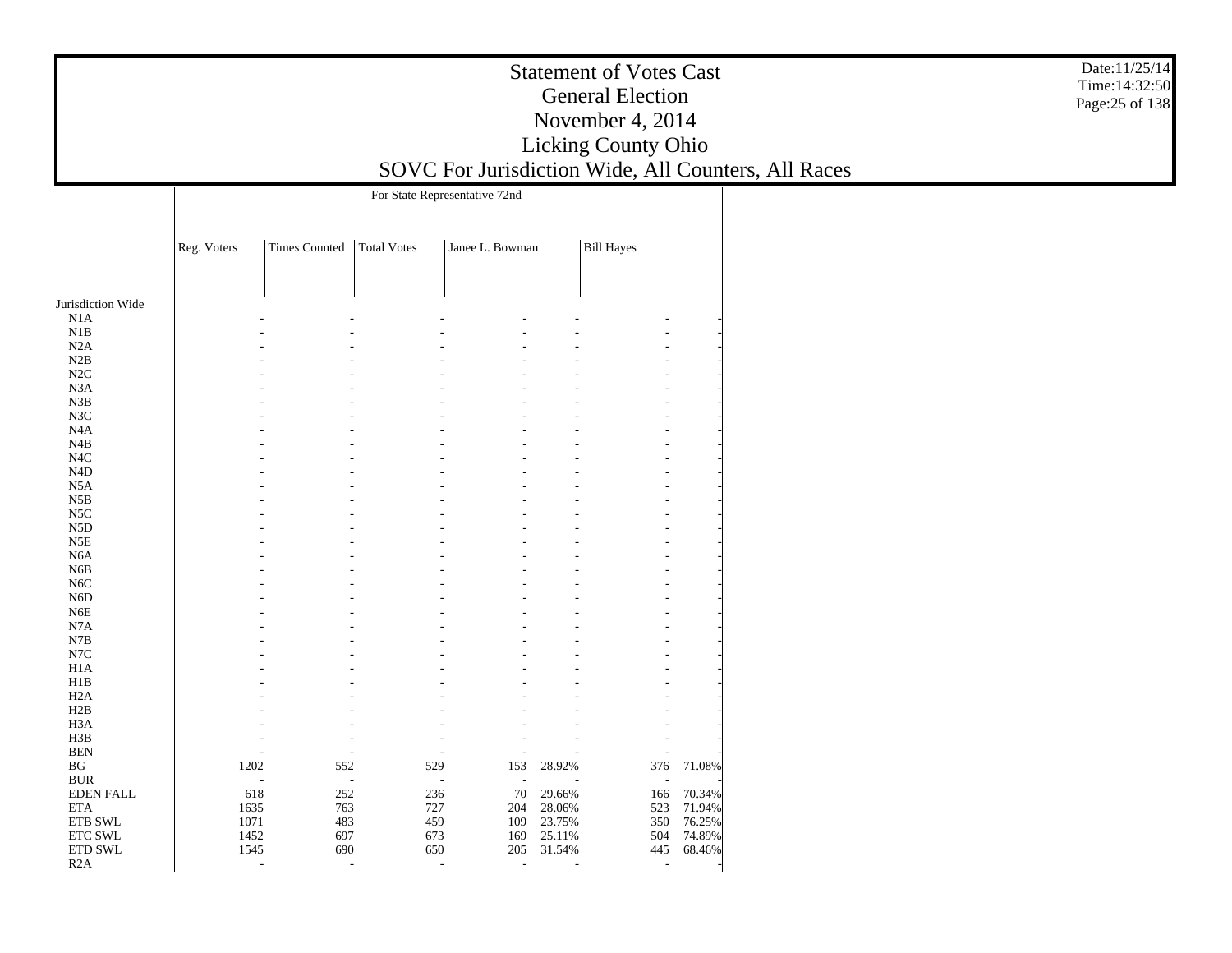|                     |                | For State Representative 72nd |                    |                 |        |                   |        |  |  |  |
|---------------------|----------------|-------------------------------|--------------------|-----------------|--------|-------------------|--------|--|--|--|
|                     |                |                               |                    |                 |        |                   |        |  |  |  |
|                     | Reg. Voters    | <b>Times Counted</b>          | <b>Total Votes</b> | Janee L. Bowman |        | <b>Bill Hayes</b> |        |  |  |  |
|                     |                |                               |                    |                 |        |                   |        |  |  |  |
|                     |                |                               |                    |                 |        |                   |        |  |  |  |
|                     |                |                               |                    |                 |        |                   |        |  |  |  |
| Jurisdiction Wide   |                |                               |                    |                 |        |                   |        |  |  |  |
| N1A                 |                |                               |                    |                 |        |                   |        |  |  |  |
| N1B                 |                |                               |                    |                 |        |                   |        |  |  |  |
| N2A                 |                |                               |                    |                 |        |                   |        |  |  |  |
| N2B                 |                |                               |                    |                 |        |                   |        |  |  |  |
| N2C                 |                |                               |                    |                 |        |                   |        |  |  |  |
| N3A                 |                |                               |                    |                 |        |                   |        |  |  |  |
| N3B                 |                |                               |                    |                 |        |                   |        |  |  |  |
| N3C                 |                |                               |                    |                 |        |                   |        |  |  |  |
| N4A                 |                |                               |                    |                 |        |                   |        |  |  |  |
| N4B                 |                |                               |                    |                 |        |                   |        |  |  |  |
| N <sub>4</sub> C    |                |                               |                    |                 |        |                   |        |  |  |  |
| $\rm N4D$           |                |                               |                    |                 |        |                   |        |  |  |  |
| N <sub>5</sub> A    |                |                               |                    |                 |        |                   |        |  |  |  |
| N5B                 |                |                               |                    |                 |        |                   |        |  |  |  |
| N <sub>5</sub> C    |                |                               |                    |                 |        |                   |        |  |  |  |
| N <sub>5</sub> D    |                |                               |                    |                 |        |                   |        |  |  |  |
| N5E                 |                |                               |                    |                 |        |                   |        |  |  |  |
| N <sub>6</sub> A    |                |                               |                    |                 |        |                   |        |  |  |  |
| N <sub>6</sub> B    |                |                               |                    |                 |        |                   |        |  |  |  |
| N <sub>6</sub> C    |                |                               |                    |                 |        |                   |        |  |  |  |
| N <sub>6</sub> D    |                |                               |                    |                 |        |                   |        |  |  |  |
| N <sub>6</sub> E    |                |                               |                    |                 |        |                   |        |  |  |  |
| N7A                 |                |                               |                    |                 |        |                   |        |  |  |  |
| $_{\rm N7B}$<br>N7C |                |                               |                    |                 |        |                   |        |  |  |  |
| H <sub>1</sub> A    |                |                               |                    |                 |        |                   |        |  |  |  |
| H1B                 |                |                               |                    |                 |        |                   |        |  |  |  |
| H <sub>2</sub> A    |                |                               |                    |                 |        |                   |        |  |  |  |
| H2B                 |                |                               |                    |                 |        |                   |        |  |  |  |
| H <sub>3</sub> A    |                |                               |                    |                 |        |                   |        |  |  |  |
| H3B                 |                |                               |                    |                 |        |                   |        |  |  |  |
| <b>BEN</b>          |                |                               |                    |                 |        |                   |        |  |  |  |
| BG                  | 1202           | 552                           | 529                | 153             | 28.92% | 376               | 71.08% |  |  |  |
| <b>BUR</b>          |                |                               | ÷,                 | ÷,              |        |                   |        |  |  |  |
| <b>EDEN FALL</b>    | 618            | 252                           | 236                | 70              | 29.66% | 166               | 70.34% |  |  |  |
| <b>ETA</b>          | 1635           | 763                           | 727                | 204             | 28.06% | 523               | 71.94% |  |  |  |
| ETB SWL             | 1071           | 483                           | 459                | 109             | 23.75% | 350               | 76.25% |  |  |  |
| ETC SWL             | 1452           | 697                           | 673                | 169             | 25.11% | 504               | 74.89% |  |  |  |
| ETD SWL             | 1545           | 690                           | 650                | 205             | 31.54% | 445               | 68.46% |  |  |  |
| R2A                 | $\overline{a}$ | ÷                             |                    | ÷.<br>÷         | ÷      | $\overline{a}$    |        |  |  |  |

Date:11/25/14 Time:14:32:50 Page:25 of 138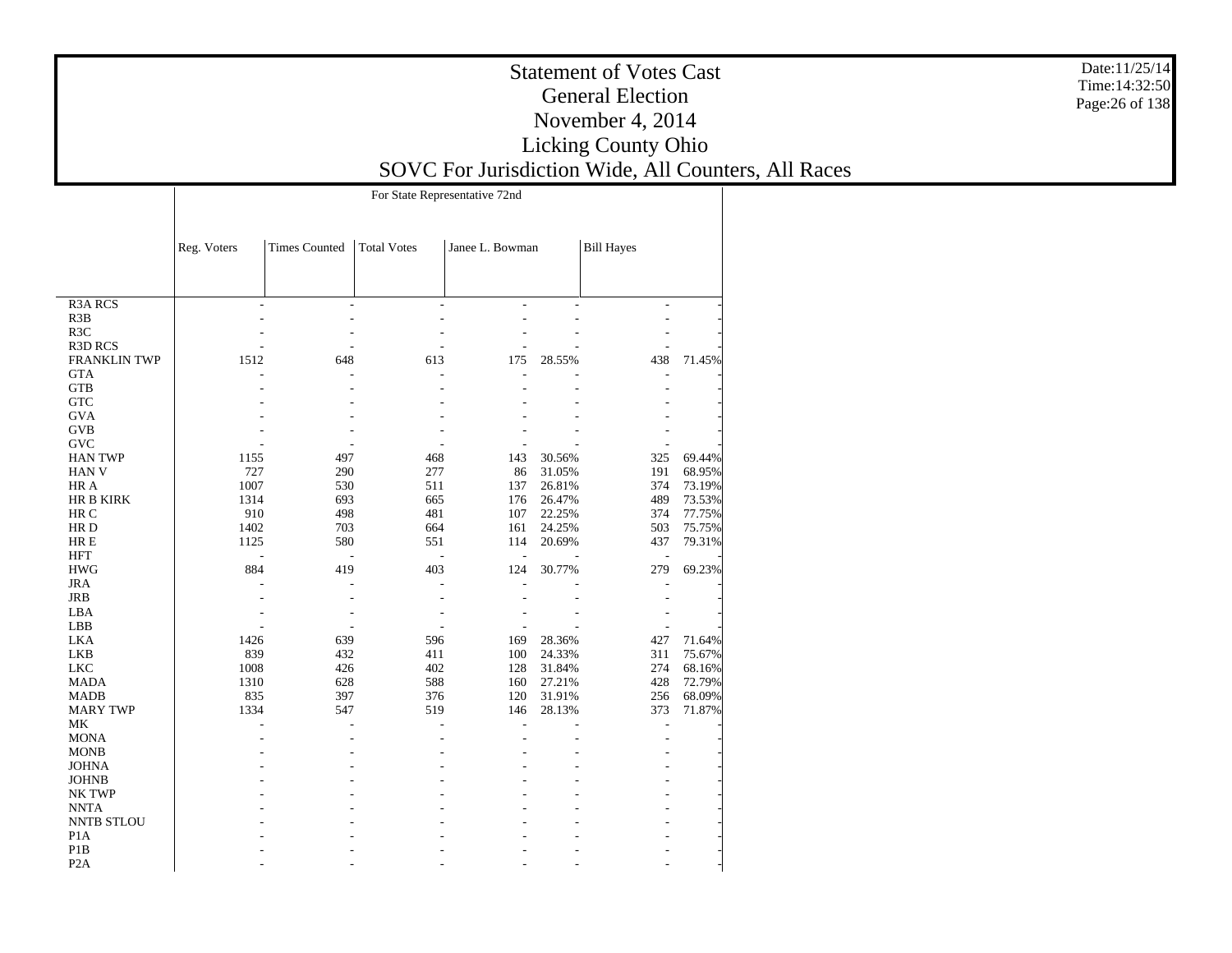|                     |             | For State Representative 72nd |                          |                          |        |                   |        |  |  |  |
|---------------------|-------------|-------------------------------|--------------------------|--------------------------|--------|-------------------|--------|--|--|--|
|                     |             |                               |                          |                          |        |                   |        |  |  |  |
|                     |             |                               |                          |                          |        |                   |        |  |  |  |
|                     | Reg. Voters | <b>Times Counted</b>          | <b>Total Votes</b>       | Janee L. Bowman          |        | <b>Bill Hayes</b> |        |  |  |  |
|                     |             |                               |                          |                          |        |                   |        |  |  |  |
|                     |             |                               |                          |                          |        |                   |        |  |  |  |
| <b>R3A RCS</b>      |             | ÷.                            |                          |                          | ÷.     |                   |        |  |  |  |
| R3B                 |             |                               |                          |                          |        |                   |        |  |  |  |
| R <sub>3</sub> C    |             |                               |                          |                          |        |                   |        |  |  |  |
| R3D RCS             |             |                               |                          | $\overline{a}$           |        |                   |        |  |  |  |
| <b>FRANKLIN TWP</b> | 1512        | 648                           | 613                      | 175                      | 28.55% | 438               | 71.45% |  |  |  |
| <b>GTA</b>          |             |                               |                          | $\overline{a}$           |        |                   |        |  |  |  |
| <b>GTB</b>          |             |                               |                          |                          |        |                   |        |  |  |  |
| <b>GTC</b>          |             |                               |                          |                          |        |                   |        |  |  |  |
| <b>GVA</b>          |             |                               |                          |                          |        |                   |        |  |  |  |
| <b>GVB</b>          |             |                               |                          |                          |        |                   |        |  |  |  |
| <b>GVC</b>          |             |                               |                          |                          |        |                   |        |  |  |  |
| <b>HAN TWP</b>      | 1155        | 497                           | 468                      | 143                      | 30.56% | 325               | 69.44% |  |  |  |
| <b>HAN V</b>        | 727         | 290                           | 277                      | 86                       | 31.05% | 191               | 68.95% |  |  |  |
| HR A                | 1007        | 530                           | 511                      | 137                      | 26.81% | 374               | 73.19% |  |  |  |
| <b>HR B KIRK</b>    | 1314        | 693                           | 665                      | 176                      | 26.47% | 489               | 73.53% |  |  |  |
| HR C                | 910         | 498                           | 481                      | 107                      | 22.25% | 374               | 77.75% |  |  |  |
| HR D                | 1402        | 703                           | 664                      | 161                      | 24.25% | 503               | 75.75% |  |  |  |
| HR E                | 1125        | 580                           | 551                      | 114                      | 20.69% | 437               | 79.31% |  |  |  |
| <b>HFT</b>          | $\sim$      | $\overline{\phantom{a}}$      | $\overline{\phantom{a}}$ | $\overline{\phantom{a}}$ |        | ÷,                |        |  |  |  |
| <b>HWG</b>          | 884         | 419                           | 403                      | 124                      | 30.77% | 279               | 69.23% |  |  |  |
| <b>JRA</b>          |             | L,                            | L,                       | Ĭ.                       |        |                   |        |  |  |  |
| <b>JRB</b>          |             |                               |                          |                          |        |                   |        |  |  |  |
| LBA                 |             |                               |                          |                          |        |                   |        |  |  |  |
| LBB                 |             |                               |                          |                          |        |                   |        |  |  |  |
| <b>LKA</b>          |             | 639                           | 596                      |                          |        |                   |        |  |  |  |
|                     | 1426        |                               |                          | 169                      | 28.36% | 427               | 71.64% |  |  |  |
| <b>LKB</b>          | 839         | 432                           | 411                      | 100                      | 24.33% | 311               | 75.67% |  |  |  |
| <b>LKC</b>          | 1008        | 426                           | 402                      | 128                      | 31.84% | 274               | 68.16% |  |  |  |
| <b>MADA</b>         | 1310        | 628                           | 588                      | 160                      | 27.21% | 428               | 72.79% |  |  |  |
| <b>MADB</b>         | 835         | 397                           | 376                      | 120                      | 31.91% | 256               | 68.09% |  |  |  |
| <b>MARY TWP</b>     | 1334        | 547                           | 519                      | 146                      | 28.13% | 373               | 71.87% |  |  |  |
| <b>MK</b>           |             |                               |                          | ÷,                       |        | $\overline{a}$    |        |  |  |  |
| <b>MONA</b>         |             |                               |                          |                          |        |                   |        |  |  |  |
| <b>MONB</b>         |             |                               |                          |                          |        |                   |        |  |  |  |
| <b>JOHNA</b>        |             |                               |                          |                          |        |                   |        |  |  |  |
| <b>JOHNB</b>        |             |                               |                          |                          |        |                   |        |  |  |  |
| NK TWP              |             |                               |                          |                          |        |                   |        |  |  |  |
| <b>NNTA</b>         |             |                               |                          |                          |        |                   |        |  |  |  |
| <b>NNTB STLOU</b>   |             |                               |                          |                          |        |                   |        |  |  |  |
| P <sub>1</sub> A    |             |                               |                          |                          |        |                   |        |  |  |  |
| P1B                 |             |                               |                          |                          |        |                   |        |  |  |  |
| P <sub>2</sub> A    |             |                               |                          |                          |        |                   |        |  |  |  |

Date:11/25/14 Time:14:32:50Page:26 of 138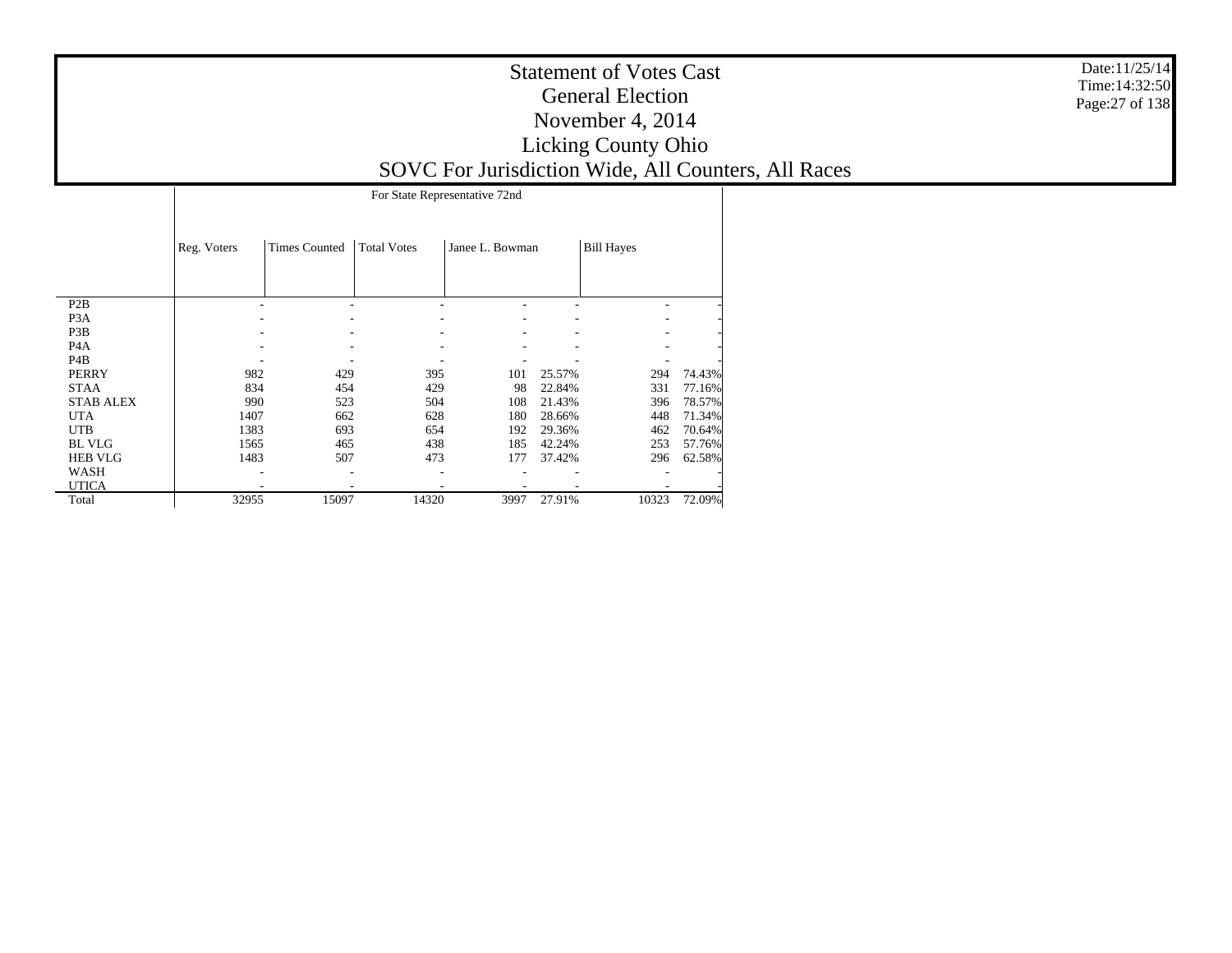|                  |             | For State Representative 72nd |                    |                 |        |                   |        |  |  |
|------------------|-------------|-------------------------------|--------------------|-----------------|--------|-------------------|--------|--|--|
|                  | Reg. Voters | <b>Times Counted</b>          | <b>Total Votes</b> | Janee L. Bowman |        | <b>Bill Hayes</b> |        |  |  |
| P <sub>2</sub> B |             |                               |                    |                 |        |                   |        |  |  |
| P <sub>3</sub> A |             |                               |                    |                 |        |                   |        |  |  |
| P3B              |             |                               |                    |                 |        |                   |        |  |  |
| P <sub>4</sub> A |             |                               |                    |                 |        |                   |        |  |  |
| P <sub>4</sub> B |             |                               |                    |                 |        |                   |        |  |  |
| <b>PERRY</b>     | 982         | 429                           | 395                | 101             | 25.57% | 294               | 74.43% |  |  |
| <b>STAA</b>      | 834         | 454                           | 429                | 98              | 22.84% | 331               | 77.16% |  |  |
| <b>STAB ALEX</b> | 990         | 523                           | 504                | 108             | 21.43% | 396               | 78.57% |  |  |
| <b>UTA</b>       | 1407        | 662                           | 628                | 180             | 28.66% | 448               | 71.34% |  |  |
| <b>UTB</b>       | 1383        | 693                           | 654                | 192             | 29.36% | 462               | 70.64% |  |  |
| <b>BL VLG</b>    | 1565        | 465                           | 438                | 185             | 42.24% | 253               | 57.76% |  |  |
| <b>HEB VLG</b>   | 1483        | 507                           | 473                | 177             | 37.42% | 296               | 62.58% |  |  |
| WASH             |             |                               |                    |                 |        |                   |        |  |  |
| <b>UTICA</b>     |             |                               |                    |                 |        |                   |        |  |  |
| Total            | 32955       | 15097                         | 14320              | 3997            | 27.91% | 10323             | 72.09% |  |  |

Date:11/25/14 Time:14:32:50 Page:27 of 138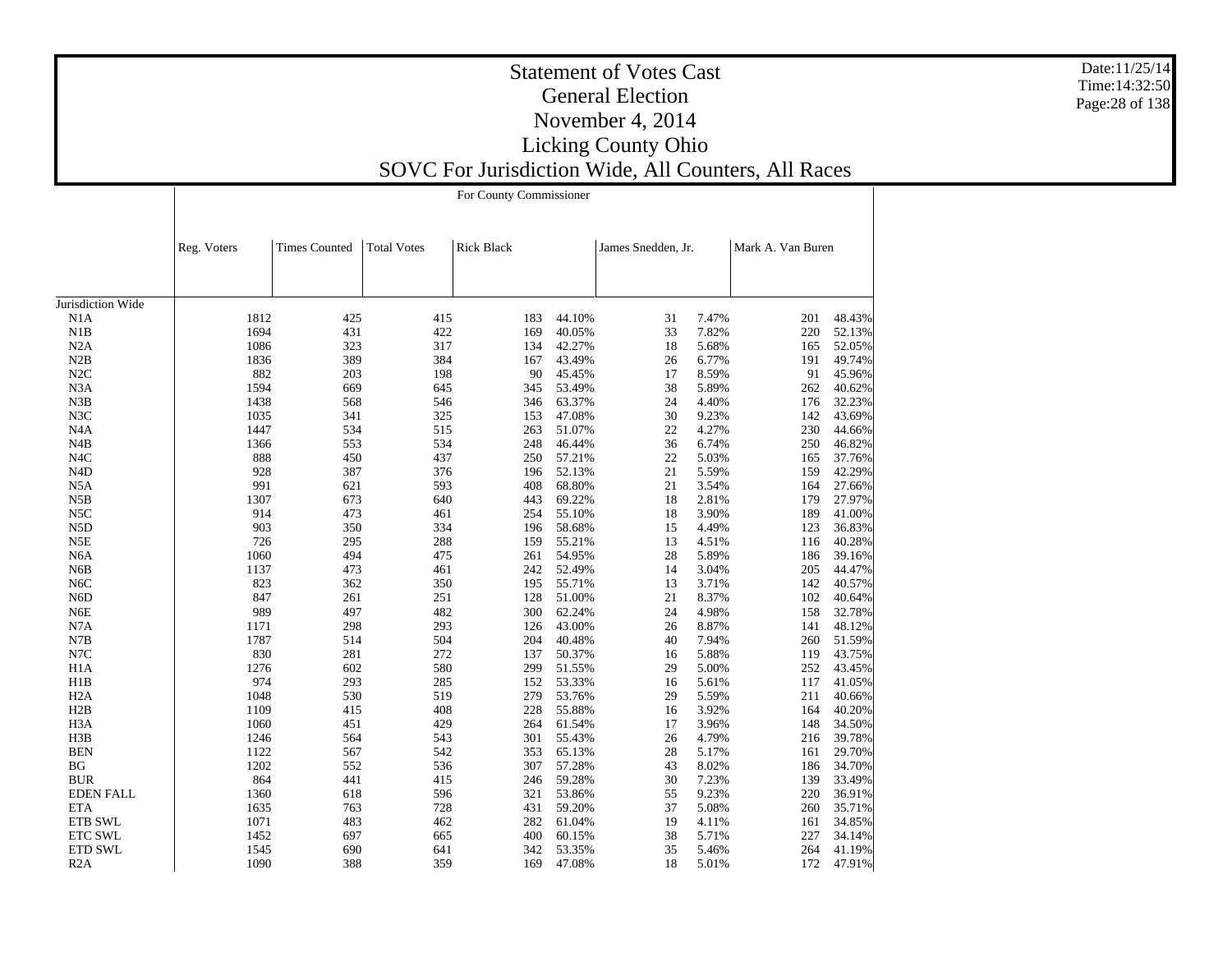|                   |             |                      |                    | For County Commissioner |        |                    |                   |        |
|-------------------|-------------|----------------------|--------------------|-------------------------|--------|--------------------|-------------------|--------|
|                   | Reg. Voters | <b>Times Counted</b> | <b>Total Votes</b> | <b>Rick Black</b>       |        | James Snedden, Jr. | Mark A. Van Buren |        |
|                   |             |                      |                    |                         |        |                    |                   |        |
| Jurisdiction Wide |             |                      |                    |                         |        |                    |                   |        |
| N1A               | 1812        | 425                  | 415                | 183                     | 44.10% | 7.47%<br>31        | 201               | 48.43% |
| N1B               | 1694        | 431                  | 422                | 169                     | 40.05% | 33<br>7.82%        | 220               | 52.13% |
| N2A               | 1086        | 323                  | 317                | 134                     | 42.27% | 5.68%<br>18        | 165               | 52.05% |
| N2B               | 1836        | 389                  | 384                | 167                     | 43.49% | 6.77%<br>26        | 191               | 49.74% |
| N2C               | 882         | 203                  | 198                | 90                      | 45.45% | 8.59%<br>17        | 91                | 45.96% |
| N <sub>3</sub> A  | 1594        | 669                  | 645                | 345                     | 53.49% | 38<br>5.89%        | 262               | 40.62% |
| N3B               | 1438        | 568                  | 546                | 346                     | 63.37% | 24<br>4.40%        | 176               | 32.23% |
| N3C               | 1035        | 341                  | 325                | 153                     | 47.08% | 30<br>9.23%        | 142               | 43.69% |
| N <sub>4</sub> A  | 1447        | 534                  | 515                | 263                     | 51.07% | 22<br>4.27%        | 230               | 44.66% |
|                   |             |                      |                    |                         |        |                    |                   |        |
| N4B               | 1366        | 553                  | 534                | 248                     | 46.44% | 6.74%<br>36        | 250               | 46.82% |
| N <sub>4</sub> C  | 888         | 450                  | 437                | 250                     | 57.21% | 5.03%<br>22        | 165               | 37.76% |
| N <sub>4</sub> D  | 928         | 387                  | 376                | 196                     | 52.13% | 5.59%<br>21        | 159               | 42.29% |
| N <sub>5</sub> A  | 991         | 621                  | 593                | 408                     | 68.80% | 21<br>3.54%        | 164               | 27.66% |
| N5B               | 1307        | 673                  | 640                | 443                     | 69.22% | 2.81%<br>18        | 179               | 27.97% |
| N5C               | 914         | 473                  | 461                | 254                     | 55.10% | 3.90%<br>18        | 189               | 41.00% |
| N <sub>5</sub> D  | 903         | 350                  | 334                | 196                     | 58.68% | 4.49%<br>15        | 123               | 36.83% |
| N5E               | 726         | 295                  | 288                | 159                     | 55.21% | 4.51%<br>13        | 116               | 40.28% |
| N <sub>6</sub> A  | 1060        | 494                  | 475                | 261                     | 54.95% | 28<br>5.89%        | 186               | 39.16% |
| N <sub>6</sub> B  | 1137        | 473                  | 461                | 242                     | 52.49% | 3.04%<br>14        | 205               | 44.47% |
| N <sub>6</sub> C  | 823         | 362                  | 350                | 195                     | 55.71% | 3.71%<br>13        | 142               | 40.57% |
| N <sub>6</sub> D  | 847         | 261                  | 251                | 128                     | 51.00% | 8.37%<br>21        | 102               | 40.64% |
| N <sub>6</sub> E  | 989         | 497                  | 482                | 300                     | 62.24% | 4.98%<br>24        | 158               | 32.78% |
| N7A               | 1171        | 298                  | 293                | 126                     | 43.00% | 8.87%<br>26        | 141               | 48.12% |
| N7B               | 1787        | 514                  | 504                | 204                     | 40.48% | 7.94%              | 260               | 51.59% |
|                   |             |                      |                    |                         |        | 40                 |                   |        |
| $_{\mathrm{N7C}}$ | 830         | 281                  | 272                | 137                     | 50.37% | 5.88%<br>16        | 119               | 43.75% |
| H1A               | 1276        | 602                  | 580                | 299                     | 51.55% | 29<br>5.00%        | 252               | 43.45% |
| H1B               | 974         | 293                  | 285                | 152                     | 53.33% | 16<br>5.61%        | 117               | 41.05% |
| H2A               | 1048        | 530                  | 519                | 279                     | 53.76% | 5.59%<br>29        | 211               | 40.66% |
| H2B               | 1109        | 415                  | 408                | 228                     | 55.88% | 3.92%<br>16        | 164               | 40.20% |
| H <sub>3</sub> A  | 1060        | 451                  | 429                | 264                     | 61.54% | 3.96%<br>17        | 148               | 34.50% |
| H3B               | 1246        | 564                  | 543                | 301                     | 55.43% | 26<br>4.79%        | 216               | 39.78% |
| <b>BEN</b>        | 1122        | 567                  | 542                | 353                     | 65.13% | 28<br>5.17%        | 161               | 29.70% |
| BG                | 1202        | 552                  | 536                | 307                     | 57.28% | 8.02%<br>43        | 186               | 34.70% |
| <b>BUR</b>        | 864         | 441                  | 415                | 246                     | 59.28% | 7.23%<br>30        | 139               | 33.49% |
| <b>EDEN FALL</b>  | 1360        | 618                  | 596                | 321                     | 53.86% | 9.23%<br>55        | 220               | 36.91% |
| <b>ETA</b>        | 1635        | 763                  | 728                | 431                     | 59.20% | 37<br>5.08%        | 260               | 35.71% |
| ETB SWL           | 1071        | 483                  | 462                | 282                     | 61.04% | 19<br>4.11%        | 161               | 34.85% |
| <b>ETC SWL</b>    | 1452        | 697                  | 665                | 400                     | 60.15% | 38<br>5.71%        | 227               | 34.14% |
| <b>ETD SWL</b>    | 1545        | 690                  | 641                | 342                     | 53.35% | 35<br>5.46%        | 264               | 41.19% |
|                   |             |                      |                    |                         |        |                    |                   |        |
| R2A               | 1090        | 388                  | 359                | 169                     | 47.08% | 18<br>5.01%        | 172               | 47.91% |

Date:11/25/14 Time:14:32:50Page:28 of 138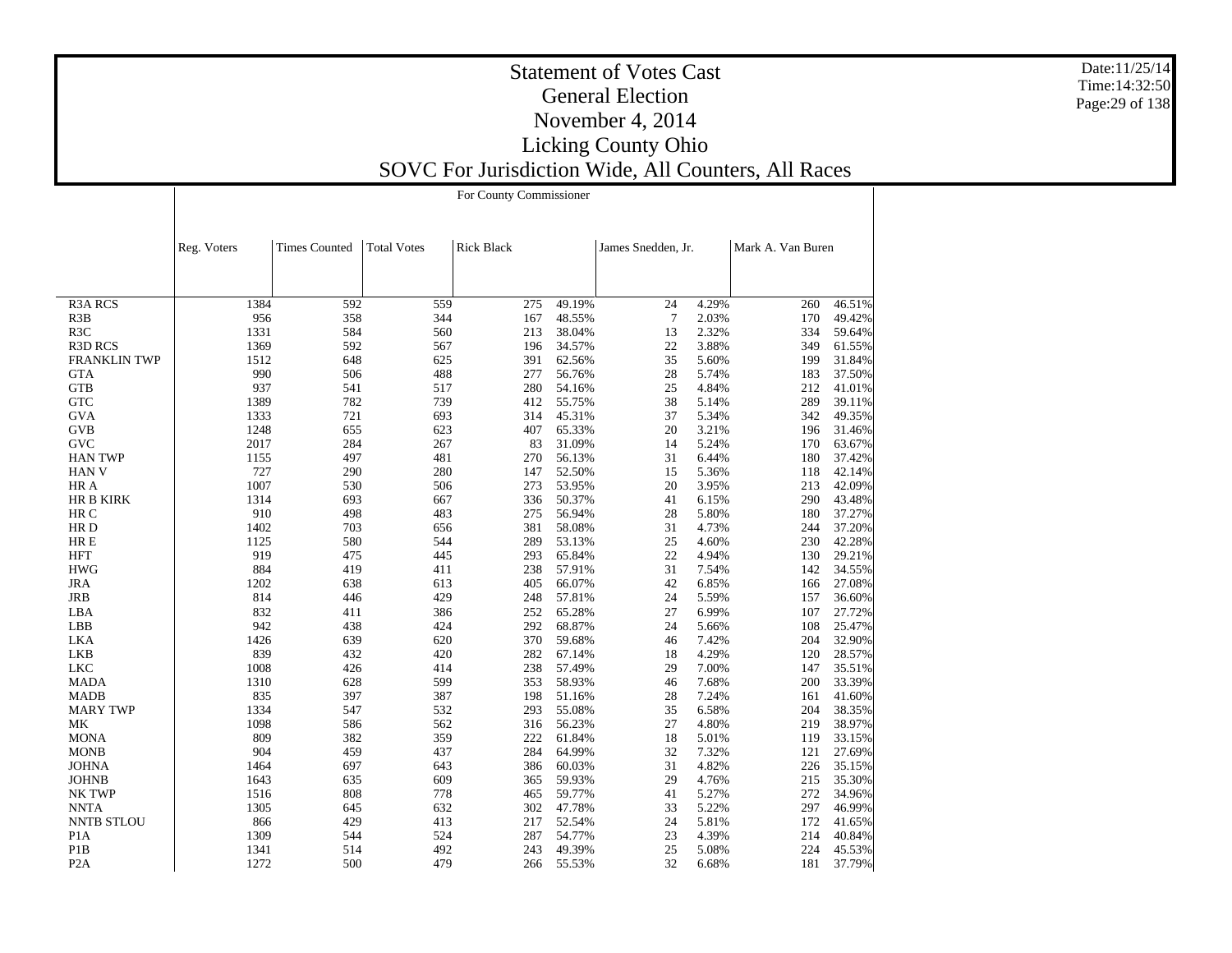|                     |             | For County Commissioner |                    |                   |        |                         |                   |        |  |  |  |  |
|---------------------|-------------|-------------------------|--------------------|-------------------|--------|-------------------------|-------------------|--------|--|--|--|--|
|                     |             |                         |                    |                   |        |                         |                   |        |  |  |  |  |
|                     | Reg. Voters | <b>Times Counted</b>    | <b>Total Votes</b> | <b>Rick Black</b> |        | James Snedden, Jr.      | Mark A. Van Buren |        |  |  |  |  |
|                     |             |                         |                    |                   |        |                         |                   |        |  |  |  |  |
| R3A RCS             | 1384        | 592                     | 559                | 275               | 49.19% | 24<br>4.29%             | 260               | 46.51% |  |  |  |  |
| R3B                 | 956         | 358                     | 344                | 167               | 48.55% | $\overline{7}$<br>2.03% | 170               | 49.42% |  |  |  |  |
| R <sub>3</sub> C    | 1331        | 584                     | 560                | 213               | 38.04% | 13<br>2.32%             | 334               | 59.64% |  |  |  |  |
| R3D RCS             | 1369        | 592                     | 567                | 196               | 34.57% | 22<br>3.88%             | 349               | 61.55% |  |  |  |  |
| <b>FRANKLIN TWP</b> | 1512        | 648                     | 625                | 391               | 62.56% | 35<br>5.60%             | 199               | 31.84% |  |  |  |  |
| <b>GTA</b>          | 990         | 506                     | 488                | 277               | 56.76% | 28<br>5.74%             | 183               | 37.50% |  |  |  |  |
| <b>GTB</b>          | 937         | 541                     | 517                | 280               | 54.16% | 25<br>4.84%             | 212               | 41.01% |  |  |  |  |
| <b>GTC</b>          | 1389        | 782                     | 739                | 412               | 55.75% | 38<br>5.14%             | 289               | 39.11% |  |  |  |  |
| <b>GVA</b>          | 1333        | 721                     | 693                | 314               | 45.31% | 5.34%<br>37             | 342               | 49.35% |  |  |  |  |
| <b>GVB</b>          | 1248        | 655                     | 623                | 407               | 65.33% | 20<br>3.21%             | 196               | 31.46% |  |  |  |  |
| <b>GVC</b>          | 2017        | 284                     | 267                | 83                | 31.09% | 5.24%<br>14             | 170               | 63.67% |  |  |  |  |
| <b>HAN TWP</b>      | 1155        | 497                     | 481                | 270               | 56.13% | 31<br>6.44%             | 180               | 37.42% |  |  |  |  |
| <b>HAN V</b>        | 727         | 290                     | 280                | 147               | 52.50% | 15<br>5.36%             | 118               | 42.14% |  |  |  |  |
| HR A                | 1007        | 530                     | 506                | 273               | 53.95% | 20<br>3.95%             | 213               | 42.09% |  |  |  |  |
| <b>HR B KIRK</b>    | 1314        | 693                     | 667                | 336               | 50.37% | 41<br>6.15%             | 290               | 43.48% |  |  |  |  |
| HR C                | 910         | 498                     | 483                | 275               | 56.94% | 28<br>5.80%             | 180               | 37.27% |  |  |  |  |
| HR <sub>D</sub>     | 1402        | 703                     | 656                | 381               | 58.08% | 31<br>4.73%             | 244               | 37.20% |  |  |  |  |
| HR E                | 1125        | 580                     | 544                | 289               | 53.13% | 25<br>4.60%             | 230               | 42.28% |  |  |  |  |
| <b>HFT</b>          | 919         | 475                     | 445                | 293               | 65.84% | 22<br>4.94%             | 130               | 29.21% |  |  |  |  |
| <b>HWG</b>          | 884         | 419                     | 411                | 238               | 57.91% | 31<br>7.54%             | 142               | 34.55% |  |  |  |  |
|                     | 1202        |                         |                    |                   | 66.07% |                         |                   | 27.08% |  |  |  |  |
| <b>JRA</b>          |             | 638                     | 613                | 405               |        | 42<br>6.85%             | 166               |        |  |  |  |  |
| JRB                 | 814         | 446                     | 429                | 248               | 57.81% | 24<br>5.59%             | 157               | 36.60% |  |  |  |  |
| LBA                 | 832         | 411                     | 386                | 252               | 65.28% | 27<br>6.99%             | 107               | 27.72% |  |  |  |  |
| LBB                 | 942         | 438                     | 424                | 292               | 68.87% | 24<br>5.66%             | 108               | 25.47% |  |  |  |  |
| <b>LKA</b>          | 1426        | 639                     | 620                | 370               | 59.68% | 7.42%<br>46             | 204               | 32.90% |  |  |  |  |
| <b>LKB</b>          | 839         | 432                     | 420                | 282               | 67.14% | 4.29%<br>18             | 120               | 28.57% |  |  |  |  |
| <b>LKC</b>          | 1008        | 426                     | 414                | 238               | 57.49% | 29<br>7.00%             | 147               | 35.51% |  |  |  |  |
| <b>MADA</b>         | 1310        | 628                     | 599                | 353               | 58.93% | 7.68%<br>46             | 200               | 33.39% |  |  |  |  |
| <b>MADB</b>         | 835         | 397                     | 387                | 198               | 51.16% | 28<br>7.24%             | 161               | 41.60% |  |  |  |  |
| <b>MARY TWP</b>     | 1334        | 547                     | 532                | 293               | 55.08% | 35<br>6.58%             | 204               | 38.35% |  |  |  |  |
| MK                  | 1098        | 586                     | 562                | 316               | 56.23% | 27<br>4.80%             | 219               | 38.97% |  |  |  |  |
| <b>MONA</b>         | 809         | 382                     | 359                | 222               | 61.84% | 18<br>5.01%             | 119               | 33.15% |  |  |  |  |
| <b>MONB</b>         | 904         | 459                     | 437                | 284               | 64.99% | 32<br>7.32%             | 121               | 27.69% |  |  |  |  |
| <b>JOHNA</b>        | 1464        | 697                     | 643                | 386               | 60.03% | 31<br>4.82%             | 226               | 35.15% |  |  |  |  |
| <b>JOHNB</b>        | 1643        | 635                     | 609                | 365               | 59.93% | 29<br>4.76%             | 215               | 35.30% |  |  |  |  |
| NK TWP              | 1516        | 808                     | 778                | 465               | 59.77% | 41<br>5.27%             | 272               | 34.96% |  |  |  |  |
| <b>NNTA</b>         | 1305        | 645                     | 632                | 302               | 47.78% | 5.22%<br>33             | 297               | 46.99% |  |  |  |  |
| <b>NNTB STLOU</b>   | 866         | 429                     | 413                | 217               | 52.54% | 24<br>5.81%             | 172               | 41.65% |  |  |  |  |
| P <sub>1</sub> A    | 1309        | 544                     | 524                | 287               | 54.77% | 4.39%<br>23             | 214               | 40.84% |  |  |  |  |
| P <sub>1</sub> B    | 1341        | 514                     | 492                | 243               | 49.39% | 25<br>5.08%             | 224               | 45.53% |  |  |  |  |
| P <sub>2</sub> A    | 1272        | 500                     | 479                | 266               | 55.53% | 32<br>6.68%             | 181               | 37.79% |  |  |  |  |

Date:11/25/14 Time:14:32:50Page:29 of 138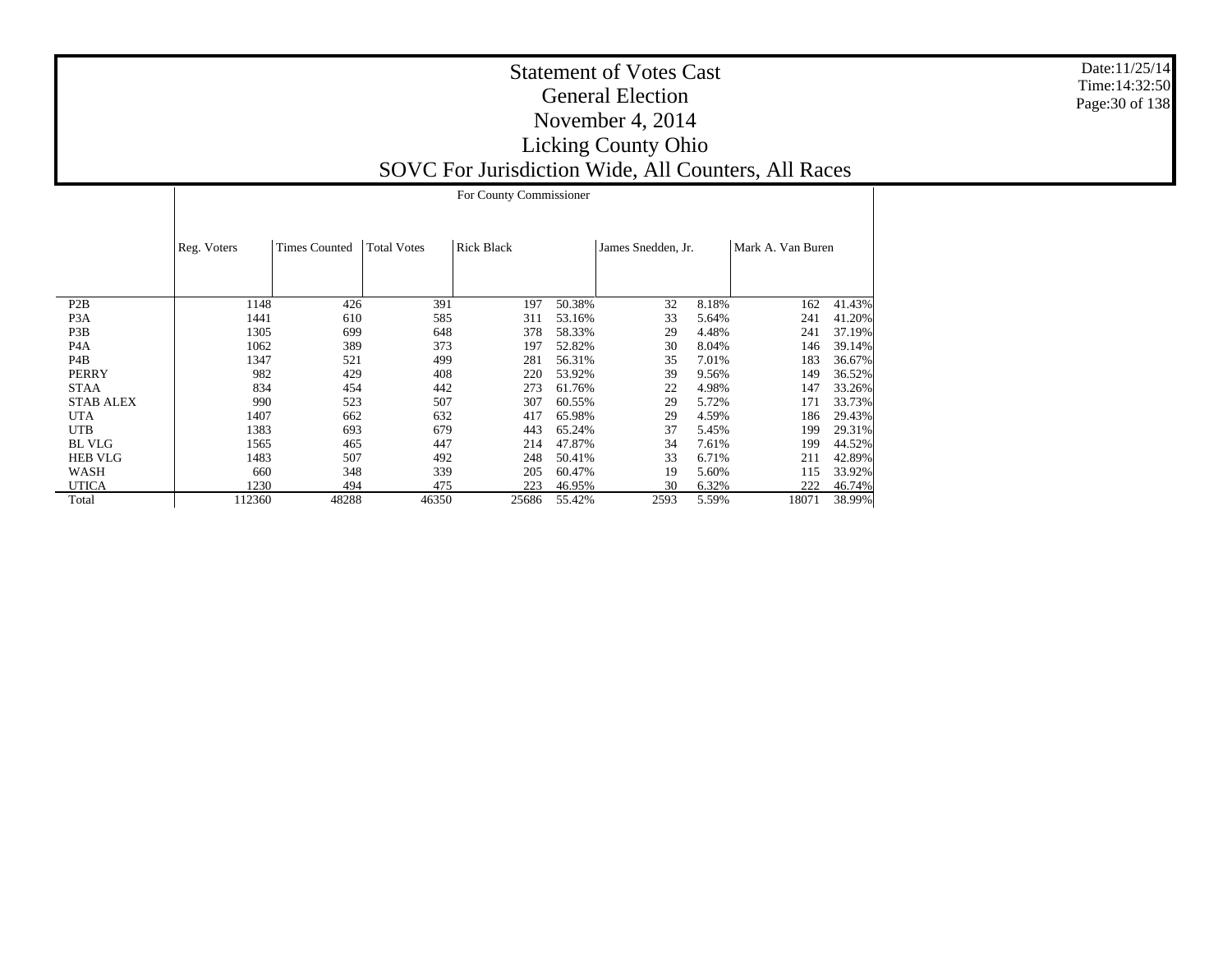|                  |             | For County Commissioner |                    |                   |        |                    |                   |        |  |  |  |  |  |
|------------------|-------------|-------------------------|--------------------|-------------------|--------|--------------------|-------------------|--------|--|--|--|--|--|
|                  | Reg. Voters | <b>Times Counted</b>    | <b>Total Votes</b> | <b>Rick Black</b> |        | James Snedden, Jr. | Mark A. Van Buren |        |  |  |  |  |  |
| P2B              | 1148        | 426                     | 391                | 197               | 50.38% | 32<br>8.18%        | 162               | 41.43% |  |  |  |  |  |
| P <sub>3</sub> A | 1441        | 610                     | 585                | 311               | 53.16% | 33<br>5.64%        | 241               | 41.20% |  |  |  |  |  |
| P3B              | 1305        | 699                     | 648                | 378               | 58.33% | 29<br>4.48%        | 241               | 37.19% |  |  |  |  |  |
| P <sub>4</sub> A | 1062        | 389                     | 373                | 197               | 52.82% | 8.04%<br>30        | 146               | 39.14% |  |  |  |  |  |
| P4B              | 1347        | 521                     | 499                | 281               | 56.31% | 7.01%<br>35        | 183               | 36.67% |  |  |  |  |  |
| PERRY            | 982         | 429                     | 408                | 220               | 53.92% | 39<br>9.56%        | 149               | 36.52% |  |  |  |  |  |
| <b>STAA</b>      | 834         | 454                     | 442                | 273               | 61.76% | 22<br>4.98%        | 147               | 33.26% |  |  |  |  |  |
| <b>STAB ALEX</b> | 990         | 523                     | 507                | 307               | 60.55% | 5.72%<br>29        | 171               | 33.73% |  |  |  |  |  |
| <b>UTA</b>       | 1407        | 662                     | 632                | 417               | 65.98% | 29<br>4.59%        | 186               | 29.43% |  |  |  |  |  |
| UTB              | 1383        | 693                     | 679                | 443               | 65.24% | 37<br>5.45%        | 199               | 29.31% |  |  |  |  |  |
| <b>BL VLG</b>    | 1565        | 465                     | 447                | 214               | 47.87% | 34<br>7.61%        | 199               | 44.52% |  |  |  |  |  |
| <b>HEB VLG</b>   | 1483        | 507                     | 492                | 248               | 50.41% | 33<br>6.71%        | 211               | 42.89% |  |  |  |  |  |
| WASH             | 660         | 348                     | 339                | 205               | 60.47% | 19<br>5.60%        | 115               | 33.92% |  |  |  |  |  |
| <b>UTICA</b>     | 1230        | 494                     | 475                | 223               | 46.95% | 30<br>6.32%        | 222               | 46.74% |  |  |  |  |  |
| Total            | 112360      | 48288                   | 46350              | 25686             | 55.42% | 2593<br>5.59%      | 18071             | 38.99% |  |  |  |  |  |

Date:11/25/14 Time:14:32:50 Page:30 of 138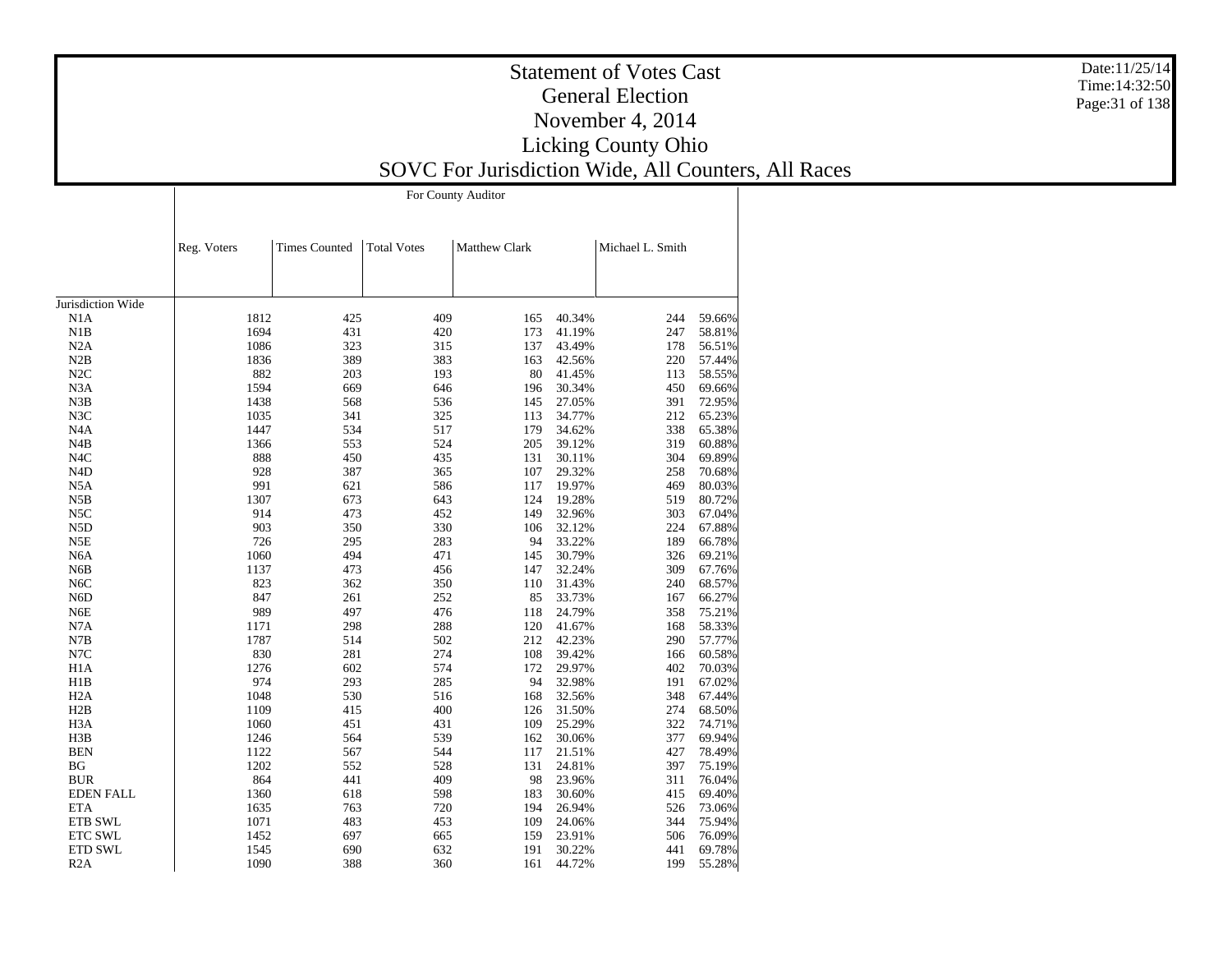|                   |             | For County Auditor   |                    |               |        |                  |        |  |  |  |  |  |
|-------------------|-------------|----------------------|--------------------|---------------|--------|------------------|--------|--|--|--|--|--|
|                   | Reg. Voters | <b>Times Counted</b> | <b>Total Votes</b> | Matthew Clark |        | Michael L. Smith |        |  |  |  |  |  |
|                   |             |                      |                    |               |        |                  |        |  |  |  |  |  |
| Jurisdiction Wide |             |                      |                    |               |        |                  |        |  |  |  |  |  |
| N1A               | 1812        | 425                  | 409                | 165           | 40.34% | 244              | 59.66% |  |  |  |  |  |
| N1B               | 1694        | 431                  | 420                | 173           | 41.19% | 247              | 58.81% |  |  |  |  |  |
| N2A               | 1086        | 323                  | 315                | 137           | 43.49% | 178              | 56.51% |  |  |  |  |  |
| N2B               | 1836        | 389                  | 383                | 163           | 42.56% | 220              | 57.44% |  |  |  |  |  |
| N2C               | 882         | 203                  | 193                | 80            | 41.45% | 113              | 58.55% |  |  |  |  |  |
| N <sub>3</sub> A  | 1594        | 669                  | 646                | 196           | 30.34% | 450              | 69.66% |  |  |  |  |  |
| N3B               | 1438        | 568                  | 536                | 145           | 27.05% | 391              | 72.95% |  |  |  |  |  |
| N3C               | 1035        | 341                  | 325                | 113           | 34.77% | 212              | 65.23% |  |  |  |  |  |
| N <sub>4</sub> A  | 1447        | 534                  | 517                | 179           | 34.62% | 338              | 65.38% |  |  |  |  |  |
| N4B               | 1366        | 553                  | 524                | 205           | 39.12% | 319              | 60.88% |  |  |  |  |  |
| N <sub>4</sub> C  | 888         | 450                  | 435                | 131           | 30.11% | 304              | 69.89% |  |  |  |  |  |
| N <sub>4</sub> D  | 928         | 387                  | 365                | 107           | 29.32% | 258              | 70.68% |  |  |  |  |  |
| N5A               | 991         | 621                  | 586                | 117           | 19.97% | 469              | 80.03% |  |  |  |  |  |
| N5B               | 1307        | 673                  | 643                | 124           | 19.28% | 519              | 80.72% |  |  |  |  |  |
| N5C               | 914         | 473                  | 452                | 149           | 32.96% | 303              | 67.04% |  |  |  |  |  |
| N <sub>5</sub> D  | 903         | 350                  | 330                | 106           | 32.12% | 224              | 67.88% |  |  |  |  |  |
| N5E               | 726         | 295                  | 283                | 94            | 33.22% | 189              | 66.78% |  |  |  |  |  |
| N <sub>6</sub> A  | 1060        | 494                  | 471                | 145           | 30.79% | 326              | 69.21% |  |  |  |  |  |
| N6B               | 1137        | 473                  | 456                | 147           | 32.24% | 309              | 67.76% |  |  |  |  |  |
| N <sub>6</sub> C  | 823         | 362                  | 350                | 110           | 31.43% | 240              | 68.57% |  |  |  |  |  |
| N <sub>6</sub> D  | 847         | 261                  | 252                | 85            | 33.73% | 167              | 66.27% |  |  |  |  |  |
| N <sub>6</sub> E  | 989         | 497                  | 476                | 118           | 24.79% | 358              | 75.21% |  |  |  |  |  |
| N7A               | 1171        | 298                  | 288                | 120           | 41.67% | 168              | 58.33% |  |  |  |  |  |
| N7B               | 1787        | 514                  | 502                | 212           | 42.23% | 290              | 57.77% |  |  |  |  |  |
|                   |             |                      |                    |               |        |                  |        |  |  |  |  |  |
| N7C               | 830         | 281                  | 274                | 108           | 39.42% | 166              | 60.58% |  |  |  |  |  |
| H1A               | 1276        | 602                  | 574                | 172           | 29.97% | 402              | 70.03% |  |  |  |  |  |
| H1B               | 974         | 293                  | 285                | 94            | 32.98% | 191              | 67.02% |  |  |  |  |  |
| H <sub>2</sub> A  | 1048        | 530                  | 516                | 168           | 32.56% | 348              | 67.44% |  |  |  |  |  |
| H2B               | 1109        | 415                  | 400                | 126           | 31.50% | 274              | 68.50% |  |  |  |  |  |
| H <sub>3</sub> A  | 1060        | 451                  | 431                | 109           | 25.29% | 322              | 74.71% |  |  |  |  |  |
| H3B               | 1246        | 564                  | 539                | 162           | 30.06% | 377              | 69.94% |  |  |  |  |  |
| <b>BEN</b>        | 1122        | 567                  | 544                | 117           | 21.51% | 427              | 78.49% |  |  |  |  |  |
| BG                | 1202        | 552                  | 528                | 131           | 24.81% | 397              | 75.19% |  |  |  |  |  |
| <b>BUR</b>        | 864         | 441                  | 409                | 98            | 23.96% | 311              | 76.04% |  |  |  |  |  |
| <b>EDEN FALL</b>  | 1360        | 618                  | 598                | 183           | 30.60% | 415              | 69.40% |  |  |  |  |  |
| <b>ETA</b>        | 1635        | 763                  | 720                | 194           | 26.94% | 526              | 73.06% |  |  |  |  |  |
| ETB SWL           | 1071        | 483                  | 453                | 109           | 24.06% | 344              | 75.94% |  |  |  |  |  |
| ETC SWL           | 1452        | 697                  | 665                | 159           | 23.91% | 506              | 76.09% |  |  |  |  |  |
| <b>ETD SWL</b>    | 1545        | 690                  | 632                | 191           | 30.22% | 441              | 69.78% |  |  |  |  |  |
| R2A               | 1090        | 388                  | 360                | 161           | 44.72% | 199              | 55.28% |  |  |  |  |  |

Date:11/25/14 Time:14:32:50Page:31 of 138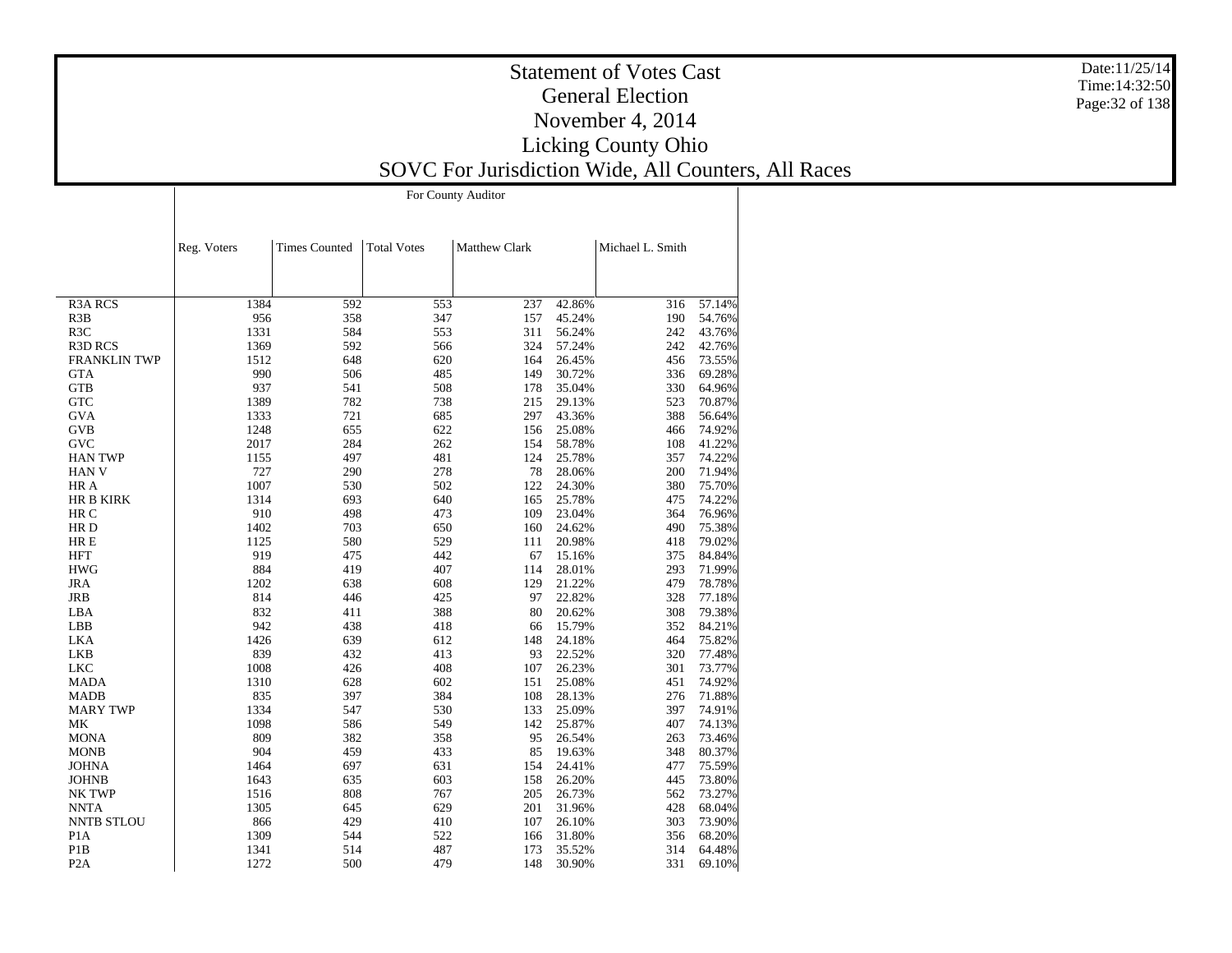|                     |             | For County Auditor   |                    |                      |        |                  |        |  |  |
|---------------------|-------------|----------------------|--------------------|----------------------|--------|------------------|--------|--|--|
|                     |             |                      |                    |                      |        |                  |        |  |  |
|                     |             |                      |                    |                      |        |                  |        |  |  |
|                     | Reg. Voters | <b>Times Counted</b> | <b>Total Votes</b> | <b>Matthew Clark</b> |        | Michael L. Smith |        |  |  |
|                     |             |                      |                    |                      |        |                  |        |  |  |
|                     |             |                      |                    |                      |        |                  |        |  |  |
|                     |             |                      |                    |                      |        |                  |        |  |  |
| <b>R3A RCS</b>      | 1384        | 592                  | 553                | 237                  | 42.86% | 316              | 57.14% |  |  |
| R <sub>3</sub> B    | 956         | 358                  | 347                | 157                  | 45.24% | 190              | 54.76% |  |  |
| R <sub>3</sub> C    | 1331        | 584                  | 553                | 311                  | 56.24% | 242              | 43.76% |  |  |
| <b>R3D RCS</b>      | 1369        | 592                  | 566                | 324                  | 57.24% | 242              | 42.76% |  |  |
| <b>FRANKLIN TWP</b> | 1512        | 648                  | 620                | 164                  | 26.45% | 456              | 73.55% |  |  |
| <b>GTA</b>          | 990         | 506                  | 485                | 149                  | 30.72% | 336              | 69.28% |  |  |
| <b>GTB</b>          | 937         | 541                  | 508                | 178                  | 35.04% | 330              | 64.96% |  |  |
| <b>GTC</b>          | 1389        | 782                  | 738                | 215                  | 29.13% | 523              | 70.87% |  |  |
| <b>GVA</b>          | 1333        | 721                  | 685                | 297                  | 43.36% | 388              | 56.64% |  |  |
| <b>GVB</b>          | 1248        | 655                  | 622                | 156                  | 25.08% | 466              | 74.92% |  |  |
| <b>GVC</b>          | 2017        | 284                  | 262                | 154                  | 58.78% | 108              | 41.22% |  |  |
| <b>HAN TWP</b>      | 1155        | 497                  | 481                | 124                  | 25.78% | 357              | 74.22% |  |  |
| <b>HAN V</b>        | 727         | 290                  | 278                | 78                   | 28.06% | 200              | 71.94% |  |  |
| HR A                | 1007        | 530                  | 502                | 122                  | 24.30% | 380              | 75.70% |  |  |
| <b>HR B KIRK</b>    | 1314        | 693                  | 640                | 165                  | 25.78% | 475              | 74.22% |  |  |
| HR C                | 910         | 498                  | 473                | 109                  | 23.04% | 364              | 76.96% |  |  |
| HR D                | 1402        | 703                  | 650                | 160                  | 24.62% | 490              | 75.38% |  |  |
| HR E                | 1125        | 580                  | 529                | 111                  | 20.98% | 418              | 79.02% |  |  |
| <b>HFT</b>          | 919         | 475                  | 442                | 67                   | 15.16% | 375              | 84.84% |  |  |
| <b>HWG</b>          | 884         | 419                  | 407                | 114                  | 28.01% | 293              | 71.99% |  |  |
| <b>JRA</b>          | 1202        | 638                  | 608                | 129                  | 21.22% | 479              | 78.78% |  |  |
| JRB                 | 814         | 446                  | 425                | 97                   | 22.82% | 328              | 77.18% |  |  |
| LBA                 | 832         | 411                  | 388                | 80                   | 20.62% | 308              | 79.38% |  |  |
| LBB                 | 942         | 438                  | 418                | 66                   | 15.79% | 352              | 84.21% |  |  |
| <b>LKA</b>          | 1426        | 639                  | 612                | 148                  | 24.18% | 464              | 75.82% |  |  |
| <b>LKB</b>          | 839         | 432                  | 413                | 93                   | 22.52% | 320              | 77.48% |  |  |
| LKC                 | 1008        | 426                  | 408                | 107                  | 26.23% | 301              | 73.77% |  |  |
| <b>MADA</b>         | 1310        | 628                  | 602                | 151                  | 25.08% | 451              | 74.92% |  |  |
| <b>MADB</b>         | 835         | 397                  | 384                | 108                  | 28.13% | 276              | 71.88% |  |  |
| <b>MARY TWP</b>     | 1334        | 547                  | 530                | 133                  | 25.09% | 397              | 74.91% |  |  |
| MK                  | 1098        | 586                  | 549                | 142                  | 25.87% | 407              | 74.13% |  |  |
| <b>MONA</b>         | 809         | 382                  | 358                | 95                   | 26.54% | 263              | 73.46% |  |  |
| <b>MONB</b>         | 904         | 459                  | 433                | 85                   | 19.63% | 348              | 80.37% |  |  |
| <b>JOHNA</b>        | 1464        | 697                  | 631                | 154                  | 24.41% | 477              | 75.59% |  |  |
| <b>JOHNB</b>        | 1643        | 635                  | 603                | 158                  | 26.20% | 445              | 73.80% |  |  |
| NK TWP              | 1516        | 808                  | 767                | 205                  | 26.73% | 562              | 73.27% |  |  |
| <b>NNTA</b>         | 1305        | 645                  | 629                | 201                  | 31.96% | 428              | 68.04% |  |  |
| NNTB STLOU          | 866         | 429                  | 410                | 107                  | 26.10% | 303              | 73.90% |  |  |
| P <sub>1</sub> A    | 1309        | 544                  | 522                | 166                  | 31.80% | 356              | 68.20% |  |  |
| P1B                 | 1341        | 514                  | 487                | 173                  | 35.52% | 314              | 64.48% |  |  |
| P <sub>2</sub> A    | 1272        | 500                  | 479                | 148                  | 30.90% | 331              | 69.10% |  |  |

Date:11/25/14 Time:14:32:50 Page:32 of 138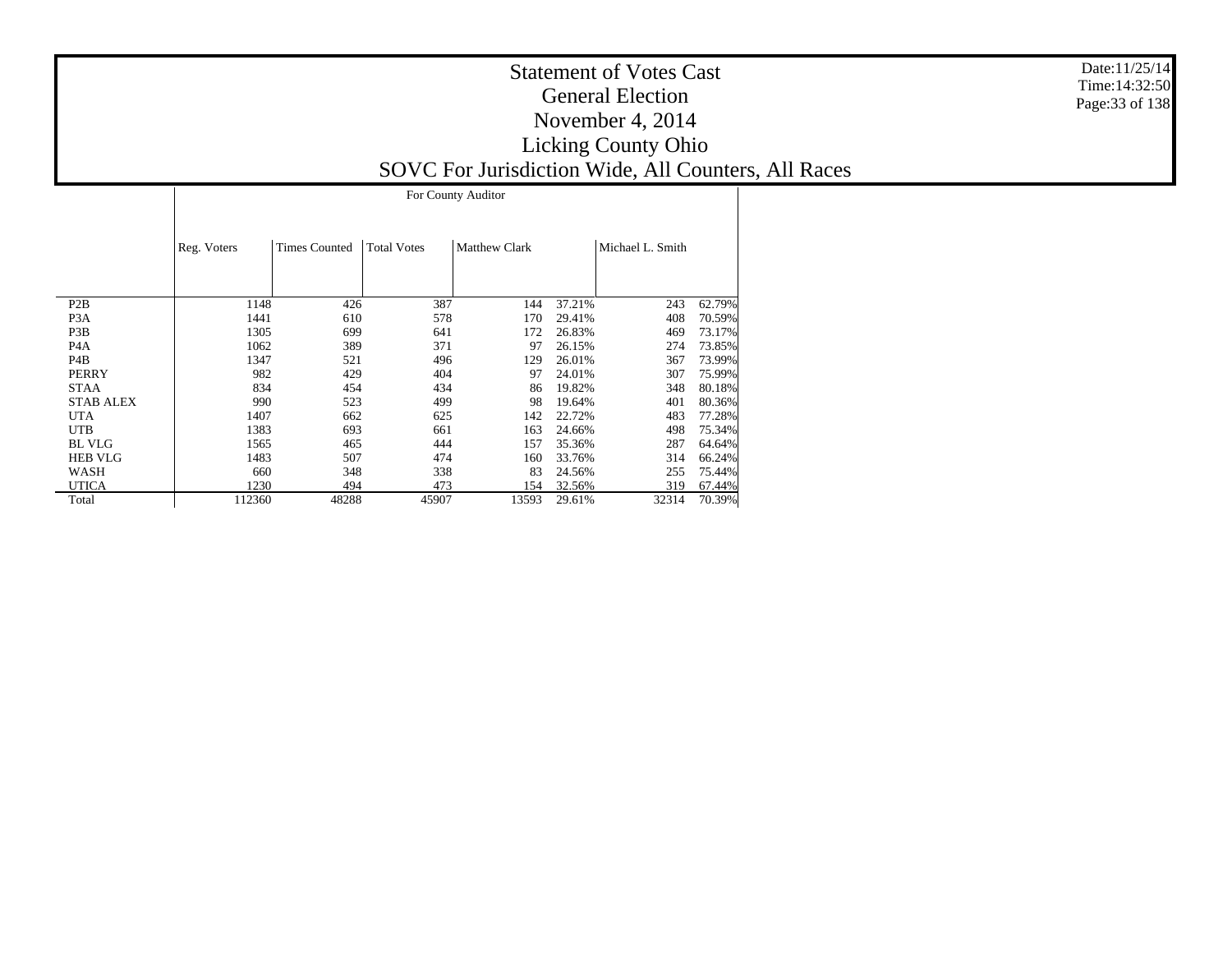|                  |             |                      |                    | For County Auditor   |        |                  |        |
|------------------|-------------|----------------------|--------------------|----------------------|--------|------------------|--------|
|                  | Reg. Voters | <b>Times Counted</b> | <b>Total Votes</b> | <b>Matthew Clark</b> |        | Michael L. Smith |        |
| P <sub>2</sub> B | 1148        | 426                  | 387                | 144                  | 37.21% | 243              | 62.79% |
| P <sub>3</sub> A | 1441        | 610                  | 578                | 170                  | 29.41% | 408              | 70.59% |
| P <sub>3</sub> B | 1305        | 699                  | 641                | 172                  | 26.83% | 469              | 73.17% |
| P <sub>4</sub> A | 1062        | 389                  | 371                | 97                   | 26.15% | 274              | 73.85% |
| P <sub>4</sub> B | 1347        | 521                  | 496                | 129                  | 26.01% | 367              | 73.99% |
| <b>PERRY</b>     | 982         | 429                  | 404                | 97                   | 24.01% | 307              | 75.99% |
| <b>STAA</b>      | 834         | 454                  | 434                | 86                   | 19.82% | 348              | 80.18% |
| <b>STAB ALEX</b> | 990         | 523                  | 499                | 98                   | 19.64% | 401              | 80.36% |
| <b>UTA</b>       | 1407        | 662                  | 625                | 142                  | 22.72% | 483              | 77.28% |
| <b>UTB</b>       | 1383        | 693                  | 661                | 163                  | 24.66% | 498              | 75.34% |
| <b>BL VLG</b>    | 1565        | 465                  | 444                | 157                  | 35.36% | 287              | 64.64% |
| <b>HEB VLG</b>   | 1483        | 507                  | 474                | 160                  | 33.76% | 314              | 66.24% |
| WASH             | 660         | 348                  | 338                | 83                   | 24.56% | 255              | 75.44% |
| <b>UTICA</b>     | 1230        | 494                  | 473                | 154                  | 32.56% | 319              | 67.44% |
| Total            | 112360      | 48288                | 45907              | 13593                | 29.61% | 32314            | 70.39% |

Date:11/25/14 Time:14:32:50 Page:33 of 138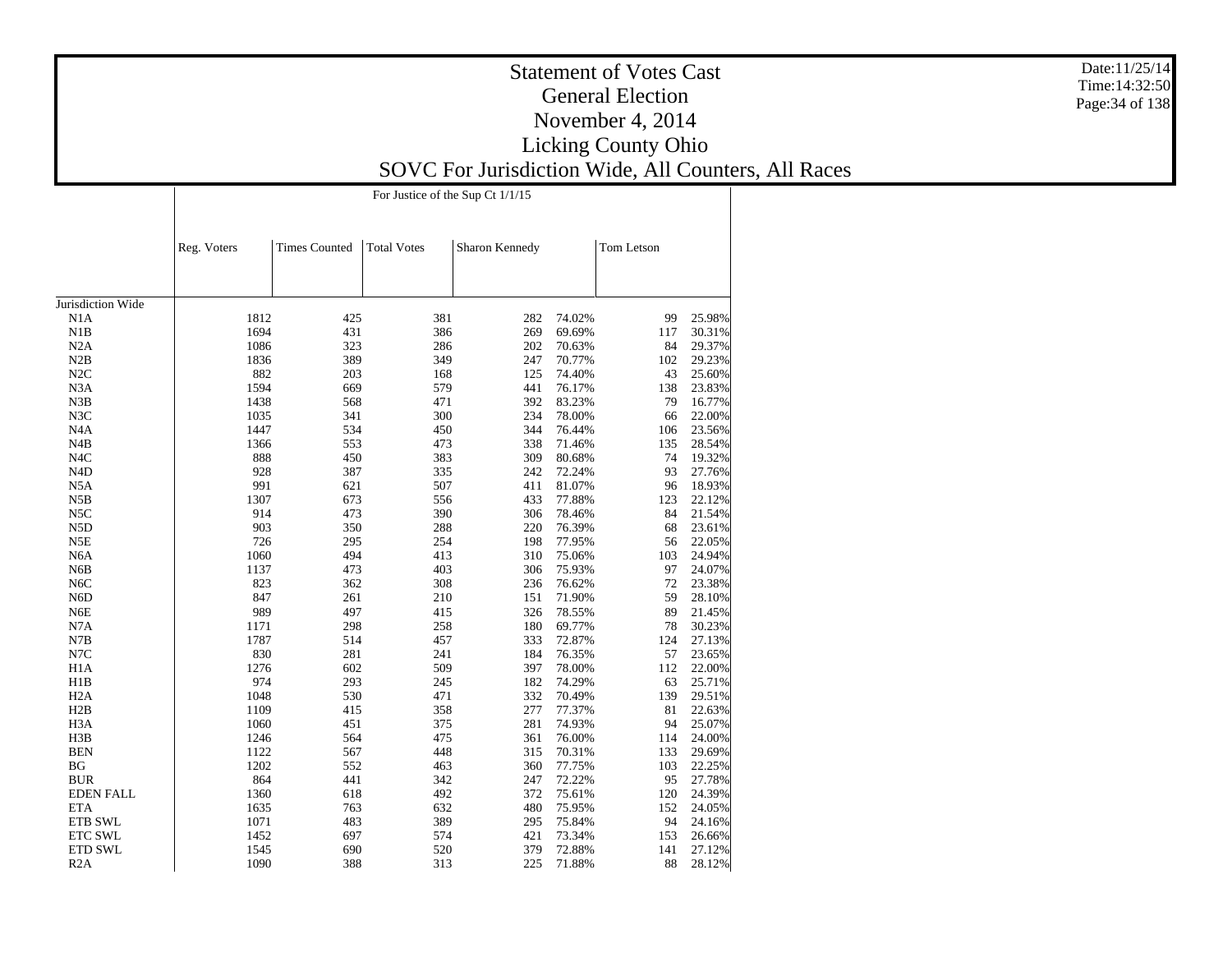|                   |              |                      | For Justice of the Sup Ct 1/1/15 |                |        |            |        |
|-------------------|--------------|----------------------|----------------------------------|----------------|--------|------------|--------|
|                   |              |                      |                                  |                |        |            |        |
|                   | Reg. Voters  | <b>Times Counted</b> | <b>Total Votes</b>               | Sharon Kennedy |        | Tom Letson |        |
| Jurisdiction Wide |              |                      |                                  |                |        |            |        |
|                   |              |                      |                                  |                |        |            |        |
| N1A               | 1812<br>1694 | 425                  | 381                              | 282            | 74.02% | 99         | 25.98% |
| N1B               |              | 431                  | 386                              | 269            | 69.69% | 117        | 30.31% |
| N2A               | 1086         | 323                  | 286                              | 202            | 70.63% | 84         | 29.37% |
| N2B               | 1836         | 389                  | 349                              | 247            | 70.77% | 102        | 29.23% |
| N2C               | 882          | 203                  | 168                              | 125            | 74.40% | 43         | 25.60% |
| N3A               | 1594         | 669                  | 579                              | 441            | 76.17% | 138        | 23.83% |
| N3B               | 1438         | 568                  | 471                              | 392            | 83.23% | 79         | 16.77% |
| N3C               | 1035         | 341                  | 300                              | 234            | 78.00% | 66         | 22.00% |
| N <sub>4</sub> A  | 1447         | 534                  | 450                              | 344            | 76.44% | 106        | 23.56% |
| N4B               | 1366         | 553                  | 473                              | 338            | 71.46% | 135        | 28.54% |
| N <sub>4</sub> C  | 888          | 450                  | 383                              | 309            | 80.68% | 74         | 19.32% |
| N <sub>4</sub> D  | 928          | 387                  | 335                              | 242            | 72.24% | 93         | 27.76% |
| N <sub>5</sub> A  | 991          | 621                  | 507                              | 411            | 81.07% | 96         | 18.93% |
| N5B               | 1307         | 673                  | 556                              | 433            | 77.88% | 123        | 22.12% |
| N5C               | 914          | 473                  | 390                              | 306            | 78.46% | 84         | 21.54% |
| N <sub>5</sub> D  | 903          | 350                  | 288                              | 220            | 76.39% | 68         | 23.61% |
| N5E               | 726          | 295                  | 254                              | 198            | 77.95% | 56         | 22.05% |
| N <sub>6</sub> A  | 1060         | 494                  | 413                              | 310            | 75.06% | 103        | 24.94% |
| N <sub>6</sub> B  | 1137         | 473                  | 403                              | 306            | 75.93% | 97         | 24.07% |
| N <sub>6</sub> C  | 823          | 362                  | 308                              | 236            | 76.62% | 72         | 23.38% |
| N <sub>6</sub> D  | 847          | 261                  | 210                              | 151            | 71.90% | 59         | 28.10% |
| N6E               | 989          | 497                  | 415                              | 326            | 78.55% | 89         | 21.45% |
| N7A               | 1171         | 298                  | 258                              | 180            | 69.77% | 78         | 30.23% |
| N7B               | 1787         | 514                  | 457                              | 333            | 72.87% | 124        | 27.13% |
| N7C               | 830          | 281                  | 241                              | 184            | 76.35% | 57         | 23.65% |
| H1A               | 1276         | 602                  | 509                              | 397            | 78.00% | 112        | 22.00% |
| H1B               | 974          | 293                  | 245                              | 182            | 74.29% | 63         | 25.71% |
| H <sub>2</sub> A  | 1048         | 530                  | 471                              | 332            | 70.49% | 139        | 29.51% |
| H2B               | 1109         | 415                  | 358                              | 277            | 77.37% | 81         | 22.63% |
| H <sub>3</sub> A  | 1060         | 451                  | 375                              | 281            | 74.93% | 94         | 25.07% |
| H3B               | 1246         | 564                  | 475                              | 361            | 76.00% | 114        | 24.00% |
| <b>BEN</b>        | 1122         | 567                  | 448                              | 315            | 70.31% | 133        | 29.69% |
| BG                | 1202         | 552                  | 463                              | 360            | 77.75% | 103        | 22.25% |
| <b>BUR</b>        | 864          | 441                  | 342                              | 247            | 72.22% | 95         | 27.78% |
| <b>EDEN FALL</b>  | 1360         | 618                  | 492                              | 372            | 75.61% | 120        | 24.39% |
|                   |              |                      |                                  |                |        |            |        |
| <b>ETA</b>        | 1635         | 763                  | 632                              | 480            | 75.95% | 152        | 24.05% |
| ETB SWL           | 1071         | 483                  | 389                              | 295            | 75.84% | 94         | 24.16% |
| ETC SWL           | 1452         | 697                  | 574                              | 421            | 73.34% | 153        | 26.66% |
| <b>ETD SWL</b>    | 1545         | 690                  | 520                              | 379            | 72.88% | 141        | 27.12% |
| R2A               | 1090         | 388                  | 313                              | 225            | 71.88% | 88         | 28.12% |

Date:11/25/14 Time:14:32:50Page:34 of 138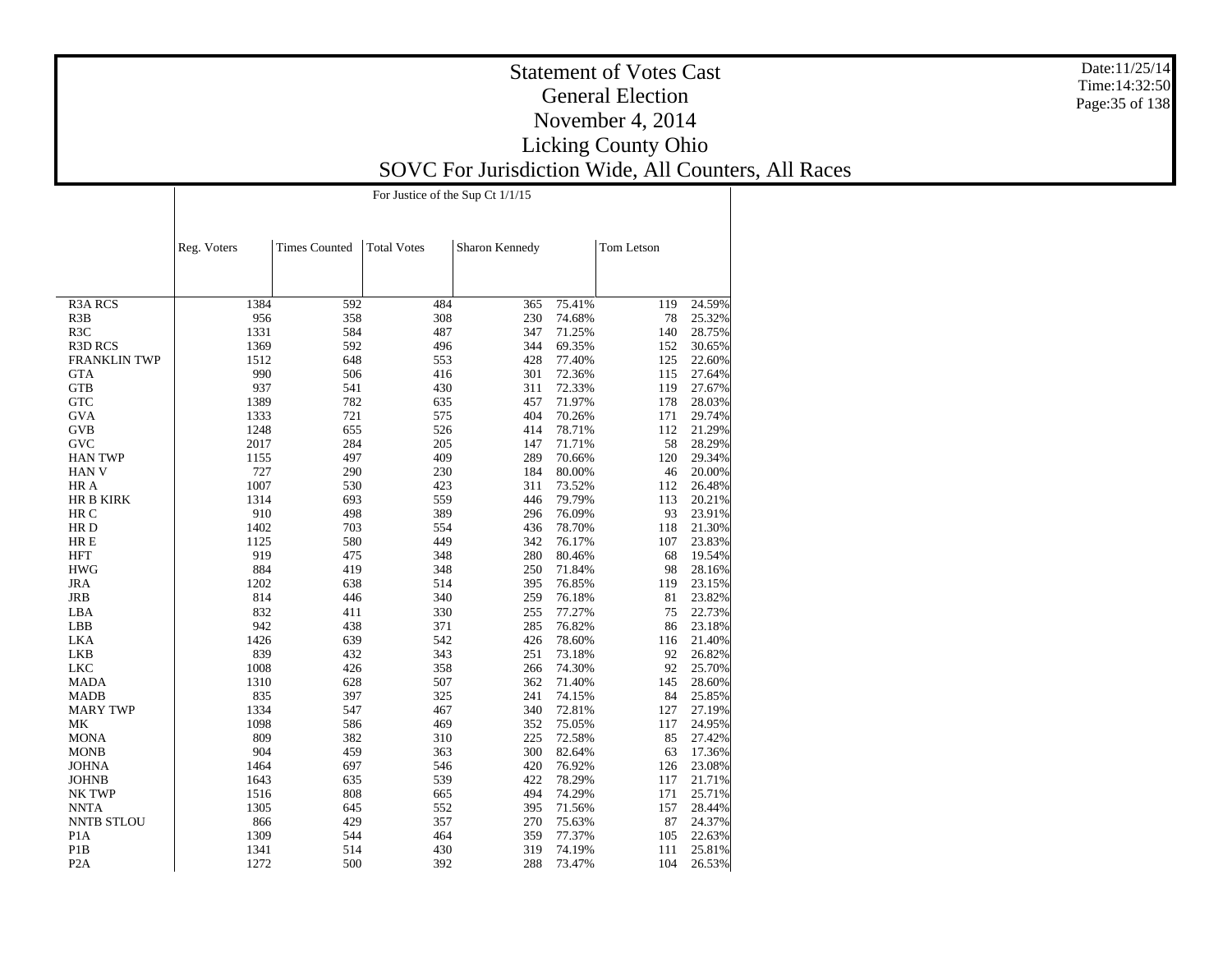|                     |             |                      | For Justice of the Sup Ct $1/1/15$ |                |        |            |        |
|---------------------|-------------|----------------------|------------------------------------|----------------|--------|------------|--------|
|                     | Reg. Voters | <b>Times Counted</b> | <b>Total Votes</b>                 | Sharon Kennedy |        | Tom Letson |        |
|                     |             |                      |                                    |                |        |            |        |
|                     |             |                      |                                    |                |        |            |        |
| <b>R3A RCS</b>      | 1384        | 592                  | 484                                | 365            | 75.41% | 119        | 24.59% |
| R3B                 | 956         | 358                  | 308                                | 230            | 74.68% | 78         | 25.32% |
| R <sub>3</sub> C    | 1331        | 584                  | 487                                | 347            | 71.25% | 140        | 28.75% |
| <b>R3D RCS</b>      | 1369        | 592                  | 496                                | 344            | 69.35% | 152        | 30.65% |
| <b>FRANKLIN TWP</b> | 1512        | 648                  | 553                                | 428            | 77.40% | 125        | 22.60% |
| <b>GTA</b>          | 990         | 506                  | 416                                | 301            | 72.36% | 115        | 27.64% |
| <b>GTB</b>          | 937         | 541                  | 430                                | 311            | 72.33% | 119        | 27.67% |
| <b>GTC</b>          | 1389        | 782                  | 635                                | 457            | 71.97% | 178        | 28.03% |
| <b>GVA</b>          | 1333        | 721                  | 575                                | 404            | 70.26% | 171        | 29.74% |
| <b>GVB</b>          | 1248        | 655                  | 526                                | 414            | 78.71% | 112        | 21.29% |
| <b>GVC</b>          | 2017        | 284                  | 205                                | 147            | 71.71% | 58         | 28.29% |
| <b>HAN TWP</b>      | 1155        | 497                  | 409                                | 289            | 70.66% | 120        | 29.34% |
| <b>HAN V</b>        | 727         | 290                  | 230                                | 184            | 80.00% | 46         | 20.00% |
| HR A                | 1007        | 530                  | 423                                | 311            | 73.52% | 112        | 26.48% |
| <b>HR B KIRK</b>    | 1314        | 693                  | 559                                | 446            | 79.79% | 113        | 20.21% |
| HR C                | 910         | 498                  | 389                                | 296            | 76.09% | 93         | 23.91% |
| HR D                | 1402        | 703                  | 554                                | 436            | 78.70% | 118        | 21.30% |
| HR E                | 1125        | 580                  | 449                                | 342            | 76.17% | 107        | 23.83% |
| <b>HFT</b>          | 919         | 475                  | 348                                | 280            | 80.46% | 68         | 19.54% |
| <b>HWG</b>          | 884         | 419                  | 348                                | 250            | 71.84% | 98         | 28.16% |
| <b>JRA</b>          | 1202        | 638                  | 514                                | 395            | 76.85% | 119        | 23.15% |
| <b>JRB</b>          | 814         | 446                  | 340                                | 259            | 76.18% | 81         | 23.82% |
| LBA                 | 832         | 411                  | 330                                | 255            | 77.27% | 75         | 22.73% |
| LBB                 | 942         | 438                  | 371                                | 285            | 76.82% | 86         | 23.18% |
| LKA                 | 1426        | 639                  | 542                                | 426            | 78.60% | 116        | 21.40% |
| <b>LKB</b>          | 839         | 432                  | 343                                | 251            | 73.18% | 92         | 26.82% |
| <b>LKC</b>          | 1008        | 426                  | 358                                | 266            | 74.30% | 92         | 25.70% |
| <b>MADA</b>         | 1310        | 628                  | 507                                | 362            | 71.40% | 145        | 28.60% |
| <b>MADB</b>         | 835         | 397                  | 325                                | 241            | 74.15% | 84         | 25.85% |
| <b>MARY TWP</b>     | 1334        | 547                  | 467                                | 340            | 72.81% | 127        | 27.19% |
| MK                  | 1098        | 586                  | 469                                | 352            | 75.05% | 117        | 24.95% |
| <b>MONA</b>         | 809         | 382                  | 310                                | 225            | 72.58% | 85         | 27.42% |
| <b>MONB</b>         | 904         | 459                  | 363                                | 300            | 82.64% | 63         | 17.36% |
| <b>JOHNA</b>        | 1464        | 697                  | 546                                | 420            | 76.92% | 126        | 23.08% |
|                     | 1643        |                      | 539                                | 422            | 78.29% |            |        |
| <b>JOHNB</b>        |             | 635                  |                                    |                |        | 117        | 21.71% |
| NK TWP              | 1516        | 808                  | 665                                | 494            | 74.29% | 171        | 25.71% |
| <b>NNTA</b>         | 1305        | 645                  | 552                                | 395            | 71.56% | 157        | 28.44% |
| <b>NNTB STLOU</b>   | 866         | 429                  | 357                                | 270            | 75.63% | 87         | 24.37% |
| P <sub>1</sub> A    | 1309        | 544                  | 464                                | 359            | 77.37% | 105        | 22.63% |
| P <sub>1</sub> B    | 1341        | 514                  | 430                                | 319            | 74.19% | 111        | 25.81% |
| P <sub>2</sub> A    | 1272        | 500                  | 392                                | 288            | 73.47% | 104        | 26.53% |

Date:11/25/14 Time:14:32:50 Page:35 of 138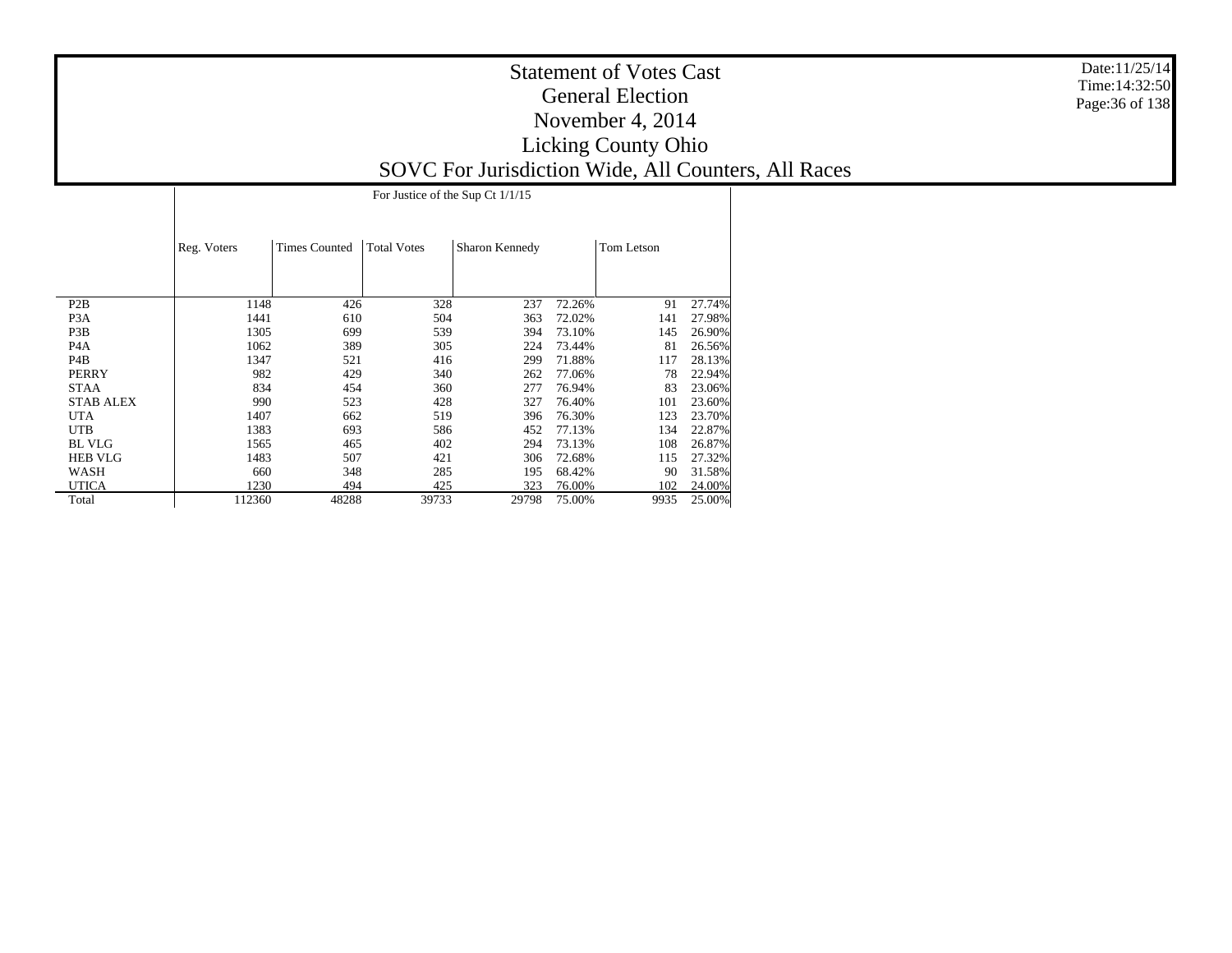|                                      |             | For Justice of the Sup Ct 1/1/15 |                    |                |                  |            |                  |  |  |  |  |
|--------------------------------------|-------------|----------------------------------|--------------------|----------------|------------------|------------|------------------|--|--|--|--|
|                                      | Reg. Voters | <b>Times Counted</b>             | <b>Total Votes</b> | Sharon Kennedy |                  | Tom Letson |                  |  |  |  |  |
|                                      | 1148        |                                  |                    | 237            |                  | 91         |                  |  |  |  |  |
| P <sub>2</sub> B<br>P <sub>3</sub> A | 1441        | 426<br>610                       | 328<br>504         | 363            | 72.26%<br>72.02% | 141        | 27.74%<br>27.98% |  |  |  |  |
| P <sub>3</sub> B                     | 1305        | 699                              | 539                | 394            | 73.10%           | 145        | 26.90%           |  |  |  |  |
| P <sub>4</sub> A                     | 1062        | 389                              | 305                | 224            | 73.44%           | 81         | 26.56%           |  |  |  |  |
| P <sub>4</sub> B                     | 1347        | 521                              | 416                | 299            | 71.88%           | 117        | 28.13%           |  |  |  |  |
| <b>PERRY</b>                         | 982         | 429                              | 340                | 262            | 77.06%           | 78         | 22.94%           |  |  |  |  |
| <b>STAA</b>                          | 834         | 454                              | 360                | 277            | 76.94%           | 83         | 23.06%           |  |  |  |  |
| <b>STAB ALEX</b>                     | 990         | 523                              | 428                | 327            | 76.40%           | 101        | 23.60%           |  |  |  |  |
| <b>UTA</b>                           | 1407        | 662                              | 519                | 396            | 76.30%           | 123        | 23.70%           |  |  |  |  |
| <b>UTB</b>                           | 1383        | 693                              | 586                | 452            | 77.13%           | 134        | 22.87%           |  |  |  |  |
| <b>BL VLG</b>                        | 1565        | 465                              | 402                | 294            | 73.13%           | 108        | 26.87%           |  |  |  |  |
| <b>HEB VLG</b>                       | 1483        | 507                              | 421                | 306            | 72.68%           | 115        | 27.32%           |  |  |  |  |
| WASH                                 | 660         | 348                              | 285                | 195            | 68.42%           | 90         | 31.58%           |  |  |  |  |
| <b>UTICA</b>                         | 1230        | 494                              | 425                | 323            | 76.00%           | 102        | 24.00%           |  |  |  |  |
| Total                                | 112360      | 48288                            | 39733              | 29798          | 75.00%           | 9935       | 25.00%           |  |  |  |  |

Date:11/25/14 Time:14:32:50 Page:36 of 138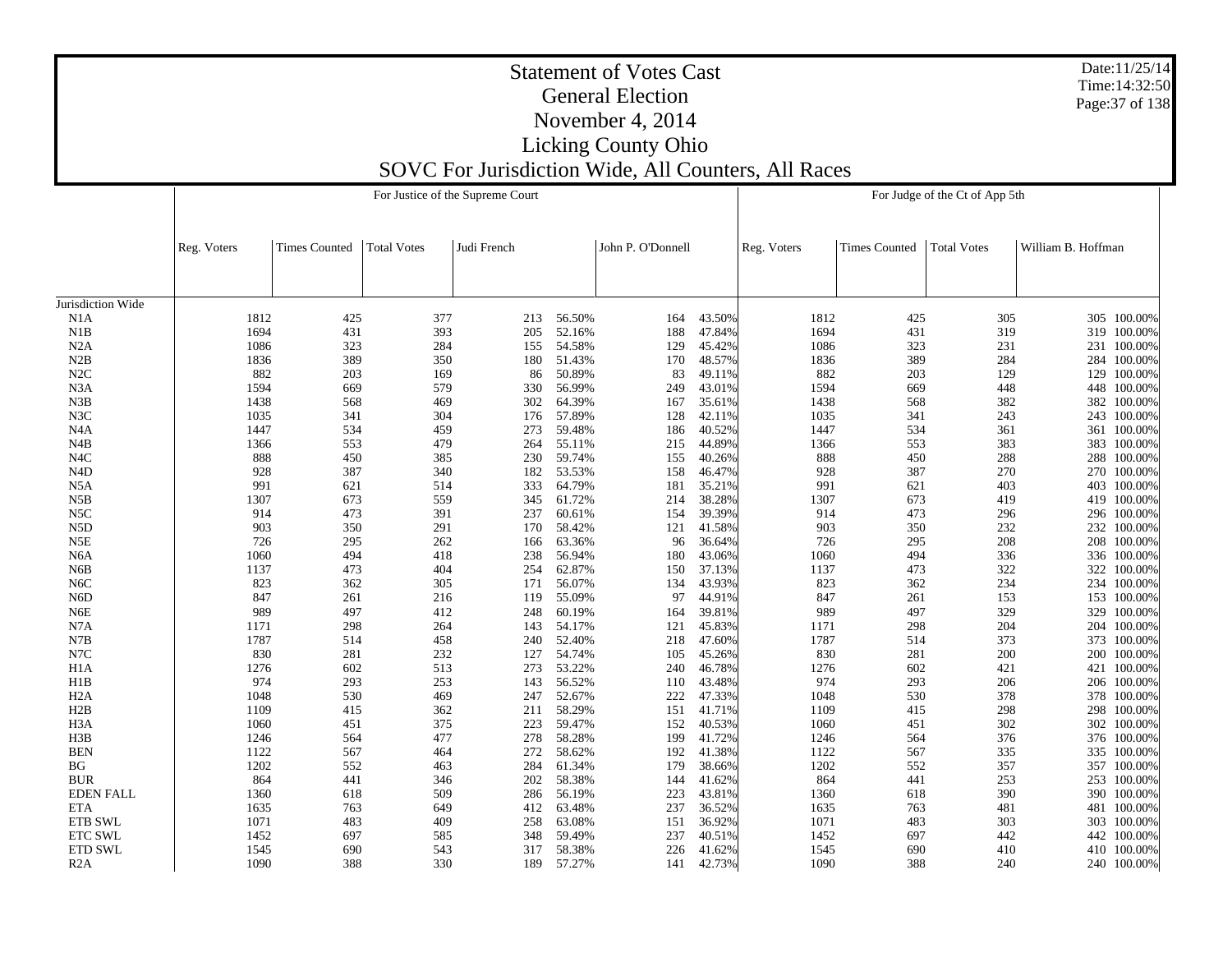|                   |             | For Justice of the Supreme Court |                    |             |        |                   |        |             | For Judge of the Ct of App 5th |                    |                    |  |  |
|-------------------|-------------|----------------------------------|--------------------|-------------|--------|-------------------|--------|-------------|--------------------------------|--------------------|--------------------|--|--|
|                   |             |                                  |                    |             |        |                   |        |             |                                |                    |                    |  |  |
|                   | Reg. Voters | <b>Times Counted</b>             | <b>Total Votes</b> | Judi French |        | John P. O'Donnell |        | Reg. Voters | <b>Times Counted</b>           | <b>Total Votes</b> | William B. Hoffman |  |  |
|                   |             |                                  |                    |             |        |                   |        |             |                                |                    |                    |  |  |
|                   |             |                                  |                    |             |        |                   |        |             |                                |                    |                    |  |  |
| Jurisdiction Wide |             |                                  |                    |             |        |                   |        |             |                                |                    |                    |  |  |
| N1A               | 1812        | 425                              | 377                | 213         | 56.50% | 164               | 43.50% | 1812        | 425                            | 305                | 305 100.00%        |  |  |
| N1B               | 1694        | 431                              | 393                | 205         | 52.16% | 188               | 47.84% | 1694        | 431                            | 319                | 319 100.00%        |  |  |
| N2A               | 1086        | 323                              | 284                | 155         | 54.58% | 129               | 45.42% | 1086        | 323                            | 231                | 231<br>100.00%     |  |  |
| N2B               | 1836        | 389                              | 350                | 180         | 51.43% | 170               | 48.57% | 1836        | 389                            | 284                | 284 100.00%        |  |  |
| N2C               | 882         | 203                              | 169                | 86          | 50.89% | 83                | 49.11% | 882         | 203                            | 129                | 129<br>100.00%     |  |  |
| N3A               | 1594        | 669                              | 579                | 330         | 56.99% | 249               | 43.01% | 1594        | 669                            | 448                | 448 100.00%        |  |  |
| N3B               | 1438        | 568                              | 469                | 302         | 64.39% | 167               | 35.61% | 1438        | 568                            | 382                | 382<br>100.00%     |  |  |
| N3C               | 1035        | 341                              | 304                | 176         | 57.89% | 128               | 42.11% | 1035        | 341                            | 243                | 243 100.00%        |  |  |
| N <sub>4</sub> A  | 1447        | 534                              | 459                | 273         | 59.48% | 186               | 40.52% | 1447        | 534                            | 361                | 100.00%<br>361     |  |  |
| N <sub>4</sub> B  | 1366        | 553                              | 479                | 264         | 55.11% | 215               | 44.89% | 1366        | 553                            | 383                | 383 100.00%        |  |  |
| N <sub>4</sub> C  | 888         | 450                              | 385                | 230         | 59.74% | 155               | 40.26% | 888         | 450                            | 288                | 288<br>100.00%     |  |  |
| N4D               | 928         | 387                              | 340                | 182         | 53.53% | 158               | 46.47% | 928         | 387                            | 270                | 270 100.00%        |  |  |
| N5A               | 991         | 621                              | 514                | 333         | 64.79% | 181               | 35.21% | 991         | 621                            | 403                | 100.00%<br>403     |  |  |
| N5B               | 1307        | 673                              | 559                | 345         | 61.72% | 214               | 38.28% | 1307        | 673                            | 419                | 419 100.00%        |  |  |
| N5C               | 914         | 473                              | 391                | 237         | 60.61% | 154               | 39.39% | 914         | 473                            | 296                | 296 100.00%        |  |  |
| N <sub>5</sub> D  | 903         | 350                              | 291                | 170         | 58.42% | 121               | 41.58% | 903         | 350                            | 232                | 232 100.00%        |  |  |
| N5E               | 726         | 295                              | 262                | 166         | 63.36% | 96                | 36.64% | 726         | 295                            | 208                | 208 100.00%        |  |  |
| N <sub>6</sub> A  | 1060        | 494                              | 418                | 238         | 56.94% | 180               | 43.06% | 1060        | 494                            | 336                | 336 100.00%        |  |  |
| N <sub>6</sub> B  | 1137        | 473                              | 404                | 254         | 62.87% | 150               | 37.13% | 1137        | 473                            | 322                | 322<br>100.00%     |  |  |
| N <sub>6</sub> C  | 823         | 362                              | 305                | 171         | 56.07% | 134               | 43.93% | 823         | 362                            | 234                | 234 100.00%        |  |  |
| N <sub>6</sub> D  | 847         | 261                              | 216                | 119         | 55.09% | 97                | 44.91% | 847         | 261                            | 153                | 153 100.00%        |  |  |
| N <sub>6</sub> E  | 989         | 497                              | 412                | 248         | 60.19% | 164               | 39.81% | 989         | 497                            | 329                | 329 100.00%        |  |  |
| N7A               | 1171        | 298                              | 264                | 143         | 54.17% | 121               | 45.83% | 1171        | 298                            | 204                | 204 100.00%        |  |  |
| N7B               | 1787        | 514                              | 458                | 240         | 52.40% | 218               | 47.60% | 1787        | 514                            | 373                | 373 100.00%        |  |  |
| N7C               | 830         | 281                              | 232                | 127         | 54.74% | 105               | 45.26% | 830         | 281                            | 200                | 100.00%<br>200     |  |  |
| H1A               | 1276        | 602                              | 513                | 273         | 53.22% | 240               | 46.78% | 1276        | 602                            | 421                | 421<br>100.00%     |  |  |
| H1B               | 974         | 293                              | 253                | 143         | 56.52% | 110               | 43.48% | 974         | 293                            | 206                | 206 100.00%        |  |  |
| H2A               | 1048        | 530                              | 469                | 247         | 52.67% | 222               | 47.33% | 1048        | 530                            | 378                | 378<br>100.00%     |  |  |
| H2B               | 1109        | 415                              | 362                | 211         | 58.29% | 151               | 41.71% | 1109        | 415                            | 298                | 298 100.00%        |  |  |
| H <sub>3</sub> A  | 1060        | 451                              | 375                | 223         | 59.47% | 152               | 40.53% | 1060        | 451                            | 302                | 302<br>100.00%     |  |  |
| H3B               | 1246        | 564                              | 477                | 278         | 58.28% | 199               | 41.72% | 1246        | 564                            | 376                | 376 100.00%        |  |  |
| <b>BEN</b>        | 1122        | 567                              | 464                | 272         | 58.62% | 192               | 41.38% | 1122        | 567                            | 335                | 335<br>100.00%     |  |  |
| ΒG                | 1202        | 552                              | 463                | 284         | 61.34% | 179               | 38.66% | 1202        | 552                            | 357                | 357 100.00%        |  |  |
| <b>BUR</b>        | 864         | 441                              | 346                | 202         | 58.38% | 144               | 41.62% | 864         | 441                            | 253                | 253<br>100.00%     |  |  |
| <b>EDEN FALL</b>  | 1360        | 618                              | 509                | 286         | 56.19% | 223               | 43.81% | 1360        | 618                            | 390                | 390 100.00%        |  |  |
| <b>ETA</b>        | 1635        | 763                              | 649                | 412         | 63.48% | 237               | 36.52% | 1635        | 763                            | 481                | 100.00%<br>481     |  |  |
| <b>ETB SWL</b>    | 1071        | 483                              | 409                | 258         | 63.08% | 151               | 36.92% | 1071        | 483                            | 303                | 303 100.00%        |  |  |
| <b>ETC SWL</b>    | 1452        | 697                              | 585                | 348         | 59.49% | 237               | 40.51% | 1452        | 697                            | 442                | 442<br>100.00%     |  |  |
| <b>ETD SWL</b>    | 1545        | 690                              | 543                | 317         | 58.38% | 226               | 41.62% | 1545        | 690                            | 410                | 410 100.00%        |  |  |
| R2A               | 1090        | 388                              | 330                | 189         | 57.27% | 141               | 42.73% | 1090        | 388                            | 240                | 240 100.00%        |  |  |

Date:11/25/14 Time:14:32:50 Page:37 of 138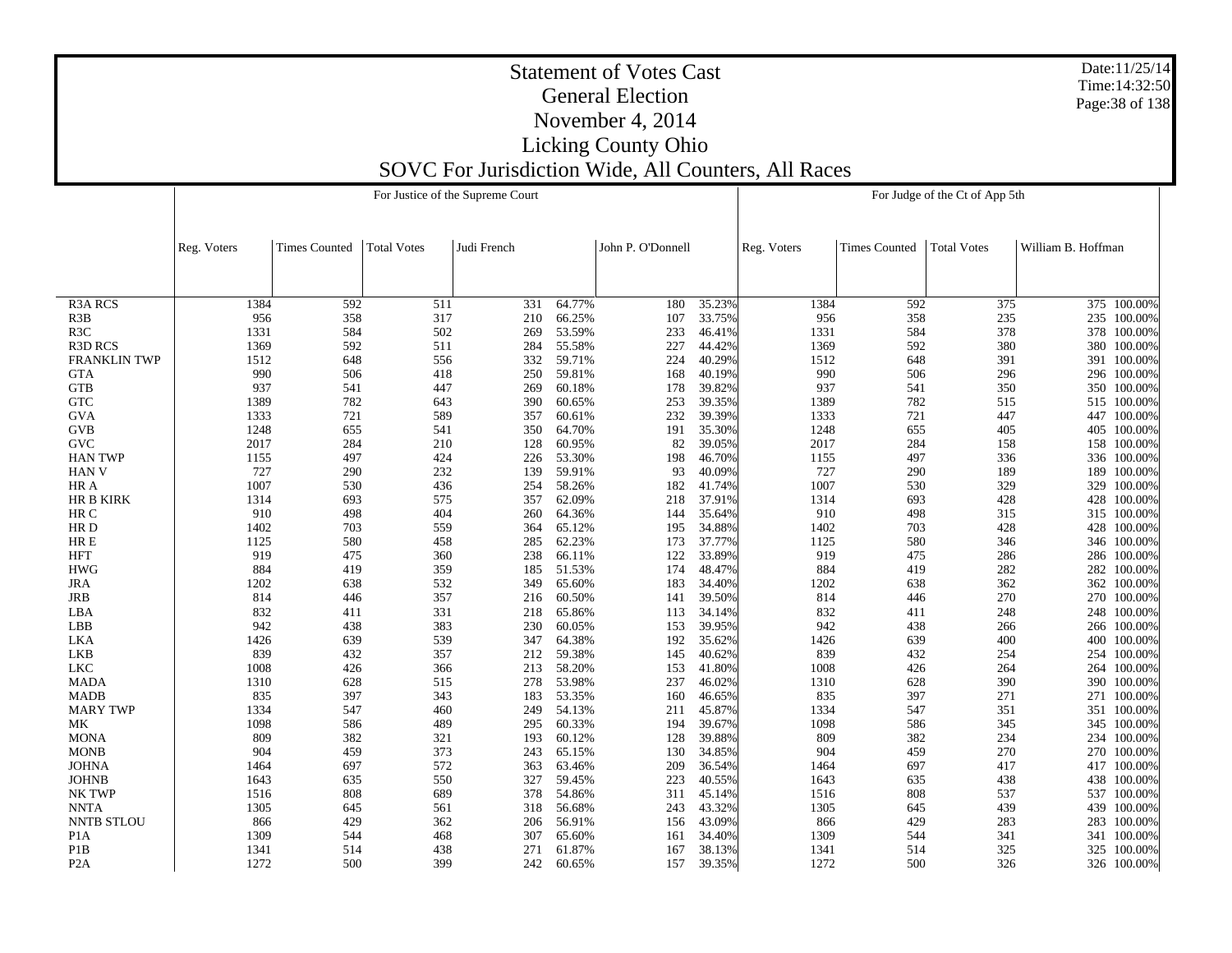Date:11/25/14Time:14:32:50Page:38 of 138

 R3A RCS R3B R3C R3D RCS FRANKLIN TWP GTA GTB GTC GVA GVB GVC HAN TWP HAN V HR A HR B KIRK HR C HR D HR E HFT HWG JRA JRB LBA LBB LKA LKB LKC MADA MADB MARY TWP MK MONA MONB JOHNA JOHNB NK TWP NNTA NNTB STLOU P1A P1B P2AReg. Voters Times Counted Total Votes Judi French John P. O'Donnell For Justice of the Supreme Court Reg. Voters Times Counted Total Votes William B. Hoffman For Judge of the Ct of App 5th 1384 $\overline{592}$   $\overline{511}$   $\overline{331}$   $\overline{64.77\%}$  180 35.23% 1384 592 375 375 100.00% 956 358 317 210 66.25% 107 33.75% 956 358 235 235 100.00% 1331 584 502 269 53.59% 233 46.41% 1331 584 378 378 100.00% 1369 592 511 284 55.58% 227 44.42% 1369 592 380 380 100.00% 1512 648 556 332 59.71% 224 40.29% 1512 648 391 391 100.00% 990 506 418 250 59.81% 168 40.19% 990 506 296 296 100.00% 937 541 447 269 60.18% 178 39.82% 937 541 350 350 100.00% 1389 782 643 390 60.65% 253 39.35% 1389 782 515 515 100.00% 1333 721 589 357 60.61% 232 39.39% 1333 721 447 447 100.00% 1248 655 541 350 64.70% 191 35.30% 1248 655 405 405 100.00% 2017 284 210 128 60.95% 82 39.05% 2017 284 158 158 100.00% 1155 497 424 226 53.30% 198 46.70% 1155 497 336 336 100.00% 727 290 232 139 59.91% 93 40.09% 727 290 189 189 100.00% 1007 530 436 254 58.26%182 41.74% 1007 530 329 329 329 100.00% 1314 693 575 357 62.09%218 37.91% 1314 693 428 428 100.00% 910 498 404 260 64.36%144 35.64% 910 910 498 315 315 100.00% 1402 703 559 364 65.12% 195 34.88% 1402 703 428 428 100.00% 1125 580 458 285 62.23% 173 37.77% 1125 580 346 346 100.00% 919 475 360 238 66.11% 122 33.89% 919 475 286 286 100.00% 884 419 359 185 51.53% 174 48.47% 884 419 282 282 100.00% 1202 638 532 349 65.60% 183 34.40% 1202 638 362 362 100.00% 814 446 357 216 60.50%141 39.50% 814 446 270 270 100.00% 832 411 331 218 65.86%113 34.14% 832 411 248 248 100.00% 942 438 383 230 60.05% 153 39.95% 942 438 266 266 100.00% 1426 639 539 347 64.38% 192 35.62% 1426 639 400 400 100.00% 839 432 357 212 59.38% 145 40.62% 839 432 254 254 100.00% 1008 426 366 213 58.20%153 41.80% 1008 426 264 264 100.00% 1310 628 515 278 53.98% 237 46.02% 1310 628 390 390 100.00% 835 397 343 183 53.35% 160 46.65% 835 397 271 271 100.00% 1334 547 460 249 54.13%% 211 45.87% 1334 547 351 351 100.00% 1098 586 489 295 60.33% 194 39.67% 1098 586 345 345 100.00% 809 382 321 193 60.12% 128 39.88% 809 382 234 234 100.00% 904 459 373 243 65.15% 130 34.85% 904 459 270 270 100.00% 1464 697 572 363 63.46% 209 36.54% 1464 697 417 417 100.00% 1643 635 550 327 59.45% 223 40.55% 1643 635 438 438 100.00% 1516 808 689 378 54.86% 311 45.14% 1516 808 537 537 100.00% 1305 645 561 318 56.68% 243 43.32% 1305 645 439 439 100.00% 866 429 362 206 56.91% 156 43.09% 866 429 283 283 100.00% 1309 544 468 307 65.60% 161 34.40% 1309 544 341 341 100.00% 1341 514 438 271 61.87%% 167 38.13% 1341 514 325 325 100.00% 1272 500 399 242 60.65%157 39.35% 1272 500 326 326 100.00%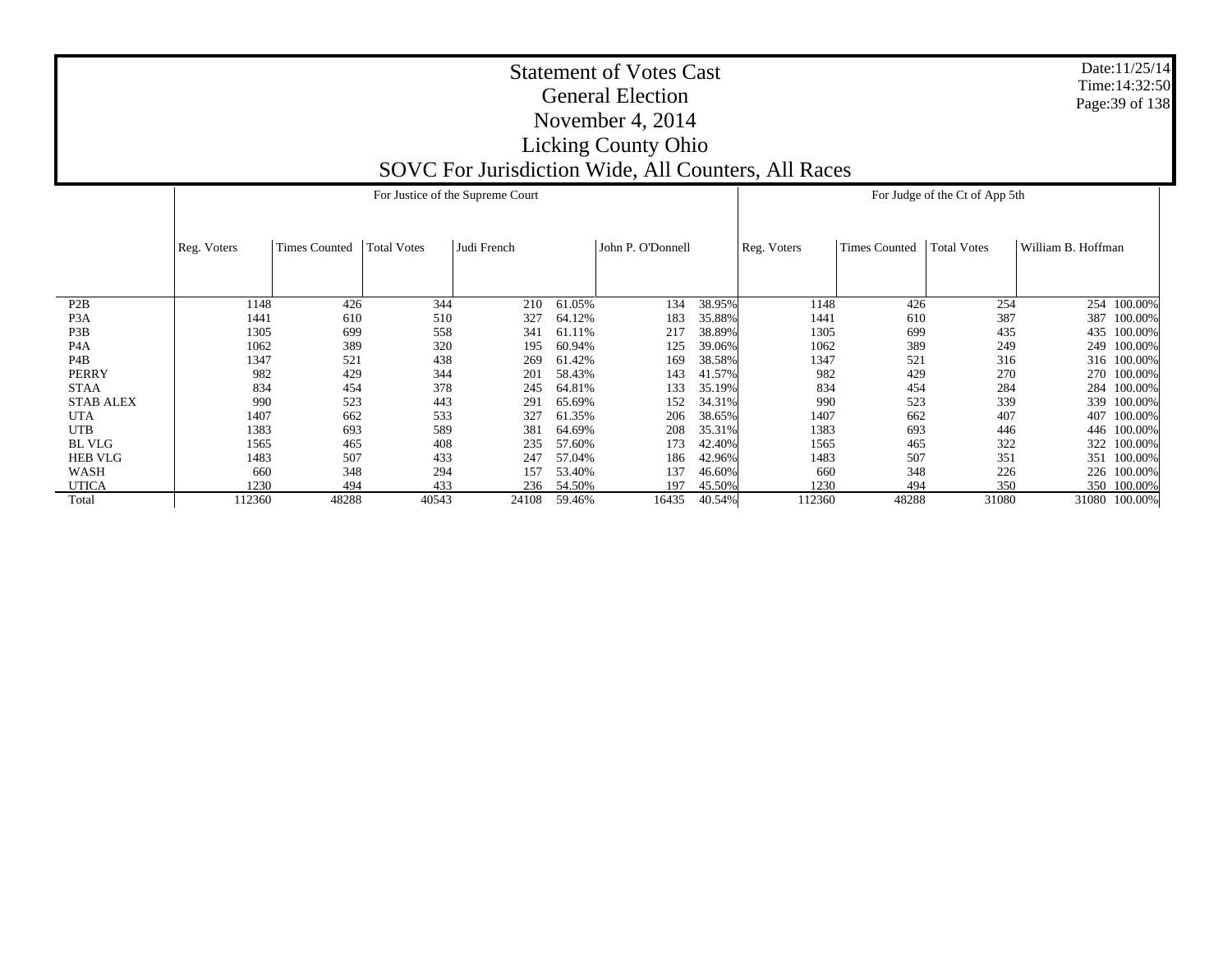|                  |             |                      |                    | For Justice of the Supreme Court |        |                   |        | For Judge of the Ct of App 5th |                      |                    |                    |  |
|------------------|-------------|----------------------|--------------------|----------------------------------|--------|-------------------|--------|--------------------------------|----------------------|--------------------|--------------------|--|
|                  | Reg. Voters | <b>Times Counted</b> | <b>Total Votes</b> | Judi French                      |        | John P. O'Donnell |        | Reg. Voters                    | <b>Times Counted</b> | <b>Total Votes</b> | William B. Hoffman |  |
|                  |             |                      |                    |                                  |        |                   |        |                                |                      |                    |                    |  |
| P <sub>2</sub> B | 1148        | 426                  | 344                | 210                              | 61.05% | 134               | 38.95% | 1148                           | 426                  | 254                | 254<br>100.00%     |  |
| P <sub>3</sub> A | 1441        | 610                  | 510                | 327                              | 64.12% | 183               | 35.88% | 1441                           | 610                  | 387                | 387<br>100.00%     |  |
| P3B              | 1305        | 699                  | 558                | 341                              | 61.11% | 217               | 38.89% | 1305                           | 699                  | 435                | 435<br>100.00%     |  |
| P <sub>4</sub> A | 1062        | 389                  | 320                | 195                              | 60.94% | 125               | 39.06% | 1062                           | 389                  | 249                | 100.00%<br>249     |  |
| P <sub>4</sub> B | 1347        | 521                  | 438                | 269                              | 61.42% | 169               | 38.58% | 1347                           | 521                  | 316                | 316 100.00%        |  |
| <b>PERRY</b>     | 982         | 429                  | 344                | 201                              | 58.43% | 143               | 41.57% | 982                            | 429                  | 270                | 270<br>100.00%     |  |
| <b>STAA</b>      | 834         | 454                  | 378                | 245                              | 64.81% | 133               | 35.19% | 834                            | 454                  | 284                | 284<br>100.00%     |  |
| <b>STAB ALEX</b> | 990         | 523                  | 443                | 291                              | 65.69% | 152               | 34.31% | 990                            | 523                  | 339                | 339<br>100.00%     |  |
| <b>UTA</b>       | 1407        | 662                  | 533                | 327                              | 61.35% | 206               | 38.65% | 1407                           | 662                  | 407                | 407<br>100.00%     |  |
| <b>UTB</b>       | 1383        | 693                  | 589                | 381                              | 64.69% | 208               | 35.31% | 1383                           | 693                  | 446                | 100.00%<br>446     |  |
| <b>BL VLG</b>    | 1565        | 465                  | 408                | 235                              | 57.60% | 173               | 42.40% | 1565                           | 465                  | 322                | 322<br>100.00%     |  |
| <b>HEB VLG</b>   | 1483        | 507                  | 433                | 247                              | 57.04% | 186               | 42.96% | 1483                           | 507                  | 351                | 100.00%<br>351     |  |
| WASH             | 660         | 348                  | 294                | 157                              | 53.40% | 137               | 46.60% | 660                            | 348                  | 226                | 226 100.00%        |  |
| <b>UTICA</b>     | 1230        | 494                  | 433                | 236                              | 54.50% | 197               | 45.50% | 1230                           | 494                  | 350                | 350<br>100.00%     |  |
| Total            | 112360      | 48288                | 40543              | 24108                            | 59.46% | 16435             | 40.54% | 112360                         | 48288                | 31080              | 31080<br>100.00%   |  |

Date:11/25/14Time:14:32:50 Page:39 of 138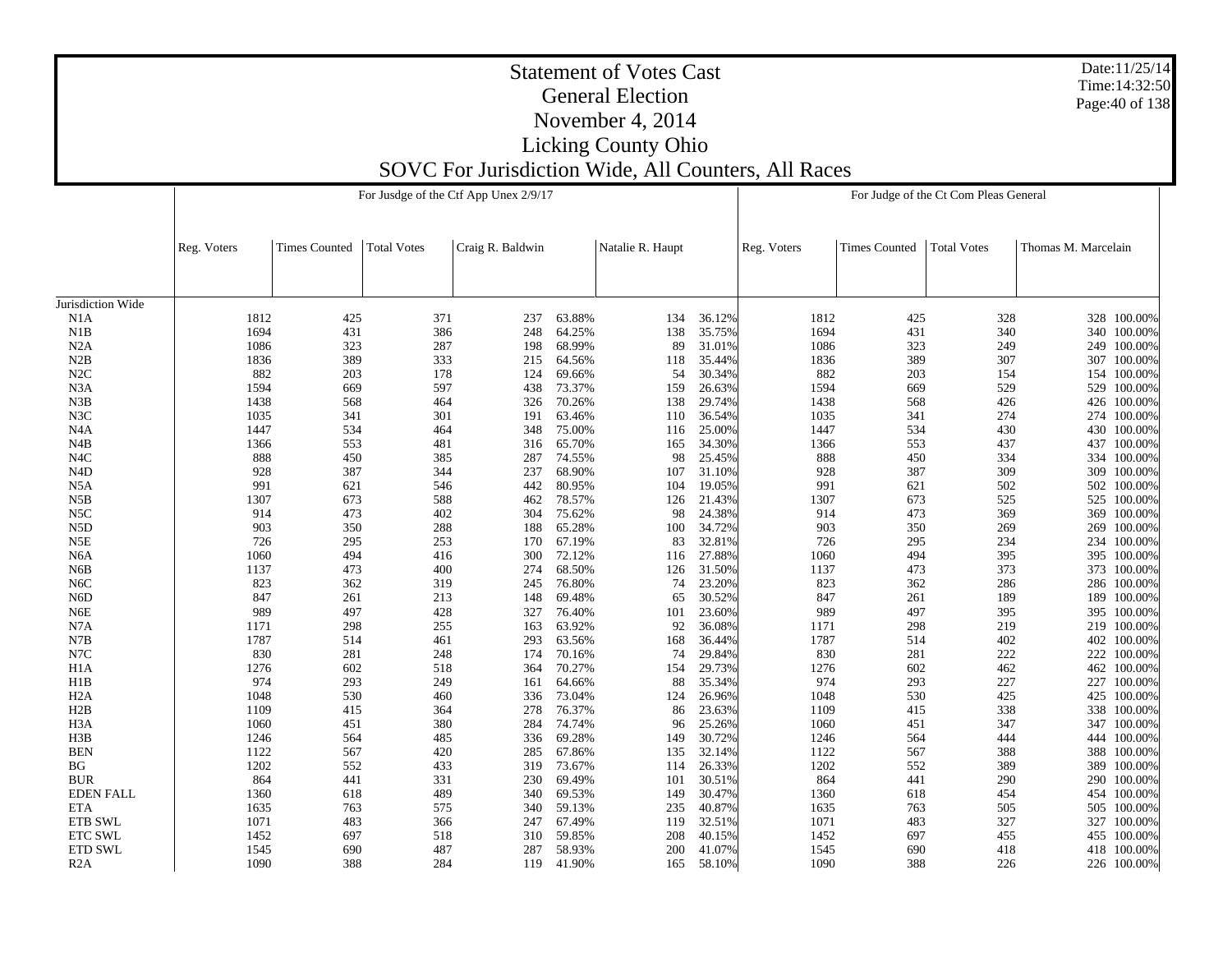|                                      |              | For Jusdge of the Ctf App Unex 2/9/17 |                    |                  |                  |                  |                  |              | For Judge of the Ct Com Pleas General |                    |                               |  |  |
|--------------------------------------|--------------|---------------------------------------|--------------------|------------------|------------------|------------------|------------------|--------------|---------------------------------------|--------------------|-------------------------------|--|--|
|                                      |              |                                       |                    |                  |                  |                  |                  |              |                                       |                    |                               |  |  |
|                                      |              |                                       |                    |                  |                  |                  |                  |              |                                       |                    |                               |  |  |
|                                      | Reg. Voters  | <b>Times Counted</b>                  | <b>Total Votes</b> | Craig R. Baldwin |                  | Natalie R. Haupt |                  | Reg. Voters  | <b>Times Counted</b>                  | <b>Total Votes</b> | Thomas M. Marcelain           |  |  |
|                                      |              |                                       |                    |                  |                  |                  |                  |              |                                       |                    |                               |  |  |
|                                      |              |                                       |                    |                  |                  |                  |                  |              |                                       |                    |                               |  |  |
| Jurisdiction Wide                    |              |                                       |                    |                  |                  |                  |                  |              |                                       |                    |                               |  |  |
| N1A                                  | 1812         | 425                                   | 371                | 237              | 63.88%           | 134              | 36.12%           | 1812         | 425                                   | 328                | 328 100.00%                   |  |  |
| N1B                                  | 1694         | 431                                   | 386                | 248              | 64.25%           | 138              | 35.75%           | 1694         | 431                                   | 340                | 340 100.00%                   |  |  |
| N2A                                  | 1086         | 323                                   | 287                | 198              | 68.99%           | 89               | 31.01%           | 1086         | 323                                   | 249                | 249 100.00%                   |  |  |
| N2B                                  | 1836         | 389                                   | 333                | 215              | 64.56%           | 118              | 35.44%           | 1836         | 389                                   | 307                | 307 100.00%                   |  |  |
| N2C                                  | 882          | 203                                   | 178                | 124              | 69.66%           | 54               | 30.34%           | 882          | 203                                   | 154                | 154 100.00%                   |  |  |
| N3A                                  | 1594         | 669                                   | 597                | 438              | 73.37%           | 159              | 26.63%           | 1594         | 669                                   | 529                | 529 100.00%                   |  |  |
| N3B                                  | 1438         | 568                                   | 464                | 326              | 70.26%           | 138              | 29.74%           | 1438         | 568                                   | 426                | 426 100.00%                   |  |  |
| N3C                                  | 1035         | 341                                   | 301                | 191              | 63.46%           | 110              | 36.54%           | 1035         | 341                                   | 274                | 274 100.00%                   |  |  |
| N <sub>4</sub> A                     | 1447         | 534                                   | 464                | 348              | 75.00%           | 116              | 25.00%           | 1447         | 534                                   | 430                | 430 100.00%                   |  |  |
| N4B                                  | 1366         | 553                                   | 481                | 316              | 65.70%           | 165              | 34.30%           | 1366         | 553                                   | 437                | 437 100.00%                   |  |  |
| N <sub>4</sub> C                     | 888          | 450                                   | 385                | 287              | 74.55%           | 98               | 25.45%           | 888          | 450                                   | 334                | 334 100.00%                   |  |  |
| N <sub>4</sub> D                     | 928          | 387                                   | 344                | 237              | 68.90%           | 107              | 31.10%           | 928          | 387                                   | 309                | 309 100.00%                   |  |  |
| N5A                                  | 991          | 621<br>673                            | 546                | 442              | 80.95%           | 104              | 19.05%           | 991          | 621                                   | 502                | 502 100.00%                   |  |  |
| N5B                                  | 1307         |                                       | 588                | 462              | 78.57%           | 126              | 21.43%           | 1307         | 673                                   | 525                | 525 100.00%                   |  |  |
| N <sub>5</sub> C                     | 914          | 473                                   | 402                | 304              | 75.62%<br>65.28% | 98               | 24.38%           | 914<br>903   | 473                                   | 369                | 369<br>100.00%                |  |  |
| N5D                                  | 903          | 350                                   | 288                | 188              |                  | 100              | 34.72%           |              | 350                                   | 269                | 269 100.00%                   |  |  |
| N5E                                  | 726          | 295                                   | 253                | 170              | 67.19%           | 83               | 32.81%           | 726          | 295                                   | 234                | 234 100.00%                   |  |  |
| N <sub>6</sub> A<br>N <sub>6</sub> B | 1060<br>1137 | 494<br>473                            | 416<br>400         | 300<br>274       | 72.12%<br>68.50% | 116<br>126       | 27.88%<br>31.50% | 1060<br>1137 | 494<br>473                            | 395<br>373         | 395<br>100.00%<br>373 100.00% |  |  |
| N <sub>6</sub> C                     | 823          | 362                                   | 319                | 245              | 76.80%           | 74               | 23.20%           | 823          | 362                                   | 286                | 286<br>100.00%                |  |  |
| N <sub>6</sub> D                     | 847          | 261                                   | 213                | 148              | 69.48%           | 65               | 30.52%           | 847          | 261                                   | 189                | 189 100.00%                   |  |  |
| N6E                                  | 989          | 497                                   | 428                | 327              | 76.40%           | 101              | 23.60%           | 989          | 497                                   | 395                | 395 100.00%                   |  |  |
| N7A                                  | 1171         | 298                                   | 255                | 163              | 63.92%           | 92               | 36.08%           | 1171         | 298                                   | 219                |                               |  |  |
| N7B                                  | 1787         | 514                                   | 461                | 293              | 63.56%           | 168              | 36.44%           | 1787         | 514                                   | 402                | 219 100.00%<br>402<br>100.00% |  |  |
| N7C                                  | 830          | 281                                   | 248                | 174              | 70.16%           | 74               | 29.84%           | 830          | 281                                   | 222                | 222 100.00%                   |  |  |
| H1A                                  | 1276         | 602                                   | 518                | 364              | 70.27%           | 154              | 29.73%           | 1276         | 602                                   | 462                | 462 100.00%                   |  |  |
| H1B                                  | 974          | 293                                   | 249                | 161              | 64.66%           | 88               | 35.34%           | 974          | 293                                   | 227                | 227 100.00%                   |  |  |
| H2A                                  | 1048         | 530                                   | 460                | 336              | 73.04%           | 124              | 26.96%           | 1048         | 530                                   | 425                | 425<br>100.00%                |  |  |
| H2B                                  | 1109         | 415                                   | 364                | 278              | 76.37%           | 86               | 23.63%           | 1109         | 415                                   | 338                | 338 100.00%                   |  |  |
| H <sub>3</sub> A                     | 1060         | 451                                   | 380                | 284              | 74.74%           | 96               | 25.26%           | 1060         | 451                                   | 347                | 100.00%<br>347                |  |  |
| $_{\rm H3B}$                         | 1246         | 564                                   | 485                | 336              | 69.28%           | 149              | 30.72%           | 1246         | 564                                   | 444                | 444 100.00%                   |  |  |
| <b>BEN</b>                           | 1122         | 567                                   | 420                | 285              | 67.86%           | 135              | 32.14%           | 1122         | 567                                   | 388                | 100.00%<br>388                |  |  |
| <b>BG</b>                            | 1202         | 552                                   | 433                | 319              | 73.67%           | 114              | 26.33%           | 1202         | 552                                   | 389                | 389 100.00%                   |  |  |
| <b>BUR</b>                           | 864          | 441                                   | 331                | 230              | 69.49%           | 101              | 30.51%           | 864          | 441                                   | 290                | 290<br>100.00%                |  |  |
| <b>EDEN FALL</b>                     | 1360         | 618                                   | 489                | 340              | 69.53%           | 149              | 30.47%           | 1360         | 618                                   | 454                | 454 100.00%                   |  |  |
| <b>ETA</b>                           | 1635         | 763                                   | 575                | 340              | 59.13%           | 235              | 40.87%           | 1635         | 763                                   | 505                | 100.00%<br>505                |  |  |
| <b>ETB SWL</b>                       | 1071         | 483                                   | 366                | 247              | 67.49%           | 119              | 32.51%           | 1071         | 483                                   | 327                | 327<br>100.00%                |  |  |
| <b>ETC SWL</b>                       | 1452         | 697                                   | 518                | 310              | 59.85%           | 208              | 40.15%           | 1452         | 697                                   | 455                | 455 100.00%                   |  |  |
| <b>ETD SWL</b>                       | 1545         | 690                                   | 487                | 287              | 58.93%           | 200              | 41.07%           | 1545         | 690                                   | 418                | 418 100.00%                   |  |  |
| R2A                                  | 1090         | 388                                   | 284                | 119              | 41.90%           | 165              | 58.10%           | 1090         | 388                                   | 226                | 226 100.00%                   |  |  |
|                                      |              |                                       |                    |                  |                  |                  |                  |              |                                       |                    |                               |  |  |

Date:11/25/14 Time:14:32:50Page:40 of 138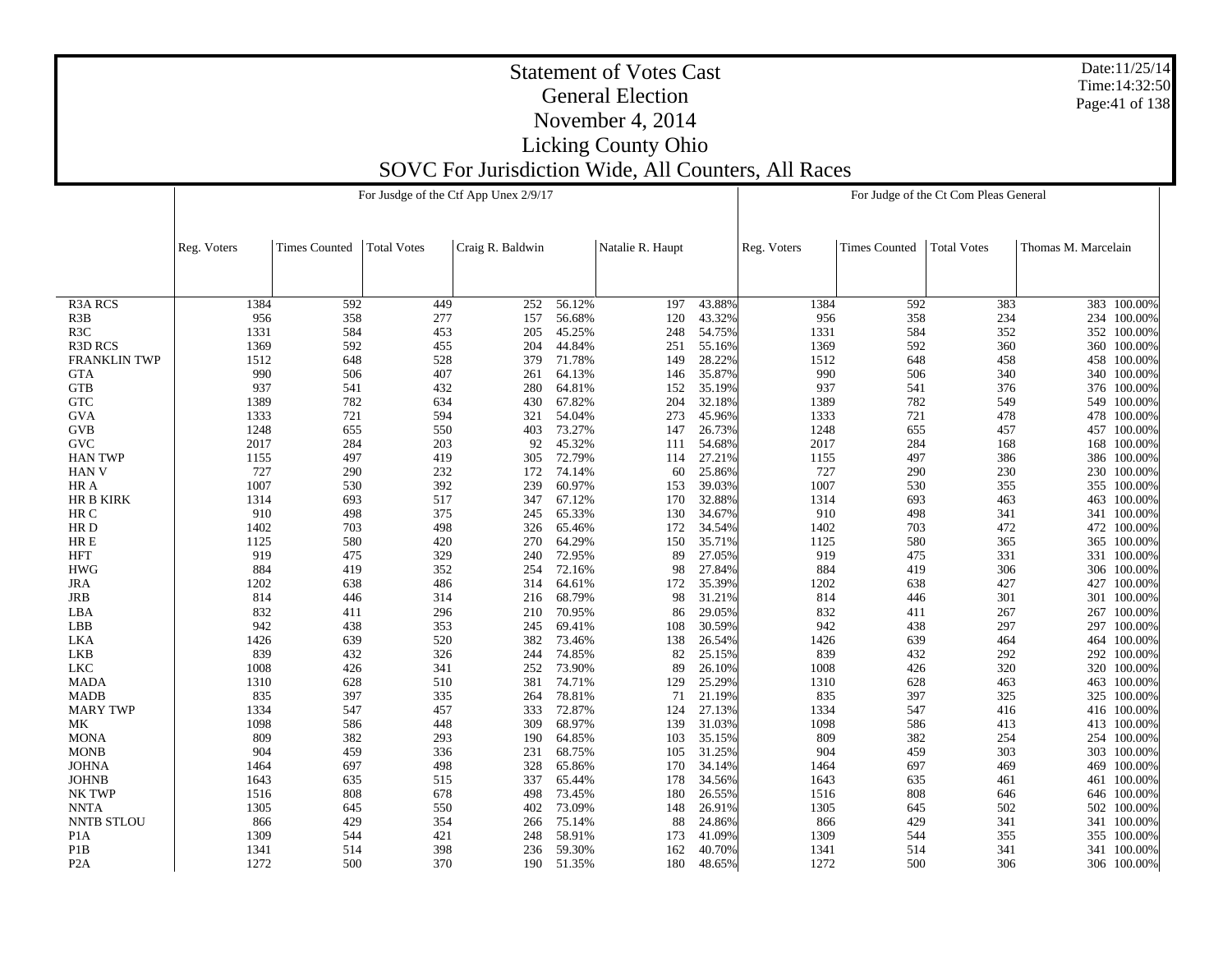R3A RCS R3B R3C R3D RCS FRANKLIN TWP GTA GTB GTC GVA GVB GVC HAN TWP HAN V HR A HR B KIRK HR C HR D HR E HFT HWG JRA JRB LBA LBB LKA LKB LKC MADA MADB MARY TWP MK MONA MONB JOHNA JOHNB NK TWP NNTA NNTB STLOU P1A P1B P2AReg. Voters Times Counted | Total Votes | Craig R. Baldwin | Natalie R. Haupt For Jusdge of the Ctf App Unex  $2/9/17$ Reg. Voters Times Counted Total Votes Thomas M. Marcelain For Judge of the Ct Com Pleas General 1384 592 449 252 56.12%197 43.88% 1384 592 383 383 100.00% 956 358 277 157 56.68% 120 43.32% 956 358 234 234 100.00% 1331 584 453 205 45.25%248 54.75% 1331 584 352 352 100.00% 1369 592 455 204 44.84% 251 55.16% 1369 592 360 360 100.00% 1512 648 528 379 71.78% 149 28.22% 1512 648 458 458 100.00% 990 506 407 261 64.13%146 35.87% 990 506 340 340 100.00% 937 541 432 280 64.81% 152 35.19% 937 541 376 376 100.00% 1389 782 634 430 67.82% 204 32.18% 1389 782 549 549 100.00% 1333 721 594 321 54.04% 273 45.96% 1333 721 478 478 100.00% 1248 655 550 403 73.27% 147 26.73% 1248 655 457 457 100.00% 2017 284 203 92 45.32% 111 54.68% 2017 284 168 168 100.00% 1155 497 419 305 72.79%114 27.21% 1155 497 386 386 100.00% 727 290 232 172 74.14% 60 25.86% 727 290 230 230 100.00% 1007 530 392 239 60.97% 153 39.03% 1007 530 355 355 100.00% 1314 693 517 347 67.12%170 32.88% 1314 693 463 463 100.00% 910 498 375 245 65.33%130 34.67% 910 910 498 341 341 100.00% 1402 703 498 326 65.46% 172 34.54% 1402 703 472 472 100.00% 1125 580 420 270 64.29%150 35.71% 1125 580 365 365 100.00% 919 475 329 240 72.95% 89 27.05% 919 475 331 331 100.00% 884 419 352 254 72.16% 98 27.84% 884 419 306 306 100.00% 1202 638 486 314 64.61% 172 35.39% 1202 638 427 427 100.00% 814 446 314 216 68.79%98 31.21% 814 446 301 301 100.00% 832 411 296 210 70.95%86 29.05% 832 411 267 267 100.00% 942 438 353 245 69.41% 108 30.59% 942 438 297 297 100.00% 1426 639 520 382 73.46% 138 26.54% 1426 639 464 464 100.00% 839 432 326 244 74.85% 82 25.15% 839 432 292 292 100.00% 1008 426 341 252 73.90%89 26.10% 1008 426 320 320 320 100.00% 1310 628 510 381 74.71% 129 25.29% 1310 628 463 463 100.00% 835 397 335 264 78.81% 71 21.19% 835 397 325 325 100.00% 1334 547 457 333 72.87% 124 27.13% 1334 547 416 416 100.00% 1098 586 448 309 68.97% 139 31.03% 1098 586 413 413 100.00% 809 382 293 190 64.85% 103 35.15% 809 382 254 254 100.00% 904 459 336 231 68.75%105 31.25% 904 459 303 303 100.00% 1464 697 498 328 65.86% 170 34.14% 1464 697 469 469 100.00% 1643 635 515 337 65.44%178 34.56% 1643 635 461 461 100.00% 1516 808 678 498 73.45%180 26.55% 1516 808 646 646 100.00% 1305 645 550 402 73.09% 148 26.91% 1305 645 502 502 100.00% 866 429 354 266 75.14% 88 24.86% 866 429 341 341 100.00% 1309 544 421 248 58.91%173 41.09% 1309 1309 544 355 355 100.00% 1341 514 398 236 59.30%% 162 40.70% 1341 514 514 341 341 100.00% 1272 500 370 190 51.35%180 48.65% 1272 500 306 306 100.00%

Date:11/25/14Time:14:32:50Page:41 of 138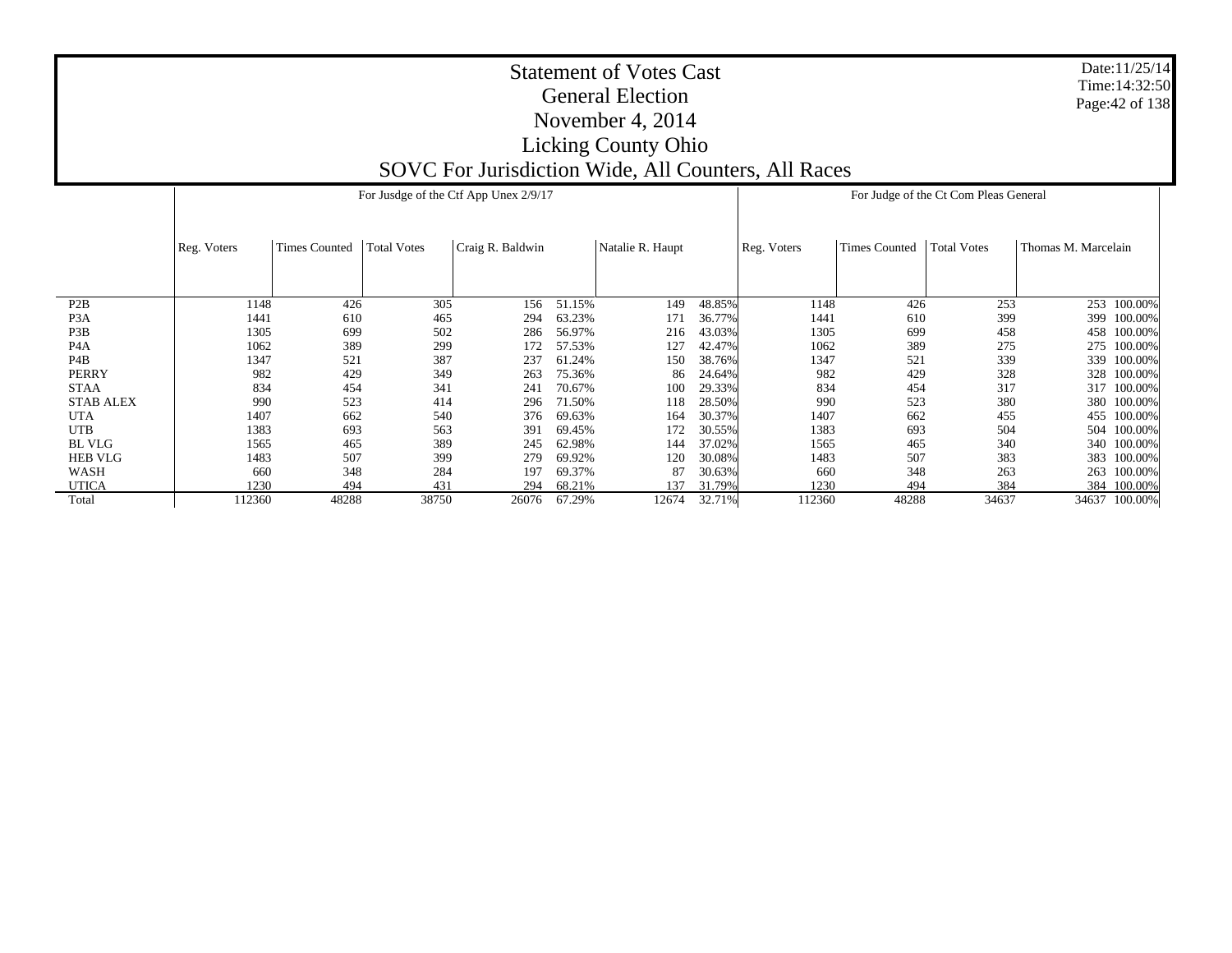|                  |             |                      |                    | For Jusdge of the Ctf App Unex 2/9/17 |        |                  |        |             |                      | For Judge of the Ct Com Pleas General |                     |               |
|------------------|-------------|----------------------|--------------------|---------------------------------------|--------|------------------|--------|-------------|----------------------|---------------------------------------|---------------------|---------------|
|                  |             |                      |                    |                                       |        |                  |        |             |                      |                                       |                     |               |
|                  |             |                      |                    |                                       |        |                  |        |             |                      |                                       |                     |               |
|                  | Reg. Voters | <b>Times Counted</b> | <b>Total Votes</b> | Craig R. Baldwin                      |        | Natalie R. Haupt |        | Reg. Voters | <b>Times Counted</b> | <b>Total Votes</b>                    | Thomas M. Marcelain |               |
|                  |             |                      |                    |                                       |        |                  |        |             |                      |                                       |                     |               |
|                  |             |                      |                    |                                       |        |                  |        |             |                      |                                       |                     |               |
|                  |             |                      |                    |                                       |        |                  |        |             |                      |                                       |                     |               |
| P2B              | 1148        | 426                  | 305                | 156                                   | 51.15% | 149              | 48.85% | 1148        | 426                  | 253                                   |                     | 253 100.00%   |
| P <sub>3</sub> A | 1441        | 610                  | 465                | 294                                   | 63.23% | 171              | 36.77% | 1441        | 610                  | 399                                   | 399                 | 100.00%       |
| P3B              | 1305        | 699                  | 502                | 286                                   | 56.97% | 216              | 43.03% | 1305        | 699                  | 458                                   | 458                 | 100.00%       |
| P <sub>4</sub> A | 1062        | 389                  | 299                | 172                                   | 57.53% | 127              | 42.47% | 1062        | 389                  | 275                                   | 275                 | 100.00%       |
| P <sub>4</sub> B | 1347        | 521                  | 387                | 237                                   | 61.24% | 150              | 38.76% | 1347        | 521                  | 339                                   | 339                 | 100.00%       |
| <b>PERRY</b>     | 982         | 429                  | 349                | 263                                   | 75.36% | 86               | 24.64% | 982         | 429                  | 328                                   | 328                 | 100.00%       |
| <b>STAA</b>      | 834         | 454                  | 341                | 241                                   | 70.67% | 100              | 29.33% | 834         | 454                  | 317                                   | 317                 | 100.00%       |
| <b>STAB ALEX</b> | 990         | 523                  | 414                | 296                                   | 71.50% | 118              | 28.50% | 990         | 523                  | 380                                   | 380                 | 100.00%       |
| <b>UTA</b>       | 1407        | 662                  | 540                | 376                                   | 69.63% | 164              | 30.37% | 1407        | 662                  | 455                                   | 455                 | 100.00%       |
| <b>UTB</b>       | 1383        | 693                  | 563                | 391                                   | 69.45% | 172              | 30.55% | 1383        | 693                  | 504                                   |                     | 504 100.00%   |
| BL VLG           | 1565        | 465                  | 389                | 245                                   | 62.98% | 144              | 37.02% | 1565        | 465                  | 340                                   | 340                 | 100.00%       |
| <b>HEB VLG</b>   | 1483        | 507                  | 399                | 279                                   | 69.92% | 120              | 30.08% | 1483        | 507                  | 383                                   | 383                 | 100.00%       |
| WASH             | 660         | 348                  | 284                | 197                                   | 69.37% | 87               | 30.63% | 660         | 348                  | 263                                   | 263                 | 100.00%       |
| <b>UTICA</b>     | 1230        | 494                  | 431                | 294                                   | 68.21% | 137              | 31.79% | 1230        | 494                  | 384                                   |                     | 384 100.00%   |
| Total            | 112360      | 48288                | 38750              | 26076                                 | 67.29% | 12674            | 32.71% | 112360      | 48288                | 34637                                 |                     | 34637 100.00% |

# Date:11/25/14Time:14:32:50 Page:42 of 138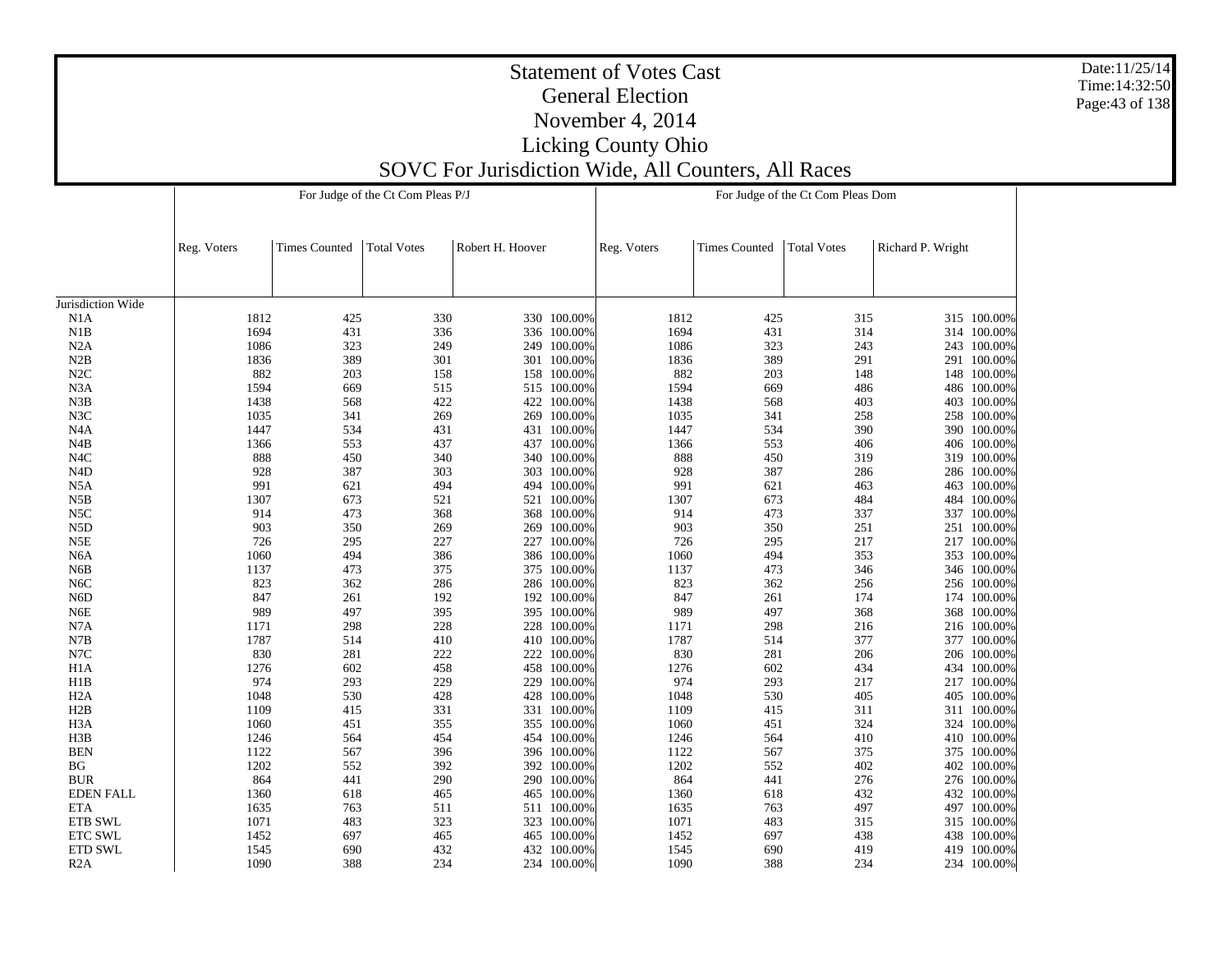| <b>Statement of Votes Cast</b><br><b>General Election</b><br>November 4, 2014<br><b>Licking County Ohio</b> |                                                     |                                                                                                                                                  |                                   |                  |                            |             |                      |                                   |                   |                            | Date:11/25/14<br>Time: 14:32:50<br>Page: 43 of 138 |  |  |
|-------------------------------------------------------------------------------------------------------------|-----------------------------------------------------|--------------------------------------------------------------------------------------------------------------------------------------------------|-----------------------------------|------------------|----------------------------|-------------|----------------------|-----------------------------------|-------------------|----------------------------|----------------------------------------------------|--|--|
|                                                                                                             | SOVC For Jurisdiction Wide, All Counters, All Races |                                                                                                                                                  |                                   |                  |                            |             |                      |                                   |                   |                            |                                                    |  |  |
|                                                                                                             |                                                     |                                                                                                                                                  | For Judge of the Ct Com Pleas P/J |                  |                            |             |                      | For Judge of the Ct Com Pleas Dom |                   |                            |                                                    |  |  |
|                                                                                                             |                                                     |                                                                                                                                                  |                                   |                  |                            |             |                      |                                   |                   |                            |                                                    |  |  |
|                                                                                                             |                                                     |                                                                                                                                                  |                                   |                  |                            |             |                      |                                   |                   |                            |                                                    |  |  |
|                                                                                                             | Reg. Voters                                         | <b>Times Counted</b>                                                                                                                             | <b>Total Votes</b>                | Robert H. Hoover |                            | Reg. Voters | <b>Times Counted</b> | <b>Total Votes</b>                | Richard P. Wright |                            |                                                    |  |  |
|                                                                                                             |                                                     |                                                                                                                                                  |                                   |                  |                            |             |                      |                                   |                   |                            |                                                    |  |  |
|                                                                                                             |                                                     |                                                                                                                                                  |                                   |                  |                            |             |                      |                                   |                   |                            |                                                    |  |  |
| Jurisdiction Wide                                                                                           |                                                     |                                                                                                                                                  |                                   |                  |                            |             |                      |                                   |                   |                            |                                                    |  |  |
| N1A                                                                                                         | 1812                                                | 425                                                                                                                                              | 330                               |                  | 330 100.00%                | 1812        | 425                  | 315                               |                   | 315 100.00%                |                                                    |  |  |
| N1B                                                                                                         | 1694                                                | 431                                                                                                                                              | 336                               |                  | 336 100.00%                | 1694        | 431                  | 314                               |                   | 314 100.00%                |                                                    |  |  |
| N2A                                                                                                         | 1086                                                | 323<br>389                                                                                                                                       | 249<br>301                        |                  | 249 100.00%                | 1086        | 323                  | 243                               |                   | 243 100.00%                |                                                    |  |  |
| N2B<br>N2C                                                                                                  | 1836<br>882                                         | 203                                                                                                                                              | 158                               |                  | 301 100.00%<br>158 100.00% | 1836<br>882 | 389<br>203           | 291<br>148                        |                   | 291 100.00%<br>148 100.00% |                                                    |  |  |
| N3A                                                                                                         | 1594                                                | 669                                                                                                                                              | 515                               |                  | 515 100.00%                | 1594        | 669                  | 486                               |                   | 486 100.00%                |                                                    |  |  |
| N3B                                                                                                         | 1438                                                | 568                                                                                                                                              | 422                               |                  | 422 100.00%                | 1438        | 568                  | 403                               |                   | 403 100.00%                |                                                    |  |  |
| N3C                                                                                                         | 1035                                                | 341                                                                                                                                              | 269                               |                  | 269 100.00%                | 1035        | 341                  | 258                               |                   | 258 100.00%                |                                                    |  |  |
| N4A                                                                                                         | 1447                                                | 534                                                                                                                                              | 431                               |                  | 431 100.00%                | 1447        | 534                  | 390                               |                   | 390 100.00%                |                                                    |  |  |
| N4B                                                                                                         | 1366                                                | 553                                                                                                                                              | 437                               |                  | 437 100.00%                | 1366        | 553                  | 406                               |                   | 406 100.00%                |                                                    |  |  |
| N <sub>4</sub> C                                                                                            | 888                                                 | 450                                                                                                                                              | 340                               |                  | 340 100.00%                | 888         | 450                  | 319                               |                   | 319 100.00%                |                                                    |  |  |
| N <sub>4</sub> D                                                                                            | 928                                                 | 387                                                                                                                                              | 303                               |                  | 303 100.00%                | 928         | 387                  | 286                               |                   | 286 100.00%                |                                                    |  |  |
| N5A                                                                                                         | 991                                                 | 621                                                                                                                                              | 494                               |                  | 494 100.00%                | 991         | 621                  | 463                               |                   | 463 100.00%                |                                                    |  |  |
| N5B<br>N <sub>5</sub> C                                                                                     | 1307<br>914                                         | 673<br>473                                                                                                                                       | 521<br>368                        |                  | 521 100.00%<br>368 100.00% | 1307<br>914 | 673<br>473           | 484<br>337                        |                   | 484 100.00%<br>337 100.00% |                                                    |  |  |
| N <sub>5</sub> D                                                                                            | 903                                                 | 350                                                                                                                                              | 269                               |                  | 269 100.00%                | 903         | 350                  | 251                               |                   | 251 100.00%                |                                                    |  |  |
| N5E                                                                                                         | 726                                                 | 295                                                                                                                                              | 227                               |                  | 227 100.00%                | 726         | 295                  | 217                               |                   | 217 100.00%                |                                                    |  |  |
| N6A                                                                                                         | 1060                                                | 494                                                                                                                                              | 386                               |                  | 386 100.00%                | 1060        | 494                  | 353                               |                   | 353 100.00%                |                                                    |  |  |
| N6B                                                                                                         | 1137                                                | 473                                                                                                                                              | 375                               |                  | 375 100.00%                | 1137        | 473                  | 346                               |                   | 346 100.00%                |                                                    |  |  |
| N6C                                                                                                         | 823                                                 | 362                                                                                                                                              | 286                               |                  | 286 100.00%                | 823         | 362                  | 256                               |                   | 256 100.00%                |                                                    |  |  |
| N6D                                                                                                         | 847                                                 | 261                                                                                                                                              | 192                               |                  | 192 100.00%                | 847         | 261                  | 174                               |                   | 174 100.00%                |                                                    |  |  |
| N6E                                                                                                         | 989                                                 | 497                                                                                                                                              | 395                               |                  | 395 100.00%                | 989         | 497                  | 368                               |                   | 368 100.00%                |                                                    |  |  |
| N7A                                                                                                         | 1171                                                | 298                                                                                                                                              | 228                               |                  | 228 100.00%                | 1171        | 298                  | 216                               |                   | 216 100.00%                |                                                    |  |  |
| N7B<br>N7C                                                                                                  | 1787<br>830                                         | 514<br>281                                                                                                                                       | 410<br>222                        |                  | 410 100.00%                | 1787<br>830 | 514<br>281           | 377<br>206                        |                   | 377 100.00%                |                                                    |  |  |
| H1A                                                                                                         | 1276                                                | 602                                                                                                                                              | 458                               |                  | 222 100.00%<br>458 100.00% | 1276        | 602                  | 434                               |                   | 206 100.00%<br>434 100.00% |                                                    |  |  |
| H1B                                                                                                         | 974                                                 | 293                                                                                                                                              | 229                               |                  | 229 100.00%                | 974         | 293                  | 217                               |                   | 217 100.00%                |                                                    |  |  |
| H <sub>2</sub> A                                                                                            | 1048                                                | 530                                                                                                                                              | 428                               |                  | 428 100.00%                | 1048        | 530                  | 405                               |                   | 405 100.00%                |                                                    |  |  |
| H2B                                                                                                         | 1109                                                | 415                                                                                                                                              | 331                               |                  | 331 100.00%                | 1109        | 415                  | 311                               |                   | 311 100.00%                |                                                    |  |  |
| H3A                                                                                                         | 1060                                                | 451                                                                                                                                              | 355                               |                  | 355 100.00%                | 1060        | 451                  | 324                               |                   | 324 100.00%                |                                                    |  |  |
| H3B                                                                                                         | 1246                                                | 564                                                                                                                                              | 454                               |                  | 454 100.00%                | 1246        | 564                  | 410                               |                   | 410 100.00%                |                                                    |  |  |
| <b>BEN</b>                                                                                                  | 1122                                                | 567                                                                                                                                              | 396                               |                  | 396 100.00%                | 1122        | 567                  | 375                               |                   | 375 100.00%                |                                                    |  |  |
| BG                                                                                                          | 1202                                                | 552                                                                                                                                              | 392                               |                  | 392 100.00%                | 1202        | 552                  | 402                               |                   | 402 100.00%                |                                                    |  |  |
| <b>BUR</b>                                                                                                  |                                                     | 290<br>290 100.00%<br>276<br>864<br>441<br>864<br>441<br>276 100.00%                                                                             |                                   |                  |                            |             |                      |                                   |                   |                            |                                                    |  |  |
| <b>EDEN FALL</b>                                                                                            |                                                     | 465 100.00%<br>1360<br>618<br>465<br>1360<br>618<br>432<br>432 100.00%<br>763<br>1635<br>511<br>511 100.00%<br>1635<br>763<br>497<br>497 100.00% |                                   |                  |                            |             |                      |                                   |                   |                            |                                                    |  |  |
| ETA<br><b>ETB SWL</b>                                                                                       |                                                     | 323<br>323 100.00%<br>315<br>1071<br>483<br>1071<br>483<br>315 100.00%                                                                           |                                   |                  |                            |             |                      |                                   |                   |                            |                                                    |  |  |
| <b>ETC SWL</b>                                                                                              | 1452                                                | 697                                                                                                                                              | 465                               |                  | 465 100.00%                | 1452        | 697                  | 438                               |                   | 438 100.00%                |                                                    |  |  |
| ETD SWL                                                                                                     | 1545                                                | 690                                                                                                                                              | 432                               |                  | 432 100.00%                | 1545        | 690                  | 419                               |                   | 419 100.00%                |                                                    |  |  |
| R2A                                                                                                         | 1090                                                | 388                                                                                                                                              | 234                               |                  | 234 100.00%                | 1090        | 388                  | 234                               |                   | 234 100.00%                |                                                    |  |  |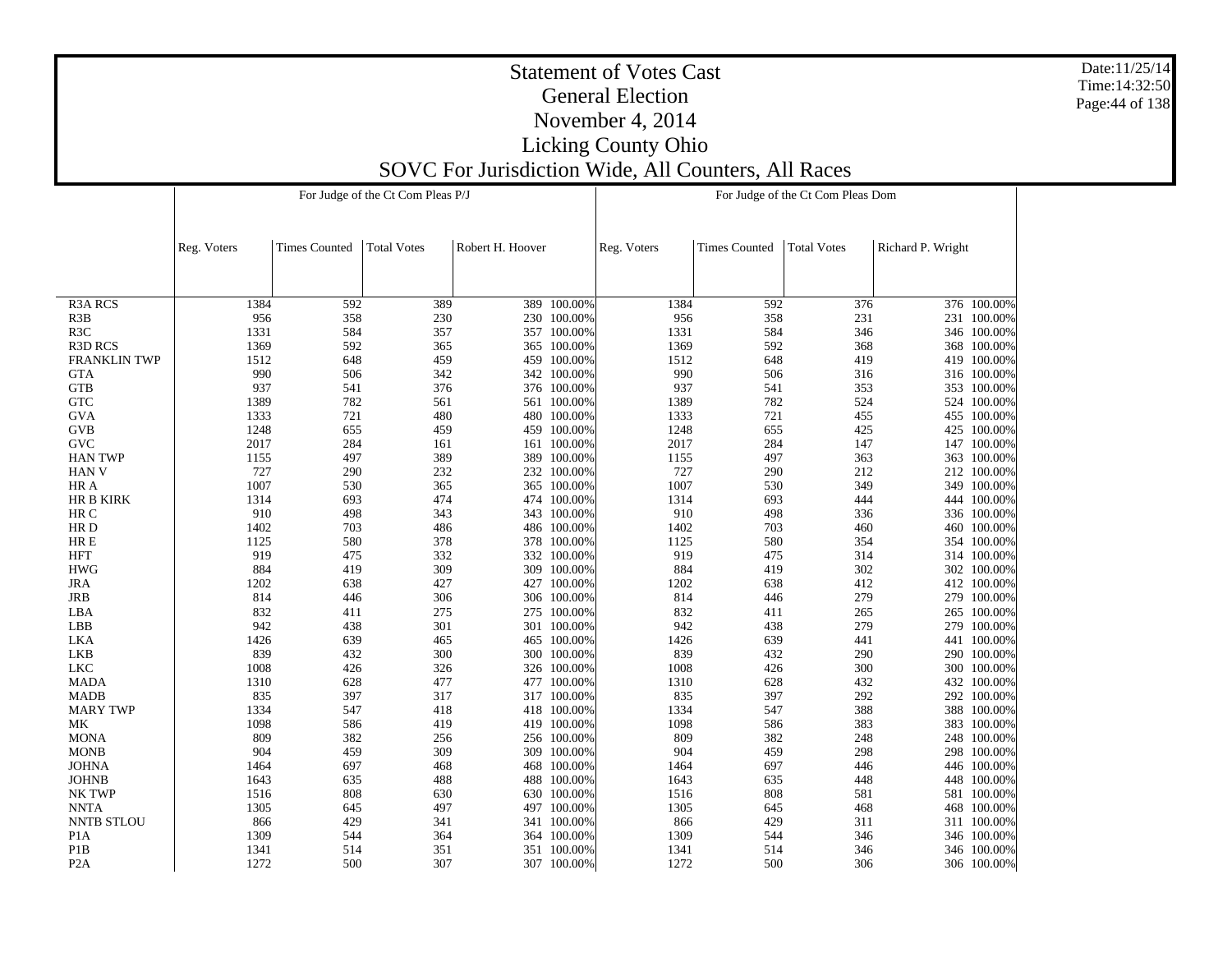R3A RCS R3B R3C R3D RCS FRANKLIN TWP GTA GTB GTC GVA GVB GVC HAN TWP HAN V HR A HR B KIRK HR C HR D HR E HFT HWG JRA JRB LBA LBB LKA LKB LKC MADA MADB MARY TWP MK MONA MONB JOHNA JOHNB NK TWP NNTA NNTB STLOU P1A P1B P2AReg. Voters Times Counted Total Votes Robert H. Hoover For Judge of the Ct Com Pleas P/J Reg. Voters Times Counted Total Votes Richard P. Wright For Judge of the Ct Com Pleas Dom 1384 592 389 389 100.00% 1384 592 376 376 100.00% 956 358 230 230 100.00% 956 358 231 231 100.00% 1331 584 357 357 100.00% 1331 584 346 346 100.00% 1369 592 365 365 100.00%1369 592 368 368 100.00% 1512 648 459 459 100.00%1512 648 419 419 100.00% 990 506 342 342 100.00% 990 506 316 316 100.00% 937 541 376 376 100.00%937 541 353 353 100.00% 1389 782 561 561 100.00%1389 782 524 524 100.00% 1333 721 480 480 100.00% 1333 721 455 455 100.00% 1248 655 459 459 100.00% 1248 655 425 425 100.00% 2017 284 161 161 100.00%2017 284 147 100.00% 1155 497 389 389 100.00%1155 497 363 363 100.00% 727 290 232 232 100.00% 727 290 212 212 100.00% 1007 530 365 365 100.00% 1007 530 349 349 100.00% 1314 693 474 474 100.00%1314 693 444 444 100.00% 910 498 343 343 100.00% 910 498 336 336 100.00% 1402 703 486 486 100.00%1402 703 460 460 100.00% 1125 580 378 378 100.00% 1125 580 354 354 100.00% 919 475 332 332 100.00%919 475 314 314 100.00% 884 419 309 309 100.00% 884 419 302 302 100.00% 1202 638 427 427 100.00% 1202 638 412 412 100.00% 814 446 306 306 100.00% 814 446 279 279 100.00% 832 411 275 275 100.00% 832 411 265 265 100.00% 942 438 301 301 100.00% 942 438 279 279 100.00% 1426 639 465 465 100.00%1426 639 441 441 100.00% 839 432 300 300 100.00% 839 432 290 290 100.00% 1008 426 326 326 100.00% 1008 426 300 300 100.00% 1310 628 477 477 100.00%1310 628 432 432 100.00% 835 397 317 317 100.00% 835 397 292 292 100.00% 1334 547 418 418 100.00% 1334 547 388 388 100.00% 1098 586 419 419 100.00% 1098 586 383 383 100.00% 809 382 256 256 100.00% 809 382 248 248 100.00% 904 459 309 309 100.00% 904 459 298 298 100.00% 1464 697 468 468 100.00%1464 697 446 446 100.00% 1643 635 488 488 100.00% 1643 635 448 448 100.00% 1516 808 630 630 100.00% 1516 808 581 581 100.00% 1305 645 497 497 100.00% 1305 645 468 468 100.00% 866 429 341 341 100.00%866 429 311 311 100.00% 1309 544 364 364 100.00% 1309 544 346 346 100.00% 1341 514 351 351 100.00%1341 514 346 346 100.00% 1272 500 307 307 100.00%1272 500 306 306 100.00%

Date:11/25/14Time:14:32:50Page:44 of 138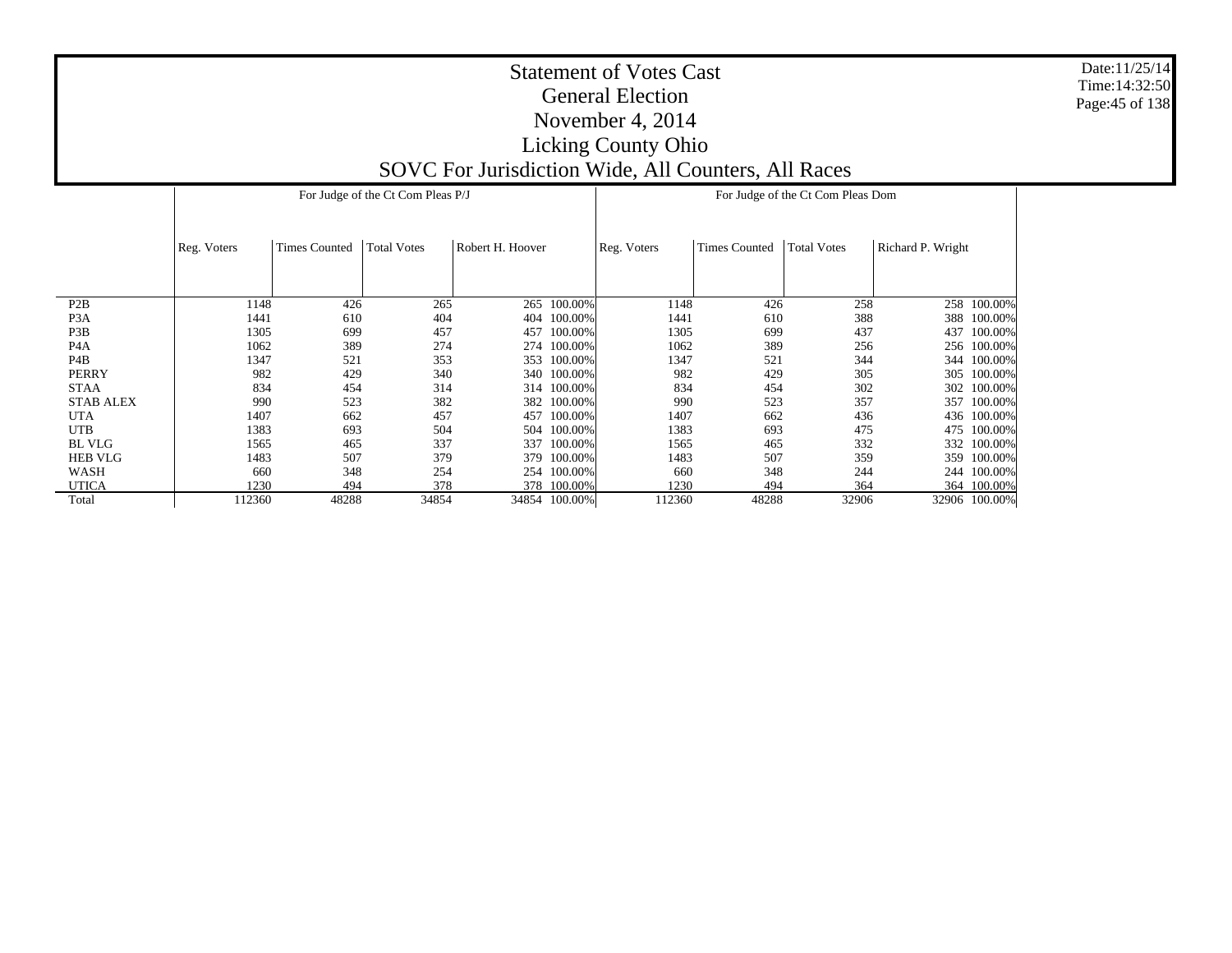|                  |             |                      | For Judge of the Ct Com Pleas P/J |                  |               | For Judge of the Ct Com Pleas Dom |                      |                    |                   |               |  |  |
|------------------|-------------|----------------------|-----------------------------------|------------------|---------------|-----------------------------------|----------------------|--------------------|-------------------|---------------|--|--|
|                  |             | <b>Times Counted</b> | <b>Total Votes</b>                | Robert H. Hoover |               |                                   | <b>Times Counted</b> | <b>Total Votes</b> | Richard P. Wright |               |  |  |
|                  | Reg. Voters |                      |                                   |                  |               | Reg. Voters                       |                      |                    |                   |               |  |  |
|                  |             |                      |                                   |                  |               |                                   |                      |                    |                   |               |  |  |
| P <sub>2</sub> B | 1148        | 426                  | 265                               | 265              | 100.00%       | 1148                              | 426                  | 258                | 258               | 100.00%       |  |  |
| P <sub>3</sub> A | 1441        | 610                  | 404                               | 404              | 100.00%       | 1441                              | 610                  | 388                | 388               | 100.00%       |  |  |
| P <sub>3</sub> B | 1305        | 699                  | 457                               | 457              | 100.00%       | 1305                              | 699                  | 437                | 437               | 100.00%       |  |  |
| P <sub>4</sub> A | 1062        | 389                  | 274                               | 274              | 100.00%       | 1062                              | 389                  | 256                | 256               | 100.00%       |  |  |
| P <sub>4</sub> B | 1347        | 521                  | 353                               | 353              | 100.00%       | 1347                              | 521                  | 344                | 344               | 100.00%       |  |  |
| <b>PERRY</b>     | 982         | 429                  | 340                               | 340              | 100.00%       | 982                               | 429                  | 305                | 305               | 100.00%       |  |  |
| <b>STAA</b>      | 834         | 454                  | 314                               |                  | 314 100.00%   | 834                               | 454                  | 302                | 302               | 100.00%       |  |  |
| <b>STAB ALEX</b> | 990         | 523                  | 382                               | 382              | 100.00%       | 990                               | 523                  | 357                | 357               | 100.00%       |  |  |
| <b>UTA</b>       | 1407        | 662                  | 457                               | 457              | 100.00%       | 1407                              | 662                  | 436                | 436               | 100.00%       |  |  |
| <b>UTB</b>       | 1383        | 693                  | 504                               | 504              | 100.00%       | 1383                              | 693                  | 475                | 475               | 100.00%       |  |  |
| <b>BL VLG</b>    | 1565        | 465                  | 337                               | 337              | 100.00%       | 1565                              | 465                  | 332                | 332               | 100.00%       |  |  |
| <b>HEB VLG</b>   | 1483        | 507                  | 379                               | 379              | 100.00%       | 1483                              | 507                  | 359                | 359               | 100.00%       |  |  |
| WASH             | 660         | 348                  | 254                               | 254              | 100.00%       | 660                               | 348                  | 244                | 244               | 100.00%       |  |  |
| <b>UTICA</b>     | 1230        | 494                  | 378                               | 378              | 100.00%       | 1230                              | 494                  | 364                | 364               | 100.00%       |  |  |
| Total            | 112360      | 48288                | 34854                             |                  | 34854 100.00% | 112360                            | 48288                | 32906              |                   | 32906 100.00% |  |  |

Date:11/25/14 Time:14:32:50Page:45 of 138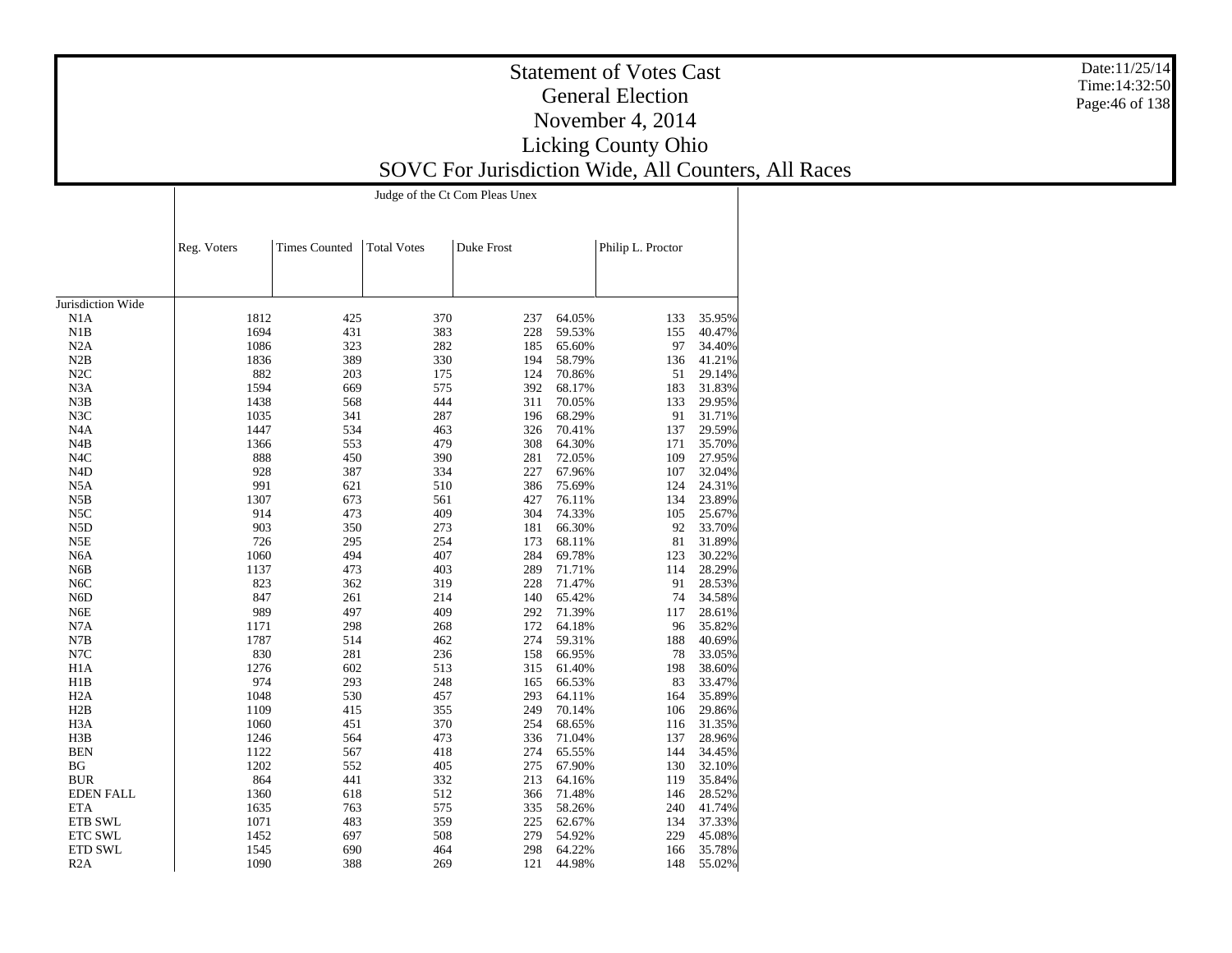|                   | Judge of the Ct Com Pleas Unex |                      |                    |            |        |                   |        |  |  |
|-------------------|--------------------------------|----------------------|--------------------|------------|--------|-------------------|--------|--|--|
|                   |                                |                      |                    |            |        |                   |        |  |  |
|                   | Reg. Voters                    | <b>Times Counted</b> | <b>Total Votes</b> | Duke Frost |        | Philip L. Proctor |        |  |  |
|                   |                                |                      |                    |            |        |                   |        |  |  |
| Jurisdiction Wide |                                |                      |                    |            |        |                   |        |  |  |
| N1A               | 1812                           | 425                  | 370                | 237        | 64.05% | 133               | 35.95% |  |  |
| N1B               | 1694                           | 431                  | 383                | 228        | 59.53% | 155               | 40.47% |  |  |
| N2A               | 1086                           | 323                  | 282                | 185        | 65.60% | 97                | 34.40% |  |  |
| N2B               | 1836                           | 389                  | 330                | 194        | 58.79% | 136               | 41.21% |  |  |
| N2C               | 882                            | 203                  | 175                | 124        | 70.86% | 51                | 29.14% |  |  |
| N <sub>3</sub> A  | 1594                           | 669                  | 575                | 392        | 68.17% | 183               | 31.83% |  |  |
| N3B               | 1438                           | 568                  | 444                | 311        | 70.05% | 133               | 29.95% |  |  |
| N3C               | 1035                           | 341                  | 287                | 196        | 68.29% | 91                | 31.71% |  |  |
| N <sub>4</sub> A  | 1447                           | 534                  | 463                | 326        | 70.41% | 137               | 29.59% |  |  |
| N4B               | 1366                           | 553                  | 479                | 308        | 64.30% | 171               | 35.70% |  |  |
| N <sub>4</sub> C  | 888                            | 450                  | 390                | 281        | 72.05% | 109               | 27.95% |  |  |
| N <sub>4</sub> D  | 928                            | 387                  | 334                | 227        | 67.96% | 107               | 32.04% |  |  |
| N <sub>5</sub> A  | 991                            | 621                  | 510                | 386        | 75.69% | 124               | 24.31% |  |  |
| N5B               | 1307                           | 673                  | 561                | 427        | 76.11% | 134               | 23.89% |  |  |
| N5C               | 914                            | 473                  | 409                | 304        | 74.33% | 105               | 25.67% |  |  |
| N <sub>5</sub> D  | 903                            | 350                  | 273                | 181        | 66.30% | 92                | 33.70% |  |  |
| N5E               | 726                            | 295                  | 254                | 173        | 68.11% | 81                | 31.89% |  |  |
| N <sub>6</sub> A  | 1060                           | 494                  | 407                | 284        | 69.78% | 123               | 30.22% |  |  |
| N <sub>6</sub> B  | 1137                           | 473                  | 403                | 289        | 71.71% | 114               | 28.29% |  |  |
| N <sub>6</sub> C  | 823                            | 362                  | 319                | 228        | 71.47% | 91                | 28.53% |  |  |
| N <sub>6</sub> D  | 847                            | 261                  | 214                | 140        | 65.42% | 74                | 34.58% |  |  |
| N6E               | 989                            | 497                  | 409                | 292        | 71.39% | 117               | 28.61% |  |  |
| N7A               | 1171                           | 298                  | 268                | 172        | 64.18% | 96                | 35.82% |  |  |
| N7B               | 1787                           | 514                  | 462                | 274        | 59.31% | 188               | 40.69% |  |  |
| N7C               | 830                            | 281                  | 236                | 158        | 66.95% | 78                | 33.05% |  |  |
| H1A               | 1276                           | 602                  | 513                | 315        | 61.40% | 198               | 38.60% |  |  |
| H1B               | 974                            | 293                  | 248                | 165        | 66.53% | 83                | 33.47% |  |  |
| H <sub>2</sub> A  | 1048                           | 530                  | 457                | 293        | 64.11% | 164               | 35.89% |  |  |
|                   | 1109                           |                      |                    |            |        |                   |        |  |  |
| H2B               |                                | 415                  | 355                | 249        | 70.14% | 106               | 29.86% |  |  |
| H <sub>3</sub> A  | 1060                           | 451                  | 370                | 254        | 68.65% | 116               | 31.35% |  |  |
| H3B               | 1246                           | 564                  | 473                | 336        | 71.04% | 137               | 28.96% |  |  |
| <b>BEN</b>        | 1122                           | 567                  | 418                | 274        | 65.55% | 144               | 34.45% |  |  |
| BG                | 1202                           | 552                  | 405                | 275        | 67.90% | 130               | 32.10% |  |  |
| <b>BUR</b>        | 864                            | 441                  | 332                | 213        | 64.16% | 119               | 35.84% |  |  |
| <b>EDEN FALL</b>  | 1360                           | 618                  | 512                | 366        | 71.48% | 146               | 28.52% |  |  |
| <b>ETA</b>        | 1635                           | 763                  | 575                | 335        | 58.26% | 240               | 41.74% |  |  |
| ETB SWL           | 1071                           | 483                  | 359                | 225        | 62.67% | 134               | 37.33% |  |  |
| ETC SWL           | 1452                           | 697                  | 508                | 279        | 54.92% | 229               | 45.08% |  |  |
| <b>ETD SWL</b>    | 1545                           | 690                  | 464                | 298        | 64.22% | 166               | 35.78% |  |  |
| R2A               | 1090                           | 388                  | 269                | 121        | 44.98% | 148               | 55.02% |  |  |

Date:11/25/14 Time:14:32:50Page:46 of 138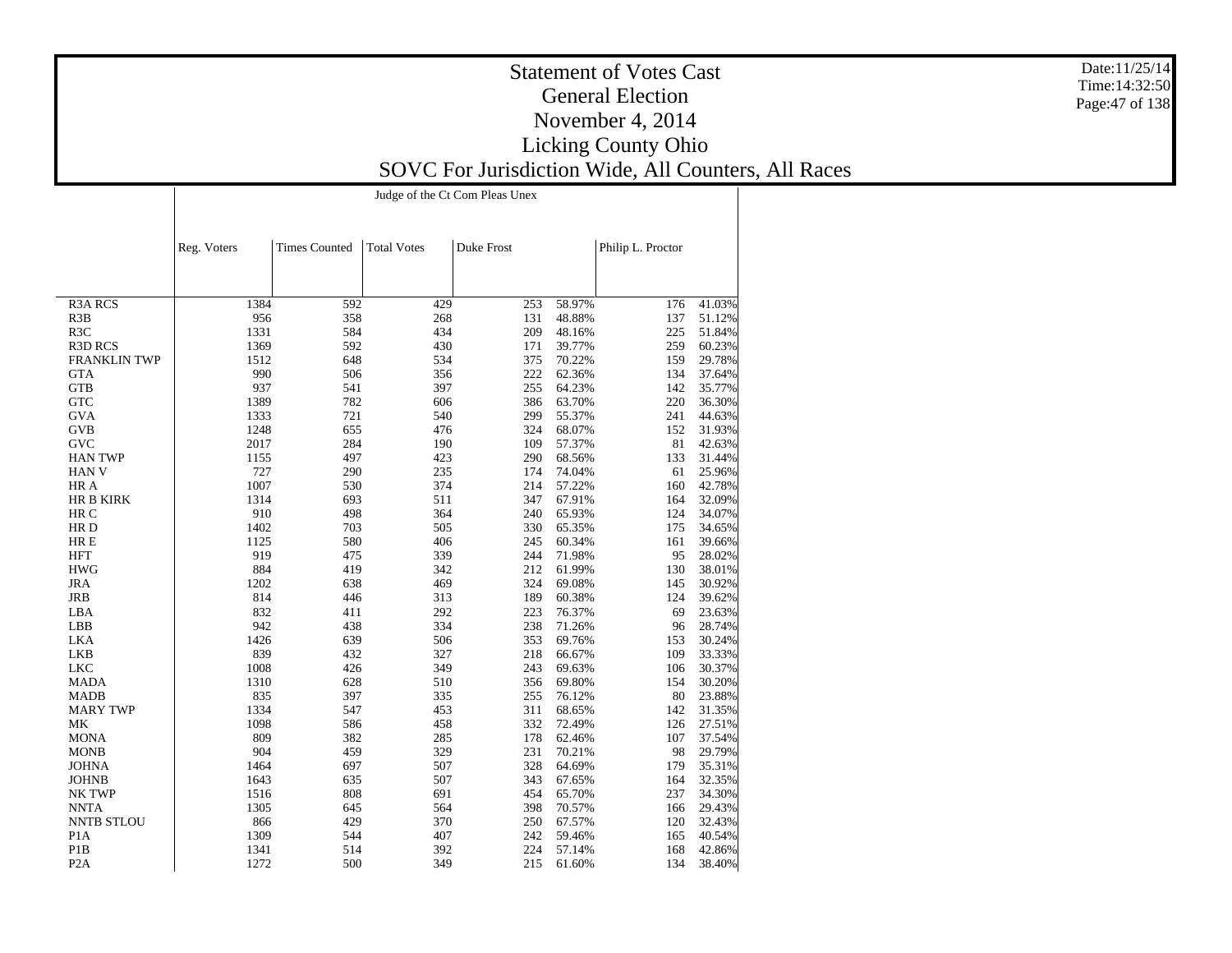|                     | Judge of the Ct Com Pleas Unex |                      |                    |            |        |                   |        |  |  |  |
|---------------------|--------------------------------|----------------------|--------------------|------------|--------|-------------------|--------|--|--|--|
|                     | Reg. Voters                    | <b>Times Counted</b> | <b>Total Votes</b> | Duke Frost |        | Philip L. Proctor |        |  |  |  |
|                     |                                |                      |                    |            |        |                   |        |  |  |  |
| <b>R3A RCS</b>      | 1384                           | 592                  | 429                | 253        | 58.97% | 176               | 41.03% |  |  |  |
| R <sub>3</sub> B    | 956                            | 358                  | 268                | 131        | 48.88% | 137               | 51.12% |  |  |  |
| R <sub>3</sub> C    | 1331                           | 584                  | 434                | 209        | 48.16% | 225               | 51.84% |  |  |  |
| <b>R3D RCS</b>      | 1369                           | 592                  | 430                | 171        | 39.77% | 259               | 60.23% |  |  |  |
| <b>FRANKLIN TWP</b> | 1512                           | 648                  | 534                | 375        | 70.22% | 159               | 29.78% |  |  |  |
| <b>GTA</b>          | 990                            | 506                  | 356                | 222        | 62.36% | 134               | 37.64% |  |  |  |
| <b>GTB</b>          | 937                            | 541                  | 397                | 255        | 64.23% | 142               | 35.77% |  |  |  |
| <b>GTC</b>          | 1389                           | 782                  | 606                | 386        | 63.70% | 220               | 36.30% |  |  |  |
| <b>GVA</b>          | 1333                           | 721                  | 540                | 299        | 55.37% | 241               | 44.63% |  |  |  |
| <b>GVB</b>          | 1248                           | 655                  | 476                | 324        | 68.07% | 152               | 31.93% |  |  |  |
| <b>GVC</b>          | 2017                           | 284                  | 190                | 109        | 57.37% | 81                | 42.63% |  |  |  |
| <b>HAN TWP</b>      | 1155                           | 497                  | 423                | 290        | 68.56% | 133               | 31.44% |  |  |  |
| <b>HAN V</b>        | 727                            | 290                  | 235                | 174        | 74.04% | 61                | 25.96% |  |  |  |
| HR A                | 1007                           | 530                  | 374                | 214        | 57.22% | 160               | 42.78% |  |  |  |
| <b>HR B KIRK</b>    | 1314                           | 693                  | 511                | 347        | 67.91% | 164               | 32.09% |  |  |  |
| HR C                | 910                            | 498                  | 364                | 240        | 65.93% | 124               | 34.07% |  |  |  |
| HR D                | 1402                           | 703                  | 505                | 330        | 65.35% | 175               | 34.65% |  |  |  |
| HR E                | 1125                           | 580                  | 406                | 245        | 60.34% | 161               | 39.66% |  |  |  |
| <b>HFT</b>          | 919                            | 475                  | 339                | 244        | 71.98% | 95                | 28.02% |  |  |  |
| <b>HWG</b>          | 884                            | 419                  | 342                | 212        | 61.99% | 130               | 38.01% |  |  |  |
| <b>JRA</b>          | 1202                           | 638                  | 469                | 324        | 69.08% | 145               | 30.92% |  |  |  |
| <b>JRB</b>          | 814                            |                      |                    |            |        |                   |        |  |  |  |
|                     |                                | 446                  | 313                | 189        | 60.38% | 124               | 39.62% |  |  |  |
| LBA                 | 832                            | 411                  | 292                | 223        | 76.37% | 69                | 23.63% |  |  |  |
| LBB                 | 942                            | 438                  | 334                | 238        | 71.26% | 96                | 28.74% |  |  |  |
| <b>LKA</b>          | 1426                           | 639                  | 506                | 353        | 69.76% | 153               | 30.24% |  |  |  |
| <b>LKB</b>          | 839                            | 432                  | 327                | 218        | 66.67% | 109               | 33.33% |  |  |  |
| <b>LKC</b>          | 1008                           | 426                  | 349                | 243        | 69.63% | 106               | 30.37% |  |  |  |
| MADA                | 1310                           | 628                  | 510                | 356        | 69.80% | 154               | 30.20% |  |  |  |
| <b>MADB</b>         | 835                            | 397                  | 335                | 255        | 76.12% | 80                | 23.88% |  |  |  |
| <b>MARY TWP</b>     | 1334                           | 547                  | 453                | 311        | 68.65% | 142               | 31.35% |  |  |  |
| MK                  | 1098                           | 586                  | 458                | 332        | 72.49% | 126               | 27.51% |  |  |  |
| <b>MONA</b>         | 809                            | 382                  | 285                | 178        | 62.46% | 107               | 37.54% |  |  |  |
| <b>MONB</b>         | 904                            | 459                  | 329                | 231        | 70.21% | 98                | 29.79% |  |  |  |
| <b>JOHNA</b>        | 1464                           | 697                  | 507                | 328        | 64.69% | 179               | 35.31% |  |  |  |
| <b>JOHNB</b>        | 1643                           | 635                  | 507                | 343        | 67.65% | 164               | 32.35% |  |  |  |
| NK TWP              | 1516                           | 808                  | 691                | 454        | 65.70% | 237               | 34.30% |  |  |  |
| <b>NNTA</b>         | 1305                           | 645                  | 564                | 398        | 70.57% | 166               | 29.43% |  |  |  |
| <b>NNTB STLOU</b>   | 866                            | 429                  | 370                | 250        | 67.57% | 120               | 32.43% |  |  |  |
| P <sub>1</sub> A    | 1309                           | 544                  | 407                | 242        | 59.46% | 165               | 40.54% |  |  |  |
| P <sub>1</sub> B    | 1341                           | 514                  | 392                | 224        | 57.14% | 168               | 42.86% |  |  |  |
| P <sub>2</sub> A    | 1272                           | 500                  | 349                | 215        | 61.60% | 134               | 38.40% |  |  |  |

Date:11/25/14 Time:14:32:50 Page:47 of 138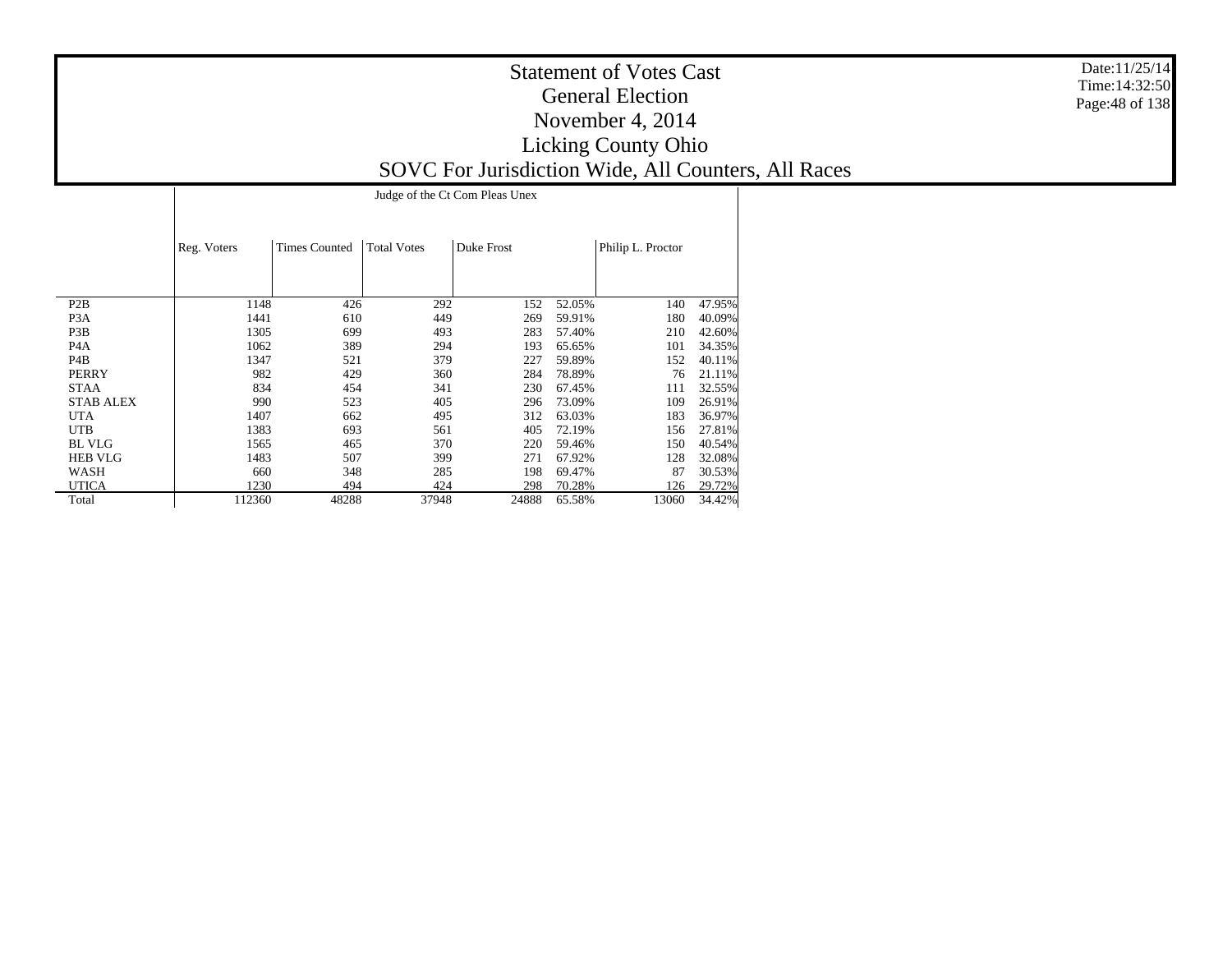|                                      |              | Judge of the Ct Com Pleas Unex |                    |            |                  |                   |                  |  |  |  |  |  |
|--------------------------------------|--------------|--------------------------------|--------------------|------------|------------------|-------------------|------------------|--|--|--|--|--|
|                                      | Reg. Voters  | <b>Times Counted</b>           | <b>Total Votes</b> | Duke Frost |                  | Philip L. Proctor |                  |  |  |  |  |  |
|                                      |              |                                |                    |            |                  |                   |                  |  |  |  |  |  |
| P <sub>2</sub> B<br>P <sub>3</sub> A | 1148<br>1441 | 426<br>610                     | 292<br>449         | 152        | 52.05%           | 140<br>180        | 47.95%<br>40.09% |  |  |  |  |  |
| P <sub>3</sub> B                     | 1305         | 699                            | 493                | 269<br>283 | 59.91%<br>57.40% | 210               | 42.60%           |  |  |  |  |  |
| P <sub>4</sub> A                     | 1062         | 389                            | 294                | 193        | 65.65%           | 101               | 34.35%           |  |  |  |  |  |
| P4B                                  | 1347         | 521                            | 379                | 227        | 59.89%           | 152               | 40.11%           |  |  |  |  |  |
| <b>PERRY</b>                         | 982          | 429                            | 360                | 284        | 78.89%           | 76                | 21.11%           |  |  |  |  |  |
| <b>STAA</b>                          | 834          | 454                            | 341                | 230        | 67.45%           | 111               | 32.55%           |  |  |  |  |  |
| <b>STAB ALEX</b>                     | 990          | 523                            | 405                | 296        | 73.09%           | 109               | 26.91%           |  |  |  |  |  |
| <b>UTA</b>                           | 1407         | 662                            | 495                | 312        | 63.03%           | 183               | 36.97%           |  |  |  |  |  |
| <b>UTB</b>                           | 1383         | 693                            | 561                | 405        | 72.19%           | 156               | 27.81%           |  |  |  |  |  |
| <b>BL VLG</b>                        | 1565         | 465                            | 370                | 220        | 59.46%           | 150               | 40.54%           |  |  |  |  |  |
| <b>HEB VLG</b>                       | 1483         | 507                            | 399                | 271        | 67.92%           | 128               | 32.08%           |  |  |  |  |  |
| WASH                                 | 660          | 348                            | 285                | 198        | 69.47%           | 87                | 30.53%           |  |  |  |  |  |
| <b>UTICA</b>                         | 1230         | 494                            | 424                | 298        | 70.28%           | 126               | 29.72%           |  |  |  |  |  |
| Total                                | 112360       | 48288                          | 37948              | 24888      | 65.58%           | 13060             | 34.42%           |  |  |  |  |  |

Date:11/25/14 Time:14:32:50 Page:48 of 138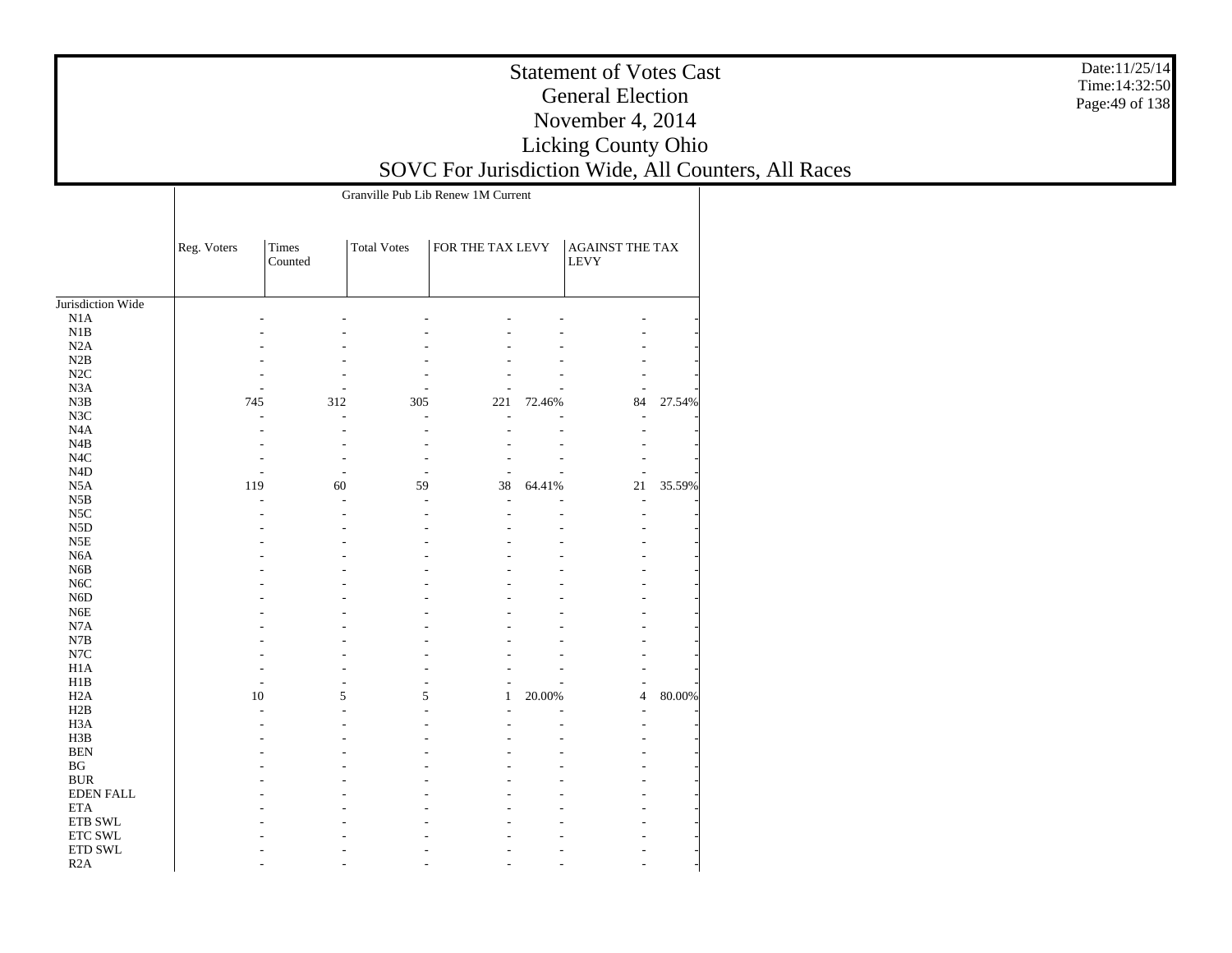|                   |                | Granville Pub Lib Renew 1M Current |                    |                          |        |                         |        |  |  |  |  |
|-------------------|----------------|------------------------------------|--------------------|--------------------------|--------|-------------------------|--------|--|--|--|--|
|                   |                |                                    |                    |                          |        |                         |        |  |  |  |  |
|                   | Reg. Voters    | <b>Times</b><br>Counted            | <b>Total Votes</b> | FOR THE TAX LEVY         |        | AGAINST THE TAX<br>LEVY |        |  |  |  |  |
|                   |                |                                    |                    |                          |        |                         |        |  |  |  |  |
| Jurisdiction Wide |                |                                    |                    |                          |        |                         |        |  |  |  |  |
| N1A               |                |                                    |                    |                          |        |                         |        |  |  |  |  |
| N1B               |                |                                    |                    |                          |        |                         |        |  |  |  |  |
| N2A               |                |                                    |                    |                          |        |                         |        |  |  |  |  |
| N2B               |                |                                    |                    |                          |        |                         |        |  |  |  |  |
| N2C               |                |                                    |                    |                          |        |                         |        |  |  |  |  |
| N <sub>3</sub> A  | $\overline{a}$ |                                    |                    | ÷,                       |        |                         |        |  |  |  |  |
| N3B               | 745            | 312                                | 305                | 221                      | 72.46% | 84                      | 27.54% |  |  |  |  |
| N3C               | L,             | L,                                 |                    | L,                       |        | L,                      |        |  |  |  |  |
| N <sub>4</sub> A  |                |                                    |                    | L,                       |        | L,                      |        |  |  |  |  |
| N4B               |                |                                    |                    |                          |        |                         |        |  |  |  |  |
| N <sub>4</sub> C  |                |                                    |                    |                          |        |                         |        |  |  |  |  |
| ${\rm N4D}$       | ÷,             | L,                                 |                    | $\overline{\phantom{a}}$ |        | Ē,                      |        |  |  |  |  |
| N <sub>5</sub> A  | 119            | 60                                 | 59                 | 38                       | 64.41% | 21                      | 35.59% |  |  |  |  |
| N5B               | L,             | L,                                 |                    | $\overline{\phantom{a}}$ |        | L,                      |        |  |  |  |  |
| N <sub>5</sub> C  |                |                                    |                    | L,                       |        | L.                      |        |  |  |  |  |
| N5D               |                |                                    |                    | ۰                        | ÷      |                         |        |  |  |  |  |
| N5E               |                |                                    |                    |                          |        |                         |        |  |  |  |  |
| N <sub>6</sub> A  |                |                                    |                    |                          |        |                         |        |  |  |  |  |
| N6B               |                |                                    |                    |                          |        |                         |        |  |  |  |  |
| N <sub>6</sub> C  |                |                                    |                    |                          |        |                         |        |  |  |  |  |
| N <sub>6</sub> D  |                |                                    |                    |                          |        |                         |        |  |  |  |  |
| N <sub>6</sub> E  |                |                                    |                    |                          |        |                         |        |  |  |  |  |
| N7A               |                |                                    |                    |                          |        |                         |        |  |  |  |  |
| $_{\rm N7B}$      |                |                                    |                    |                          |        |                         |        |  |  |  |  |
| N7C               |                |                                    |                    |                          |        |                         |        |  |  |  |  |
| H1A               |                |                                    |                    |                          |        |                         |        |  |  |  |  |
| H1B               |                |                                    |                    | $\sim$                   |        | ÷.                      |        |  |  |  |  |
| H <sub>2</sub> A  | 10             | 5                                  | 5                  | $\mathbf{1}$             | 20.00% | $\overline{4}$          | 80.00% |  |  |  |  |
| H2B               |                |                                    |                    | ÷                        |        | ÷                       |        |  |  |  |  |
| H <sub>3</sub> A  |                |                                    |                    | ä,                       |        | L.                      |        |  |  |  |  |
| H3B               |                |                                    |                    |                          |        |                         |        |  |  |  |  |
| <b>BEN</b>        |                |                                    |                    |                          |        |                         |        |  |  |  |  |
| BG                |                |                                    |                    |                          |        |                         |        |  |  |  |  |
| <b>BUR</b>        |                |                                    |                    |                          |        |                         |        |  |  |  |  |
| <b>EDEN FALL</b>  |                |                                    |                    |                          |        |                         |        |  |  |  |  |
| <b>ETA</b>        |                |                                    |                    |                          |        |                         |        |  |  |  |  |
| ETB SWL           |                |                                    |                    |                          |        |                         |        |  |  |  |  |
| ETC SWL           |                |                                    |                    |                          |        |                         |        |  |  |  |  |
| ETD SWL           |                |                                    |                    |                          |        |                         |        |  |  |  |  |
| R2A               |                |                                    |                    |                          |        |                         |        |  |  |  |  |
|                   |                |                                    |                    |                          |        |                         |        |  |  |  |  |

Date:11/25/14 Time:14:32:50 Page:49 of 138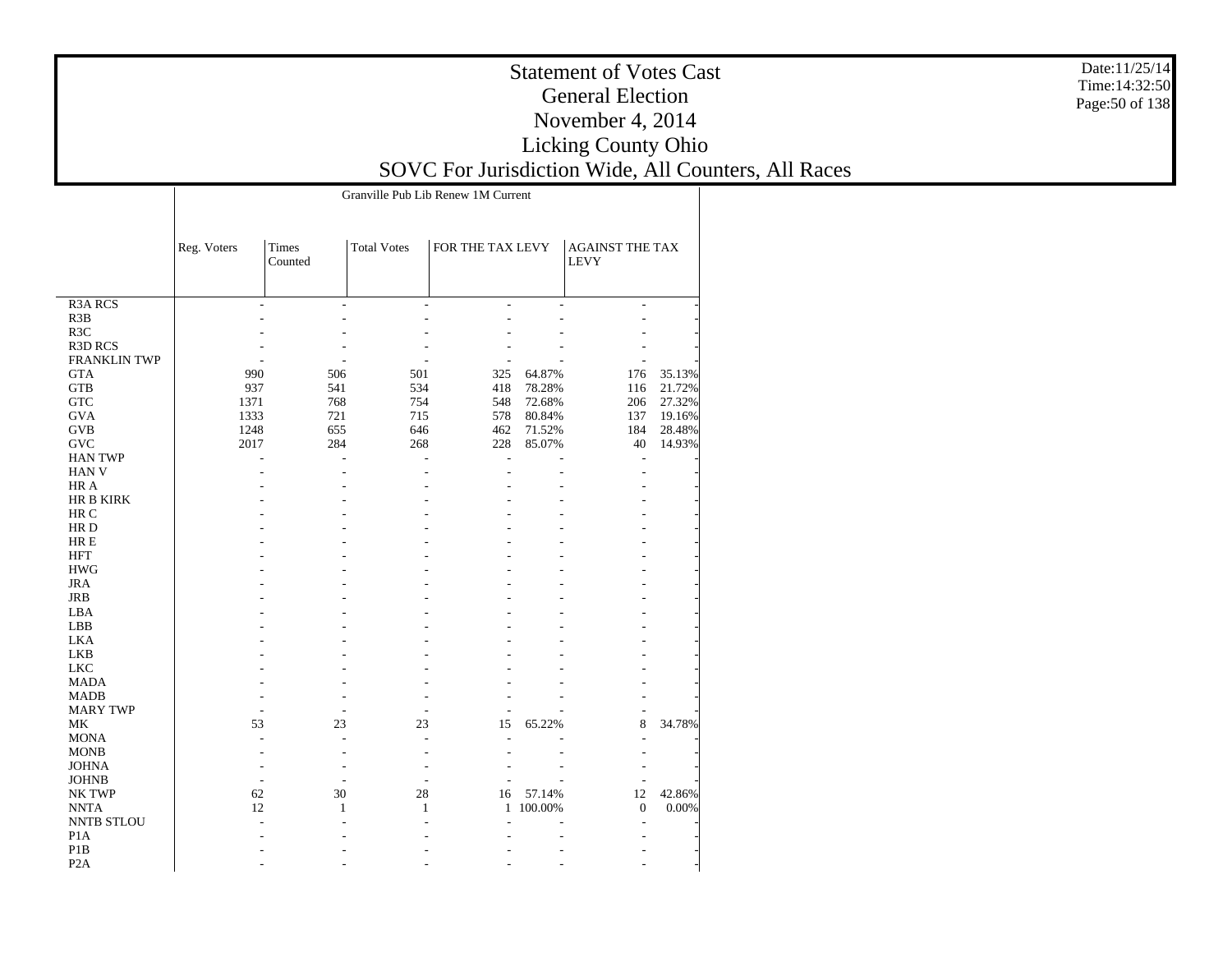|                                    | Granville Pub Lib Renew 1M Current |                  |                    |                  |         |                                       |        |  |  |  |  |
|------------------------------------|------------------------------------|------------------|--------------------|------------------|---------|---------------------------------------|--------|--|--|--|--|
|                                    | Reg. Voters                        | Times<br>Counted | <b>Total Votes</b> | FOR THE TAX LEVY |         | <b>AGAINST THE TAX</b><br><b>LEVY</b> |        |  |  |  |  |
|                                    |                                    |                  |                    |                  |         |                                       |        |  |  |  |  |
|                                    |                                    |                  |                    |                  |         |                                       |        |  |  |  |  |
| <b>R3A RCS</b><br>R <sub>3</sub> B |                                    |                  |                    | ÷.               | ÷       |                                       |        |  |  |  |  |
| R <sub>3</sub> C                   |                                    |                  |                    |                  |         |                                       |        |  |  |  |  |
| <b>R3D RCS</b>                     |                                    |                  |                    |                  |         |                                       |        |  |  |  |  |
| <b>FRANKLIN TWP</b>                |                                    |                  |                    | $\overline{a}$   |         |                                       |        |  |  |  |  |
| <b>GTA</b>                         | 990                                | 506              | 501                | 325              | 64.87%  | 176                                   | 35.13% |  |  |  |  |
| <b>GTB</b>                         | 937                                | 541              | 534                | 418              | 78.28%  | 116                                   | 21.72% |  |  |  |  |
| <b>GTC</b>                         | 1371                               | 768              | 754                | 548              | 72.68%  | 206                                   | 27.32% |  |  |  |  |
| <b>GVA</b>                         | 1333                               | 721              | 715                | 578              | 80.84%  | 137                                   | 19.16% |  |  |  |  |
| <b>GVB</b>                         | 1248                               | 655              | 646                | 462              | 71.52%  | 184                                   | 28.48% |  |  |  |  |
| $\operatorname{GVC}$               | 2017                               | 284              | 268                | 228              | 85.07%  | 40                                    | 14.93% |  |  |  |  |
| <b>HAN TWP</b>                     | L,                                 |                  |                    | L.               |         | ٠                                     |        |  |  |  |  |
| <b>HAN V</b>                       |                                    |                  |                    | L,               |         | ٠                                     |        |  |  |  |  |
| HR A                               |                                    |                  |                    |                  |         |                                       |        |  |  |  |  |
| <b>HR B KIRK</b>                   |                                    |                  |                    |                  |         |                                       |        |  |  |  |  |
| HR C                               |                                    |                  |                    |                  |         |                                       |        |  |  |  |  |
| HR D                               |                                    |                  |                    |                  |         |                                       |        |  |  |  |  |
| HR E                               |                                    |                  |                    |                  |         |                                       |        |  |  |  |  |
|                                    |                                    |                  |                    |                  |         |                                       |        |  |  |  |  |
| <b>HFT</b><br><b>HWG</b>           |                                    |                  |                    |                  |         |                                       |        |  |  |  |  |
| <b>JRA</b>                         |                                    |                  |                    |                  |         |                                       |        |  |  |  |  |
| <b>JRB</b>                         |                                    |                  |                    |                  |         |                                       |        |  |  |  |  |
|                                    |                                    |                  |                    |                  |         |                                       |        |  |  |  |  |
| LBA                                |                                    |                  |                    |                  |         |                                       |        |  |  |  |  |
| LBB                                |                                    |                  |                    |                  |         |                                       |        |  |  |  |  |
| <b>LKA</b>                         |                                    |                  |                    |                  |         |                                       |        |  |  |  |  |
| <b>LKB</b>                         |                                    |                  |                    |                  |         |                                       |        |  |  |  |  |
| <b>LKC</b>                         |                                    |                  |                    |                  |         |                                       |        |  |  |  |  |
| <b>MADA</b>                        |                                    |                  |                    |                  |         |                                       |        |  |  |  |  |
| <b>MADB</b>                        |                                    |                  |                    |                  |         |                                       |        |  |  |  |  |
| <b>MARY TWP</b>                    | ٠                                  |                  |                    | $\overline{a}$   |         |                                       |        |  |  |  |  |
| MK                                 | 53                                 | 23               | 23                 | 15               | 65.22%  | 8                                     | 34.78% |  |  |  |  |
| <b>MONA</b>                        | J.                                 |                  |                    | $\overline{a}$   |         |                                       |        |  |  |  |  |
| <b>MONB</b>                        |                                    |                  |                    |                  |         |                                       |        |  |  |  |  |
| <b>JOHNA</b>                       |                                    |                  |                    |                  |         |                                       |        |  |  |  |  |
| <b>JOHNB</b>                       | $\overline{a}$                     |                  |                    |                  |         |                                       |        |  |  |  |  |
| NK TWP                             | 62                                 | 30               | 28                 | 16               | 57.14%  | 12                                    | 42.86% |  |  |  |  |
| <b>NNTA</b>                        | 12                                 | $\mathbf{1}$     | 1                  | $\mathbf{1}$     | 100.00% | $\boldsymbol{0}$                      | 0.00%  |  |  |  |  |
| <b>NNTB STLOU</b>                  | J.                                 |                  |                    | L,               |         |                                       |        |  |  |  |  |
| P <sub>1</sub> A                   |                                    |                  |                    |                  |         |                                       |        |  |  |  |  |
| P <sub>1</sub> B                   |                                    |                  |                    |                  |         |                                       |        |  |  |  |  |
| P <sub>2</sub> A                   |                                    |                  |                    |                  |         |                                       |        |  |  |  |  |

Date:11/25/14 Time:14:32:50 Page:50 of 138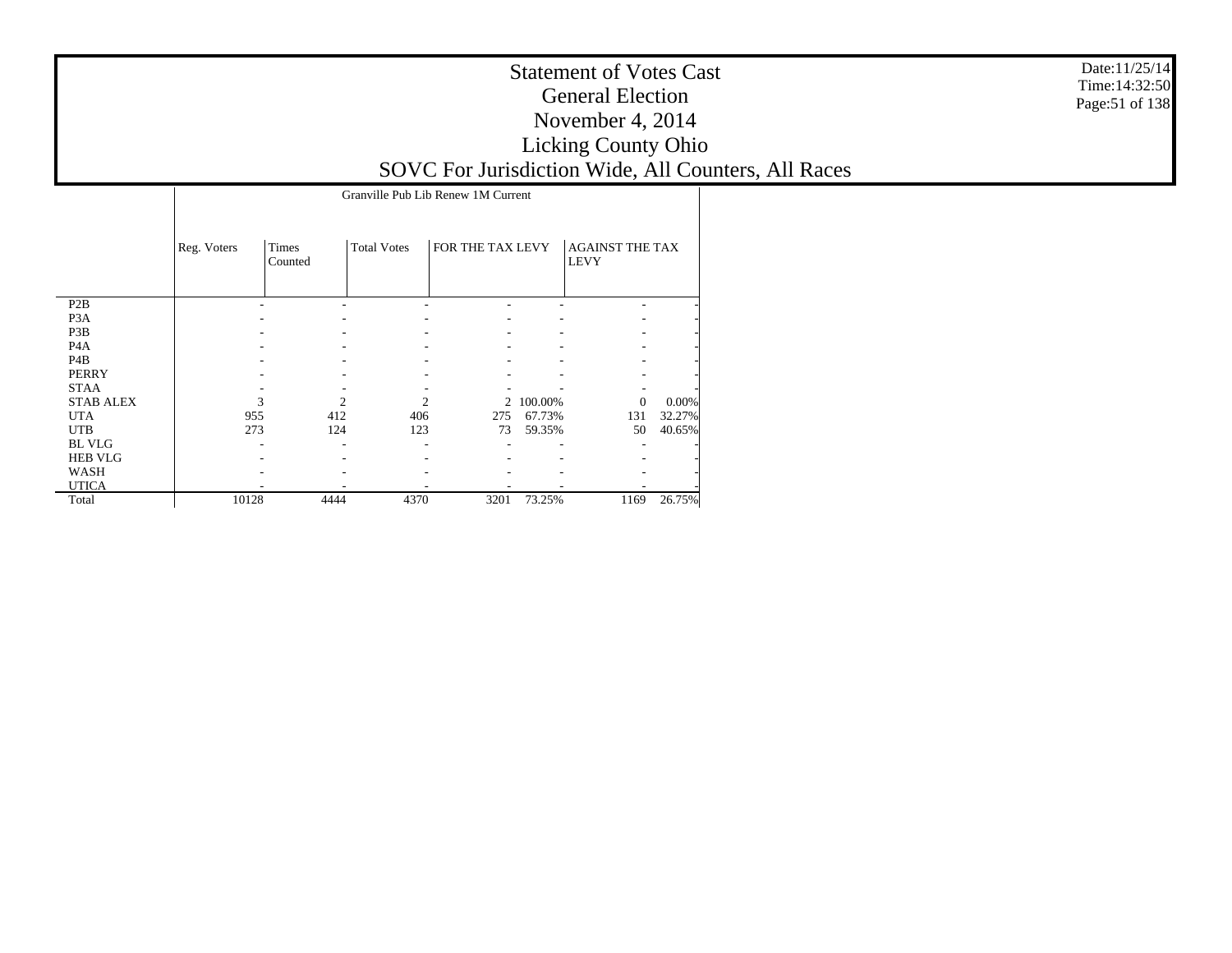|                  | Granville Pub Lib Renew 1M Current |                             |                    |                  |           |                                       |        |  |  |  |
|------------------|------------------------------------|-----------------------------|--------------------|------------------|-----------|---------------------------------------|--------|--|--|--|
|                  | Reg. Voters                        | <b>Times</b><br>Counted     | <b>Total Votes</b> | FOR THE TAX LEVY |           | <b>AGAINST THE TAX</b><br><b>LEVY</b> |        |  |  |  |
| P2B              |                                    |                             |                    |                  |           |                                       |        |  |  |  |
| P <sub>3</sub> A |                                    |                             |                    |                  |           |                                       |        |  |  |  |
| P3B              |                                    |                             |                    |                  |           |                                       |        |  |  |  |
| P <sub>4</sub> A |                                    |                             |                    |                  |           |                                       |        |  |  |  |
| P <sub>4</sub> B |                                    |                             |                    |                  |           |                                       |        |  |  |  |
| <b>PERRY</b>     |                                    |                             |                    |                  |           |                                       |        |  |  |  |
| <b>STAA</b>      |                                    |                             |                    |                  |           |                                       |        |  |  |  |
| <b>STAB ALEX</b> | 3                                  | $\mathcal{D}_{\mathcal{L}}$ | $\mathfrak{D}$     |                  | 2 100.00% | $\Omega$                              | 0.00%  |  |  |  |
| <b>UTA</b>       | 955                                | 412                         | 406                | 275              | 67.73%    | 131                                   | 32.27% |  |  |  |
| <b>UTB</b>       | 273                                | 124                         | 123                | 73               | 59.35%    | 50                                    | 40.65% |  |  |  |
| <b>BL VLG</b>    |                                    |                             |                    |                  |           |                                       |        |  |  |  |
| <b>HEB VLG</b>   |                                    |                             |                    |                  |           |                                       |        |  |  |  |
| <b>WASH</b>      |                                    |                             |                    |                  |           |                                       |        |  |  |  |
| <b>UTICA</b>     |                                    |                             |                    |                  |           |                                       |        |  |  |  |
| Total            | 10128                              | 4444                        | 4370               | 3201             | 73.25%    | 1169                                  | 26.75% |  |  |  |

Date:11/25/14 Time:14:32:50 Page:51 of 138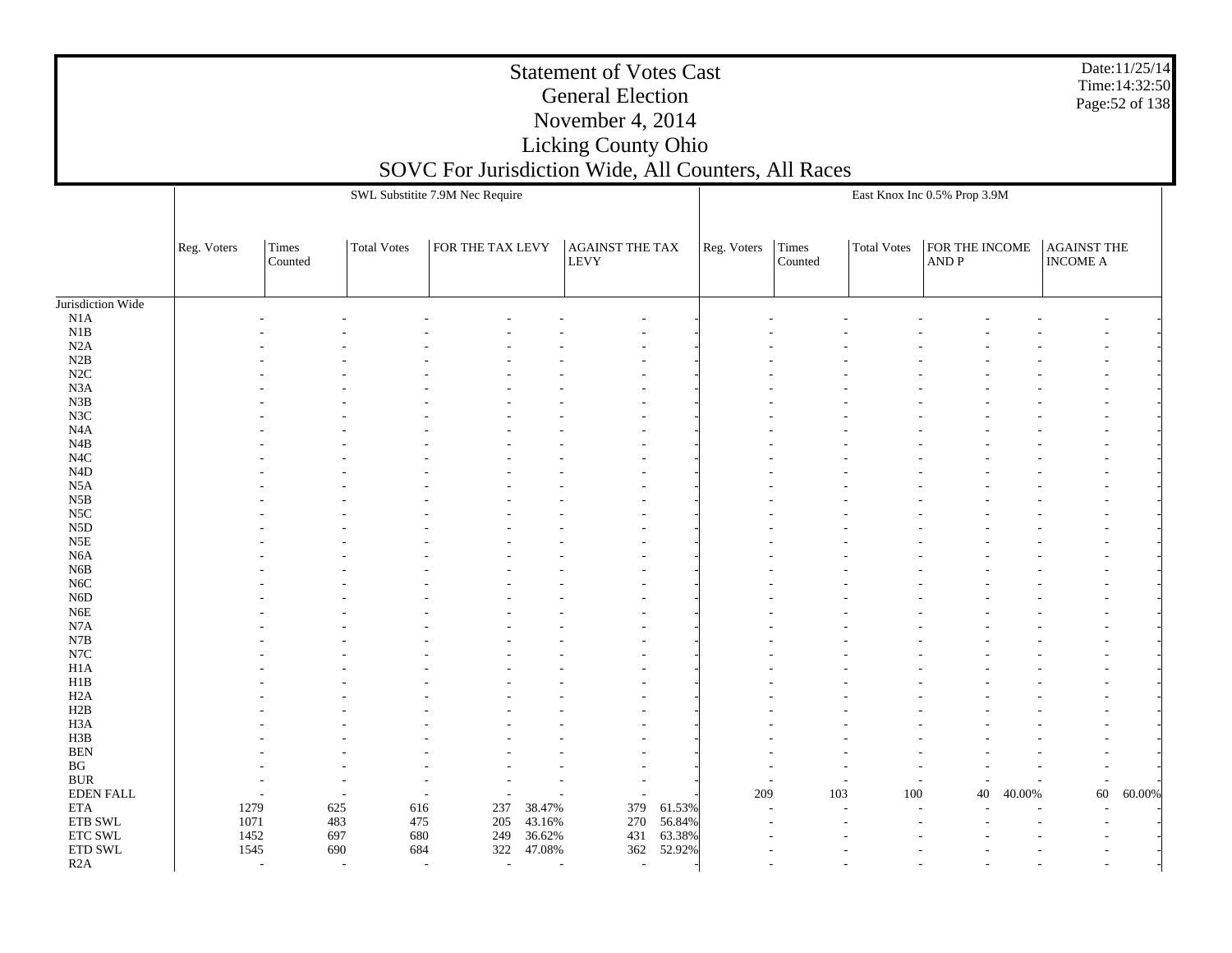Date:11/25/14 Time:14:32:50 Page:52 of 138

|                         |              |                          |                    | SWL Substitite 7.9M Nec Require |                  |                                       |                  |                          |                  |                    | East Knox Inc 0.5% Prop 3.9M |        |                                      |           |
|-------------------------|--------------|--------------------------|--------------------|---------------------------------|------------------|---------------------------------------|------------------|--------------------------|------------------|--------------------|------------------------------|--------|--------------------------------------|-----------|
|                         |              |                          |                    |                                 |                  |                                       |                  |                          |                  |                    |                              |        |                                      |           |
|                         | Reg. Voters  | Times<br>Counted         | <b>Total Votes</b> | FOR THE TAX LEVY                |                  | <b>AGAINST THE TAX</b><br><b>LEVY</b> |                  | Reg. Voters              | Times<br>Counted | <b>Total Votes</b> | FOR THE INCOME<br>AND P      |        | <b>AGAINST THE</b><br>$\sf INCODE$ A |           |
|                         |              |                          |                    |                                 |                  |                                       |                  |                          |                  |                    |                              |        |                                      |           |
| Jurisdiction Wide       |              |                          |                    |                                 |                  |                                       |                  |                          |                  |                    |                              |        |                                      |           |
| N1A<br>N1B              |              |                          |                    |                                 |                  |                                       |                  |                          |                  |                    |                              |        |                                      |           |
| N2A                     |              |                          |                    |                                 |                  |                                       |                  |                          |                  |                    |                              |        |                                      |           |
| N2B                     |              |                          |                    |                                 |                  |                                       |                  |                          |                  |                    |                              |        |                                      |           |
| N2C                     |              |                          |                    |                                 |                  |                                       |                  |                          |                  |                    |                              |        |                                      |           |
| N3A                     |              |                          |                    |                                 |                  |                                       |                  |                          |                  |                    |                              |        |                                      |           |
| ${\bf N3B}$             |              |                          |                    |                                 |                  |                                       |                  |                          |                  |                    |                              |        |                                      |           |
| N <sub>3</sub> C        |              |                          |                    |                                 |                  |                                       |                  |                          |                  |                    |                              |        |                                      |           |
| N4A                     |              |                          |                    |                                 |                  |                                       |                  |                          |                  |                    |                              |        |                                      |           |
| $\rm N4B$               |              |                          |                    |                                 |                  |                                       |                  |                          |                  |                    |                              |        |                                      |           |
| N <sub>4</sub> C        |              |                          |                    |                                 |                  |                                       |                  |                          |                  |                    |                              |        |                                      |           |
| $\rm N4D$               |              |                          |                    |                                 |                  |                                       |                  |                          |                  |                    |                              |        |                                      |           |
| N5A                     |              |                          |                    |                                 |                  |                                       |                  |                          |                  |                    |                              |        |                                      |           |
| $_{\rm N5B}$            |              |                          |                    |                                 |                  |                                       |                  |                          |                  |                    |                              |        |                                      |           |
| N5C                     |              |                          |                    |                                 |                  |                                       |                  |                          |                  |                    |                              |        |                                      |           |
| N <sub>5</sub> D        |              |                          |                    |                                 |                  |                                       |                  |                          |                  |                    |                              |        |                                      |           |
| N5E                     |              |                          |                    |                                 |                  |                                       |                  |                          |                  |                    |                              |        |                                      |           |
| N <sub>6</sub> A        |              |                          |                    |                                 |                  |                                       |                  |                          |                  |                    |                              |        |                                      |           |
| N6B<br>N <sub>6</sub> C |              |                          |                    |                                 |                  |                                       |                  |                          |                  |                    |                              |        |                                      |           |
| N <sub>6</sub> D        |              |                          |                    |                                 |                  |                                       |                  |                          |                  |                    |                              |        |                                      |           |
| N6E                     |              |                          |                    |                                 |                  |                                       |                  |                          |                  |                    |                              |        |                                      |           |
| N7A                     |              |                          |                    |                                 |                  |                                       |                  |                          |                  |                    |                              |        |                                      |           |
| ${\bf N7B}$             |              |                          |                    |                                 |                  |                                       |                  |                          |                  |                    |                              |        |                                      |           |
| $_{\mathrm{N7C}}$       |              |                          |                    |                                 |                  |                                       |                  |                          |                  |                    |                              |        |                                      |           |
| H <sub>1</sub> A        |              |                          |                    |                                 |                  |                                       |                  |                          |                  |                    |                              |        |                                      |           |
| $_{\rm H1B}$            |              |                          |                    |                                 |                  |                                       |                  |                          |                  |                    |                              |        |                                      |           |
| H <sub>2</sub> A        |              |                          |                    |                                 |                  |                                       |                  |                          |                  |                    |                              |        |                                      |           |
| H2B                     |              |                          |                    |                                 |                  |                                       |                  |                          |                  |                    |                              |        |                                      |           |
| H3A                     |              |                          |                    |                                 |                  |                                       |                  |                          |                  |                    |                              |        |                                      |           |
| $_{\rm H3B}$            |              |                          |                    |                                 |                  |                                       |                  |                          |                  |                    |                              |        |                                      |           |
| <b>BEN</b>              |              |                          |                    |                                 |                  |                                       |                  |                          |                  |                    |                              |        |                                      |           |
| $\mathbf{B}\mathbf{G}$  |              |                          |                    |                                 |                  |                                       |                  |                          |                  |                    |                              |        | $\overline{\phantom{a}}$             |           |
| <b>BUR</b>              |              |                          |                    |                                 |                  | $\overline{\phantom{a}}$              |                  | $\overline{\phantom{a}}$ |                  |                    |                              |        | $\overline{\phantom{a}}$             |           |
| <b>EDEN FALL</b>        |              |                          |                    |                                 |                  |                                       |                  | 209                      | 103              | $100\,$            | 40                           | 40.00% | 60                                   | $60.00\%$ |
| <b>ETA</b>              | 1279         | 625                      | 616                | 237                             | 38.47%           | 379                                   | 61.53%           |                          |                  |                    |                              |        |                                      |           |
| ${\rm ETB}$ SWL         | 1071         | 483                      | 475                | 205                             | 43.16%           | 270                                   | 56.84%           |                          |                  |                    |                              |        |                                      |           |
| ETC SWL<br>ETD SWL      | 1452<br>1545 | 697<br>690               | 680<br>684         | 249<br>322                      | 36.62%<br>47.08% | 431<br>362                            | 63.38%<br>52.92% |                          |                  |                    |                              |        |                                      |           |
| R2A                     |              | $\overline{\phantom{a}}$ |                    | $\overline{\phantom{a}}$        |                  | $\overline{\phantom{a}}$              |                  |                          |                  |                    |                              |        |                                      |           |
|                         |              |                          |                    |                                 |                  |                                       |                  |                          |                  |                    |                              |        |                                      |           |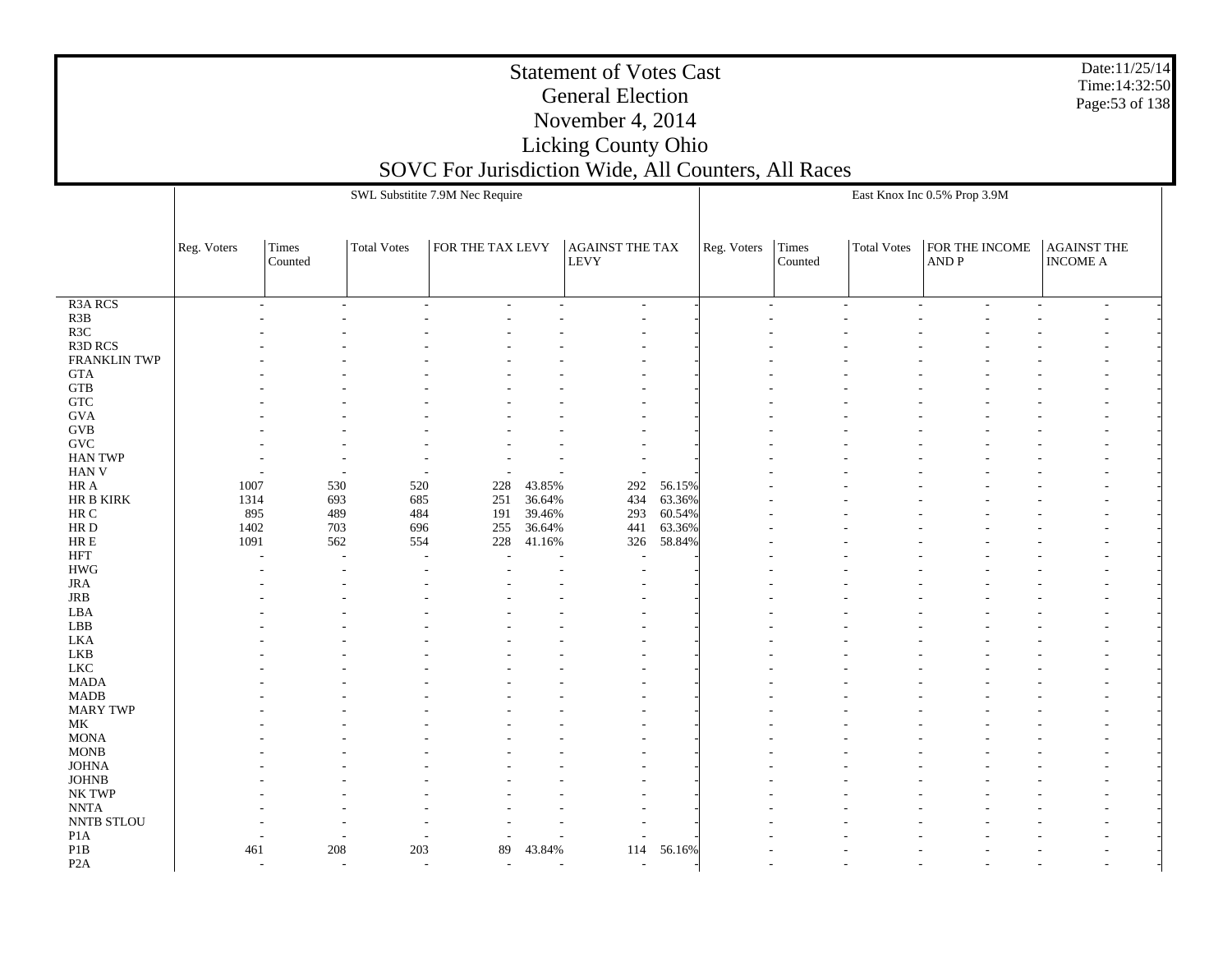|                                 |             |                  |                          | SWL Substitite 7.9M Nec Require |                  |                                |                  |             |                  |                    | East Knox Inc 0.5% Prop 3.9M |                                       |  |
|---------------------------------|-------------|------------------|--------------------------|---------------------------------|------------------|--------------------------------|------------------|-------------|------------------|--------------------|------------------------------|---------------------------------------|--|
|                                 |             |                  |                          |                                 |                  |                                |                  |             |                  |                    |                              |                                       |  |
|                                 | Reg. Voters | Times<br>Counted | <b>Total Votes</b>       | FOR THE TAX LEVY                |                  | AGAINST THE TAX<br><b>LEVY</b> |                  | Reg. Voters | Times<br>Counted | <b>Total Votes</b> | FOR THE INCOME<br>AND P      | <b>AGAINST THE</b><br><b>INCOME A</b> |  |
| R <sub>3</sub> A <sub>RCS</sub> |             |                  |                          |                                 |                  |                                |                  |             |                  |                    |                              |                                       |  |
| R3B                             | $\sim$      | $\sim$           | $\overline{\phantom{a}}$ | $\overline{\phantom{a}}$        | $\mathbf{r}$     | $\sim$                         |                  |             | $\overline{a}$   | $\sim$             | $\overline{\phantom{a}}$     | $\sim$                                |  |
| R3C                             |             |                  |                          |                                 |                  |                                |                  |             |                  |                    |                              |                                       |  |
| R3D RCS                         |             |                  |                          |                                 |                  |                                |                  |             |                  |                    |                              |                                       |  |
| <b>FRANKLIN TWP</b>             |             |                  |                          |                                 |                  |                                |                  |             |                  |                    |                              |                                       |  |
| $\operatorname{GTA}$            |             |                  |                          |                                 |                  |                                |                  |             |                  |                    |                              |                                       |  |
| <b>GTB</b>                      |             |                  |                          |                                 |                  |                                |                  |             |                  |                    |                              |                                       |  |
| ${\rm GTC}$                     |             |                  |                          |                                 |                  |                                |                  |             |                  |                    |                              |                                       |  |
| <b>GVA</b>                      |             |                  |                          |                                 |                  |                                |                  |             |                  |                    |                              |                                       |  |
| $\rm GVB$                       |             |                  |                          |                                 |                  |                                |                  |             |                  |                    |                              |                                       |  |
| $\operatorname{GVC}$            |             |                  |                          |                                 |                  |                                |                  |             |                  |                    |                              |                                       |  |
| <b>HAN TWP</b>                  |             |                  |                          |                                 |                  |                                |                  |             |                  |                    |                              |                                       |  |
| <b>HAN V</b>                    |             |                  |                          |                                 |                  |                                |                  |             |                  |                    |                              |                                       |  |
| HR A<br>HR B KIRK               | 1007        | 530<br>693       | 520<br>685               | 228<br>251                      | 43.85%           | 292<br>434                     | 56.15%<br>63.36% |             |                  |                    |                              |                                       |  |
| $\rm{HR}$ C                     | 1314<br>895 | 489              | 484                      | 191                             | 36.64%<br>39.46% | 293                            | 60.54%           |             |                  |                    |                              |                                       |  |
| HR D                            | 1402        | 703              | 696                      | 255                             | 36.64%           | 441                            | 63.36%           |             |                  |                    |                              |                                       |  |
| ${\rm HR} \to$                  | 1091        | 562              | 554                      | 228                             | 41.16%           | 326                            | 58.84%           |             |                  |                    |                              |                                       |  |
| <b>HFT</b>                      |             | ÷                |                          |                                 |                  | ÷,                             |                  |             |                  |                    |                              |                                       |  |
| <b>HWG</b>                      |             |                  |                          |                                 |                  | ٠                              |                  |             |                  |                    |                              |                                       |  |
| <b>JRA</b>                      |             |                  |                          |                                 |                  |                                |                  |             |                  |                    |                              |                                       |  |
| JRB                             |             |                  |                          |                                 |                  |                                |                  |             |                  |                    |                              |                                       |  |
| LBA                             |             |                  |                          |                                 |                  |                                |                  |             |                  |                    |                              |                                       |  |
| ${\rm LBB}$                     |             |                  |                          |                                 |                  |                                |                  |             |                  |                    |                              |                                       |  |
| <b>LKA</b>                      |             |                  |                          |                                 |                  |                                |                  |             |                  |                    |                              |                                       |  |
| LKB                             |             |                  |                          |                                 |                  |                                |                  |             |                  |                    |                              |                                       |  |
| ${\rm LKC}$                     |             |                  |                          |                                 |                  |                                |                  |             |                  |                    |                              |                                       |  |
| <b>MADA</b>                     |             |                  |                          |                                 |                  |                                |                  |             |                  |                    |                              |                                       |  |
| MADB                            |             |                  |                          |                                 |                  |                                |                  |             |                  |                    |                              |                                       |  |
| <b>MARY TWP</b>                 |             |                  |                          |                                 |                  |                                |                  |             |                  |                    |                              |                                       |  |
| MK                              |             |                  |                          |                                 |                  |                                |                  |             |                  |                    |                              |                                       |  |
| <b>MONA</b>                     |             |                  |                          |                                 |                  |                                |                  |             |                  |                    |                              |                                       |  |
| <b>MONB</b>                     |             |                  |                          |                                 |                  |                                |                  |             |                  |                    |                              |                                       |  |
| <b>JOHNA</b>                    |             |                  |                          |                                 |                  |                                |                  |             |                  |                    |                              |                                       |  |
| $_{\rm JOHNB}$<br>NK TWP        |             |                  |                          |                                 |                  |                                |                  |             |                  |                    |                              |                                       |  |
| <b>NNTA</b>                     |             |                  |                          |                                 |                  |                                |                  |             |                  |                    |                              |                                       |  |
| <b>NNTB STLOU</b>               |             |                  |                          |                                 |                  |                                |                  |             |                  |                    |                              |                                       |  |
| P <sub>1</sub> A                |             |                  |                          |                                 |                  |                                |                  |             |                  |                    |                              |                                       |  |
| P1B                             | 461         | 208              | 203                      | 89                              | 43.84%           | 114                            | 56.16%           |             |                  |                    |                              |                                       |  |
| P <sub>2</sub> A                |             |                  |                          | $\overline{a}$                  |                  |                                |                  |             |                  |                    |                              |                                       |  |

Date:11/25/14 Time:14:32:50 Page:53 of 138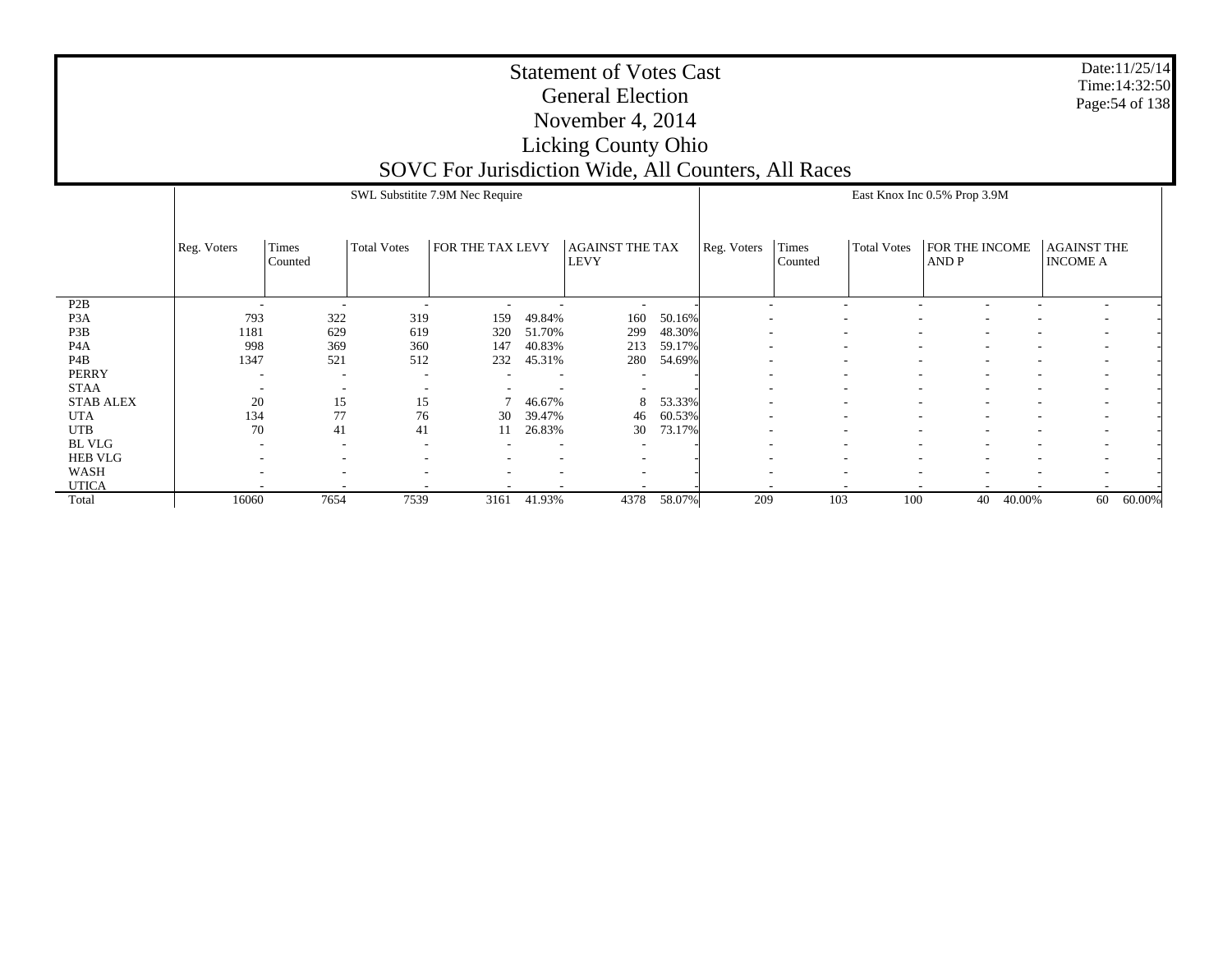Date:11/25/14 Time:14:32:50 Page:54 of 138

|                  |             |                          |                          | SWL Substitute 7.9M Nec Require |                          |                                       |        |             |                          |                          | East Knox Inc 0.5% Prop 3.9M |                          |                                       |        |
|------------------|-------------|--------------------------|--------------------------|---------------------------------|--------------------------|---------------------------------------|--------|-------------|--------------------------|--------------------------|------------------------------|--------------------------|---------------------------------------|--------|
|                  | Reg. Voters | Times<br>Counted         | <b>Total Votes</b>       | FOR THE TAX LEVY                |                          | <b>AGAINST THE TAX</b><br><b>LEVY</b> |        | Reg. Voters | Times<br>Counted         | <b>Total Votes</b>       | FOR THE INCOME<br>AND P      |                          | <b>AGAINST THE</b><br><b>INCOME A</b> |        |
| P <sub>2</sub> B | ۰.          |                          |                          |                                 |                          |                                       |        |             |                          |                          |                              |                          |                                       |        |
| P <sub>3</sub> A | 793         | 322                      | 319                      | 159                             | 49.84%                   | 160                                   | 50.16% |             |                          |                          |                              |                          |                                       |        |
| P3B              | 1181        | 629                      | 619                      | 320                             | 51.70%                   | 299                                   | 48.30% |             |                          |                          |                              |                          | $\overline{\phantom{a}}$              |        |
| P <sub>4</sub> A | 998         | 369                      | 360                      | 147                             | 40.83%                   | 213                                   | 59.17% |             | $\overline{\phantom{0}}$ | $\overline{\phantom{a}}$ |                              | $\overline{\phantom{a}}$ | $\overline{\phantom{a}}$              |        |
| P <sub>4</sub> B | 1347        | 521                      | 512                      | 232                             | 45.31%                   | 280                                   | 54.69% |             | $\overline{\phantom{0}}$ | $\overline{\phantom{a}}$ |                              |                          | $\overline{\phantom{a}}$              |        |
| PERRY            |             | $\overline{\phantom{a}}$ | $\overline{\phantom{0}}$ |                                 | $\overline{\phantom{a}}$ | $\overline{\phantom{a}}$              |        |             | $\overline{\phantom{0}}$ | $\overline{\phantom{a}}$ |                              | $\overline{\phantom{a}}$ | $\overline{\phantom{a}}$              |        |
| <b>STAA</b>      |             |                          |                          |                                 |                          |                                       |        |             |                          |                          |                              |                          | $\overline{\phantom{a}}$              |        |
| <b>STAB ALEX</b> | 20          | 15                       | 15                       |                                 | 46.67%                   | 8                                     | 53.33% |             | $\overline{\phantom{a}}$ |                          |                              | ٠                        | $\overline{\phantom{a}}$              |        |
| <b>UTA</b>       | 134         | 77                       | 76                       | 30                              | 39.47%                   | 46                                    | 60.53% |             | $\overline{\phantom{0}}$ | $\overline{\phantom{a}}$ | $\overline{\phantom{a}}$     | $\overline{\phantom{a}}$ | $\overline{\phantom{a}}$              |        |
| <b>UTB</b>       | 70          | 41                       | 41                       | 11                              | 26.83%                   | 30                                    | 73.17% |             |                          |                          |                              |                          |                                       |        |
| BL VLG           |             |                          |                          |                                 |                          | $\overline{\phantom{a}}$              |        |             |                          |                          |                              |                          |                                       |        |
| <b>HEB VLG</b>   |             |                          |                          |                                 |                          | $\overline{\phantom{a}}$              |        |             |                          |                          |                              |                          |                                       |        |
| WASH             |             |                          |                          |                                 |                          | $\overline{\phantom{a}}$              |        |             |                          |                          |                              |                          |                                       |        |
| <b>UTICA</b>     |             |                          |                          |                                 |                          |                                       |        |             |                          |                          |                              |                          |                                       |        |
| Total            | 16060       | 7654                     | 7539                     | 3161                            | 41.93%                   | 4378                                  | 58.07% | 209         | 103                      | 100                      | 40                           | 40.00%                   | 60                                    | 60.00% |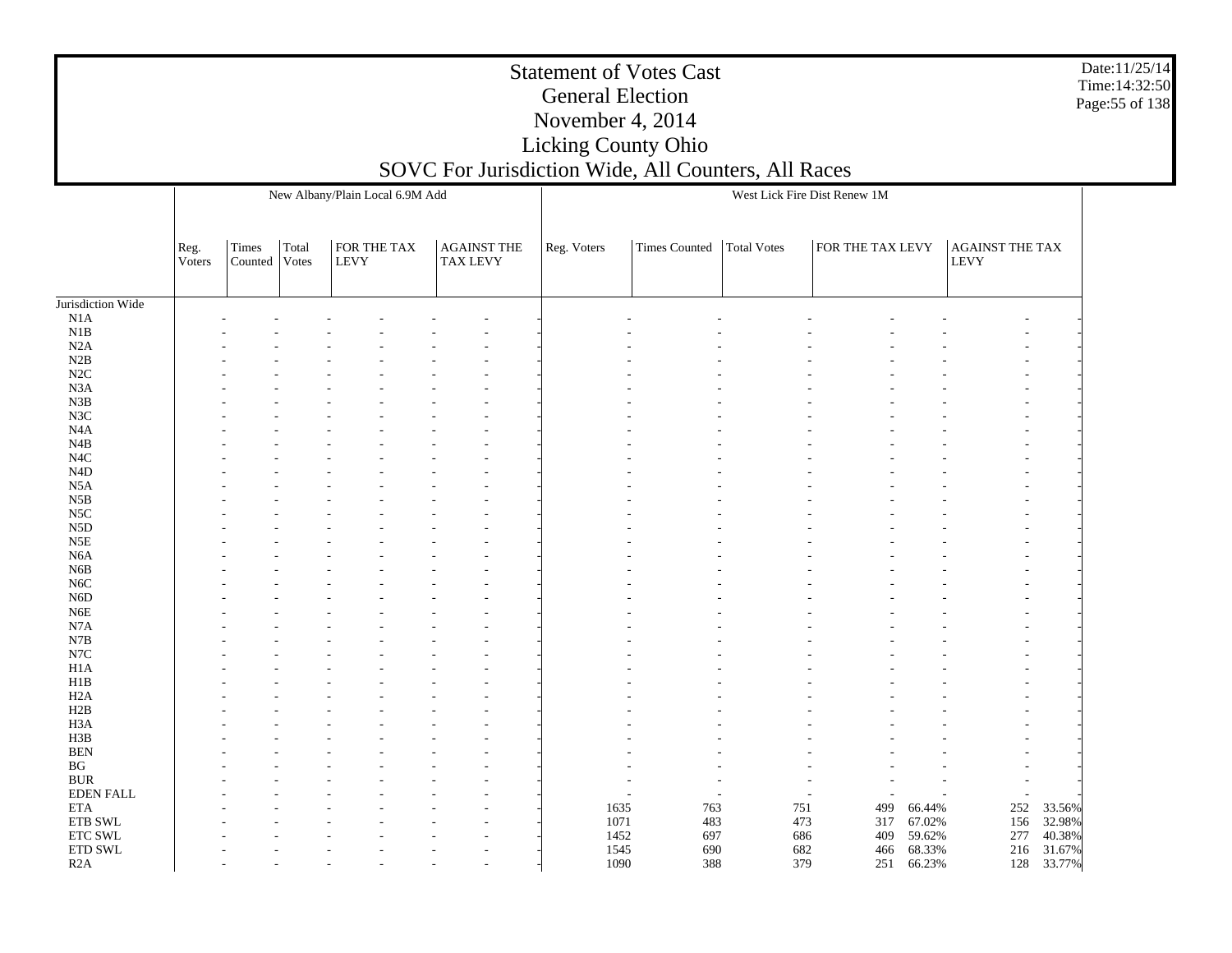|                                      |                |                  |                | New Albany/Plain Local 6.9M Add |                                       | <b>General Election</b><br>November 4, 2014<br>Licking County Ohio | <b>Statement of Votes Cast</b><br>SOVC For Jurisdiction Wide, All Counters, All Races |             | West Lick Fire Dist Renew 1M |                  |                                       | Date:11/25/14<br>Time: 14:32:50<br>Page: 55 of 138 |  |
|--------------------------------------|----------------|------------------|----------------|---------------------------------|---------------------------------------|--------------------------------------------------------------------|---------------------------------------------------------------------------------------|-------------|------------------------------|------------------|---------------------------------------|----------------------------------------------------|--|
|                                      | Reg.<br>Voters | Times<br>Counted | Total<br>Votes | FOR THE TAX<br><b>LEVY</b>      | <b>AGAINST THE</b><br><b>TAX LEVY</b> | Reg. Voters                                                        | Times Counted                                                                         | Total Votes | FOR THE TAX LEVY             |                  | <b>AGAINST THE TAX</b><br><b>LEVY</b> |                                                    |  |
|                                      |                |                  |                |                                 |                                       |                                                                    |                                                                                       |             |                              |                  |                                       |                                                    |  |
| Jurisdiction Wide                    |                |                  |                |                                 |                                       |                                                                    |                                                                                       |             |                              |                  |                                       |                                                    |  |
| N1A<br>N1B                           |                |                  |                |                                 |                                       |                                                                    |                                                                                       |             |                              |                  |                                       |                                                    |  |
| N2A                                  |                |                  |                |                                 |                                       |                                                                    |                                                                                       |             |                              |                  |                                       |                                                    |  |
| N2B                                  |                |                  |                |                                 |                                       |                                                                    |                                                                                       |             |                              |                  |                                       |                                                    |  |
| N2C                                  |                |                  |                |                                 |                                       |                                                                    |                                                                                       |             |                              |                  |                                       |                                                    |  |
| N <sub>3</sub> A                     |                |                  |                |                                 |                                       |                                                                    |                                                                                       |             |                              |                  |                                       |                                                    |  |
| N3B                                  |                |                  |                |                                 |                                       |                                                                    |                                                                                       |             |                              |                  |                                       |                                                    |  |
| N3C                                  |                |                  |                |                                 |                                       |                                                                    |                                                                                       |             |                              |                  |                                       |                                                    |  |
| N4A<br>N4B                           |                |                  |                |                                 |                                       |                                                                    |                                                                                       |             |                              |                  |                                       |                                                    |  |
| $_{\mathrm{N4C}}$                    |                |                  |                |                                 |                                       |                                                                    |                                                                                       |             |                              |                  |                                       |                                                    |  |
| N4D                                  |                |                  |                |                                 |                                       |                                                                    |                                                                                       |             |                              |                  |                                       |                                                    |  |
| N5A                                  |                |                  |                |                                 |                                       |                                                                    |                                                                                       |             |                              |                  |                                       |                                                    |  |
| N5B                                  |                |                  |                |                                 |                                       |                                                                    |                                                                                       |             |                              |                  |                                       |                                                    |  |
| N5C                                  |                |                  |                |                                 |                                       |                                                                    |                                                                                       |             |                              |                  |                                       |                                                    |  |
| N5D                                  |                |                  |                |                                 |                                       |                                                                    |                                                                                       |             |                              |                  |                                       |                                                    |  |
| N5E                                  |                |                  |                |                                 |                                       |                                                                    |                                                                                       |             |                              |                  |                                       |                                                    |  |
| N <sub>6</sub> A<br>N <sub>6</sub> B |                |                  |                |                                 |                                       |                                                                    |                                                                                       |             |                              |                  |                                       |                                                    |  |
| N6C                                  |                |                  |                |                                 |                                       |                                                                    |                                                                                       |             |                              |                  |                                       |                                                    |  |
| N6D                                  |                |                  |                |                                 |                                       |                                                                    |                                                                                       |             |                              |                  |                                       |                                                    |  |
| N <sub>6</sub> E                     |                |                  |                |                                 |                                       |                                                                    |                                                                                       |             |                              |                  |                                       |                                                    |  |
| N7A                                  |                |                  |                |                                 |                                       |                                                                    |                                                                                       |             |                              |                  |                                       |                                                    |  |
| N7B                                  |                |                  |                |                                 |                                       |                                                                    |                                                                                       |             |                              |                  |                                       |                                                    |  |
| $_{\rm N7C}$                         |                |                  |                |                                 |                                       |                                                                    |                                                                                       |             |                              |                  |                                       |                                                    |  |
| H1A                                  |                |                  |                |                                 |                                       |                                                                    |                                                                                       |             |                              |                  |                                       |                                                    |  |
| H1B<br>H2A                           |                |                  |                |                                 |                                       |                                                                    |                                                                                       |             |                              |                  |                                       |                                                    |  |
| H2B                                  |                |                  |                |                                 |                                       |                                                                    |                                                                                       |             |                              |                  |                                       |                                                    |  |
| H <sub>3</sub> A                     |                |                  |                |                                 |                                       |                                                                    |                                                                                       |             |                              |                  |                                       |                                                    |  |
| H3B                                  |                |                  |                |                                 |                                       |                                                                    |                                                                                       |             |                              |                  |                                       |                                                    |  |
| <b>BEN</b>                           |                |                  |                |                                 |                                       |                                                                    | $\overline{\phantom{a}}$                                                              |             |                              |                  | $\overline{\phantom{a}}$              |                                                    |  |
| $\mathbf{B}\mathbf{G}$               |                |                  |                |                                 |                                       |                                                                    |                                                                                       |             |                              |                  | $\overline{\phantom{a}}$              |                                                    |  |
| <b>BUR</b>                           |                |                  |                |                                 |                                       |                                                                    | $\overline{\phantom{a}}$                                                              |             |                              |                  | $\overline{\phantom{a}}$              |                                                    |  |
| <b>EDEN FALL</b>                     |                |                  |                |                                 |                                       |                                                                    | $\overline{\phantom{a}}$                                                              |             |                              |                  | $\overline{\phantom{a}}$              |                                                    |  |
| <b>ETA</b>                           |                |                  |                |                                 |                                       | 1635                                                               | 763                                                                                   | 751         | 499                          | 66.44%           | 252                                   | 33.56%                                             |  |
| ${\rm ETB}$ SWL<br><b>ETC SWL</b>    |                |                  |                |                                 |                                       | 1071                                                               | 483                                                                                   | 473<br>686  | 317<br>409                   | 67.02%           | 156<br>277                            | 32.98%                                             |  |
| $\rm ETD$ SWL                        |                |                  |                |                                 |                                       | 1452<br>1545                                                       | 697<br>690                                                                            | 682         | 466                          | 59.62%<br>68.33% | 216                                   | 40.38%<br>31.67%                                   |  |
| R2A                                  |                |                  |                |                                 |                                       | 1090                                                               | 388                                                                                   | 379         | 251                          | 66.23%           |                                       | 128 33.77%                                         |  |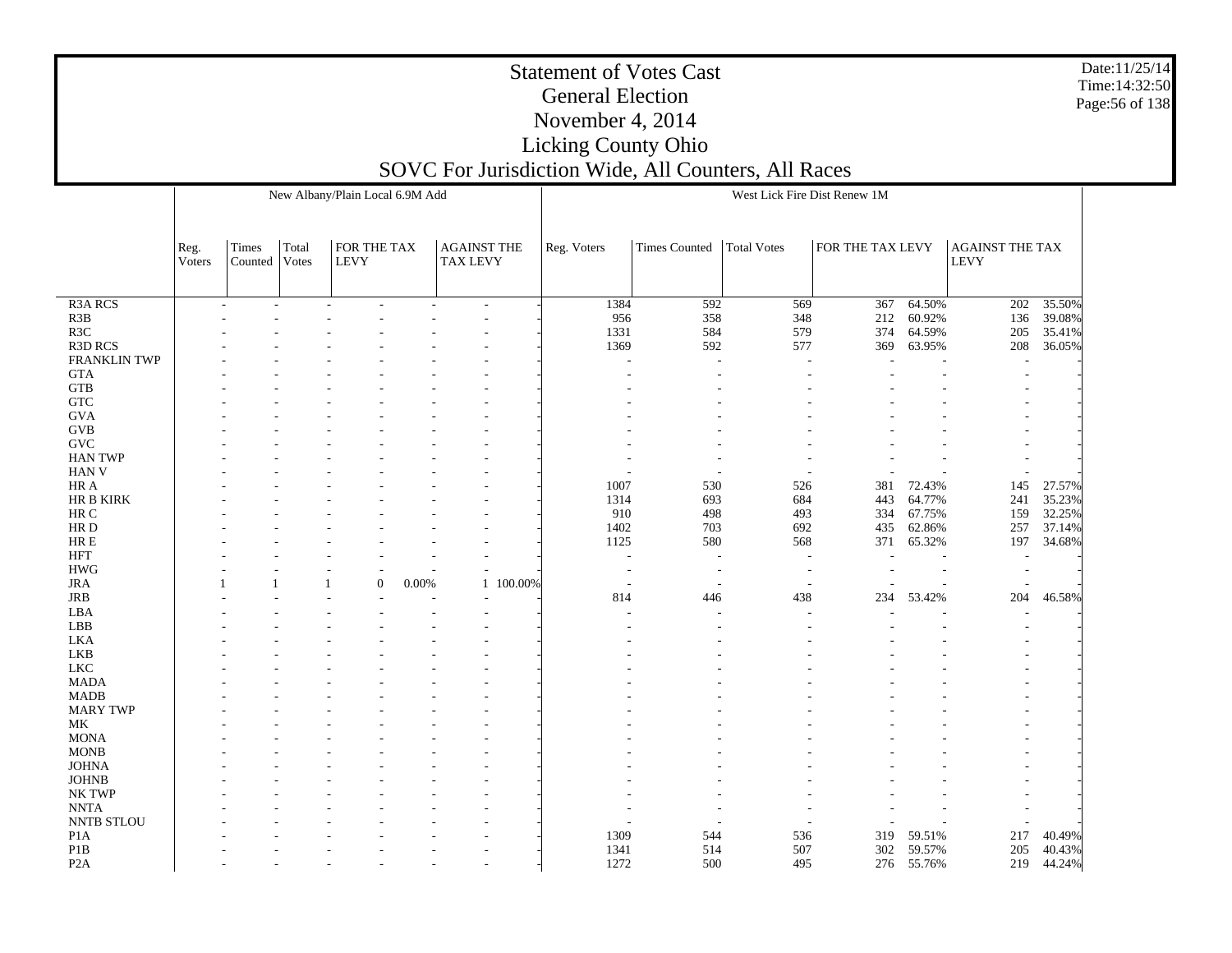|                             |                |                          |       |                                 |       |                                                     | <b>Statement of Votes Cast</b><br><b>General Election</b> |               |                              |                  |                  |                                       |                  | Date:11/25/14<br>Time: 14:32:50<br>Page: 56 of 138 |
|-----------------------------|----------------|--------------------------|-------|---------------------------------|-------|-----------------------------------------------------|-----------------------------------------------------------|---------------|------------------------------|------------------|------------------|---------------------------------------|------------------|----------------------------------------------------|
|                             |                |                          |       |                                 |       |                                                     | November 4, 2014                                          |               |                              |                  |                  |                                       |                  |                                                    |
|                             |                |                          |       |                                 |       |                                                     | Licking County Ohio                                       |               |                              |                  |                  |                                       |                  |                                                    |
|                             |                |                          |       |                                 |       |                                                     |                                                           |               |                              |                  |                  |                                       |                  |                                                    |
|                             |                |                          |       |                                 |       | SOVC For Jurisdiction Wide, All Counters, All Races |                                                           |               |                              |                  |                  |                                       |                  |                                                    |
|                             |                |                          |       | New Albany/Plain Local 6.9M Add |       |                                                     |                                                           |               | West Lick Fire Dist Renew 1M |                  |                  |                                       |                  |                                                    |
|                             | Reg.<br>Voters | Times<br>Counted   Votes | Total | FOR THE TAX<br><b>LEVY</b>      |       | <b>AGAINST THE</b><br><b>TAX LEVY</b>               | Reg. Voters                                               | Times Counted | Total Votes                  | FOR THE TAX LEVY |                  | <b>AGAINST THE TAX</b><br><b>LEVY</b> |                  |                                                    |
|                             |                |                          |       |                                 |       |                                                     |                                                           |               |                              |                  |                  |                                       |                  |                                                    |
| R <sub>3</sub> A RCS        |                |                          |       |                                 |       |                                                     | 1384                                                      | 592           | 569                          | 367              | 64.50%           | 202                                   | 35.50%           |                                                    |
| R3B                         |                |                          |       |                                 |       |                                                     | 956                                                       | 358           | 348                          | 212              | 60.92%           | 136                                   | 39.08%           |                                                    |
| R3C                         |                |                          |       |                                 |       |                                                     | 1331                                                      | 584           | 579                          | 374              | 64.59%           | 205                                   | 35.41%           |                                                    |
| R3D RCS                     |                |                          |       |                                 |       |                                                     | 1369                                                      | 592           | 577                          | 369              | 63.95%           | 208                                   | 36.05%           |                                                    |
| FRANKLIN TWP                |                |                          |       |                                 |       |                                                     |                                                           |               |                              |                  |                  |                                       |                  |                                                    |
| <b>GTA</b>                  |                |                          |       |                                 |       |                                                     |                                                           |               |                              |                  |                  |                                       |                  |                                                    |
| GTB<br>${\rm GTC}$          |                |                          |       |                                 |       |                                                     |                                                           |               |                              |                  |                  |                                       |                  |                                                    |
| <b>GVA</b>                  |                |                          |       |                                 |       |                                                     |                                                           |               |                              |                  |                  |                                       |                  |                                                    |
| $\rm GVB$                   |                |                          |       |                                 |       |                                                     |                                                           |               |                              |                  |                  |                                       |                  |                                                    |
| GVC                         |                |                          |       |                                 |       |                                                     |                                                           |               |                              |                  |                  |                                       |                  |                                                    |
| <b>HAN TWP</b>              |                |                          |       |                                 |       |                                                     |                                                           |               |                              |                  |                  |                                       |                  |                                                    |
| <b>HAN V</b>                |                |                          |       |                                 |       |                                                     |                                                           |               |                              |                  |                  |                                       |                  |                                                    |
| HR A                        |                |                          |       |                                 |       |                                                     | 1007                                                      | 530           | 526                          | 381              | 72.43%           | 145                                   | 27.57%           |                                                    |
| HR B KIRK                   |                |                          |       |                                 |       |                                                     | 1314                                                      | 693           | 684                          | 443              | 64.77%           | 241                                   | 35.23%           |                                                    |
| HR C<br>HR D                |                |                          |       |                                 |       |                                                     | 910<br>1402                                               | 498<br>703    | 493<br>692                   | 334<br>435       | 67.75%<br>62.86% | 159<br>257                            | 32.25%<br>37.14% |                                                    |
| HR E                        |                |                          |       |                                 |       |                                                     | 1125                                                      | 580           | 568                          | 371              | 65.32%           | 197                                   | 34.68%           |                                                    |
| <b>HFT</b>                  |                |                          |       |                                 |       |                                                     |                                                           |               |                              |                  |                  |                                       |                  |                                                    |
| <b>HWG</b>                  |                |                          |       |                                 |       |                                                     |                                                           |               |                              |                  |                  |                                       |                  |                                                    |
| JRA                         |                |                          |       | $\mathbf{0}$                    | 0.00% | 1 100.00%                                           |                                                           |               |                              |                  |                  |                                       |                  |                                                    |
| JRB                         |                |                          |       |                                 |       |                                                     | 814                                                       | 446           | 438                          | 234              | 53.42%           | 204                                   | 46.58%           |                                                    |
| LBA                         |                |                          |       |                                 |       |                                                     |                                                           |               |                              |                  |                  |                                       |                  |                                                    |
| LBB                         |                |                          |       |                                 |       |                                                     |                                                           |               |                              |                  |                  |                                       |                  |                                                    |
| LKA<br>LKB                  |                |                          |       |                                 |       |                                                     |                                                           |               |                              |                  |                  |                                       |                  |                                                    |
| LKC                         |                |                          |       |                                 |       |                                                     |                                                           |               |                              |                  |                  |                                       |                  |                                                    |
| <b>MADA</b>                 |                |                          |       |                                 |       |                                                     |                                                           |               |                              |                  |                  |                                       |                  |                                                    |
| <b>MADB</b>                 |                |                          |       |                                 |       |                                                     |                                                           |               |                              |                  |                  |                                       |                  |                                                    |
| <b>MARY TWP</b>             |                |                          |       |                                 |       |                                                     |                                                           |               |                              |                  |                  |                                       |                  |                                                    |
| MK                          |                |                          |       |                                 |       |                                                     |                                                           |               |                              |                  |                  |                                       |                  |                                                    |
| <b>MONA</b>                 |                |                          |       |                                 |       |                                                     |                                                           |               |                              |                  |                  |                                       |                  |                                                    |
| $\rm{MONB}$<br><b>JOHNA</b> |                |                          |       |                                 |       |                                                     |                                                           |               |                              |                  |                  |                                       |                  |                                                    |
| $_{\mathrm{JOHNB}}$         |                |                          |       |                                 |       |                                                     |                                                           |               |                              |                  |                  |                                       |                  |                                                    |
| NK TWP                      |                |                          |       |                                 |       |                                                     |                                                           |               |                              |                  |                  |                                       |                  |                                                    |
| <b>NNTA</b>                 |                |                          |       |                                 |       |                                                     |                                                           |               |                              |                  |                  |                                       |                  |                                                    |
| NNTB STLOU                  |                |                          |       |                                 |       |                                                     |                                                           |               |                              |                  |                  |                                       |                  |                                                    |
| P <sub>1</sub> A            |                |                          |       |                                 |       |                                                     | 1309                                                      | 544           | 536                          | 319              | 59.51%           | 217                                   | 40.49%           |                                                    |
| $\mathbf{P}1\mathbf{B}$     |                |                          |       |                                 |       |                                                     | 1341                                                      | 514           | 507                          |                  | 302 59.57%       | 205                                   | 40.43%           |                                                    |
| P <sub>2</sub> A            |                |                          |       |                                 |       |                                                     | 1272                                                      | 500           | 495                          |                  | 276 55.76%       |                                       | 219 44.24%       |                                                    |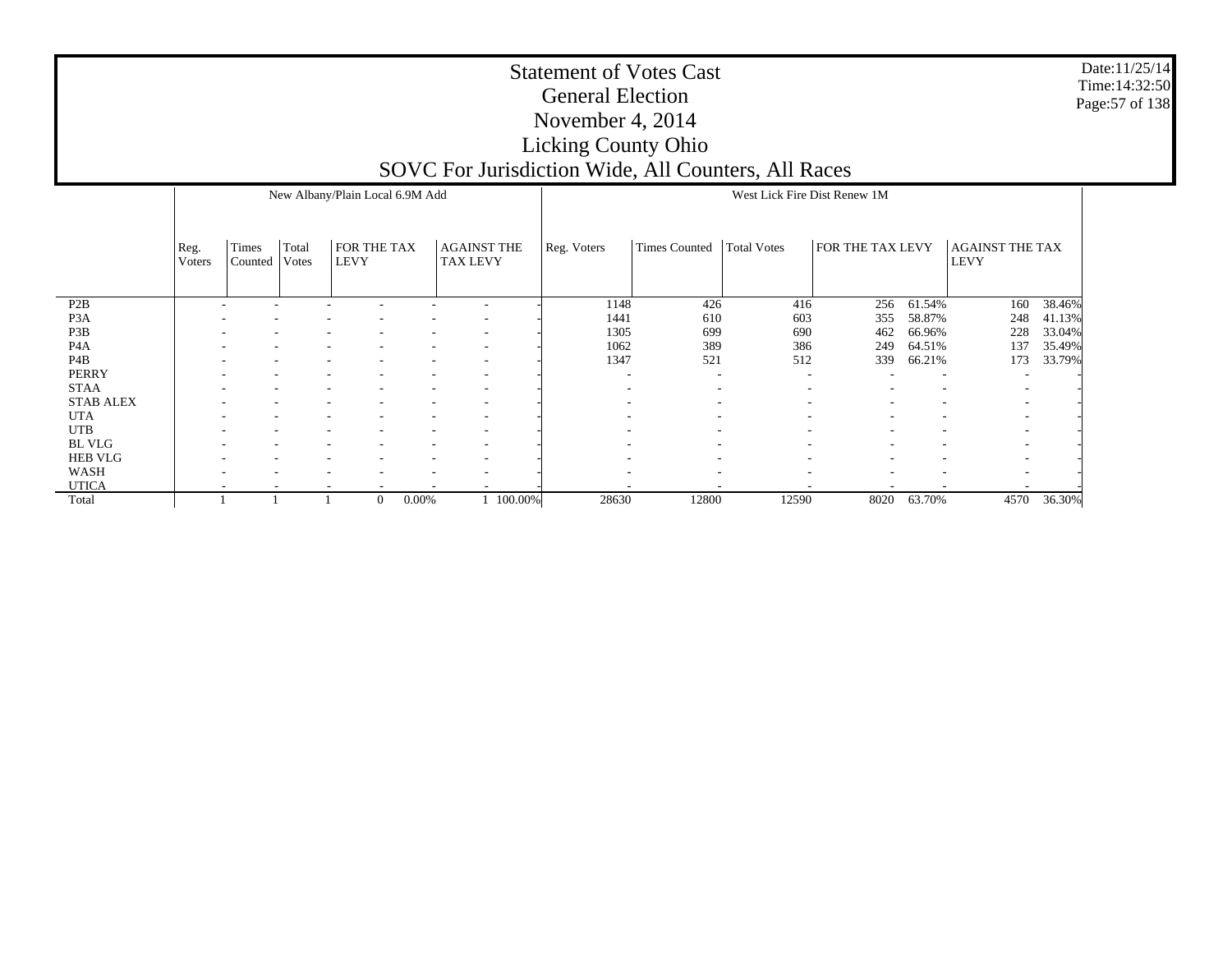|                             |                                                                                                                                                                                                                                                              |  |  |                                 |       | SOVC For Jurisdiction Wide, All Counters, All Races | <b>Statement of Votes Cast</b><br><b>General Election</b><br>November 4, 2014<br><b>Licking County Ohio</b> |       |                              |      |        |      | Date:11/25/14<br>Time: 14:32:50<br>Page: 57 of 138 |  |
|-----------------------------|--------------------------------------------------------------------------------------------------------------------------------------------------------------------------------------------------------------------------------------------------------------|--|--|---------------------------------|-------|-----------------------------------------------------|-------------------------------------------------------------------------------------------------------------|-------|------------------------------|------|--------|------|----------------------------------------------------|--|
|                             |                                                                                                                                                                                                                                                              |  |  | New Albany/Plain Local 6.9M Add |       |                                                     |                                                                                                             |       | West Lick Fire Dist Renew 1M |      |        |      |                                                    |  |
|                             | Times<br>FOR THE TAX<br><b>AGAINST THE</b><br><b>Total Votes</b><br><b>FOR THE TAX LEVY</b><br>Total<br>Reg. Voters<br><b>Times Counted</b><br><b>AGAINST THE TAX</b><br>Reg.<br>Counted<br>Votes<br><b>LEVY</b><br><b>LEVY</b><br><b>TAX LEVY</b><br>Voters |  |  |                                 |       |                                                     |                                                                                                             |       |                              |      |        |      |                                                    |  |
| P <sub>2</sub> B            |                                                                                                                                                                                                                                                              |  |  |                                 |       |                                                     | 1148                                                                                                        | 426   | 416                          | 256  | 61.54% | 160  | 38.46%                                             |  |
| P <sub>3</sub> A            |                                                                                                                                                                                                                                                              |  |  |                                 |       |                                                     | 1441                                                                                                        | 610   | 603                          | 355  | 58.87% | 248  | 41.13%                                             |  |
| P3B                         |                                                                                                                                                                                                                                                              |  |  |                                 |       |                                                     | 1305                                                                                                        | 699   | 690                          | 462  | 66.96% | 228  | 33.04%                                             |  |
| P <sub>4</sub> A            |                                                                                                                                                                                                                                                              |  |  |                                 |       |                                                     | 1062                                                                                                        | 389   | 386                          | 249  | 64.51% | 137  | 35.49%                                             |  |
| P <sub>4</sub> B            |                                                                                                                                                                                                                                                              |  |  |                                 |       |                                                     | 1347                                                                                                        | 521   | 512                          | 339  | 66.21% | 173  | 33.79%                                             |  |
| <b>PERRY</b>                |                                                                                                                                                                                                                                                              |  |  |                                 |       |                                                     |                                                                                                             |       |                              |      |        |      |                                                    |  |
| <b>STAA</b>                 |                                                                                                                                                                                                                                                              |  |  |                                 |       |                                                     |                                                                                                             |       |                              |      |        |      |                                                    |  |
| <b>STAB ALEX</b>            |                                                                                                                                                                                                                                                              |  |  |                                 |       |                                                     |                                                                                                             |       |                              |      |        |      |                                                    |  |
| <b>UTA</b>                  |                                                                                                                                                                                                                                                              |  |  |                                 |       |                                                     |                                                                                                             |       |                              |      |        |      |                                                    |  |
| <b>UTB</b>                  |                                                                                                                                                                                                                                                              |  |  |                                 |       |                                                     |                                                                                                             |       |                              |      |        |      |                                                    |  |
| <b>BL VLG</b>               |                                                                                                                                                                                                                                                              |  |  |                                 |       |                                                     |                                                                                                             |       |                              |      |        |      |                                                    |  |
| <b>HEB VLG</b>              |                                                                                                                                                                                                                                                              |  |  |                                 |       |                                                     |                                                                                                             |       |                              |      |        |      |                                                    |  |
| <b>WASH</b><br><b>UTICA</b> |                                                                                                                                                                                                                                                              |  |  |                                 |       |                                                     |                                                                                                             |       |                              |      |        |      |                                                    |  |
| Total                       |                                                                                                                                                                                                                                                              |  |  | $\Omega$                        | 0.00% | 1 100.00%                                           | 28630                                                                                                       | 12800 | 12590                        | 8020 | 63.70% | 4570 | 36.30%                                             |  |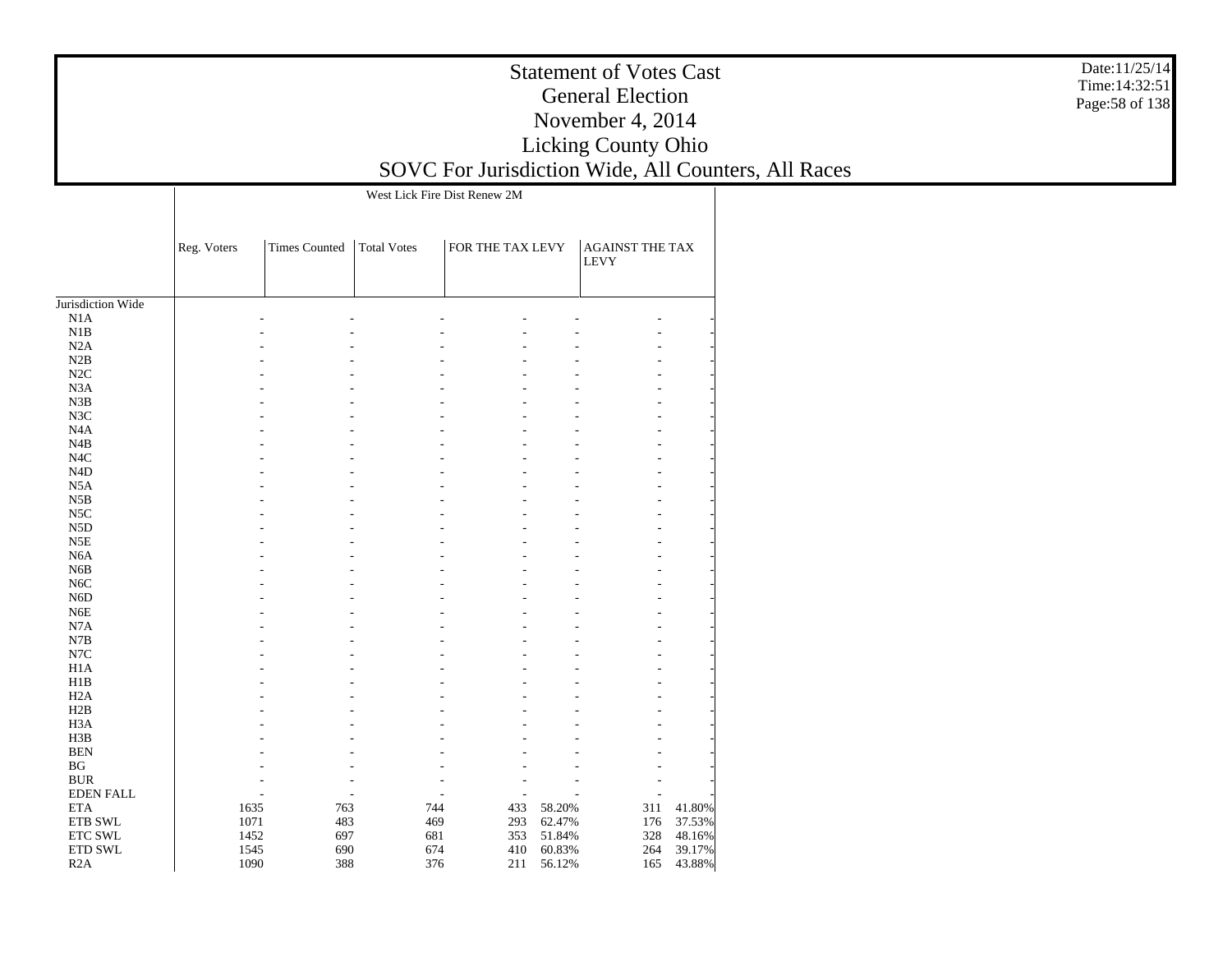|                   |             |                      |                    | West Lick Fire Dist Renew 2M |        |                                       |        |
|-------------------|-------------|----------------------|--------------------|------------------------------|--------|---------------------------------------|--------|
|                   |             |                      |                    |                              |        |                                       |        |
|                   | Reg. Voters | <b>Times Counted</b> | <b>Total Votes</b> | FOR THE TAX LEVY             |        | <b>AGAINST THE TAX</b><br><b>LEVY</b> |        |
| Jurisdiction Wide |             |                      |                    |                              |        |                                       |        |
| N1A               |             |                      |                    |                              |        |                                       |        |
| N1B               |             |                      |                    |                              |        |                                       |        |
| N2A               |             |                      |                    |                              |        |                                       |        |
| N2B               |             |                      |                    |                              |        |                                       |        |
| $\rm N2C$         |             |                      |                    |                              |        |                                       |        |
| N3A               |             |                      |                    |                              |        |                                       |        |
| N3B               |             |                      |                    |                              |        |                                       |        |
| N3C               |             |                      |                    |                              |        |                                       |        |
| N <sub>4</sub> A  |             |                      |                    |                              |        |                                       |        |
| N4B               |             |                      |                    |                              |        |                                       |        |
| N <sub>4</sub> C  |             |                      |                    |                              |        |                                       |        |
| N <sub>4</sub> D  |             |                      |                    |                              |        |                                       |        |
| N <sub>5</sub> A  |             |                      |                    |                              |        |                                       |        |
| N5B               |             |                      |                    |                              |        |                                       |        |
| N <sub>5</sub> C  |             |                      |                    |                              |        |                                       |        |
| N5D               |             |                      |                    |                              |        |                                       |        |
| N5E               |             |                      |                    |                              |        |                                       |        |
| N <sub>6</sub> A  |             |                      |                    |                              |        |                                       |        |
| N <sub>6</sub> B  |             |                      |                    |                              |        |                                       |        |
| N <sub>6</sub> C  |             |                      |                    |                              |        |                                       |        |
| N <sub>6</sub> D  |             |                      |                    |                              |        |                                       |        |
| ${\rm N6E}$       |             |                      |                    |                              |        |                                       |        |
| N7A               |             |                      |                    |                              |        |                                       |        |
| N7B               |             |                      |                    |                              |        |                                       |        |
| $_{\mathrm{N7C}}$ |             |                      |                    |                              |        |                                       |        |
| H <sub>1</sub> A  |             |                      |                    |                              |        |                                       |        |
| H1B               |             |                      |                    |                              |        |                                       |        |
| H <sub>2</sub> A  |             |                      |                    |                              |        |                                       |        |
| H2B               |             |                      |                    |                              |        |                                       |        |
| H <sub>3</sub> A  |             |                      |                    |                              |        |                                       |        |
| H3B               |             |                      |                    |                              |        |                                       |        |
| <b>BEN</b>        |             |                      |                    |                              |        |                                       |        |
| BG                |             |                      |                    |                              |        |                                       |        |
| <b>BUR</b>        |             |                      |                    |                              |        |                                       |        |
| <b>EDEN FALL</b>  |             |                      |                    | ÷                            |        |                                       |        |
| <b>ETA</b>        | 1635        | 763                  | 744                | 433                          | 58.20% | 311                                   | 41.80% |
| $\rm ETB$ SWL     | 1071        | 483                  | 469                | 293                          | 62.47% | 176                                   | 37.53% |
| ETC SWL           | 1452        | 697                  | 681                | 353                          | 51.84% | 328                                   | 48.16% |
| ETD SWL           | 1545        | 690                  | 674                | 410                          | 60.83% | 264                                   | 39.17% |
| R2A               | 1090        | 388                  | 376                | 211                          | 56.12% | 165                                   | 43.88% |

Date:11/25/14 Time:14:32:51Page:58 of 138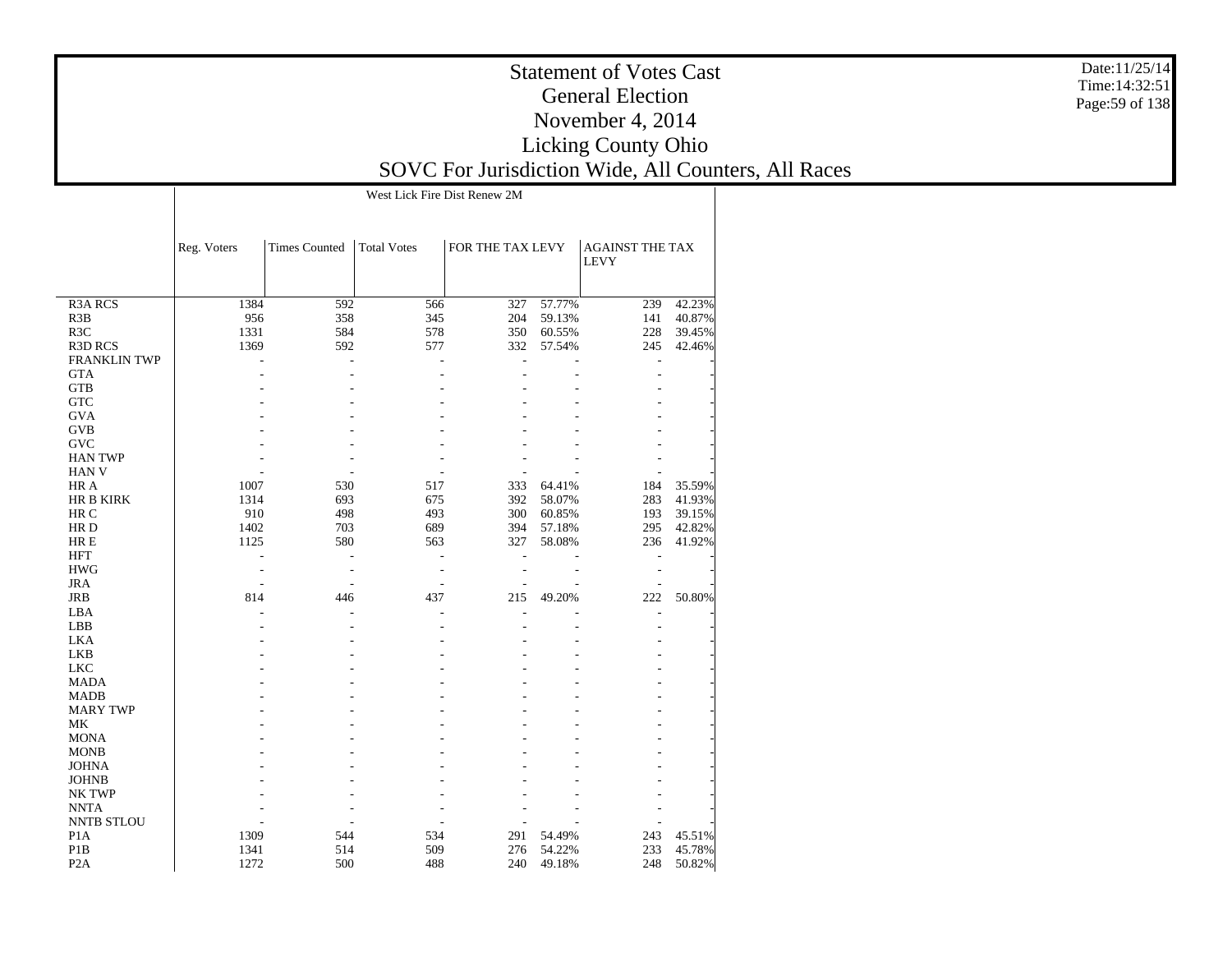|                     |             |                      | West Lick Fire Dist Renew 2M |                  |        |                                       |        |
|---------------------|-------------|----------------------|------------------------------|------------------|--------|---------------------------------------|--------|
|                     |             |                      |                              |                  |        |                                       |        |
|                     | Reg. Voters | <b>Times Counted</b> | <b>Total Votes</b>           | FOR THE TAX LEVY |        | <b>AGAINST THE TAX</b><br><b>LEVY</b> |        |
| <b>R3A RCS</b>      | 1384        | 592                  | 566                          | 327              | 57.77% | 239                                   | 42.23% |
| R3B                 | 956         | 358                  | 345                          | 204              | 59.13% | 141                                   | 40.87% |
| R3C                 | 1331        | 584                  | 578                          | 350              | 60.55% | 228                                   | 39.45% |
| <b>R3D RCS</b>      | 1369        | 592                  | 577                          | 332              | 57.54% | 245                                   | 42.46% |
| <b>FRANKLIN TWP</b> |             |                      |                              |                  |        |                                       |        |
| <b>GTA</b>          |             |                      |                              |                  |        |                                       |        |
| <b>GTB</b>          |             |                      |                              |                  |        |                                       |        |
| <b>GTC</b>          |             |                      |                              |                  |        |                                       |        |
| <b>GVA</b>          |             |                      |                              |                  |        |                                       |        |
| <b>GVB</b>          |             |                      |                              |                  |        |                                       |        |
| <b>GVC</b>          |             |                      |                              |                  |        |                                       |        |
| <b>HAN TWP</b>      |             |                      |                              |                  |        |                                       |        |
| <b>HAN V</b>        |             |                      |                              |                  |        |                                       |        |
| HR A                | 1007        | 530                  | 517                          | 333              | 64.41% | 184                                   | 35.59% |
| HR B KIRK           | 1314        | 693                  | 675                          | 392              | 58.07% | 283                                   | 41.93% |
| HR C                | 910         | 498                  | 493                          | 300              | 60.85% | 193                                   | 39.15% |
| HR <sub>D</sub>     | 1402        | 703                  | 689                          | 394              | 57.18% | 295                                   | 42.82% |
| HR E                | 1125        | 580                  | 563                          | 327              | 58.08% | 236                                   | 41.92% |
| <b>HFT</b>          | L,          |                      |                              |                  |        |                                       |        |
| <b>HWG</b>          |             |                      | L,                           |                  |        |                                       |        |
| <b>JRA</b>          |             |                      |                              |                  |        |                                       |        |
| <b>JRB</b>          | 814         | 446                  | 437                          | 215              | 49.20% | 222                                   | 50.80% |
| LBA                 |             |                      |                              |                  |        |                                       |        |
| <b>LBB</b>          |             |                      |                              |                  |        |                                       |        |
| <b>LKA</b>          |             |                      |                              |                  |        |                                       |        |
| <b>LKB</b>          |             |                      |                              |                  |        |                                       |        |
| <b>LKC</b>          |             |                      |                              |                  |        |                                       |        |
| <b>MADA</b>         |             |                      |                              |                  |        |                                       |        |
| <b>MADB</b>         |             |                      |                              |                  |        |                                       |        |
| <b>MARY TWP</b>     |             |                      |                              |                  |        |                                       |        |
| MK                  |             |                      |                              |                  |        |                                       |        |
| <b>MONA</b>         |             |                      |                              |                  |        |                                       |        |
| <b>MONB</b>         |             |                      |                              |                  |        |                                       |        |
| <b>JOHNA</b>        |             |                      |                              |                  |        |                                       |        |
| <b>JOHNB</b>        |             |                      |                              |                  |        |                                       |        |
| <b>NKTWP</b>        |             |                      |                              |                  |        |                                       |        |
| <b>NNTA</b>         |             |                      |                              |                  |        |                                       |        |
| <b>NNTB STLOU</b>   |             |                      |                              |                  |        |                                       |        |
| P <sub>1</sub> A    | 1309        | 544                  | 534                          | 291              | 54.49% | 243                                   | 45.51% |
| P <sub>1</sub> B    | 1341        | 514                  | 509                          | 276              | 54.22% | 233                                   | 45.78% |
| P <sub>2</sub> A    | 1272        | 500                  | 488                          | 240              | 49.18% | 248                                   | 50.82% |

Date:11/25/14 Time:14:32:51Page:59 of 138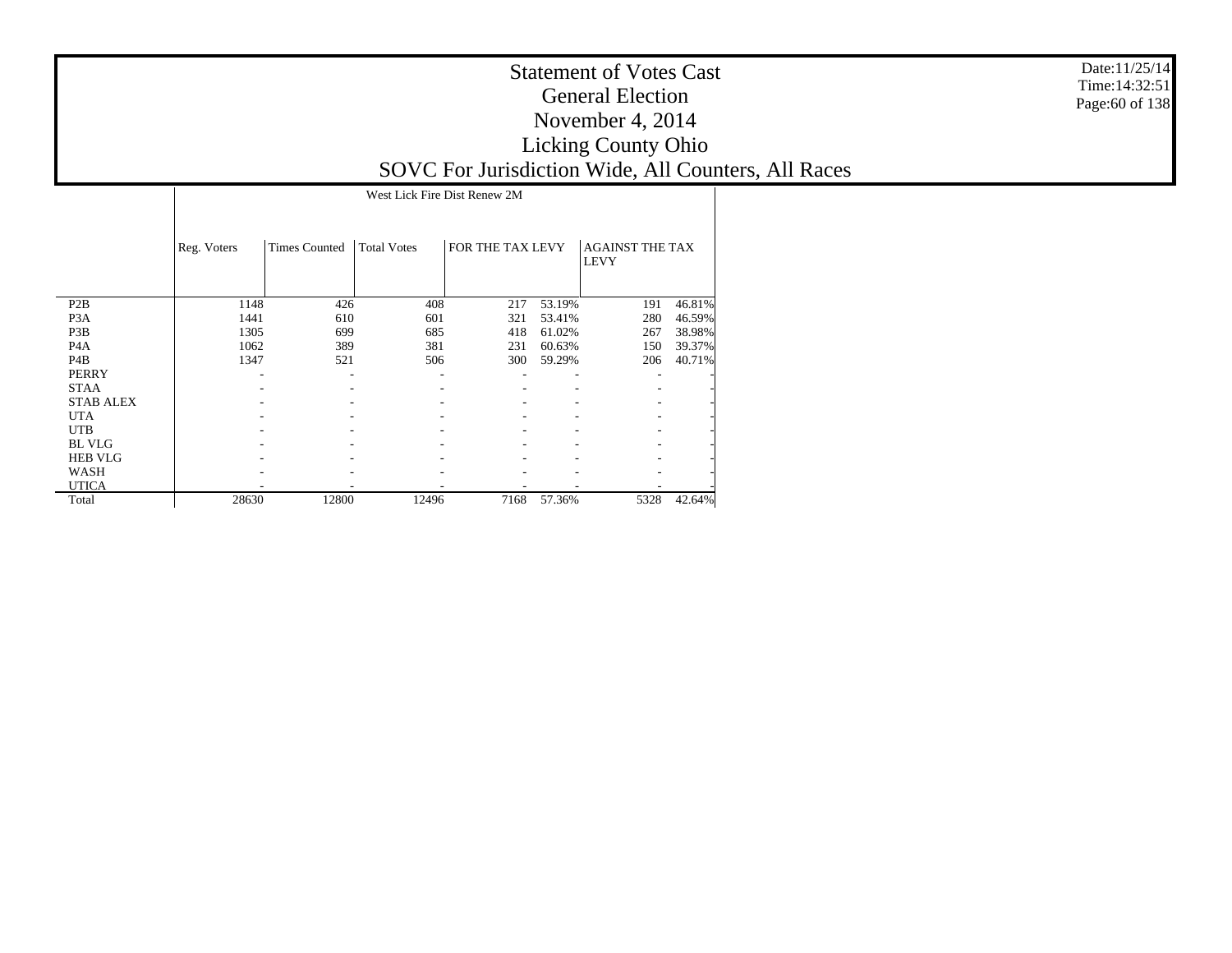|                  |             |                      | West Lick Fire Dist Renew 2M |                  |        |                                       |        |
|------------------|-------------|----------------------|------------------------------|------------------|--------|---------------------------------------|--------|
|                  | Reg. Voters | <b>Times Counted</b> | <b>Total Votes</b>           | FOR THE TAX LEVY |        | <b>AGAINST THE TAX</b><br><b>LEVY</b> |        |
| P <sub>2</sub> B | 1148        | 426                  | 408                          | 217              | 53.19% | 191                                   | 46.81% |
| P <sub>3</sub> A | 1441        | 610                  | 601                          | 321              | 53.41% | 280                                   | 46.59% |
| P3B              | 1305        | 699                  | 685                          | 418              | 61.02% | 267                                   | 38.98% |
| P <sub>4</sub> A | 1062        | 389                  | 381                          | 231              | 60.63% | 150                                   | 39.37% |
| P <sub>4</sub> B | 1347        | 521                  | 506                          | 300              | 59.29% | 206                                   | 40.71% |
| <b>PERRY</b>     |             |                      |                              |                  |        |                                       |        |
| <b>STAA</b>      |             |                      |                              |                  |        |                                       |        |
| <b>STAB ALEX</b> |             |                      |                              |                  |        |                                       |        |
| <b>UTA</b>       |             |                      |                              |                  |        |                                       |        |
| <b>UTB</b>       |             |                      |                              |                  |        |                                       |        |
| <b>BL VLG</b>    |             |                      |                              |                  |        |                                       |        |
| <b>HEB VLG</b>   |             |                      |                              |                  |        |                                       |        |
| WASH             |             |                      |                              |                  |        |                                       |        |
| UTICA            |             |                      |                              |                  |        |                                       |        |
| Total            | 28630       | 12800                | 12496                        | 7168             | 57.36% | 5328                                  | 42.64% |

Date:11/25/14 Time:14:32:51Page:60 of 138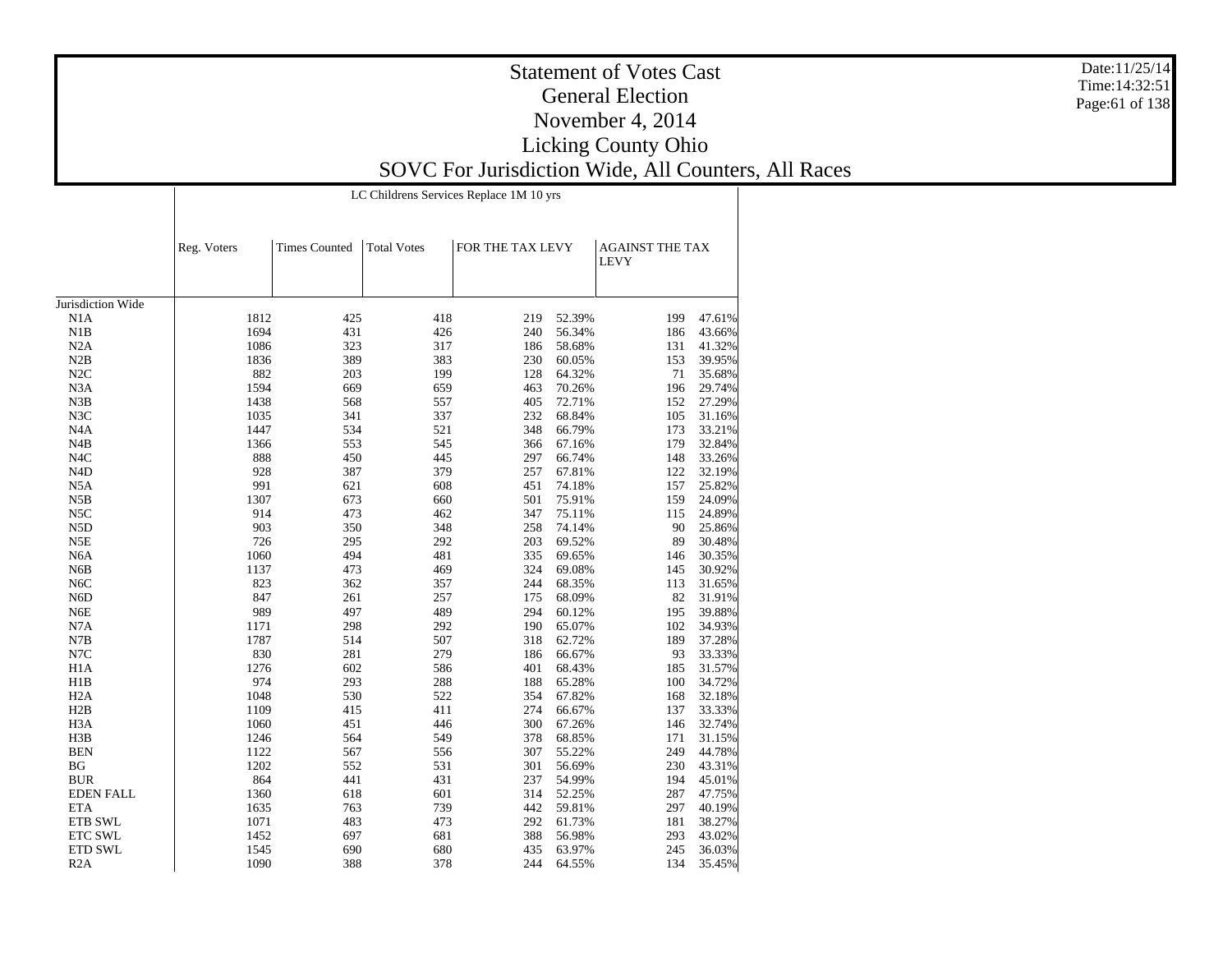|                   |             |                      |                    | LC Childrens Services Replace 1M 10 yrs |        |                                       |        |
|-------------------|-------------|----------------------|--------------------|-----------------------------------------|--------|---------------------------------------|--------|
|                   |             |                      |                    |                                         |        |                                       |        |
|                   | Reg. Voters | <b>Times Counted</b> | <b>Total Votes</b> | FOR THE TAX LEVY                        |        | <b>AGAINST THE TAX</b><br><b>LEVY</b> |        |
| Jurisdiction Wide |             |                      |                    |                                         |        |                                       |        |
| N1A               | 1812        | 425                  | 418                | 219                                     | 52.39% | 199                                   | 47.61% |
| N1B               | 1694        | 431                  | 426                | 240                                     | 56.34% | 186                                   | 43.66% |
| N2A               | 1086        | 323                  | 317                | 186                                     | 58.68% | 131                                   | 41.32% |
| N2B               | 1836        | 389                  | 383                | 230                                     | 60.05% | 153                                   | 39.95% |
| N2C               | 882         | 203                  | 199                | 128                                     | 64.32% | 71                                    | 35.68% |
| N <sub>3</sub> A  | 1594        | 669                  | 659                | 463                                     | 70.26% | 196                                   | 29.74% |
| N3B               | 1438        | 568                  | 557                | 405                                     | 72.71% | 152                                   | 27.29% |
| N3C               | 1035        | 341                  | 337                | 232                                     | 68.84% | 105                                   | 31.16% |
| N <sub>4</sub> A  | 1447        | 534                  | 521                | 348                                     | 66.79% | 173                                   | 33.21% |
| N4B               | 1366        | 553                  | 545                | 366                                     | 67.16% | 179                                   | 32.84% |
| N <sub>4</sub> C  | 888         | 450                  | 445                | 297                                     | 66.74% | 148                                   | 33.26% |
| N <sub>4</sub> D  | 928         | 387                  | 379                | 257                                     | 67.81% | 122                                   | 32.19% |
|                   | 991         |                      |                    |                                         |        |                                       |        |
| N <sub>5</sub> A  | 1307        | 621<br>673           | 608                | 451                                     | 74.18% | 157                                   | 25.82% |
| N5B               |             |                      | 660                | 501                                     | 75.91% | 159                                   | 24.09% |
| N5C               | 914         | 473                  | 462                | 347                                     | 75.11% | 115                                   | 24.89% |
| N <sub>5</sub> D  | 903         | 350                  | 348                | 258                                     | 74.14% | 90                                    | 25.86% |
| N5E               | 726         | 295                  | 292                | 203                                     | 69.52% | 89                                    | 30.48% |
| N <sub>6</sub> A  | 1060        | 494                  | 481                | 335                                     | 69.65% | 146                                   | 30.35% |
| N <sub>6</sub> B  | 1137        | 473                  | 469                | 324                                     | 69.08% | 145                                   | 30.92% |
| N <sub>6</sub> C  | 823         | 362                  | 357                | 244                                     | 68.35% | 113                                   | 31.65% |
| N <sub>6</sub> D  | 847         | 261                  | 257                | 175                                     | 68.09% | 82                                    | 31.91% |
| N6E               | 989         | 497                  | 489                | 294                                     | 60.12% | 195                                   | 39.88% |
| N7A               | 1171        | 298                  | 292                | 190                                     | 65.07% | 102                                   | 34.93% |
| N7B               | 1787        | 514                  | 507                | 318                                     | 62.72% | 189                                   | 37.28% |
| N7C               | 830         | 281                  | 279                | 186                                     | 66.67% | 93                                    | 33.33% |
| H <sub>1</sub> A  | 1276        | 602                  | 586                | 401                                     | 68.43% | 185                                   | 31.57% |
| H1B               | 974         | 293                  | 288                | 188                                     | 65.28% | 100                                   | 34.72% |
| H <sub>2</sub> A  | 1048        | 530                  | 522                | 354                                     | 67.82% | 168                                   | 32.18% |
| H2B               | 1109        | 415                  | 411                | 274                                     | 66.67% | 137                                   | 33.33% |
| H <sub>3</sub> A  | 1060        | 451                  | 446                | 300                                     | 67.26% | 146                                   | 32.74% |
| H3B               | 1246        | 564                  | 549                | 378                                     | 68.85% | 171                                   | 31.15% |
| <b>BEN</b>        | 1122        | 567                  | 556                | 307                                     | 55.22% | 249                                   | 44.78% |
| BG                | 1202        | 552                  | 531                | 301                                     | 56.69% | 230                                   | 43.31% |
| <b>BUR</b>        | 864         | 441                  | 431                | 237                                     | 54.99% | 194                                   | 45.01% |
| <b>EDEN FALL</b>  | 1360        | 618                  | 601                | 314                                     | 52.25% | 287                                   | 47.75% |
| <b>ETA</b>        | 1635        | 763                  | 739                | 442                                     | 59.81% | 297                                   | 40.19% |
| <b>ETB SWL</b>    | 1071        | 483                  | 473                | 292                                     | 61.73% | 181                                   | 38.27% |
| ETC SWL           | 1452        | 697                  | 681                | 388                                     | 56.98% | 293                                   | 43.02% |
| ETD SWL           | 1545        | 690                  | 680                | 435                                     | 63.97% | 245                                   | 36.03% |
| R <sub>2</sub> A  | 1090        | 388                  | 378                | 244                                     | 64.55% | 134                                   | 35.45% |
|                   |             |                      |                    |                                         |        |                                       |        |

Date:11/25/14 Time:14:32:51Page:61 of 138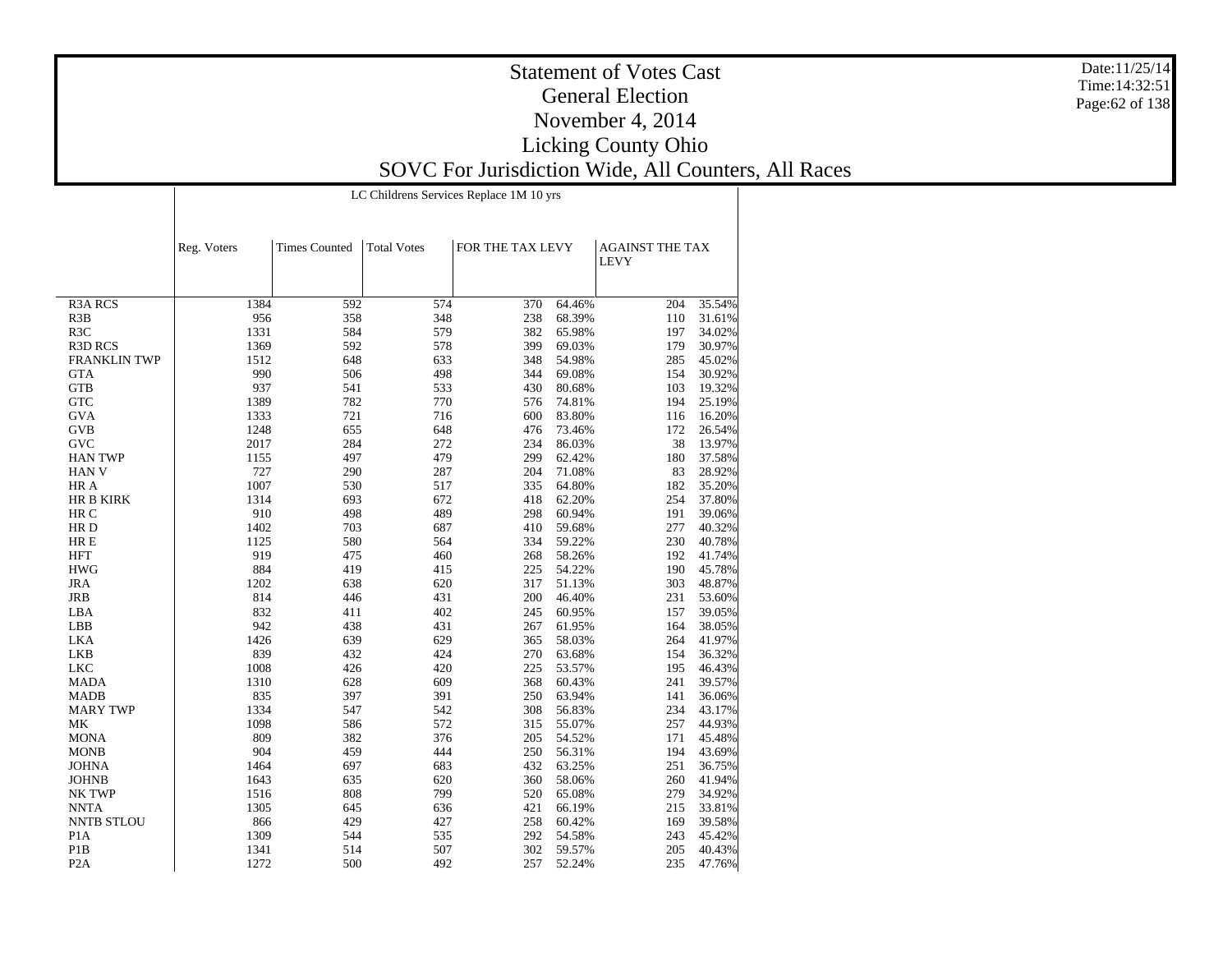|                     |             |                      |                    | LC Childrens Services Replace 1M 10 yrs |                  |                                       |                  |
|---------------------|-------------|----------------------|--------------------|-----------------------------------------|------------------|---------------------------------------|------------------|
|                     | Reg. Voters | <b>Times Counted</b> | <b>Total Votes</b> | FOR THE TAX LEVY                        |                  | <b>AGAINST THE TAX</b><br><b>LEVY</b> |                  |
| <b>R3A RCS</b>      | 1384        | 592                  | 574                | 370                                     | 64.46%           | 204                                   | 35.54%           |
| R3B                 | 956         | 358                  | 348                | 238                                     | 68.39%           | 110                                   | 31.61%           |
| R <sub>3</sub> C    | 1331        | 584                  | 579                | 382                                     | 65.98%           | 197                                   | 34.02%           |
| <b>R3D RCS</b>      | 1369        | 592                  | 578                | 399                                     | 69.03%           | 179                                   | 30.97%           |
| <b>FRANKLIN TWP</b> | 1512        | 648                  | 633                | 348                                     | 54.98%           | 285                                   | 45.02%           |
| <b>GTA</b>          | 990         | 506                  | 498                | 344                                     | 69.08%           | 154                                   | 30.92%           |
| <b>GTB</b>          | 937         | 541                  | 533                | 430                                     | 80.68%           | 103                                   | 19.32%           |
| <b>GTC</b>          | 1389        | 782                  | 770                |                                         |                  |                                       |                  |
| <b>GVA</b>          | 1333        | 721                  | 716                | 576<br>600                              | 74.81%<br>83.80% | 194                                   | 25.19%<br>16.20% |
| <b>GVB</b>          |             |                      |                    |                                         |                  | 116                                   |                  |
|                     | 1248        | 655                  | 648                | 476                                     | 73.46%           | 172                                   | 26.54%           |
| <b>GVC</b>          | 2017        | 284                  | 272                | 234                                     | 86.03%           | 38                                    | 13.97%           |
| <b>HAN TWP</b>      | 1155        | 497                  | 479                | 299                                     | 62.42%           | 180                                   | 37.58%           |
| <b>HAN V</b>        | 727         | 290                  | 287                | 204                                     | 71.08%           | 83                                    | 28.92%           |
| HR A                | 1007        | 530                  | 517                | 335                                     | 64.80%           | 182                                   | 35.20%           |
| <b>HR B KIRK</b>    | 1314        | 693                  | 672                | 418                                     | 62.20%           | 254                                   | 37.80%           |
| HR C                | 910         | 498                  | 489                | 298                                     | 60.94%           | 191                                   | 39.06%           |
| HR D                | 1402        | 703                  | 687                | 410                                     | 59.68%           | 277                                   | 40.32%           |
| HR E                | 1125        | 580                  | 564                | 334                                     | 59.22%           | 230                                   | 40.78%           |
| <b>HFT</b>          | 919         | 475                  | 460                | 268                                     | 58.26%           | 192                                   | 41.74%           |
| <b>HWG</b>          | 884         | 419                  | 415                | 225                                     | 54.22%           | 190                                   | 45.78%           |
| <b>JRA</b>          | 1202        | 638                  | 620                | 317                                     | 51.13%           | 303                                   | 48.87%           |
| $_{\rm JRB}$        | 814         | 446                  | 431                | 200                                     | 46.40%           | 231                                   | 53.60%           |
| LBA                 | 832         | 411                  | 402                | 245                                     | 60.95%           | 157                                   | 39.05%           |
| LBB                 | 942         | 438                  | 431                | 267                                     | 61.95%           | 164                                   | 38.05%           |
| <b>LKA</b>          | 1426        | 639                  | 629                | 365                                     | 58.03%           | 264                                   | 41.97%           |
| <b>LKB</b>          | 839         | 432                  | 424                | 270                                     | 63.68%           | 154                                   | 36.32%           |
| <b>LKC</b>          | 1008        | 426                  | 420                | 225                                     | 53.57%           | 195                                   | 46.43%           |
| <b>MADA</b>         | 1310        | 628                  | 609                | 368                                     | 60.43%           | 241                                   | 39.57%           |
| <b>MADB</b>         | 835         | 397                  | 391                | 250                                     | 63.94%           | 141                                   | 36.06%           |
| <b>MARY TWP</b>     | 1334        | 547                  | 542                | 308                                     | 56.83%           | 234                                   | 43.17%           |
| MK                  | 1098        | 586                  | 572                | 315                                     | 55.07%           | 257                                   | 44.93%           |
| <b>MONA</b>         | 809         | 382                  | 376                | 205                                     | 54.52%           | 171                                   | 45.48%           |
| <b>MONB</b>         | 904         | 459                  | 444                | 250                                     | 56.31%           | 194                                   | 43.69%           |
| <b>JOHNA</b>        | 1464        | 697                  | 683                | 432                                     | 63.25%           | 251                                   | 36.75%           |
| <b>JOHNB</b>        | 1643        | 635                  | 620                | 360                                     | 58.06%           | 260                                   | 41.94%           |
| NK TWP              | 1516        | 808                  | 799                | 520                                     | 65.08%           | 279                                   | 34.92%           |
| <b>NNTA</b>         | 1305        | 645                  | 636                | 421                                     | 66.19%           | 215                                   | 33.81%           |
| NNTB STLOU          | 866         | 429                  | 427                | 258                                     | 60.42%           | 169                                   | 39.58%           |
| P <sub>1</sub> A    | 1309        | 544                  | 535                | 292                                     | 54.58%           | 243                                   | 45.42%           |
| P <sub>1</sub> B    | 1341        | 514                  | 507                | 302                                     | 59.57%           | 205                                   | 40.43%           |
| P <sub>2</sub> A    | 1272        | 500                  | 492                | 257                                     | 52.24%           | 235                                   | 47.76%           |
|                     |             |                      |                    |                                         |                  |                                       |                  |

Date:11/25/14 Time:14:32:51Page:62 of 138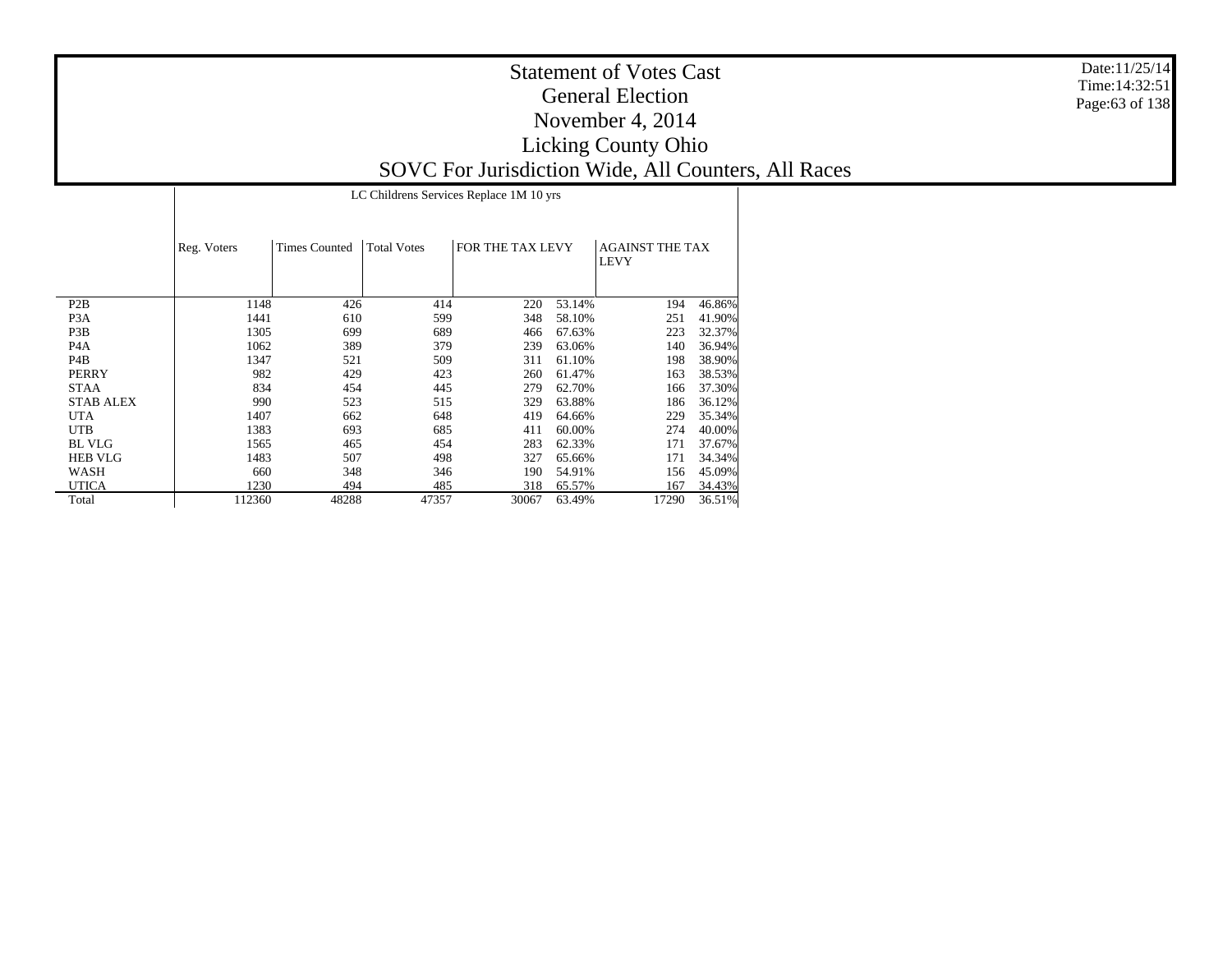|                  |             | LC Childrens Services Replace 1M 10 yrs                        |       |       |        |       |        |  |  |  |  |  |  |
|------------------|-------------|----------------------------------------------------------------|-------|-------|--------|-------|--------|--|--|--|--|--|--|
|                  | Reg. Voters | FOR THE TAX LEVY<br><b>Times Counted</b><br><b>Total Votes</b> |       |       |        |       |        |  |  |  |  |  |  |
| P <sub>2</sub> B | 1148        | 426                                                            | 414   | 220   | 53.14% | 194   | 46.86% |  |  |  |  |  |  |
| P <sub>3</sub> A | 1441        | 610                                                            | 599   | 348   | 58.10% | 251   | 41.90% |  |  |  |  |  |  |
| P <sub>3</sub> B | 1305        | 699                                                            | 689   | 466   | 67.63% | 223   | 32.37% |  |  |  |  |  |  |
| P <sub>4</sub> A | 1062        | 389                                                            | 379   | 239   | 63.06% | 140   | 36.94% |  |  |  |  |  |  |
| P <sub>4</sub> B | 1347        | 521                                                            | 509   | 311   | 61.10% | 198   | 38.90% |  |  |  |  |  |  |
| <b>PERRY</b>     | 982         | 429                                                            | 423   | 260   | 61.47% | 163   | 38.53% |  |  |  |  |  |  |
| <b>STAA</b>      | 834         | 454                                                            | 445   | 279   | 62.70% | 166   | 37.30% |  |  |  |  |  |  |
| <b>STAB ALEX</b> | 990         | 523                                                            | 515   | 329   | 63.88% | 186   | 36.12% |  |  |  |  |  |  |
| <b>UTA</b>       | 1407        | 662                                                            | 648   | 419   | 64.66% | 229   | 35.34% |  |  |  |  |  |  |
| <b>UTB</b>       | 1383        | 693                                                            | 685   | 411   | 60.00% | 274   | 40.00% |  |  |  |  |  |  |
| <b>BL VLG</b>    | 1565        | 465                                                            | 454   | 283   | 62.33% | 171   | 37.67% |  |  |  |  |  |  |
| <b>HEB VLG</b>   | 1483        | 507                                                            | 498   | 327   | 65.66% | 171   | 34.34% |  |  |  |  |  |  |
| WASH             | 660         | 348                                                            | 346   | 190   | 54.91% | 156   | 45.09% |  |  |  |  |  |  |
| <b>UTICA</b>     | 1230        | 494                                                            | 485   | 318   | 65.57% | 167   | 34.43% |  |  |  |  |  |  |
| Total            | 112360      | 48288                                                          | 47357 | 30067 | 63.49% | 17290 | 36.51% |  |  |  |  |  |  |

Date:11/25/14 Time:14:32:51Page:63 of 138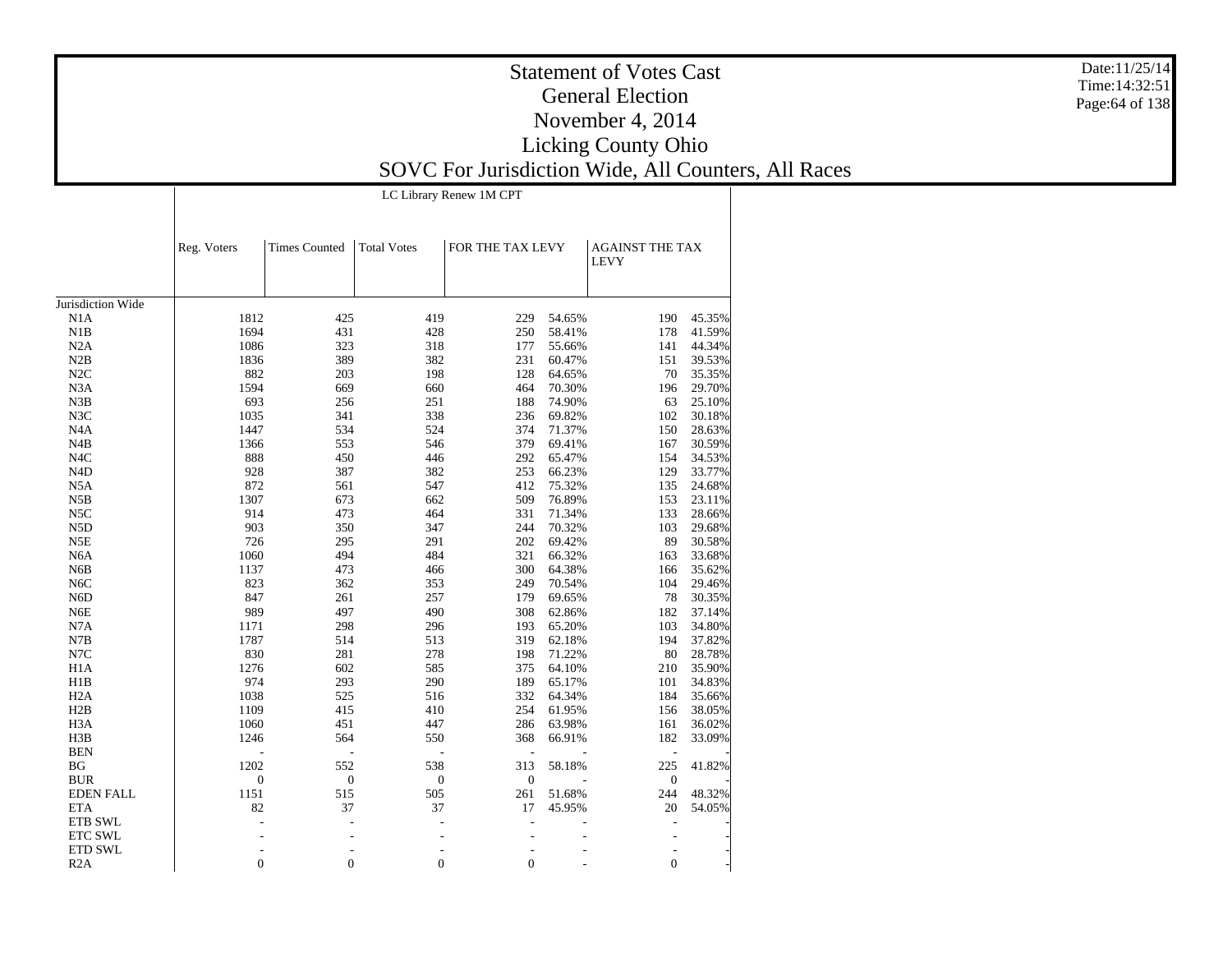|                   |                | LC Library Renew IM CPT |                    |                          |                          |                                       |        |  |  |  |  |
|-------------------|----------------|-------------------------|--------------------|--------------------------|--------------------------|---------------------------------------|--------|--|--|--|--|
|                   | Reg. Voters    | <b>Times Counted</b>    | <b>Total Votes</b> | FOR THE TAX LEVY         |                          | <b>AGAINST THE TAX</b><br><b>LEVY</b> |        |  |  |  |  |
| Jurisdiction Wide |                |                         |                    |                          |                          |                                       |        |  |  |  |  |
| N <sub>1</sub> A  | 1812           | 425                     | 419                | 229                      | 54.65%                   | 190                                   | 45.35% |  |  |  |  |
| N1B               | 1694           | 431                     | 428                | 250                      | 58.41%                   | 178                                   | 41.59% |  |  |  |  |
| N2A               | 1086           | 323                     | 318                | 177                      | 55.66%                   | 141                                   | 44.34% |  |  |  |  |
| N2B               | 1836           | 389                     | 382                | 231                      | 60.47%                   | 151                                   | 39.53% |  |  |  |  |
| N2C               | 882            | 203                     | 198                | 128                      | 64.65%                   | 70                                    | 35.35% |  |  |  |  |
| N <sub>3</sub> A  | 1594           | 669                     | 660                | 464                      | 70.30%                   | 196                                   | 29.70% |  |  |  |  |
|                   | 693            |                         | 251                |                          |                          |                                       |        |  |  |  |  |
| N3B               |                | 256                     |                    | 188                      | 74.90%                   | 63                                    | 25.10% |  |  |  |  |
| N3C               | 1035           | 341                     | 338                | 236                      | 69.82%                   | 102                                   | 30.18% |  |  |  |  |
| N <sub>4</sub> A  | 1447           | 534                     | 524                | 374                      | 71.37%                   | 150                                   | 28.63% |  |  |  |  |
| N4B               | 1366           | 553                     | 546                | 379                      | 69.41%                   | 167                                   | 30.59% |  |  |  |  |
| N <sub>4</sub> C  | 888            | 450                     | 446                | 292                      | 65.47%                   | 154                                   | 34.53% |  |  |  |  |
| N <sub>4</sub> D  | 928            | 387                     | 382                | 253                      | 66.23%                   | 129                                   | 33.77% |  |  |  |  |
| N5A               | 872            | 561                     | 547                | 412                      | 75.32%                   | 135                                   | 24.68% |  |  |  |  |
| N5B               | 1307           | 673                     | 662                | 509                      | 76.89%                   | 153                                   | 23.11% |  |  |  |  |
| N <sub>5</sub> C  | 914            | 473                     | 464                | 331                      | 71.34%                   | 133                                   | 28.66% |  |  |  |  |
| N <sub>5</sub> D  | 903            | 350                     | 347                | 244                      | 70.32%                   | 103                                   | 29.68% |  |  |  |  |
| N5E               | 726            | 295                     | 291                | 202                      | 69.42%                   | 89                                    | 30.58% |  |  |  |  |
| N <sub>6</sub> A  | 1060           | 494                     | 484                | 321                      | 66.32%                   | 163                                   | 33.68% |  |  |  |  |
| N6B               | 1137           | 473                     | 466                | 300                      | 64.38%                   | 166                                   | 35.62% |  |  |  |  |
| N <sub>6</sub> C  | 823            | 362                     | 353                | 249                      | 70.54%                   | 104                                   | 29.46% |  |  |  |  |
| N <sub>6</sub> D  | 847            | 261                     | 257                | 179                      | 69.65%                   | 78                                    | 30.35% |  |  |  |  |
| N <sub>6</sub> E  | 989            | 497                     | 490                | 308                      | 62.86%                   | 182                                   | 37.14% |  |  |  |  |
| N7A               | 1171           | 298                     | 296                | 193                      | 65.20%                   | 103                                   | 34.80% |  |  |  |  |
| N7B               | 1787           | 514                     | 513                | 319                      | 62.18%                   | 194                                   | 37.82% |  |  |  |  |
| N7C               | 830            | 281                     | 278                | 198                      | 71.22%                   | 80                                    | 28.78% |  |  |  |  |
|                   | 1276           | 602                     | 585                | 375                      |                          |                                       | 35.90% |  |  |  |  |
| H <sub>1</sub> A  | 974            | 293                     | 290                |                          | 64.10%                   | 210                                   |        |  |  |  |  |
| H1B               |                |                         |                    | 189                      | 65.17%                   | 101                                   | 34.83% |  |  |  |  |
| H2A               | 1038           | 525                     | 516                | 332                      | 64.34%                   | 184                                   | 35.66% |  |  |  |  |
| H2B               | 1109           | 415                     | 410                | 254                      | 61.95%                   | 156                                   | 38.05% |  |  |  |  |
| H <sub>3</sub> A  | 1060           | 451                     | 447                | 286                      | 63.98%                   | 161                                   | 36.02% |  |  |  |  |
| H3B               | 1246           | 564                     | 550                | 368                      | 66.91%                   | 182                                   | 33.09% |  |  |  |  |
| <b>BEN</b>        |                |                         |                    | $\overline{\phantom{a}}$ |                          |                                       |        |  |  |  |  |
| <b>BG</b>         | 1202           | 552                     | 538                | 313                      | 58.18%                   | 225                                   | 41.82% |  |  |  |  |
| <b>BUR</b>        | $\mathbf{0}$   | $\boldsymbol{0}$        | $\boldsymbol{0}$   | $\boldsymbol{0}$         |                          | $\mathbf{0}$                          |        |  |  |  |  |
| <b>EDEN FALL</b>  | 1151           | 515                     | 505                | 261                      | 51.68%                   | 244                                   | 48.32% |  |  |  |  |
| <b>ETA</b>        | 82             | 37                      | 37                 | 17                       | 45.95%                   | 20                                    | 54.05% |  |  |  |  |
| <b>ETB SWL</b>    |                | L,                      |                    | ÷,                       |                          | $\sim$                                |        |  |  |  |  |
| <b>ETC SWL</b>    |                | ÷.                      |                    | L.                       | L.                       | $\overline{\phantom{a}}$              |        |  |  |  |  |
| <b>ETD SWL</b>    |                | $\overline{a}$          |                    |                          |                          |                                       |        |  |  |  |  |
| R2A               | $\overline{0}$ | $\mathbf{0}$            | $\mathbf{0}$       | $\overline{0}$           | $\overline{\phantom{a}}$ | $\overline{0}$                        |        |  |  |  |  |
|                   |                |                         |                    |                          |                          |                                       |        |  |  |  |  |

Date:11/25/14 Time:14:32:51Page:64 of 138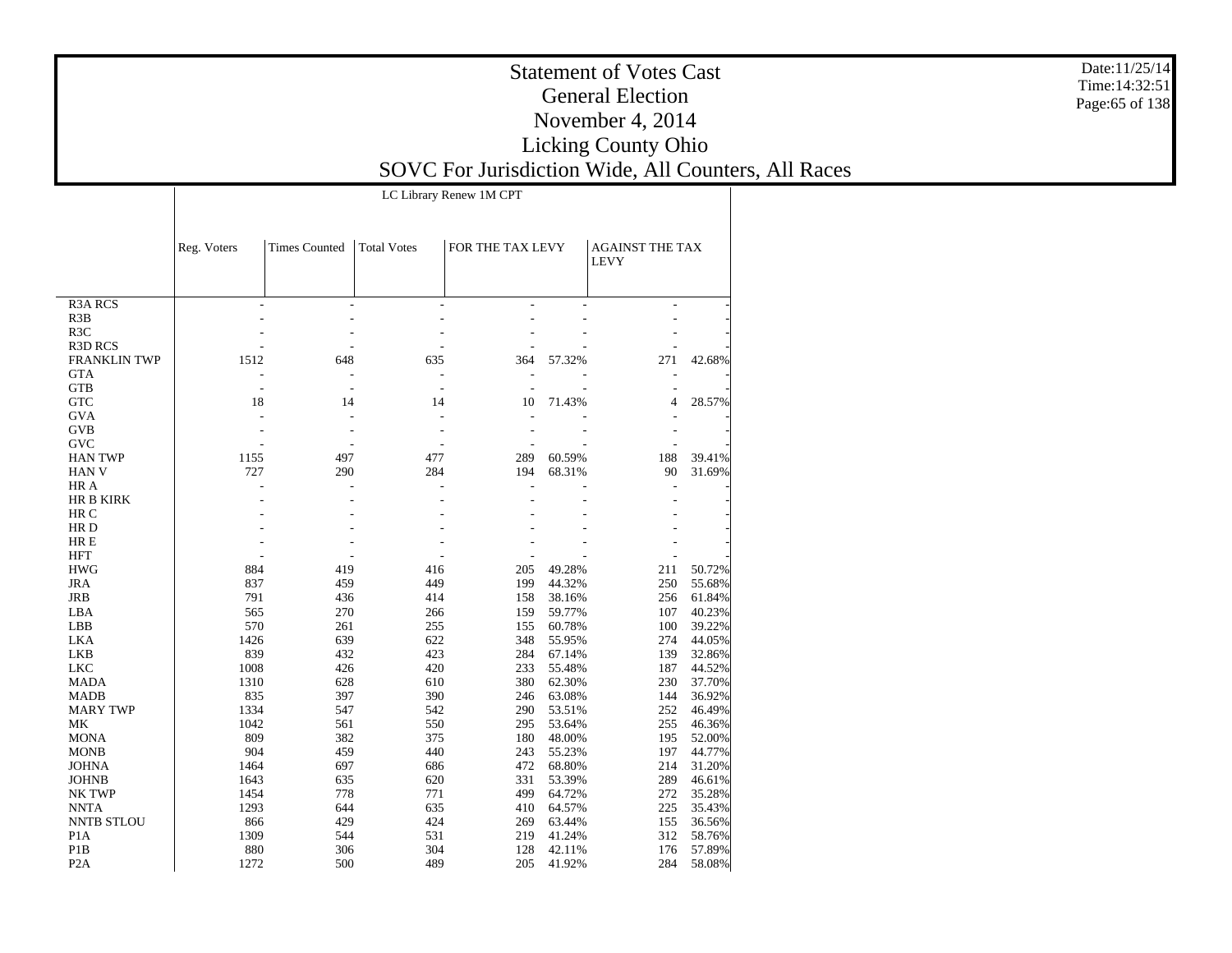|                     | LC Library Renew 1M CPT |                      |                          |                          |                |                                       |        |  |  |
|---------------------|-------------------------|----------------------|--------------------------|--------------------------|----------------|---------------------------------------|--------|--|--|
|                     |                         |                      |                          |                          |                |                                       |        |  |  |
|                     | Reg. Voters             | <b>Times Counted</b> | <b>Total Votes</b>       | FOR THE TAX LEVY         |                | <b>AGAINST THE TAX</b><br><b>LEVY</b> |        |  |  |
|                     |                         |                      |                          |                          |                |                                       |        |  |  |
| <b>R3A RCS</b>      | $\overline{a}$          | ÷.                   | $\sim$                   | ÷.                       | $\overline{a}$ | ÷                                     |        |  |  |
| R3B                 |                         |                      |                          |                          |                |                                       |        |  |  |
| R3C                 |                         |                      |                          |                          |                |                                       |        |  |  |
| <b>R3D RCS</b>      |                         |                      |                          |                          |                |                                       |        |  |  |
| <b>FRANKLIN TWP</b> | 1512                    | 648                  | 635                      | 364                      | 57.32%         | 271                                   | 42.68% |  |  |
| <b>GTA</b>          |                         |                      |                          |                          |                |                                       |        |  |  |
| <b>GTB</b>          | ÷,                      | ÷                    | $\overline{\phantom{a}}$ |                          |                |                                       |        |  |  |
| <b>GTC</b>          | 18                      | 14                   | 14                       | 10                       | 71.43%         | 4                                     | 28.57% |  |  |
| <b>GVA</b>          | $\overline{a}$          |                      | ÷,                       |                          |                |                                       |        |  |  |
| <b>GVB</b>          |                         |                      |                          |                          |                |                                       |        |  |  |
| <b>GVC</b>          |                         |                      |                          |                          |                |                                       |        |  |  |
| <b>HAN TWP</b>      | 1155                    | 497                  | 477                      | 289                      | 60.59%         | 188                                   | 39.41% |  |  |
| <b>HAN V</b>        | 727                     | 290                  | 284                      | 194                      | 68.31%         | 90                                    | 31.69% |  |  |
| HR A                | $\overline{a}$          | $\overline{a}$       | $\overline{a}$           | $\overline{\phantom{a}}$ |                | ÷,                                    |        |  |  |
| <b>HR B KIRK</b>    |                         |                      |                          |                          |                |                                       |        |  |  |
| HR C                |                         |                      |                          |                          |                |                                       |        |  |  |
| HR D                |                         |                      |                          |                          |                |                                       |        |  |  |
| HR E                |                         |                      |                          |                          |                |                                       |        |  |  |
| HFT                 |                         |                      |                          |                          |                |                                       |        |  |  |
| <b>HWG</b>          | 884                     | 419                  | 416                      | 205                      | 49.28%         | 211                                   | 50.72% |  |  |
| <b>JRA</b>          | 837                     | 459                  | 449                      | 199                      | 44.32%         | 250                                   | 55.68% |  |  |
| <b>JRB</b>          | 791                     | 436                  | 414                      | 158                      | 38.16%         | 256                                   | 61.84% |  |  |
| LBA                 | 565                     | 270                  | 266                      | 159                      | 59.77%         | 107                                   | 40.23% |  |  |
| LBB                 | 570                     | 261                  | 255                      | 155                      | 60.78%         | 100                                   | 39.22% |  |  |
| <b>LKA</b>          | 1426                    | 639                  | 622                      | 348                      | 55.95%         | 274                                   | 44.05% |  |  |
| <b>LKB</b>          | 839                     | 432                  | 423                      | 284                      | 67.14%         | 139                                   | 32.86% |  |  |
| <b>LKC</b>          | 1008                    | 426                  | 420                      | 233                      | 55.48%         | 187                                   | 44.52% |  |  |
| <b>MADA</b>         | 1310                    | 628                  | 610                      | 380                      | 62.30%         | 230                                   | 37.70% |  |  |
| <b>MADB</b>         | 835                     | 397                  | 390                      | 246                      | 63.08%         | 144                                   | 36.92% |  |  |
| <b>MARY TWP</b>     | 1334                    | 547                  | 542                      | 290                      | 53.51%         | 252                                   | 46.49% |  |  |
| MK                  | 1042                    | 561                  | 550                      | 295                      | 53.64%         | 255                                   | 46.36% |  |  |
| <b>MONA</b>         | 809                     | 382                  | 375                      | 180                      | 48.00%         | 195                                   | 52.00% |  |  |
| <b>MONB</b>         | 904                     | 459                  | 440                      | 243                      | 55.23%         | 197                                   | 44.77% |  |  |
| <b>JOHNA</b>        | 1464                    | 697                  | 686                      | 472                      | 68.80%         | 214                                   | 31.20% |  |  |
| <b>JOHNB</b>        | 1643                    | 635                  | 620                      | 331                      | 53.39%         | 289                                   | 46.61% |  |  |
| NK TWP              | 1454                    | 778                  | 771                      | 499                      | 64.72%         | 272                                   | 35.28% |  |  |
| <b>NNTA</b>         | 1293                    | 644                  | 635                      | 410                      | 64.57%         | 225                                   | 35.43% |  |  |
| <b>NNTB STLOU</b>   | 866                     | 429                  | 424                      | 269                      | 63.44%         | 155                                   | 36.56% |  |  |
| P <sub>1</sub> A    | 1309                    | 544                  | 531                      | 219                      | 41.24%         | 312                                   | 58.76% |  |  |
| P1B                 | 880                     | 306                  | 304                      | 128                      | 42.11%         | 176                                   | 57.89% |  |  |
| P <sub>2</sub> A    | 1272                    | 500                  | 489                      | 205                      | 41.92%         | 284                                   | 58.08% |  |  |

Date:11/25/14 Time:14:32:51Page:65 of 138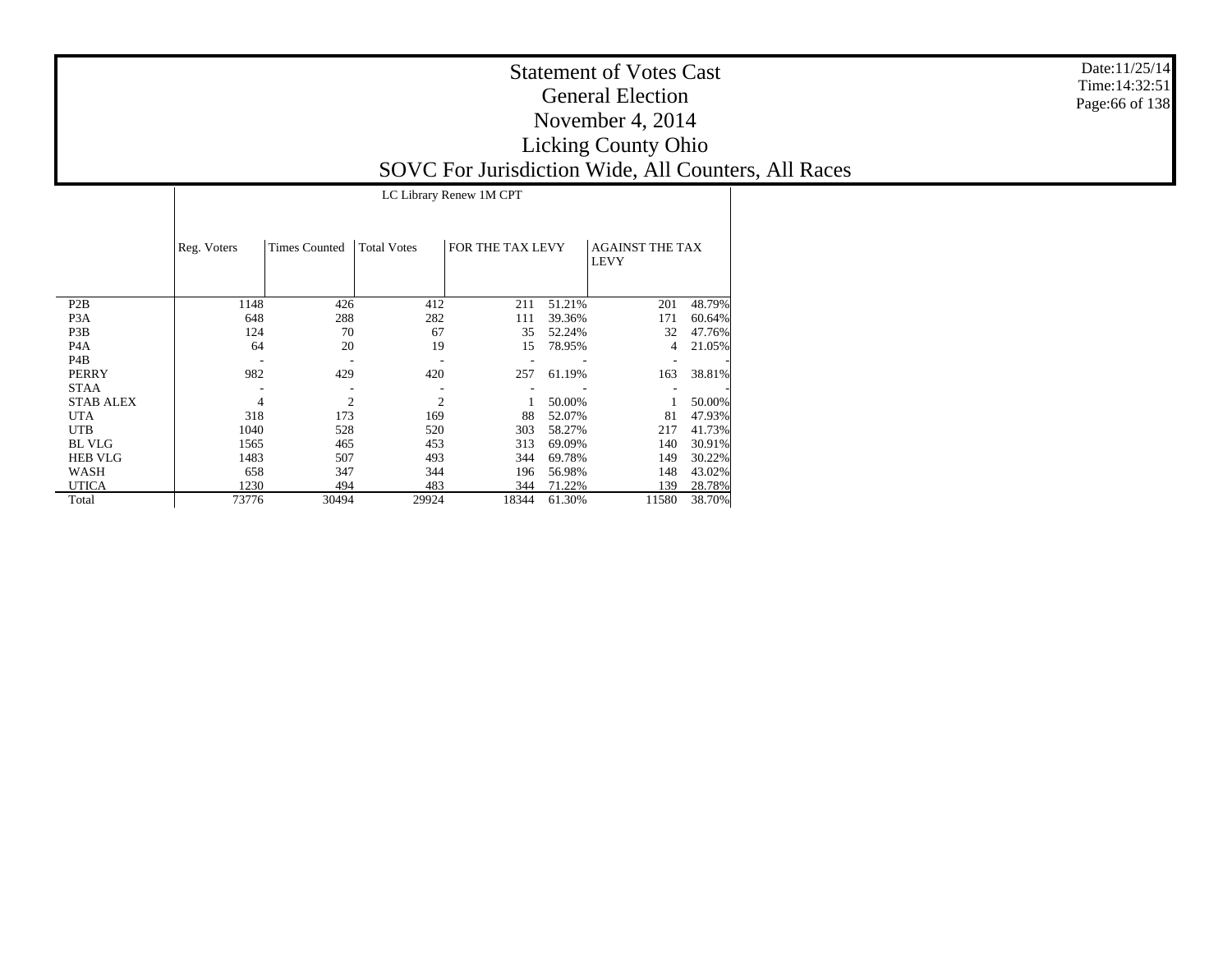|                  | LC Library Renew 1M CPT |                      |                    |                  |        |                                       |        |  |  |
|------------------|-------------------------|----------------------|--------------------|------------------|--------|---------------------------------------|--------|--|--|
|                  | Reg. Voters             | <b>Times Counted</b> | <b>Total Votes</b> | FOR THE TAX LEVY |        | <b>AGAINST THE TAX</b><br><b>LEVY</b> |        |  |  |
| P2B              | 1148                    | 426                  | 412                | 211              | 51.21% | 201                                   | 48.79% |  |  |
| P <sub>3</sub> A | 648                     | 288                  | 282                | 111              | 39.36% | 171                                   | 60.64% |  |  |
| P3B              | 124                     | 70                   | 67                 | 35               | 52.24% | 32                                    | 47.76% |  |  |
| P <sub>4</sub> A | 64                      | 20                   | 19                 | 15               | 78.95% | 4                                     | 21.05% |  |  |
| P <sub>4</sub> B |                         |                      |                    |                  |        |                                       |        |  |  |
| <b>PERRY</b>     | 982                     | 429                  | 420                | 257              | 61.19% | 163                                   | 38.81% |  |  |
| <b>STAA</b>      |                         |                      |                    |                  |        |                                       |        |  |  |
| <b>STAB ALEX</b> | 4                       | 2                    | $\overline{c}$     |                  | 50.00% |                                       | 50.00% |  |  |
| <b>UTA</b>       | 318                     | 173                  | 169                | 88               | 52.07% | 81                                    | 47.93% |  |  |
| <b>UTB</b>       | 1040                    | 528                  | 520                | 303              | 58.27% | 217                                   | 41.73% |  |  |
| <b>BL VLG</b>    | 1565                    | 465                  | 453                | 313              | 69.09% | 140                                   | 30.91% |  |  |
| <b>HEB VLG</b>   | 1483                    | 507                  | 493                | 344              | 69.78% | 149                                   | 30.22% |  |  |
| WASH             | 658                     | 347                  | 344                | 196              | 56.98% | 148                                   | 43.02% |  |  |
| <b>UTICA</b>     | 1230                    | 494                  | 483                | 344              | 71.22% | 139                                   | 28.78% |  |  |
| Total            | 73776                   | 30494                | 29924              | 18344            | 61.30% | 11580                                 | 38.70% |  |  |

Date:11/25/14 Time:14:32:51Page:66 of 138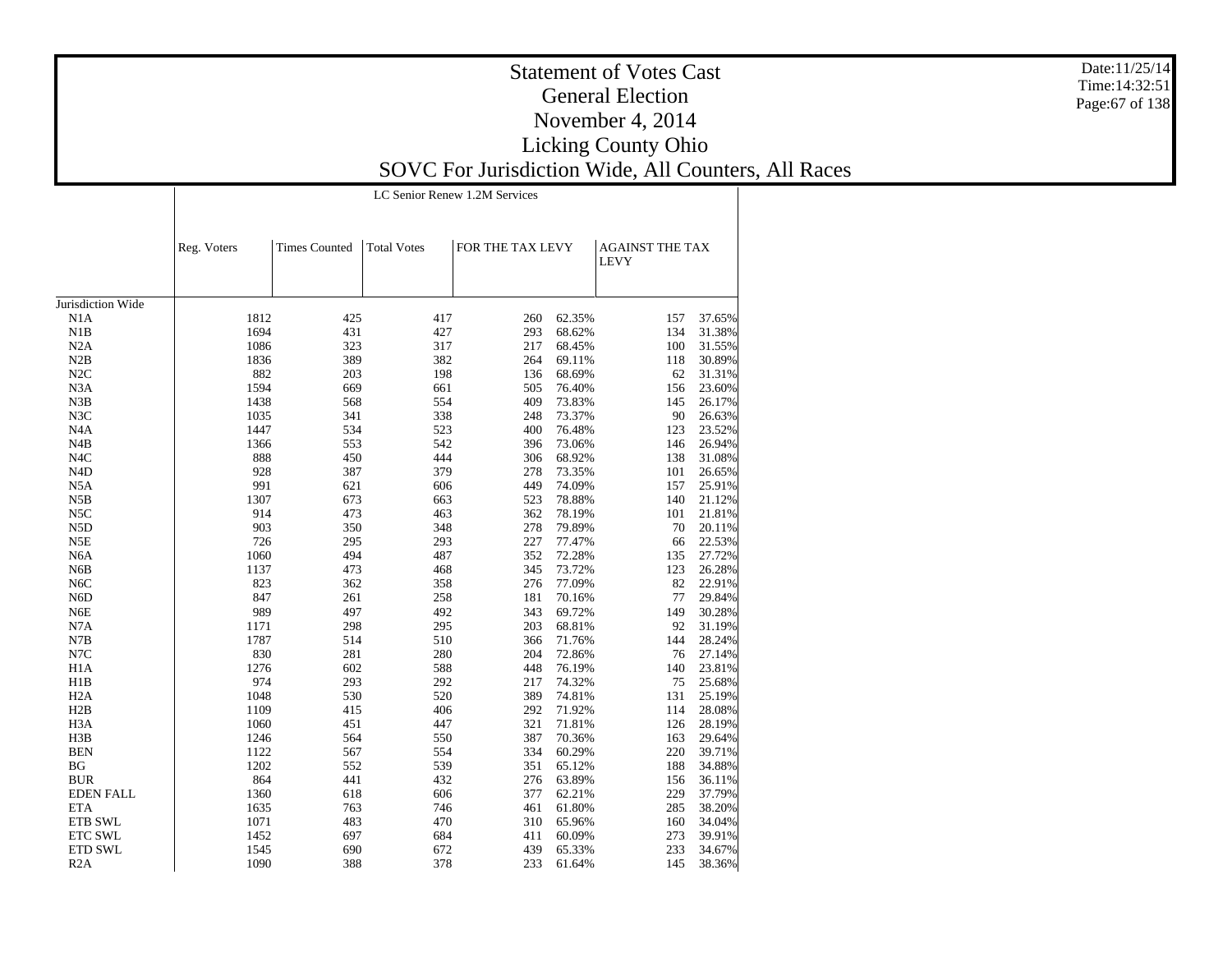|                   |             | LC Senior Renew 1.2M Services |                    |                  |        |                                       |        |  |  |  |  |
|-------------------|-------------|-------------------------------|--------------------|------------------|--------|---------------------------------------|--------|--|--|--|--|
|                   |             |                               |                    |                  |        |                                       |        |  |  |  |  |
|                   | Reg. Voters | <b>Times Counted</b>          | <b>Total Votes</b> | FOR THE TAX LEVY |        | <b>AGAINST THE TAX</b><br><b>LEVY</b> |        |  |  |  |  |
| Jurisdiction Wide |             |                               |                    |                  |        |                                       |        |  |  |  |  |
| N1A               | 1812        | 425                           | 417                | 260              | 62.35% | 157                                   | 37.65% |  |  |  |  |
| N1B               | 1694        | 431                           | 427                | 293              | 68.62% | 134                                   | 31.38% |  |  |  |  |
| N2A               | 1086        | 323                           | 317                | 217              | 68.45% | 100                                   | 31.55% |  |  |  |  |
| N2B               | 1836        | 389                           | 382                | 264              | 69.11% | 118                                   | 30.89% |  |  |  |  |
| N2C               | 882         | 203                           | 198                | 136              | 68.69% | 62                                    | 31.31% |  |  |  |  |
| N <sub>3</sub> A  | 1594        | 669                           | 661                | 505              | 76.40% | 156                                   | 23.60% |  |  |  |  |
| N3B               | 1438        | 568                           | 554                | 409              | 73.83% | 145                                   | 26.17% |  |  |  |  |
| N3C               | 1035        | 341                           | 338                | 248              | 73.37% | 90                                    | 26.63% |  |  |  |  |
| N <sub>4</sub> A  | 1447        | 534                           | 523                | 400              | 76.48% | 123                                   | 23.52% |  |  |  |  |
| N4B               | 1366        | 553                           | 542                | 396              | 73.06% | 146                                   | 26.94% |  |  |  |  |
| N <sub>4</sub> C  | 888         | 450                           | 444                | 306              | 68.92% | 138                                   | 31.08% |  |  |  |  |
| N <sub>4</sub> D  | 928         | 387                           | 379                | 278              | 73.35% | 101                                   | 26.65% |  |  |  |  |
| N <sub>5</sub> A  | 991         | 621                           | 606                | 449              | 74.09% | 157                                   | 25.91% |  |  |  |  |
| N5B               | 1307        | 673                           | 663                | 523              | 78.88% | 140                                   | 21.12% |  |  |  |  |
| N5C               | 914         | 473                           | 463                | 362              | 78.19% | 101                                   | 21.81% |  |  |  |  |
| N <sub>5</sub> D  | 903         | 350                           | 348                | 278              | 79.89% | 70                                    | 20.11% |  |  |  |  |
| N5E               | 726         | 295                           | 293                | 227              | 77.47% | 66                                    | 22.53% |  |  |  |  |
| N <sub>6</sub> A  | 1060        | 494                           | 487                | 352              | 72.28% | 135                                   | 27.72% |  |  |  |  |
| N <sub>6</sub> B  | 1137        | 473                           | 468                | 345              | 73.72% | 123                                   | 26.28% |  |  |  |  |
| N <sub>6</sub> C  | 823         | 362                           | 358                | 276              | 77.09% | 82                                    | 22.91% |  |  |  |  |
| N <sub>6</sub> D  | 847         | 261                           | 258                | 181              | 70.16% | 77                                    | 29.84% |  |  |  |  |
|                   | 989         | 497                           | 492                | 343              | 69.72% | 149                                   | 30.28% |  |  |  |  |
| N6E               |             |                               |                    |                  |        |                                       |        |  |  |  |  |
| N7A               | 1171        | 298                           | 295                | 203              | 68.81% | 92                                    | 31.19% |  |  |  |  |
| N7B               | 1787        | 514                           | 510                | 366              | 71.76% | 144                                   | 28.24% |  |  |  |  |
| N7C               | 830         | 281                           | 280                | 204              | 72.86% | 76                                    | 27.14% |  |  |  |  |
| H1A               | 1276        | 602                           | 588                | 448              | 76.19% | 140                                   | 23.81% |  |  |  |  |
| H1B               | 974         | 293                           | 292                | 217              | 74.32% | 75                                    | 25.68% |  |  |  |  |
| H2A               | 1048        | 530                           | 520                | 389              | 74.81% | 131                                   | 25.19% |  |  |  |  |
| H2B               | 1109        | 415                           | 406                | 292              | 71.92% | 114                                   | 28.08% |  |  |  |  |
| H <sub>3</sub> A  | 1060        | 451                           | 447                | 321              | 71.81% | 126                                   | 28.19% |  |  |  |  |
| H3B               | 1246        | 564                           | 550                | 387              | 70.36% | 163                                   | 29.64% |  |  |  |  |
| <b>BEN</b>        | 1122        | 567                           | 554                | 334              | 60.29% | 220                                   | 39.71% |  |  |  |  |
| ΒG                | 1202        | 552                           | 539                | 351              | 65.12% | 188                                   | 34.88% |  |  |  |  |
| <b>BUR</b>        | 864         | 441                           | 432                | 276              | 63.89% | 156                                   | 36.11% |  |  |  |  |
| <b>EDEN FALL</b>  | 1360        | 618                           | 606                | 377              | 62.21% | 229                                   | 37.79% |  |  |  |  |
| <b>ETA</b>        | 1635        | 763                           | 746                | 461              | 61.80% | 285                                   | 38.20% |  |  |  |  |
| ETB SWL           | 1071        | 483                           | 470                | 310              | 65.96% | 160                                   | 34.04% |  |  |  |  |
| ETC SWL           | 1452        | 697                           | 684                | 411              | 60.09% | 273                                   | 39.91% |  |  |  |  |
| ETD SWL           | 1545        | 690                           | 672                | 439              | 65.33% | 233                                   | 34.67% |  |  |  |  |
| R2A               | 1090        | 388                           | 378                | 233              | 61.64% | 145                                   | 38.36% |  |  |  |  |

Date:11/25/14 Time:14:32:51Page:67 of 138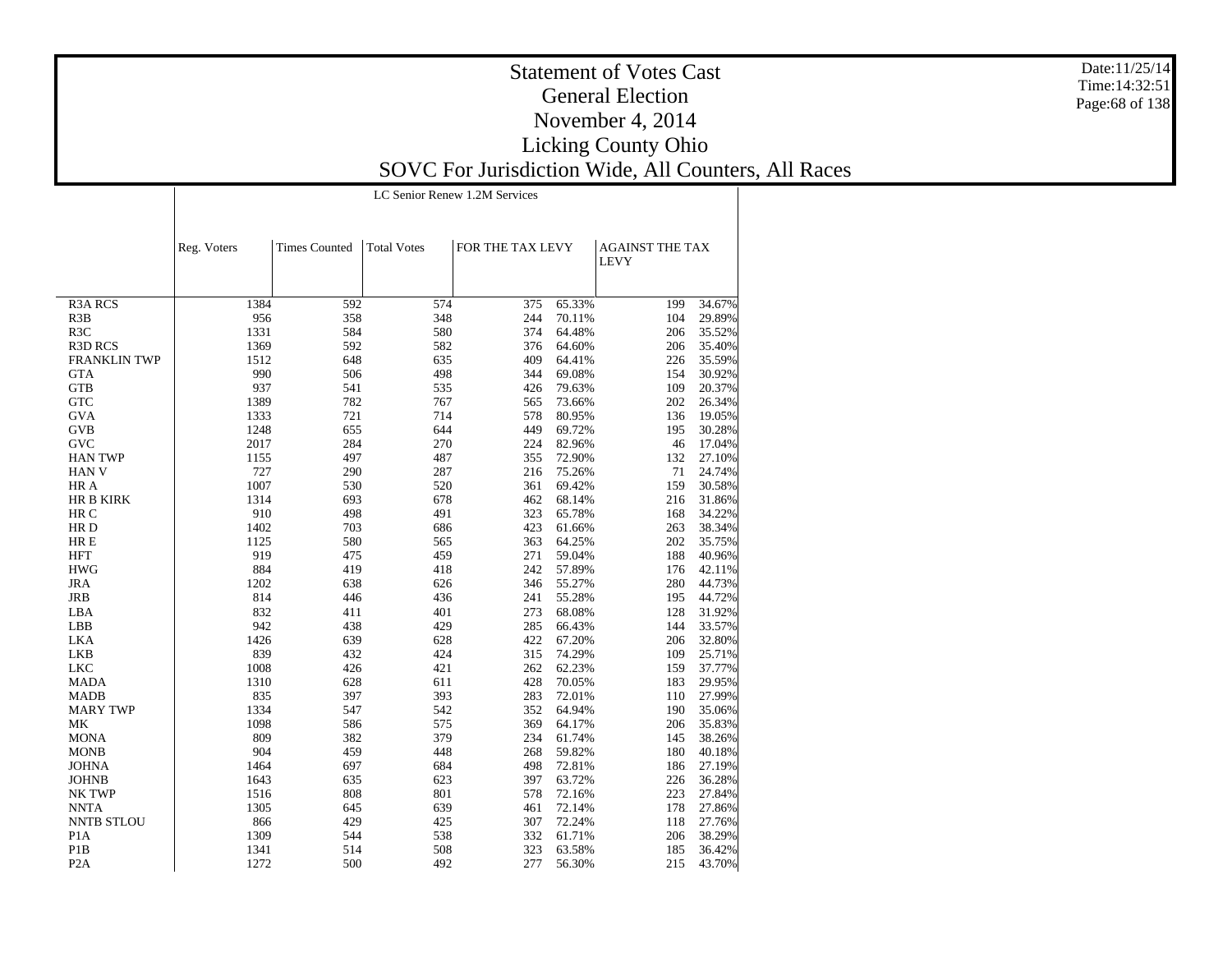|                     | LC Senior Renew 1.2M Services                                                 |     |     |                                       |        |     |        |  |  |
|---------------------|-------------------------------------------------------------------------------|-----|-----|---------------------------------------|--------|-----|--------|--|--|
|                     |                                                                               |     |     |                                       |        |     |        |  |  |
|                     | <b>Times Counted</b><br>FOR THE TAX LEVY<br>Reg. Voters<br><b>Total Votes</b> |     |     | <b>AGAINST THE TAX</b><br><b>LEVY</b> |        |     |        |  |  |
|                     |                                                                               |     |     |                                       |        |     |        |  |  |
| <b>R3A RCS</b>      | 1384                                                                          | 592 | 574 | 375                                   | 65.33% | 199 | 34.67% |  |  |
| R3B                 | 956                                                                           | 358 | 348 | 244                                   | 70.11% | 104 | 29.89% |  |  |
| R <sub>3</sub> C    | 1331                                                                          | 584 | 580 | 374                                   | 64.48% | 206 | 35.52% |  |  |
| <b>R3D RCS</b>      | 1369                                                                          | 592 | 582 | 376                                   | 64.60% | 206 | 35.40% |  |  |
| <b>FRANKLIN TWP</b> | 1512                                                                          | 648 | 635 | 409                                   | 64.41% | 226 | 35.59% |  |  |
| <b>GTA</b>          | 990                                                                           | 506 | 498 | 344                                   | 69.08% | 154 | 30.92% |  |  |
| <b>GTB</b>          | 937                                                                           | 541 | 535 | 426                                   | 79.63% | 109 | 20.37% |  |  |
| <b>GTC</b>          | 1389                                                                          | 782 | 767 | 565                                   | 73.66% | 202 | 26.34% |  |  |
| <b>GVA</b>          | 1333                                                                          | 721 | 714 | 578                                   | 80.95% | 136 | 19.05% |  |  |
| <b>GVB</b>          | 1248                                                                          | 655 | 644 | 449                                   | 69.72% | 195 | 30.28% |  |  |
| <b>GVC</b>          | 2017                                                                          | 284 | 270 | 224                                   | 82.96% | 46  | 17.04% |  |  |
| <b>HAN TWP</b>      | 1155                                                                          | 497 | 487 | 355                                   | 72.90% | 132 | 27.10% |  |  |
| <b>HAN V</b>        | 727                                                                           | 290 | 287 | 216                                   | 75.26% | 71  | 24.74% |  |  |
| HR A                | 1007                                                                          | 530 | 520 | 361                                   | 69.42% | 159 | 30.58% |  |  |
| <b>HR B KIRK</b>    | 1314                                                                          | 693 | 678 | 462                                   | 68.14% | 216 | 31.86% |  |  |
| HR C                | 910                                                                           | 498 | 491 | 323                                   | 65.78% | 168 | 34.22% |  |  |
| HR D                | 1402                                                                          | 703 | 686 | 423                                   | 61.66% | 263 | 38.34% |  |  |
| HR E                | 1125                                                                          | 580 | 565 | 363                                   | 64.25% | 202 | 35.75% |  |  |
| HFT                 | 919                                                                           | 475 | 459 | 271                                   | 59.04% | 188 | 40.96% |  |  |
| <b>HWG</b>          | 884                                                                           | 419 | 418 | 242                                   | 57.89% | 176 | 42.11% |  |  |
| <b>JRA</b>          | 1202                                                                          | 638 | 626 | 346                                   | 55.27% | 280 | 44.73% |  |  |
| <b>JRB</b>          | 814                                                                           | 446 | 436 | 241                                   | 55.28% | 195 | 44.72% |  |  |
| LBA                 | 832                                                                           | 411 | 401 | 273                                   | 68.08% | 128 | 31.92% |  |  |
| LBB                 | 942                                                                           | 438 | 429 | 285                                   | 66.43% | 144 | 33.57% |  |  |
| <b>LKA</b>          | 1426                                                                          | 639 | 628 | 422                                   | 67.20% | 206 | 32.80% |  |  |
| <b>LKB</b>          | 839                                                                           | 432 | 424 | 315                                   | 74.29% | 109 | 25.71% |  |  |
| <b>LKC</b>          | 1008                                                                          | 426 | 421 | 262                                   | 62.23% | 159 | 37.77% |  |  |
| MADA                | 1310                                                                          | 628 | 611 | 428                                   | 70.05% | 183 | 29.95% |  |  |
| <b>MADB</b>         | 835                                                                           | 397 | 393 | 283                                   | 72.01% | 110 | 27.99% |  |  |
| <b>MARY TWP</b>     | 1334                                                                          | 547 | 542 | 352                                   | 64.94% | 190 | 35.06% |  |  |
| MK                  | 1098                                                                          | 586 | 575 | 369                                   | 64.17% | 206 | 35.83% |  |  |
| <b>MONA</b>         | 809                                                                           | 382 | 379 | 234                                   | 61.74% | 145 | 38.26% |  |  |
| <b>MONB</b>         | 904                                                                           | 459 | 448 | 268                                   | 59.82% | 180 | 40.18% |  |  |
| <b>JOHNA</b>        | 1464                                                                          | 697 | 684 | 498                                   | 72.81% | 186 | 27.19% |  |  |
| <b>JOHNB</b>        | 1643                                                                          | 635 | 623 | 397                                   | 63.72% | 226 | 36.28% |  |  |
| NK TWP              | 1516                                                                          | 808 | 801 | 578                                   | 72.16% | 223 | 27.84% |  |  |
| <b>NNTA</b>         | 1305                                                                          | 645 | 639 | 461                                   | 72.14% | 178 | 27.86% |  |  |
| <b>NNTB STLOU</b>   | 866                                                                           | 429 | 425 | 307                                   | 72.24% | 118 | 27.76% |  |  |
| P <sub>1</sub> A    | 1309                                                                          | 544 | 538 | 332                                   | 61.71% | 206 | 38.29% |  |  |
| P <sub>1</sub> B    | 1341                                                                          | 514 | 508 | 323                                   | 63.58% | 185 | 36.42% |  |  |
| P <sub>2</sub> A    | 1272                                                                          | 500 | 492 | 277                                   | 56.30% | 215 | 43.70% |  |  |

Date:11/25/14 Time:14:32:51Page:68 of 138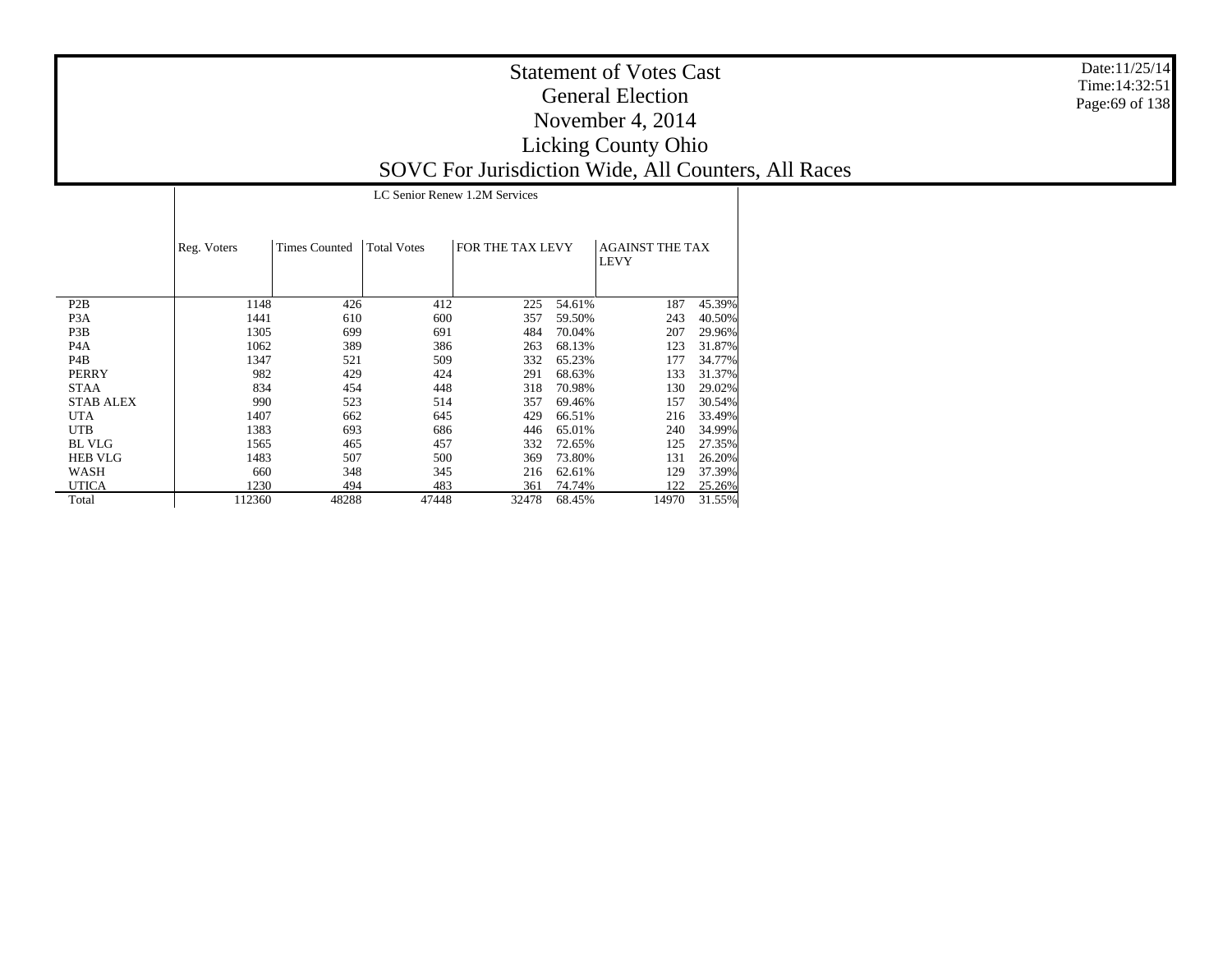|                  | LC Senior Renew 1.2M Services |                      |                    |                  |        |                                       |        |  |  |  |
|------------------|-------------------------------|----------------------|--------------------|------------------|--------|---------------------------------------|--------|--|--|--|
|                  | Reg. Voters                   | <b>Times Counted</b> | <b>Total Votes</b> | FOR THE TAX LEVY |        | <b>AGAINST THE TAX</b><br><b>LEVY</b> |        |  |  |  |
| P <sub>2</sub> B | 1148                          | 426                  | 412                | 225              | 54.61% | 187                                   | 45.39% |  |  |  |
| P <sub>3</sub> A | 1441                          | 610                  | 600                | 357              | 59.50% | 243                                   | 40.50% |  |  |  |
| P <sub>3</sub> B | 1305                          | 699                  | 691                | 484              | 70.04% | 207                                   | 29.96% |  |  |  |
| P <sub>4</sub> A | 1062                          | 389                  | 386                | 263              | 68.13% | 123                                   | 31.87% |  |  |  |
| P <sub>4</sub> B | 1347                          | 521                  | 509                | 332              | 65.23% | 177                                   | 34.77% |  |  |  |
| <b>PERRY</b>     | 982                           | 429                  | 424                | 291              | 68.63% | 133                                   | 31.37% |  |  |  |
| <b>STAA</b>      | 834                           | 454                  | 448                | 318              | 70.98% | 130                                   | 29.02% |  |  |  |
| <b>STAB ALEX</b> | 990                           | 523                  | 514                | 357              | 69.46% | 157                                   | 30.54% |  |  |  |
| <b>UTA</b>       | 1407                          | 662                  | 645                | 429              | 66.51% | 216                                   | 33.49% |  |  |  |
| <b>UTB</b>       | 1383                          | 693                  | 686                | 446              | 65.01% | 240                                   | 34.99% |  |  |  |
| <b>BL VLG</b>    | 1565                          | 465                  | 457                | 332              | 72.65% | 125                                   | 27.35% |  |  |  |
| <b>HEB VLG</b>   | 1483                          | 507                  | 500                | 369              | 73.80% | 131                                   | 26.20% |  |  |  |
| WASH             | 660                           | 348                  | 345                | 216              | 62.61% | 129                                   | 37.39% |  |  |  |
| <b>UTICA</b>     | 1230                          | 494                  | 483                | 361              | 74.74% | 122                                   | 25.26% |  |  |  |
| Total            | 112360                        | 48288                | 47448              | 32478            | 68.45% | 14970                                 | 31.55% |  |  |  |

Date:11/25/14 Time:14:32:51Page:69 of 138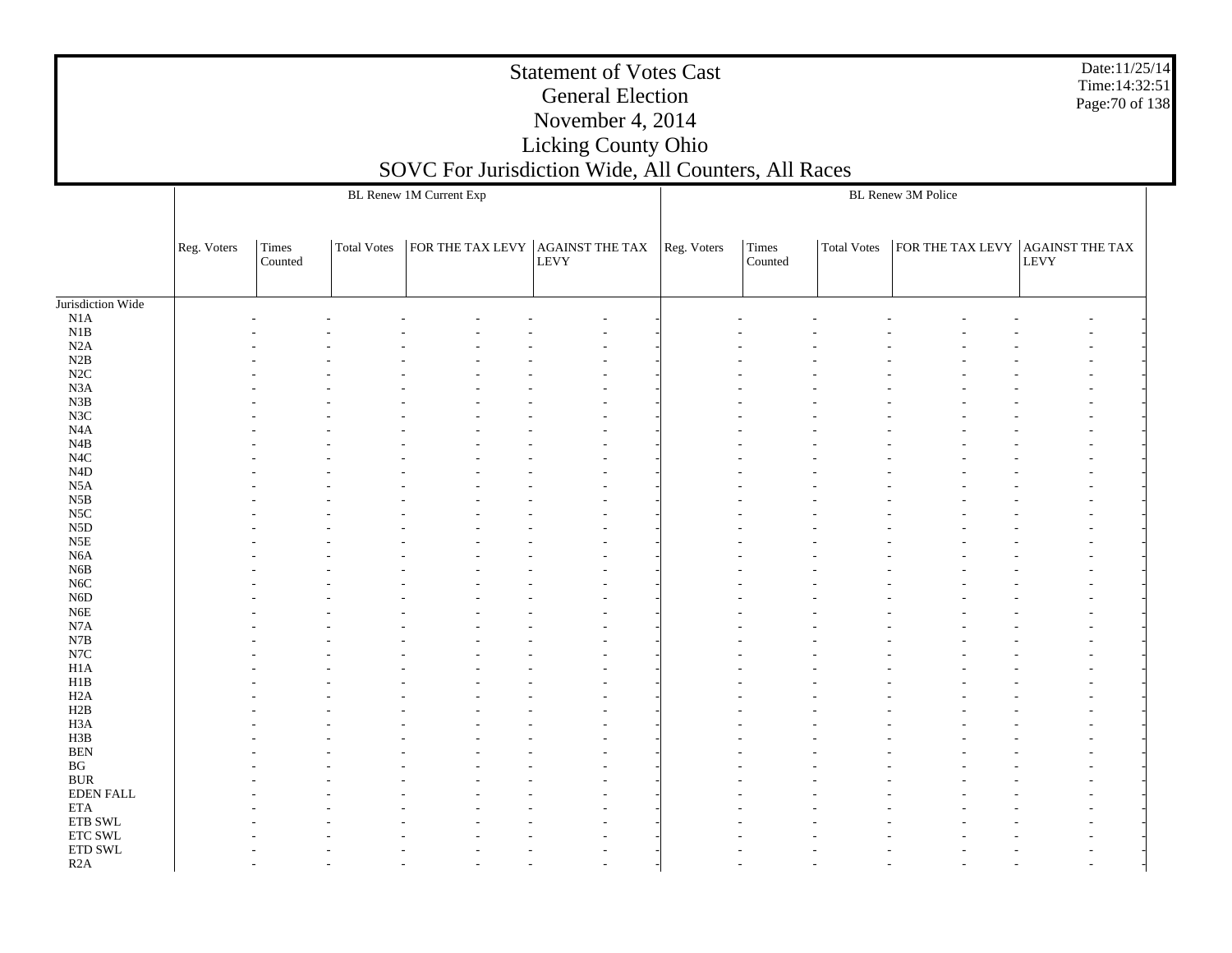Date:11/25/14Time:14:32:51Page:70 of 138

Jurisdiction Wide N1A N1B N2A N2B N2C N3A N3B N3C N4A N4B N4C N4D N5A N5B N5C N5D N5E N6A N6B N6C N6D N6E N7A N7B N7C H1A H1B H2A H2B H3A H3B BEN BG BUR EDEN FALL ETA ETB SWL ETC SWL ETD SWL R2AReg. Voters | Times Counted Total Votess  $|FOR THE TAX LEVY | AGAINST THE TAX | Reg. Voters | Times$ LEVY BL Renew 1M Current Exp Counted Total Votes $\,$ s  $\,$  | FOR THE TAX LEVY | AGAINST THE TAX  $\,$ LEVY BL Renew 3M Police - - - - - - - - - - - - - - - - - - - - - - - - - - - - - - - - - - - - - - - - - - - - - - - - - - - - - - - - - - - - - - - - - - - - - - - - - - - - - - - - - - - - - - - - - - - - - - - - - - - - - - - - - - - - - - - - - - - - - - - - - - - - - - - - - - - - - - - - - - - - - - - - - - - - - - - - - - - - - - - - - - - - - - - - - - - - - - - - - - - - - - - - - - - - - - - - - - - - - - - - - - - - - - - - - - - - - - - - - - - - - - - - - - - - - - - - - - - - - - - - - - - - - - - - - - - - - - - - - - - - - - - - - - - - - - - - - - - - - - - - - - - - - - - - - - - - - - - - - - - - - - - - - - - - - - - - - - - - - - - - - - - - - - - - - - - - - - - - - - - - - - - - - - - - - - - - - - - - - - - - - - - - - - - - - - - - - - - - - - - - - - - - - - - - - - - - - - - - - - - - - - - - - - - - - - - - - - - - - - - - - - - - - - - - - - - - - - - - - - - - - - - - - - - - - - - - - - - - - - - - - - - - - - - - - - - - - - - - - - - - - - - - - - - - - - - - - - - - - - - - - - - - - - - - - - - - - - - - - - - -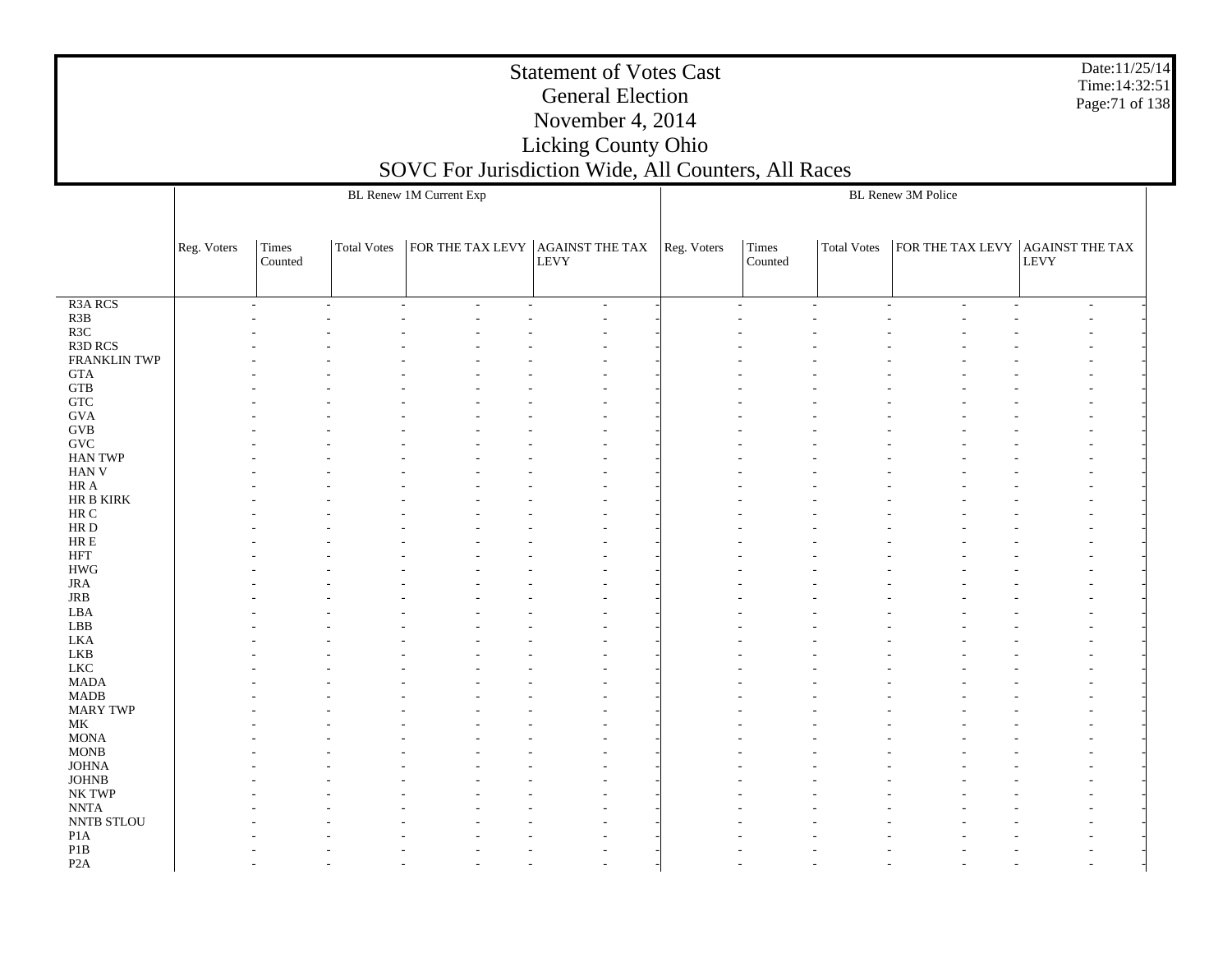|                                  | BL Renew 1M Current Exp |                  |                          |                                                                                                                              |  | BL Renew 3M Police |                                  |             |                                  |      |  |
|----------------------------------|-------------------------|------------------|--------------------------|------------------------------------------------------------------------------------------------------------------------------|--|--------------------|----------------------------------|-------------|----------------------------------|------|--|
|                                  | Reg. Voters             | Times<br>Counted | Total Votes              | $\begin{tabular}{ c c } \hline \textbf{FOR THE TAX LEVY} & \textbf{AGAINST THE TAX} \\ \hline & \textbf{LEVY} \end{tabular}$ |  | Reg. Voters        | Times<br>Counted                 | Total Votes | FOR THE TAX LEVY AGAINST THE TAX | LEVY |  |
| R <sub>3</sub> A RCS             |                         | ÷.               | $\overline{\phantom{a}}$ | $\sim$<br>$\overline{a}$                                                                                                     |  |                    | $\overline{a}$<br>$\overline{a}$ |             | ÷.<br>$\sim$                     | ÷.   |  |
| $R3B$                            |                         |                  |                          |                                                                                                                              |  |                    |                                  |             |                                  |      |  |
| R3C                              |                         |                  |                          |                                                                                                                              |  |                    |                                  |             |                                  |      |  |
| <b>R3D RCS</b>                   |                         |                  |                          |                                                                                                                              |  |                    |                                  |             |                                  |      |  |
| <b>FRANKLIN TWP</b>              |                         |                  |                          |                                                                                                                              |  |                    |                                  |             |                                  |      |  |
| $\rm GTA$                        |                         |                  |                          |                                                                                                                              |  |                    |                                  |             |                                  |      |  |
| $\operatorname{GTB}$             |                         |                  |                          |                                                                                                                              |  |                    |                                  |             |                                  |      |  |
| <b>GTC</b><br>$\rm GVA$          |                         |                  |                          |                                                                                                                              |  |                    |                                  |             |                                  |      |  |
| $\rm GVB$                        |                         |                  |                          |                                                                                                                              |  |                    |                                  |             |                                  |      |  |
| $\operatorname{GVC}$             |                         |                  |                          |                                                                                                                              |  |                    |                                  |             |                                  |      |  |
| HAN TWP                          |                         |                  |                          |                                                                                                                              |  |                    |                                  |             |                                  |      |  |
| ${\rm HAN}$ V                    |                         |                  |                          |                                                                                                                              |  |                    |                                  |             |                                  |      |  |
| $\rm{HR}$ A                      |                         |                  |                          |                                                                                                                              |  |                    |                                  |             |                                  |      |  |
| HR B KIRK                        |                         |                  |                          |                                                                                                                              |  |                    |                                  |             |                                  |      |  |
| $\rm{HR}$ C                      |                         |                  |                          |                                                                                                                              |  |                    |                                  |             |                                  |      |  |
| $\rm HR$ D                       |                         |                  |                          |                                                                                                                              |  |                    |                                  |             |                                  |      |  |
| ${\rm HR} \to$                   |                         |                  |                          |                                                                                                                              |  |                    |                                  |             |                                  |      |  |
| $\operatorname{HFT}$             |                         |                  |                          |                                                                                                                              |  |                    |                                  |             |                                  |      |  |
| $\mathbf{H}\mathbf{W}\mathbf{G}$ |                         |                  |                          |                                                                                                                              |  |                    |                                  |             |                                  |      |  |
| <b>JRA</b>                       |                         |                  |                          |                                                                                                                              |  |                    |                                  |             |                                  |      |  |
| $_{\rm JRB}$                     |                         |                  |                          |                                                                                                                              |  |                    |                                  |             |                                  |      |  |
| LBA                              |                         |                  |                          |                                                                                                                              |  |                    |                                  |             |                                  |      |  |
| ${\rm LBB}$                      |                         |                  |                          |                                                                                                                              |  |                    |                                  |             |                                  |      |  |
| LKA                              |                         |                  |                          |                                                                                                                              |  |                    |                                  |             |                                  |      |  |
| LKB<br><b>LKC</b>                |                         |                  |                          |                                                                                                                              |  |                    |                                  |             |                                  |      |  |
| <b>MADA</b>                      |                         |                  |                          |                                                                                                                              |  |                    |                                  |             |                                  |      |  |
| $\mbox{MADB}$                    |                         |                  |                          |                                                                                                                              |  |                    |                                  |             |                                  |      |  |
| <b>MARY TWP</b>                  |                         |                  |                          |                                                                                                                              |  |                    |                                  |             |                                  |      |  |
| $\rm MK$                         |                         |                  |                          |                                                                                                                              |  |                    |                                  |             |                                  |      |  |
| $\operatorname{MONA}$            |                         |                  |                          |                                                                                                                              |  |                    |                                  |             |                                  |      |  |
| $\rm{MONB}$                      |                         |                  |                          |                                                                                                                              |  |                    |                                  |             |                                  |      |  |
| <b>JOHNA</b>                     |                         |                  |                          |                                                                                                                              |  |                    |                                  |             |                                  |      |  |
| $_{\rm JOHNB}$                   |                         |                  |                          |                                                                                                                              |  |                    |                                  |             |                                  |      |  |
| NK TWP                           |                         |                  |                          |                                                                                                                              |  |                    |                                  |             |                                  |      |  |
| $\ensuremath{\text{NNTA}}$       |                         |                  |                          |                                                                                                                              |  |                    |                                  |             |                                  |      |  |
| NNTB STLOU                       |                         |                  |                          |                                                                                                                              |  |                    |                                  |             |                                  |      |  |
| P1A                              |                         |                  |                          |                                                                                                                              |  |                    |                                  |             |                                  |      |  |
| P1B                              |                         |                  |                          |                                                                                                                              |  |                    |                                  |             |                                  |      |  |
| P <sub>2</sub> A                 |                         |                  |                          |                                                                                                                              |  |                    |                                  |             |                                  |      |  |

Date:11/25/14 Time:14:32:51 Page:71 of 138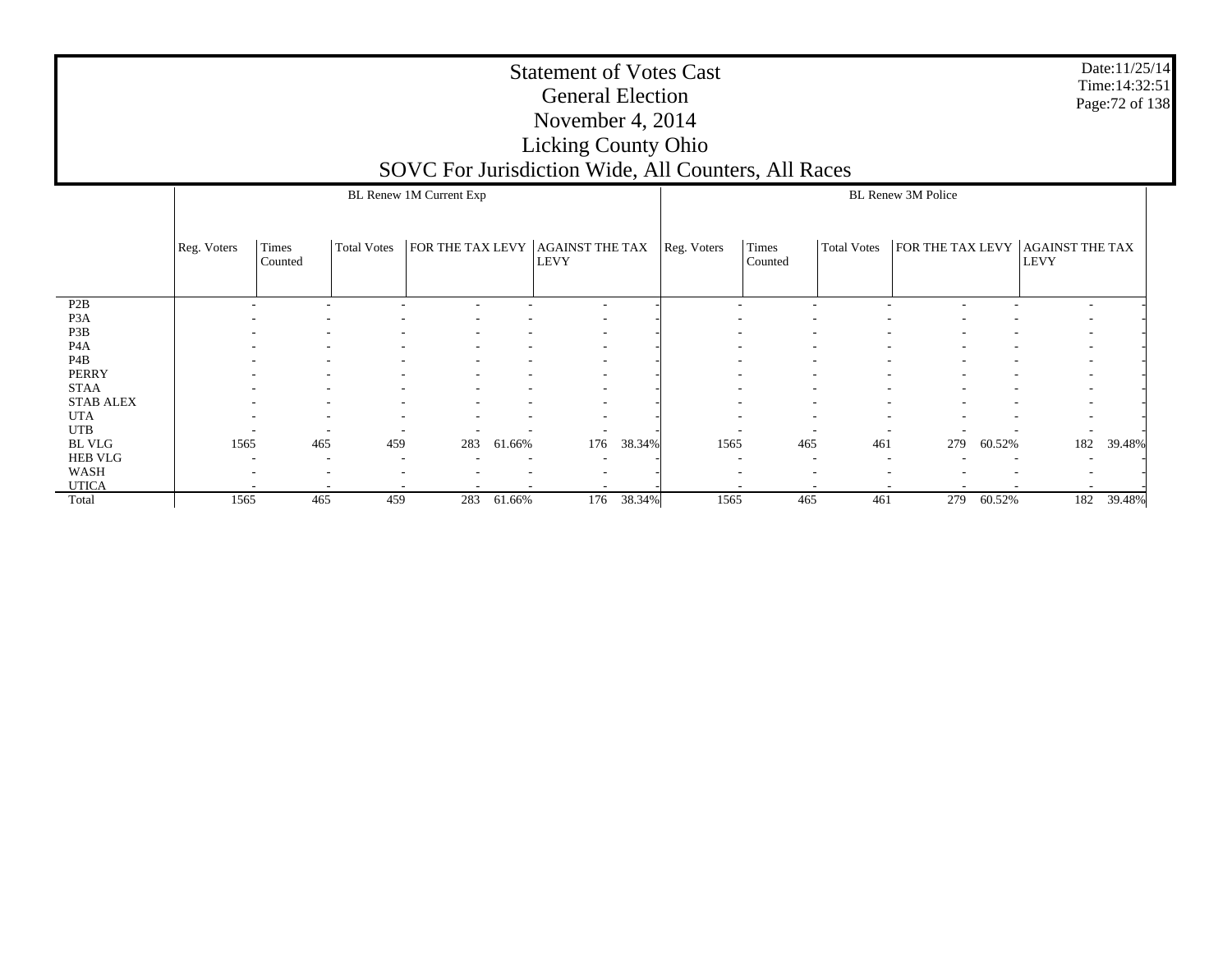P2B P3A P3B P4A P4B PERRY STAA STAB ALEX UTA UTB BL VLG HEB VLG WASH UTICA Total Reg. Voters | Times Counted Total Votess  $|FOR THE TAX LEVY | AGAINST THE TAX | Reg. Voters | Times$ LEVY BL Renew 1M Current Exp Counted Total Votes $\,$ s  $\,$  | FOR THE TAX LEVY | AGAINST THE TAX  $\,$ LEVY BL Renew 3M Police- - - - - - - - - - - - - - - - - - - - - - - - - - - - - - - - - - - - - - - - - - - - - - - - - - - - - - - - - - - - - - - - - - - - - - - - - - - - - - - - - - - - - - - - - - - - - - - - - - - - - - - - - - - - - - - - - - - - - - - - - - - - - - - - - - - - 1565 465 459 283 61.66% 176 38.34% 1565 465 461 279 60.52% 182 39.48% - - - - - - - - - - - - - - - - - - - - - - - - - - - - - - - - - - - - - - - - - 1565 465 459 283 61.66%176 38.34% 1565 465 461 279 60.52% 182 39.48%

Date:11/25/14 Time:14:32:51 Page:72 of 138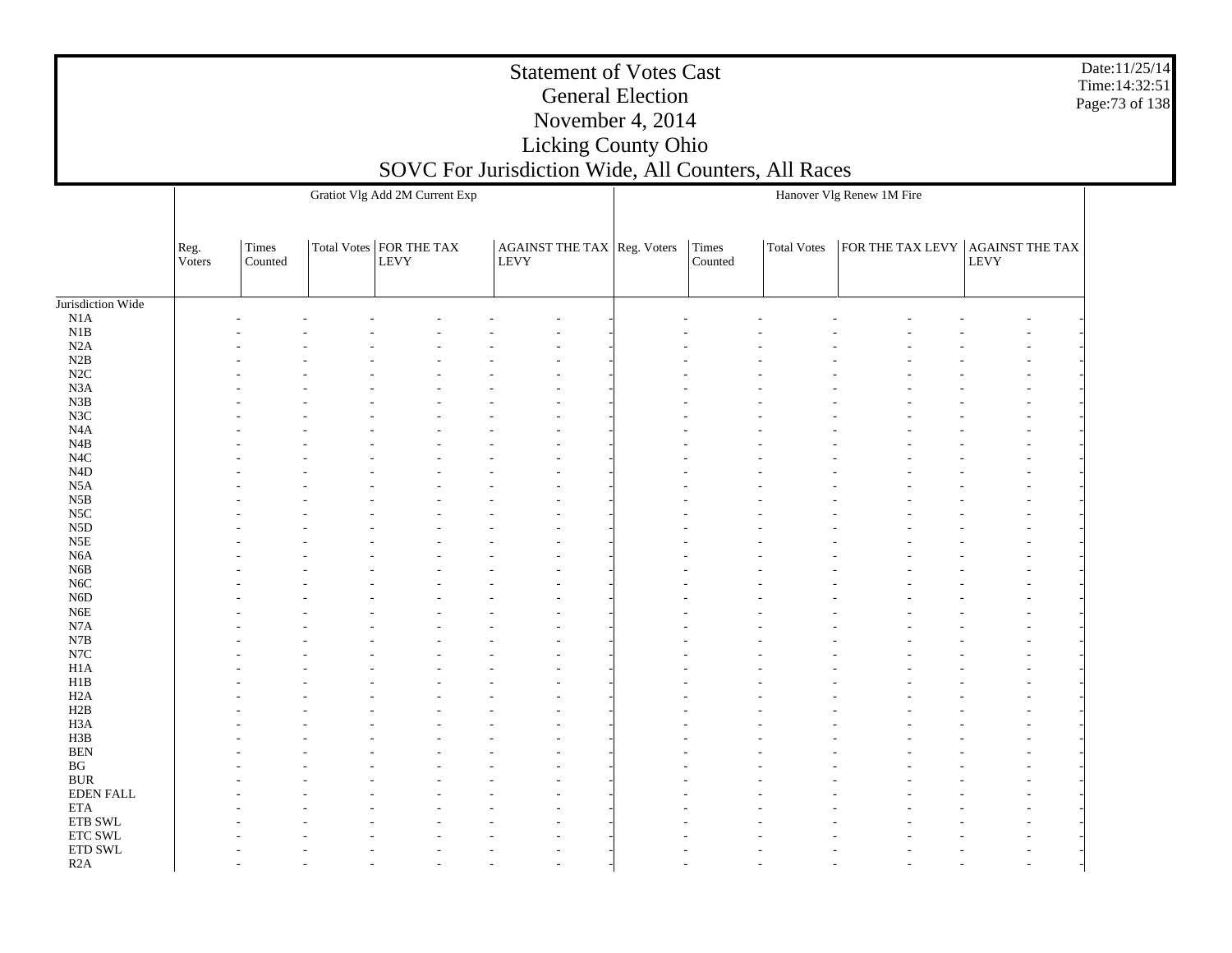Date:11/25/14 Time:14:32:51 Page:73 of 138

|                               |                         |                  | Gratiot Vlg Add 2M Current Exp    |                                             |                  |                    | Hanover Vlg Renew 1M Fire        |      |  |
|-------------------------------|-------------------------|------------------|-----------------------------------|---------------------------------------------|------------------|--------------------|----------------------------------|------|--|
|                               |                         |                  |                                   |                                             |                  |                    |                                  |      |  |
|                               | $\mbox{Reg.}$<br>Voters | Times<br>Counted | Total Votes   FOR THE TAX<br>LEVY | AGAINST THE TAX $\vert$ Reg. Voters<br>LEVY | Times<br>Counted | <b>Total Votes</b> | FOR THE TAX LEVY AGAINST THE TAX | LEVY |  |
| Jurisdiction Wide             |                         |                  |                                   |                                             |                  |                    |                                  |      |  |
| $\rm N1A$                     |                         |                  |                                   |                                             |                  |                    |                                  |      |  |
| $_{\rm N1B}$                  |                         |                  |                                   |                                             |                  |                    |                                  |      |  |
| $\rm N2A$                     |                         |                  |                                   |                                             |                  |                    |                                  |      |  |
| N2B                           |                         |                  |                                   |                                             |                  |                    |                                  |      |  |
| N2C                           |                         |                  |                                   |                                             |                  |                    |                                  |      |  |
| $_{\rm N3A}$                  |                         |                  |                                   |                                             |                  |                    |                                  |      |  |
| ${\bf N3B}$                   |                         |                  |                                   |                                             |                  |                    |                                  |      |  |
| N3C                           |                         |                  |                                   |                                             |                  |                    |                                  |      |  |
| $_{\mathrm{N4A}}$             |                         |                  |                                   |                                             |                  |                    |                                  |      |  |
| $_{\rm N4B}$                  |                         |                  |                                   |                                             |                  |                    |                                  |      |  |
| $_{\mathrm{N4C}}$             |                         |                  |                                   |                                             |                  |                    |                                  |      |  |
| $\rm N4D$                     |                         |                  |                                   |                                             |                  |                    |                                  |      |  |
| $_{\rm N5A}$                  |                         |                  |                                   |                                             |                  |                    |                                  |      |  |
| $_{\rm N5B}$                  |                         |                  |                                   |                                             |                  |                    |                                  |      |  |
| $_{\rm NSC}$                  |                         |                  |                                   |                                             |                  |                    |                                  |      |  |
| ${\rm N5D}$                   |                         |                  |                                   |                                             |                  |                    |                                  |      |  |
| $_{\rm N5E}$                  |                         |                  |                                   |                                             |                  |                    |                                  |      |  |
| N6A                           |                         |                  |                                   |                                             |                  |                    |                                  |      |  |
| ${\rm N6B}$                   |                         |                  |                                   |                                             |                  |                    |                                  |      |  |
| N <sub>6</sub> C              |                         |                  |                                   |                                             |                  |                    |                                  |      |  |
| ${\rm N6D}$                   |                         |                  |                                   |                                             |                  |                    |                                  |      |  |
| ${\rm N6E}$                   |                         |                  |                                   |                                             |                  |                    |                                  |      |  |
| $_{\rm N7A}$                  |                         |                  |                                   |                                             |                  |                    |                                  |      |  |
| $_{\rm N7B}$                  |                         |                  |                                   |                                             |                  |                    |                                  |      |  |
| $_{\rm N7C}$                  |                         |                  |                                   |                                             |                  |                    |                                  |      |  |
| H1A                           |                         |                  |                                   |                                             |                  |                    |                                  |      |  |
| H1B                           |                         |                  |                                   |                                             |                  |                    |                                  |      |  |
|                               |                         |                  |                                   |                                             |                  |                    |                                  |      |  |
| H2A                           |                         |                  |                                   |                                             |                  |                    |                                  |      |  |
| H2B                           |                         |                  |                                   |                                             |                  |                    |                                  |      |  |
| H <sub>3</sub> A              |                         |                  |                                   |                                             |                  |                    |                                  |      |  |
| H3B                           |                         |                  |                                   |                                             |                  |                    |                                  |      |  |
| $\operatorname{BEN}$          |                         |                  |                                   |                                             |                  |                    |                                  |      |  |
| $\mathbf{B}\mathbf{G}$        |                         |                  |                                   |                                             |                  |                    |                                  |      |  |
| $\rm BUR$                     |                         |                  |                                   |                                             |                  |                    |                                  |      |  |
| EDEN FALL                     |                         |                  |                                   |                                             |                  |                    |                                  |      |  |
| $\rm ETA$                     |                         |                  |                                   |                                             |                  |                    |                                  |      |  |
| ${\rm ETB}$ SWL               |                         |                  |                                   |                                             |                  |                    |                                  |      |  |
| $\ensuremath{\text{ETC}}$ SWL |                         |                  |                                   |                                             |                  |                    |                                  |      |  |
| $\rm ETD$ SWL                 |                         |                  |                                   |                                             |                  |                    |                                  |      |  |
| R2A                           |                         |                  |                                   |                                             |                  |                    |                                  |      |  |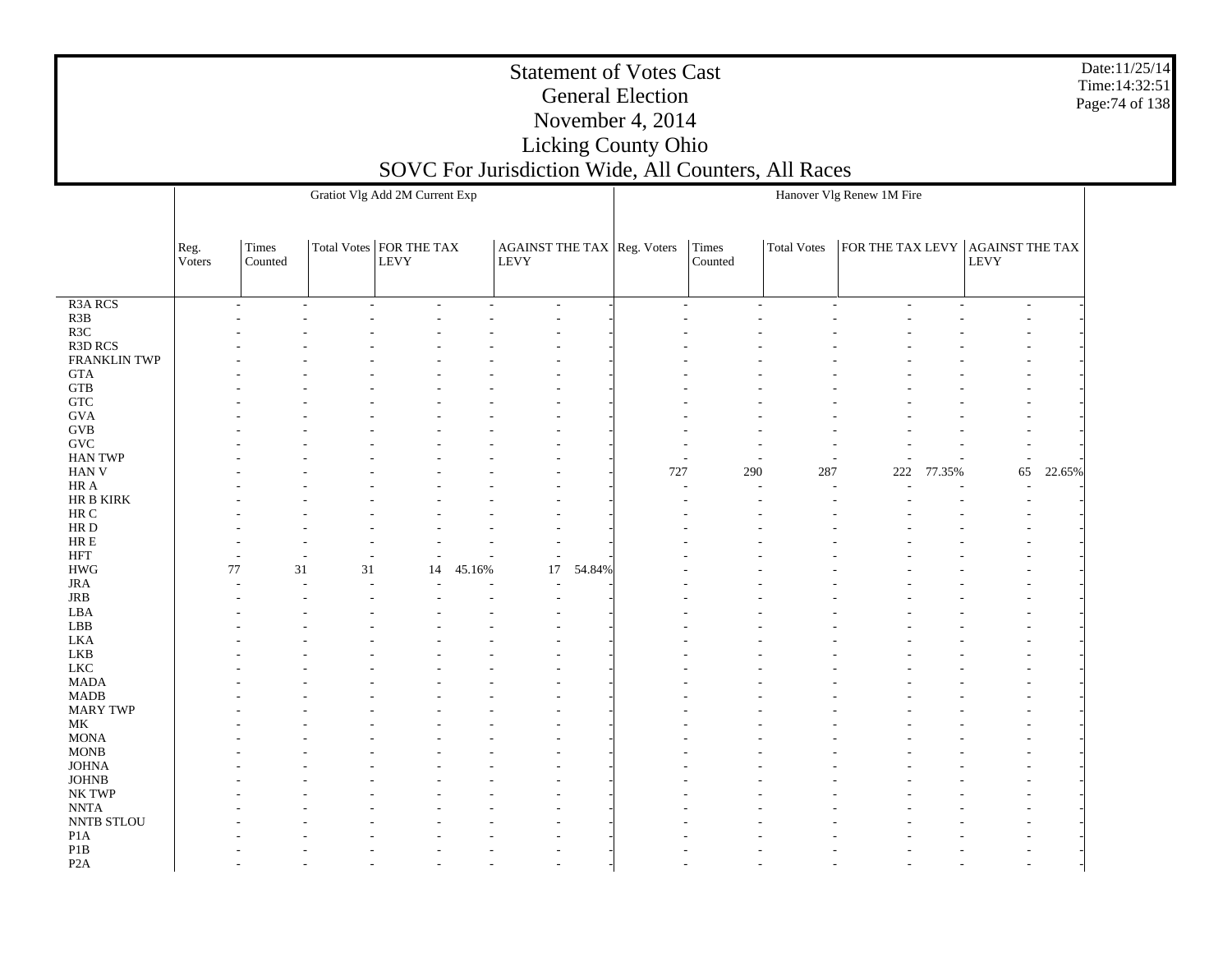Date:11/25/14 Time:14:32:51Page:74 of 138

|                                        |                |                  |                | Gratiot Vlg Add 2M Current Exp    |                |                                            |        |     |                  |                    | Hanover Vlg Renew 1M Fire        |                |        |        |
|----------------------------------------|----------------|------------------|----------------|-----------------------------------|----------------|--------------------------------------------|--------|-----|------------------|--------------------|----------------------------------|----------------|--------|--------|
|                                        |                |                  |                |                                   |                |                                            |        |     |                  |                    |                                  |                |        |        |
|                                        |                |                  |                |                                   |                |                                            |        |     |                  |                    |                                  |                |        |        |
|                                        | Reg.<br>Voters | Times<br>Counted |                | Total Votes   FOR THE TAX<br>LEVY |                | AGAINST THE TAX Reg. Voters<br><b>LEVY</b> |        |     | Times<br>Counted | <b>Total Votes</b> | FOR THE TAX LEVY AGAINST THE TAX |                | LEVY   |        |
|                                        |                |                  |                |                                   |                |                                            |        |     |                  |                    |                                  |                |        |        |
|                                        |                |                  |                |                                   |                |                                            |        |     |                  |                    |                                  |                |        |        |
| R <sub>3</sub> A RCS<br>R3B            |                |                  | $\overline{a}$ |                                   | $\overline{a}$ | $\sim$                                     |        | L.  | ÷                | $\overline{a}$     | $\overline{a}$                   | $\overline{a}$ | $\sim$ |        |
| R <sub>3</sub> C                       |                |                  |                |                                   |                |                                            |        |     |                  |                    |                                  |                |        |        |
| R3D RCS                                |                |                  |                |                                   |                |                                            |        |     |                  |                    |                                  |                |        |        |
| <b>FRANKLIN TWP</b>                    |                |                  |                |                                   |                |                                            |        |     |                  |                    |                                  |                |        |        |
| <b>GTA</b>                             |                |                  |                |                                   |                |                                            |        |     |                  |                    |                                  |                |        |        |
| ${\rm GTB}$                            |                |                  |                |                                   |                |                                            |        |     |                  |                    |                                  |                |        |        |
| <b>GTC</b>                             |                |                  |                |                                   |                |                                            |        |     |                  |                    |                                  |                |        |        |
| $\rm GVA$                              |                |                  |                |                                   |                |                                            |        |     |                  |                    |                                  |                |        |        |
| <b>GVB</b>                             |                |                  |                |                                   |                |                                            |        |     |                  |                    |                                  |                |        |        |
| $\operatorname{GVC}$                   |                |                  |                |                                   |                |                                            |        |     |                  |                    |                                  |                |        |        |
| <b>HAN TWP</b>                         |                |                  |                |                                   |                |                                            |        |     |                  |                    |                                  |                |        |        |
| <b>HAN V</b>                           |                |                  |                |                                   |                |                                            |        | 727 | 290              | 287                | 222                              | 77.35%         | 65     | 22.65% |
| $\rm HR\,A$                            |                |                  |                |                                   |                |                                            |        |     |                  |                    |                                  |                |        |        |
| ${\rm HR}$ B ${\rm KIRK}$              |                |                  |                |                                   |                |                                            |        |     |                  |                    |                                  |                |        |        |
| $\rm{HR}$ C                            |                |                  |                |                                   |                |                                            |        |     |                  |                    |                                  |                |        |        |
| $\rm HR$ D                             |                |                  |                |                                   |                |                                            |        |     |                  |                    |                                  |                |        |        |
| ${\rm HR} \to$<br>$\operatorname{HFT}$ |                |                  |                |                                   |                |                                            |        |     |                  |                    |                                  |                |        |        |
| <b>HWG</b>                             | 77             | 31               | 31             | 14                                | 45.16%         | $\sim$<br>17                               | 54.84% |     |                  |                    |                                  |                |        |        |
| JRA                                    |                |                  |                |                                   |                | $\overline{\phantom{a}}$                   |        |     |                  |                    |                                  |                |        |        |
| $_{\rm JRB}$                           |                |                  |                |                                   |                |                                            |        |     |                  |                    |                                  |                |        |        |
| ${\rm LBA}$                            |                |                  |                |                                   |                |                                            |        |     |                  |                    |                                  |                |        |        |
| LBB                                    |                |                  |                |                                   |                |                                            |        |     |                  |                    |                                  |                |        |        |
| <b>LKA</b>                             |                |                  |                |                                   |                |                                            |        |     |                  |                    |                                  |                |        |        |
| LKB                                    |                |                  |                |                                   |                |                                            |        |     |                  |                    |                                  |                |        |        |
| ${\rm LKC}$                            |                |                  |                |                                   |                |                                            |        |     |                  |                    |                                  |                |        |        |
| <b>MADA</b>                            |                |                  |                |                                   |                |                                            |        |     |                  |                    |                                  |                |        |        |
| <b>MADB</b>                            |                |                  |                |                                   |                |                                            |        |     |                  |                    |                                  |                |        |        |
| <b>MARY TWP</b>                        |                |                  |                |                                   |                |                                            |        |     |                  |                    |                                  |                |        |        |
| $\rm MK$                               |                |                  |                |                                   |                |                                            |        |     |                  |                    |                                  |                |        |        |
| <b>MONA</b>                            |                |                  |                |                                   |                |                                            |        |     |                  |                    |                                  |                |        |        |
| <b>MONB</b>                            |                |                  |                |                                   |                |                                            |        |     |                  |                    |                                  |                |        |        |
| <b>JOHNA</b>                           |                |                  |                |                                   |                |                                            |        |     |                  |                    |                                  |                |        |        |
| <b>JOHNB</b>                           |                |                  |                |                                   |                |                                            |        |     |                  |                    |                                  |                |        |        |
| NK TWP                                 |                |                  |                |                                   |                |                                            |        |     |                  |                    |                                  |                |        |        |
| $\ensuremath{\text{NNTA}}$             |                |                  |                |                                   |                |                                            |        |     |                  |                    |                                  |                |        |        |
| NNTB STLOU                             |                |                  |                |                                   |                |                                            |        |     |                  |                    |                                  |                |        |        |
| P <sub>1</sub> A                       |                |                  |                |                                   |                |                                            |        |     |                  |                    |                                  |                |        |        |
| $\mathbf{P}1\mathbf{B}$                |                |                  |                |                                   |                |                                            |        |     |                  |                    |                                  |                |        |        |
| P2A                                    |                |                  |                |                                   |                |                                            |        |     |                  |                    |                                  |                |        |        |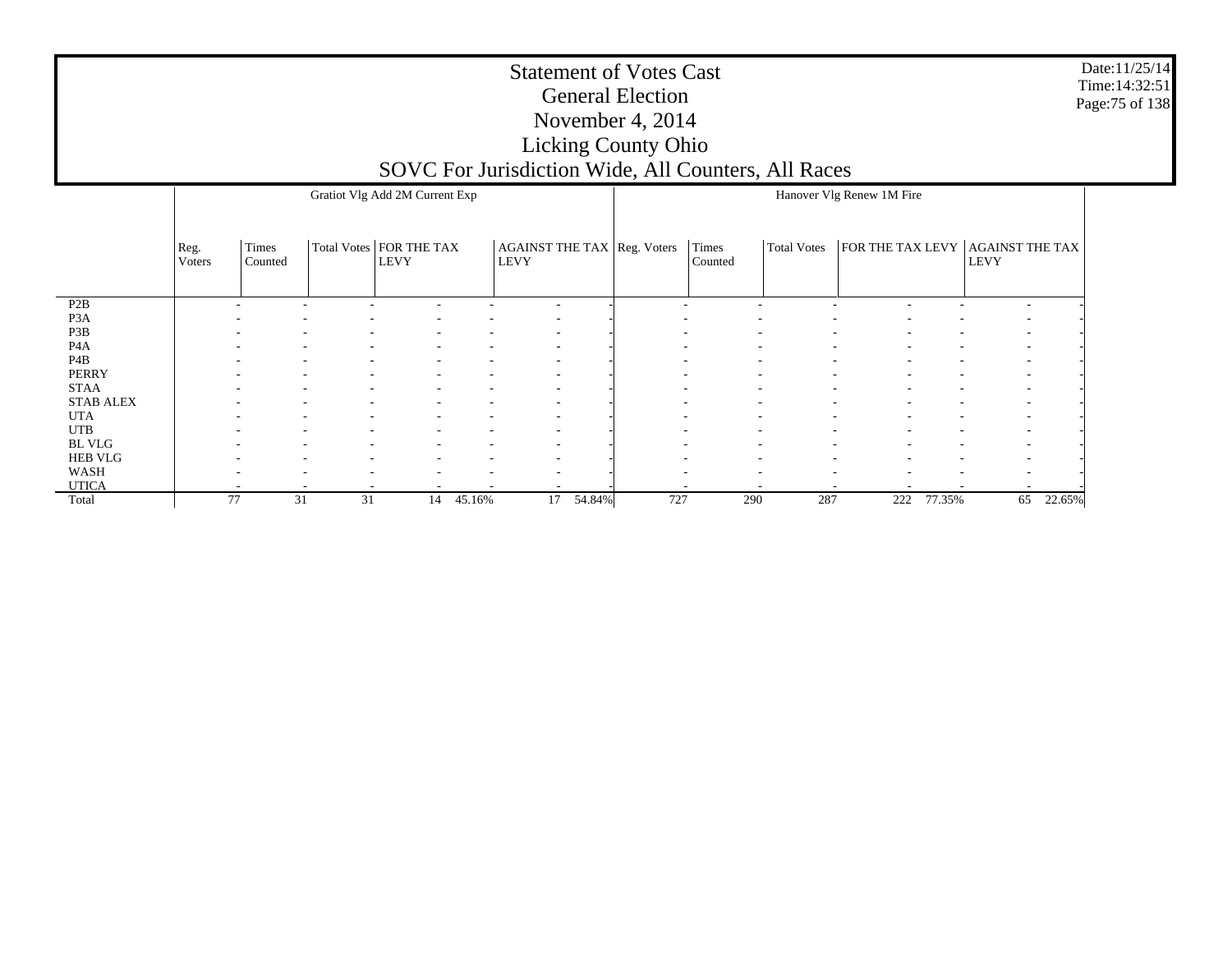Date:11/25/14 Time:14:32:51 Page:75 of 138

|                  |        |         | Gratiot Vlg Add 2M Current Exp |                           |                          |             |                          |                             |         |                          | Hanover Vlg Renew 1M Fire |                          |                          |        |
|------------------|--------|---------|--------------------------------|---------------------------|--------------------------|-------------|--------------------------|-----------------------------|---------|--------------------------|---------------------------|--------------------------|--------------------------|--------|
|                  |        |         |                                |                           |                          |             |                          |                             |         |                          |                           |                          |                          |        |
|                  |        |         |                                |                           |                          |             |                          |                             |         |                          |                           |                          |                          |        |
|                  | Reg.   | Times   |                                | Total Votes   FOR THE TAX |                          |             |                          | AGAINST THE TAX Reg. Voters | Times   | <b>Total Votes</b>       | FOR THE TAX LEVY          |                          | <b>AGAINST THE TAX</b>   |        |
|                  | Voters | Counted |                                | <b>LEVY</b>               |                          | <b>LEVY</b> |                          |                             | Counted |                          |                           |                          | <b>LEVY</b>              |        |
|                  |        |         |                                |                           |                          |             |                          |                             |         |                          |                           |                          |                          |        |
|                  |        |         |                                |                           |                          |             |                          |                             |         |                          |                           |                          |                          |        |
| P2B              |        |         |                                |                           |                          |             |                          |                             |         |                          |                           |                          | $\overline{\phantom{a}}$ |        |
| P <sub>3</sub> A |        |         |                                |                           |                          |             |                          |                             |         |                          |                           |                          |                          |        |
| P3B              |        |         |                                |                           |                          |             | $\overline{\phantom{a}}$ | ۰                           |         |                          |                           |                          | $\overline{\phantom{a}}$ |        |
| P <sub>4</sub> A |        |         |                                |                           |                          |             | $\overline{\phantom{a}}$ | ٠                           |         |                          |                           |                          | $\overline{\phantom{a}}$ |        |
| P <sub>4</sub> B |        |         |                                |                           |                          |             | ۰                        | ۰                           |         |                          |                           |                          |                          |        |
| PERRY            |        |         |                                |                           |                          |             |                          |                             |         |                          |                           |                          |                          |        |
| <b>STAA</b>      |        |         |                                |                           |                          |             |                          |                             |         |                          |                           |                          |                          |        |
| <b>STAB ALEX</b> |        |         |                                |                           | $\overline{\phantom{a}}$ |             | $\overline{\phantom{a}}$ | ٠                           |         | $\overline{\phantom{a}}$ | ٠                         | $\overline{\phantom{a}}$ | $\sim$                   |        |
| <b>UTA</b>       |        |         |                                |                           |                          |             | ۰                        |                             |         |                          |                           |                          |                          |        |
| <b>UTB</b>       |        |         |                                |                           |                          |             |                          |                             |         |                          |                           |                          |                          |        |
| <b>BL VLG</b>    |        |         |                                |                           | ۰                        |             | $\overline{\phantom{a}}$ | ٠                           |         |                          |                           |                          | $\overline{\phantom{a}}$ |        |
| <b>HEB VLG</b>   |        |         |                                |                           | ۰                        |             | $\overline{\phantom{a}}$ | ٠                           |         |                          |                           | -                        | $\sim$                   |        |
| WASH             |        |         |                                |                           |                          |             | ۰                        |                             |         |                          |                           |                          |                          |        |
| <b>UTICA</b>     |        |         |                                |                           |                          |             |                          |                             |         |                          |                           |                          |                          |        |
| Total            | 77     | 31      | 31                             | 14                        | 45.16%                   | 17          | 54.84%                   | 727                         | 290     | 287                      | 222                       | 77.35%                   | 65                       | 22.65% |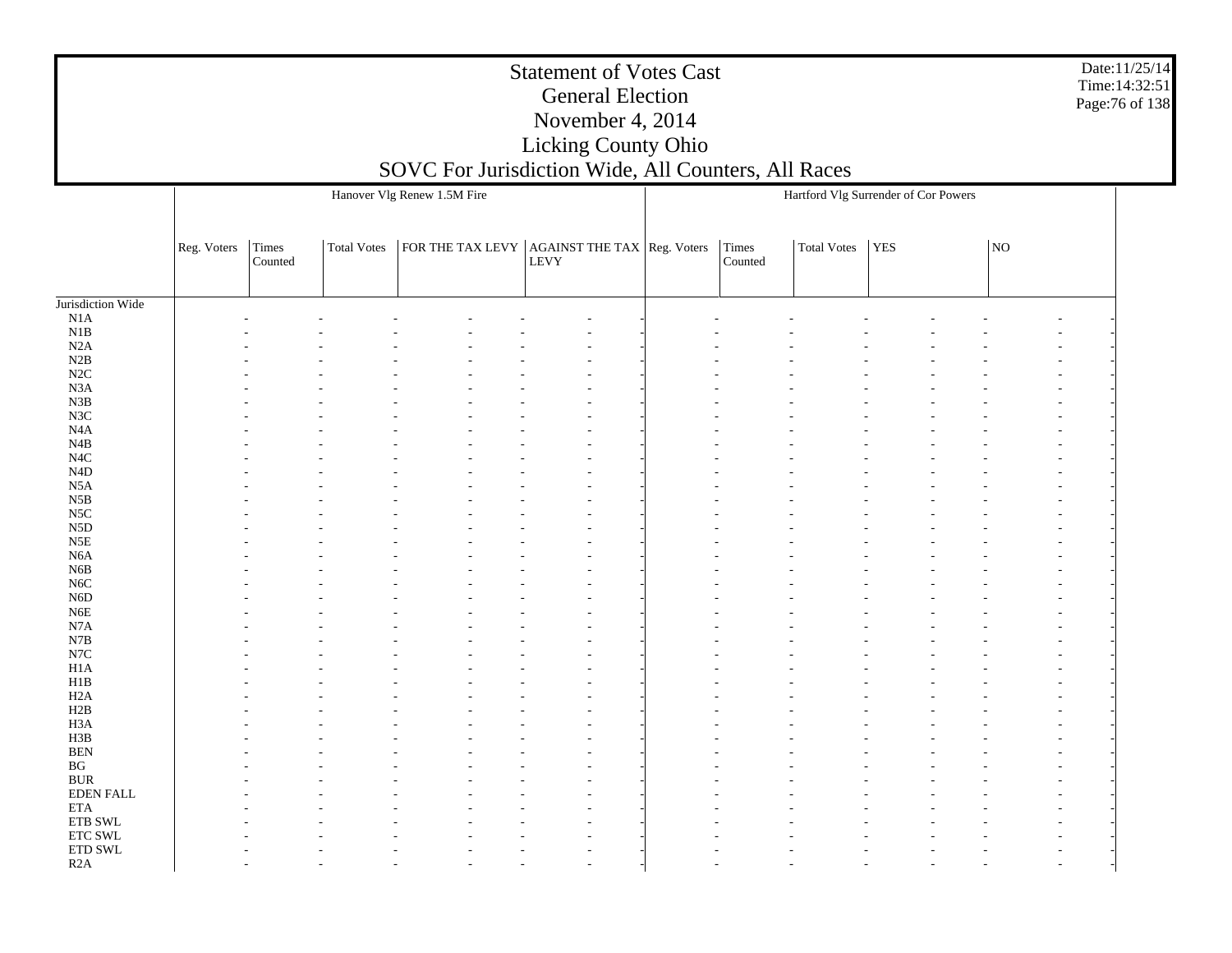Date:11/25/14 Time:14:32:51Page:76 of 138

|                        |             |                  |                    | Hanover Vlg Renew 1.5M Fire                                                                                                                              |  |                                   | Hartford Vlg Surrender of Cor Powers |            |    |  |
|------------------------|-------------|------------------|--------------------|----------------------------------------------------------------------------------------------------------------------------------------------------------|--|-----------------------------------|--------------------------------------|------------|----|--|
|                        | Reg. Voters | Times<br>Counted | <b>Total Votes</b> | $\begin{tabular}{ c c c c } \hline \textbf{FOR THE TAX LEVY} & \textbf{AGAINT THE TAX} & \textbf{Reg. Voters} \\ \hline & \textbf{LEVY} & \end{tabular}$ |  | Times<br>$\operatorname{Counted}$ | Total Votes                          | <b>YES</b> | NO |  |
| Jurisdiction Wide      |             |                  |                    |                                                                                                                                                          |  |                                   |                                      |            |    |  |
| N1A                    |             |                  |                    |                                                                                                                                                          |  |                                   |                                      |            |    |  |
| N1B                    |             |                  |                    |                                                                                                                                                          |  |                                   |                                      |            |    |  |
| N2A                    |             |                  |                    |                                                                                                                                                          |  |                                   |                                      |            |    |  |
| N2B                    |             |                  |                    |                                                                                                                                                          |  |                                   |                                      |            |    |  |
| $\rm N2C$              |             |                  |                    |                                                                                                                                                          |  |                                   |                                      |            |    |  |
| $_{\rm N3A}$           |             |                  |                    |                                                                                                                                                          |  |                                   |                                      |            |    |  |
| ${\bf N3B}$            |             |                  |                    |                                                                                                                                                          |  |                                   |                                      |            |    |  |
| $_{\rm N3C}$           |             |                  |                    |                                                                                                                                                          |  |                                   |                                      |            |    |  |
| $_{\mathrm{N4A}}$      |             |                  |                    |                                                                                                                                                          |  |                                   |                                      |            |    |  |
| $\rm N4B$              |             |                  |                    |                                                                                                                                                          |  |                                   |                                      |            |    |  |
| $_{\mathrm{N4C}}$      |             |                  |                    |                                                                                                                                                          |  |                                   |                                      |            |    |  |
| $\rm N4D$              |             |                  |                    |                                                                                                                                                          |  |                                   |                                      |            |    |  |
| N5A                    |             |                  |                    |                                                                                                                                                          |  |                                   |                                      |            |    |  |
| N5B                    |             |                  |                    |                                                                                                                                                          |  |                                   |                                      |            |    |  |
| $_{\rm NSC}$           |             |                  |                    |                                                                                                                                                          |  |                                   |                                      |            |    |  |
| ${\rm N5D}$            |             |                  |                    |                                                                                                                                                          |  |                                   |                                      |            |    |  |
| N5E                    |             |                  |                    |                                                                                                                                                          |  |                                   |                                      |            |    |  |
| $_{\mathrm{N6A}}$      |             |                  |                    |                                                                                                                                                          |  |                                   |                                      |            |    |  |
| ${\rm N6B}$            |             |                  |                    |                                                                                                                                                          |  |                                   |                                      |            |    |  |
| $_{\rm NGC}$           |             |                  |                    |                                                                                                                                                          |  |                                   |                                      |            |    |  |
| ${\rm N6D}$            |             |                  |                    |                                                                                                                                                          |  |                                   |                                      |            |    |  |
| N6E                    |             |                  |                    |                                                                                                                                                          |  |                                   |                                      |            |    |  |
| $_{\rm N7A}$           |             |                  |                    |                                                                                                                                                          |  |                                   |                                      |            |    |  |
| $_{\rm N7B}$           |             |                  |                    |                                                                                                                                                          |  |                                   |                                      |            |    |  |
| $_{\mathrm{N7C}}$      |             |                  |                    |                                                                                                                                                          |  |                                   |                                      |            |    |  |
| H1A                    |             |                  |                    |                                                                                                                                                          |  |                                   |                                      |            |    |  |
| H1B                    |             |                  |                    |                                                                                                                                                          |  |                                   |                                      |            |    |  |
| H <sub>2</sub> A       |             |                  |                    |                                                                                                                                                          |  |                                   |                                      |            |    |  |
| H2B                    |             |                  |                    |                                                                                                                                                          |  |                                   |                                      |            |    |  |
| H3A                    |             |                  |                    |                                                                                                                                                          |  |                                   |                                      |            |    |  |
| H3B                    |             |                  |                    |                                                                                                                                                          |  |                                   |                                      |            |    |  |
| <b>BEN</b>             |             |                  |                    |                                                                                                                                                          |  |                                   |                                      |            |    |  |
| $\mathbf{B}\mathbf{G}$ |             |                  |                    |                                                                                                                                                          |  |                                   |                                      |            |    |  |
| $\rm BUR$              |             |                  |                    |                                                                                                                                                          |  |                                   |                                      |            |    |  |
| <b>EDEN FALL</b>       |             |                  |                    |                                                                                                                                                          |  |                                   |                                      |            |    |  |
| $\rm ETA$              |             |                  |                    |                                                                                                                                                          |  |                                   |                                      |            |    |  |
| ${\rm ETB}$ SWL        |             |                  |                    |                                                                                                                                                          |  |                                   |                                      |            |    |  |
| ETC SWL                |             |                  |                    |                                                                                                                                                          |  |                                   |                                      |            |    |  |
| $\rm ETD$ SWL          |             |                  |                    |                                                                                                                                                          |  |                                   |                                      |            |    |  |
| R2A                    |             |                  |                    |                                                                                                                                                          |  |                                   |                                      |            |    |  |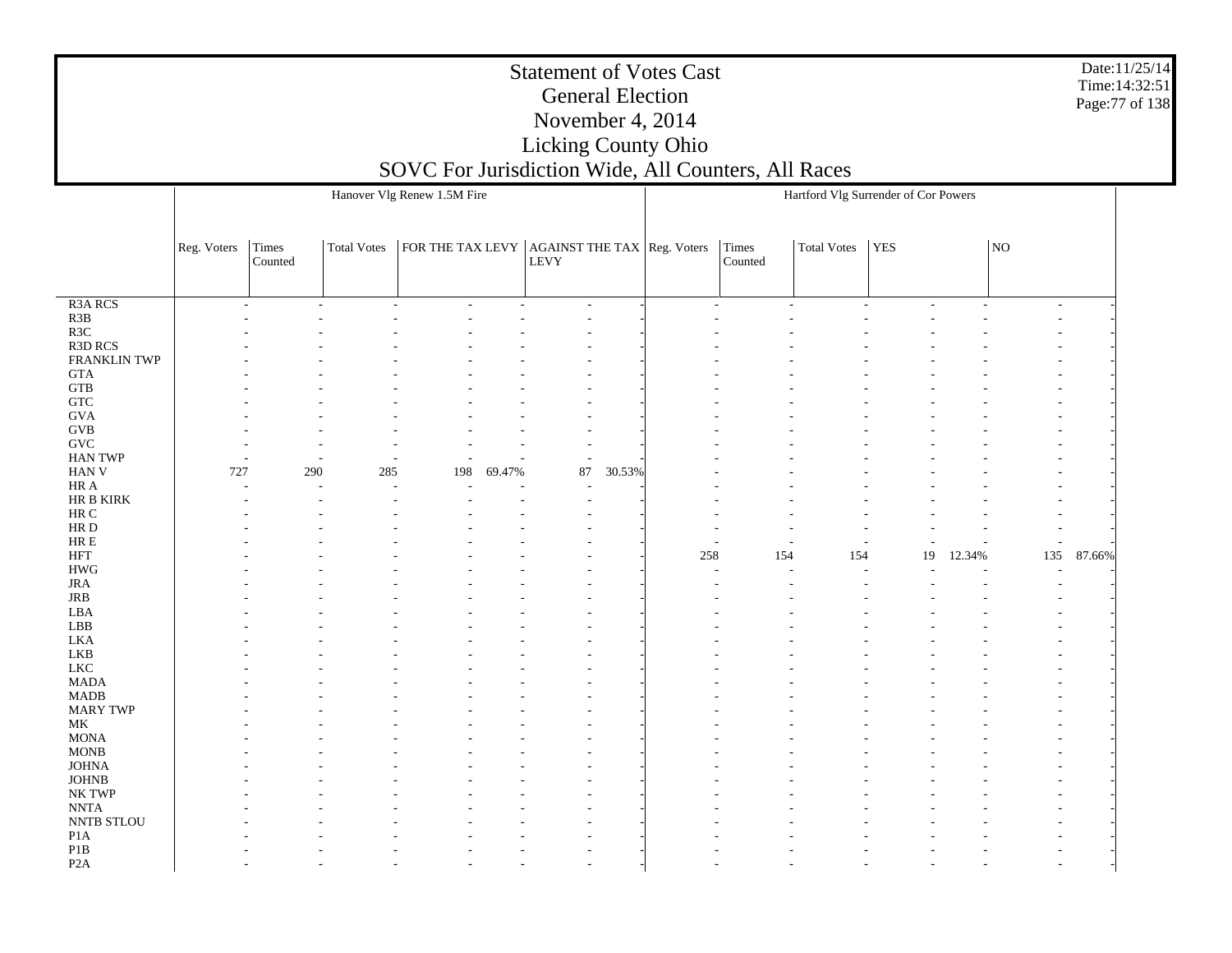Date:11/25/14 Time:14:32:51 Page:77 of 138

|                            |             |                  |                    | Hanover Vlg Renew 1.5M Fire                                                                                                                 |        |                |        |     |                  |                    | Hartford Vlg Surrender of Cor Powers |        |        |        |
|----------------------------|-------------|------------------|--------------------|---------------------------------------------------------------------------------------------------------------------------------------------|--------|----------------|--------|-----|------------------|--------------------|--------------------------------------|--------|--------|--------|
|                            |             |                  |                    |                                                                                                                                             |        |                |        |     |                  |                    |                                      |        |        |        |
|                            | Reg. Voters | Times<br>Counted | <b>Total Votes</b> | $\boxed{\text{FOR THE TAX LEVY} \begin{array}{ c c }\text{AGAINST THE TAX} \end{array}} \begin{array}{ c c }\text{Reg. Voters} \end{array}$ |        |                |        |     | Times<br>Counted | <b>Total Votes</b> | YES                                  |        | NO     |        |
| R <sub>3</sub> A RCS       | $\sim$      | ÷.               | $\sim$             |                                                                                                                                             | $\sim$ | $\sim$         |        |     | ÷.               |                    | $\overline{\phantom{a}}$<br>٠        |        | $\sim$ |        |
| $\,$ R3B                   |             |                  |                    |                                                                                                                                             |        |                |        |     |                  |                    |                                      |        |        |        |
| R3C                        |             |                  |                    |                                                                                                                                             |        |                |        |     |                  |                    |                                      |        |        |        |
| R3D RCS                    |             |                  |                    |                                                                                                                                             |        |                |        |     |                  |                    |                                      |        |        |        |
| FRANKLIN TWP               |             |                  |                    |                                                                                                                                             |        |                |        |     |                  |                    |                                      |        |        |        |
| <b>GTA</b>                 |             |                  |                    |                                                                                                                                             |        |                |        |     |                  |                    |                                      |        |        |        |
| ${\rm GTB}$                |             |                  |                    |                                                                                                                                             |        |                |        |     |                  |                    |                                      |        |        |        |
| ${\rm GTC}$                |             |                  |                    |                                                                                                                                             |        |                |        |     |                  |                    |                                      |        |        |        |
| <b>GVA</b>                 |             |                  |                    |                                                                                                                                             |        |                |        |     |                  |                    |                                      |        |        |        |
| $\rm GVB$                  |             |                  |                    |                                                                                                                                             |        |                |        |     |                  |                    |                                      |        |        |        |
| <b>GVC</b>                 |             |                  |                    |                                                                                                                                             |        |                |        |     |                  |                    |                                      |        |        |        |
| <b>HAN TWP</b>             |             |                  |                    |                                                                                                                                             |        | $\overline{a}$ |        |     |                  |                    |                                      |        |        |        |
| HAN <sub>V</sub>           | 727         | 290              | 285                | 198                                                                                                                                         | 69.47% | 87             | 30.53% |     |                  |                    |                                      |        |        |        |
| HR A                       |             |                  |                    |                                                                                                                                             |        |                |        |     |                  |                    |                                      |        |        |        |
| HR B KIRK                  |             |                  |                    |                                                                                                                                             |        |                |        |     |                  |                    |                                      |        |        |        |
| $\rm{HR}$ C                |             |                  |                    |                                                                                                                                             |        |                |        |     |                  |                    |                                      |        |        |        |
| $\rm HR$ D                 |             |                  |                    |                                                                                                                                             |        |                |        |     |                  |                    |                                      |        |        |        |
| ${\rm HR} \to$             |             |                  |                    |                                                                                                                                             |        |                |        |     |                  |                    |                                      |        |        |        |
| $\operatorname{HFT}$       |             |                  |                    |                                                                                                                                             |        |                |        | 258 | 154              | 154                | 19                                   | 12.34% | 135    | 87.66% |
| $\rm HWG$                  |             |                  |                    |                                                                                                                                             |        |                |        |     |                  |                    |                                      |        |        |        |
| $_{\rm JRA}$               |             |                  |                    |                                                                                                                                             |        |                |        |     |                  |                    |                                      |        |        |        |
| $_{\rm JRB}$               |             |                  |                    |                                                                                                                                             |        |                |        |     |                  |                    |                                      |        |        |        |
| LBA                        |             |                  |                    |                                                                                                                                             |        |                |        |     |                  |                    |                                      |        |        |        |
| ${\rm LBB}$                |             |                  |                    |                                                                                                                                             |        |                |        |     |                  |                    |                                      |        |        |        |
| LKA<br>${\rm LKB}$         |             |                  |                    |                                                                                                                                             |        |                |        |     |                  |                    |                                      |        |        |        |
| ${\rm LKC}$                |             |                  |                    |                                                                                                                                             |        |                |        |     |                  |                    |                                      |        |        |        |
| MADA                       |             |                  |                    |                                                                                                                                             |        |                |        |     |                  |                    |                                      |        |        |        |
| <b>MADB</b>                |             |                  |                    |                                                                                                                                             |        |                |        |     |                  |                    |                                      |        |        |        |
| <b>MARY TWP</b>            |             |                  |                    |                                                                                                                                             |        |                |        |     |                  |                    |                                      |        |        |        |
| $\rm MK$                   |             |                  |                    |                                                                                                                                             |        |                |        |     |                  |                    |                                      |        |        |        |
| $\operatorname{MONA}$      |             |                  |                    |                                                                                                                                             |        |                |        |     |                  |                    |                                      |        |        |        |
| $\rm{MONB}$                |             |                  |                    |                                                                                                                                             |        |                |        |     |                  |                    |                                      |        |        |        |
| <b>JOHNA</b>               |             |                  |                    |                                                                                                                                             |        |                |        |     |                  |                    |                                      |        |        |        |
| $\rm JOHNB$                |             |                  |                    |                                                                                                                                             |        |                |        |     |                  |                    |                                      |        |        |        |
| NK TWP                     |             |                  |                    |                                                                                                                                             |        |                |        |     |                  |                    |                                      |        |        |        |
| $\ensuremath{\text{NNTA}}$ |             |                  |                    |                                                                                                                                             |        |                |        |     |                  |                    |                                      |        |        |        |
| NNTB STLOU                 |             |                  |                    |                                                                                                                                             |        |                |        |     |                  |                    |                                      |        |        |        |
| P <sub>1</sub> A           |             |                  |                    |                                                                                                                                             |        |                |        |     |                  |                    |                                      |        |        |        |
| $\mathbf{P}1\mathbf{B}$    |             |                  |                    |                                                                                                                                             |        |                |        |     |                  |                    |                                      |        |        |        |
| P <sub>2</sub> A           |             |                  |                    |                                                                                                                                             |        |                |        |     |                  |                    |                                      |        |        |        |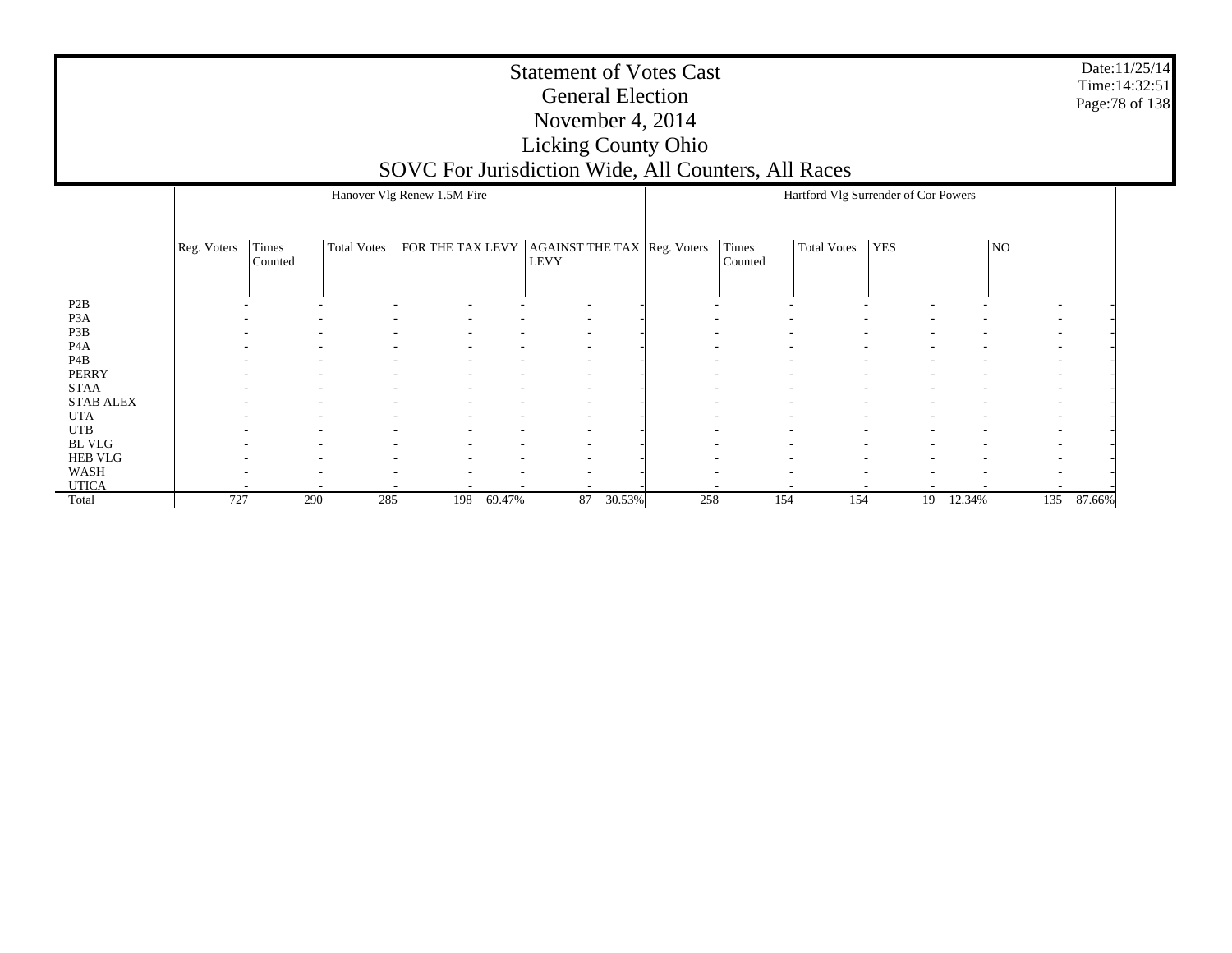Date:11/25/14 Time:14:32:51Page:78 of 138

|                  |             |                  |                    | Hanover Vlg Renew 1.5M Fire                      |        |                          |        |                          |                  | Hartford Vlg Surrender of Cor Powers |                          |        |                          |        |
|------------------|-------------|------------------|--------------------|--------------------------------------------------|--------|--------------------------|--------|--------------------------|------------------|--------------------------------------|--------------------------|--------|--------------------------|--------|
|                  | Reg. Voters | Times<br>Counted | <b>Total Votes</b> | FOR THE TAX LEVY   AGAINST THE TAX   Reg. Voters |        | <b>LEVY</b>              |        |                          | Times<br>Counted | <b>Total Votes</b>                   | <b>YES</b>               |        | NO.                      |        |
| P2B              | ۰           | ۰                |                    |                                                  |        | $\overline{\phantom{a}}$ |        | $\overline{\phantom{a}}$ |                  |                                      |                          |        | $\overline{\phantom{a}}$ |        |
| P <sub>3</sub> A |             |                  |                    |                                                  |        | $\overline{\phantom{a}}$ |        |                          |                  |                                      |                          |        | $\overline{\phantom{a}}$ |        |
| P3B              | ۰           | ٠                |                    |                                                  | ٠      | $\overline{\phantom{a}}$ |        | $\overline{\phantom{a}}$ |                  |                                      | $\overline{\phantom{0}}$ | -      | $\sim$                   |        |
| P <sub>4</sub> A |             | ٠                |                    |                                                  |        | $\overline{\phantom{a}}$ |        |                          |                  |                                      |                          |        | $\overline{\phantom{a}}$ |        |
| P <sub>4</sub> B |             |                  |                    |                                                  |        | $\overline{\phantom{a}}$ |        |                          |                  |                                      |                          |        | $\overline{\phantom{a}}$ |        |
| <b>PERRY</b>     |             |                  |                    |                                                  |        |                          |        |                          |                  |                                      |                          |        | $\overline{\phantom{a}}$ |        |
| <b>STAA</b>      |             |                  |                    |                                                  |        | $\overline{\phantom{a}}$ |        |                          |                  |                                      |                          |        | $\sim$                   |        |
| <b>STAB ALEX</b> |             |                  |                    |                                                  |        | $\overline{\phantom{a}}$ |        |                          |                  |                                      |                          | ٠      | $\sim$                   |        |
| <b>UTA</b>       |             |                  |                    |                                                  |        |                          |        |                          |                  |                                      |                          |        | $\overline{\phantom{a}}$ |        |
| <b>UTB</b>       |             |                  |                    |                                                  |        | $\overline{\phantom{a}}$ |        |                          |                  |                                      |                          |        | $\sim$                   |        |
| <b>BL VLG</b>    |             |                  |                    |                                                  |        | $\overline{\phantom{a}}$ |        |                          |                  |                                      |                          |        | $\sim$                   |        |
| <b>HEB VLG</b>   |             | ٠                |                    |                                                  |        | $\overline{\phantom{a}}$ |        | $\overline{\phantom{a}}$ |                  |                                      |                          |        | $\sim$                   |        |
| WASH             |             |                  |                    |                                                  |        | $\overline{\phantom{a}}$ |        |                          |                  |                                      |                          |        | $\sim$                   |        |
| <b>UTICA</b>     |             |                  |                    |                                                  |        |                          |        |                          |                  |                                      |                          |        |                          |        |
| Total            | 727         | 290              | 285                | 198                                              | 69.47% | 87                       | 30.53% | 258                      | 154              | 154                                  | 19                       | 12.34% | 135                      | 87.66% |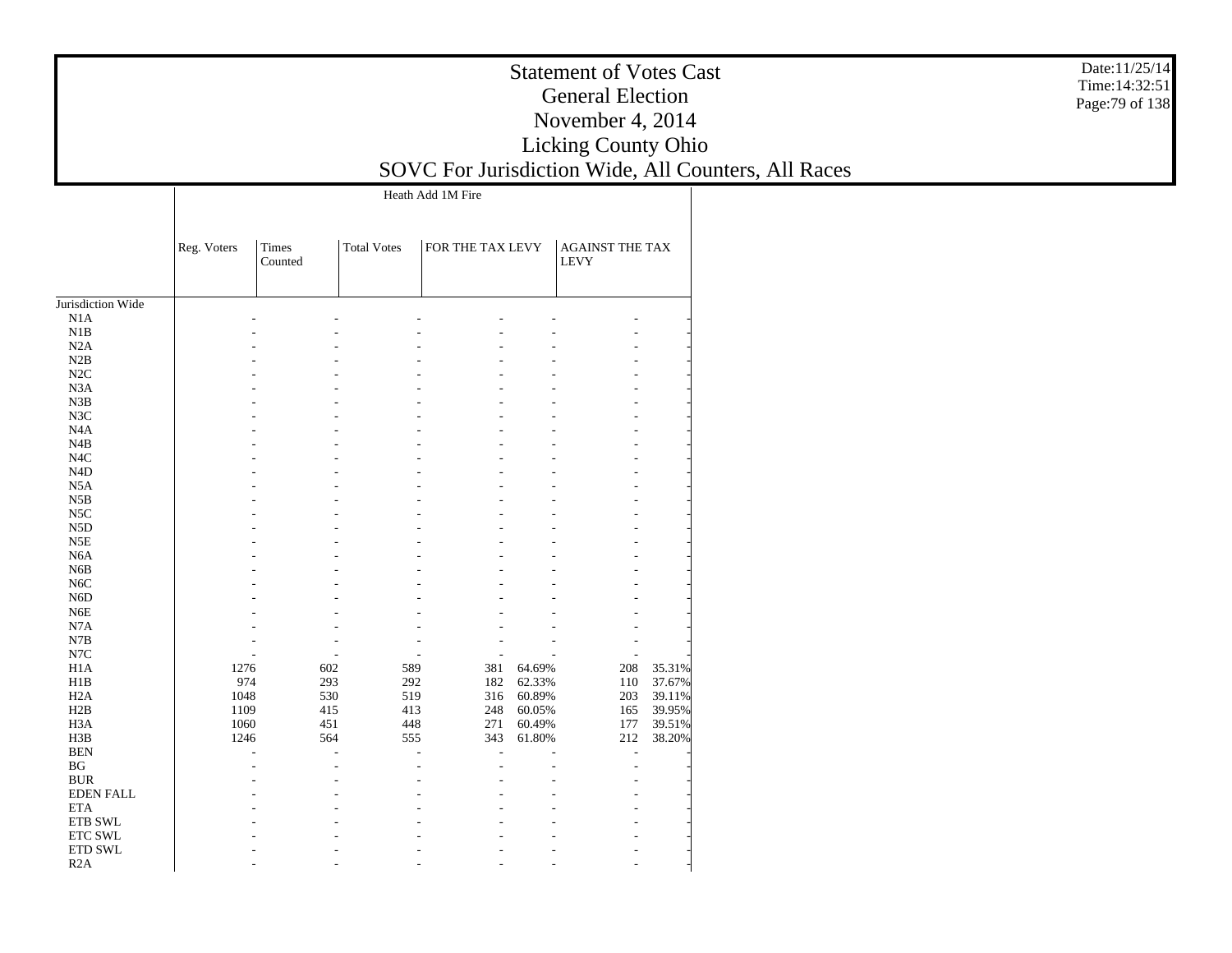|                   |             |                  |                    | Heath Add 1M Fire |                  |        |                                       |        |
|-------------------|-------------|------------------|--------------------|-------------------|------------------|--------|---------------------------------------|--------|
|                   | Reg. Voters | Times<br>Counted | <b>Total Votes</b> |                   | FOR THE TAX LEVY |        | <b>AGAINST THE TAX</b><br><b>LEVY</b> |        |
| Jurisdiction Wide |             |                  |                    |                   |                  |        |                                       |        |
| N1A               |             |                  |                    |                   |                  |        |                                       |        |
| N1B               |             |                  |                    |                   |                  |        |                                       |        |
| N2A               |             |                  |                    |                   |                  |        |                                       |        |
| N2B               |             |                  |                    |                   |                  |        |                                       |        |
| N2C               |             |                  |                    |                   |                  |        |                                       |        |
| N <sub>3</sub> A  |             |                  |                    |                   |                  |        |                                       |        |
| N3B               |             |                  |                    |                   |                  |        |                                       |        |
| N3C               |             |                  |                    |                   |                  |        |                                       |        |
| N <sub>4</sub> A  |             |                  |                    |                   |                  |        |                                       |        |
| N4B               |             |                  |                    |                   |                  |        |                                       |        |
| N <sub>4</sub> C  |             |                  |                    |                   |                  | ٠      |                                       |        |
| N <sub>4</sub> D  |             |                  |                    |                   |                  |        |                                       |        |
| N <sub>5</sub> A  |             |                  |                    |                   |                  |        |                                       |        |
|                   |             |                  |                    |                   |                  |        |                                       |        |
| N5B               |             |                  |                    |                   |                  |        |                                       |        |
| $_{\rm NSC}$      |             |                  |                    |                   |                  |        |                                       |        |
| N <sub>5</sub> D  |             |                  |                    |                   |                  |        |                                       |        |
| N5E               |             |                  |                    |                   |                  |        |                                       |        |
| N <sub>6</sub> A  |             |                  |                    |                   |                  |        |                                       |        |
| N <sub>6</sub> B  |             |                  |                    |                   |                  |        |                                       |        |
| N <sub>6</sub> C  |             |                  |                    |                   |                  |        |                                       |        |
| N <sub>6</sub> D  |             |                  |                    |                   |                  |        |                                       |        |
| N <sub>6</sub> E  |             |                  |                    |                   |                  |        |                                       |        |
| N7A               |             |                  |                    |                   |                  |        |                                       |        |
| N7B               |             |                  |                    |                   |                  |        |                                       |        |
| N7C               |             |                  |                    |                   |                  |        |                                       |        |
| H1A               | 1276        |                  | 602                | 589               | 381              | 64.69% | 208                                   | 35.31% |
| H1B               | 974         |                  | 293                | 292               | 182              | 62.33% | 110                                   | 37.67% |
| H2A               | 1048        |                  | 530                | 519               | 316              | 60.89% | 203                                   | 39.11% |
| H2B               | 1109        |                  | 415                | 413               | 248              | 60.05% | 165                                   | 39.95% |
| H <sub>3</sub> A  | 1060        |                  | 451                | 448               | 271              | 60.49% | 177                                   | 39.51% |
| H3B               | 1246        |                  | 564                | 555               | 343              | 61.80% | 212                                   | 38.20% |
| <b>BEN</b>        |             |                  |                    | ÷                 | L,               |        | L,                                    |        |
| BG                |             |                  |                    | ä,                | J.               | L.     | J.                                    |        |
| <b>BUR</b>        |             |                  |                    |                   |                  |        |                                       |        |
| <b>EDEN FALL</b>  |             |                  |                    |                   |                  |        |                                       |        |
| <b>ETA</b>        |             |                  |                    |                   |                  |        |                                       |        |
| ETB SWL           |             |                  |                    |                   |                  |        |                                       |        |
| ETC SWL           |             |                  |                    |                   |                  |        |                                       |        |
| ETD SWL           |             |                  |                    |                   |                  |        |                                       |        |
| R2A               |             |                  |                    |                   |                  |        |                                       |        |
|                   |             |                  |                    |                   |                  |        |                                       |        |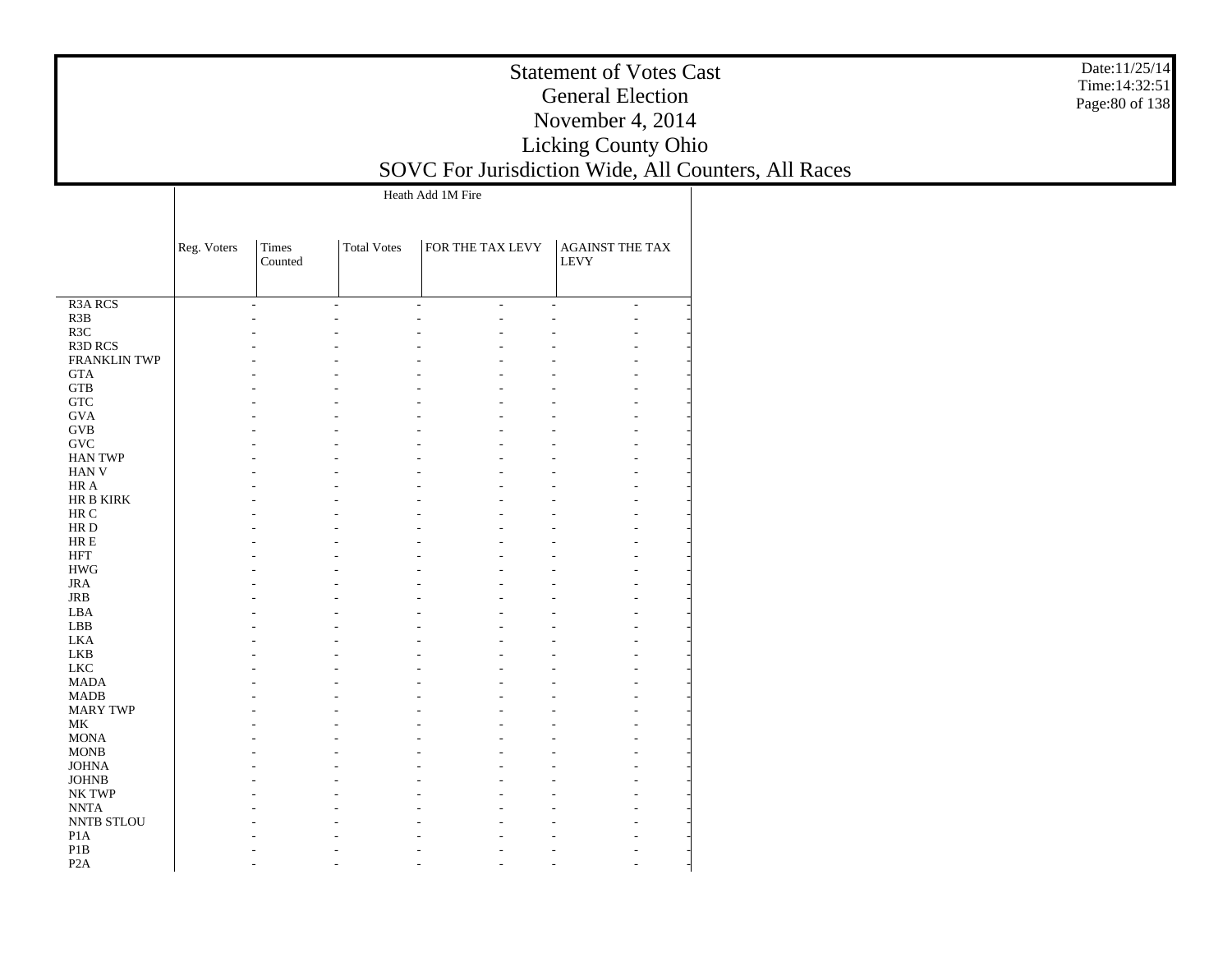Date:11/25/14 Time:14:32:51Page:80 of 138

|                     |             |                         |                    | Heath Add IM Fire              |                                                      |
|---------------------|-------------|-------------------------|--------------------|--------------------------------|------------------------------------------------------|
|                     | Reg. Voters | <b>Times</b><br>Counted | <b>Total Votes</b> | FOR THE TAX LEVY               | AGAINST THE TAX<br><b>LEVY</b>                       |
| <b>R3A RCS</b>      |             | $\overline{a}$          | ÷                  | ÷.<br>$\overline{\phantom{a}}$ | $\overline{\phantom{a}}$<br>$\overline{\phantom{a}}$ |
| R3B                 |             |                         |                    | L,                             |                                                      |
| R3C                 |             |                         |                    |                                |                                                      |
|                     |             |                         |                    |                                |                                                      |
| <b>R3D RCS</b>      |             |                         |                    |                                |                                                      |
| <b>FRANKLIN TWP</b> |             |                         |                    |                                |                                                      |
| <b>GTA</b>          |             |                         |                    |                                |                                                      |
| <b>GTB</b>          |             |                         |                    |                                |                                                      |
| <b>GTC</b>          |             |                         |                    |                                |                                                      |
| <b>GVA</b>          |             |                         |                    |                                |                                                      |
| <b>GVB</b>          |             |                         |                    |                                |                                                      |
| <b>GVC</b>          |             |                         |                    |                                |                                                      |
| <b>HAN TWP</b>      |             |                         |                    |                                |                                                      |
| <b>HAN V</b>        |             |                         |                    |                                |                                                      |
| HR A                |             |                         |                    |                                |                                                      |
| HR B KIRK           |             |                         |                    |                                |                                                      |
| HR C                |             |                         |                    |                                |                                                      |
| HR D                |             |                         |                    |                                |                                                      |
| HR E                |             |                         |                    |                                |                                                      |
| <b>HFT</b>          |             |                         |                    |                                |                                                      |
| <b>HWG</b>          |             |                         |                    |                                |                                                      |
| <b>JRA</b>          |             |                         |                    |                                |                                                      |
|                     |             |                         |                    |                                |                                                      |
| <b>JRB</b>          |             |                         |                    |                                |                                                      |
| LBA                 |             |                         |                    |                                |                                                      |
| LBB                 |             |                         |                    |                                |                                                      |
| <b>LKA</b>          |             |                         |                    |                                |                                                      |
| <b>LKB</b>          |             |                         |                    |                                |                                                      |
| <b>LKC</b>          |             |                         |                    |                                |                                                      |
| <b>MADA</b>         |             |                         |                    |                                |                                                      |
| <b>MADB</b>         |             |                         |                    |                                |                                                      |
| <b>MARY TWP</b>     |             |                         |                    |                                |                                                      |
| MK                  |             |                         |                    |                                |                                                      |
| <b>MONA</b>         |             |                         |                    |                                |                                                      |
| <b>MONB</b>         |             |                         |                    |                                |                                                      |
| <b>JOHNA</b>        |             |                         |                    |                                |                                                      |
| <b>JOHNB</b>        |             |                         |                    |                                |                                                      |
| NK TWP              |             |                         |                    |                                |                                                      |
| <b>NNTA</b>         |             |                         |                    |                                |                                                      |
| NNTB STLOU          |             |                         |                    |                                |                                                      |
| P <sub>1</sub> A    |             |                         |                    |                                |                                                      |
| P1B                 |             |                         |                    |                                |                                                      |
|                     |             |                         |                    |                                |                                                      |
| P <sub>2</sub> A    |             |                         |                    |                                |                                                      |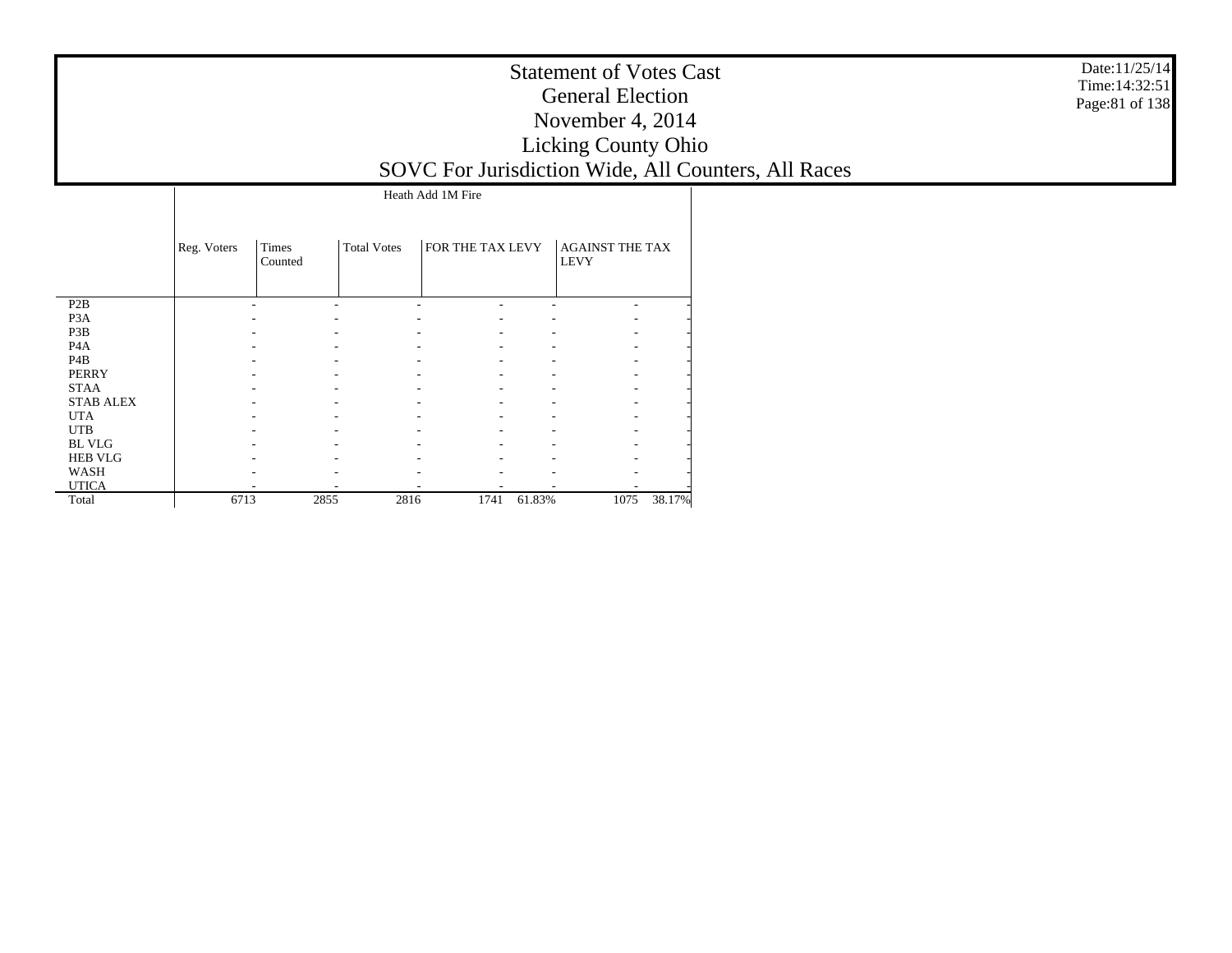|                  |             |                  |                    | Heath Add IM Fire |        |                                       |        |
|------------------|-------------|------------------|--------------------|-------------------|--------|---------------------------------------|--------|
|                  | Reg. Voters | Times<br>Counted | <b>Total Votes</b> | FOR THE TAX LEVY  |        | <b>AGAINST THE TAX</b><br><b>LEVY</b> |        |
| P2B              |             |                  |                    |                   |        |                                       |        |
| P <sub>3</sub> A |             |                  |                    |                   |        |                                       |        |
| P3B              |             |                  |                    |                   |        |                                       |        |
| P <sub>4</sub> A |             |                  |                    |                   |        |                                       |        |
| P <sub>4</sub> B |             |                  |                    |                   |        |                                       |        |
| <b>PERRY</b>     |             |                  |                    |                   |        |                                       |        |
| <b>STAA</b>      |             |                  |                    |                   |        |                                       |        |
| <b>STAB ALEX</b> |             |                  |                    |                   |        |                                       |        |
| <b>UTA</b>       |             |                  |                    |                   |        |                                       |        |
| <b>UTB</b>       |             |                  |                    |                   |        |                                       |        |
| <b>BL VLG</b>    |             |                  |                    |                   |        |                                       |        |
| <b>HEB VLG</b>   |             |                  |                    |                   |        |                                       |        |
| WASH             |             |                  |                    |                   |        |                                       |        |
| <b>UTICA</b>     |             |                  |                    |                   |        |                                       |        |
| Total            | 6713        | 2855             | 2816               | 1741              | 61.83% | 1075                                  | 38.17% |

Date:11/25/14 Time:14:32:51Page:81 of 138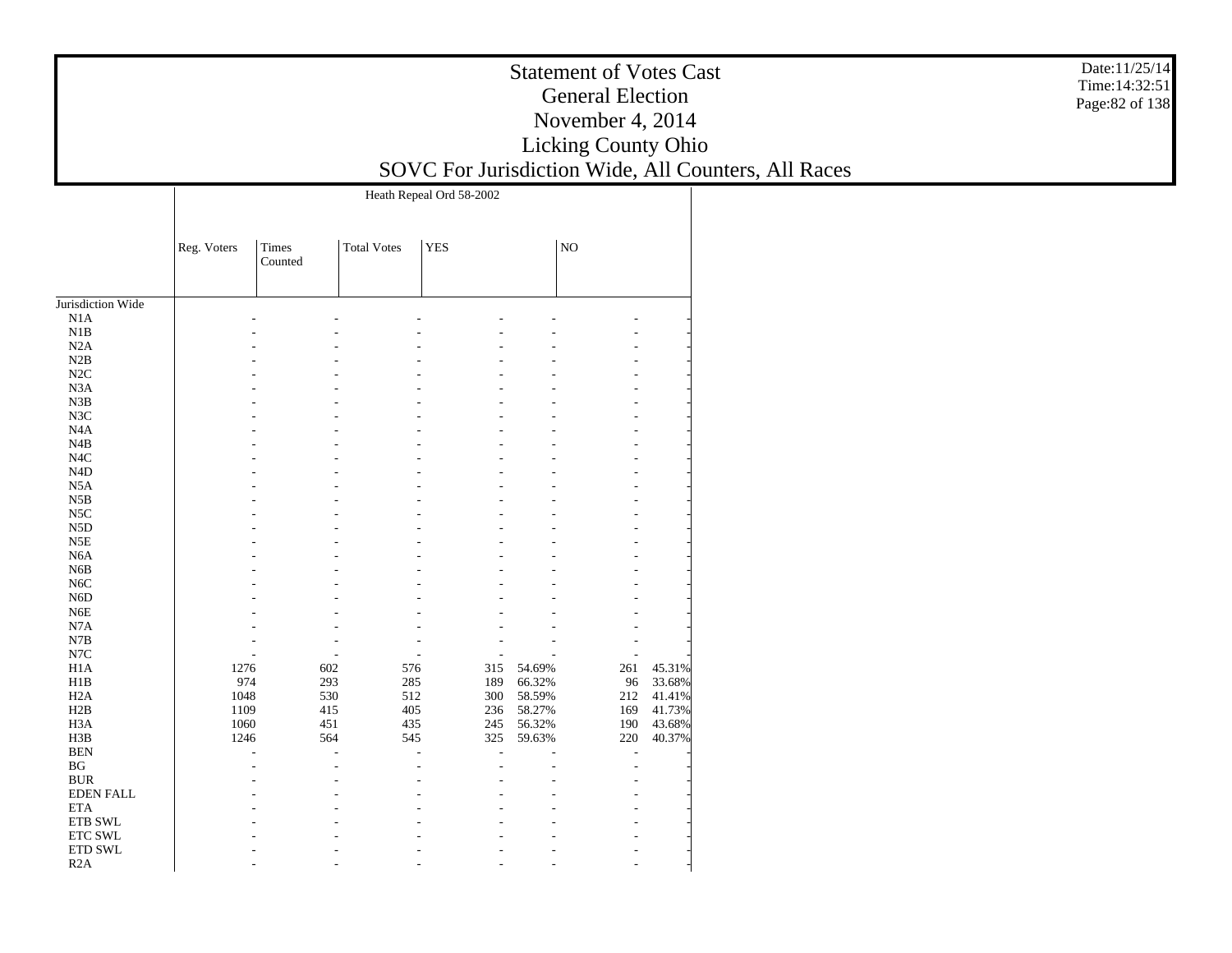|                   |             |                         |                    | Heath Repeal Ord 58-2002 |                |        |     |        |
|-------------------|-------------|-------------------------|--------------------|--------------------------|----------------|--------|-----|--------|
|                   | Reg. Voters | <b>Times</b><br>Counted | <b>Total Votes</b> | <b>YES</b>               |                |        | NO  |        |
| Jurisdiction Wide |             |                         |                    |                          |                |        |     |        |
| $_{\rm N1A}$      |             |                         |                    |                          |                |        |     |        |
| N1B               |             |                         |                    |                          |                |        |     |        |
| N2A               |             |                         |                    |                          |                |        |     |        |
| N2B               |             |                         |                    |                          |                |        |     |        |
| N2C               |             |                         |                    |                          |                |        |     |        |
| N3A               |             |                         |                    |                          |                |        |     |        |
| N3B               |             |                         |                    |                          |                |        |     |        |
| N3C               |             |                         |                    |                          |                |        |     |        |
| N <sub>4</sub> A  |             |                         |                    |                          |                |        |     |        |
| N4B               |             |                         |                    |                          |                |        |     |        |
| $_{\mathrm{N4C}}$ |             |                         |                    |                          |                |        |     |        |
| N4D               |             |                         |                    |                          |                |        |     |        |
| N5A               |             |                         |                    |                          |                |        |     |        |
| N5B               |             |                         |                    |                          |                |        |     |        |
| N <sub>5</sub> C  |             |                         |                    |                          |                |        |     |        |
| N <sub>5</sub> D  |             |                         |                    |                          |                |        |     |        |
| $_{\rm N5E}$      |             |                         |                    |                          |                |        |     |        |
| $_{\mathrm{N6A}}$ |             |                         |                    |                          |                |        |     |        |
| N6B               |             |                         |                    |                          |                |        |     |        |
| N <sub>6</sub> C  |             |                         |                    |                          |                |        |     |        |
| N6D               |             |                         |                    |                          |                |        |     |        |
| N <sub>6</sub> E  |             |                         |                    |                          |                |        |     |        |
| N7A               |             |                         |                    |                          |                |        |     |        |
| $_{\rm N7B}$      |             |                         |                    |                          |                |        |     |        |
| $_{\mathrm{N7C}}$ |             |                         |                    |                          | $\overline{a}$ |        |     |        |
| H1A               | 1276        |                         | 602                | 576                      | 315            | 54.69% | 261 | 45.31% |
| H1B               | 974         |                         | 293                | 285                      | 189            | 66.32% | 96  | 33.68% |
| H2A               | 1048        |                         | 530                | 512                      | 300            | 58.59% | 212 | 41.41% |
| H2B               | 1109        |                         | 415                | 405                      | 236            | 58.27% | 169 | 41.73% |
| H <sub>3</sub> A  | 1060        |                         | 451                | 435                      | 245            | 56.32% | 190 | 43.68% |
| H3B               | 1246        |                         | 564                | 545                      | 325            | 59.63% | 220 | 40.37% |
| <b>BEN</b>        |             | L.                      | L,                 | J.                       | L.             |        | L,  |        |
| <b>BG</b>         |             |                         |                    |                          |                |        |     |        |
| <b>BUR</b>        |             |                         |                    |                          |                |        |     |        |
| <b>EDEN FALL</b>  |             |                         |                    |                          |                |        |     |        |
| <b>ETA</b>        |             |                         |                    |                          |                |        |     |        |
| ETB SWL           |             |                         |                    |                          |                |        |     |        |
| ETC SWL           |             |                         |                    |                          |                |        |     |        |
| ETD SWL           |             |                         |                    |                          |                |        |     |        |
| R2A               |             |                         |                    |                          |                |        |     |        |
|                   |             |                         |                    |                          |                |        |     |        |

Date:11/25/14 Time:14:32:51Page:82 of 138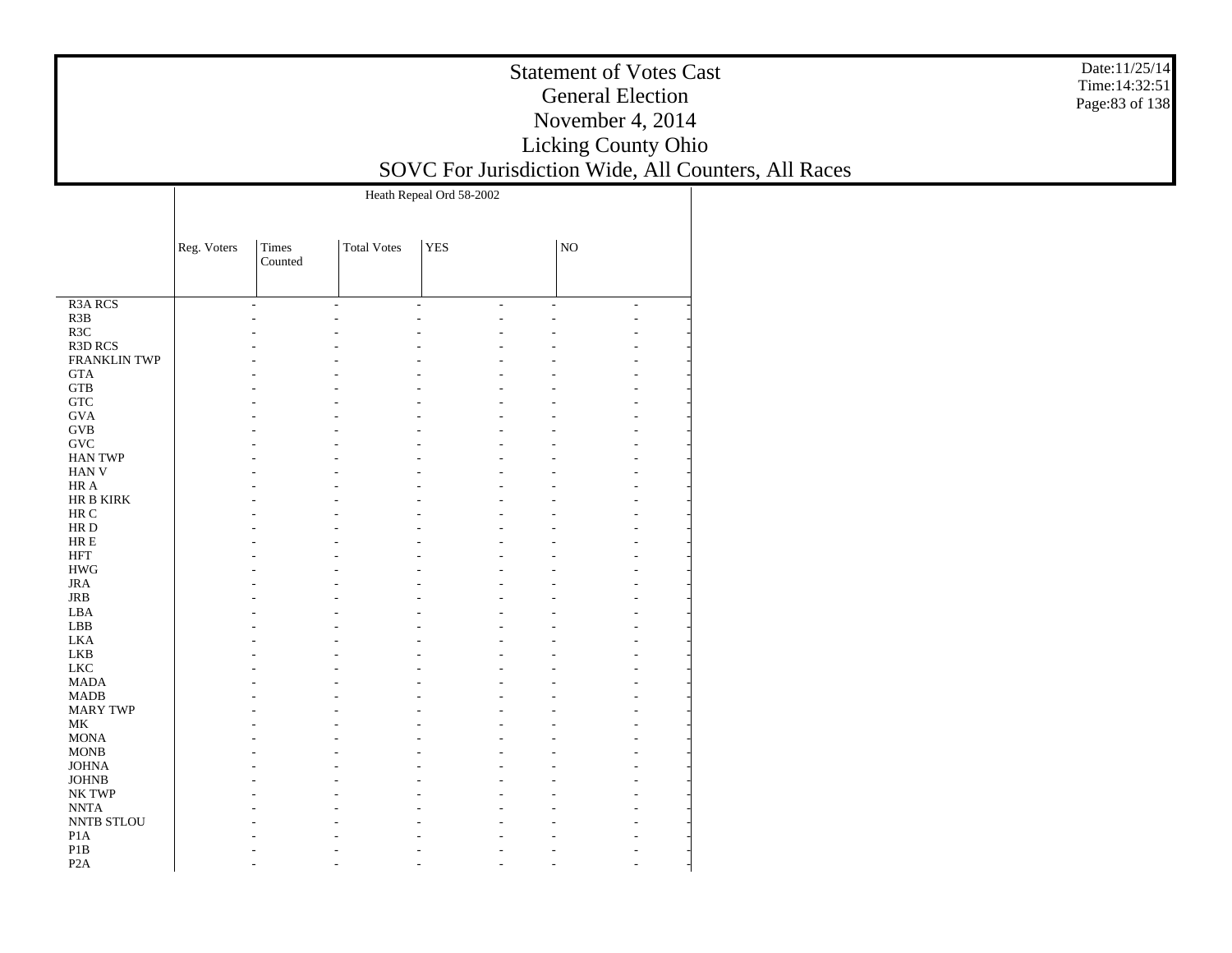|                      |             |                  |                    | Heath Repeal Ord 58-2002 |                          |                          |                |  |
|----------------------|-------------|------------------|--------------------|--------------------------|--------------------------|--------------------------|----------------|--|
|                      | Reg. Voters | Times<br>Counted | <b>Total Votes</b> | <b>YES</b>               |                          | NO                       |                |  |
| <b>R3A RCS</b>       |             | ÷.               | $\overline{a}$     | ÷                        | $\overline{\phantom{a}}$ | $\overline{\phantom{a}}$ | $\blacksquare$ |  |
| R3B                  |             |                  |                    |                          |                          |                          |                |  |
| R3C                  |             |                  |                    |                          |                          |                          |                |  |
| R3D RCS              |             |                  |                    |                          |                          |                          |                |  |
| FRANKLIN TWP         |             |                  |                    |                          |                          |                          |                |  |
| <b>GTA</b>           |             |                  |                    |                          |                          |                          |                |  |
| <b>GTB</b>           |             |                  |                    |                          |                          |                          |                |  |
| ${\rm GTC}$          |             |                  |                    |                          |                          |                          |                |  |
| <b>GVA</b>           |             |                  |                    |                          |                          |                          |                |  |
| <b>GVB</b>           |             |                  |                    |                          |                          |                          |                |  |
| $\operatorname{GVC}$ |             |                  |                    |                          |                          |                          |                |  |
| <b>HAN TWP</b>       |             |                  |                    |                          |                          |                          |                |  |
| <b>HAN V</b>         |             |                  |                    |                          |                          |                          |                |  |
| HR A                 |             |                  |                    |                          |                          |                          |                |  |
| HR B KIRK            |             |                  |                    |                          |                          |                          |                |  |
| HR C                 |             |                  |                    |                          |                          |                          |                |  |
| HR D                 |             |                  |                    |                          |                          |                          |                |  |
| ${\rm HR} \to$       |             |                  |                    |                          |                          |                          |                |  |
| <b>HFT</b>           |             |                  |                    |                          |                          |                          |                |  |
| <b>HWG</b>           |             |                  |                    |                          |                          |                          |                |  |
| <b>JRA</b>           |             |                  |                    |                          |                          |                          |                |  |
| $_{\rm JRB}$         |             |                  |                    |                          |                          |                          |                |  |
| LBA                  |             |                  |                    |                          |                          |                          |                |  |
| LBB                  |             |                  |                    |                          |                          |                          |                |  |
| <b>LKA</b>           |             |                  |                    |                          |                          |                          |                |  |
| LKB                  |             |                  |                    |                          |                          |                          |                |  |
| ${\rm LKC}$          |             |                  |                    |                          |                          |                          |                |  |
| <b>MADA</b>          |             |                  |                    |                          |                          |                          |                |  |
| <b>MADB</b>          |             |                  |                    |                          |                          |                          |                |  |
| <b>MARY TWP</b>      |             |                  |                    |                          |                          |                          |                |  |
| MK                   |             |                  |                    |                          |                          |                          |                |  |
| <b>MONA</b>          |             |                  |                    |                          |                          |                          |                |  |
| <b>MONB</b>          |             |                  |                    |                          |                          |                          |                |  |
| <b>JOHNA</b>         |             |                  |                    |                          |                          |                          |                |  |
| <b>JOHNB</b>         |             |                  |                    |                          |                          |                          |                |  |
| <b>NKTWP</b>         |             |                  |                    |                          |                          |                          |                |  |
| <b>NNTA</b>          |             |                  |                    |                          |                          |                          |                |  |
| NNTB STLOU           |             |                  |                    |                          |                          |                          |                |  |
| P <sub>1</sub> A     |             |                  |                    |                          |                          |                          |                |  |
| P1B                  |             |                  |                    |                          |                          |                          |                |  |
| P <sub>2</sub> A     |             |                  |                    |                          |                          |                          |                |  |

Date:11/25/14 Time:14:32:51 Page:83 of 138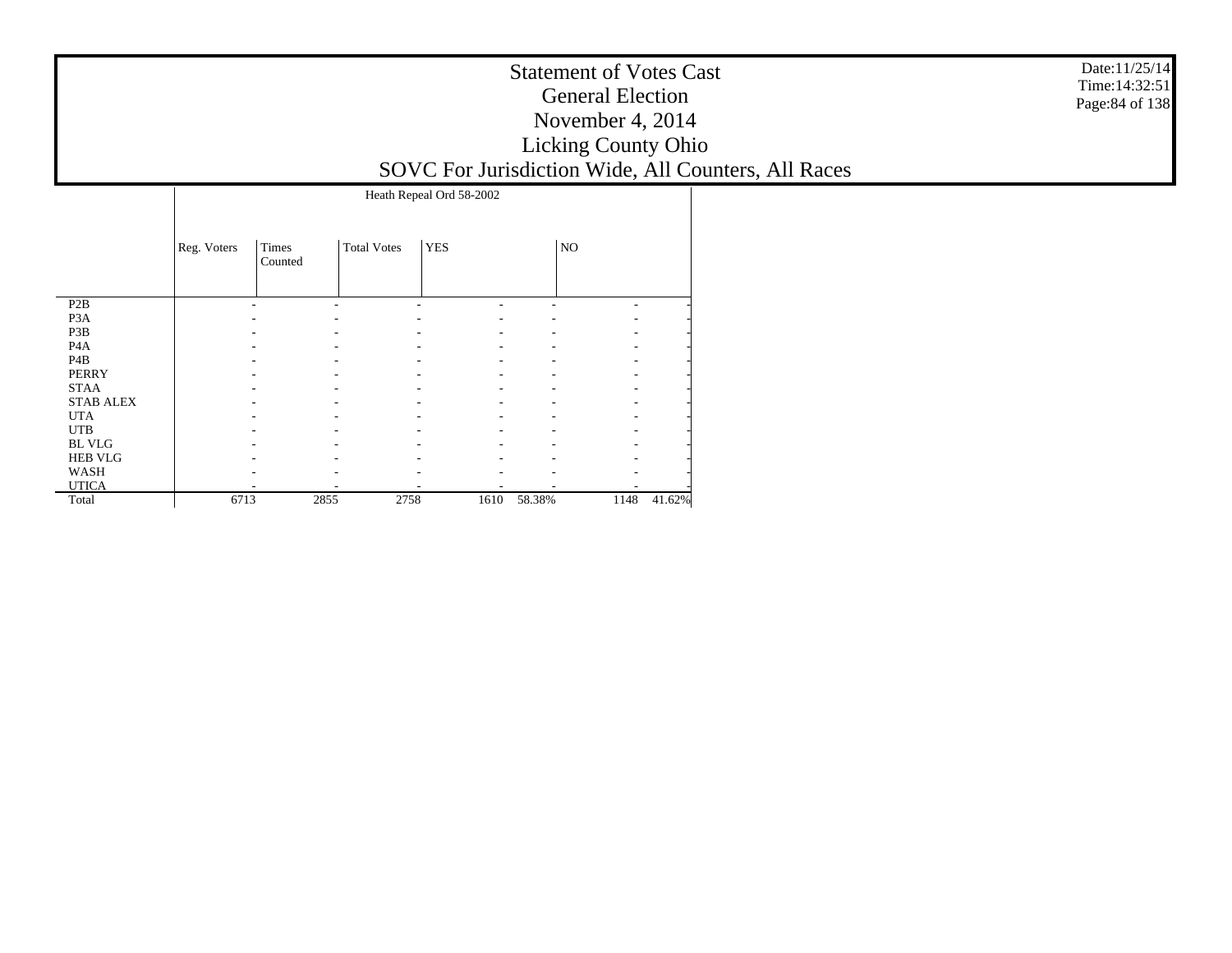|                  |             |                  |                    | Heath Repeal Ord 58-2002 |        |      |        |
|------------------|-------------|------------------|--------------------|--------------------------|--------|------|--------|
|                  | Reg. Voters | Times<br>Counted | <b>Total Votes</b> | <b>YES</b>               |        | NO   |        |
| P <sub>2</sub> B |             |                  |                    |                          |        |      |        |
| P <sub>3</sub> A |             |                  |                    |                          |        |      |        |
| P3B              |             |                  |                    |                          |        |      |        |
| P <sub>4</sub> A |             |                  |                    |                          |        |      |        |
| P <sub>4</sub> B |             |                  |                    |                          |        |      |        |
| <b>PERRY</b>     |             |                  |                    |                          |        |      |        |
| <b>STAA</b>      |             |                  |                    |                          |        |      |        |
| <b>STAB ALEX</b> |             |                  |                    |                          |        |      |        |
| <b>UTA</b>       |             |                  |                    |                          |        |      |        |
| <b>UTB</b>       |             |                  |                    |                          |        |      |        |
| <b>BL VLG</b>    |             |                  |                    |                          |        |      |        |
| <b>HEB VLG</b>   |             |                  |                    |                          |        |      |        |
| WASH             |             |                  |                    |                          |        |      |        |
| <b>UTICA</b>     |             |                  |                    |                          |        |      |        |
| Total            | 6713        | 2855             | 2758               | 1610                     | 58.38% | 1148 | 41.62% |

Date:11/25/14 Time:14:32:51 Page:84 of 138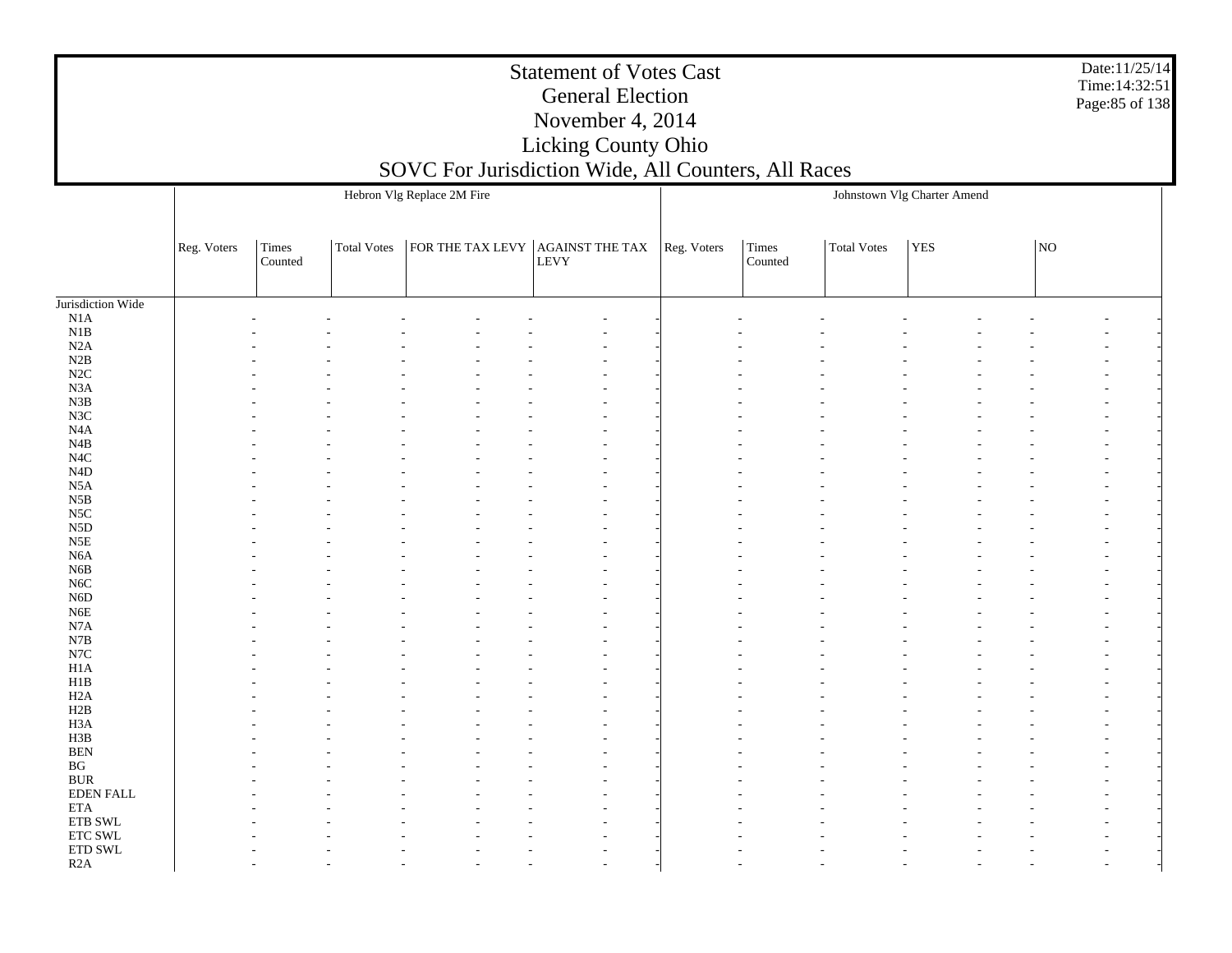| <b>Statement of Votes Cast</b><br><b>General Election</b><br>November 4, $2014$<br><b>Licking County Ohio</b><br>SOVC For Jurisdiction Wide, All Counters, All Races | Date:11/25/14<br>Time: $14:32:51$<br>Page: 85 of 138 |
|----------------------------------------------------------------------------------------------------------------------------------------------------------------------|------------------------------------------------------|
| Hebron Vlg Replace 2M Fire                                                                                                                                           | Johnstown Vlg Charter Amend                          |

|                        | Reg. Voters | Times<br>Counted | Total Votes | $\begin{tabular}{ c c } \hline \text{FOR THE TAX LEVY} & \text{AGAINST THE TAX} \\ \hline & \text{LEVY} \end{tabular}$ | Reg. Voters | Times<br>Counted | <b>Total Votes</b> | YES | NO |
|------------------------|-------------|------------------|-------------|------------------------------------------------------------------------------------------------------------------------|-------------|------------------|--------------------|-----|----|
| Jurisdiction Wide      |             |                  |             |                                                                                                                        |             |                  |                    |     |    |
| N1A                    |             |                  |             |                                                                                                                        |             |                  |                    |     |    |
| $\rm N1B$              |             |                  |             |                                                                                                                        |             |                  |                    |     |    |
| N2A                    |             |                  |             |                                                                                                                        |             |                  |                    |     |    |
| $\rm N2B$              |             |                  |             |                                                                                                                        |             |                  |                    |     |    |
| $\rm N2C$              |             |                  |             |                                                                                                                        |             |                  |                    |     |    |
| N3A                    |             |                  |             |                                                                                                                        |             |                  |                    |     |    |
| ${\bf N3B}$            |             |                  |             |                                                                                                                        |             |                  |                    |     |    |
| $_{\rm N3C}$           |             |                  |             |                                                                                                                        |             |                  |                    |     |    |
| $_{\mathrm{N4A}}$      |             |                  |             |                                                                                                                        |             |                  |                    |     |    |
| $\rm N4B$              |             |                  |             |                                                                                                                        |             |                  |                    |     |    |
| $_{\mathrm{N4C}}$      |             |                  |             |                                                                                                                        |             |                  |                    |     |    |
| ${\rm N4D}$            |             |                  |             |                                                                                                                        |             |                  |                    |     |    |
| N5A                    |             |                  |             |                                                                                                                        |             |                  |                    |     |    |
| $_{\rm N5B}$           |             |                  |             |                                                                                                                        |             |                  |                    |     |    |
| $_{\rm NSC}$           |             |                  |             |                                                                                                                        |             |                  |                    |     |    |
| ${\rm N5D}$            |             |                  |             |                                                                                                                        |             |                  |                    |     |    |
| $_{\rm N5E}$           |             |                  |             |                                                                                                                        |             |                  |                    |     |    |
| N6A                    |             |                  |             |                                                                                                                        |             |                  |                    |     |    |
| $_{\rm N6B}$           |             |                  |             |                                                                                                                        |             |                  |                    |     |    |
| $_{\mathrm{N6C}}$      |             |                  |             |                                                                                                                        |             |                  |                    |     |    |
| ${\rm N6D}$            |             |                  |             |                                                                                                                        |             |                  |                    |     |    |
| ${\rm N6E}$            |             |                  |             |                                                                                                                        |             |                  |                    |     |    |
| $_{\rm N7A}$           |             |                  |             |                                                                                                                        |             |                  |                    |     |    |
| $_{\rm N7B}$           |             |                  |             |                                                                                                                        |             |                  |                    |     |    |
| $_{\mathrm{N7C}}$      |             |                  |             |                                                                                                                        |             |                  |                    |     |    |
| H1A                    |             |                  |             |                                                                                                                        |             |                  |                    |     |    |
| H1B                    |             |                  |             |                                                                                                                        |             |                  |                    |     |    |
| H2A                    |             |                  |             |                                                                                                                        |             |                  |                    |     |    |
| H2B                    |             |                  |             |                                                                                                                        |             |                  |                    |     |    |
| H3A                    |             |                  |             |                                                                                                                        |             |                  |                    |     |    |
| $_{\rm H3B}$           |             |                  |             |                                                                                                                        |             |                  |                    |     |    |
| $\operatorname{BEN}$   |             |                  |             |                                                                                                                        |             |                  |                    |     |    |
| $\mathbf{B}\mathbf{G}$ |             |                  |             |                                                                                                                        |             |                  |                    |     |    |
| $\rm BUR$              |             |                  |             |                                                                                                                        |             |                  |                    |     |    |
| EDEN FALL              |             |                  |             |                                                                                                                        |             |                  |                    |     |    |
| $\rm ETA$              |             |                  |             |                                                                                                                        |             |                  |                    |     |    |
| ${\rm ETB}$ SWL        |             |                  |             |                                                                                                                        |             |                  |                    |     |    |
| $\rm ETC$ SWL          |             |                  |             |                                                                                                                        |             |                  |                    |     |    |
| $\rm ETD$ SWL          |             |                  |             |                                                                                                                        |             |                  |                    |     |    |
| R2A                    |             |                  |             |                                                                                                                        |             |                  |                    |     |    |
|                        |             |                  |             |                                                                                                                        |             |                  |                    |     |    |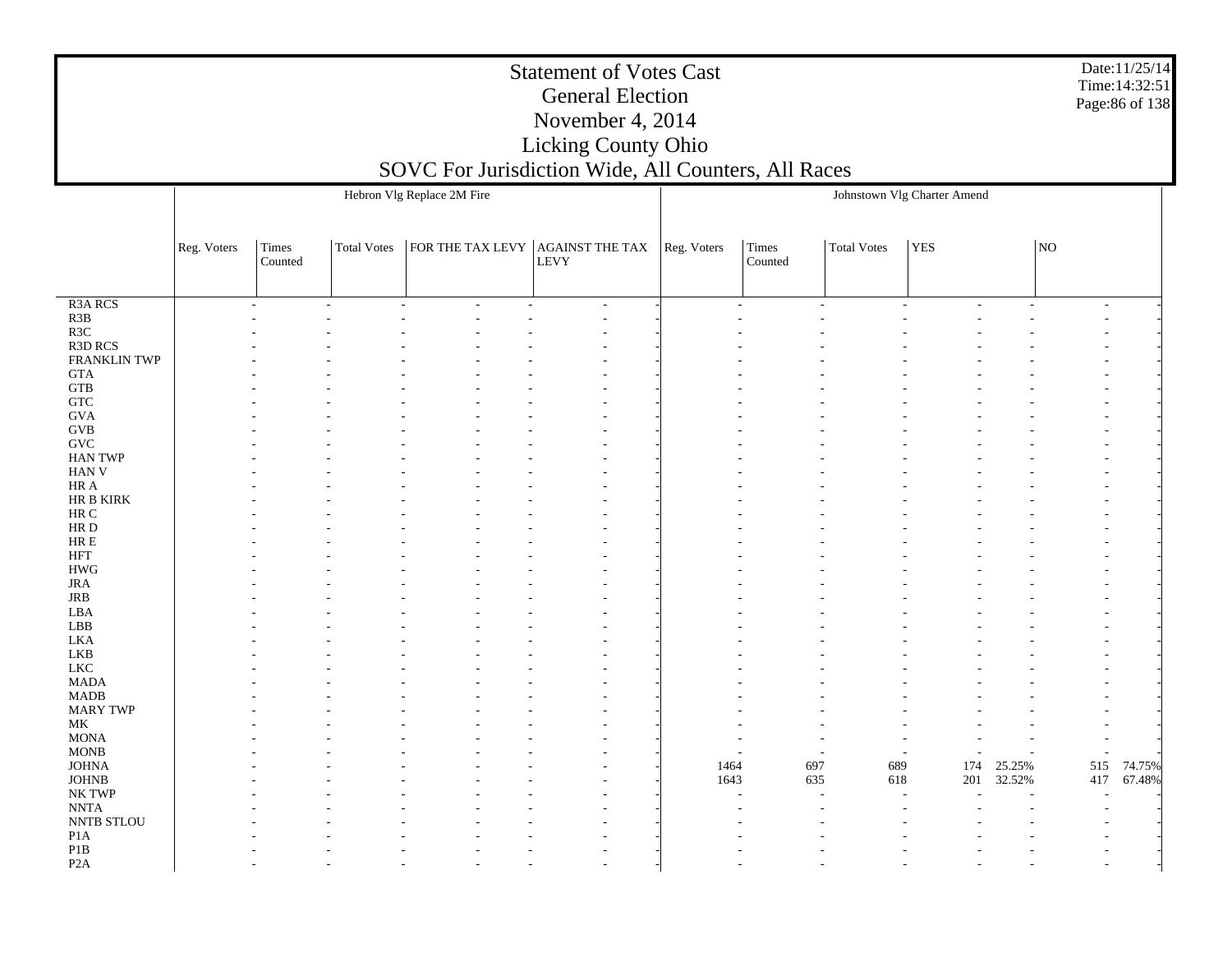|                                                         |             |                  |             |                                  | SOVC FOR JUITSCHILLED WICE, All Counters, All Races |                             |                  |                    |                                  |        |     |        |
|---------------------------------------------------------|-------------|------------------|-------------|----------------------------------|-----------------------------------------------------|-----------------------------|------------------|--------------------|----------------------------------|--------|-----|--------|
|                                                         |             |                  |             | Hebron Vlg Replace 2M Fire       |                                                     | Johnstown Vlg Charter Amend |                  |                    |                                  |        |     |        |
|                                                         |             |                  |             |                                  |                                                     |                             |                  |                    |                                  |        |     |        |
|                                                         | Reg. Voters | Times<br>Counted | Total Votes | FOR THE TAX LEVY AGAINST THE TAX | LEVY                                                | Reg. Voters                 | Times<br>Counted | <b>Total Votes</b> | YES                              | NO     |     |        |
|                                                         |             |                  |             |                                  |                                                     |                             |                  |                    |                                  |        |     |        |
| R <sub>3</sub> A RCS                                    |             | $\sim$           | $\sim$      | $\overline{a}$<br>÷              | $\sim$                                              |                             | ÷                | $\sim$             | $\overline{a}$<br>$\overline{a}$ |        | ÷   |        |
| $\begin{array}{c} \text{R3B} \\ \text{R3C} \end{array}$ |             |                  |             |                                  |                                                     |                             |                  |                    |                                  |        |     |        |
|                                                         |             |                  |             |                                  |                                                     |                             |                  |                    |                                  |        |     |        |
| R3D RCS                                                 |             |                  |             |                                  |                                                     |                             |                  |                    |                                  |        |     |        |
| FRANKLIN TWP                                            |             |                  |             |                                  |                                                     |                             |                  |                    |                                  |        |     |        |
| $\operatorname{GTA}$                                    |             |                  |             |                                  |                                                     |                             |                  |                    |                                  |        |     |        |
| ${\rm GTB}$                                             |             |                  |             |                                  |                                                     |                             |                  |                    |                                  |        |     |        |
| ${\rm GTC}$                                             |             |                  |             |                                  |                                                     |                             |                  |                    |                                  |        |     |        |
| $\rm GVA$                                               |             |                  |             |                                  |                                                     |                             |                  |                    |                                  |        |     |        |
| $\rm GVB$                                               |             |                  |             |                                  |                                                     |                             |                  |                    |                                  |        |     |        |
| $\operatorname{GVC}$                                    |             |                  |             |                                  |                                                     |                             |                  |                    |                                  |        |     |        |
| HAN TWP                                                 |             |                  |             |                                  |                                                     |                             |                  |                    |                                  |        |     |        |
| HAN V<br>HR A                                           |             |                  |             |                                  |                                                     |                             |                  |                    |                                  |        |     |        |
| ${\rm HR}$ B ${\rm KIRK}$                               |             |                  |             |                                  |                                                     |                             |                  |                    |                                  |        |     |        |
| $\rm{HR}$ C                                             |             |                  |             |                                  |                                                     |                             |                  |                    |                                  |        |     |        |
| $\rm HR$ D                                              |             |                  |             |                                  |                                                     |                             |                  |                    |                                  |        |     |        |
| ${\rm HR} \to$                                          |             |                  |             |                                  |                                                     |                             |                  |                    |                                  |        |     |        |
| $\operatorname{HFT}$                                    |             |                  |             |                                  |                                                     |                             |                  |                    |                                  |        |     |        |
| $\mathbf{H}\mathbf{W}\mathbf{G}$                        |             |                  |             |                                  |                                                     |                             |                  |                    |                                  |        |     |        |
| <b>JRA</b>                                              |             |                  |             |                                  |                                                     |                             |                  |                    |                                  |        |     |        |
| $_{\rm JRB}$                                            |             |                  |             |                                  |                                                     |                             |                  |                    |                                  |        |     |        |
| LBA                                                     |             |                  |             |                                  |                                                     |                             |                  |                    |                                  |        |     |        |
| ${\rm LBB}$                                             |             |                  |             |                                  |                                                     |                             |                  |                    |                                  |        |     |        |
| LKA                                                     |             |                  |             |                                  |                                                     |                             |                  |                    |                                  |        |     |        |
| LKB                                                     |             |                  |             |                                  |                                                     |                             |                  |                    |                                  |        |     |        |
| ${\rm LKC}$                                             |             |                  |             |                                  |                                                     |                             |                  |                    |                                  |        |     |        |
| $\ensuremath{\mathsf{MADA}}$                            |             |                  |             |                                  |                                                     |                             |                  |                    |                                  |        |     |        |
| $\mbox{MADB}$                                           |             |                  |             |                                  |                                                     |                             |                  |                    |                                  |        |     |        |
| <b>MARY TWP</b>                                         |             |                  |             |                                  |                                                     |                             |                  |                    |                                  |        |     |        |
| MK                                                      |             |                  |             |                                  |                                                     |                             |                  |                    |                                  |        |     |        |
| $\operatorname{MONA}$                                   |             |                  |             |                                  |                                                     |                             |                  |                    |                                  |        |     |        |
| $\rm{MONB}$                                             |             |                  |             |                                  |                                                     |                             |                  |                    |                                  |        |     |        |
| $\mathop{\rm JOHNA}\nolimits$                           |             |                  |             |                                  |                                                     | 1464                        | 697              | 689                | 174                              | 25.25% | 515 | 74.75% |
| $_{\rm JOHNB}$                                          |             |                  |             |                                  |                                                     | 1643                        | 635              | 618                | 201                              | 32.52% | 417 | 67.48% |
| NK TWP                                                  |             |                  |             |                                  |                                                     |                             |                  |                    |                                  |        |     |        |
| $\ensuremath{\text{NNTA}}$                              |             |                  |             |                                  |                                                     |                             |                  |                    |                                  |        |     |        |
| NNTB STLOU                                              |             |                  |             |                                  |                                                     |                             |                  |                    |                                  |        |     |        |
| P1A                                                     |             |                  |             |                                  |                                                     |                             |                  |                    |                                  |        |     |        |
| $\rm P1B$                                               |             |                  |             |                                  |                                                     |                             |                  |                    |                                  |        |     |        |
| P <sub>2</sub> A                                        |             |                  |             |                                  |                                                     |                             |                  |                    |                                  |        |     |        |

Date:11/25/14 Time:14:32:51 Page:86 of 138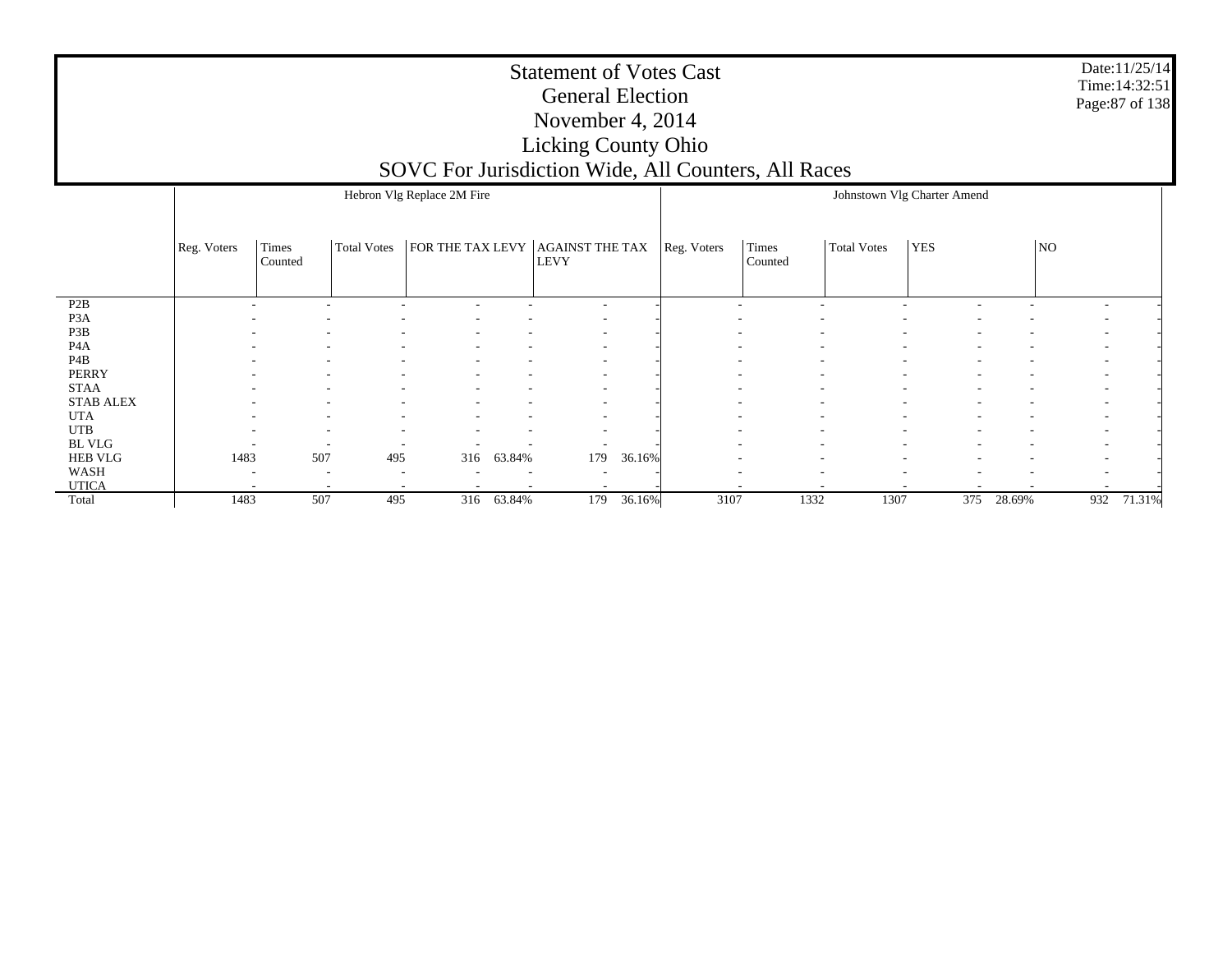|                         |             |                  |                          | SUVU PUI JULISULUULUU WILLE, ALI COULILEIS, ALI NACES |            |                                                 |        |                             |                  |                    |             |        |     |        |
|-------------------------|-------------|------------------|--------------------------|-------------------------------------------------------|------------|-------------------------------------------------|--------|-----------------------------|------------------|--------------------|-------------|--------|-----|--------|
|                         |             |                  |                          | Hebron Vlg Replace 2M Fire                            |            |                                                 |        | Johnstown Vlg Charter Amend |                  |                    |             |        |     |        |
|                         | Reg. Voters | Times<br>Counted | <b>Total Votes</b>       |                                                       |            | FOR THE TAX LEVY AGAINST THE TAX<br><b>LEVY</b> |        | Reg. Voters                 | Times<br>Counted | <b>Total Votes</b> | <b>YES</b>  |        | NO  |        |
| P2B                     |             |                  |                          |                                                       |            |                                                 |        |                             |                  |                    |             |        |     |        |
| P <sub>3</sub> A        |             |                  |                          |                                                       |            |                                                 |        |                             |                  |                    |             |        |     |        |
| P3B<br>P <sub>4</sub> A |             |                  |                          | $\sim$                                                |            |                                                 |        |                             |                  |                    | <b>.</b>    |        |     |        |
| P4B                     |             |                  |                          |                                                       |            |                                                 |        |                             |                  |                    |             |        |     |        |
| <b>PERRY</b>            |             |                  |                          |                                                       |            |                                                 |        |                             |                  |                    |             |        |     |        |
| <b>STAA</b>             |             |                  |                          |                                                       |            |                                                 |        |                             |                  |                    |             |        |     |        |
| <b>STAB ALEX</b>        |             |                  |                          |                                                       |            | $\sim$                                          |        |                             |                  |                    | $\sim$      |        |     |        |
| <b>UTA</b>              |             |                  | $\overline{\phantom{a}}$ | $\sim$<br>۰                                           |            | $\overline{\phantom{a}}$                        |        |                             |                  |                    | $\sim$      |        |     |        |
| <b>UTB</b>              |             |                  | $\sim$                   | $\overline{\phantom{a}}$                              |            | $\sim$                                          |        |                             |                  |                    | $\sim$      |        |     |        |
| <b>BL VLG</b>           |             |                  | $\overline{\phantom{a}}$ | $\sim$<br>۰                                           |            |                                                 |        |                             |                  |                    | $\sim$<br>٠ |        |     |        |
| <b>HEB VLG</b>          | 1483        | 507              | 495                      | 316                                                   | 63.84%     | 179                                             | 36.16% |                             |                  |                    |             |        |     |        |
| WASH                    |             |                  |                          |                                                       |            |                                                 |        |                             |                  |                    |             |        |     |        |
| <b>UTICA</b>            |             |                  |                          |                                                       |            |                                                 |        |                             |                  |                    |             |        |     |        |
| Total                   | 1483        | 507              | 495                      |                                                       | 316 63.84% | 179                                             | 36.16% | 3107                        | 1332             | 1307               | 375         | 28.69% | 932 | 71.31% |

Date:11/25/14 Time:14:32:51Page:87 of 138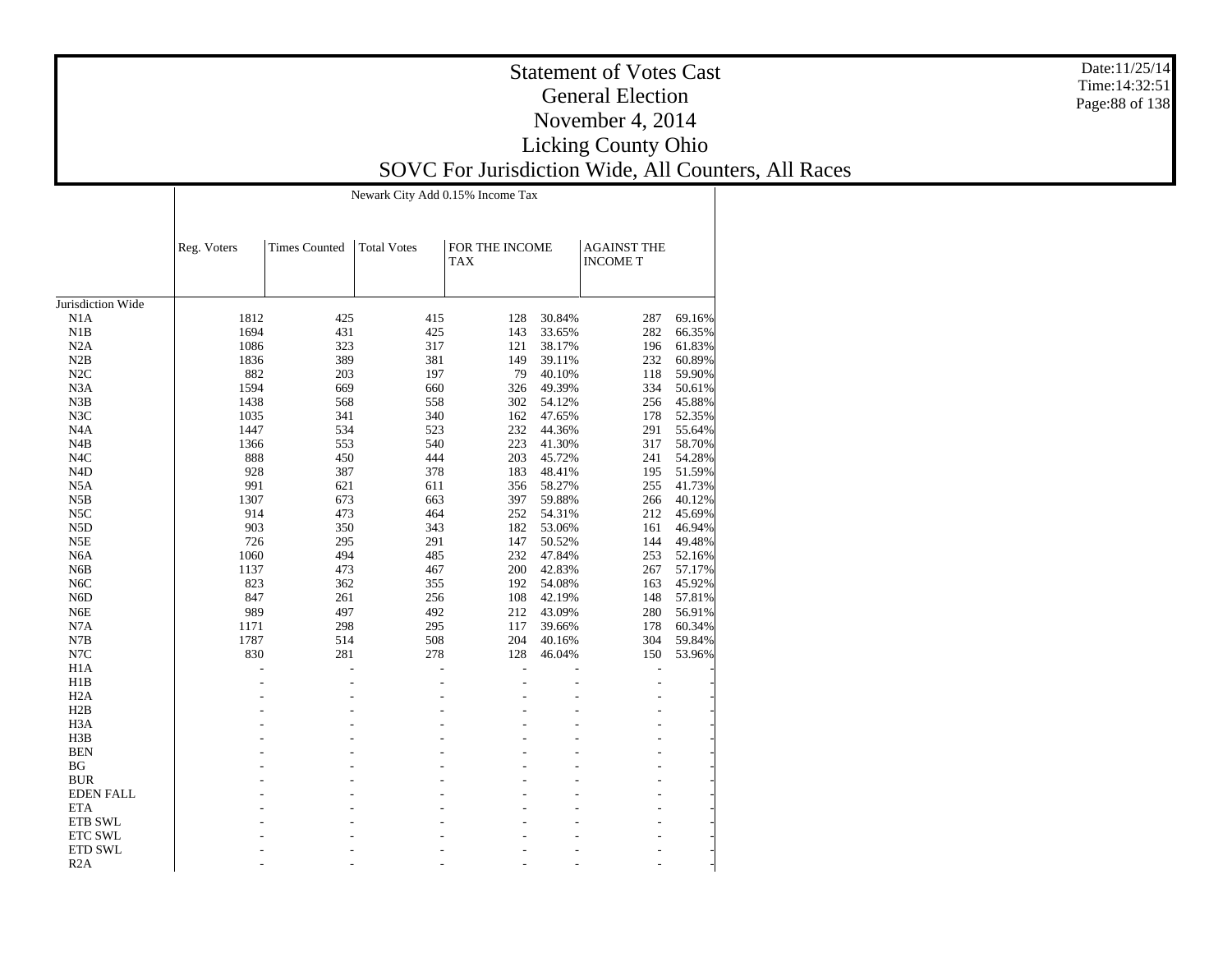|                   |             |                      | Newark City Add 0.15% Income Tax |                |        |                    |        |
|-------------------|-------------|----------------------|----------------------------------|----------------|--------|--------------------|--------|
|                   | Reg. Voters | <b>Times Counted</b> | <b>Total Votes</b>               | FOR THE INCOME |        | <b>AGAINST THE</b> |        |
|                   |             |                      |                                  | <b>TAX</b>     |        | <b>INCOME T</b>    |        |
| Jurisdiction Wide |             |                      |                                  |                |        |                    |        |
| N1A               | 1812        | 425                  | 415                              | 128            | 30.84% | 287                | 69.16% |
| N1B               | 1694        | 431                  | 425                              | 143            | 33.65% | 282                | 66.35% |
| N2A               | 1086        | 323                  | 317                              | 121            | 38.17% | 196                | 61.83% |
| N2B               | 1836        | 389                  | 381                              | 149            | 39.11% | 232                | 60.89% |
| N2C               | 882         | 203                  | 197                              | 79             | 40.10% | 118                | 59.90% |
| N <sub>3</sub> A  | 1594        | 669                  | 660                              | 326            | 49.39% | 334                | 50.61% |
| N3B               | 1438        | 568                  | 558                              | 302            | 54.12% | 256                | 45.88% |
| N3C               | 1035        | 341                  | 340                              | 162            | 47.65% | 178                | 52.35% |
| N <sub>4</sub> A  | 1447        | 534                  | 523                              | 232            | 44.36% | 291                | 55.64% |
| N4B               | 1366        | 553                  | 540                              | 223            | 41.30% | 317                | 58.70% |
| N <sub>4</sub> C  | 888         | 450                  | 444                              | 203            | 45.72% | 241                | 54.28% |
| N <sub>4</sub> D  | 928         | 387                  | 378                              | 183            | 48.41% | 195                | 51.59% |
| N <sub>5</sub> A  | 991         | 621                  | 611                              | 356            | 58.27% | 255                | 41.73% |
| N5B               | 1307        | 673                  | 663                              | 397            | 59.88% |                    |        |
|                   | 914         | 473                  | 464                              |                |        | 266                | 40.12% |
| N <sub>5</sub> C  |             |                      |                                  | 252            | 54.31% | 212                | 45.69% |
| N <sub>5</sub> D  | 903         | 350                  | 343                              | 182            | 53.06% | 161                | 46.94% |
| N5E               | 726         | 295                  | 291                              | 147            | 50.52% | 144                | 49.48% |
| N <sub>6</sub> A  | 1060        | 494                  | 485                              | 232            | 47.84% | 253                | 52.16% |
| N6B               | 1137        | 473                  | 467                              | 200            | 42.83% | 267                | 57.17% |
| N <sub>6</sub> C  | 823         | 362                  | 355                              | 192            | 54.08% | 163                | 45.92% |
| N <sub>6</sub> D  | 847         | 261                  | 256                              | 108            | 42.19% | 148                | 57.81% |
| N <sub>6</sub> E  | 989         | 497                  | 492                              | 212            | 43.09% | 280                | 56.91% |
| N7A               | 1171        | 298                  | 295                              | 117            | 39.66% | 178                | 60.34% |
| N7B               | 1787        | 514                  | 508                              | 204            | 40.16% | 304                | 59.84% |
| N7C               | 830         | 281                  | 278                              | 128            | 46.04% | 150                | 53.96% |
| H1A               |             |                      |                                  |                |        | $\overline{a}$     |        |
| H1B               |             |                      |                                  |                |        |                    |        |
| H2A               |             |                      |                                  |                |        |                    |        |
| H2B               |             |                      |                                  |                |        |                    |        |
| H <sub>3</sub> A  |             |                      |                                  |                |        |                    |        |
| H3B               |             |                      |                                  |                |        |                    |        |
| <b>BEN</b>        |             |                      |                                  |                |        |                    |        |
| ΒG                |             |                      |                                  |                |        |                    |        |
| <b>BUR</b>        |             |                      |                                  |                |        |                    |        |
| <b>EDEN FALL</b>  |             |                      |                                  |                |        |                    |        |
| <b>ETA</b>        |             |                      |                                  |                |        |                    |        |
| <b>ETB SWL</b>    |             |                      |                                  |                |        |                    |        |
| ETC SWL           |             |                      |                                  |                |        |                    |        |
| ETD SWL           |             |                      |                                  |                |        |                    |        |
| R2A               |             |                      |                                  |                |        |                    |        |

Date:11/25/14 Time:14:32:51Page:88 of 138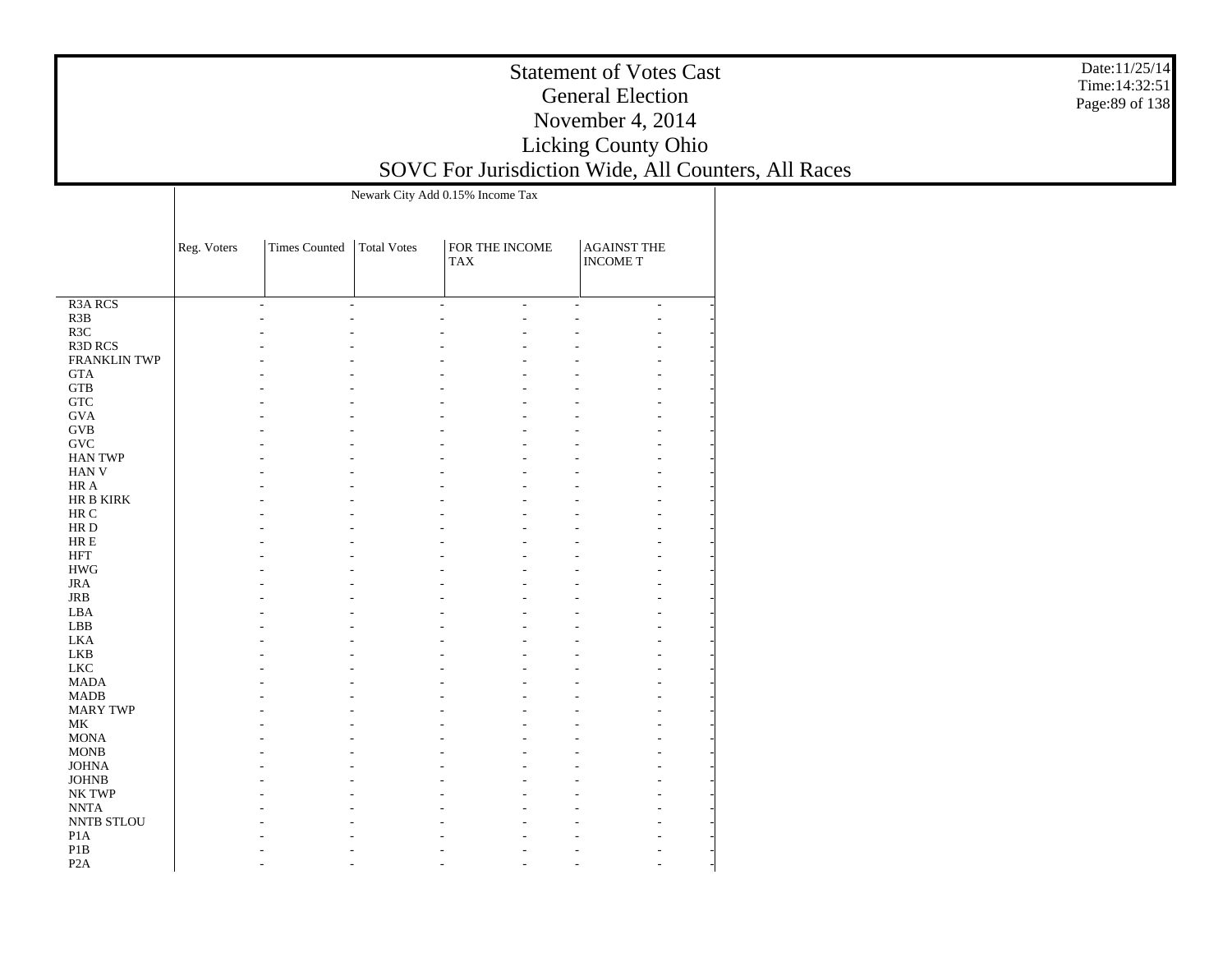|                                                | Newark City Add 0.15% Income Tax |                      |                                 |                |                    |  |  |  |  |  |  |  |
|------------------------------------------------|----------------------------------|----------------------|---------------------------------|----------------|--------------------|--|--|--|--|--|--|--|
|                                                |                                  |                      |                                 |                |                    |  |  |  |  |  |  |  |
|                                                |                                  |                      |                                 |                |                    |  |  |  |  |  |  |  |
|                                                | Reg. Voters                      | <b>Times Counted</b> | <b>Total Votes</b>              | FOR THE INCOME | <b>AGAINST THE</b> |  |  |  |  |  |  |  |
|                                                |                                  |                      |                                 | <b>TAX</b>     | <b>INCOME T</b>    |  |  |  |  |  |  |  |
|                                                |                                  |                      |                                 |                |                    |  |  |  |  |  |  |  |
| R <sub>3</sub> A RCS                           | L.                               |                      | $\overline{a}$<br>$\frac{1}{2}$ | $\overline{a}$ | $\overline{a}$     |  |  |  |  |  |  |  |
| R <sub>3</sub> B                               |                                  |                      |                                 |                |                    |  |  |  |  |  |  |  |
| R <sub>3</sub> C                               |                                  |                      |                                 |                |                    |  |  |  |  |  |  |  |
| <b>R3D RCS</b>                                 |                                  |                      |                                 |                |                    |  |  |  |  |  |  |  |
| FRANKLIN TWP                                   |                                  |                      |                                 |                |                    |  |  |  |  |  |  |  |
| <b>GTA</b>                                     |                                  |                      |                                 |                |                    |  |  |  |  |  |  |  |
| ${\rm GTB}$                                    |                                  |                      |                                 |                |                    |  |  |  |  |  |  |  |
| <b>GTC</b>                                     |                                  |                      |                                 |                |                    |  |  |  |  |  |  |  |
| <b>GVA</b>                                     |                                  |                      |                                 |                |                    |  |  |  |  |  |  |  |
| <b>GVB</b>                                     |                                  |                      |                                 |                |                    |  |  |  |  |  |  |  |
| <b>GVC</b>                                     |                                  |                      |                                 |                |                    |  |  |  |  |  |  |  |
| <b>HAN TWP</b>                                 |                                  |                      |                                 |                |                    |  |  |  |  |  |  |  |
| <b>HAN V</b>                                   |                                  |                      |                                 |                |                    |  |  |  |  |  |  |  |
| HR A                                           |                                  |                      |                                 |                |                    |  |  |  |  |  |  |  |
| HR B KIRK                                      |                                  |                      |                                 |                |                    |  |  |  |  |  |  |  |
| $\rm{HR}$ C                                    |                                  |                      |                                 |                |                    |  |  |  |  |  |  |  |
| HR D                                           |                                  |                      |                                 |                |                    |  |  |  |  |  |  |  |
| $\rm HR\,E$                                    |                                  |                      |                                 |                |                    |  |  |  |  |  |  |  |
| <b>HFT</b>                                     |                                  |                      |                                 |                |                    |  |  |  |  |  |  |  |
| $\mathbf{H}\mathbf{W}\mathbf{G}$<br><b>JRA</b> |                                  |                      |                                 |                |                    |  |  |  |  |  |  |  |
| $_{\rm JRB}$                                   |                                  |                      |                                 |                |                    |  |  |  |  |  |  |  |
| LBA                                            |                                  |                      |                                 |                |                    |  |  |  |  |  |  |  |
| ${\rm LBB}$                                    |                                  |                      |                                 |                |                    |  |  |  |  |  |  |  |
| <b>LKA</b>                                     |                                  |                      |                                 |                |                    |  |  |  |  |  |  |  |
| LKB                                            |                                  |                      |                                 |                |                    |  |  |  |  |  |  |  |
| ${\rm LKC}$                                    |                                  |                      |                                 |                |                    |  |  |  |  |  |  |  |
| <b>MADA</b>                                    |                                  |                      |                                 |                |                    |  |  |  |  |  |  |  |
| <b>MADB</b>                                    |                                  |                      |                                 |                |                    |  |  |  |  |  |  |  |
| <b>MARY TWP</b>                                |                                  |                      |                                 |                |                    |  |  |  |  |  |  |  |
| MK                                             |                                  |                      |                                 |                |                    |  |  |  |  |  |  |  |
| <b>MONA</b>                                    |                                  |                      |                                 |                |                    |  |  |  |  |  |  |  |
| $\rm{MONB}$                                    |                                  |                      |                                 |                |                    |  |  |  |  |  |  |  |
| <b>JOHNA</b>                                   |                                  |                      |                                 |                |                    |  |  |  |  |  |  |  |
| <b>JOHNB</b>                                   |                                  |                      |                                 |                |                    |  |  |  |  |  |  |  |
| NK TWP                                         |                                  |                      |                                 |                |                    |  |  |  |  |  |  |  |
| <b>NNTA</b>                                    |                                  |                      |                                 |                |                    |  |  |  |  |  |  |  |
| <b>NNTB STLOU</b>                              |                                  |                      |                                 |                |                    |  |  |  |  |  |  |  |
| P <sub>1</sub> A                               |                                  |                      |                                 |                |                    |  |  |  |  |  |  |  |
| P <sub>1</sub> B                               |                                  |                      |                                 |                |                    |  |  |  |  |  |  |  |
| P <sub>2</sub> A                               |                                  |                      |                                 |                |                    |  |  |  |  |  |  |  |

Date:11/25/14 Time:14:32:51 Page:89 of 138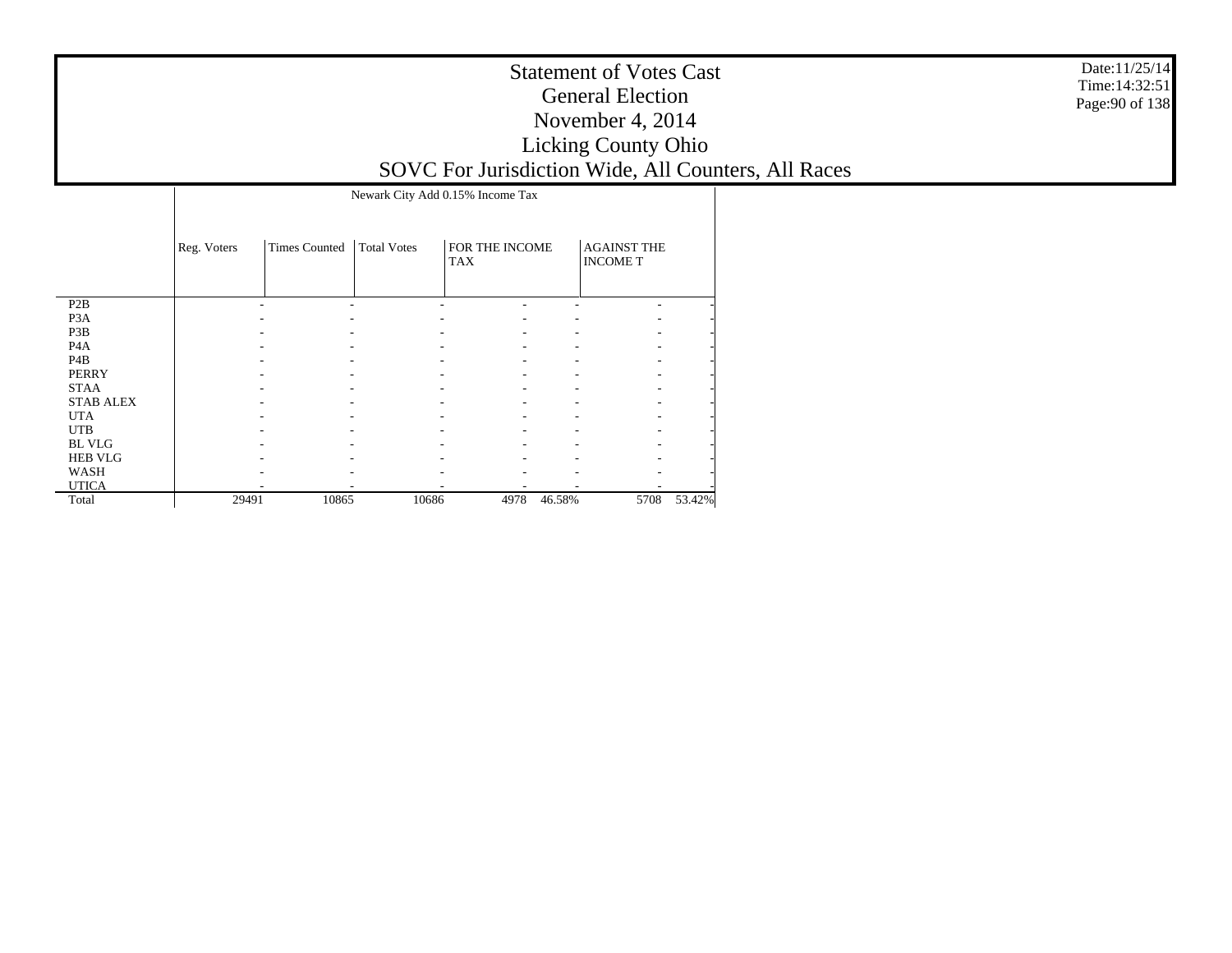|                  |             |                      | Newark City Add 0.15% Income Tax |                              |        |                                       |        |
|------------------|-------------|----------------------|----------------------------------|------------------------------|--------|---------------------------------------|--------|
|                  | Reg. Voters | <b>Times Counted</b> | <b>Total Votes</b>               | FOR THE INCOME<br><b>TAX</b> |        | <b>AGAINST THE</b><br><b>INCOME T</b> |        |
| P <sub>2</sub> B |             |                      |                                  |                              |        |                                       |        |
| P <sub>3</sub> A |             |                      |                                  |                              |        |                                       |        |
| P3B              |             |                      |                                  |                              |        |                                       |        |
| P <sub>4</sub> A |             |                      |                                  |                              |        |                                       |        |
| P <sub>4</sub> B |             |                      |                                  |                              |        |                                       |        |
| <b>PERRY</b>     |             |                      |                                  |                              |        |                                       |        |
| <b>STAA</b>      |             |                      |                                  |                              |        |                                       |        |
| <b>STAB ALEX</b> |             |                      |                                  |                              |        |                                       |        |
| <b>UTA</b>       |             |                      |                                  |                              |        |                                       |        |
| <b>UTB</b>       |             |                      |                                  |                              |        |                                       |        |
| <b>BL VLG</b>    |             |                      |                                  |                              |        |                                       |        |
| <b>HEB VLG</b>   |             |                      |                                  |                              |        |                                       |        |
| WASH             |             |                      |                                  |                              |        |                                       |        |
| <b>UTICA</b>     |             |                      |                                  |                              |        |                                       |        |
| Total            | 29491       | 10865                | 10686                            | 4978                         | 46.58% | 5708                                  | 53.42% |

Date:11/25/14 Time:14:32:51 Page:90 of 138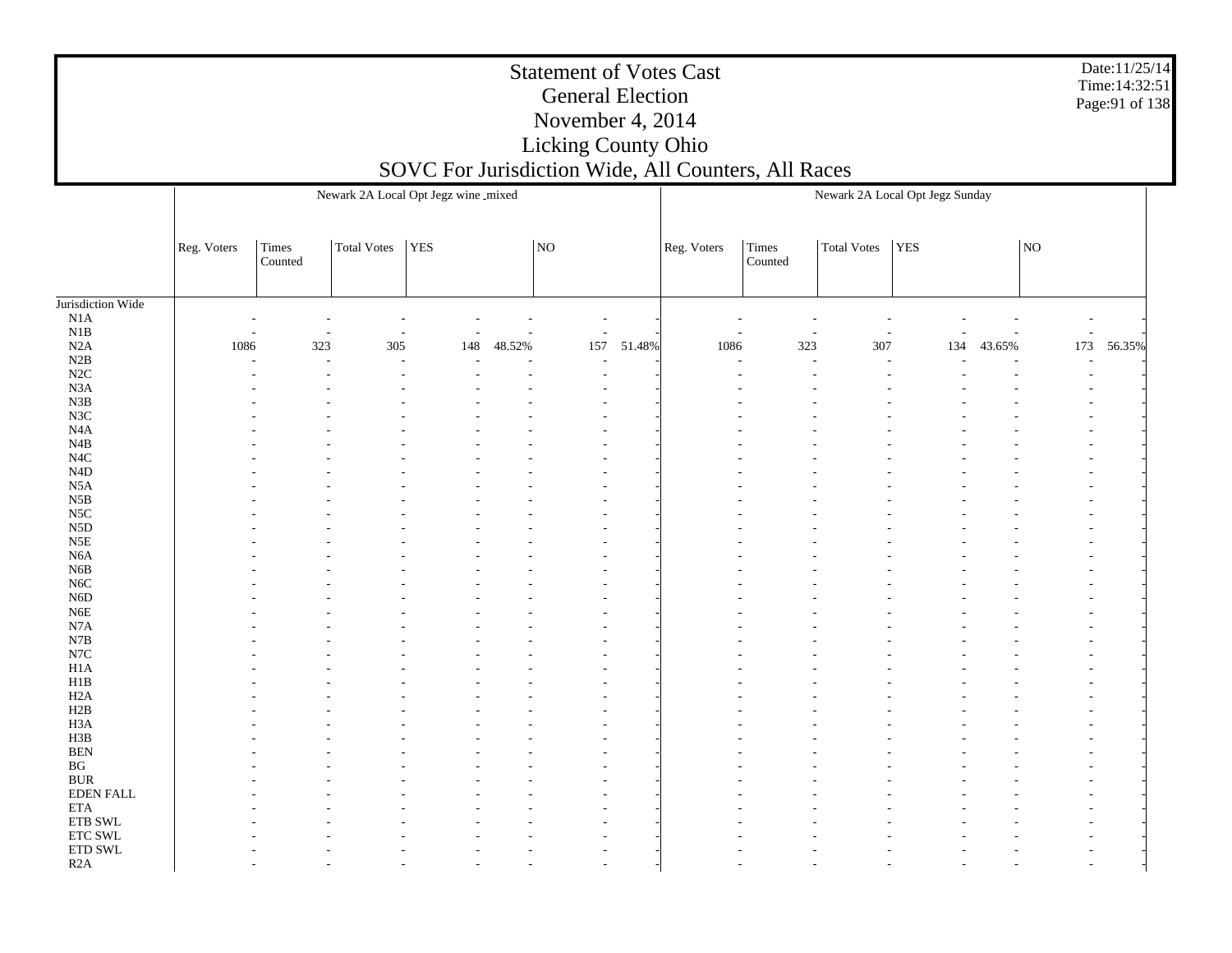| Date: 11/25/14  |
|-----------------|
| Time: 14:32:51  |
| Page: 91 of 138 |

|                        |             |                  |                    | Newark 2A Local Opt Jegz wine_mixed |        |     |        | Newark 2A Local Opt Jegz Sunday |                  |                    |     |        |                |        |
|------------------------|-------------|------------------|--------------------|-------------------------------------|--------|-----|--------|---------------------------------|------------------|--------------------|-----|--------|----------------|--------|
|                        | Reg. Voters | Times<br>Counted | <b>Total Votes</b> | YES                                 |        | NO  |        | Reg. Voters                     | Times<br>Counted | <b>Total Votes</b> | YES |        | NO             |        |
| Jurisdiction Wide      |             |                  |                    |                                     |        |     |        |                                 |                  |                    |     |        |                |        |
| $_{\rm N1A}$           |             | ٠                |                    |                                     |        |     |        |                                 |                  |                    |     |        |                |        |
| N1B                    |             |                  |                    |                                     |        |     |        |                                 |                  |                    |     |        | $\blacksquare$ |        |
| N2A                    | 1086        | 323              | 305                | 148                                 | 48.52% | 157 | 51.48% | 1086                            | 323              | 307                | 134 | 43.65% | 173            | 56.35% |
| N2B                    |             |                  |                    |                                     |        |     |        |                                 |                  |                    |     |        |                |        |
| N2C                    |             |                  |                    |                                     |        |     |        |                                 |                  |                    |     |        | $\overline{a}$ |        |
| N <sub>3</sub> A       |             |                  |                    |                                     |        |     |        |                                 |                  |                    |     |        |                |        |
| N3B                    |             |                  |                    |                                     |        |     |        |                                 |                  |                    |     |        |                |        |
| N <sub>3</sub> C       |             |                  |                    |                                     |        |     |        |                                 |                  |                    |     |        |                |        |
| N4A                    |             |                  |                    |                                     |        |     |        |                                 |                  |                    |     |        |                |        |
| N4B                    |             |                  |                    |                                     |        |     |        |                                 |                  |                    |     |        |                |        |
| N <sub>4</sub> C       |             |                  |                    |                                     |        |     |        |                                 |                  |                    |     |        |                |        |
| N4D                    |             |                  |                    |                                     |        |     |        |                                 |                  |                    |     |        |                |        |
| N5A                    |             |                  |                    |                                     |        |     |        |                                 |                  |                    |     |        |                |        |
| N5B                    |             |                  |                    |                                     |        |     |        |                                 |                  |                    |     |        |                |        |
| N <sub>5</sub> C       |             |                  |                    |                                     |        |     |        |                                 |                  |                    |     |        |                |        |
| N5D                    |             |                  |                    |                                     |        |     |        |                                 |                  |                    |     |        |                |        |
| N5E                    |             |                  |                    |                                     |        |     |        |                                 |                  |                    |     |        |                |        |
| N6A                    |             |                  |                    |                                     |        |     |        |                                 |                  |                    |     |        |                |        |
| N6B                    |             |                  |                    |                                     |        |     |        |                                 |                  |                    |     |        |                |        |
| N <sub>6</sub> C       |             |                  |                    |                                     |        |     |        |                                 |                  |                    |     |        |                |        |
| N <sub>6</sub> D       |             |                  |                    |                                     |        |     |        |                                 |                  |                    |     |        |                |        |
| N6E                    |             |                  |                    |                                     |        |     |        |                                 |                  |                    |     |        |                |        |
| N7A                    |             |                  |                    |                                     |        |     |        |                                 |                  |                    |     |        |                |        |
| N7B                    |             |                  |                    |                                     |        |     |        |                                 |                  |                    |     |        |                |        |
| $_{\rm N7C}$           |             |                  |                    |                                     |        |     |        |                                 |                  |                    |     |        |                |        |
| H <sub>1</sub> A       |             |                  |                    |                                     |        |     |        |                                 |                  |                    |     |        |                |        |
| H1B                    |             |                  |                    |                                     |        |     |        |                                 |                  |                    |     |        |                |        |
| H <sub>2</sub> A       |             |                  |                    |                                     |        |     |        |                                 |                  |                    |     |        |                |        |
| H2B                    |             |                  |                    |                                     |        |     |        |                                 |                  |                    |     |        |                |        |
| H3A                    |             |                  |                    |                                     |        |     |        |                                 |                  |                    |     |        |                |        |
| H <sub>3</sub> B       |             |                  |                    |                                     |        |     |        |                                 |                  |                    |     |        |                |        |
| <b>BEN</b>             |             |                  |                    |                                     |        |     |        |                                 |                  |                    |     |        |                |        |
| $\mathbf{B}\mathbf{G}$ |             |                  |                    |                                     |        |     |        |                                 |                  |                    |     |        |                |        |
| $\rm BUR$              |             |                  |                    |                                     |        |     |        |                                 |                  |                    |     |        |                |        |
| <b>EDEN FALL</b>       |             |                  |                    |                                     |        |     |        |                                 |                  |                    |     |        |                |        |
| <b>ETA</b>             |             |                  |                    |                                     |        |     |        |                                 |                  |                    |     |        |                |        |
| ${\rm ETB}$ SWL        |             |                  |                    |                                     |        |     |        |                                 |                  |                    |     |        |                |        |
| ETC SWL                |             |                  |                    |                                     |        |     |        |                                 |                  |                    |     |        |                |        |
| ETD SWL                |             |                  |                    |                                     |        |     |        |                                 |                  |                    |     |        |                |        |
| R2A                    |             |                  |                    |                                     |        |     |        |                                 |                  |                    |     |        |                |        |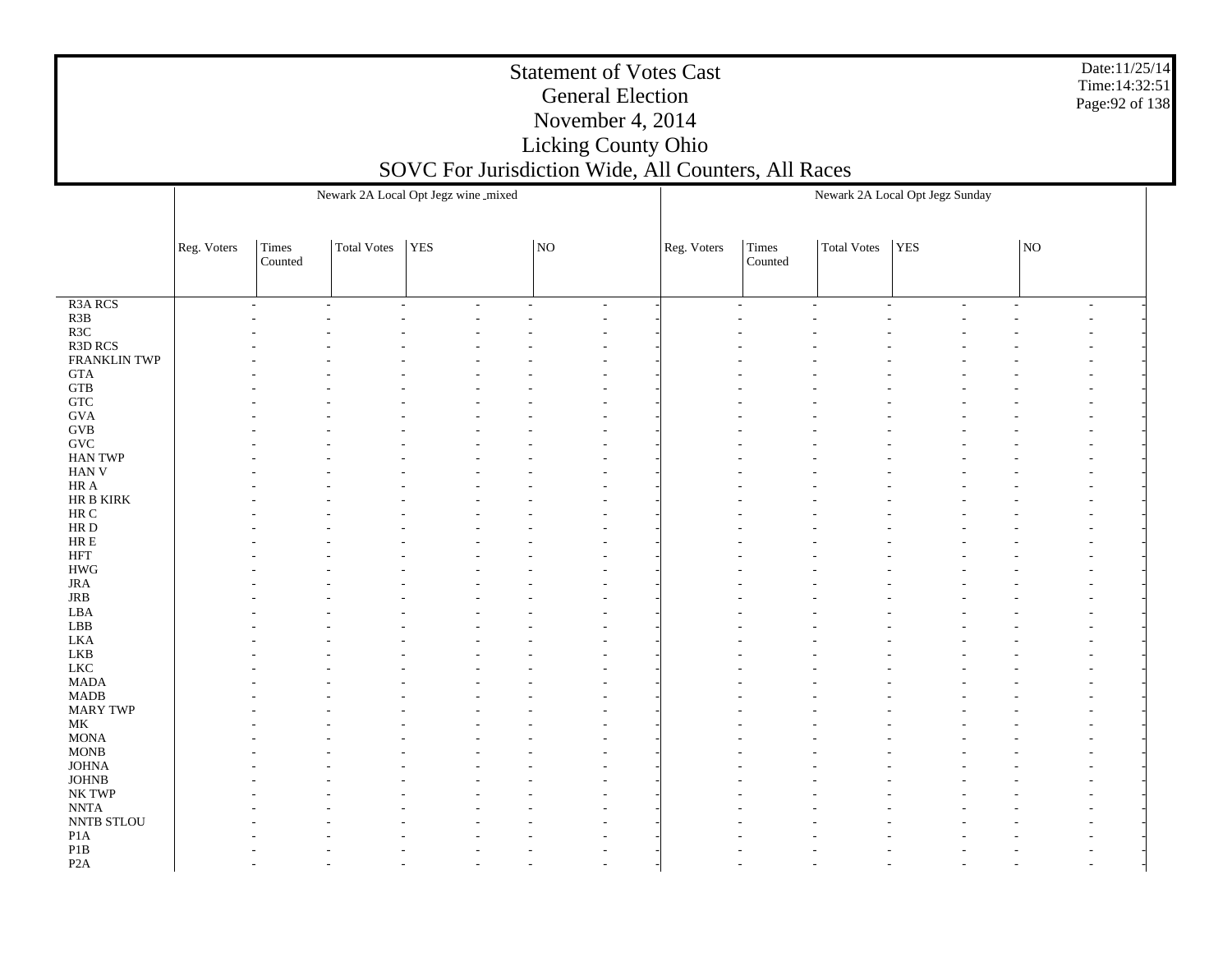Date:11/25/14 Time:14:32:51 Page:92 of 138

|                               | Newark 2A Local Opt Jegz wine mixed |                          |             |     |    |    |    | Newark 2A Local Opt Jegz Sunday |                  |                    |                          |  |    |                          |  |
|-------------------------------|-------------------------------------|--------------------------|-------------|-----|----|----|----|---------------------------------|------------------|--------------------|--------------------------|--|----|--------------------------|--|
|                               | Reg. Voters                         | Times<br>Counted         | Total Votes | YES |    | NO |    | Reg. Voters                     | Times<br>Counted | <b>Total Votes</b> | YES                      |  | NO |                          |  |
|                               |                                     |                          |             |     |    |    |    |                                 |                  |                    |                          |  |    |                          |  |
| R <sub>3</sub> A RCS          |                                     | $\overline{\phantom{a}}$ | $\sim$      | ÷,  | ÷, |    | ÷, |                                 | $\sim$           | L.                 | $\overline{\phantom{a}}$ |  | L, | $\overline{\phantom{a}}$ |  |
| $R3B$                         |                                     |                          |             |     |    |    |    |                                 |                  |                    |                          |  |    |                          |  |
| R3C                           |                                     |                          |             |     |    |    |    |                                 |                  |                    |                          |  |    |                          |  |
| R3D RCS                       |                                     |                          |             |     |    |    |    |                                 |                  |                    |                          |  |    |                          |  |
| FRANKLIN TWP                  |                                     |                          |             |     |    |    |    |                                 |                  |                    |                          |  |    |                          |  |
| $\operatorname{GTA}$          |                                     |                          |             |     |    |    |    |                                 |                  |                    |                          |  |    |                          |  |
| ${\rm GTB}$                   |                                     |                          |             |     |    |    |    |                                 |                  |                    |                          |  |    |                          |  |
| ${\rm GTC}$                   |                                     |                          |             |     |    |    |    |                                 |                  |                    |                          |  |    |                          |  |
| $\rm GVA$                     |                                     |                          |             |     |    |    |    |                                 |                  |                    |                          |  |    |                          |  |
| $\rm GVB$                     |                                     |                          |             |     |    |    |    |                                 |                  |                    |                          |  |    |                          |  |
| $\operatorname{GVC}$          |                                     |                          |             |     |    |    |    |                                 |                  |                    |                          |  |    |                          |  |
| HAN TWP                       |                                     |                          |             |     |    |    |    |                                 |                  |                    |                          |  |    |                          |  |
| HAN V<br>$\rm{HR}$ A          |                                     |                          |             |     |    |    |    |                                 |                  |                    |                          |  |    |                          |  |
| ${\rm HR}$ B ${\rm KIRK}$     |                                     |                          |             |     |    |    |    |                                 |                  |                    |                          |  |    |                          |  |
| $\rm{HR}$ C                   |                                     |                          |             |     |    |    |    |                                 |                  |                    |                          |  |    |                          |  |
| $\rm HR$ D                    |                                     |                          |             |     |    |    |    |                                 |                  |                    |                          |  |    |                          |  |
| ${\rm HR} \to$                |                                     |                          |             |     |    |    |    |                                 |                  |                    |                          |  |    |                          |  |
| $\operatorname{HFT}$          |                                     |                          |             |     |    |    |    |                                 |                  |                    |                          |  |    |                          |  |
| $\rm HWG$                     |                                     |                          |             |     |    |    |    |                                 |                  |                    |                          |  |    |                          |  |
| <b>JRA</b>                    |                                     |                          |             |     |    |    |    |                                 |                  |                    |                          |  |    |                          |  |
| $_{\rm JRB}$                  |                                     |                          |             |     |    |    |    |                                 |                  |                    |                          |  |    |                          |  |
| LBA                           |                                     |                          |             |     |    |    |    |                                 |                  |                    |                          |  |    |                          |  |
| ${\rm LBB}$                   |                                     |                          |             |     |    |    |    |                                 |                  |                    |                          |  |    |                          |  |
| LKA                           |                                     |                          |             |     |    |    |    |                                 |                  |                    |                          |  |    |                          |  |
| ${\rm LKB}$                   |                                     |                          |             |     |    |    |    |                                 |                  |                    |                          |  |    |                          |  |
| ${\rm LKC}$                   |                                     |                          |             |     |    |    |    |                                 |                  |                    |                          |  |    |                          |  |
| $\ensuremath{\mathsf{MADA}}$  |                                     |                          |             |     |    |    |    |                                 |                  |                    |                          |  |    |                          |  |
| $\mbox{MADB}$                 |                                     |                          |             |     |    |    |    |                                 |                  |                    |                          |  |    |                          |  |
| MARY TWP                      |                                     |                          |             |     |    |    |    |                                 |                  |                    |                          |  |    |                          |  |
| $\operatorname{MK}$           |                                     |                          |             |     |    |    |    |                                 |                  |                    |                          |  |    |                          |  |
| $\operatorname{MONA}$         |                                     |                          |             |     |    |    |    |                                 |                  |                    |                          |  |    |                          |  |
| $\rm{MONB}$                   |                                     |                          |             |     |    |    |    |                                 |                  |                    |                          |  |    |                          |  |
| $\mathop{\rm JOHNA}\nolimits$ |                                     |                          |             |     |    |    |    |                                 |                  |                    |                          |  |    |                          |  |
| $_{\rm JOHNB}$                |                                     |                          |             |     |    |    |    |                                 |                  |                    |                          |  |    |                          |  |
| NK TWP                        |                                     |                          |             |     |    |    |    |                                 |                  |                    |                          |  |    |                          |  |
| $\ensuremath{\text{NNTA}}$    |                                     |                          |             |     |    |    |    |                                 |                  |                    |                          |  |    |                          |  |
| NNTB STLOU                    |                                     |                          |             |     |    |    |    |                                 |                  |                    |                          |  |    |                          |  |
| P1A<br>P1B                    |                                     |                          |             |     |    |    |    |                                 |                  |                    |                          |  |    |                          |  |
| P <sub>2</sub> A              |                                     |                          |             |     |    |    |    |                                 |                  |                    |                          |  |    |                          |  |
|                               |                                     |                          |             |     |    |    |    |                                 |                  |                    |                          |  |    |                          |  |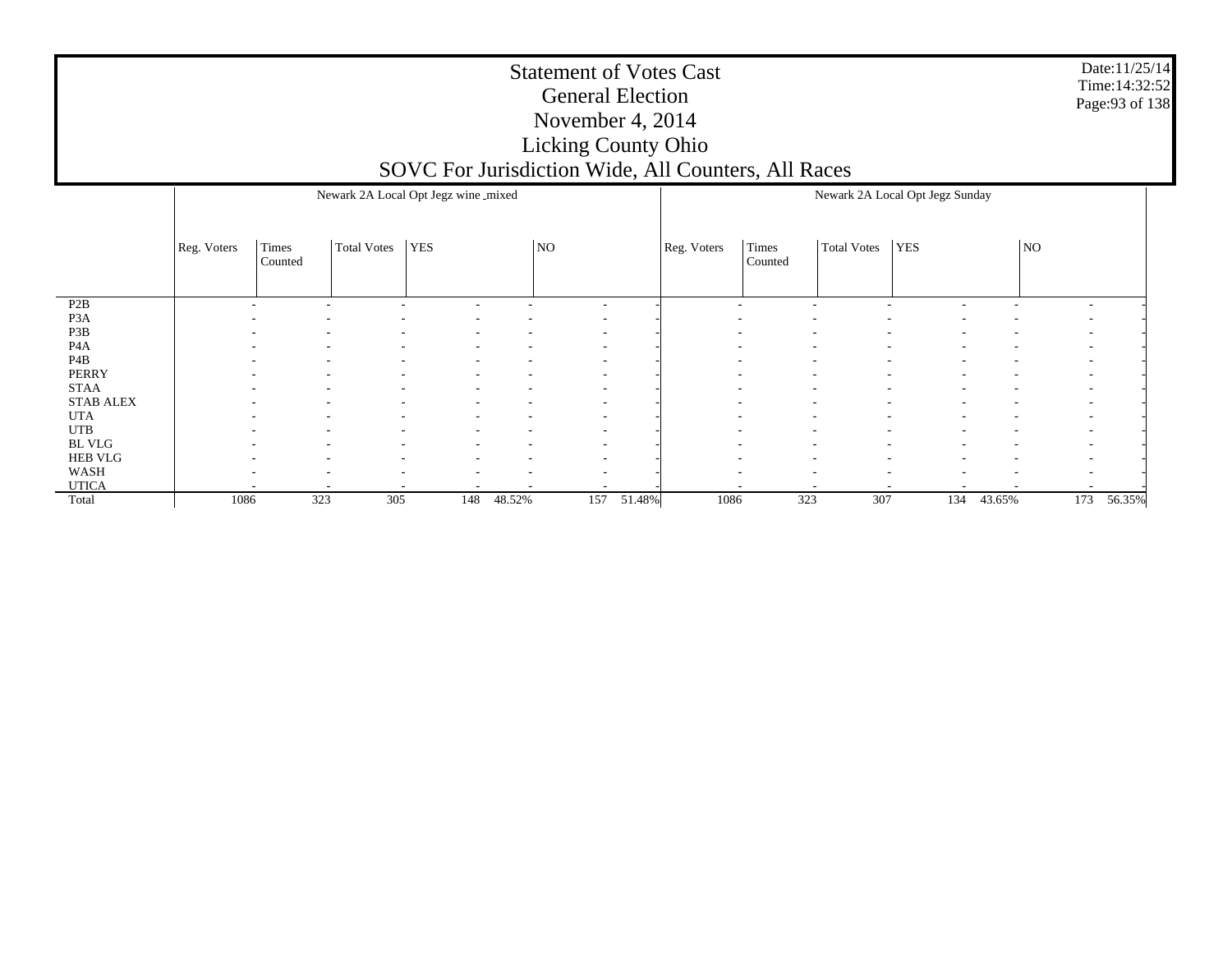| Date: 11/25/14  |
|-----------------|
| Time: 14:32:52  |
| Page: 93 of 138 |

|                  |             |                  |                                                      | Newark 2A Local Opt Jegz wine_mixed |                          |                          |        | Newark 2A Local Opt Jegz Sunday |                          |                          |                          |                          |                          |        |
|------------------|-------------|------------------|------------------------------------------------------|-------------------------------------|--------------------------|--------------------------|--------|---------------------------------|--------------------------|--------------------------|--------------------------|--------------------------|--------------------------|--------|
|                  | Reg. Voters | Times<br>Counted | Total Votes                                          | <b>YES</b>                          |                          | NO                       |        | Reg. Voters                     | Times<br>Counted         | <b>Total Votes</b>       | <b>YES</b>               |                          | NO <sub>1</sub>          |        |
| P2B              |             | $\sim$           | $\overline{\phantom{a}}$                             | $\sim$                              | $\overline{\phantom{a}}$ | $\sim$                   |        | $\overline{\phantom{a}}$        | $\overline{\phantom{a}}$ |                          |                          | $\overline{\phantom{a}}$ | $\overline{\phantom{a}}$ |        |
| P <sub>3</sub> A |             |                  | ۰<br>$\overline{\phantom{a}}$                        | $\overline{\phantom{a}}$            |                          | $\sim$                   |        | $\overline{\phantom{a}}$        | $\overline{\phantom{a}}$ |                          |                          | $\overline{\phantom{a}}$ | $\overline{\phantom{a}}$ |        |
| P3B              |             | ۰                |                                                      |                                     |                          |                          |        |                                 |                          |                          |                          |                          | $\overline{\phantom{a}}$ |        |
| P <sub>4</sub> A |             | $\sim$           | $\overline{\phantom{a}}$                             | $\sim$<br>$\overline{\phantom{a}}$  |                          | $\sim$                   |        | $\overline{\phantom{a}}$        | $\overline{\phantom{a}}$ | $\overline{\phantom{a}}$ |                          | $\overline{\phantom{a}}$ | $\overline{\phantom{a}}$ |        |
| P <sub>4</sub> B |             | $\sim$           | ۰                                                    | $\sim$<br>$\sim$                    | $\overline{\phantom{a}}$ | $\sim$                   |        | $\overline{\phantom{a}}$        | $\overline{\phantom{a}}$ | $\overline{\phantom{a}}$ | $\sim$                   | $\overline{\phantom{a}}$ | $\overline{\phantom{a}}$ |        |
| <b>PERRY</b>     |             |                  | ۰                                                    |                                     |                          | $\overline{\phantom{0}}$ |        |                                 |                          |                          |                          |                          | $\overline{\phantom{a}}$ |        |
| <b>STAA</b>      |             |                  | ۰<br>$\overline{\phantom{a}}$                        | $\overline{\phantom{a}}$            |                          | $\sim$                   |        | $\overline{\phantom{a}}$        | $\overline{\phantom{a}}$ | $\overline{\phantom{a}}$ |                          | $\overline{\phantom{a}}$ | $\overline{\phantom{0}}$ |        |
| <b>STAB ALEX</b> |             |                  | ۰                                                    | $\sim$<br>$\sim$                    | $\overline{\phantom{a}}$ | $\sim$                   |        | $\overline{\phantom{a}}$        | $\overline{\phantom{a}}$ | $\overline{\phantom{a}}$ | $\overline{\phantom{a}}$ | $\overline{\phantom{a}}$ | $\overline{\phantom{a}}$ |        |
| <b>UTA</b>       |             |                  | $\overline{\phantom{a}}$                             |                                     |                          | $\sim$                   |        |                                 |                          |                          |                          | $\overline{\phantom{a}}$ | $\overline{\phantom{0}}$ |        |
| <b>UTB</b>       |             |                  | ۰<br>$\overline{\phantom{a}}$                        | $\overline{\phantom{a}}$            | ٠                        | $\sim$                   |        | $\overline{\phantom{a}}$        | ٠                        | $\overline{\phantom{a}}$ |                          | $\overline{\phantom{a}}$ | $\overline{\phantom{a}}$ |        |
| BL VLG           |             |                  | ۰                                                    | $\sim$<br>$\overline{\phantom{a}}$  | ٠                        | $\sim$                   |        |                                 | ٠                        | $\overline{\phantom{a}}$ |                          | $\overline{\phantom{a}}$ | $\overline{\phantom{a}}$ |        |
| <b>HEB VLG</b>   |             | $\sim$           | ۰                                                    |                                     |                          | $\sim$                   |        | $\overline{\phantom{a}}$        | $\overline{\phantom{a}}$ |                          |                          | ۰                        | $\overline{\phantom{a}}$ |        |
| WASH             |             | $\sim$           | $\overline{\phantom{a}}$<br>$\overline{\phantom{a}}$ | $\sim$                              | $\overline{\phantom{a}}$ | $\sim$                   |        | $\overline{\phantom{a}}$        | $\overline{\phantom{a}}$ | $\overline{\phantom{a}}$ | $\overline{\phantom{a}}$ | $\overline{\phantom{a}}$ | $\overline{\phantom{a}}$ |        |
| <b>UTICA</b>     |             |                  | $\overline{\phantom{a}}$                             | ۰                                   |                          |                          |        |                                 | $\overline{\phantom{a}}$ |                          |                          |                          |                          |        |
| Total            | 1086        | 323              | 305                                                  | 148                                 | 48.52%                   | 157                      | 51.48% | 1086                            | 323                      | 307                      | 134                      | 43.65%                   | 173                      | 56.35% |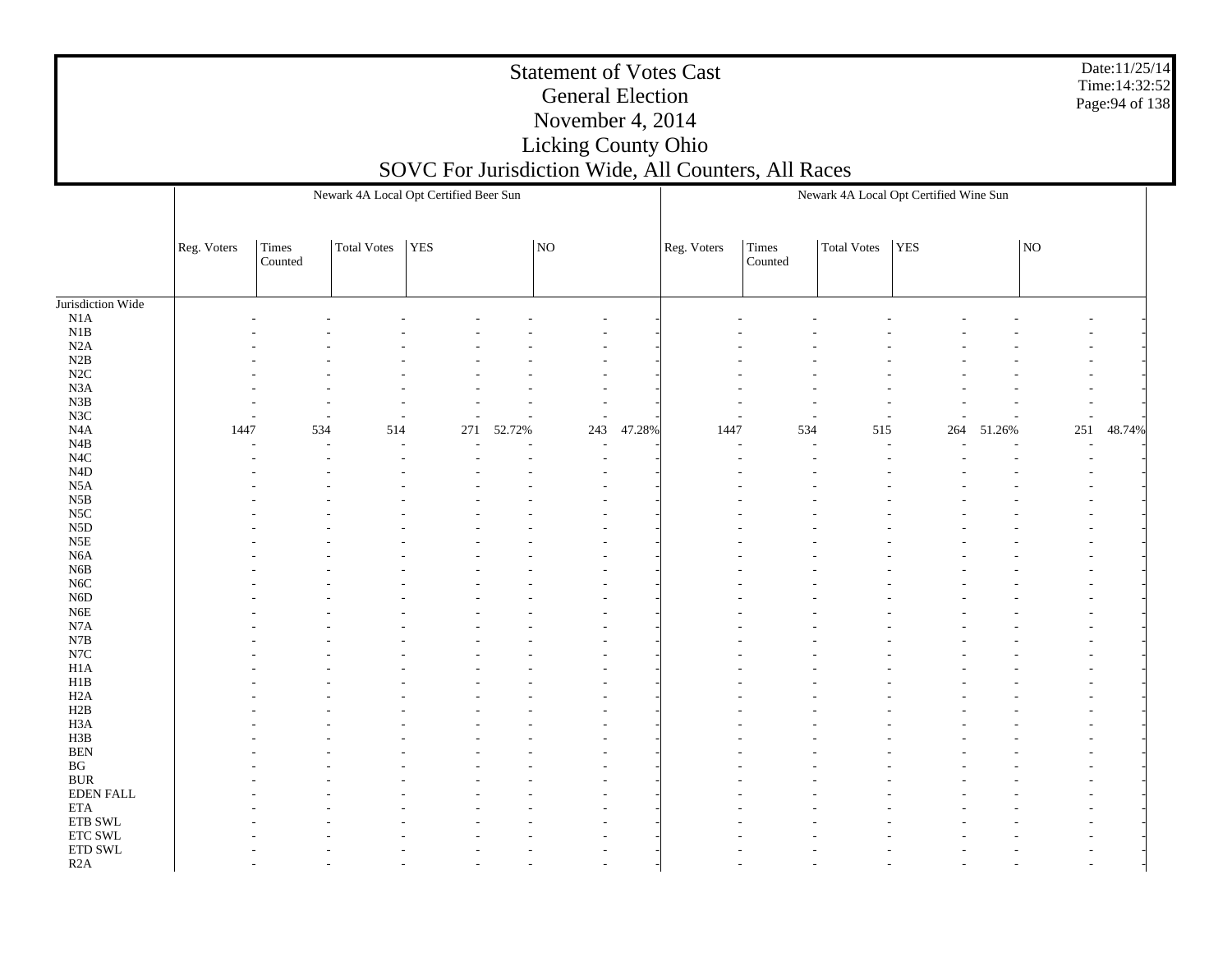Date:11/25/14 Time:14:32:52 Page:94 of 138

|                        |             |         |             | Newark 4A Local Opt Certified Beer Sun |        |                          |        |             |         |                    | Newark 4A Local Opt Certified Wine Sun |        |     |        |
|------------------------|-------------|---------|-------------|----------------------------------------|--------|--------------------------|--------|-------------|---------|--------------------|----------------------------------------|--------|-----|--------|
|                        | Reg. Voters | Times   | Total Votes | <sub>YES</sub>                         |        | NO                       |        | Reg. Voters | Times   | <b>Total Votes</b> | <b>YES</b>                             |        | NO  |        |
|                        |             | Counted |             |                                        |        |                          |        |             | Counted |                    |                                        |        |     |        |
|                        |             |         |             |                                        |        |                          |        |             |         |                    |                                        |        |     |        |
| Jurisdiction Wide      |             |         |             |                                        |        |                          |        |             |         |                    |                                        |        |     |        |
| N1A                    |             |         |             |                                        |        |                          |        |             |         |                    |                                        |        |     |        |
| $_{\rm N1B}$           |             |         |             |                                        |        |                          |        |             |         |                    |                                        |        |     |        |
| N2A                    |             |         |             |                                        |        |                          |        |             |         |                    |                                        |        |     |        |
| N2B                    |             |         |             |                                        |        |                          |        |             |         |                    |                                        |        |     |        |
| N2C                    |             |         |             |                                        |        |                          |        |             |         |                    |                                        |        |     |        |
| N3A                    |             |         |             |                                        |        |                          |        |             |         |                    |                                        |        |     |        |
| ${\bf N3B}$            |             |         |             |                                        |        |                          |        |             |         |                    |                                        |        |     |        |
| N3C                    |             |         |             |                                        |        | $\overline{\phantom{a}}$ |        |             |         | <b>1</b>           |                                        |        |     |        |
| N4A                    | 1447        | 534     | 514         | 271                                    | 52.72% | 243                      | 47.28% | 1447        | 534     | 515                | 264                                    | 51.26% | 251 | 48.74% |
| $\rm N4B$              |             |         |             |                                        |        |                          |        |             | ÷,      |                    |                                        |        |     |        |
| N4C                    |             |         |             |                                        |        |                          |        |             |         |                    |                                        |        |     |        |
| N <sub>4</sub> D       |             |         |             |                                        |        |                          |        |             |         |                    |                                        |        |     |        |
| N <sub>5</sub> A       |             |         |             |                                        |        |                          |        |             |         |                    |                                        |        |     |        |
| ${\rm N5B}$            |             |         |             |                                        |        |                          |        |             |         |                    |                                        |        |     |        |
| N5C                    |             |         |             |                                        |        |                          |        |             |         |                    |                                        |        |     |        |
| N <sub>5</sub> D       |             |         |             |                                        |        |                          |        |             |         |                    |                                        |        |     |        |
| $_{\rm N5E}$           |             |         |             |                                        |        |                          |        |             |         |                    |                                        |        |     |        |
| N <sub>6</sub> A       |             |         |             |                                        |        |                          |        |             |         |                    |                                        |        |     |        |
| ${\rm N6B}$            |             |         |             |                                        |        |                          |        |             |         |                    |                                        |        |     |        |
| N6C                    |             |         |             |                                        |        |                          |        |             |         |                    |                                        |        |     |        |
| N <sub>6</sub> D       |             |         |             |                                        |        |                          |        |             |         |                    |                                        |        |     |        |
| ${\rm N6E}$            |             |         |             |                                        |        |                          |        |             |         |                    |                                        |        |     |        |
| N7A                    |             |         |             |                                        |        |                          |        |             |         |                    |                                        |        |     |        |
| $_{\rm N7B}$           |             |         |             |                                        |        |                          |        |             |         |                    |                                        |        |     |        |
| N7C                    |             |         |             |                                        |        |                          |        |             |         |                    |                                        |        |     |        |
| H <sub>1</sub> A       |             |         |             |                                        |        |                          |        |             |         |                    |                                        |        |     |        |
| ${\rm H}1{\rm B}$      |             |         |             |                                        |        |                          |        |             |         |                    |                                        |        |     |        |
| H <sub>2</sub> A       |             |         |             |                                        |        |                          |        |             |         |                    |                                        |        |     |        |
| H2B                    |             |         |             |                                        |        |                          |        |             |         |                    |                                        |        |     |        |
| H <sub>3</sub> A       |             |         |             |                                        |        |                          |        |             |         |                    |                                        |        |     |        |
| H3B                    |             |         |             |                                        |        |                          |        |             |         |                    |                                        |        |     |        |
| <b>BEN</b>             |             |         |             |                                        |        |                          |        |             |         |                    |                                        |        |     |        |
| $\mathbf{B}\mathbf{G}$ |             |         |             |                                        |        |                          |        |             |         |                    |                                        |        |     |        |
| $\rm BUR$              |             |         |             |                                        |        |                          |        |             |         |                    |                                        |        |     |        |
| EDEN FALL              |             |         |             |                                        |        |                          |        |             |         |                    |                                        |        |     |        |
| <b>ETA</b>             |             |         |             |                                        |        |                          |        |             |         |                    |                                        |        |     |        |
| ETB SWL                |             |         |             |                                        |        |                          |        |             |         |                    |                                        |        |     |        |
| ETC SWL                |             |         |             |                                        |        |                          |        |             |         |                    |                                        |        |     |        |
| ETD SWL                |             |         |             |                                        |        |                          |        |             |         |                    |                                        |        |     |        |
| R2A                    |             |         |             |                                        |        |                          |        |             |         |                    |                                        |        |     |        |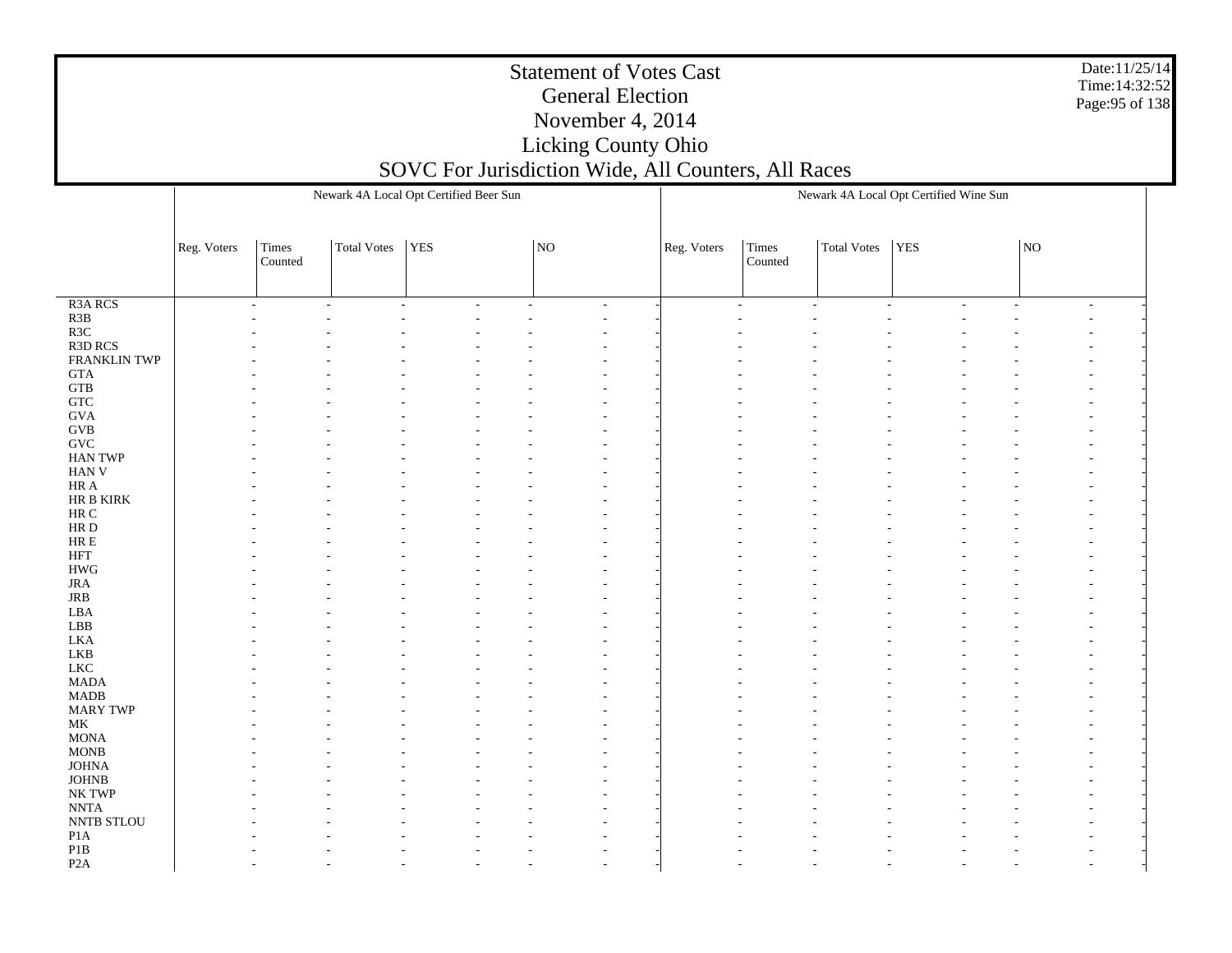| Date: 11/25/14  |
|-----------------|
| Time: 14:32:52  |
| Page: 95 of 138 |

|                                                      | Newark 4A Local Opt Certified Beer Sun |                  |             |                | Newark 4A Local Opt Certified Wine Sun |    |        |             |                                   |                    |        |                                                      |    |                          |  |
|------------------------------------------------------|----------------------------------------|------------------|-------------|----------------|----------------------------------------|----|--------|-------------|-----------------------------------|--------------------|--------|------------------------------------------------------|----|--------------------------|--|
|                                                      | Reg. Voters                            | Times<br>Counted | Total Votes | YES            |                                        | NO |        | Reg. Voters | Times<br>$\operatorname{Counted}$ | <b>Total Votes</b> | YES    |                                                      | NO |                          |  |
| R <sub>3</sub> A RCS                                 |                                        | $\sim$<br>$\sim$ |             | $\overline{a}$ | $\overline{\phantom{a}}$               |    | $\sim$ | $\sim$      | $\sim$                            |                    | $\sim$ | $\overline{\phantom{a}}$<br>$\overline{\phantom{a}}$ |    | $\overline{\phantom{a}}$ |  |
| ${\bf R3B}$                                          |                                        |                  |             |                |                                        |    |        |             |                                   |                    |        |                                                      |    | $\overline{a}$           |  |
| R3C                                                  |                                        |                  |             |                |                                        |    |        |             |                                   |                    |        |                                                      |    |                          |  |
| R3D RCS                                              |                                        |                  |             |                |                                        |    |        |             |                                   |                    |        |                                                      |    |                          |  |
| FRANKLIN TWP                                         |                                        |                  |             |                |                                        |    |        |             |                                   |                    |        |                                                      |    |                          |  |
| $\operatorname{GTA}$                                 |                                        |                  |             |                |                                        |    |        |             |                                   |                    |        |                                                      |    |                          |  |
| <b>GTB</b>                                           |                                        |                  |             |                |                                        |    |        |             |                                   |                    |        |                                                      |    |                          |  |
| ${\rm GTC}$                                          |                                        |                  |             |                |                                        |    |        |             |                                   |                    |        |                                                      |    |                          |  |
| $\rm GVA$<br>$\rm GVB$                               |                                        |                  |             |                |                                        |    |        |             |                                   |                    |        |                                                      |    |                          |  |
| $\operatorname{GVC}$                                 |                                        |                  |             |                |                                        |    |        |             |                                   |                    |        |                                                      |    |                          |  |
| <b>HAN TWP</b>                                       |                                        |                  |             |                |                                        |    |        |             |                                   |                    |        |                                                      |    |                          |  |
| HAN V                                                |                                        |                  |             |                |                                        |    |        |             |                                   |                    |        |                                                      |    |                          |  |
| $\rm{HR}$ A                                          |                                        |                  |             |                |                                        |    |        |             |                                   |                    |        |                                                      |    |                          |  |
| ${\rm HR}$ B ${\rm KIRK}$                            |                                        |                  |             |                |                                        |    |        |             |                                   |                    |        |                                                      |    |                          |  |
| $\rm{HR}$ C                                          |                                        |                  |             |                |                                        |    |        |             |                                   |                    |        |                                                      |    |                          |  |
| $\rm HR$ D                                           |                                        |                  |             |                |                                        |    |        |             |                                   |                    |        |                                                      |    |                          |  |
| ${\rm HR} \to$                                       |                                        |                  |             |                |                                        |    |        |             |                                   |                    |        |                                                      |    |                          |  |
| $\operatorname{HFT}$                                 |                                        |                  |             |                |                                        |    |        |             |                                   |                    |        |                                                      |    |                          |  |
| $\mathbf{H}\mathbf{W}\mathbf{G}$                     |                                        |                  |             |                |                                        |    |        |             |                                   |                    |        |                                                      |    |                          |  |
| $_{\rm JRA}$                                         |                                        |                  |             |                |                                        |    |        |             |                                   |                    |        |                                                      |    |                          |  |
| $_{\rm JRB}$                                         |                                        |                  |             |                |                                        |    |        |             |                                   |                    |        |                                                      |    |                          |  |
| LBA                                                  |                                        |                  |             |                |                                        |    |        |             |                                   |                    |        |                                                      |    |                          |  |
| ${\rm LBB}$                                          |                                        |                  |             |                |                                        |    |        |             |                                   |                    |        |                                                      |    |                          |  |
| LKA                                                  |                                        |                  |             |                |                                        |    |        |             |                                   |                    |        |                                                      |    |                          |  |
| ${\rm LKB}$                                          |                                        |                  |             |                |                                        |    |        |             |                                   |                    |        |                                                      |    |                          |  |
| ${\rm LKC}$                                          |                                        |                  |             |                |                                        |    |        |             |                                   |                    |        |                                                      |    |                          |  |
| $\ensuremath{\mathsf{MADA}}$                         |                                        |                  |             |                |                                        |    |        |             |                                   |                    |        |                                                      |    |                          |  |
| $\mbox{MADB}$                                        |                                        |                  |             |                |                                        |    |        |             |                                   |                    |        |                                                      |    |                          |  |
| MARY TWP                                             |                                        |                  |             |                |                                        |    |        |             |                                   |                    |        |                                                      |    |                          |  |
| $\rm MK$                                             |                                        |                  |             |                |                                        |    |        |             |                                   |                    |        |                                                      |    |                          |  |
| $\operatorname{MONA}$                                |                                        |                  |             |                |                                        |    |        |             |                                   |                    |        |                                                      |    |                          |  |
| $\rm{MONB}$                                          |                                        |                  |             |                |                                        |    |        |             |                                   |                    |        |                                                      |    |                          |  |
| $\mathop{\rm JOHNA}\nolimits$<br>$_{\mathrm{JOHNB}}$ |                                        |                  |             |                |                                        |    |        |             |                                   |                    |        |                                                      |    |                          |  |
| NK TWP                                               |                                        |                  |             |                |                                        |    |        |             |                                   |                    |        |                                                      |    |                          |  |
| $\ensuremath{\text{NNTA}}$                           |                                        |                  |             |                |                                        |    |        |             |                                   |                    |        |                                                      |    |                          |  |
| NNTB STLOU                                           |                                        |                  |             |                |                                        |    |        |             |                                   |                    |        |                                                      |    |                          |  |
| P1A                                                  |                                        |                  |             |                |                                        |    |        |             |                                   |                    |        |                                                      |    |                          |  |
| P1B                                                  |                                        |                  |             |                |                                        |    |        |             |                                   |                    |        |                                                      |    |                          |  |
| P <sub>2</sub> A                                     |                                        |                  |             |                |                                        |    |        |             |                                   |                    |        |                                                      |    |                          |  |
|                                                      |                                        |                  |             |                |                                        |    |        |             |                                   |                    |        |                                                      |    |                          |  |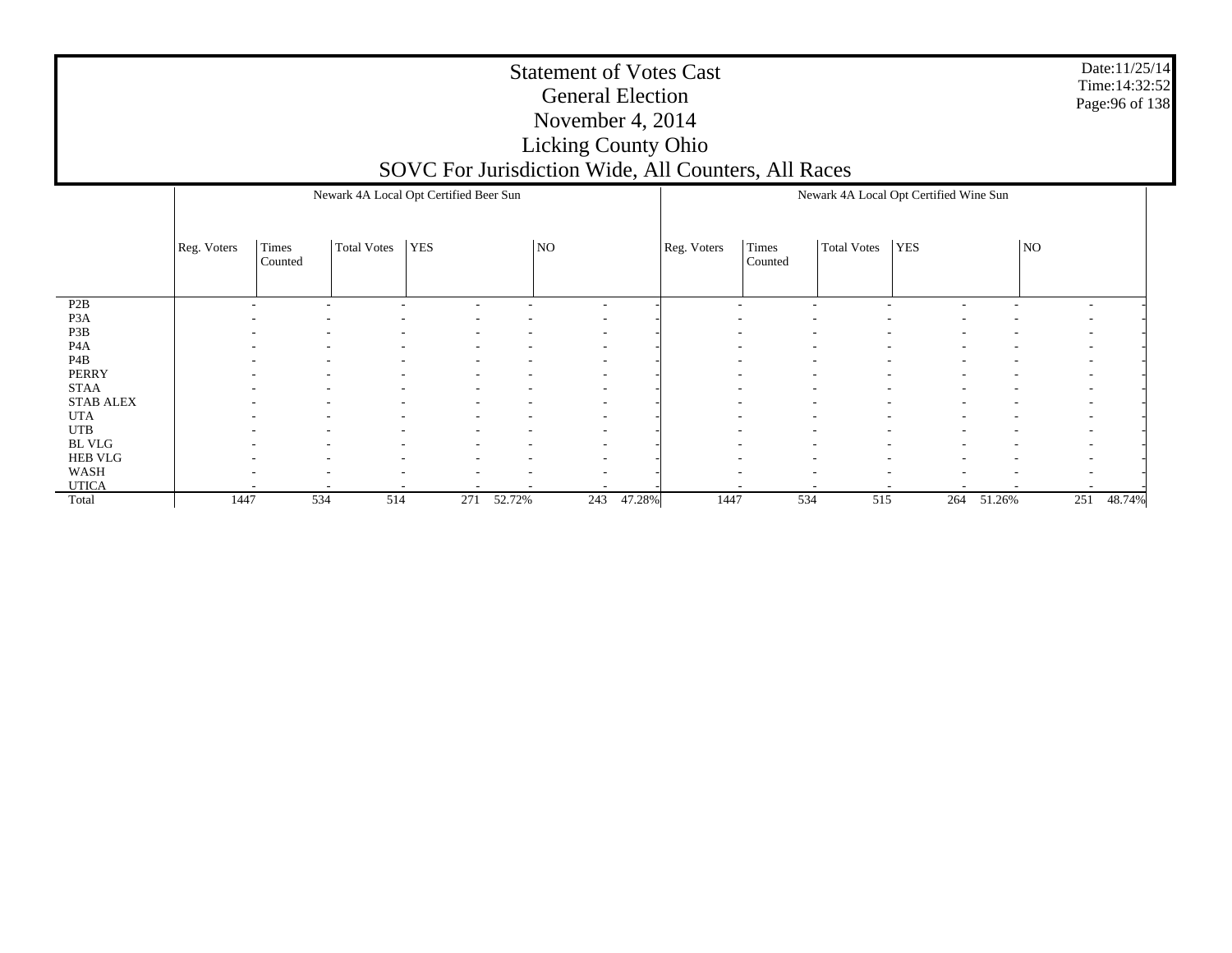Date:11/25/14 Time:14:32:52Page:96 of 138

|                  |                          | Newark 4A Local Opt Certified Beer Sun |                          |                          |                          |                          |        | Newark 4A Local Opt Certified Wine Sun |                          |                          |                                                      |        |                          |        |
|------------------|--------------------------|----------------------------------------|--------------------------|--------------------------|--------------------------|--------------------------|--------|----------------------------------------|--------------------------|--------------------------|------------------------------------------------------|--------|--------------------------|--------|
|                  | Reg. Voters              | Times<br>Counted                       | Total Votes              | <b>YES</b>               |                          | NO                       |        | Reg. Voters                            | Times<br>Counted         | Total Votes              | <b>YES</b>                                           |        | NO <sub>1</sub>          |        |
| P <sub>2</sub> B | $\overline{\phantom{a}}$ | $\overline{\phantom{a}}$               |                          | $\overline{\phantom{a}}$ | $\overline{\phantom{0}}$ | $\overline{\phantom{a}}$ |        | $\overline{\phantom{a}}$               |                          |                          | $\overline{\phantom{a}}$                             |        | $\overline{\phantom{a}}$ |        |
| P3A              |                          |                                        |                          |                          |                          | $\overline{\phantom{a}}$ |        |                                        |                          |                          |                                                      |        |                          |        |
| P3B              |                          | ۰                                      |                          |                          |                          | $\overline{\phantom{a}}$ |        |                                        |                          |                          |                                                      |        | $\overline{\phantom{a}}$ |        |
| P <sub>4</sub> A | $\overline{\phantom{a}}$ | $\overline{\phantom{a}}$               | $\overline{\phantom{a}}$ | $\overline{\phantom{a}}$ | $\sim$                   | $\overline{\phantom{a}}$ |        | $\overline{\phantom{a}}$               |                          | $\overline{\phantom{a}}$ | $\overline{\phantom{a}}$<br>$\overline{\phantom{a}}$ |        | $\overline{\phantom{a}}$ |        |
| P <sub>4</sub> B |                          | ٠                                      |                          |                          |                          | $\overline{\phantom{a}}$ |        | ٠                                      |                          |                          | -                                                    |        | $\overline{\phantom{a}}$ |        |
| <b>PERRY</b>     |                          |                                        |                          |                          |                          | $\overline{\phantom{a}}$ |        |                                        |                          |                          |                                                      |        |                          |        |
| <b>STAA</b>      |                          | $\overline{\phantom{a}}$<br>$\sim$     | $\overline{\phantom{a}}$ | $\overline{\phantom{a}}$ | $\sim$                   | $\overline{\phantom{a}}$ |        | $\overline{\phantom{a}}$               |                          | $\overline{\phantom{a}}$ | -                                                    |        | $\overline{\phantom{a}}$ |        |
| <b>STAB ALEX</b> |                          | ۰.<br>٠                                |                          |                          |                          | $\overline{\phantom{a}}$ |        | ٠                                      |                          |                          | $\overline{\phantom{0}}$                             |        | $\overline{\phantom{a}}$ |        |
| <b>UTA</b>       |                          |                                        |                          |                          |                          | $\overline{\phantom{a}}$ |        |                                        |                          |                          |                                                      |        | -                        |        |
| <b>UTB</b>       |                          | ٠                                      |                          |                          |                          | $\overline{\phantom{a}}$ |        |                                        |                          |                          |                                                      |        | $\overline{\phantom{a}}$ |        |
| BL VLG           |                          | $\sim$<br>$\overline{\phantom{a}}$     |                          | $\overline{\phantom{a}}$ | $\sim$                   | $\overline{\phantom{a}}$ |        |                                        | $\overline{\phantom{a}}$ |                          | $\overline{\phantom{0}}$                             |        | $\overline{\phantom{a}}$ |        |
| <b>HEB VLG</b>   |                          |                                        |                          |                          |                          | $\overline{\phantom{a}}$ |        | $\overline{\phantom{a}}$               |                          |                          |                                                      |        | $\overline{\phantom{a}}$ |        |
| WASH             |                          | ٠                                      |                          |                          |                          | $\overline{\phantom{a}}$ |        |                                        |                          |                          |                                                      |        |                          |        |
| <b>UTICA</b>     |                          | $\overline{\phantom{a}}$               |                          |                          | $\sim$                   |                          |        |                                        |                          |                          |                                                      |        |                          |        |
| Total            | 1447                     | 534                                    | 514                      | 271                      | 52.72%                   | 243                      | 47.28% | 1447                                   | 534                      | 515                      | 264                                                  | 51.26% | 251                      | 48.74% |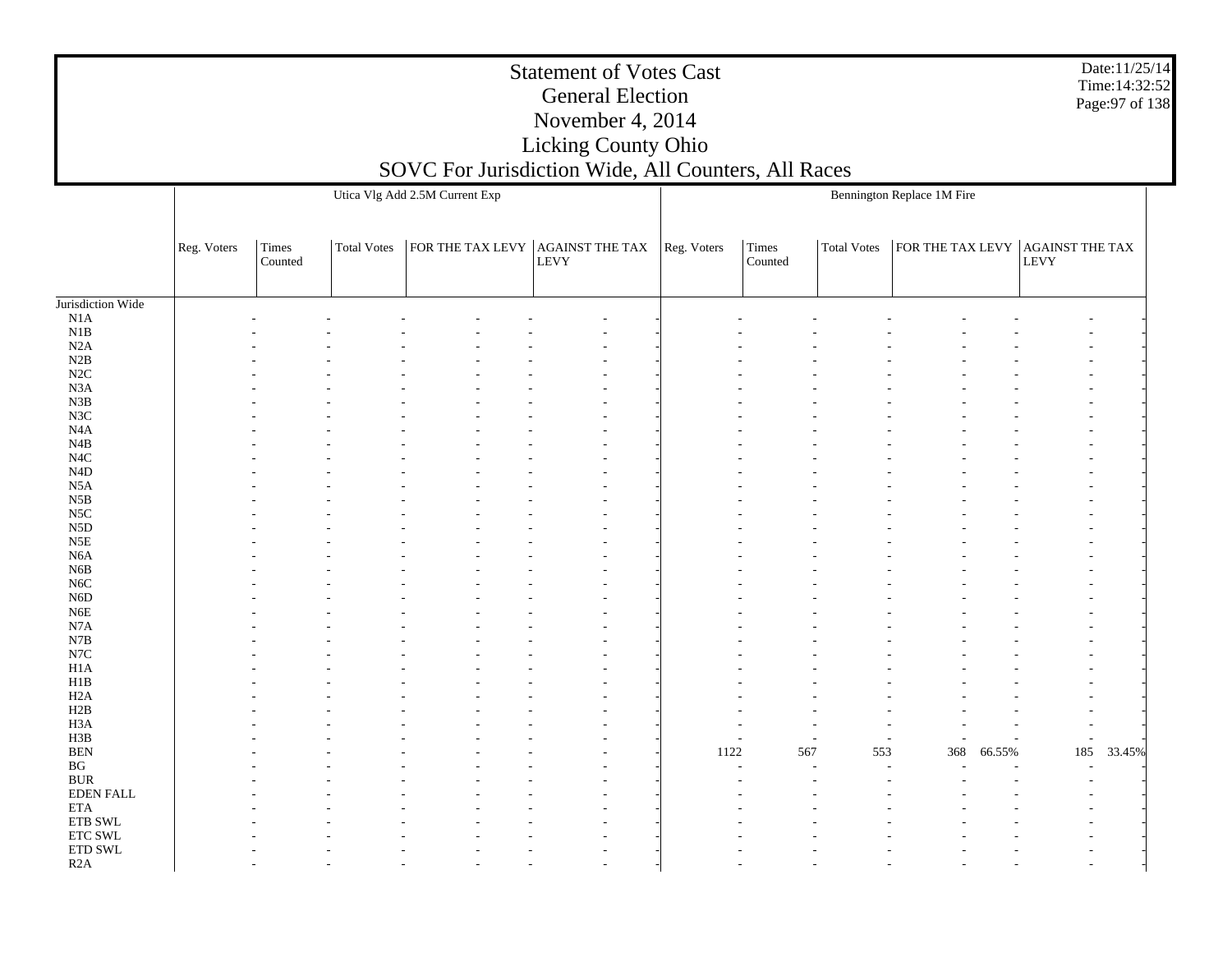N1B N2A N2BN2C

N4A

 N4CN4D

 N5B N5C N5DN5E

N6B

 N6DN6E

 N7B N7CH1A

 H2AH2B

 H3B BENBG

Jurisdiction Wide N1A N3A N3B N3C N4B N5A N6A N6C N7A H1B H3A BUR EDEN FALL ETA ETB SWL ETC SWL ETD SWL R2AReg. Voters | Times Counted Total Votess  $|FOR THE TAX LEVY | AGAINST THE TAX | Reg. Voters | Times$ LEVY Utica Vlg Add 2.5M Current Exp Counted Total Votes $\,$ s  $\,$  | FOR THE TAX LEVY | AGAINST THE TAX  $\,$ LEVY Bennington Replace 1M Fire - - - - - - - - - - - - - - - - - - - - - - - - - - - - - - - - - - - - - - - - - - - - - - - - - - - - - - - - - - - - - - - - - - - - - - - - - - - - - - - - - - - - - - - - - - - - - - - - - - - - - - - - - - - - - - - - - - - - - - - - - - - - - - - - - - - - - - - - - - - - - - - - - - - - - - - - - - - - - - - - - - - - - - - - - - - - - - - - - - - - - - - - - - - - - - - - - - - - - - - - - - - - - - - - - - - - - - - - - - - - - - - - - - - - - - - - - - - - - - - - - - - - - - - - - - - - - - - - - - - - - - - - - - - - - - - - - - - - - - - - - - - - - - - - - - - - - - - - - - - - - - - - - - - - - - - - - - - - - - - - - - - - - - - - - - - - - - - - - - - - - - - - - - - - - - - - - - - - - - - - - - - - - - - - - - - - - - - - - - - - - - - - - - - - - - - - - - - - - - - - - - - - - - - - - - - - - - - - - 1122 567 553 368 66.55% 185 33.45% - - - - - - - - - - - - - - - - - - - - - - - - - - - - - - - - - - - - - - - - - - - - - - - - - - - - - - - - - - - - - - - - - - - - - - - - - - - - - - - - - - - - - - - - - - - - - - - - - - - - - - - -

Date:11/25/14Time:14:32:52Page:97 of 138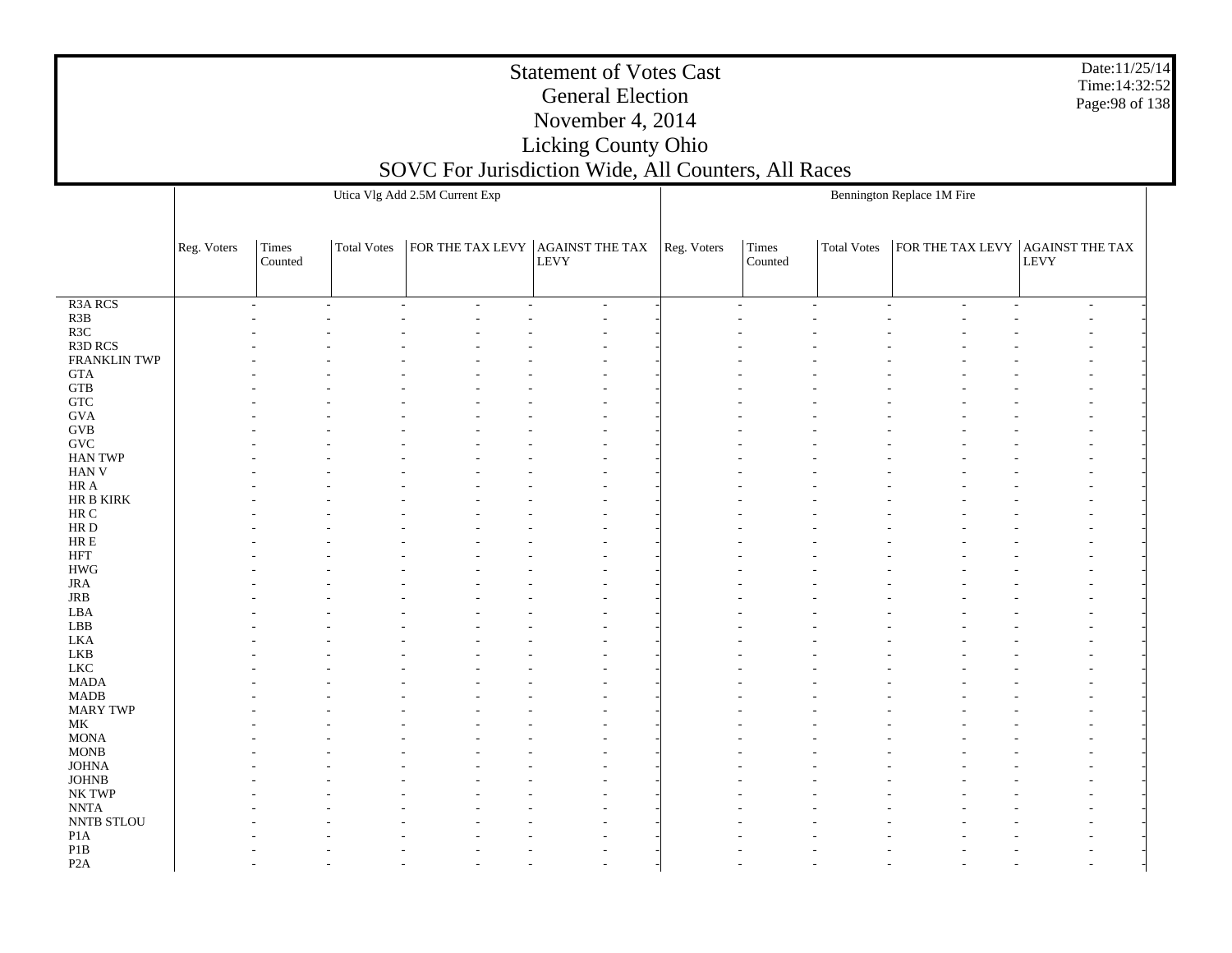|                                                         | Utica Vlg Add 2.5M Current Exp |                                   |             |                                                                                                                                                              |                          | Bennington Replace 1M Fire |                  |                    |                                  |                          |  |  |
|---------------------------------------------------------|--------------------------------|-----------------------------------|-------------|--------------------------------------------------------------------------------------------------------------------------------------------------------------|--------------------------|----------------------------|------------------|--------------------|----------------------------------|--------------------------|--|--|
|                                                         | Reg. Voters                    | Times<br>$\operatorname{Counted}$ | Total Votes | $\begin{tabular}{ c c c c c } \hline \textbf{FOR THE TAX LEVY} & \textbf{AGAINT THE TAX} & \textbf{Reg. Voters} \\ \hline & \textbf{LEVY} & & \end{tabular}$ |                          |                            | Times<br>Counted | <b>Total Votes</b> | FOR THE TAX LEVY AGAINST THE TAX | LEVY                     |  |  |
| R <sub>3</sub> A RCS                                    |                                | $\sim$                            | $\sim$      | $\overline{a}$<br>$\overline{\phantom{a}}$                                                                                                                   | $\overline{\phantom{a}}$ |                            | $\sim$           | $\sim$             | $\overline{\phantom{a}}$         | $\overline{\phantom{a}}$ |  |  |
| $\begin{array}{c} \text{R3B} \\ \text{R3C} \end{array}$ |                                |                                   |             |                                                                                                                                                              |                          |                            |                  |                    |                                  |                          |  |  |
|                                                         |                                |                                   |             |                                                                                                                                                              |                          |                            |                  |                    |                                  |                          |  |  |
| R3D RCS                                                 |                                |                                   |             |                                                                                                                                                              |                          |                            |                  |                    |                                  |                          |  |  |
| FRANKLIN TWP                                            |                                |                                   |             |                                                                                                                                                              |                          |                            |                  |                    |                                  |                          |  |  |
| $\operatorname{GTA}$                                    |                                |                                   |             |                                                                                                                                                              |                          |                            |                  |                    |                                  |                          |  |  |
| ${\rm GTB}$                                             |                                |                                   |             |                                                                                                                                                              |                          |                            |                  |                    |                                  |                          |  |  |
| ${\rm GTC}$<br><b>GVA</b>                               |                                |                                   |             |                                                                                                                                                              |                          |                            |                  |                    |                                  |                          |  |  |
| $\rm GVB$                                               |                                |                                   |             |                                                                                                                                                              |                          |                            |                  |                    |                                  |                          |  |  |
| $\operatorname{GVC}$                                    |                                |                                   |             |                                                                                                                                                              |                          |                            |                  |                    |                                  |                          |  |  |
| <b>HAN TWP</b>                                          |                                |                                   |             |                                                                                                                                                              |                          |                            |                  |                    |                                  |                          |  |  |
| HAN V                                                   |                                |                                   |             |                                                                                                                                                              |                          |                            |                  |                    |                                  |                          |  |  |
| $\rm{HR}$ A                                             |                                |                                   |             |                                                                                                                                                              |                          |                            |                  |                    |                                  |                          |  |  |
| HR B KIRK                                               |                                |                                   |             |                                                                                                                                                              |                          |                            |                  |                    |                                  |                          |  |  |
| $\rm{HR}$ C                                             |                                |                                   |             |                                                                                                                                                              |                          |                            |                  |                    |                                  |                          |  |  |
| $\rm HR$ D                                              |                                |                                   |             |                                                                                                                                                              |                          |                            |                  |                    |                                  |                          |  |  |
| ${\rm HR} \to$                                          |                                |                                   |             |                                                                                                                                                              |                          |                            |                  |                    |                                  |                          |  |  |
| $\operatorname{HFT}$                                    |                                |                                   |             |                                                                                                                                                              |                          |                            |                  |                    |                                  |                          |  |  |
| $\mathbf{H}\mathbf{W}\mathbf{G}$                        |                                |                                   |             |                                                                                                                                                              |                          |                            |                  |                    |                                  |                          |  |  |
| JRA                                                     |                                |                                   |             |                                                                                                                                                              |                          |                            |                  |                    |                                  |                          |  |  |
| $_{\rm JRB}$                                            |                                |                                   |             |                                                                                                                                                              |                          |                            |                  |                    |                                  |                          |  |  |
| LBA                                                     |                                |                                   |             |                                                                                                                                                              |                          |                            |                  |                    |                                  |                          |  |  |
| ${\rm LBB}$<br>LKA                                      |                                |                                   |             |                                                                                                                                                              |                          |                            |                  |                    |                                  |                          |  |  |
| ${\rm LKB}$                                             |                                |                                   |             |                                                                                                                                                              |                          |                            |                  |                    |                                  |                          |  |  |
| ${\rm LKC}$                                             |                                |                                   |             |                                                                                                                                                              |                          |                            |                  |                    |                                  |                          |  |  |
| $\ensuremath{\mathsf{MADA}}$                            |                                |                                   |             |                                                                                                                                                              |                          |                            |                  |                    |                                  |                          |  |  |
| $\mbox{MADB}$                                           |                                |                                   |             |                                                                                                                                                              |                          |                            |                  |                    |                                  |                          |  |  |
| <b>MARY TWP</b>                                         |                                |                                   |             |                                                                                                                                                              |                          |                            |                  |                    |                                  |                          |  |  |
| $\rm MK$                                                |                                |                                   |             |                                                                                                                                                              |                          |                            |                  |                    |                                  |                          |  |  |
| $\operatorname{MONA}$                                   |                                |                                   |             |                                                                                                                                                              |                          |                            |                  |                    |                                  |                          |  |  |
| $\rm{MONB}$                                             |                                |                                   |             |                                                                                                                                                              |                          |                            |                  |                    |                                  |                          |  |  |
| $\mathop{\rm JOHNA}\nolimits$                           |                                |                                   |             |                                                                                                                                                              |                          |                            |                  |                    |                                  |                          |  |  |
| $_{\mathrm{JOHNB}}$                                     |                                |                                   |             |                                                                                                                                                              |                          |                            |                  |                    |                                  |                          |  |  |
| NK TWP                                                  |                                |                                   |             |                                                                                                                                                              |                          |                            |                  |                    |                                  |                          |  |  |
| $\ensuremath{\text{NNTA}}$                              |                                |                                   |             |                                                                                                                                                              |                          |                            |                  |                    |                                  |                          |  |  |
| NNTB STLOU                                              |                                |                                   |             |                                                                                                                                                              |                          |                            |                  |                    |                                  |                          |  |  |
| P1A                                                     |                                |                                   |             |                                                                                                                                                              |                          |                            |                  |                    |                                  |                          |  |  |
| P1B<br>P <sub>2</sub> A                                 |                                |                                   |             |                                                                                                                                                              |                          |                            |                  |                    |                                  |                          |  |  |
|                                                         |                                |                                   |             |                                                                                                                                                              |                          |                            |                  |                    |                                  |                          |  |  |

Date:11/25/14 Time:14:32:52 Page:98 of 138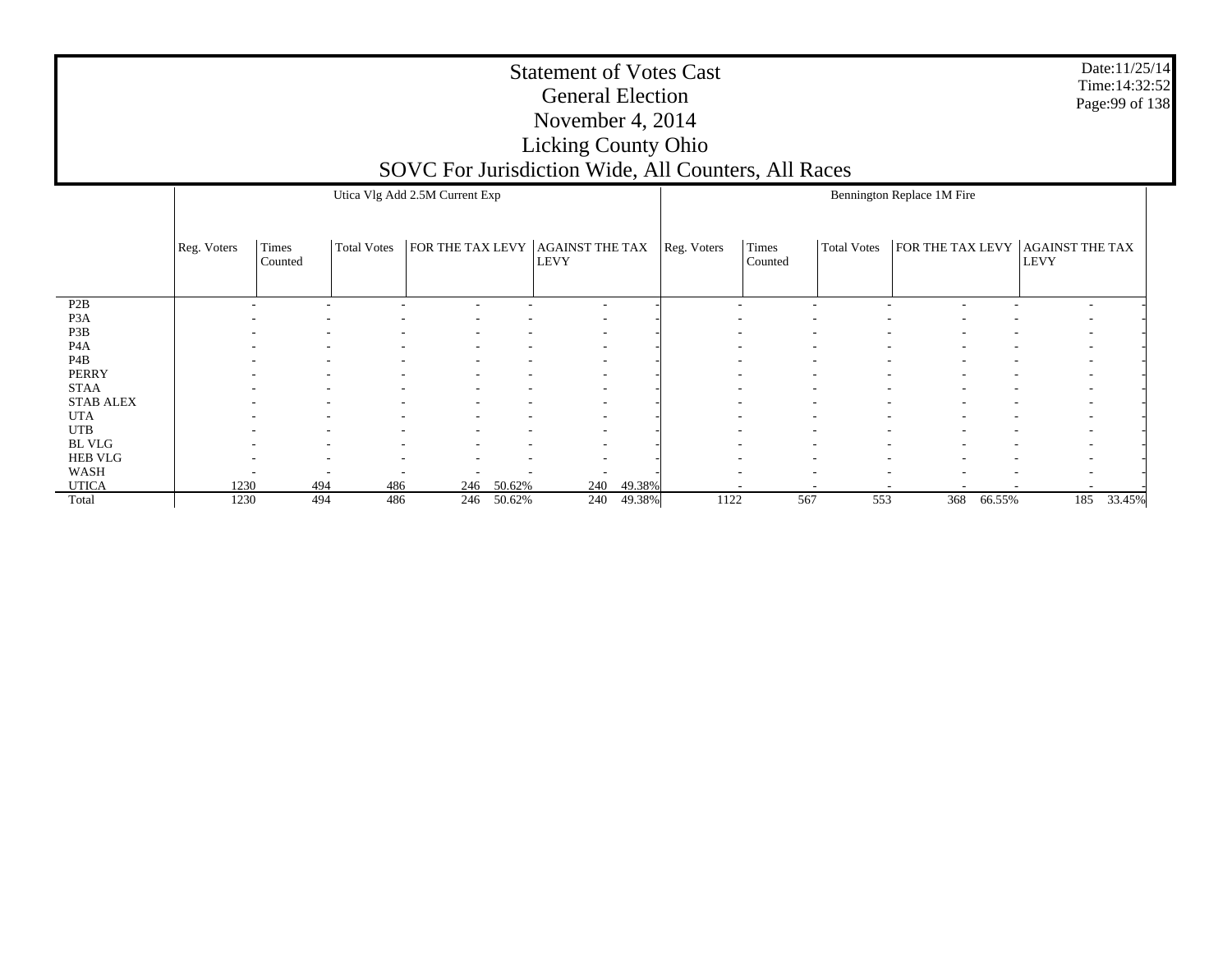Date:11/25/14 Time:14:32:52 Page:99 of 138

|                  |             |                          |                               | Utica Vlg Add 2.5M Current Exp |                          |                                |        |                          |                  |                                                      | Bennington Replace 1M Fire |                          |                                       |        |
|------------------|-------------|--------------------------|-------------------------------|--------------------------------|--------------------------|--------------------------------|--------|--------------------------|------------------|------------------------------------------------------|----------------------------|--------------------------|---------------------------------------|--------|
|                  | Reg. Voters | Times<br>Counted         | <b>Total Votes</b>            | FOR THE TAX LEVY               |                          | AGAINST THE TAX<br><b>LEVY</b> |        | Reg. Voters              | Times<br>Counted | <b>Total Votes</b>                                   | FOR THE TAX LEVY           |                          | <b>AGAINST THE TAX</b><br><b>LEVY</b> |        |
| P <sub>2</sub> B |             | $\overline{\phantom{a}}$ |                               |                                |                          |                                |        |                          |                  |                                                      |                            |                          | $\overline{\phantom{a}}$              |        |
| P <sub>3</sub> A |             |                          |                               |                                |                          | $\sim$                         |        |                          |                  |                                                      |                            |                          | $\overline{\phantom{a}}$              |        |
| P3B              |             |                          | ۰                             |                                |                          | $\sim$                         |        |                          |                  |                                                      |                            | ۰                        | $\overline{\phantom{a}}$              |        |
| P <sub>4</sub> A |             |                          |                               |                                |                          |                                |        |                          |                  |                                                      |                            |                          | $\overline{\phantom{a}}$              |        |
| P <sub>4</sub> B |             |                          |                               |                                |                          | $\sim$                         |        |                          |                  | $\overline{\phantom{a}}$                             |                            | $\overline{\phantom{a}}$ | $\overline{\phantom{a}}$              |        |
| <b>PERRY</b>     |             |                          | ۰                             |                                |                          |                                |        |                          |                  |                                                      |                            |                          | $\overline{\phantom{a}}$              |        |
| <b>STAA</b>      |             |                          |                               |                                |                          | $\overline{\phantom{a}}$       |        |                          |                  |                                                      |                            |                          | $\overline{\phantom{a}}$              |        |
| <b>STAB ALEX</b> |             |                          | ۰<br>$\overline{\phantom{a}}$ | $\overline{\phantom{a}}$       | $\overline{\phantom{a}}$ | $\sim$                         |        | $\overline{\phantom{a}}$ |                  | $\overline{\phantom{a}}$<br>$\overline{\phantom{a}}$ |                            | $\overline{\phantom{a}}$ | $\overline{\phantom{a}}$              |        |
| <b>UTA</b>       |             |                          |                               |                                |                          | $\sim$                         |        |                          |                  |                                                      |                            |                          | $\overline{\phantom{a}}$              |        |
| <b>UTB</b>       |             |                          |                               |                                |                          |                                |        |                          |                  |                                                      |                            |                          | $\overline{\phantom{a}}$              |        |
| <b>BL VLG</b>    |             |                          | ۰                             |                                |                          | $\sim$                         |        |                          |                  |                                                      |                            | ٠                        | $\overline{\phantom{a}}$              |        |
| <b>HEB VLG</b>   |             |                          | ۰                             |                                |                          | $\overline{\phantom{a}}$       |        |                          |                  |                                                      |                            |                          | $\overline{\phantom{a}}$              |        |
| WASH             |             |                          |                               |                                |                          |                                |        |                          |                  |                                                      |                            |                          | $\overline{\phantom{a}}$              |        |
| <b>UTICA</b>     | 1230        | 494                      | 486                           | 246                            | 50.62%                   | 240                            | 49.38% |                          |                  |                                                      |                            |                          |                                       |        |
| Total            | 1230        | 494                      | 486                           | 246                            | 50.62%                   | 240                            | 49.38% | 1122                     | 567              | 553                                                  | 368                        | 66.55%                   | 185                                   | 33.45% |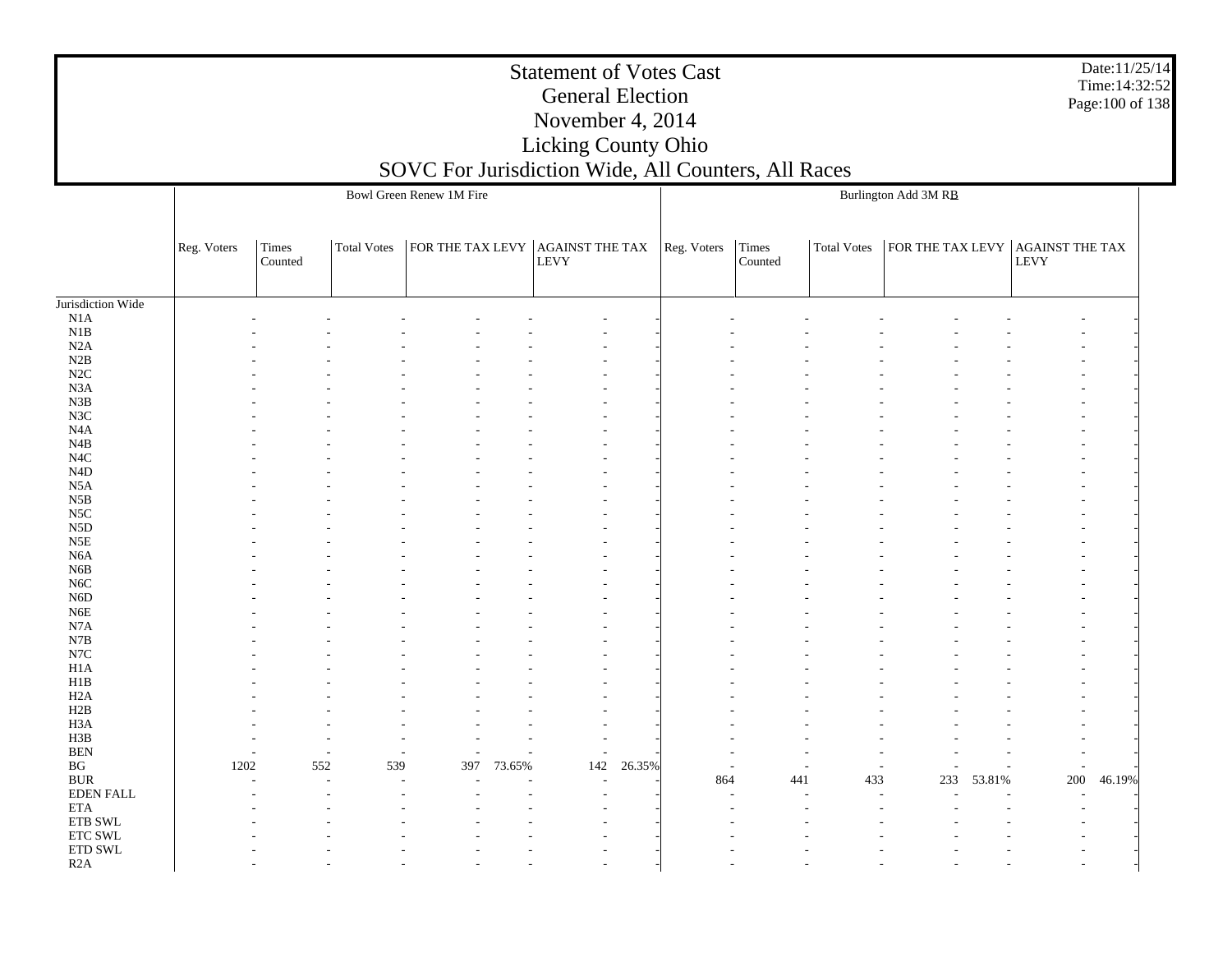Jurisdiction Wide N1A N1B N2A N2B N2C N3A N3B N3C N4A N4B N4C N4D N5A N5B N5C N5D N5E N6A N6B N6C N6D N6E N7A N7B N7C H1A H1B H2A H2B H3A H3B BEN BG BUR EDEN FALL ETA ETB SWL ETC SWL ETD SWL R2AReg. Voters | Times Counted Total Votess  $|FOR THE TAX LEVY | AGAINST THE TAX | Reg. Voters | Times$ LEVY Bowl Green Renew 1M FireCounted Total Votes $\,$ s  $\,$  | FOR THE TAX LEVY | AGAINST THE TAX LEVYBurlington Add 3M RB - - - - - - - - - - - - - - - - - - - - - - - - - - - - - - - - - - - - - - - - - - - - - - - - - - - - - - - - - - - - - - - - - - - - - - - - - - - - - - - - - - - - - - - - - - - - - - - - - - - - - - - - - - - - - - - - - - - - - - - - - - - - - - - - - - - - - - - - - - - - - - - - - - - - - - - - - - - - - - - - - - - - - - - - - - - - - - - - - - - - - - - - - - - - - - - - - - - - - - - - - - - - - - - - - - - - - - - - - - - - - - - - - - - - - - - - - - - - - - - - - - - - - - - - - - - - - - - - - - - - - - - - - - - - - - - - - - - - - - - - - - - - - - - - - - - - - - - - - - - - - - - - - - - - - - - - - - - - - - - - - - - - - - - - - - - - - - - - - - - - - - - - - - - - - - - - - - - - - - - - - - - - - - - - - - - - - - - - - - - - - - - - - - - - - - - - - - - - - - - - - - - - - - - - - - - - - - - - - 1202 552 539 397 73.65% 142 26.35% - - - - - - - -- - - - - - - - - - - - - - - - 864 441 433 233 53.81% 200 46.19% - - - - - - - - - - - - - - - - - - - - - - - - - - - - - - - - - - - - - - - - - - - - - - - - - - - - - - - - - - - - - - - - - - - - - - - - - - - - - -

Date:11/25/14Time:14:32:52Page:100 of 138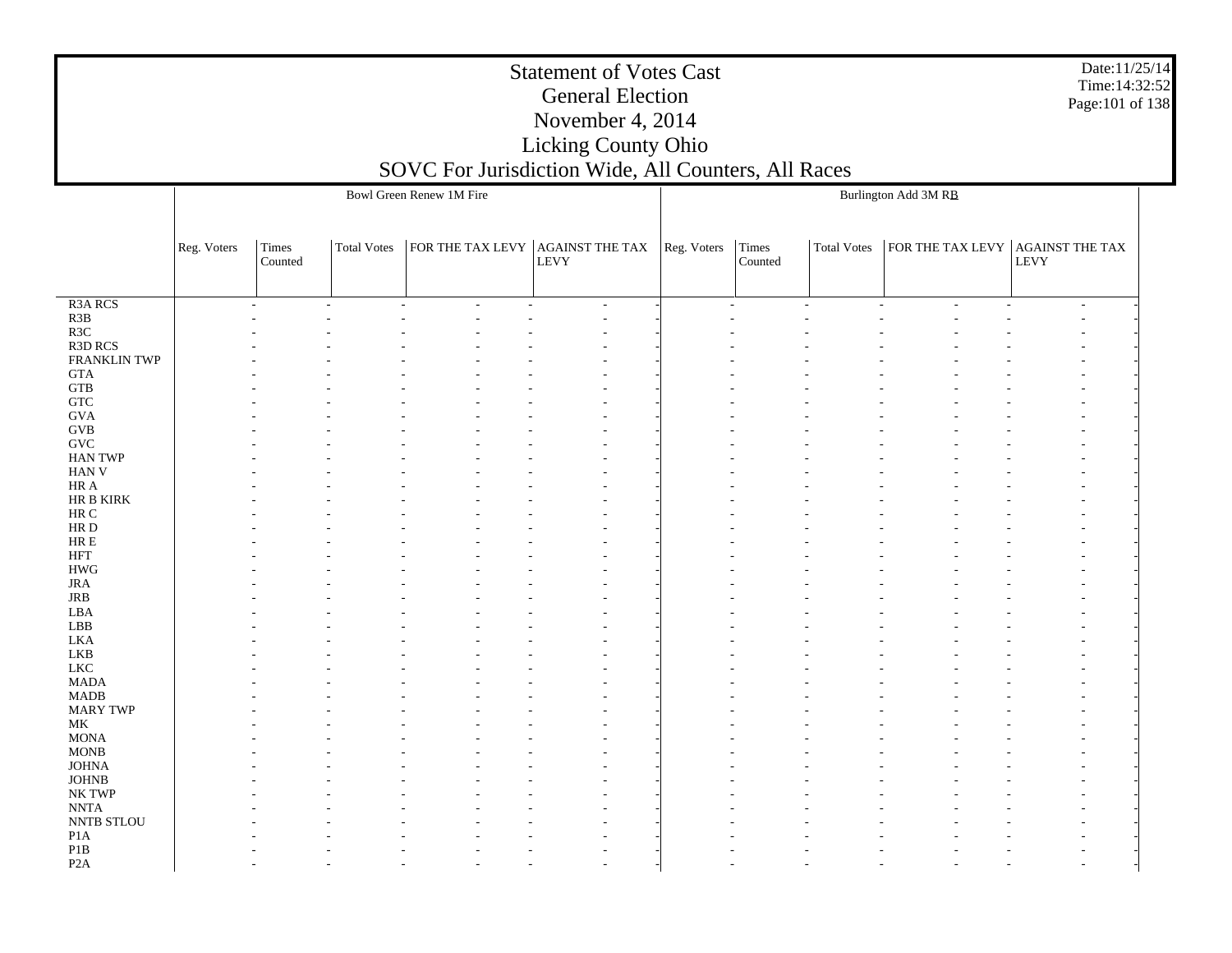R3A RCS R3B R3C R3D RCS FRANKLIN TWP GTA GTB GTC GVA GVB GVC HAN TWP HAN V HR A HR B KIRK HR C HR D HR E HFT HWG JRA JRB LBA LBB LKA LKB LKC MADA MADB MARY TWP MK MONA MONB JOHNA JOHNB NK TWP NNTA NNTB STLOU P1A P1B P2AReg. Voters | Times Counted Total Votess  $|FOR THE TAX LEVY | AGAINST THE TAX | Reg. Voters | Times$ LEVY Bowl Green Renew 1M FireCounted Total Votes $\,$ s  $\,$  | FOR THE TAX LEVY | AGAINST THE TAX LEVYBurlington Add 3M RB - - - - - - - - - - - - - - - - - - - - - - - - - - - - - - - - - - - - - - - - - - - - - - - - - - - - - - - - - - - - - - - - - - - - - - - - - - - - - - - - - - - - - - - - - - - - - - - - - - - - - - - - - - - - - - - - - - - - - - - - - - - - - - - - - - - - - - - - - - - - - - - - - - - - - - - - - - - - - - - - - - - - - - - - - - - - - - - - - - - - - - - - - - - - - - - - - - - - - - - - - - - - - - - - - - - - - - - - - - - - - - - - - - - - - - - - - - - - - - - - - - - - - - - - - - - - - - - - - - - - - - - - - - - - - - - - - - - - - - - - - - - - - - - - - - - - - - - - - - - - - - - - - - - - - - - - - - - - - - - - - - - - - - - - - - - - - - - - - - - - - - - - - - - - - - - - - - - - - - - - - - - - - - - - - - - - - - - - - - - - - - - - - - - - - - - - - - - - - - - - - - - - - - - - - - - - - - - - - - - - - - - - - - - - - - - - - - - - - - - - - - - - - - - - - - - - - - - - - - - - - - - - - - - - - - - - - - - - - - - - - - - - - - - - - - - - - - - - - - - - - - - - - - - - - - - - - - - - - - - - - - - - - - - - - - - - -

Date:11/25/14Time:14:32:52Page:101 of 138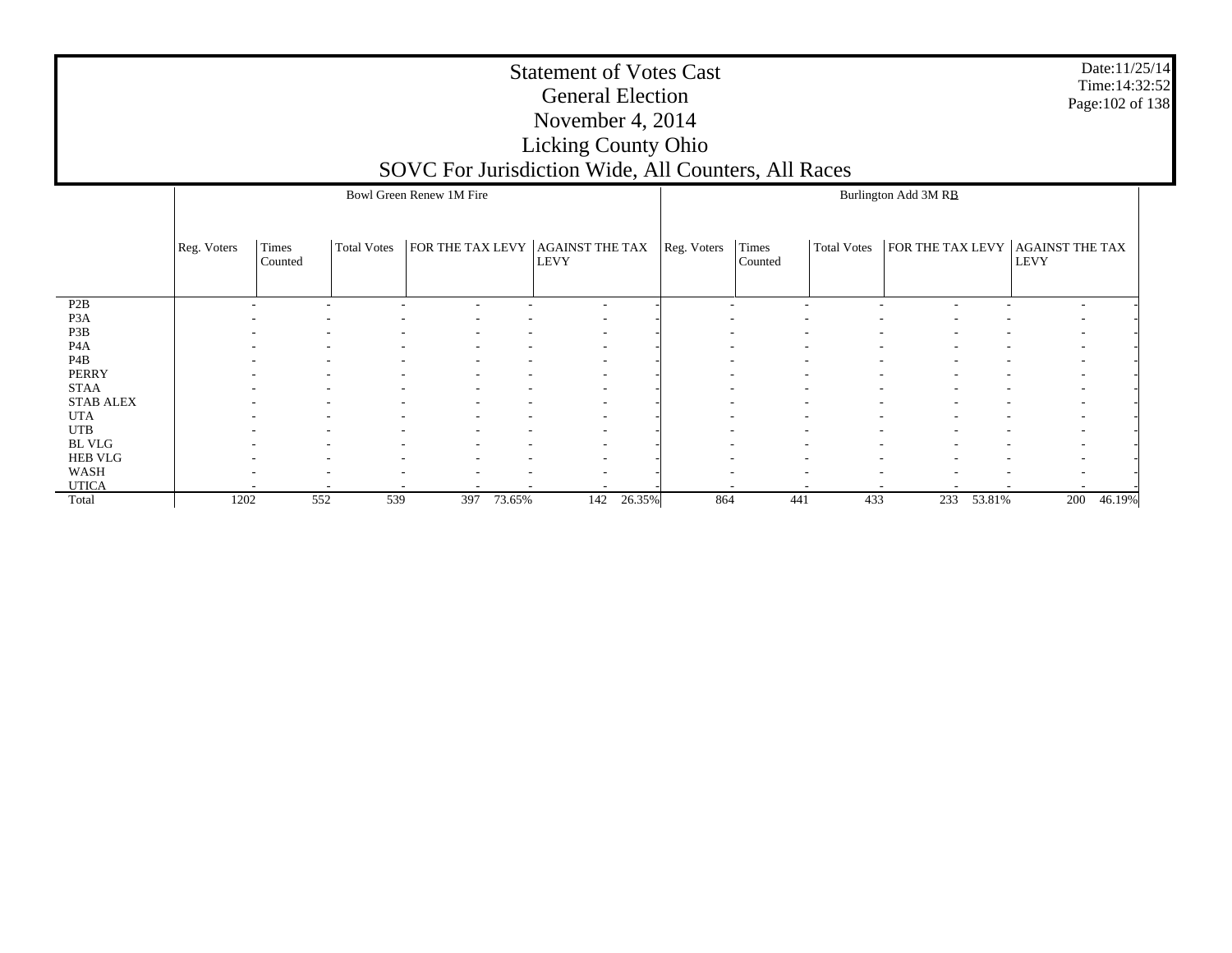P2B P3A P3B P4A P4B PERRY STAA STAB ALEX UTA UTB BL VLG HEB VLG WASH UTICA Total Reg. Voters | Times Counted Total Votess  $|FOR THE TAX LEVY | AGAINST THE TAX | Reg. Voters | Times$ LEVY Bowl Green Renew 1M FireCounted Total Votes $\,$ s  $\,$  | FOR THE TAX LEVY | AGAINST THE TAX LEVY Burlington Add 3M RB - - - - - - - - - - - - - - - - - - - - - - - - - - - - - - - - - - - - - - - - - - - - - - - - - - - - - - - - - - - - - - - - - - - - - - - - - - - - - - - - - - - - - - - - - - - - - - - - - - - - - - - - - - - - - - - - - - - - - - - - - - - - - - - - - - - - - - - - - - - - - - - - - - - - - - - - - - - - - - - - - - - - - - - - - - - - - - - - - - - - - - 1202 552 539 397 73.65%142 26.35% 864 441 433 233 53.81% 200 46.19%

Date:11/25/14 Time:14:32:52 Page:102 of 138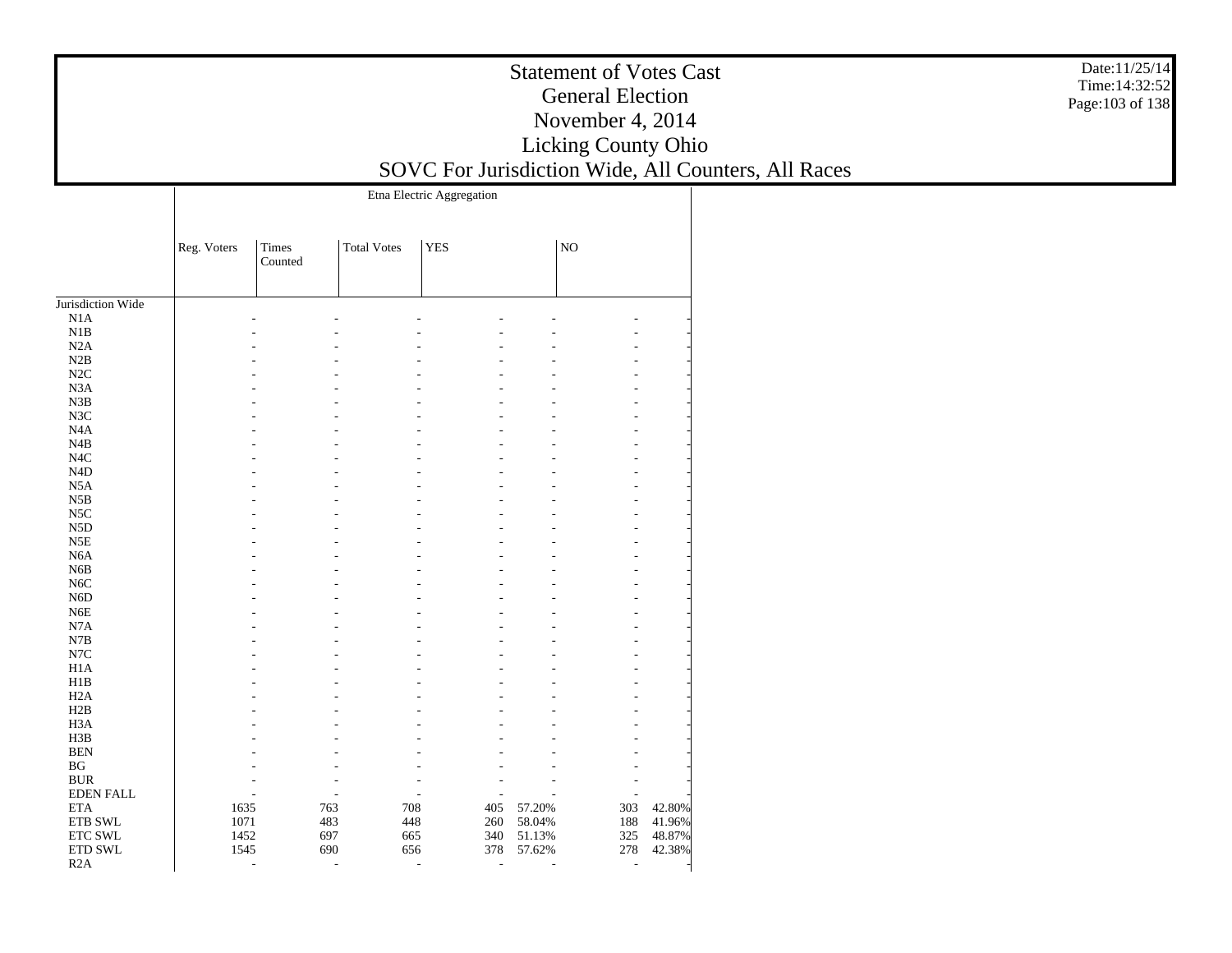|                      |             |                         |                    | Etna Electric Aggregation |                |                |        |
|----------------------|-------------|-------------------------|--------------------|---------------------------|----------------|----------------|--------|
|                      | Reg. Voters | <b>Times</b><br>Counted | <b>Total Votes</b> | <b>YES</b>                |                | NO             |        |
| Jurisdiction Wide    |             |                         |                    |                           |                |                |        |
| N1A                  |             |                         |                    |                           |                |                |        |
| N1B                  |             |                         |                    |                           |                |                |        |
| N2A                  |             |                         |                    |                           |                |                |        |
| N2B                  |             |                         |                    |                           |                |                |        |
| N2C                  |             |                         |                    |                           |                |                |        |
| N <sub>3</sub> A     |             |                         |                    |                           |                |                |        |
| N3B                  |             |                         |                    |                           |                |                |        |
| N3C                  |             |                         |                    |                           |                |                |        |
| N4A                  |             |                         |                    |                           |                |                |        |
| N4B                  |             |                         |                    |                           |                |                |        |
| N <sub>4</sub> C     |             |                         |                    |                           |                |                |        |
| N4D                  |             |                         |                    |                           |                |                |        |
| N5A                  |             |                         |                    |                           |                |                |        |
| N5B                  |             |                         |                    |                           |                |                |        |
| N5C                  |             |                         |                    |                           |                |                |        |
| N5D                  |             |                         |                    |                           |                |                |        |
| $_{\rm N5E}$         |             |                         |                    |                           |                |                |        |
| N6A                  |             |                         |                    |                           |                |                |        |
| N6B                  |             |                         |                    |                           |                |                |        |
| N <sub>6</sub> C     |             |                         |                    |                           |                |                |        |
| N6D                  |             |                         |                    |                           |                |                |        |
| N <sub>6</sub> E     |             |                         |                    |                           |                |                |        |
| N7A                  |             |                         |                    |                           |                |                |        |
| $_{\rm N7B}$         |             |                         |                    |                           |                |                |        |
| N7C                  |             |                         |                    |                           |                |                |        |
| H <sub>1</sub> A     |             |                         |                    |                           |                |                |        |
| H1B                  |             |                         |                    |                           |                |                |        |
| H2A                  |             |                         |                    |                           |                |                |        |
| H2B                  |             |                         |                    |                           |                |                |        |
| H <sub>3</sub> A     |             |                         |                    |                           |                |                |        |
| H3B                  |             |                         |                    |                           |                |                |        |
| $\operatorname{BEN}$ |             |                         |                    |                           |                |                |        |
| BG                   |             |                         |                    |                           |                |                |        |
| <b>BUR</b>           |             |                         |                    |                           |                |                |        |
| <b>EDEN FALL</b>     |             |                         |                    |                           | ٠              |                |        |
| <b>ETA</b>           | 1635        |                         | 763                | 708<br>405                | 57.20%         | 303            | 42.80% |
| ETB SWL              | 1071        |                         | 483                | 448<br>260                | 58.04%         | 188            | 41.96% |
| ETC SWL              | 1452        |                         | 697<br>665         | 340                       | 51.13%         | 325            | 48.87% |
| ETD SWL              | 1545        |                         | 690                | 656<br>378                | 57.62%         | 278            | 42.38% |
| R2A                  |             | L,                      | L,                 | L,                        | $\overline{a}$ | $\overline{a}$ |        |
|                      |             |                         |                    |                           |                |                |        |

Date:11/25/14 Time:14:32:52Page:103 of 138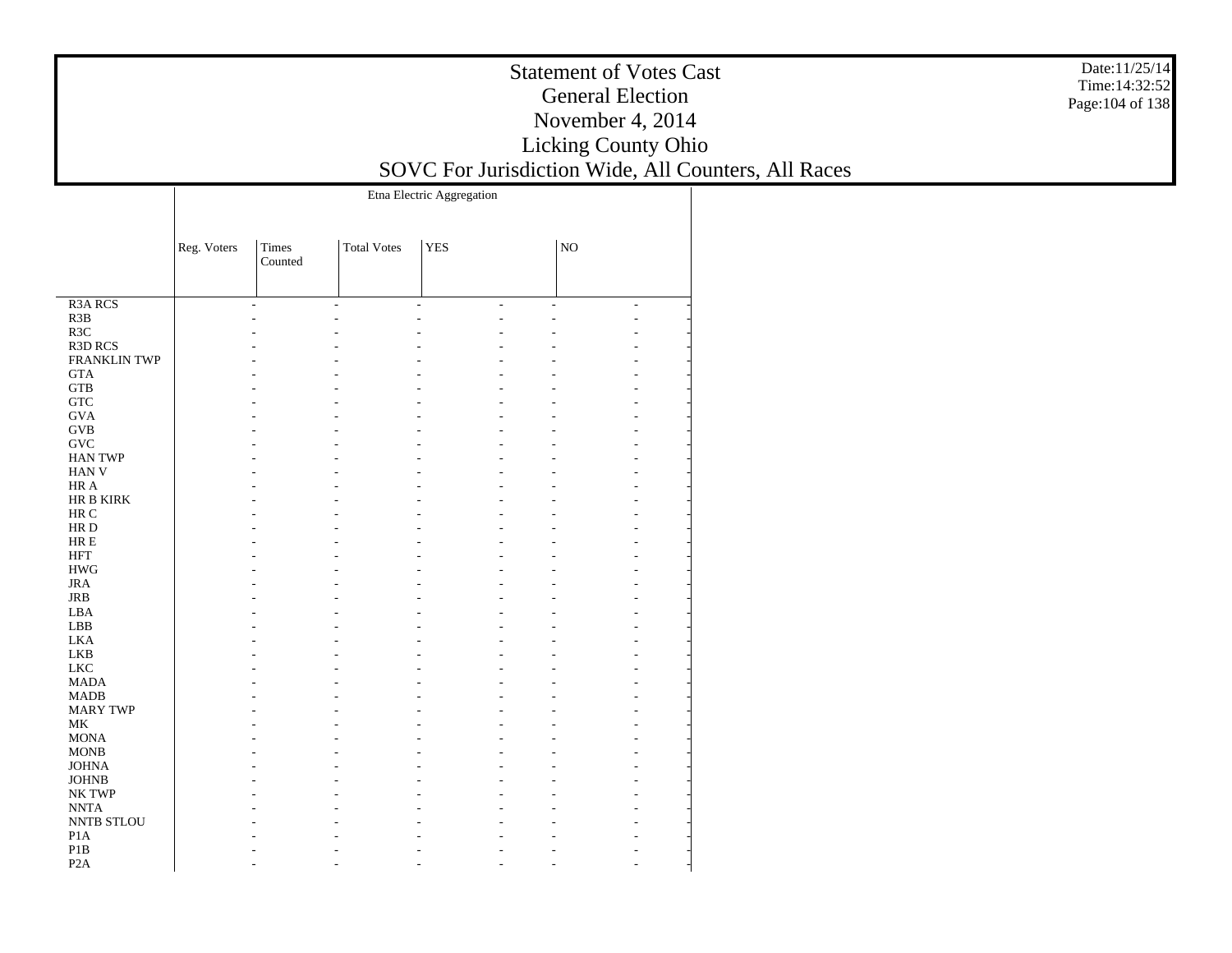|                                  | Etna Electric Aggregation |                  |                    |            |          |    |                |  |
|----------------------------------|---------------------------|------------------|--------------------|------------|----------|----|----------------|--|
|                                  | Reg. Voters               | Times<br>Counted | <b>Total Votes</b> | <b>YES</b> |          | NO |                |  |
| R <sub>3</sub> A RCS             |                           | ٠                | ÷                  |            | ÷,<br>÷, |    | $\overline{a}$ |  |
| R3B                              |                           |                  |                    |            |          |    |                |  |
| R3C                              |                           |                  |                    |            |          |    |                |  |
| R3D RCS                          |                           |                  |                    |            |          |    |                |  |
| FRANKLIN TWP                     |                           |                  |                    |            |          |    |                |  |
| <b>GTA</b>                       |                           |                  |                    |            |          |    |                |  |
| <b>GTB</b>                       |                           |                  |                    |            |          |    |                |  |
| <b>GTC</b>                       |                           |                  |                    |            |          |    |                |  |
| <b>GVA</b>                       |                           |                  |                    |            |          |    |                |  |
| <b>GVB</b>                       |                           |                  |                    |            |          |    |                |  |
| $\operatorname{GVC}$             |                           |                  |                    |            |          |    |                |  |
| <b>HAN TWP</b>                   |                           |                  |                    |            |          |    |                |  |
| <b>HAN V</b>                     |                           |                  |                    |            |          |    |                |  |
| HR A                             |                           |                  |                    |            |          |    |                |  |
| HR B KIRK                        |                           |                  |                    |            |          |    |                |  |
| HR C                             |                           |                  |                    |            |          |    |                |  |
| $\rm HR$ D                       |                           |                  |                    |            |          |    |                |  |
| $\rm{HR} \; E$                   |                           |                  |                    |            |          |    |                |  |
| <b>HFT</b>                       |                           |                  |                    |            |          |    |                |  |
| $\mathbf{H}\mathbf{W}\mathbf{G}$ |                           |                  |                    |            |          |    |                |  |
| <b>JRA</b>                       |                           |                  |                    |            |          |    |                |  |
| JRB                              |                           |                  |                    |            |          |    |                |  |
| LBA                              |                           |                  |                    |            |          |    |                |  |
| LBB                              |                           |                  |                    |            |          |    |                |  |
| <b>LKA</b>                       |                           |                  |                    |            |          |    |                |  |
| LKB                              |                           |                  |                    |            |          |    |                |  |
| <b>LKC</b>                       |                           |                  |                    |            |          |    |                |  |
| <b>MADA</b>                      |                           |                  |                    |            |          |    |                |  |
| <b>MADB</b>                      |                           |                  |                    |            |          |    |                |  |
| <b>MARY TWP</b>                  |                           |                  |                    |            |          |    |                |  |
| $\rm MK$                         |                           |                  |                    |            |          |    |                |  |
| <b>MONA</b>                      |                           |                  |                    |            |          |    |                |  |
| <b>MONB</b>                      |                           |                  |                    |            |          |    |                |  |
| <b>JOHNA</b>                     |                           |                  |                    |            |          |    |                |  |
| <b>JOHNB</b>                     |                           |                  |                    |            |          |    |                |  |
| NK TWP                           |                           |                  |                    |            |          |    |                |  |
| <b>NNTA</b>                      |                           |                  |                    |            |          |    |                |  |
| NNTB STLOU                       |                           |                  |                    |            |          |    |                |  |
| P <sub>1</sub> A                 |                           |                  |                    |            |          |    |                |  |
| P1B                              |                           |                  |                    |            |          |    |                |  |
| P <sub>2</sub> A                 |                           |                  |                    |            |          |    |                |  |

# Date:11/25/14 Time:14:32:52 Page:104 of 138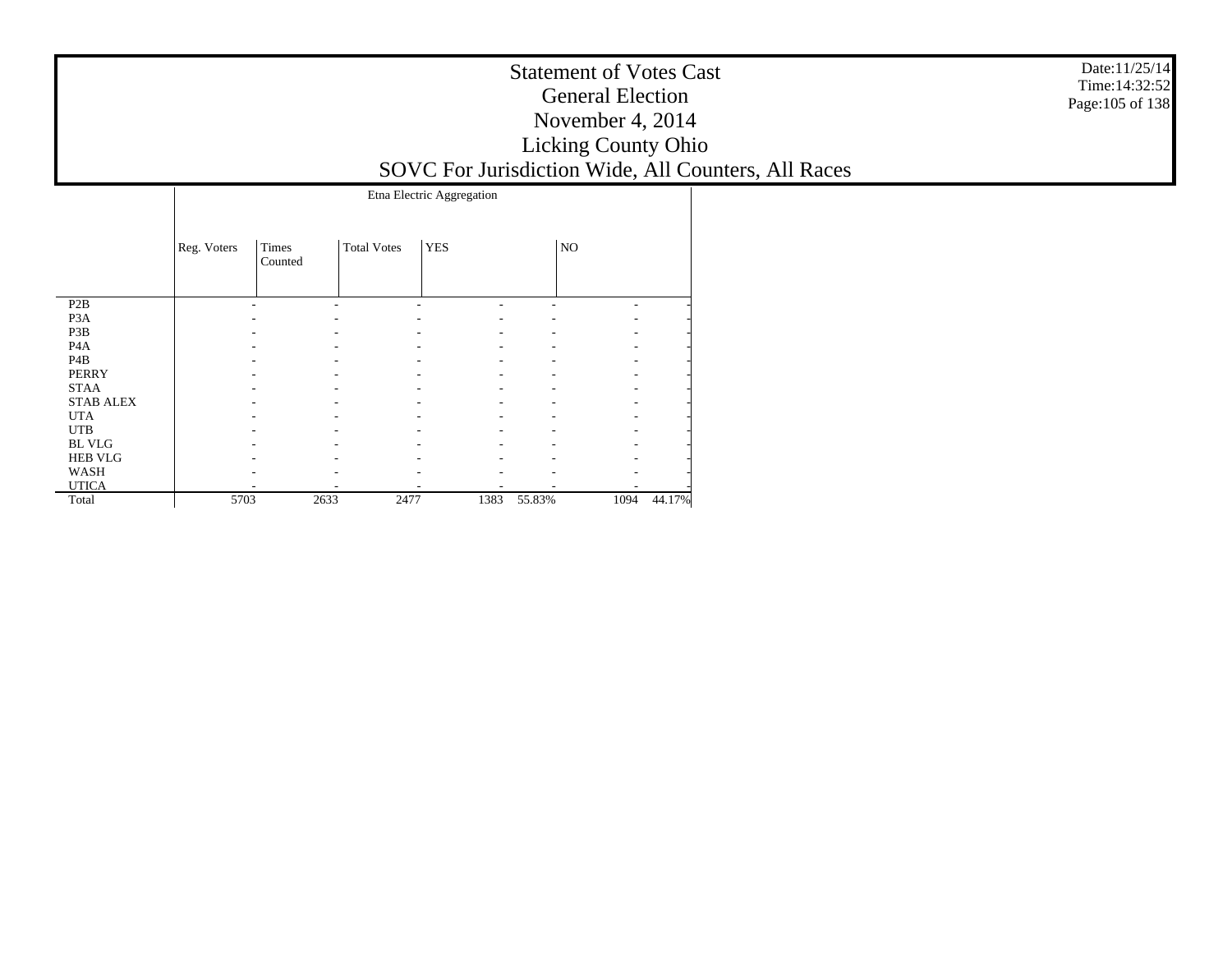|                  |             |                  |                    | Etna Electric Aggregation |        |      |        |
|------------------|-------------|------------------|--------------------|---------------------------|--------|------|--------|
|                  | Reg. Voters | Times<br>Counted | <b>Total Votes</b> | <b>YES</b>                |        | NO   |        |
| P <sub>2</sub> B |             |                  |                    |                           |        |      |        |
| P <sub>3</sub> A |             |                  |                    |                           |        |      |        |
| P3B              |             |                  |                    |                           |        |      |        |
| P <sub>4</sub> A |             |                  |                    |                           |        |      |        |
| P <sub>4</sub> B |             |                  |                    |                           |        | ۰    |        |
| <b>PERRY</b>     |             |                  |                    |                           |        |      |        |
| <b>STAA</b>      |             |                  |                    |                           |        |      |        |
| <b>STAB ALEX</b> |             |                  |                    |                           |        |      |        |
| <b>UTA</b>       |             |                  |                    |                           |        |      |        |
| <b>UTB</b>       |             |                  |                    |                           |        |      |        |
| <b>BL VLG</b>    |             |                  |                    |                           |        |      |        |
| <b>HEB VLG</b>   |             |                  |                    |                           |        |      |        |
| WASH             |             |                  |                    |                           |        |      |        |
| <b>UTICA</b>     |             |                  |                    |                           |        |      |        |
| Total            | 5703        | 2633             | 2477               | 1383                      | 55.83% | 1094 | 44.17% |

Date:11/25/14 Time:14:32:52 Page:105 of 138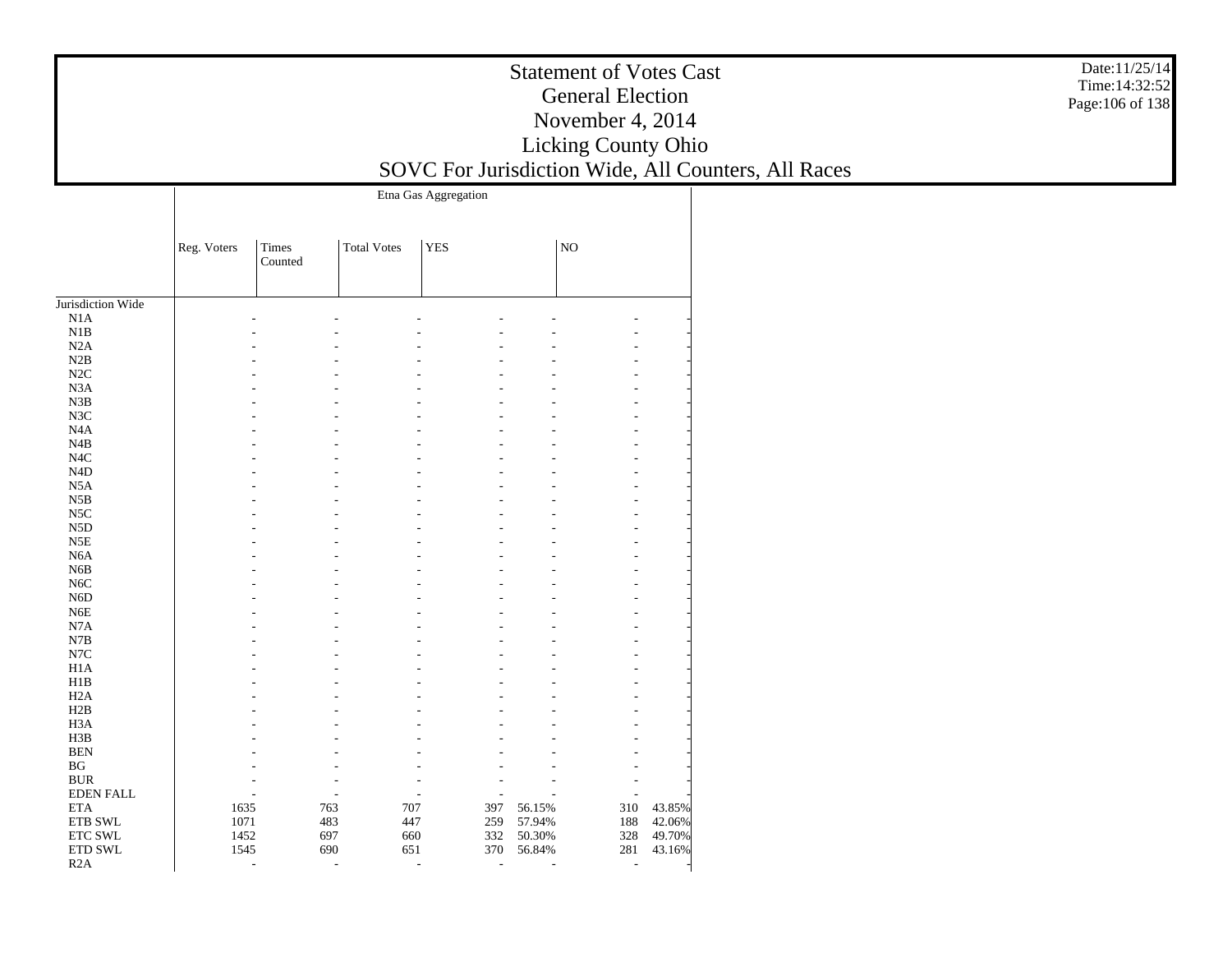|                                    |             |                          |                    |                | Etna Gas Aggregation     |                                            |        |  |  |  |  |  |  |  |
|------------------------------------|-------------|--------------------------|--------------------|----------------|--------------------------|--------------------------------------------|--------|--|--|--|--|--|--|--|
|                                    | Reg. Voters | <b>Times</b><br>Counted  | <b>Total Votes</b> | <b>YES</b>     |                          | NO                                         |        |  |  |  |  |  |  |  |
| Jurisdiction Wide                  |             |                          |                    |                |                          |                                            |        |  |  |  |  |  |  |  |
| N1A                                |             |                          |                    |                |                          |                                            |        |  |  |  |  |  |  |  |
| N1B                                |             |                          |                    |                | ÷                        | L,                                         |        |  |  |  |  |  |  |  |
| N2A                                |             |                          |                    |                |                          |                                            |        |  |  |  |  |  |  |  |
| N2B                                |             |                          |                    |                |                          |                                            |        |  |  |  |  |  |  |  |
| $\rm N2C$                          |             |                          |                    |                |                          |                                            |        |  |  |  |  |  |  |  |
| N3A                                |             |                          |                    |                |                          |                                            |        |  |  |  |  |  |  |  |
| N3B                                |             |                          |                    |                |                          |                                            |        |  |  |  |  |  |  |  |
| N3C                                |             |                          |                    |                |                          |                                            |        |  |  |  |  |  |  |  |
| N <sub>4</sub> A                   |             |                          |                    |                |                          |                                            |        |  |  |  |  |  |  |  |
| N4B                                |             |                          |                    |                |                          |                                            |        |  |  |  |  |  |  |  |
| N <sub>4</sub> C                   |             |                          |                    |                |                          |                                            |        |  |  |  |  |  |  |  |
| N <sub>4</sub> D                   |             |                          |                    |                |                          |                                            |        |  |  |  |  |  |  |  |
| N <sub>5</sub> A                   |             |                          |                    |                |                          |                                            |        |  |  |  |  |  |  |  |
| N5B                                |             |                          |                    |                |                          |                                            |        |  |  |  |  |  |  |  |
| N <sub>5</sub> C                   |             |                          |                    |                |                          |                                            |        |  |  |  |  |  |  |  |
| N <sub>5</sub> D                   |             |                          |                    |                |                          |                                            |        |  |  |  |  |  |  |  |
| $_{\rm N5E}$                       |             |                          |                    |                |                          |                                            |        |  |  |  |  |  |  |  |
| N <sub>6</sub> A                   |             |                          |                    |                |                          |                                            |        |  |  |  |  |  |  |  |
| N6B                                |             |                          |                    |                |                          |                                            |        |  |  |  |  |  |  |  |
| N6C                                |             |                          |                    |                |                          |                                            |        |  |  |  |  |  |  |  |
| N <sub>6</sub> D                   |             |                          |                    |                |                          |                                            |        |  |  |  |  |  |  |  |
| N <sub>6</sub> E                   |             |                          |                    |                |                          |                                            |        |  |  |  |  |  |  |  |
| N7A                                |             |                          |                    |                |                          |                                            |        |  |  |  |  |  |  |  |
| $_{\rm N7B}$                       |             |                          |                    |                |                          |                                            |        |  |  |  |  |  |  |  |
| $_{\mathrm{N7C}}$                  |             |                          |                    |                |                          |                                            |        |  |  |  |  |  |  |  |
| H1A                                |             |                          |                    |                |                          |                                            |        |  |  |  |  |  |  |  |
| H1B                                |             |                          |                    |                |                          |                                            |        |  |  |  |  |  |  |  |
| H2A                                |             |                          |                    |                |                          |                                            |        |  |  |  |  |  |  |  |
| H2B                                |             |                          |                    |                |                          |                                            |        |  |  |  |  |  |  |  |
| H <sub>3</sub> A                   |             |                          |                    |                |                          |                                            |        |  |  |  |  |  |  |  |
| H3B                                |             |                          |                    |                |                          |                                            |        |  |  |  |  |  |  |  |
|                                    |             |                          |                    |                |                          |                                            |        |  |  |  |  |  |  |  |
| <b>BEN</b>                         |             |                          |                    |                |                          |                                            |        |  |  |  |  |  |  |  |
| $\operatorname{B} G$<br><b>BUR</b> |             |                          |                    |                |                          |                                            |        |  |  |  |  |  |  |  |
|                                    |             |                          |                    |                | ٠                        |                                            |        |  |  |  |  |  |  |  |
| <b>EDEN FALL</b>                   |             |                          |                    |                | $\overline{\phantom{a}}$ | L,                                         |        |  |  |  |  |  |  |  |
| <b>ETA</b>                         | 1635        |                          | 763<br>707         |                | 397<br>56.15%            | 310                                        | 43.85% |  |  |  |  |  |  |  |
| ETB SWL                            | 1071        |                          | 483                | 447<br>259     | 57.94%                   | 188                                        | 42.06% |  |  |  |  |  |  |  |
| ETC SWL                            | 1452        |                          | 697                | 660<br>332     | 50.30%                   | 328                                        | 49.70% |  |  |  |  |  |  |  |
| ETD SWL                            | 1545        |                          | 690<br>651         |                | 370<br>56.84%            | 281                                        | 43.16% |  |  |  |  |  |  |  |
| R2A                                |             | $\overline{\phantom{a}}$ | $\sim$             | $\overline{a}$ | $\overline{\phantom{a}}$ | $\overline{\phantom{a}}$<br>$\overline{a}$ |        |  |  |  |  |  |  |  |

Date:11/25/14 Time:14:32:52Page:106 of 138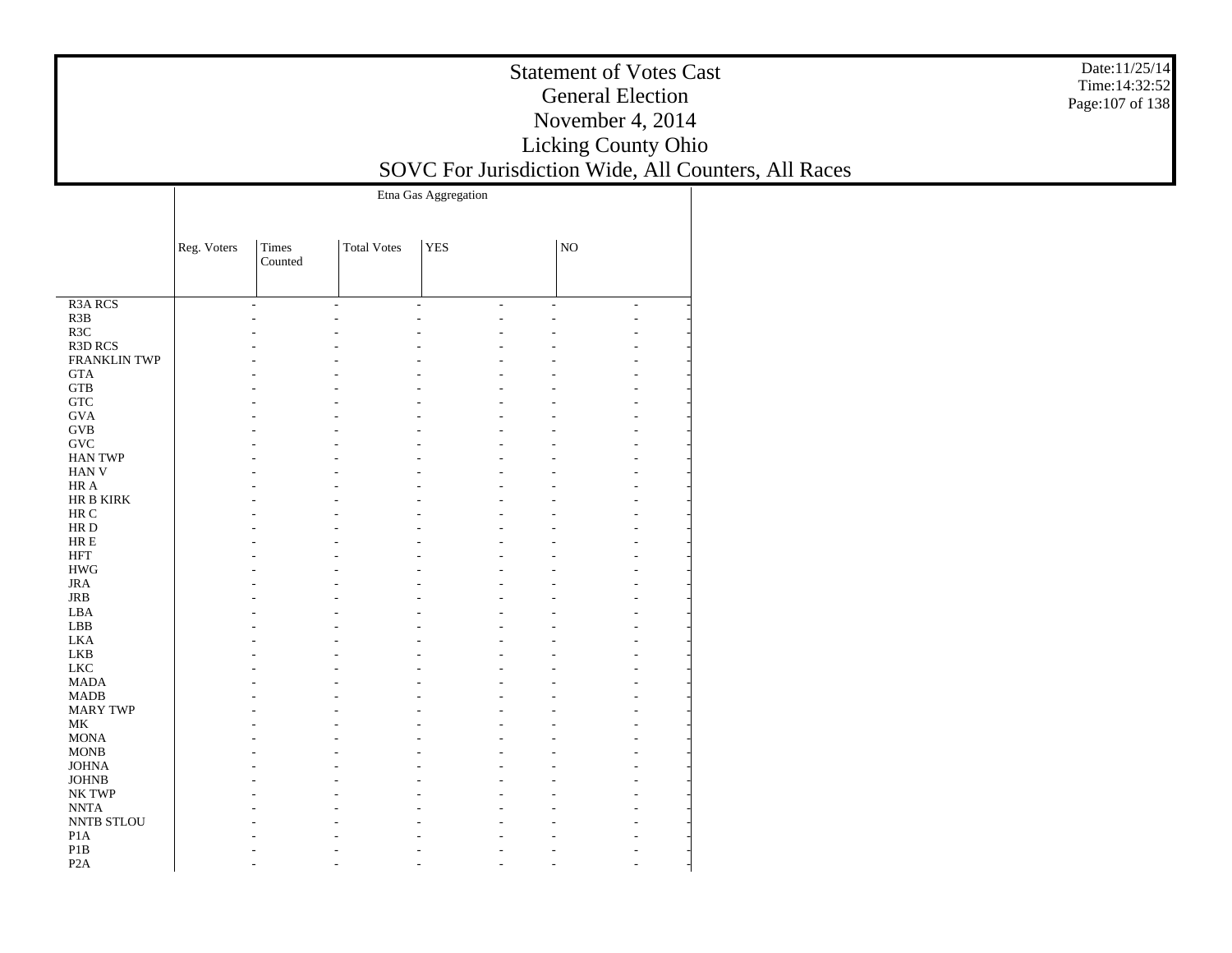|                      | Etna Gas Aggregation |                  |                    |            |    |                |                          |  |
|----------------------|----------------------|------------------|--------------------|------------|----|----------------|--------------------------|--|
|                      | Reg. Voters          | Times<br>Counted | <b>Total Votes</b> | <b>YES</b> |    | NO             |                          |  |
| R <sub>3</sub> A RCS |                      | $\overline{a}$   | ÷.                 | L.         | ÷, | $\overline{a}$ | $\overline{\phantom{a}}$ |  |
| R3B                  |                      |                  |                    |            |    |                |                          |  |
| R <sub>3</sub> C     |                      |                  |                    |            |    |                |                          |  |
| <b>R3D RCS</b>       |                      |                  |                    |            |    |                |                          |  |
| <b>FRANKLIN TWP</b>  |                      |                  |                    |            |    |                |                          |  |
| <b>GTA</b>           |                      |                  |                    |            |    |                |                          |  |
| ${\rm GTB}$          |                      |                  |                    |            |    |                |                          |  |
| ${\rm GTC}$          |                      |                  |                    |            |    |                |                          |  |
| <b>GVA</b>           |                      |                  |                    |            |    |                |                          |  |
| $\rm GVB$            |                      |                  |                    |            |    |                |                          |  |
| $\operatorname{GVC}$ |                      |                  |                    |            |    |                |                          |  |
| <b>HAN TWP</b>       |                      |                  |                    |            |    |                |                          |  |
| HAN V                |                      |                  |                    |            |    |                |                          |  |
| HR A                 |                      |                  |                    |            |    |                |                          |  |
| HR B KIRK            |                      |                  |                    |            |    |                |                          |  |
| HR C                 |                      |                  |                    |            |    |                |                          |  |
| HR D                 |                      |                  |                    |            |    |                |                          |  |
| ${\rm HR} \to$       |                      |                  |                    |            |    |                |                          |  |
| $\operatorname{HFT}$ |                      |                  |                    |            |    |                |                          |  |
| <b>HWG</b>           |                      |                  |                    |            |    |                |                          |  |
| $_{\rm JRA}$         |                      |                  |                    |            |    |                |                          |  |
| <b>JRB</b>           |                      |                  |                    |            |    |                |                          |  |
| LBA                  |                      |                  |                    |            |    |                |                          |  |
| LBB                  |                      |                  |                    |            |    |                |                          |  |
| <b>LKA</b>           |                      |                  |                    |            |    |                |                          |  |
| <b>LKB</b>           |                      |                  |                    |            |    |                |                          |  |
| <b>LKC</b>           |                      |                  |                    |            |    |                |                          |  |
| <b>MADA</b>          |                      |                  |                    |            |    |                |                          |  |
| <b>MADB</b>          |                      |                  |                    |            |    |                |                          |  |
| <b>MARY TWP</b>      |                      |                  |                    |            |    |                |                          |  |
| MK                   |                      |                  |                    |            |    |                |                          |  |
| <b>MONA</b>          |                      |                  |                    |            |    |                |                          |  |
| <b>MONB</b>          |                      |                  |                    |            |    |                |                          |  |
| <b>JOHNA</b>         |                      |                  |                    |            |    |                |                          |  |
| <b>JOHNB</b>         |                      |                  |                    |            |    |                |                          |  |
| NK TWP               |                      |                  |                    |            |    |                |                          |  |
| <b>NNTA</b>          |                      |                  |                    |            |    |                |                          |  |
| NNTB STLOU           |                      |                  |                    |            |    |                |                          |  |
| P <sub>1</sub> A     |                      |                  |                    |            |    |                |                          |  |
| P1B                  |                      |                  |                    |            |    |                |                          |  |
| P <sub>2</sub> A     |                      |                  |                    |            |    |                |                          |  |

Date:11/25/14 Time:14:32:52 Page:107 of 138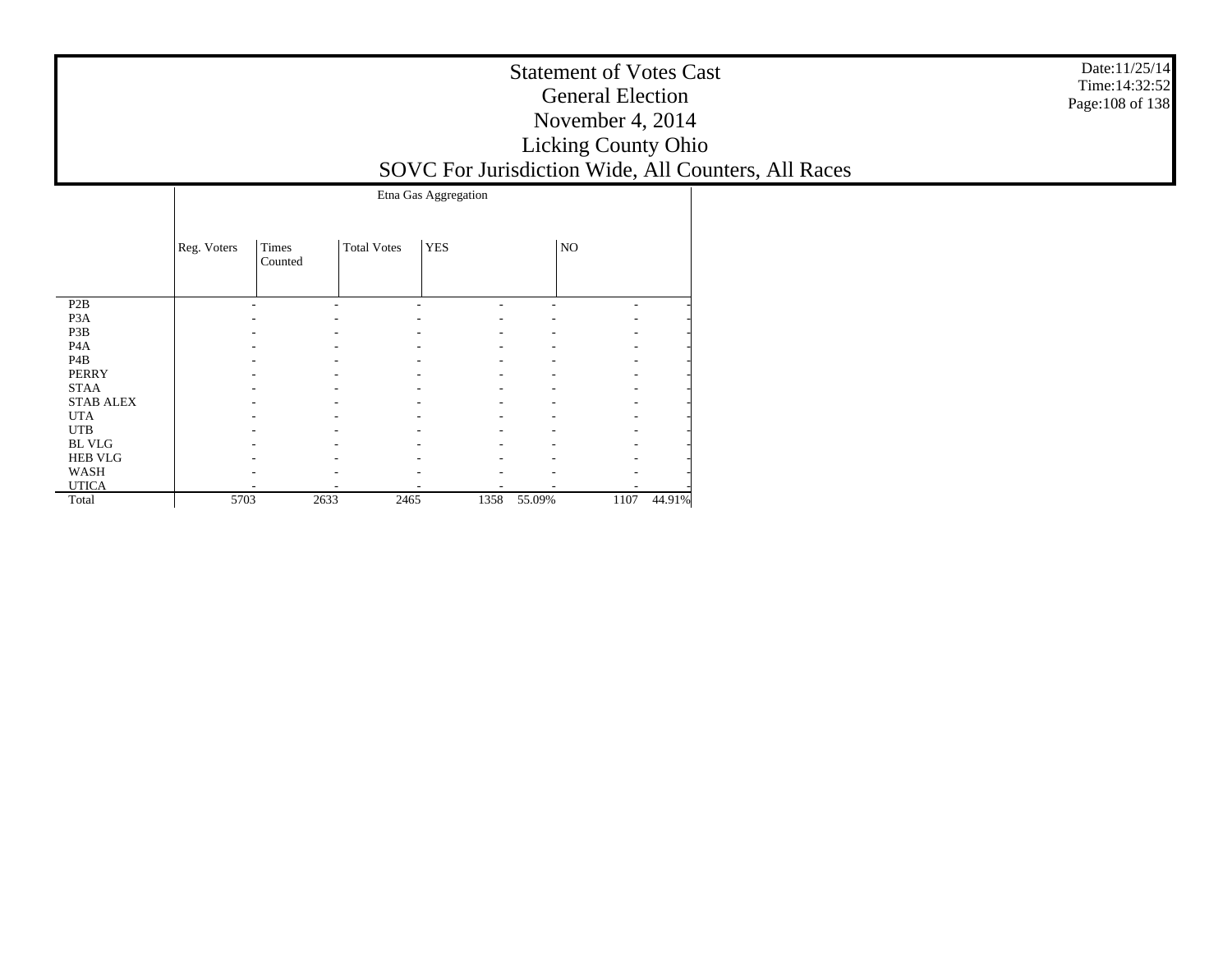|                  |             |                  |                    | Etna Gas Aggregation |        |      |        |
|------------------|-------------|------------------|--------------------|----------------------|--------|------|--------|
|                  | Reg. Voters | Times<br>Counted | <b>Total Votes</b> | <b>YES</b>           |        | NO   |        |
| P <sub>2</sub> B |             |                  |                    |                      |        |      |        |
| P <sub>3</sub> A |             |                  |                    |                      |        |      |        |
| P3B              |             |                  |                    |                      |        |      |        |
| P <sub>4</sub> A |             |                  |                    |                      |        |      |        |
| P <sub>4</sub> B |             |                  |                    |                      |        |      |        |
| <b>PERRY</b>     |             |                  |                    |                      |        |      |        |
| <b>STAA</b>      |             |                  |                    |                      |        |      |        |
| <b>STAB ALEX</b> |             |                  |                    |                      |        |      |        |
| <b>UTA</b>       |             |                  |                    |                      |        |      |        |
| <b>UTB</b>       |             |                  |                    |                      |        |      |        |
| <b>BL VLG</b>    |             |                  |                    |                      |        |      |        |
| <b>HEB VLG</b>   |             |                  |                    |                      |        |      |        |
| WASH             |             |                  |                    |                      |        |      |        |
| <b>UTICA</b>     |             |                  |                    |                      |        |      |        |
| Total            | 5703        | 2633             | 2465               | 1358                 | 55.09% | 1107 | 44.91% |

Date:11/25/14 Time:14:32:52Page:108 of 138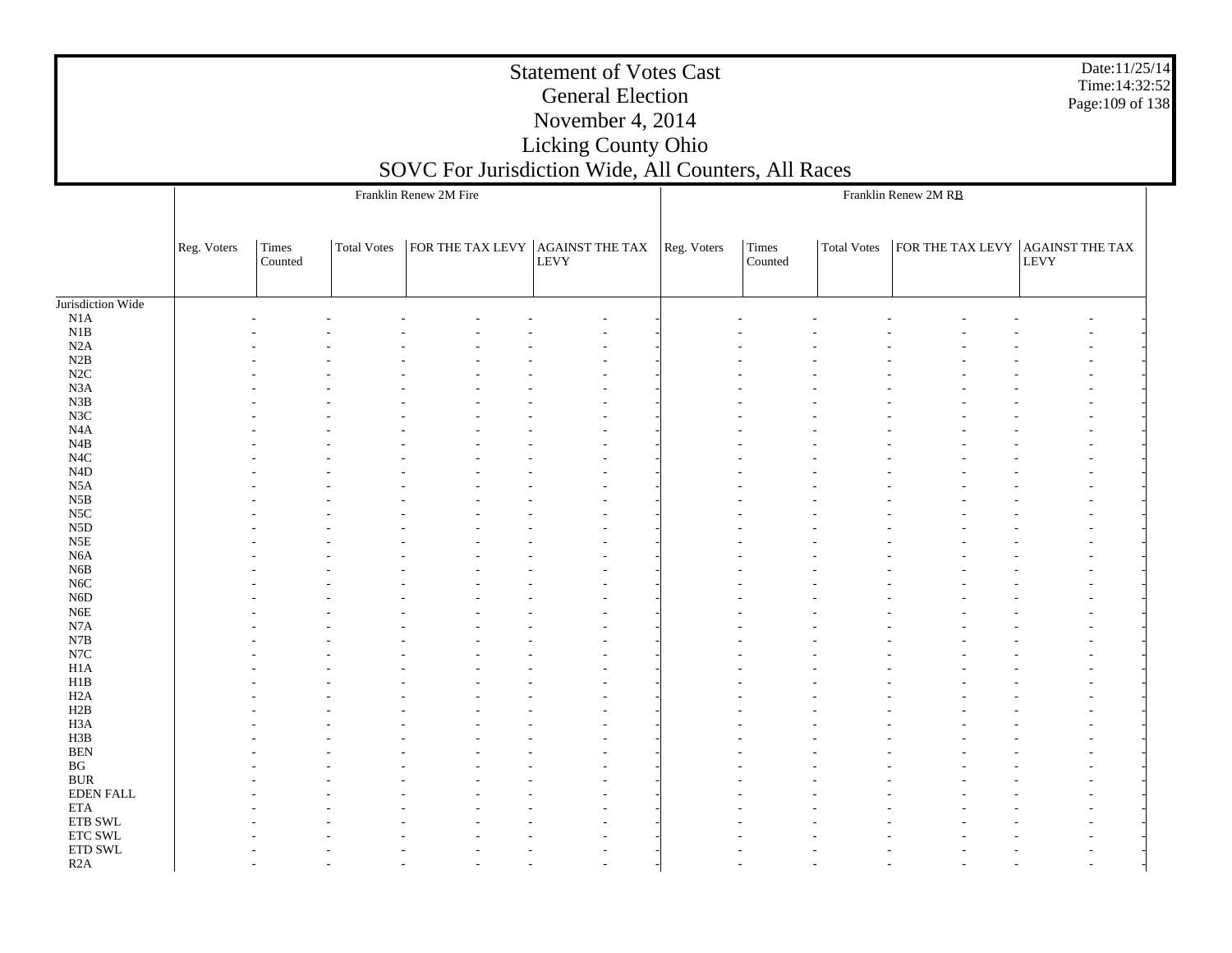Jurisdiction Wide N1A N1B N2A N2B N2C N3A N3B N3C N4A N4B N4C N4D N5A N5B N5C N5D N5E N6A N6B N6C N6D N6E N7A N7B N7C H1A H1B H2A H2B H3A H3B BEN BG BUR EDEN FALL ETA ETB SWL ETC SWL ETD SWL R2AReg. Voters | Times Counted Total Votess  $|FOR THE TAX LEVY | AGAINST THE TAX | Reg. Voters | Times$ LEVY Franklin Renew 2M FireCounted Total Votes $\,$ s  $\,$  | FOR THE TAX LEVY | AGAINST THE TAX  $\,$ LEVY Franklin Renew 2M RB - - - - - - - - - - - - - - - - - - - - - - - - - - - - - - - - - - - - - - - - - - - - - - - - - - - - - - - - - - - - - - - - - - - - - - - - - - - - - - - - - - - - - - - - - - - - - - - - - - - - - - - - - - - - - - - - - - - - - - - - - - - - - - - - - - - - - - - - - - - - - - - - - - - - - - - - - - - - - - - - - - - - - - - - - - - - - - - - - - - - - - - - - - - - - - - - - - - - - - - - - - - - - - - - - - - - - - - - - - - - - - - - - - - - - - - - - - - - - - - - - - - - - - - - - - - - - - - - - - - - - - - - - - - - - - - - - - - - - - - - - - - - - - - - - - - - - - - - - - - - - - - - - - - - - - - - - - - - - - - - - - - - - - - - - - - - - - - - - - - - - - - - - - - - - - - - - - - - - - - - - - - - - - - - - - - - - - - - - - - - - - - - - - - - - - - - - - - - - - - - - - - - - - - - - - - - - - - - - - - - - - - - - - - - - - - - - - - - - - - - - - - - - - - - - - - - - - - - - - - - - - - - - - - - - - - - - - - - - - - - - - - - - - - - - - - - - - - - - - - - - - - - - - - - - - - - - - - - - - - -

Date:11/25/14Time:14:32:52Page:109 of 138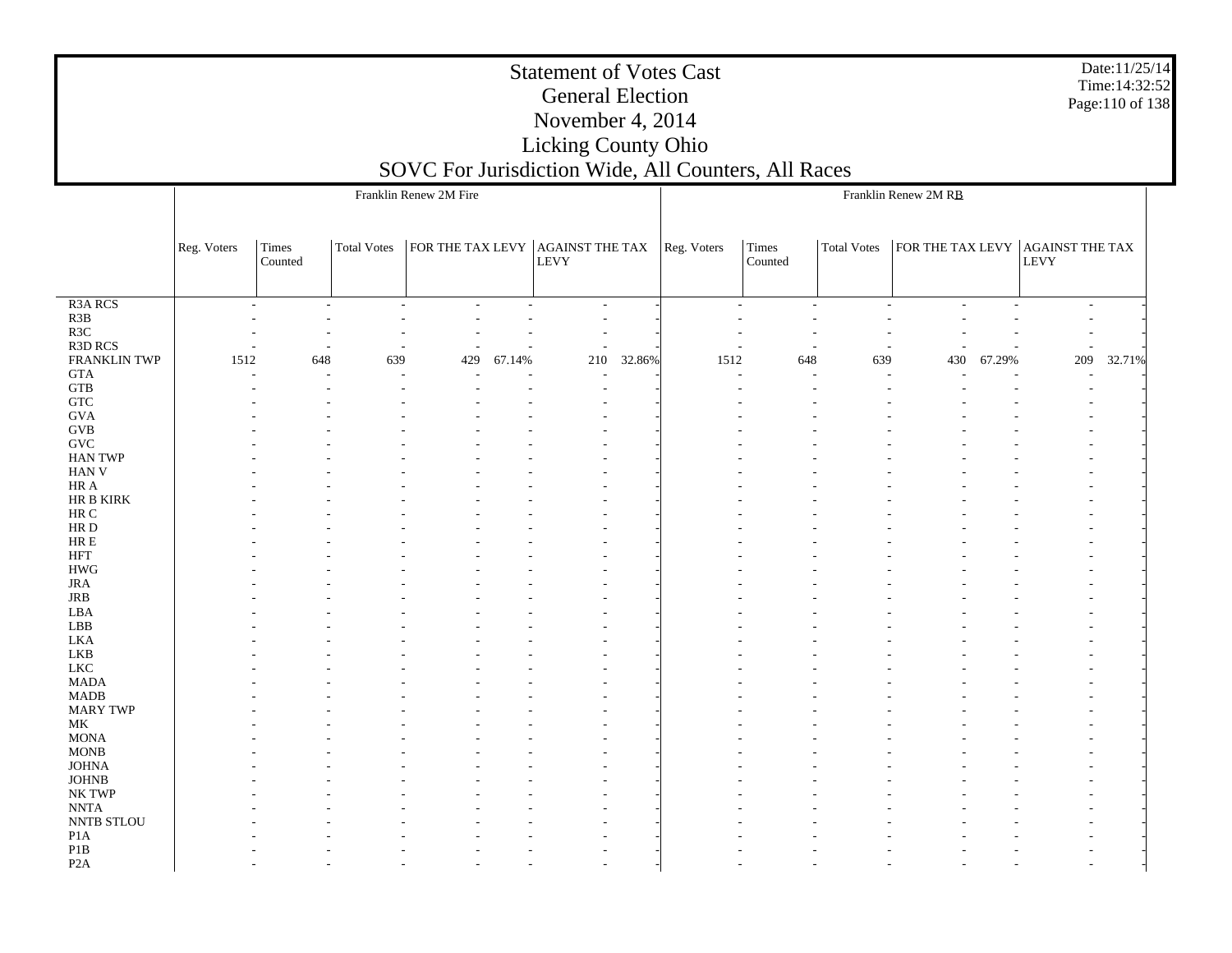|                                   |             |                  |             | Franklin Renew 2M Fire           |        |      |        |             |                  |             | Franklin Renew 2M RB                             |        |                          |        |
|-----------------------------------|-------------|------------------|-------------|----------------------------------|--------|------|--------|-------------|------------------|-------------|--------------------------------------------------|--------|--------------------------|--------|
|                                   |             |                  |             |                                  |        |      |        |             |                  |             |                                                  |        |                          |        |
|                                   |             |                  |             |                                  |        |      |        |             |                  |             |                                                  |        |                          |        |
|                                   | Reg. Voters | Times<br>Counted | Total Votes | FOR THE TAX LEVY AGAINST THE TAX |        | LEVY |        | Reg. Voters | Times<br>Counted | Total Votes | $\vert$ FOR THE TAX LEVY $\vert$ AGAINST THE TAX |        | LEVY                     |        |
|                                   |             |                  |             |                                  |        |      |        |             |                  |             |                                                  |        |                          |        |
| R <sub>3</sub> A RCS              |             |                  |             |                                  |        |      |        |             |                  |             |                                                  |        |                          |        |
| R3B                               |             |                  | $\sim$      | $\overline{\phantom{a}}$         |        |      |        |             |                  | $\sim$      |                                                  |        | $\overline{\phantom{a}}$ |        |
| R3C                               |             |                  |             |                                  |        |      |        |             |                  |             |                                                  |        |                          |        |
| R3D RCS                           |             |                  |             |                                  |        |      |        |             |                  |             |                                                  |        |                          |        |
| FRANKLIN TWP                      | 1512        | 648              | 639         | 429                              | 67.14% | 210  | 32.86% | 1512        | 648              | 639         | 430                                              | 67.29% | 209                      | 32.71% |
| $\operatorname{GTA}$              |             |                  |             |                                  |        |      |        |             |                  |             |                                                  |        |                          |        |
| <b>GTB</b>                        |             |                  |             |                                  |        |      |        |             |                  |             |                                                  |        |                          |        |
| ${\rm GTC}$                       |             |                  |             |                                  |        |      |        |             |                  |             |                                                  |        |                          |        |
| $\rm GVA$                         |             |                  |             |                                  |        |      |        |             |                  |             |                                                  |        |                          |        |
| $\rm GVB$<br>$\operatorname{GVC}$ |             |                  |             |                                  |        |      |        |             |                  |             |                                                  |        |                          |        |
| <b>HAN TWP</b>                    |             |                  |             |                                  |        |      |        |             |                  |             |                                                  |        |                          |        |
| HAN V                             |             |                  |             |                                  |        |      |        |             |                  |             |                                                  |        |                          |        |
| $\rm{HR}$ A                       |             |                  |             |                                  |        |      |        |             |                  |             |                                                  |        |                          |        |
| HR B KIRK                         |             |                  |             |                                  |        |      |        |             |                  |             |                                                  |        |                          |        |
| $\rm{HR}$ C                       |             |                  |             |                                  |        |      |        |             |                  |             |                                                  |        |                          |        |
| $\rm HR$ D                        |             |                  |             |                                  |        |      |        |             |                  |             |                                                  |        |                          |        |
| $HRE$                             |             |                  |             |                                  |        |      |        |             |                  |             |                                                  |        |                          |        |
| <b>HFT</b>                        |             |                  |             |                                  |        |      |        |             |                  |             |                                                  |        |                          |        |
| <b>HWG</b>                        |             |                  |             |                                  |        |      |        |             |                  |             |                                                  |        |                          |        |
| $_{\rm JRA}$                      |             |                  |             |                                  |        |      |        |             |                  |             |                                                  |        |                          |        |
| $_{\rm JRB}$                      |             |                  |             |                                  |        |      |        |             |                  |             |                                                  |        |                          |        |
| LBA<br>LBB                        |             |                  |             |                                  |        |      |        |             |                  |             |                                                  |        |                          |        |
| LKA                               |             |                  |             |                                  |        |      |        |             |                  |             |                                                  |        |                          |        |
| ${\rm LKB}$                       |             |                  |             |                                  |        |      |        |             |                  |             |                                                  |        |                          |        |
| <b>LKC</b>                        |             |                  |             |                                  |        |      |        |             |                  |             |                                                  |        |                          |        |
| $\ensuremath{\mathsf{MADA}}$      |             |                  |             |                                  |        |      |        |             |                  |             |                                                  |        |                          |        |
| <b>MADB</b>                       |             |                  |             |                                  |        |      |        |             |                  |             |                                                  |        |                          |        |
| <b>MARY TWP</b>                   |             |                  |             |                                  |        |      |        |             |                  |             |                                                  |        |                          |        |
| $\rm MK$                          |             |                  |             |                                  |        |      |        |             |                  |             |                                                  |        |                          |        |
| $\operatorname{MONA}$             |             |                  |             |                                  |        |      |        |             |                  |             |                                                  |        |                          |        |
| $\rm{MONB}$                       |             |                  |             |                                  |        |      |        |             |                  |             |                                                  |        |                          |        |
| <b>JOHNA</b><br>$_{\rm JOHNB}$    |             |                  |             |                                  |        |      |        |             |                  |             |                                                  |        |                          |        |
| NK TWP                            |             |                  |             |                                  |        |      |        |             |                  |             |                                                  |        |                          |        |
| $\ensuremath{\text{NNTA}}$        |             |                  |             |                                  |        |      |        |             |                  |             |                                                  |        |                          |        |
| NNTB STLOU                        |             |                  |             |                                  |        |      |        |             |                  |             |                                                  |        |                          |        |
| P1A                               |             |                  |             |                                  |        |      |        |             |                  |             |                                                  |        |                          |        |
| P1B                               |             |                  |             |                                  |        |      |        |             |                  |             |                                                  |        |                          |        |
| P <sub>2</sub> A                  |             |                  |             |                                  |        |      |        |             |                  |             |                                                  |        |                          |        |

Date:11/25/14 Time:14:32:52 Page:110 of 138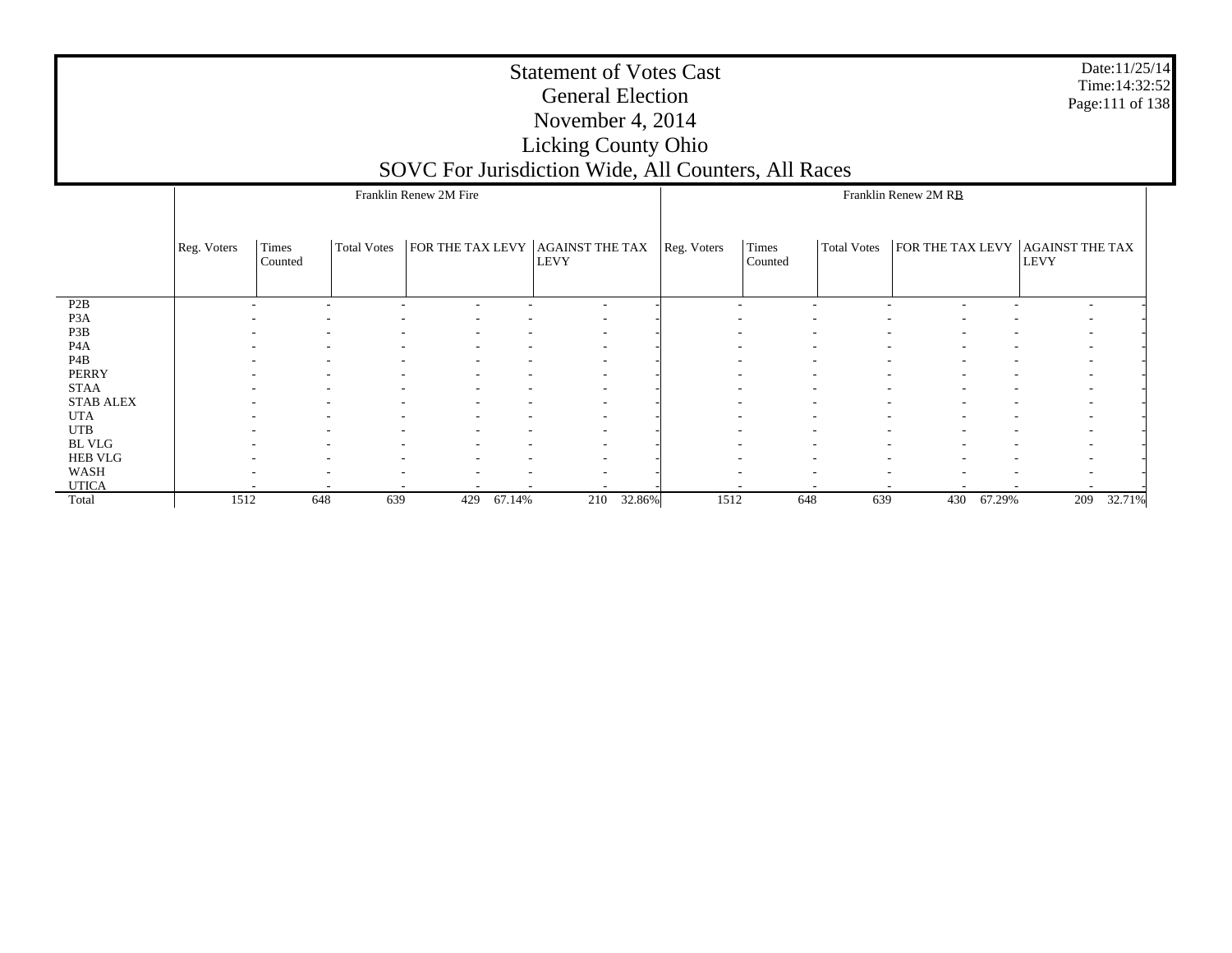|                  |             |                          |                          | Franklin Renew 2M Fire                               |        |                                          |        |                          |                  |                          | Franklin Renew 2M RB     |                          |                                       |        |
|------------------|-------------|--------------------------|--------------------------|------------------------------------------------------|--------|------------------------------------------|--------|--------------------------|------------------|--------------------------|--------------------------|--------------------------|---------------------------------------|--------|
|                  | Reg. Voters | Times<br>Counted         | <b>Total Votes</b>       |                                                      |        | FOR THE TAX LEVY AGAINST THE TAX<br>LEVY |        | Reg. Voters              | Times<br>Counted | <b>Total Votes</b>       | <b>FOR THE TAX LEVY</b>  |                          | <b>AGAINST THE TAX</b><br><b>LEVY</b> |        |
| P <sub>2</sub> B |             | $\sim$                   | ۰                        | ۰                                                    |        | $\overline{\phantom{a}}$                 |        | $\sim$                   |                  | $\overline{\phantom{a}}$ |                          |                          | $\overline{\phantom{a}}$              |        |
| P <sub>3</sub> A |             |                          |                          |                                                      |        |                                          |        |                          |                  |                          |                          |                          |                                       |        |
| P3B              |             |                          |                          |                                                      |        |                                          |        |                          |                  |                          |                          |                          |                                       |        |
| P <sub>4</sub> A |             | $\sim$                   | $\overline{\phantom{a}}$ | $\overline{\phantom{a}}$<br>$\overline{\phantom{a}}$ |        | $\overline{\phantom{a}}$                 |        | $\overline{\phantom{a}}$ |                  | $\overline{\phantom{a}}$ | $\overline{\phantom{a}}$ | $\overline{\phantom{a}}$ | $\overline{\phantom{a}}$              |        |
| P4B              |             | $\sim$                   |                          | ۰                                                    |        | $\overline{\phantom{a}}$                 |        | $\overline{a}$           |                  | ۰                        | $\overline{\phantom{a}}$ |                          | $\overline{\phantom{a}}$              |        |
| PERRY            |             |                          |                          |                                                      |        |                                          |        |                          |                  |                          |                          |                          | $\overline{\phantom{a}}$              |        |
| <b>STAA</b>      |             |                          |                          |                                                      |        |                                          |        |                          |                  |                          |                          |                          |                                       |        |
| <b>STAB ALEX</b> |             | $\overline{\phantom{a}}$ |                          | $\overline{\phantom{a}}$                             |        | $\overline{\phantom{a}}$                 |        |                          |                  | ۰                        |                          |                          | $\overline{\phantom{a}}$              |        |
| <b>UTA</b>       |             | $\sim$                   |                          | $\overline{\phantom{a}}$<br>$\overline{\phantom{a}}$ |        | $\overline{\phantom{a}}$                 |        | $\overline{\phantom{a}}$ |                  | ۰                        | $\overline{\phantom{a}}$ | $\overline{\phantom{a}}$ | $\overline{\phantom{a}}$              |        |
| <b>UTB</b>       |             |                          |                          |                                                      |        |                                          |        |                          |                  |                          |                          |                          |                                       |        |
| <b>BL VLG</b>    |             |                          |                          |                                                      |        | $\overline{\phantom{a}}$                 |        |                          |                  |                          |                          |                          |                                       |        |
| <b>HEB VLG</b>   |             |                          |                          | ۰                                                    |        | ٠                                        |        |                          |                  | ٠                        |                          |                          |                                       |        |
| WASH             |             |                          |                          | ۰<br>$\overline{\phantom{a}}$                        |        | $\overline{\phantom{a}}$                 |        |                          |                  |                          | $\overline{\phantom{a}}$ |                          |                                       |        |
| <b>UTICA</b>     |             |                          |                          |                                                      |        |                                          |        |                          |                  |                          |                          |                          |                                       |        |
| Total            | 1512        |                          | 639<br>648               | 429                                                  | 67.14% | 210                                      | 32.86% | 1512                     | 648              | 639                      | 430                      | 67.29%                   | 209                                   | 32.71% |

Date:11/25/14 Time:14:32:52 Page:111 of 138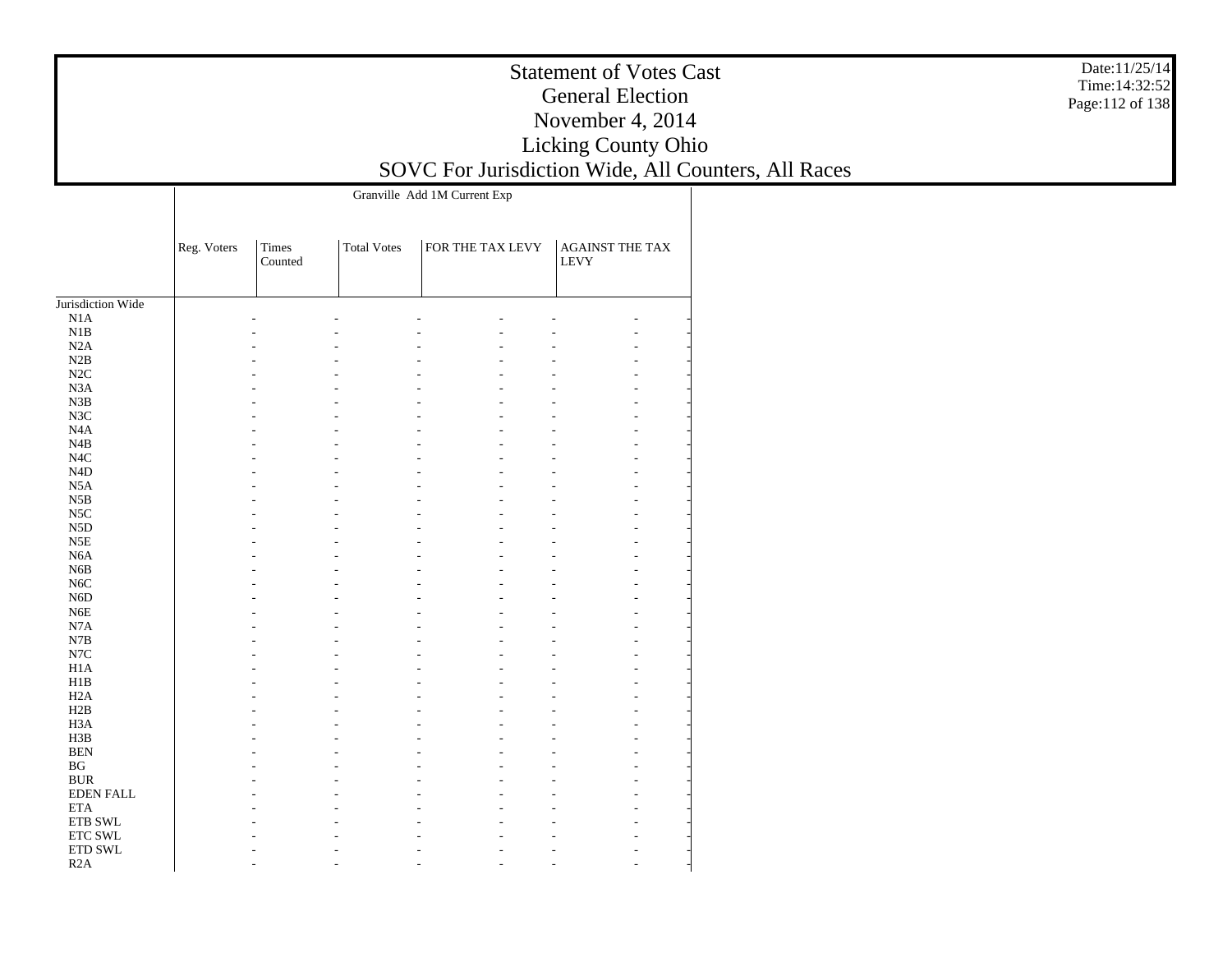|                               | Granville Add 1M Current Exp |                  |                    |                  |                                       |  |  |  |  |  |  |  |
|-------------------------------|------------------------------|------------------|--------------------|------------------|---------------------------------------|--|--|--|--|--|--|--|
|                               |                              |                  |                    |                  |                                       |  |  |  |  |  |  |  |
|                               |                              |                  |                    |                  |                                       |  |  |  |  |  |  |  |
|                               | Reg. Voters                  | Times<br>Counted | <b>Total Votes</b> | FOR THE TAX LEVY | <b>AGAINST THE TAX</b><br><b>LEVY</b> |  |  |  |  |  |  |  |
|                               |                              |                  |                    |                  |                                       |  |  |  |  |  |  |  |
| Jurisdiction Wide             |                              |                  |                    |                  |                                       |  |  |  |  |  |  |  |
| N1A                           |                              |                  |                    |                  |                                       |  |  |  |  |  |  |  |
| N1B                           |                              |                  |                    |                  |                                       |  |  |  |  |  |  |  |
| N2A                           |                              |                  |                    |                  |                                       |  |  |  |  |  |  |  |
| N2B                           |                              |                  |                    |                  |                                       |  |  |  |  |  |  |  |
| N2C                           |                              |                  |                    |                  |                                       |  |  |  |  |  |  |  |
| N3A                           |                              |                  |                    |                  |                                       |  |  |  |  |  |  |  |
| N3B                           |                              |                  |                    |                  |                                       |  |  |  |  |  |  |  |
| N3C                           |                              |                  |                    |                  |                                       |  |  |  |  |  |  |  |
| N4A                           |                              |                  |                    |                  |                                       |  |  |  |  |  |  |  |
| N4B                           |                              |                  |                    |                  |                                       |  |  |  |  |  |  |  |
| N <sub>4</sub> C              |                              |                  |                    |                  |                                       |  |  |  |  |  |  |  |
| N <sub>4</sub> D              |                              |                  |                    |                  |                                       |  |  |  |  |  |  |  |
| N5A                           |                              |                  |                    |                  |                                       |  |  |  |  |  |  |  |
| N5B                           |                              |                  |                    |                  |                                       |  |  |  |  |  |  |  |
| N <sub>5</sub> C              |                              |                  |                    |                  |                                       |  |  |  |  |  |  |  |
| N <sub>5</sub> D              |                              |                  |                    |                  |                                       |  |  |  |  |  |  |  |
| N5E                           |                              |                  |                    |                  |                                       |  |  |  |  |  |  |  |
| N <sub>6</sub> A              |                              |                  |                    |                  |                                       |  |  |  |  |  |  |  |
|                               |                              |                  |                    |                  |                                       |  |  |  |  |  |  |  |
| N6B                           |                              |                  |                    |                  |                                       |  |  |  |  |  |  |  |
| N <sub>6</sub> C              |                              |                  |                    |                  |                                       |  |  |  |  |  |  |  |
| N <sub>6</sub> D              |                              |                  |                    |                  |                                       |  |  |  |  |  |  |  |
| N <sub>6</sub> E              |                              |                  |                    |                  |                                       |  |  |  |  |  |  |  |
| N7A                           |                              |                  |                    |                  |                                       |  |  |  |  |  |  |  |
| N7B                           |                              |                  |                    |                  |                                       |  |  |  |  |  |  |  |
| $_{\mathrm{N7C}}$             |                              |                  |                    |                  |                                       |  |  |  |  |  |  |  |
| H1A                           |                              |                  |                    |                  |                                       |  |  |  |  |  |  |  |
| H1B                           |                              |                  |                    |                  |                                       |  |  |  |  |  |  |  |
| H <sub>2</sub> A              |                              |                  |                    |                  |                                       |  |  |  |  |  |  |  |
| H2B                           |                              |                  |                    |                  |                                       |  |  |  |  |  |  |  |
| H <sub>3</sub> A              |                              |                  |                    |                  |                                       |  |  |  |  |  |  |  |
| H3B                           |                              |                  |                    |                  |                                       |  |  |  |  |  |  |  |
| <b>BEN</b>                    |                              |                  |                    |                  |                                       |  |  |  |  |  |  |  |
| $\operatorname{B} G$          |                              |                  |                    |                  |                                       |  |  |  |  |  |  |  |
| $\rm BUR$                     |                              |                  |                    |                  |                                       |  |  |  |  |  |  |  |
| <b>EDEN FALL</b>              |                              |                  |                    |                  |                                       |  |  |  |  |  |  |  |
| $\rm ETA$                     |                              |                  |                    |                  |                                       |  |  |  |  |  |  |  |
| ${\rm ETB}$ SWL               |                              |                  |                    |                  |                                       |  |  |  |  |  |  |  |
| $\ensuremath{\text{ETC}}$ SWL |                              |                  |                    |                  |                                       |  |  |  |  |  |  |  |
| ETD SWL                       |                              |                  |                    |                  |                                       |  |  |  |  |  |  |  |
| R2A                           |                              |                  |                    |                  |                                       |  |  |  |  |  |  |  |
|                               |                              |                  |                    |                  |                                       |  |  |  |  |  |  |  |

Date:11/25/14 Time:14:32:52Page:112 of 138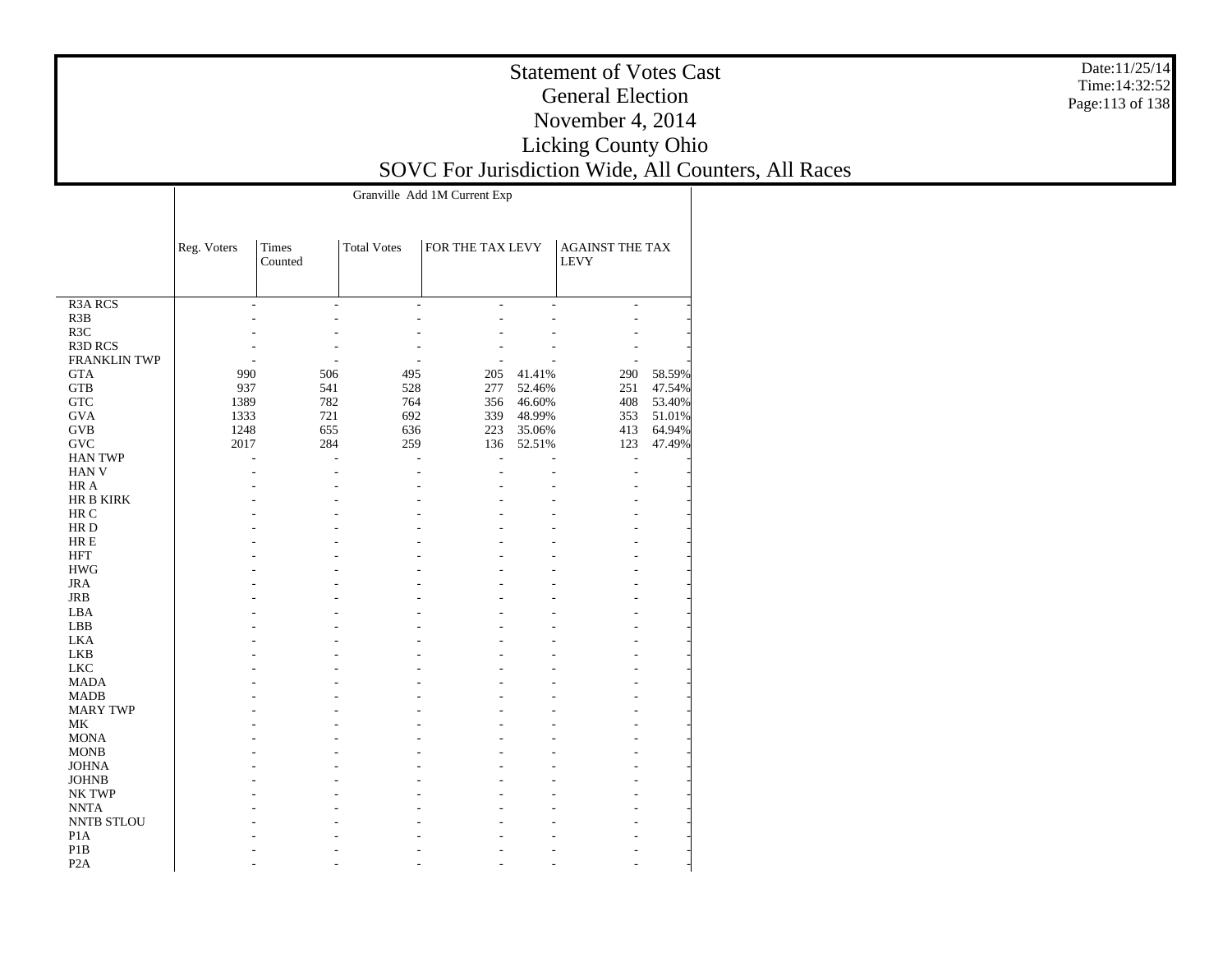|                     | Granville Add 1M Current Exp |                  |                    |                  |        |                                       |        |  |  |  |  |  |
|---------------------|------------------------------|------------------|--------------------|------------------|--------|---------------------------------------|--------|--|--|--|--|--|
|                     | Reg. Voters                  | Times<br>Counted | <b>Total Votes</b> | FOR THE TAX LEVY |        | <b>AGAINST THE TAX</b><br><b>LEVY</b> |        |  |  |  |  |  |
|                     |                              |                  |                    |                  |        |                                       |        |  |  |  |  |  |
| <b>R3A RCS</b>      | ÷                            | ÷                | ÷                  | ÷.               | ÷      | $\blacksquare$                        |        |  |  |  |  |  |
| R3B                 |                              |                  |                    |                  |        |                                       |        |  |  |  |  |  |
| R <sub>3</sub> C    |                              |                  |                    |                  |        |                                       |        |  |  |  |  |  |
| <b>R3D RCS</b>      |                              |                  |                    |                  |        |                                       |        |  |  |  |  |  |
| <b>FRANKLIN TWP</b> |                              |                  |                    |                  |        |                                       |        |  |  |  |  |  |
| <b>GTA</b>          | 990                          | 506              | 495                | 205              | 41.41% | 290                                   | 58.59% |  |  |  |  |  |
| <b>GTB</b>          | 937                          | 541              | 528                | 277              | 52.46% | 251                                   | 47.54% |  |  |  |  |  |
| <b>GTC</b>          | 1389                         | 782              | 764                | 356              | 46.60% | 408                                   | 53.40% |  |  |  |  |  |
| <b>GVA</b>          | 1333                         | 721              | 692                | 339              | 48.99% | 353                                   | 51.01% |  |  |  |  |  |
| <b>GVB</b>          | 1248                         | 655              | 636                | 223              | 35.06% | 413                                   | 64.94% |  |  |  |  |  |
| <b>GVC</b>          | 2017                         | 284              | 259                | 136              | 52.51% | 123                                   | 47.49% |  |  |  |  |  |
| <b>HAN TWP</b>      | ٠                            | $\overline{a}$   | ÷.                 | L                |        | $\sim$                                |        |  |  |  |  |  |
| <b>HAN V</b>        |                              |                  |                    | L.               |        | ä,                                    |        |  |  |  |  |  |
| HR A                |                              |                  |                    |                  |        |                                       |        |  |  |  |  |  |
| HR B KIRK           |                              |                  |                    |                  |        |                                       |        |  |  |  |  |  |
| HR C                |                              |                  |                    |                  |        |                                       |        |  |  |  |  |  |
| HR D                |                              |                  |                    |                  |        |                                       |        |  |  |  |  |  |
| HR E                |                              |                  |                    |                  |        |                                       |        |  |  |  |  |  |
| <b>HFT</b>          |                              |                  |                    |                  |        |                                       |        |  |  |  |  |  |
| <b>HWG</b>          |                              |                  |                    |                  |        |                                       |        |  |  |  |  |  |
| <b>JRA</b>          |                              |                  |                    |                  |        |                                       |        |  |  |  |  |  |
| <b>JRB</b>          |                              |                  |                    |                  |        |                                       |        |  |  |  |  |  |
| LBA                 |                              |                  |                    |                  |        |                                       |        |  |  |  |  |  |
|                     |                              |                  |                    |                  |        |                                       |        |  |  |  |  |  |
| LBB                 |                              |                  |                    |                  |        |                                       |        |  |  |  |  |  |
| <b>LKA</b>          |                              |                  |                    |                  |        |                                       |        |  |  |  |  |  |
| <b>LKB</b>          |                              |                  |                    |                  |        |                                       |        |  |  |  |  |  |
| <b>LKC</b>          |                              |                  |                    |                  |        |                                       |        |  |  |  |  |  |
| <b>MADA</b>         |                              |                  |                    |                  |        |                                       |        |  |  |  |  |  |
| <b>MADB</b>         |                              |                  |                    |                  |        |                                       |        |  |  |  |  |  |
| <b>MARY TWP</b>     |                              |                  |                    |                  |        |                                       |        |  |  |  |  |  |
| <b>MK</b>           |                              |                  |                    |                  |        |                                       |        |  |  |  |  |  |
| <b>MONA</b>         |                              |                  |                    |                  |        |                                       |        |  |  |  |  |  |
| <b>MONB</b>         |                              |                  |                    |                  |        |                                       |        |  |  |  |  |  |
| <b>JOHNA</b>        |                              |                  |                    |                  |        |                                       |        |  |  |  |  |  |
| <b>JOHNB</b>        |                              |                  |                    |                  |        |                                       |        |  |  |  |  |  |
| NK TWP              |                              |                  |                    |                  |        |                                       |        |  |  |  |  |  |
| <b>NNTA</b>         |                              |                  |                    |                  |        |                                       |        |  |  |  |  |  |
| <b>NNTB STLOU</b>   |                              |                  |                    |                  |        |                                       |        |  |  |  |  |  |
| P <sub>1</sub> A    |                              |                  |                    |                  |        |                                       |        |  |  |  |  |  |
| P <sub>1</sub> B    |                              |                  |                    |                  |        |                                       |        |  |  |  |  |  |
| P <sub>2</sub> A    |                              |                  |                    |                  |        |                                       |        |  |  |  |  |  |
|                     |                              |                  |                    |                  |        |                                       |        |  |  |  |  |  |

Date:11/25/14 Time:14:32:52Page:113 of 138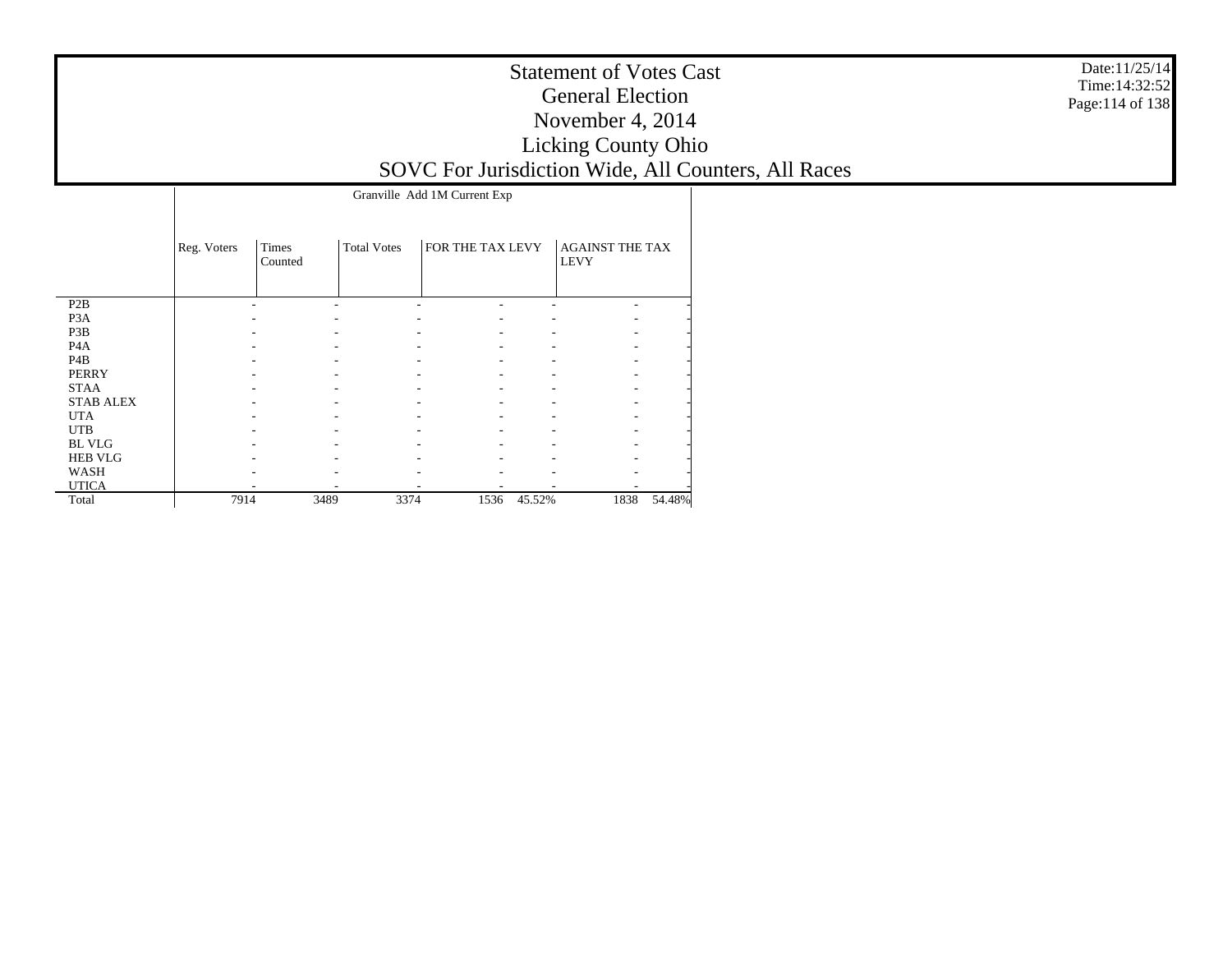|                  | Granville Add 1M Current Exp |                  |                    |                  |        |                                       |        |  |  |  |  |  |
|------------------|------------------------------|------------------|--------------------|------------------|--------|---------------------------------------|--------|--|--|--|--|--|
|                  | Reg. Voters                  | Times<br>Counted | <b>Total Votes</b> | FOR THE TAX LEVY |        | <b>AGAINST THE TAX</b><br><b>LEVY</b> |        |  |  |  |  |  |
| P2B              |                              |                  |                    |                  |        |                                       |        |  |  |  |  |  |
| P <sub>3</sub> A |                              |                  |                    |                  |        |                                       |        |  |  |  |  |  |
| P <sub>3</sub> B |                              |                  |                    |                  |        |                                       |        |  |  |  |  |  |
| P <sub>4</sub> A |                              |                  |                    |                  |        |                                       |        |  |  |  |  |  |
| P <sub>4</sub> B |                              |                  |                    |                  |        |                                       |        |  |  |  |  |  |
| <b>PERRY</b>     |                              |                  |                    |                  |        |                                       |        |  |  |  |  |  |
| <b>STAA</b>      |                              |                  |                    |                  |        |                                       |        |  |  |  |  |  |
| <b>STAB ALEX</b> |                              |                  |                    |                  |        |                                       |        |  |  |  |  |  |
| <b>UTA</b>       |                              |                  |                    |                  |        |                                       |        |  |  |  |  |  |
| <b>UTB</b>       |                              |                  |                    |                  |        |                                       |        |  |  |  |  |  |
| <b>BL VLG</b>    |                              |                  |                    |                  |        |                                       |        |  |  |  |  |  |
| <b>HEB VLG</b>   |                              |                  |                    |                  |        |                                       |        |  |  |  |  |  |
| WASH             |                              |                  |                    |                  |        |                                       |        |  |  |  |  |  |
| <b>UTICA</b>     |                              |                  |                    |                  |        |                                       |        |  |  |  |  |  |
| Total            | 7914                         | 3489             | 3374               | 1536             | 45.52% | 1838                                  | 54.48% |  |  |  |  |  |

Date:11/25/14 Time:14:32:52Page:114 of 138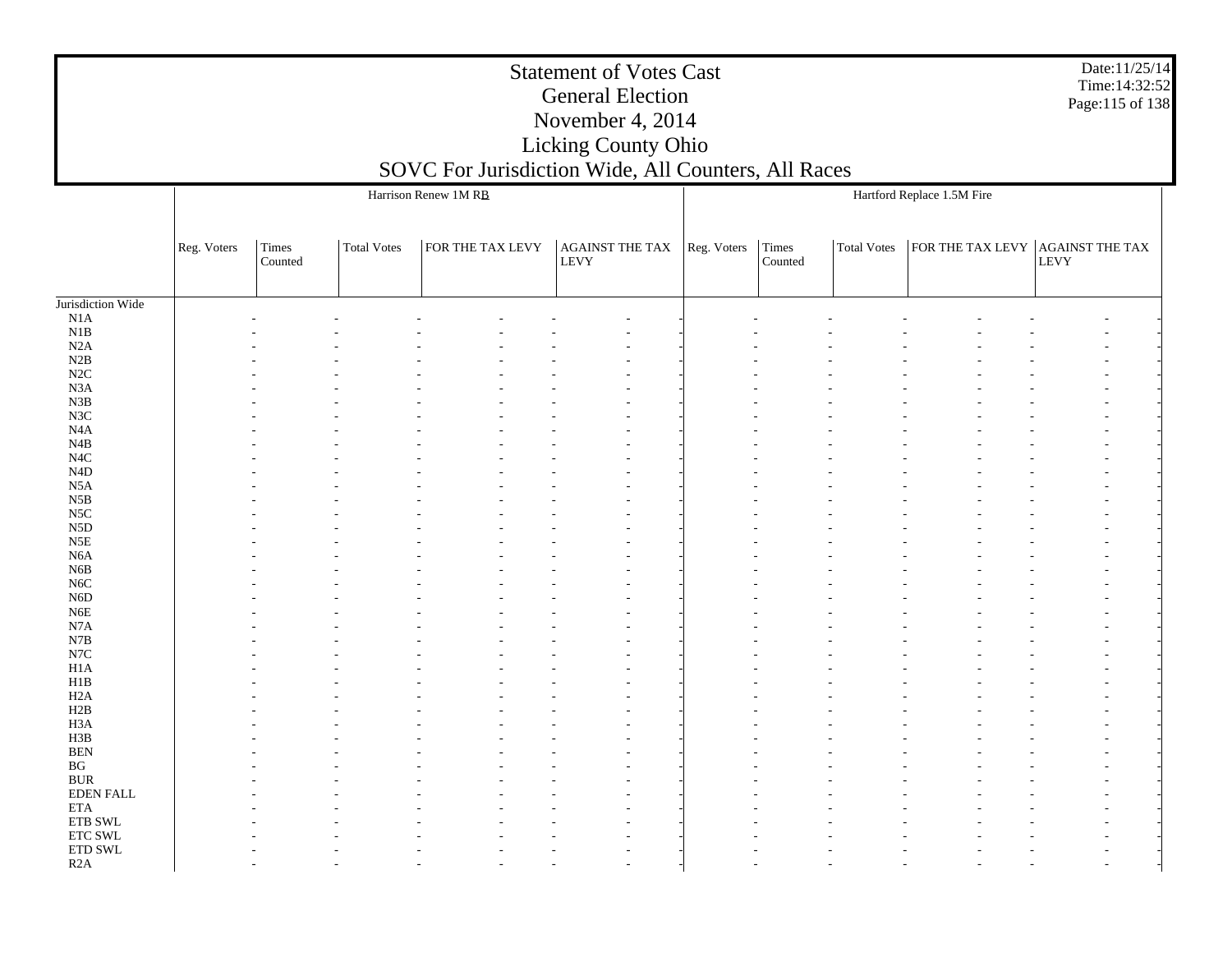|                               |             |                        |             | Harrison Renew 1M RB |                         |             |                  |             | Hartford Replace 1.5M Fire       |      |  |
|-------------------------------|-------------|------------------------|-------------|----------------------|-------------------------|-------------|------------------|-------------|----------------------------------|------|--|
|                               | Reg. Voters | $\rm Times$<br>Counted | Total Votes | FOR THE TAX LEVY     | AGAINST THE TAX<br>LEVY | Reg. Voters | Times<br>Counted | Total Votes | FOR THE TAX LEVY AGAINST THE TAX | LEVY |  |
| Jurisdiction Wide             |             |                        |             |                      |                         |             |                  |             |                                  |      |  |
| N1A                           |             |                        |             |                      |                         |             |                  |             |                                  |      |  |
| $_{\rm N1B}$                  |             |                        |             |                      |                         |             |                  |             |                                  |      |  |
| N2A<br>$\rm N2B$              |             |                        |             |                      |                         |             |                  |             |                                  |      |  |
| $\rm N2C$                     |             |                        |             |                      |                         |             |                  |             |                                  |      |  |
| N3A                           |             |                        |             |                      |                         |             |                  |             |                                  |      |  |
| ${\bf N3B}$                   |             |                        |             |                      |                         |             |                  |             |                                  |      |  |
| N3C                           |             |                        |             |                      |                         |             |                  |             |                                  |      |  |
| N4A                           |             |                        |             |                      |                         |             |                  |             |                                  |      |  |
| $\rm N4B$                     |             |                        |             |                      |                         |             |                  |             |                                  |      |  |
| $_{\mathrm{N4C}}$             |             |                        |             |                      |                         |             |                  |             |                                  |      |  |
| N4D                           |             |                        |             |                      |                         |             |                  |             |                                  |      |  |
| N5A                           |             |                        |             |                      |                         |             |                  |             |                                  |      |  |
| $_{\rm N5B}$<br>$_{\rm NSC}$  |             |                        |             |                      |                         |             |                  |             |                                  |      |  |
| N5D                           |             |                        |             |                      |                         |             |                  |             |                                  |      |  |
| $_{\rm N5E}$                  |             |                        |             |                      |                         |             |                  |             |                                  |      |  |
| N <sub>6</sub> A              |             |                        |             |                      |                         |             |                  |             |                                  |      |  |
| ${\rm N6B}$                   |             |                        |             |                      |                         |             |                  |             |                                  |      |  |
| $_{\mathrm{N6C}}$             |             |                        |             |                      |                         |             |                  |             |                                  |      |  |
| N <sub>6</sub> D              |             |                        |             |                      |                         |             |                  |             |                                  |      |  |
| ${\rm N6E}$                   |             |                        |             |                      |                         |             |                  |             |                                  |      |  |
| N7A                           |             |                        |             |                      |                         |             |                  |             |                                  |      |  |
| $_{\rm N7B}$<br>$_{\rm N7C}$  |             |                        |             |                      |                         |             |                  |             |                                  |      |  |
| H <sub>1</sub> A              |             |                        |             |                      |                         |             |                  |             |                                  |      |  |
| $_{\rm H1B}$                  |             |                        |             |                      |                         |             |                  |             |                                  |      |  |
| H <sub>2</sub> A              |             |                        |             |                      |                         |             |                  |             |                                  |      |  |
| $_{\rm H2B}$                  |             |                        |             |                      |                         |             |                  |             |                                  |      |  |
| H <sub>3</sub> A              |             |                        |             |                      |                         |             |                  |             |                                  |      |  |
| $_{\rm H3B}$                  |             |                        |             |                      |                         |             |                  |             |                                  |      |  |
| <b>BEN</b>                    |             |                        |             |                      |                         |             |                  |             |                                  |      |  |
| $\mathbf{B}\mathbf{G}$        |             |                        |             |                      |                         |             |                  |             |                                  |      |  |
| $\rm BUR$                     |             |                        |             |                      |                         |             |                  |             |                                  |      |  |
| <b>EDEN FALL</b><br>$\rm ETA$ |             |                        |             |                      |                         |             |                  |             |                                  |      |  |
| $\rm ETB$ SWL                 |             |                        |             |                      |                         |             |                  |             |                                  |      |  |
| $\rm ETC$ SWL                 |             |                        |             |                      |                         |             |                  |             |                                  |      |  |
| $\rm ETD$ SWL                 |             |                        |             |                      |                         |             |                  |             |                                  |      |  |
| R2A                           |             |                        |             |                      |                         |             |                  |             |                                  |      |  |

Date:11/25/14 Time:14:32:52 Page:115 of 138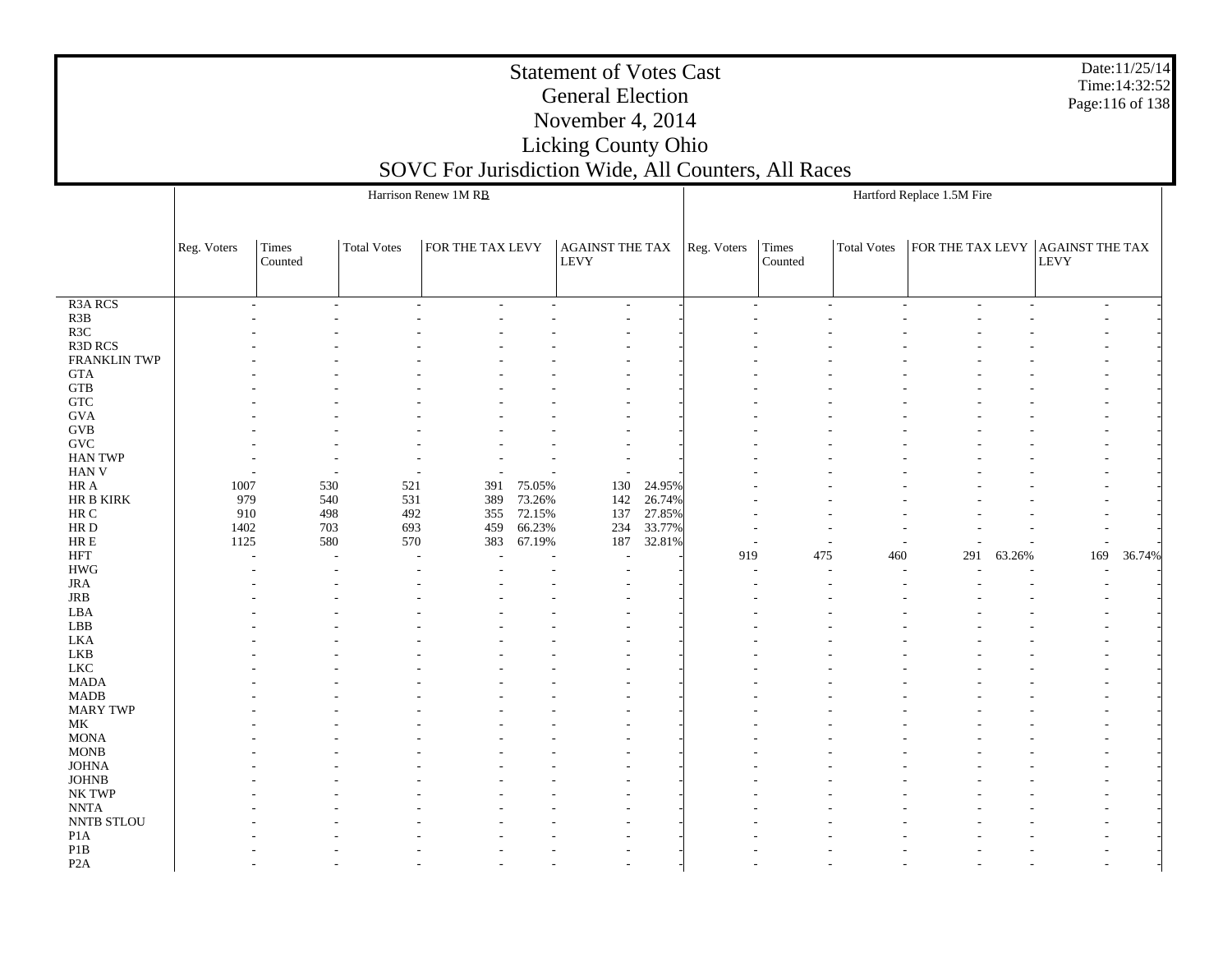|                                 |             |                  |                    | Harrison Renew 1M RB |        |                         |        |             |                  |                    | Hartford Replace 1.5M Fire |        |                                          |        |
|---------------------------------|-------------|------------------|--------------------|----------------------|--------|-------------------------|--------|-------------|------------------|--------------------|----------------------------|--------|------------------------------------------|--------|
|                                 |             |                  |                    |                      |        |                         |        |             |                  |                    |                            |        |                                          |        |
|                                 |             |                  |                    |                      |        |                         |        |             |                  |                    |                            |        |                                          |        |
|                                 | Reg. Voters | Times<br>Counted | <b>Total Votes</b> | FOR THE TAX LEVY     |        | AGAINST THE TAX<br>LEVY |        | Reg. Voters | Times<br>Counted | <b>Total Votes</b> |                            |        | FOR THE TAX LEVY AGAINST THE TAX<br>LEVY |        |
|                                 |             |                  |                    |                      |        |                         |        |             |                  |                    |                            |        |                                          |        |
|                                 |             |                  |                    |                      |        |                         |        |             |                  |                    |                            |        |                                          |        |
| R <sub>3</sub> A <sub>RCS</sub> | ÷           |                  |                    |                      |        | $\sim$                  |        |             | ÷                |                    |                            |        | $\sim$                                   |        |
| R3B                             |             |                  |                    |                      |        |                         |        |             |                  |                    |                            |        |                                          |        |
| R3C                             |             |                  |                    |                      |        |                         |        |             |                  |                    |                            |        |                                          |        |
| R3D RCS                         |             |                  |                    |                      |        |                         |        |             |                  |                    |                            |        |                                          |        |
| <b>FRANKLIN TWP</b>             |             |                  |                    |                      |        |                         |        |             |                  |                    |                            |        |                                          |        |
| <b>GTA</b>                      |             |                  |                    |                      |        |                         |        |             |                  |                    |                            |        |                                          |        |
| <b>GTB</b>                      |             |                  |                    |                      |        |                         |        |             |                  |                    |                            |        |                                          |        |
| ${\rm GTC}$                     |             |                  |                    |                      |        |                         |        |             |                  |                    |                            |        |                                          |        |
| <b>GVA</b><br>$\rm GVB$         |             |                  |                    |                      |        |                         |        |             |                  |                    |                            |        |                                          |        |
| $\operatorname{GVC}$            |             |                  |                    |                      |        |                         |        |             |                  |                    |                            |        |                                          |        |
| <b>HAN TWP</b>                  |             |                  |                    |                      |        |                         |        |             |                  |                    |                            |        |                                          |        |
| <b>HAN V</b>                    |             |                  |                    |                      |        |                         |        |             |                  |                    |                            |        |                                          |        |
| HR A                            | 1007        | 530              | 521                | 391                  | 75.05% | 130                     | 24.95% |             |                  |                    |                            |        |                                          |        |
| HR B KIRK                       | 979         | 540              | 531                | 389                  | 73.26% | 142                     | 26.74% |             |                  |                    |                            |        |                                          |        |
| $\rm{HR}$ C                     | 910         | 498              | 492                | 355                  | 72.15% | 137                     | 27.85% |             |                  |                    |                            |        |                                          |        |
| HR D                            | 1402        | 703              | 693                | 459                  | 66.23% | 234                     | 33.77% |             |                  |                    |                            |        |                                          |        |
| $\rm HR\,E$                     | 1125        | 580              | 570                | 383                  | 67.19% | 187                     | 32.81% |             | ٠                |                    |                            |        |                                          |        |
| <b>HFT</b>                      | ٠           | ÷                |                    |                      |        |                         |        | 919         | 475              | 460                | 291                        | 63.26% | 169                                      | 36.74% |
| <b>HWG</b>                      |             |                  |                    |                      |        |                         |        |             |                  |                    |                            |        |                                          |        |
| JRA                             |             |                  |                    |                      |        |                         |        |             |                  |                    |                            |        |                                          |        |
| JRB                             |             |                  |                    |                      |        |                         |        |             |                  |                    |                            |        |                                          |        |
| LBA                             |             |                  |                    |                      |        |                         |        |             |                  |                    |                            |        |                                          |        |
| LBB                             |             |                  |                    |                      |        |                         |        |             |                  |                    |                            |        |                                          |        |
| <b>LKA</b>                      |             |                  |                    |                      |        |                         |        |             |                  |                    |                            |        |                                          |        |
| LKB                             |             |                  |                    |                      |        |                         |        |             |                  |                    |                            |        |                                          |        |
| ${\rm LKC}$                     |             |                  |                    |                      |        |                         |        |             |                  |                    |                            |        |                                          |        |
| <b>MADA</b>                     |             |                  |                    |                      |        |                         |        |             |                  |                    |                            |        |                                          |        |
| $\mbox{MADB}$                   |             |                  |                    |                      |        |                         |        |             |                  |                    |                            |        |                                          |        |
| <b>MARY TWP</b>                 |             |                  |                    |                      |        |                         |        |             |                  |                    |                            |        |                                          |        |
| МK                              |             |                  |                    |                      |        |                         |        |             |                  |                    |                            |        |                                          |        |
| <b>MONA</b>                     |             |                  |                    |                      |        |                         |        |             |                  |                    |                            |        |                                          |        |
| <b>MONB</b>                     |             |                  |                    |                      |        |                         |        |             |                  |                    |                            |        |                                          |        |
| <b>JOHNA</b>                    |             |                  |                    |                      |        |                         |        |             |                  |                    |                            |        |                                          |        |
| <b>JOHNB</b>                    |             |                  |                    |                      |        |                         |        |             |                  |                    |                            |        |                                          |        |
| NK TWP                          |             |                  |                    |                      |        |                         |        |             |                  |                    |                            |        |                                          |        |
| <b>NNTA</b>                     |             |                  |                    |                      |        |                         |        |             |                  |                    |                            |        |                                          |        |
| NNTB STLOU                      |             |                  |                    |                      |        |                         |        |             |                  |                    |                            |        |                                          |        |
| P <sub>1</sub> A                |             |                  |                    |                      |        |                         |        |             |                  |                    |                            |        |                                          |        |
| P1B                             |             |                  |                    |                      |        |                         |        |             |                  |                    |                            |        |                                          |        |
| P2A                             |             |                  |                    |                      |        |                         |        |             |                  |                    |                            |        |                                          |        |

Date:11/25/14 Time:14:32:52 Page:116 of 138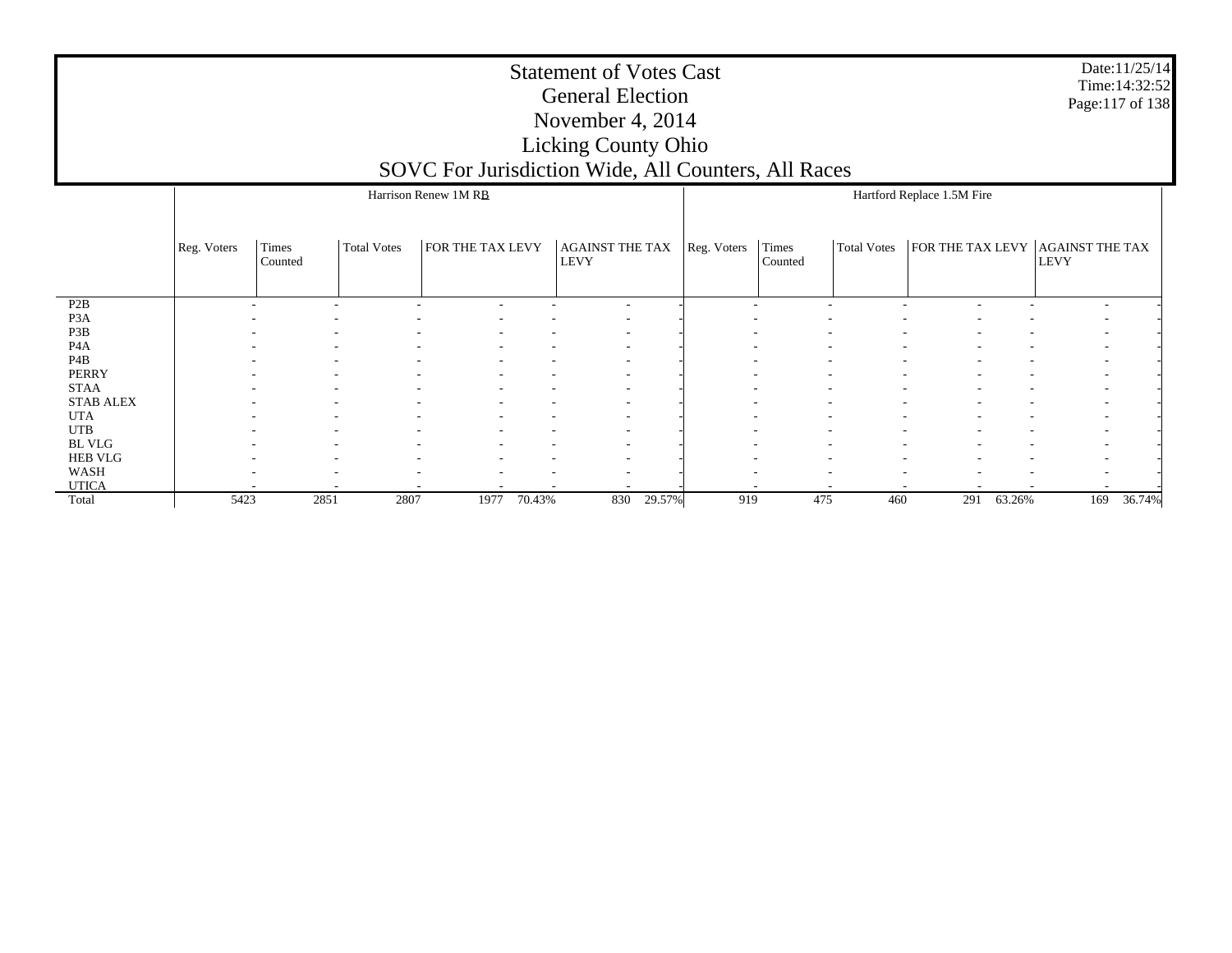|                          |             |                          |                    |                                    |                          |                                                      | $\overline{\phantom{a}}$ |             | $\overline{\phantom{a}}$ |                    |                            |        |                                  |        |
|--------------------------|-------------|--------------------------|--------------------|------------------------------------|--------------------------|------------------------------------------------------|--------------------------|-------------|--------------------------|--------------------|----------------------------|--------|----------------------------------|--------|
|                          |             |                          |                    | Harrison Renew 1M RB               |                          |                                                      |                          |             |                          |                    | Hartford Replace 1.5M Fire |        |                                  |        |
|                          |             |                          |                    |                                    |                          |                                                      |                          |             |                          |                    |                            |        |                                  |        |
|                          |             |                          |                    |                                    |                          |                                                      |                          |             |                          |                    |                            |        |                                  |        |
|                          | Reg. Voters | Times                    | <b>Total Votes</b> | FOR THE TAX LEVY                   |                          | <b>AGAINST THE TAX</b>                               |                          | Reg. Voters | Times                    | <b>Total Votes</b> |                            |        | FOR THE TAX LEVY AGAINST THE TAX |        |
|                          |             | Counted                  |                    |                                    |                          | <b>LEVY</b>                                          |                          |             | Counted                  |                    |                            |        | <b>LEVY</b>                      |        |
|                          |             |                          |                    |                                    |                          |                                                      |                          |             |                          |                    |                            |        |                                  |        |
|                          |             |                          |                    |                                    |                          |                                                      |                          |             |                          |                    |                            |        |                                  |        |
| P <sub>2</sub> B         |             | $\overline{\phantom{a}}$ |                    |                                    |                          | $\overline{\phantom{a}}$                             |                          |             |                          |                    |                            |        | $\overline{\phantom{a}}$         |        |
| P <sub>3</sub> A         |             |                          |                    |                                    |                          |                                                      |                          |             |                          |                    |                            |        |                                  |        |
| P3B                      |             |                          |                    |                                    |                          | $\overline{\phantom{a}}$                             |                          |             |                          |                    |                            |        | $\overline{\phantom{a}}$         |        |
| P <sub>4</sub> A         |             |                          |                    |                                    |                          | $\overline{\phantom{a}}$                             |                          |             |                          |                    |                            |        | $\overline{\phantom{a}}$         |        |
| P <sub>4</sub> B         |             |                          |                    |                                    |                          | $\overline{\phantom{a}}$                             |                          |             |                          |                    |                            |        |                                  |        |
| <b>PERRY</b>             |             |                          |                    |                                    |                          | $\overline{\phantom{a}}$                             |                          |             |                          |                    |                            |        | $\overline{\phantom{a}}$         |        |
| <b>STAA</b>              |             |                          |                    |                                    |                          | $\overline{\phantom{a}}$                             |                          |             |                          |                    |                            |        | $\overline{\phantom{a}}$         |        |
| <b>STAB ALEX</b>         |             |                          |                    | $\overline{\phantom{a}}$           |                          | $\overline{\phantom{a}}$                             |                          |             |                          |                    |                            |        | $\overline{\phantom{a}}$         |        |
| <b>UTA</b><br><b>UTB</b> |             |                          |                    | $\overline{\phantom{a}}$<br>$\sim$ | $\overline{\phantom{a}}$ | $\overline{\phantom{a}}$                             |                          | -           |                          | $\sim$             | $\sim$                     |        | $\overline{\phantom{a}}$         |        |
| <b>BL VLG</b>            |             |                          |                    |                                    |                          | $\overline{\phantom{a}}$<br>$\overline{\phantom{a}}$ |                          |             |                          |                    |                            |        |                                  |        |
| <b>HEB VLG</b>           |             |                          |                    |                                    |                          | $\overline{\phantom{a}}$                             |                          |             |                          |                    |                            |        |                                  |        |
| WASH                     |             |                          |                    |                                    |                          | $\overline{\phantom{a}}$                             |                          |             |                          |                    |                            |        |                                  |        |
| <b>UTICA</b>             |             |                          |                    |                                    |                          |                                                      |                          |             |                          |                    |                            |        |                                  |        |
| Total                    | 5423        | 2851                     | 2807               | 1977                               | 70.43%                   | 830                                                  | 29.57%                   | 919         | 475                      | 460                | 291                        | 63.26% | 169                              | 36.74% |

Date:11/25/14 Time:14:32:52 Page:117 of 138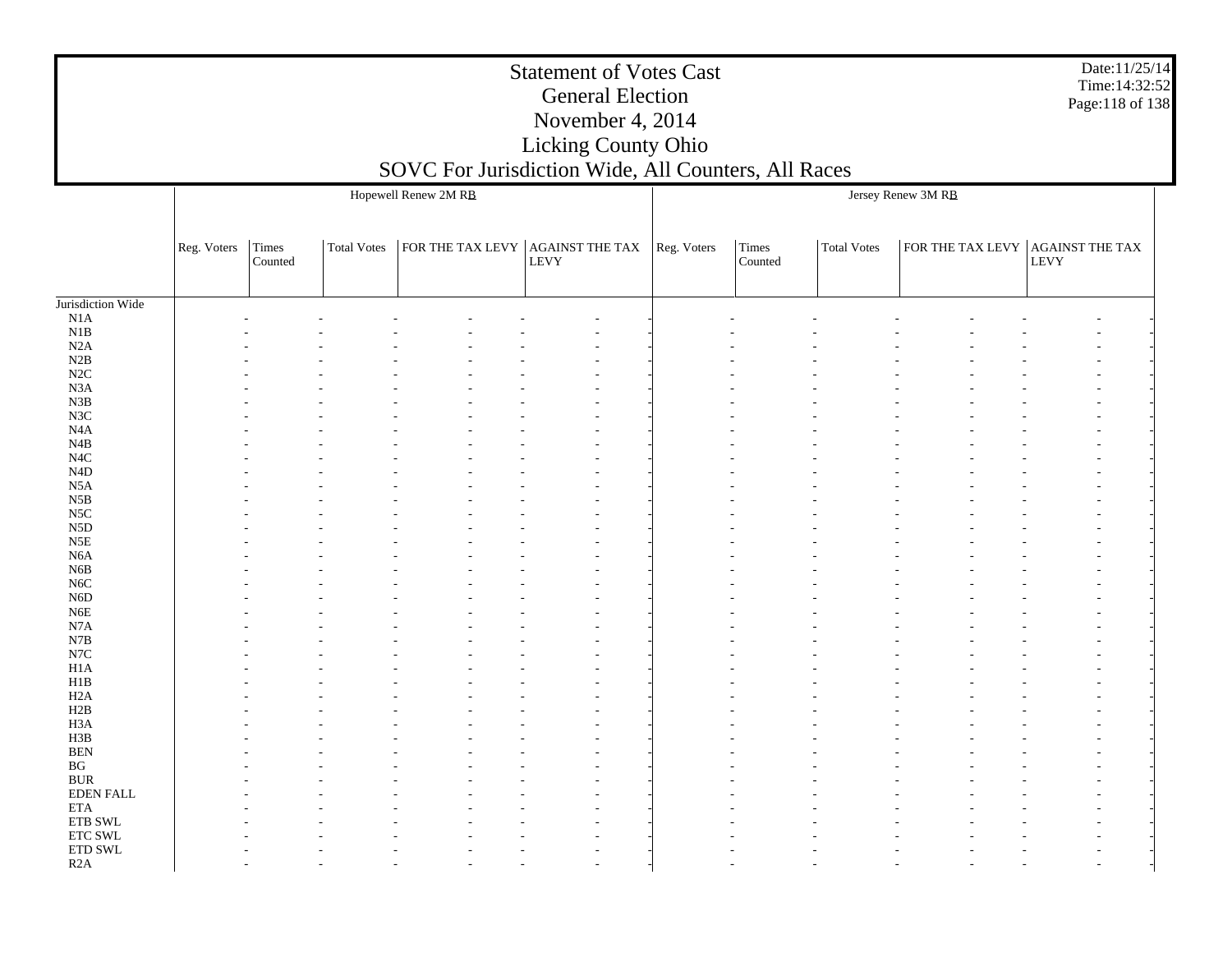|                      |             |                  |                    | Hopewell Renew 2M RB             |      |             |                  | Jersey Renew 3M RB |                                  |      |
|----------------------|-------------|------------------|--------------------|----------------------------------|------|-------------|------------------|--------------------|----------------------------------|------|
|                      | Reg. Voters | Times<br>Counted | <b>Total Votes</b> | FOR THE TAX LEVY AGAINST THE TAX | LEVY | Reg. Voters | Times<br>Counted | Total Votes        | FOR THE TAX LEVY AGAINST THE TAX | LEVY |
| Jurisdiction Wide    |             |                  |                    |                                  |      |             |                  |                    |                                  |      |
| $\rm N1A$            |             |                  |                    |                                  |      |             |                  |                    |                                  |      |
| N1B                  |             |                  |                    |                                  |      |             |                  |                    |                                  |      |
| N2A                  |             |                  |                    |                                  |      |             |                  |                    |                                  |      |
| N2B                  |             |                  |                    |                                  |      |             |                  |                    |                                  |      |
| N2C                  |             |                  |                    |                                  |      |             |                  |                    |                                  |      |
| N <sub>3</sub> A     |             |                  |                    |                                  |      |             |                  |                    |                                  |      |
| N3B                  |             |                  |                    |                                  |      |             |                  |                    |                                  |      |
| N3C                  |             |                  |                    |                                  |      |             |                  |                    |                                  |      |
| N4A                  |             |                  |                    |                                  |      |             |                  |                    |                                  |      |
| $\rm N4B$            |             |                  |                    |                                  |      |             |                  |                    |                                  |      |
| N <sub>4</sub> C     |             |                  |                    |                                  |      |             |                  |                    |                                  |      |
| $\rm N4D$            |             |                  |                    |                                  |      |             |                  |                    |                                  |      |
| N5A                  |             |                  |                    |                                  |      |             |                  |                    |                                  |      |
| $_{\rm N5B}$         |             |                  |                    |                                  |      |             |                  |                    |                                  |      |
| $_{\rm NSC}$         |             |                  |                    |                                  |      |             |                  |                    |                                  |      |
| ${\rm N5D}$          |             |                  |                    |                                  |      |             |                  |                    |                                  |      |
| N5E                  |             |                  |                    |                                  |      |             |                  |                    |                                  |      |
| N6A                  |             |                  |                    |                                  |      |             |                  |                    |                                  |      |
| N <sub>6</sub> B     |             |                  |                    |                                  |      |             |                  |                    |                                  |      |
| N <sub>6</sub> C     |             |                  |                    |                                  |      |             |                  |                    |                                  |      |
| N <sub>6</sub> D     |             |                  |                    |                                  |      |             |                  |                    |                                  |      |
| ${\rm N6E}$          |             |                  |                    |                                  |      |             |                  |                    |                                  |      |
| N7A                  |             |                  |                    |                                  |      |             |                  |                    |                                  |      |
| N7B                  |             |                  |                    |                                  |      |             |                  |                    |                                  |      |
| N7C                  |             |                  |                    |                                  |      |             |                  |                    |                                  |      |
| H1A                  |             |                  |                    |                                  |      |             |                  |                    |                                  |      |
| H1B                  |             |                  |                    |                                  |      |             |                  |                    |                                  |      |
| H <sub>2</sub> A     |             |                  |                    |                                  |      |             |                  |                    |                                  |      |
| H2B                  |             |                  |                    |                                  |      |             |                  |                    |                                  |      |
| H3A                  |             |                  |                    |                                  |      |             |                  |                    |                                  |      |
| H3B                  |             |                  |                    |                                  |      |             |                  |                    |                                  |      |
| <b>BEN</b>           |             |                  |                    |                                  |      |             |                  |                    |                                  |      |
| $\operatorname{B} G$ |             |                  |                    |                                  |      |             |                  |                    |                                  |      |
| <b>BUR</b>           |             |                  |                    |                                  |      |             |                  |                    |                                  |      |
| <b>EDEN FALL</b>     |             |                  |                    |                                  |      |             |                  |                    |                                  |      |
| <b>ETA</b>           |             |                  |                    |                                  |      |             |                  |                    |                                  |      |
| ETB SWL              |             |                  |                    |                                  |      |             |                  |                    |                                  |      |
| <b>ETC SWL</b>       |             |                  |                    |                                  |      |             |                  |                    |                                  |      |
| ETD SWL              |             |                  |                    |                                  |      |             |                  |                    |                                  |      |
| R2A                  |             |                  |                    |                                  |      |             |                  |                    |                                  |      |

Date:11/25/14 Time:14:32:52Page:118 of 138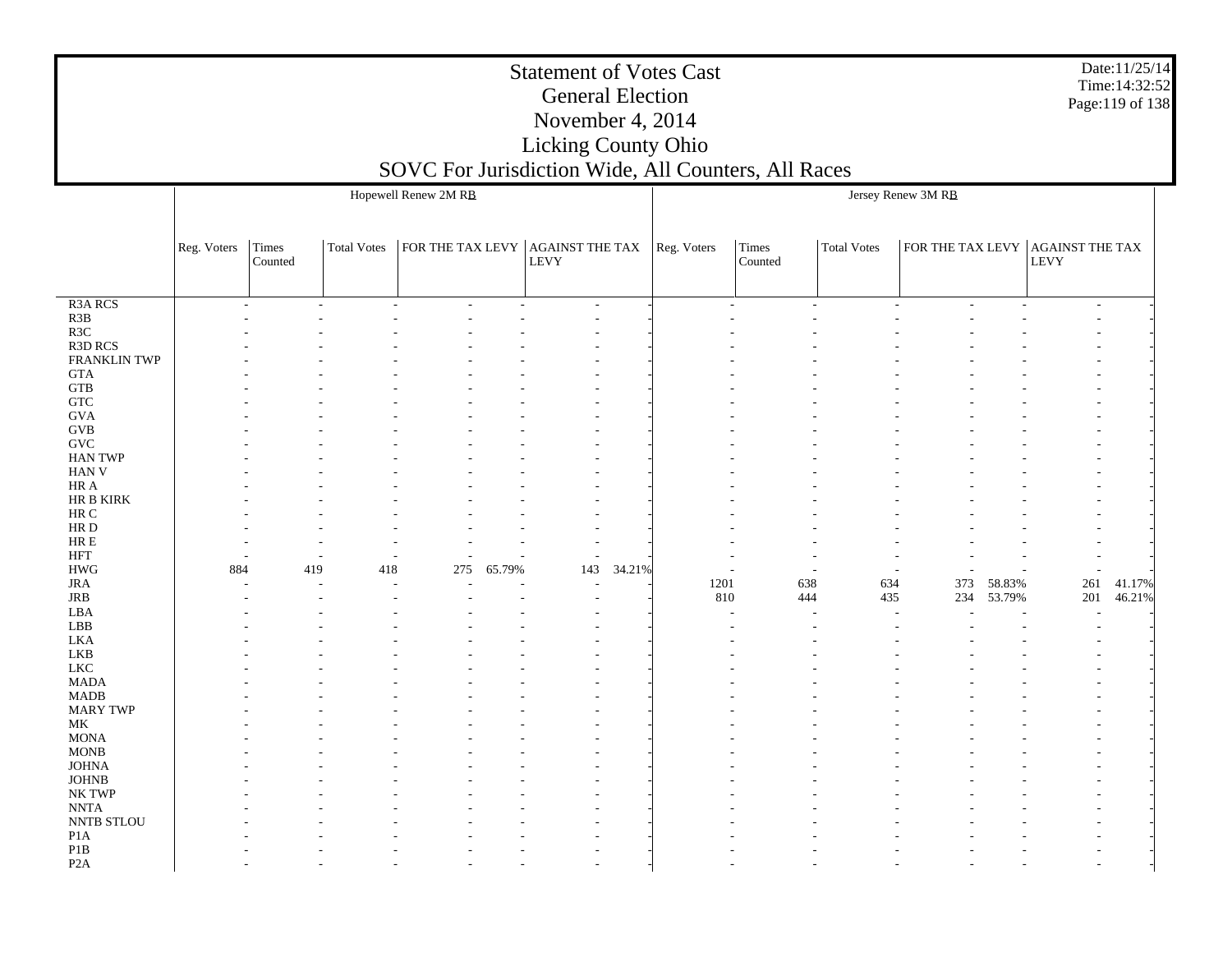R3C

JRB

LBB

 P1BP2A

Date:11/25/14Time:14:32:52Page:119 of 138

 R3A RCS R3B R3D RCS FRANKLIN TWP GTA GTB GTC GVA GVB GVC HAN TWP HAN V HR A HR B KIRK HR C HR D HR E HFT HWG JRA LBA LKA LKB LKC MADA MADB MARY TWP MK MONA MONB JOHNA JOHNB NK TWP NNTA NNTB STLOU P1AReg. Voters Times Counted Total Votess  $|FOR THE TAX LEVY | AGAINST THE TAX | Reg. Voters | Times$ LEVY Hopewell Renew 2M RB Counted Total Votes $\,$ s  $\,$   $\,$  FOR THE TAX LEVY  $\,$  AGAINST THE TAX  $\,$ LEVYJersey Renew 3M RB - - - - - - - - - - - - - - - - - - - - - - - - - - - - - - - - - - - - - - - - - - - - - - - - - - - - - - - - - - - - - - - - - - - - - - - - - - - - - - - - - - - - - - - - - - - - - - - - - - - - - - - - - - - - - - - - - - - - - - - - - - - - - - - - - - - - - - - - - - - - - - - - - - - - - - - - - - - - - - - - - - - - - - - - - - - - - - - - - - - - - - - - - - - - - - - - - - - - - - - - - - - - - - - - - - - - - - - - - - - - - - - - - - - - - - - - - - - - - - - - - - - - - - - - 884 419 418 275 65.79% 143 34.21% - - - - - - - - - - - - - - - - - - - - 1201 638 634 373 58.83% 261 41.17% - - - - - - 810 444 435 234 53.79% 201 46.21% - - - - - - - - - - - - - - - - - - - - - - - - - - - - - - - - - - - - - - - - - - - - - - - - - - - - - - - - - - - - - - - - - - - - - - - - - - - - - - - - - - - - - - - - - - - - - - - - - - - - - - - - - - - - - - - - - - - - - - - - - - - - - - - - - - - - - - - - - - - - - - - - - - - - - - - - - - - - - - - - - - - - - - - - - - - - - - - - - - - - - - - - - - - - - - - - - - - - - - - - - - - - - - - - - - - - - - - - - - - - - - - - - - - - - - - - - -

- - - - - - - - - - - - -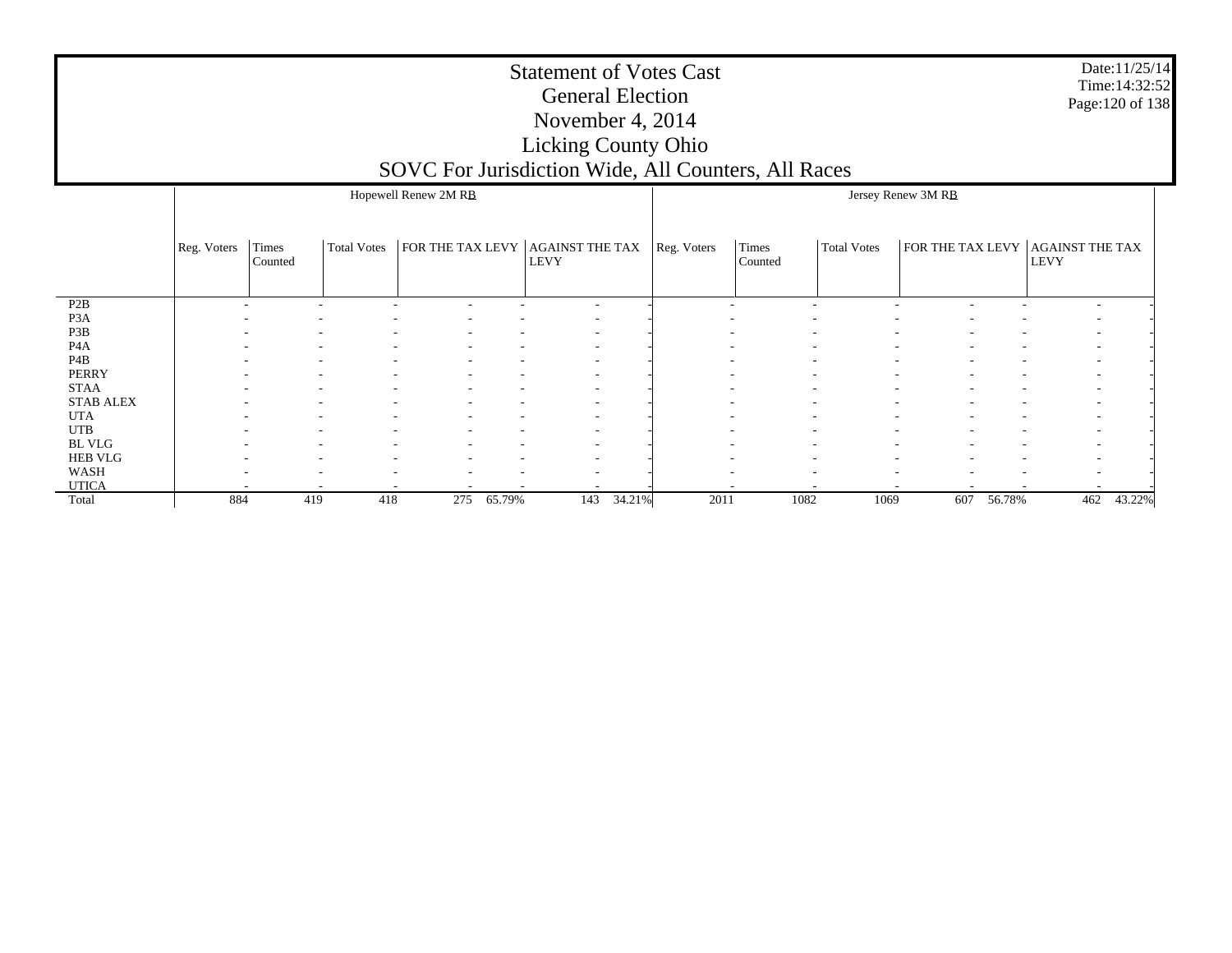|                  |                          | Hopewell Renew 2M RB |                    |                                  | Jersey Renew 3M RB |             |                          |             |                          |                          |                  |                          |                                       |        |
|------------------|--------------------------|----------------------|--------------------|----------------------------------|--------------------|-------------|--------------------------|-------------|--------------------------|--------------------------|------------------|--------------------------|---------------------------------------|--------|
|                  | Reg. Voters              | Times<br>Counted     | <b>Total Votes</b> | FOR THE TAX LEVY AGAINST THE TAX |                    | <b>LEVY</b> |                          | Reg. Voters | Times<br>Counted         | <b>Total Votes</b>       | FOR THE TAX LEVY |                          | <b>AGAINST THE TAX</b><br><b>LEVY</b> |        |
| P <sub>2</sub> B | $\overline{\phantom{a}}$ |                      |                    |                                  |                    |             | $\overline{\phantom{a}}$ |             | $\sim$                   |                          |                  | ۰                        | $\overline{\phantom{a}}$              |        |
| P <sub>3</sub> A |                          |                      |                    |                                  |                    |             | $\overline{\phantom{a}}$ |             |                          |                          |                  |                          | $\overline{\phantom{a}}$              |        |
| P3B              |                          |                      |                    |                                  |                    |             | $\overline{\phantom{a}}$ |             | ۰                        |                          |                  |                          | $\overline{\phantom{a}}$              |        |
| P <sub>4</sub> A |                          |                      |                    |                                  |                    |             | $\overline{\phantom{a}}$ |             |                          |                          |                  |                          |                                       |        |
| P4B              |                          |                      |                    |                                  |                    |             | $\overline{\phantom{a}}$ |             | $\overline{\phantom{a}}$ |                          |                  |                          | $\overline{\phantom{a}}$              |        |
| PERRY            |                          |                      |                    | ۰.                               | ۰                  |             | $\overline{\phantom{a}}$ |             | $\sim$                   | $\overline{\phantom{a}}$ | . .<br>۰.        | $\overline{\phantom{a}}$ | $\overline{\phantom{a}}$              |        |
| <b>STAA</b>      |                          |                      |                    |                                  |                    |             | $\overline{\phantom{a}}$ |             |                          |                          |                  |                          | $\overline{\phantom{a}}$              |        |
| <b>STAB ALEX</b> |                          |                      |                    |                                  |                    |             | $\overline{\phantom{a}}$ |             | ۰                        |                          |                  |                          | $\overline{\phantom{a}}$              |        |
| <b>UTA</b>       |                          |                      |                    |                                  |                    |             | $\overline{\phantom{a}}$ |             |                          |                          |                  |                          | $\overline{\phantom{a}}$              |        |
| <b>UTB</b>       |                          |                      |                    |                                  |                    |             | $\overline{\phantom{a}}$ |             |                          |                          |                  |                          | $\overline{\phantom{a}}$              |        |
| BL VLG           |                          |                      |                    |                                  |                    |             | $\overline{\phantom{a}}$ |             | $\overline{\phantom{a}}$ | $\overline{\phantom{a}}$ |                  | ٠                        | $\overline{\phantom{a}}$              |        |
| <b>HEB VLG</b>   |                          |                      |                    |                                  |                    |             | $\overline{\phantom{a}}$ |             |                          |                          |                  |                          | $\overline{\phantom{a}}$              |        |
| WASH             |                          |                      |                    |                                  |                    |             | $\overline{\phantom{a}}$ |             |                          |                          |                  |                          | $\overline{\phantom{a}}$              |        |
| <b>UTICA</b>     |                          |                      |                    |                                  |                    |             |                          |             |                          |                          |                  |                          |                                       |        |
| Total            | 884                      | 419                  | 418                | 275                              | 65.79%             | 143         | 34.21%                   | 2011        | 1082                     | 1069                     | 607              | 56.78%                   | 462                                   | 43.22% |

Date:11/25/14 Time:14:32:52 Page:120 of 138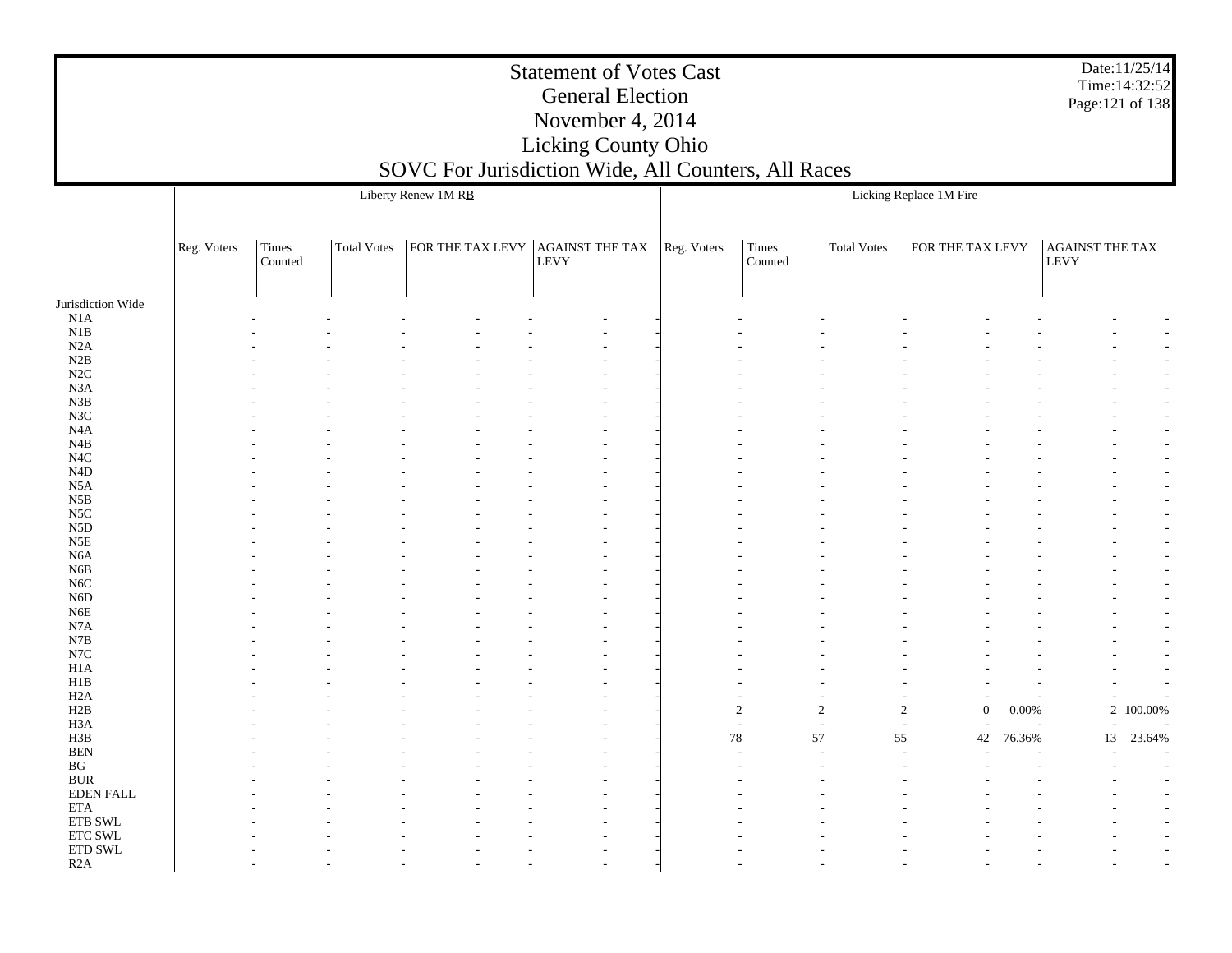|                               |             |         |                    |                                                     | <b>Statement of Votes Cast</b><br><b>General Election</b> |             |                                          |                    |                                |          |                  | Date:11/25/14<br>Time: 14:32:52 |
|-------------------------------|-------------|---------|--------------------|-----------------------------------------------------|-----------------------------------------------------------|-------------|------------------------------------------|--------------------|--------------------------------|----------|------------------|---------------------------------|
|                               |             |         |                    |                                                     |                                                           |             |                                          |                    |                                |          | Page: 121 of 138 |                                 |
|                               |             |         |                    |                                                     | November 4, 2014                                          |             |                                          |                    |                                |          |                  |                                 |
|                               |             |         |                    |                                                     | Licking County Ohio                                       |             |                                          |                    |                                |          |                  |                                 |
|                               |             |         |                    | SOVC For Jurisdiction Wide, All Counters, All Races |                                                           |             |                                          |                    |                                |          |                  |                                 |
|                               |             |         |                    |                                                     |                                                           |             |                                          |                    |                                |          |                  |                                 |
|                               |             |         |                    | Liberty Renew 1M RB                                 |                                                           |             |                                          |                    | Licking Replace 1M Fire        |          |                  |                                 |
|                               |             |         |                    |                                                     |                                                           |             |                                          |                    |                                |          |                  |                                 |
|                               | Reg. Voters | Times   | <b>Total Votes</b> | FOR THE TAX LEVY                                    | <b>AGAINST THE TAX</b>                                    | Reg. Voters | Times                                    | <b>Total Votes</b> | FOR THE TAX LEVY               |          | AGAINST THE TAX  |                                 |
|                               |             | Counted |                    |                                                     | LEVY                                                      |             | Counted                                  |                    |                                |          | LEVY             |                                 |
|                               |             |         |                    |                                                     |                                                           |             |                                          |                    |                                |          |                  |                                 |
| Jurisdiction Wide             |             |         |                    |                                                     |                                                           |             |                                          |                    |                                |          |                  |                                 |
| N1A                           |             |         |                    |                                                     |                                                           |             |                                          |                    |                                |          |                  |                                 |
| N1B                           |             |         |                    |                                                     |                                                           |             |                                          |                    |                                |          |                  |                                 |
| N2A<br>N2B                    |             |         |                    |                                                     |                                                           |             |                                          |                    |                                |          |                  |                                 |
| N2C                           |             |         |                    |                                                     |                                                           |             |                                          |                    |                                |          |                  |                                 |
| N <sub>3</sub> A              |             |         |                    |                                                     |                                                           |             |                                          |                    |                                |          |                  |                                 |
| N3B                           |             |         |                    |                                                     |                                                           |             |                                          |                    |                                |          |                  |                                 |
| N3C                           |             |         |                    |                                                     |                                                           |             |                                          |                    |                                |          |                  |                                 |
| N <sub>4</sub> A              |             |         |                    |                                                     |                                                           |             |                                          |                    |                                |          |                  |                                 |
| N4B<br>N <sub>4</sub> C       |             |         |                    |                                                     |                                                           |             |                                          |                    |                                |          |                  |                                 |
| N <sub>4</sub> D              |             |         |                    |                                                     |                                                           |             |                                          |                    |                                |          |                  |                                 |
| N <sub>5</sub> A              |             |         |                    |                                                     |                                                           |             |                                          |                    |                                |          |                  |                                 |
| N5B                           |             |         |                    |                                                     |                                                           |             |                                          |                    |                                |          |                  |                                 |
| N <sub>5</sub> C              |             |         |                    |                                                     |                                                           |             |                                          |                    |                                |          |                  |                                 |
| N <sub>5</sub> D              |             |         |                    |                                                     |                                                           |             |                                          |                    |                                |          |                  |                                 |
| N5E<br>N <sub>6</sub> A       |             |         |                    |                                                     |                                                           |             |                                          |                    |                                |          |                  |                                 |
| N6B                           |             |         |                    |                                                     |                                                           |             |                                          |                    |                                |          |                  |                                 |
| N <sub>6</sub> C              |             |         |                    |                                                     |                                                           |             |                                          |                    |                                |          |                  |                                 |
| N <sub>6</sub> D              |             |         |                    |                                                     |                                                           |             |                                          |                    |                                |          |                  |                                 |
| N6E                           |             |         |                    |                                                     |                                                           |             |                                          |                    |                                |          |                  |                                 |
| N7A<br>N7B                    |             |         |                    |                                                     |                                                           |             |                                          |                    |                                |          |                  |                                 |
| N7C                           |             |         |                    |                                                     |                                                           |             |                                          |                    |                                |          |                  |                                 |
| H <sub>1</sub> A              |             |         |                    |                                                     |                                                           |             |                                          |                    |                                |          |                  |                                 |
| H1B                           |             |         |                    |                                                     |                                                           |             |                                          |                    |                                |          |                  |                                 |
| H <sub>2</sub> A              |             |         |                    |                                                     |                                                           |             |                                          |                    |                                |          |                  |                                 |
| H2B                           |             |         |                    |                                                     |                                                           |             | 2                                        | $\boldsymbol{2}$   | $\overline{c}$<br>$\mathbf{0}$ | $0.00\%$ |                  | 2 100.00%                       |
| H <sub>3</sub> A<br>H3B       |             |         |                    |                                                     |                                                           |             | $\overline{\phantom{a}}$<br>$78\,$<br>57 | $\sim$<br>55       | $\overline{\phantom{a}}$<br>42 | 76.36%   | 13               | 23.64%                          |
| <b>BEN</b>                    |             |         |                    |                                                     |                                                           |             |                                          |                    |                                |          |                  |                                 |
| $\mathbf{B}\mathbf{G}$        |             |         |                    |                                                     |                                                           |             |                                          |                    |                                |          |                  |                                 |
| <b>BUR</b>                    |             |         |                    |                                                     |                                                           |             |                                          |                    |                                |          |                  |                                 |
| <b>EDEN FALL</b>              |             |         |                    |                                                     |                                                           |             |                                          |                    |                                |          |                  |                                 |
| <b>ETA</b><br>${\rm ETB}$ SWL |             |         |                    |                                                     |                                                           |             |                                          |                    |                                |          |                  |                                 |
| ETC SWL                       |             |         |                    |                                                     |                                                           |             |                                          |                    |                                |          |                  |                                 |
| ETD SWL                       |             |         |                    |                                                     |                                                           |             |                                          |                    |                                |          |                  |                                 |
| R2A                           |             |         |                    |                                                     |                                                           |             |                                          |                    |                                |          |                  |                                 |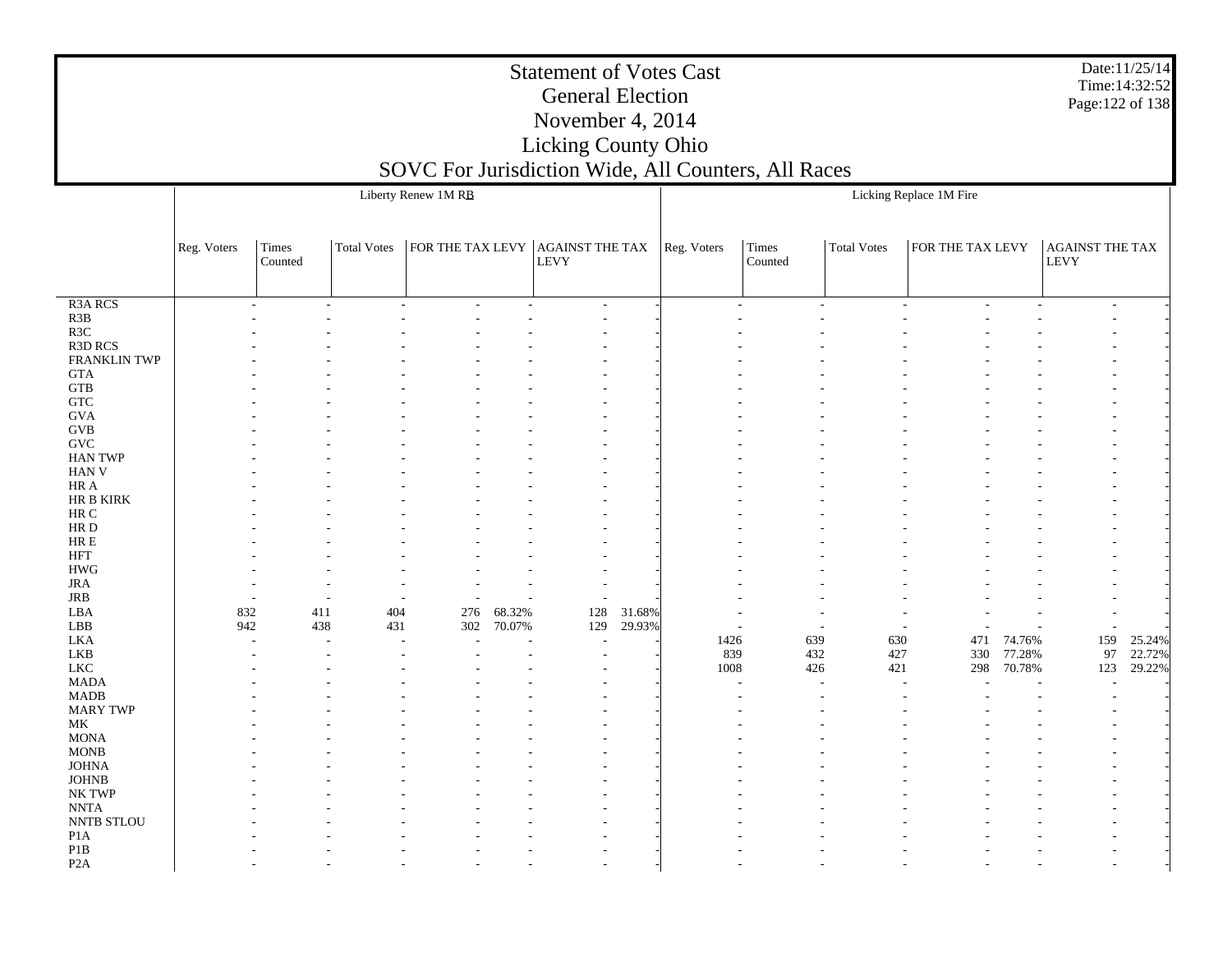Date:11/25/14 Time:14:32:52 Page:122 of 138

|                      |             |         |                          | Liberty Renew 1MRB |        |                                  |        |             |            |                    | Licking Replace 1M Fire |                  |                 |                  |
|----------------------|-------------|---------|--------------------------|--------------------|--------|----------------------------------|--------|-------------|------------|--------------------|-------------------------|------------------|-----------------|------------------|
|                      |             |         |                          |                    |        |                                  |        |             |            |                    |                         |                  |                 |                  |
|                      |             |         |                          |                    |        |                                  |        |             |            |                    |                         |                  |                 |                  |
|                      | Reg. Voters | Times   | Total Votes              |                    |        | FOR THE TAX LEVY AGAINST THE TAX |        | Reg. Voters | Times      | <b>Total Votes</b> | FOR THE TAX LEVY        |                  | AGAINST THE TAX |                  |
|                      |             | Counted |                          |                    |        | LEVY                             |        |             | Counted    |                    |                         |                  | LEVY            |                  |
|                      |             |         |                          |                    |        |                                  |        |             |            |                    |                         |                  |                 |                  |
| R <sub>3</sub> A RCS |             | L.      | L,                       | L,                 |        | L.                               |        | $\sim$      |            |                    |                         |                  |                 |                  |
| R3B                  |             |         |                          |                    |        |                                  |        |             |            |                    |                         |                  |                 |                  |
| R3C                  |             |         |                          |                    |        |                                  |        |             |            |                    |                         |                  |                 |                  |
| R3D RCS              |             |         |                          |                    |        |                                  |        |             |            |                    |                         |                  |                 |                  |
| <b>FRANKLIN TWP</b>  |             |         |                          |                    |        |                                  |        |             |            |                    |                         |                  |                 |                  |
| <b>GTA</b>           |             |         |                          |                    |        |                                  |        |             |            |                    |                         |                  |                 |                  |
| <b>GTB</b>           |             |         |                          |                    |        |                                  |        |             |            |                    |                         |                  |                 |                  |
| ${\rm GTC}$          |             |         |                          |                    |        |                                  |        |             |            |                    |                         |                  |                 |                  |
| <b>GVA</b>           |             |         |                          |                    |        |                                  |        |             |            |                    |                         |                  |                 |                  |
| $\rm GVB$            |             |         |                          |                    |        |                                  |        |             |            |                    |                         |                  |                 |                  |
| $\operatorname{GVC}$ |             |         |                          |                    |        |                                  |        |             |            |                    |                         |                  |                 |                  |
| <b>HAN TWP</b>       |             |         |                          |                    |        |                                  |        |             |            |                    |                         |                  |                 |                  |
| <b>HAN V</b>         |             |         |                          |                    |        |                                  |        |             |            |                    |                         |                  |                 |                  |
| $\rm{HR}$ A          |             |         |                          |                    |        |                                  |        |             |            |                    |                         |                  |                 |                  |
| HR B KIRK            |             |         |                          |                    |        |                                  |        |             |            |                    |                         |                  |                 |                  |
| $\rm{HR}$ C          |             |         |                          |                    |        |                                  |        |             |            |                    |                         |                  |                 |                  |
| HR D                 |             |         |                          |                    |        |                                  |        |             |            |                    |                         |                  |                 |                  |
| ${\rm HR} \to$       |             |         |                          |                    |        |                                  |        |             |            |                    |                         |                  |                 |                  |
| <b>HFT</b>           |             |         |                          |                    |        |                                  |        |             |            |                    |                         |                  |                 |                  |
| <b>HWG</b>           |             |         |                          |                    |        |                                  |        |             |            |                    |                         |                  |                 |                  |
| <b>JRA</b>           |             |         |                          |                    |        |                                  |        |             |            |                    |                         |                  |                 |                  |
| $_{\rm JRB}$         |             |         | $\overline{\phantom{a}}$ |                    |        |                                  |        |             |            |                    |                         |                  |                 |                  |
| LBA                  | 832         | 411     | 404                      | 276                | 68.32% | 128                              | 31.68% |             |            |                    |                         |                  |                 |                  |
| ${\rm LBB}$          | 942         | 438     | 431                      | 302                | 70.07% | 129                              | 29.93% |             |            |                    |                         |                  |                 |                  |
| <b>LKA</b>           |             |         |                          |                    |        | $\overline{\phantom{a}}$         |        | 1426<br>839 | 639        | 630                | 471                     | 74.76%           | 159             | 25.24%<br>22.72% |
| LKB<br>${\rm LKC}$   |             |         |                          |                    |        |                                  |        | 1008        | 432<br>426 | 427<br>421         | 330<br>298              | 77.28%<br>70.78% | 97<br>123       | 29.22%           |
| <b>MADA</b>          |             |         |                          |                    |        |                                  |        |             |            |                    |                         |                  |                 |                  |
| <b>MADB</b>          |             |         |                          |                    |        |                                  |        |             |            |                    |                         |                  |                 |                  |
| <b>MARY TWP</b>      |             |         |                          |                    |        |                                  |        |             |            |                    |                         |                  |                 |                  |
| MK                   |             |         |                          |                    |        |                                  |        |             |            |                    |                         |                  |                 |                  |
| <b>MONA</b>          |             |         |                          |                    |        |                                  |        |             |            |                    |                         |                  |                 |                  |
| $\rm{MONB}$          |             |         |                          |                    |        |                                  |        |             |            |                    |                         |                  |                 |                  |
| <b>JOHNA</b>         |             |         |                          |                    |        |                                  |        |             |            |                    |                         |                  |                 |                  |
| <b>JOHNB</b>         |             |         |                          |                    |        |                                  |        |             |            |                    |                         |                  |                 |                  |
| NK TWP               |             |         |                          |                    |        |                                  |        |             |            |                    |                         |                  |                 |                  |
| <b>NNTA</b>          |             |         |                          |                    |        |                                  |        |             |            |                    |                         |                  |                 |                  |
| NNTB STLOU           |             |         |                          |                    |        |                                  |        |             |            |                    |                         |                  |                 |                  |
| P <sub>1</sub> A     |             |         |                          |                    |        |                                  |        |             |            |                    |                         |                  |                 |                  |
| P1B                  |             |         |                          |                    |        |                                  |        |             |            |                    |                         |                  |                 |                  |
| P <sub>2</sub> A     |             |         |                          |                    |        |                                  |        |             |            |                    |                         |                  |                 |                  |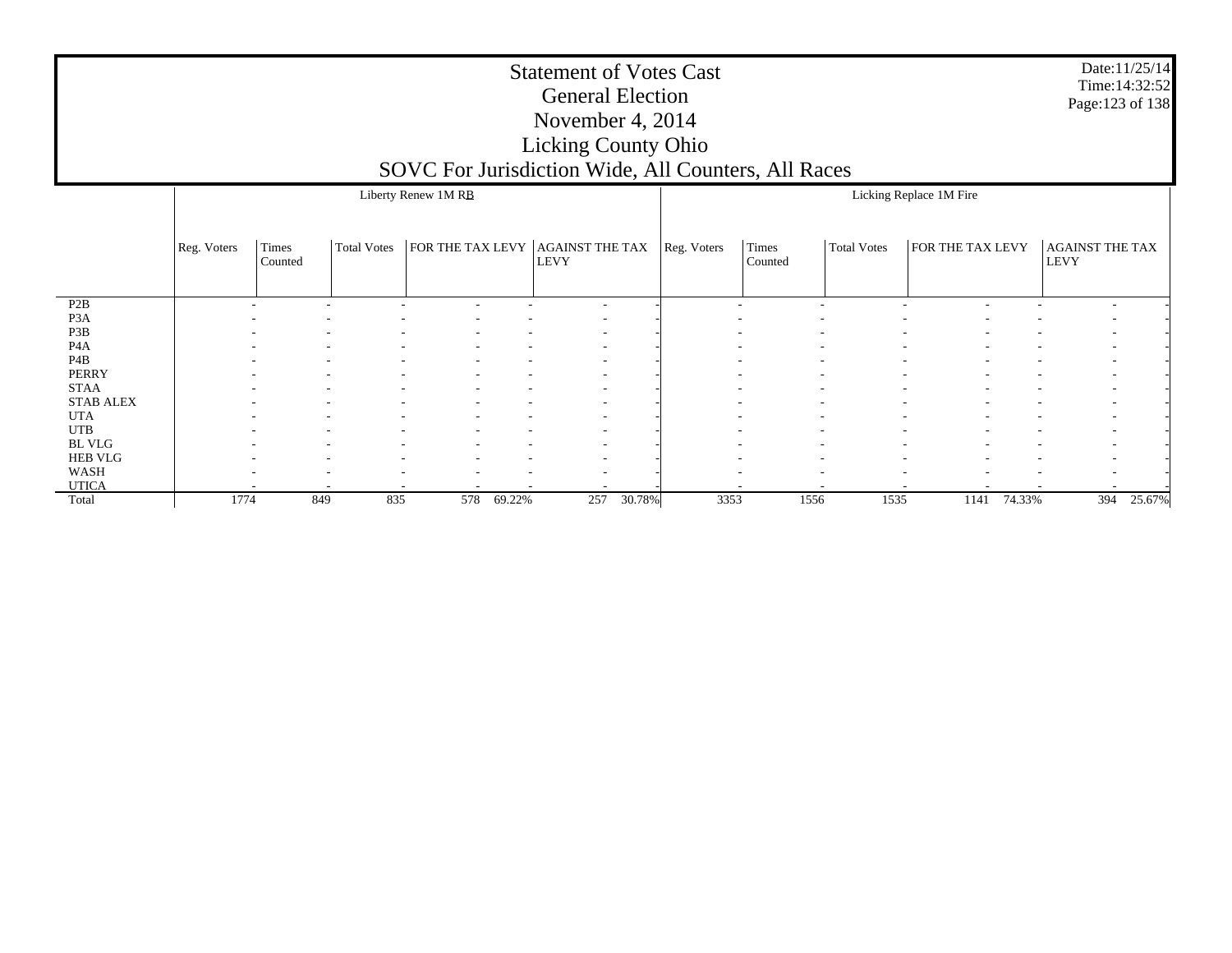|                                      |             |                          |             | SOVC For Jurisdiction Wide, All Counters, All Races | <b>Statement of Votes Cast</b><br><b>General Election</b><br>November 4, 2014<br><b>Licking County Ohio</b> |             |                  |                    |                         | Date:11/25/14<br>Time: 14:32:52<br>Page: 123 of 138 |
|--------------------------------------|-------------|--------------------------|-------------|-----------------------------------------------------|-------------------------------------------------------------------------------------------------------------|-------------|------------------|--------------------|-------------------------|-----------------------------------------------------|
|                                      |             |                          |             | Liberty Renew 1M RB                                 |                                                                                                             |             |                  |                    | Licking Replace 1M Fire |                                                     |
|                                      | Reg. Voters | Times<br>Counted         | Total Votes |                                                     | FOR THE TAX LEVY $ $ AGAINST THE TAX<br><b>LEVY</b>                                                         | Reg. Voters | Times<br>Counted | <b>Total Votes</b> | FOR THE TAX LEVY        | <b>AGAINST THE TAX</b><br><b>LEVY</b>               |
| P <sub>2</sub> B<br>P <sub>3</sub> A |             | $\overline{\phantom{a}}$ |             | $\sim$                                              |                                                                                                             |             |                  |                    |                         | $\overline{\phantom{a}}$                            |
| P3B                                  |             |                          |             |                                                     |                                                                                                             |             |                  |                    |                         |                                                     |
| P <sub>4</sub> A<br>P <sub>4</sub> B |             |                          |             |                                                     |                                                                                                             |             |                  |                    |                         |                                                     |
| <b>PERRY</b>                         |             |                          |             |                                                     |                                                                                                             |             |                  |                    |                         | ٠                                                   |
| <b>STAA</b><br><b>STAB ALEX</b>      |             |                          |             |                                                     |                                                                                                             |             |                  |                    |                         |                                                     |
| <b>UTA</b><br><b>UTB</b>             |             |                          |             |                                                     |                                                                                                             |             |                  |                    |                         |                                                     |
| <b>BL VLG</b>                        |             |                          |             | $\overline{\phantom{a}}$                            |                                                                                                             |             |                  |                    | ٠                       |                                                     |

- - - - - - - - - - - - -

 - - - - - - - - - - - - - - - - - - - - - - - - - -

257 30.78% 3353 1556 1535 1141 74.33% 394 25.67%

 HEB VLG WASH UTICA**Total** 

-

-

849 835 578 69.22%

1774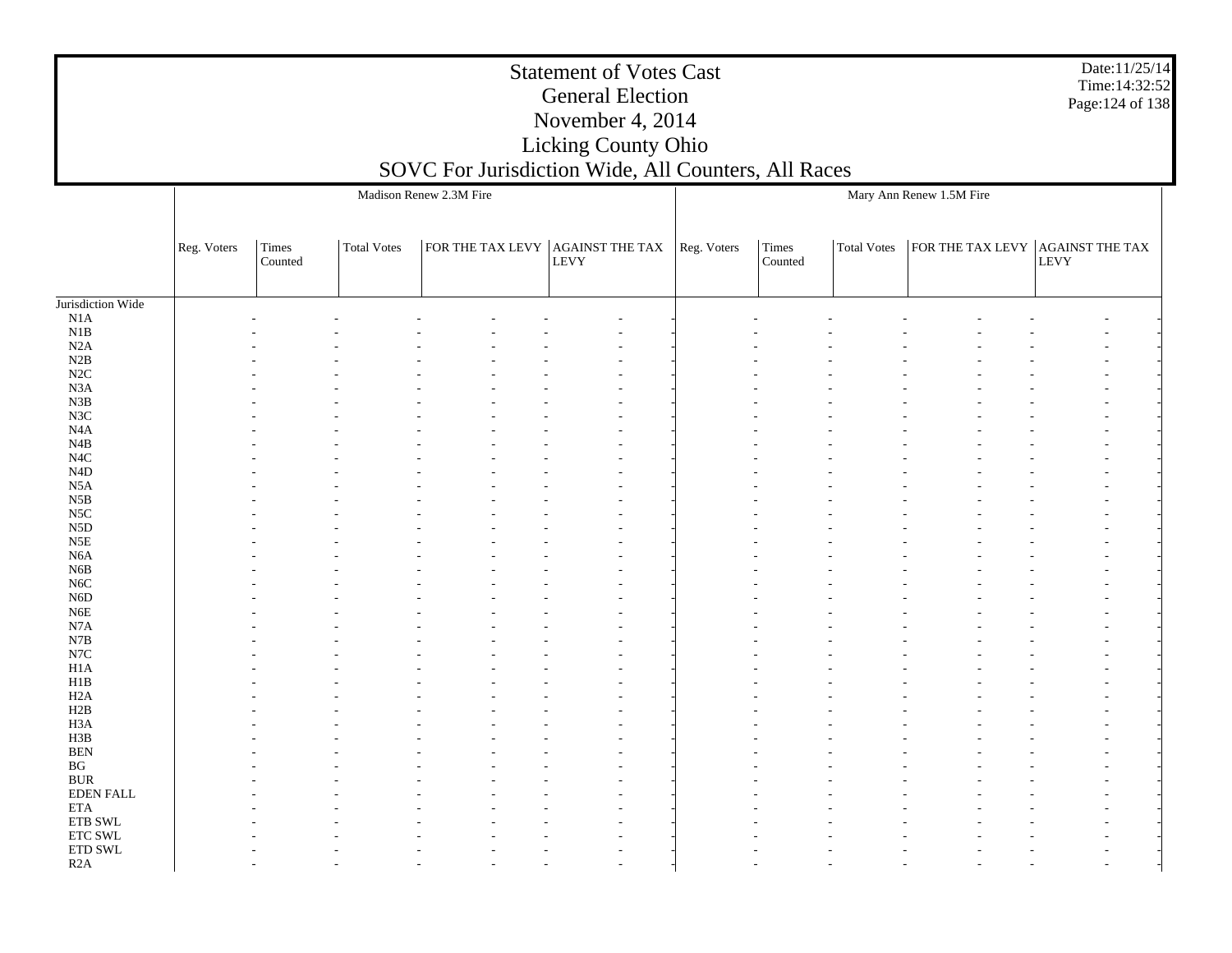Jurisdiction Wide N1A N1B N2A N2B N2C N3A N3B N3C N4A N4B N4C N4D N5A N5B N5C N5D N5E N6A N6B N6C N6D N6E N7A N7B N7C H1A H1B H2A H2B H3A H3B BEN BG BUR EDEN FALL ETA ETB SWL ETC SWL ETD SWL R2AReg. Voters | Times Counted Total Votes $\,$ s  $\,$   $\,$  FOR THE TAX LEVY  $\,$  AGAINST THE TAX  $\,$ LEVY Madison Renew 2.3M FireReg. Voters | Times Counted Total Votes FOR THE TAX LEVY | AGAINST THE TAX LEVY Mary Ann Renew 1.5M Fire - - - - - - - - - - - - - - - - - - - - - - - - - - - - - - - - - - - - - - - - - - - - - - - - - - - - - - - - - - - - - - - - - - - - - - - - - - - - - - - - - - - - - - - - - - - - - - - - - - - - - - - - - - - - - - - - - - - - - - - - - - - - - - - - - - - - - - - - - - - - - - - - - - - - - - - - - - - - - - - - - - - - - - - - - - - - - - - - - - - - - - - - - - - - - - - - - - - - - - - - - - - - - - - - - - - - - - - - - - - - - - - - - - - - - - - - - - - - - - - - - - - - - - - - - - - - - - - - - - - - - - - - - - - - - - - - - - - - - - - - - - - - - - - - - - - - - - - - - - - - - - - - - - - - - - - - - - - - - - - - - - - - - - - - - - - - - - - - - - - - - - - - - - - - - - - - - - - - - - - - - - - - - - - - - - - - - - - - - - - - - - - - - - - - - - - - - - - - - - - - - - - - - - - - - - - - - - - - - - - - - - - - - - - - - - - - - - - - - - - - - - - - - - - - - - - - - - - - - - - - - - - - - - - - - - - - - - - - - - - - - - - - - - - - - - - - - - - - - - - - - - - - - - - - - - - - - - - - - - - -

Date:11/25/14Time:14:32:52Page:124 of 138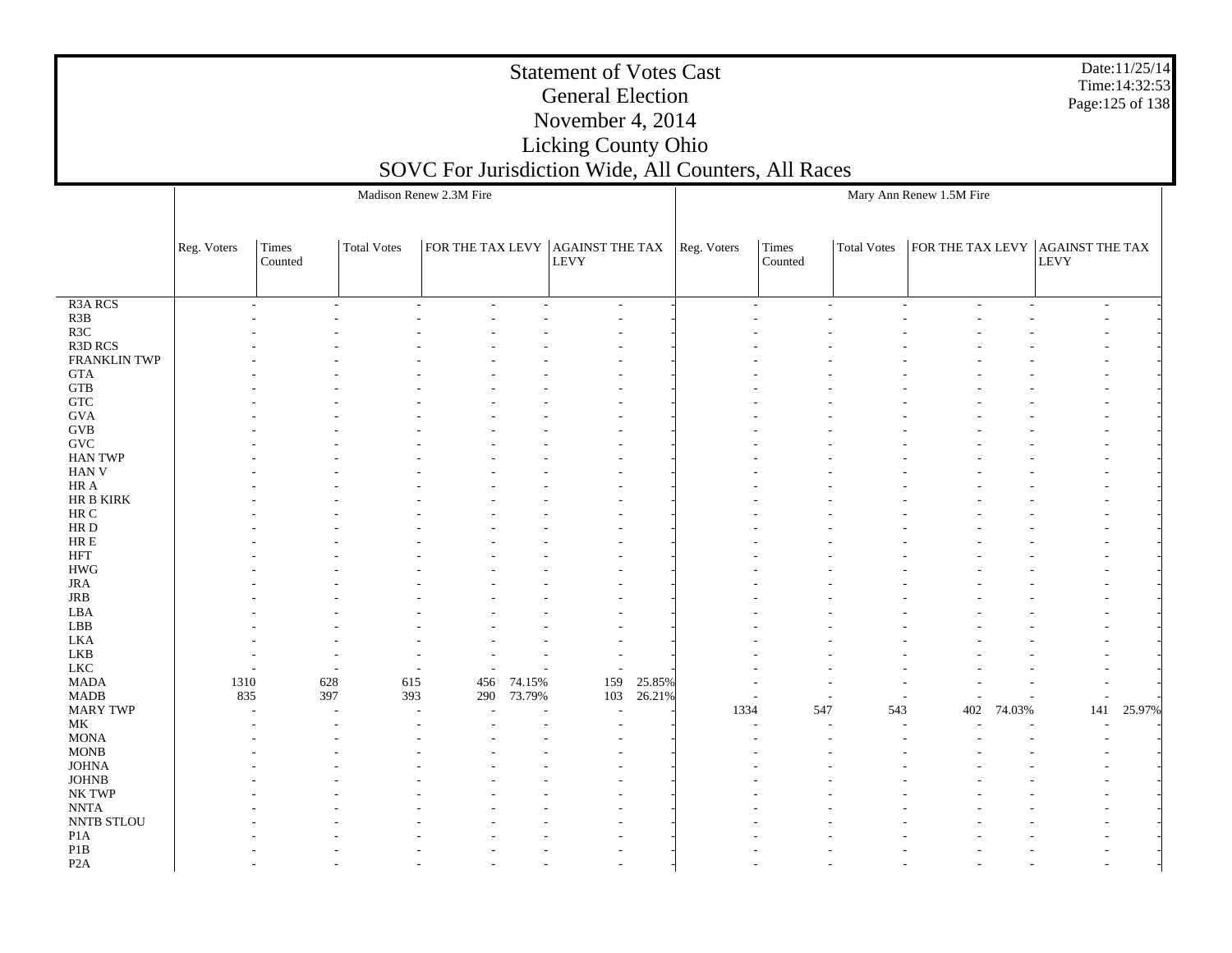Date:11/25/14 Time:14:32:53 Page:125 of 138

|                            |             |         |                    | Madison Renew 2.3M Fire |        |                                                                                                              |        |             |         |                    | Mary Ann Renew 1.5M Fire         |        |        |        |
|----------------------------|-------------|---------|--------------------|-------------------------|--------|--------------------------------------------------------------------------------------------------------------|--------|-------------|---------|--------------------|----------------------------------|--------|--------|--------|
|                            |             |         |                    |                         |        |                                                                                                              |        |             |         |                    |                                  |        |        |        |
|                            |             |         |                    |                         |        |                                                                                                              |        |             |         |                    |                                  |        |        |        |
|                            | Reg. Voters | Times   | <b>Total Votes</b> |                         |        | $\begin{array}{ c c c }\hline \text{FOR THE TAX LEVY} & \text{AGAINST THE TAX} \\ \text{LEVY} & \end{array}$ |        | Reg. Voters | Times   | <b>Total Votes</b> | FOR THE TAX LEVY AGAINST THE TAX |        |        |        |
|                            |             | Counted |                    |                         |        |                                                                                                              |        |             | Counted |                    |                                  |        | LEVY   |        |
|                            |             |         |                    |                         |        |                                                                                                              |        |             |         |                    |                                  |        |        |        |
| R <sub>3</sub> A RCS       |             | ٠       |                    |                         |        |                                                                                                              |        |             | ÷       |                    |                                  |        | $\sim$ |        |
| R3B                        |             |         |                    |                         |        |                                                                                                              |        |             |         |                    |                                  |        |        |        |
| R3C                        |             |         |                    |                         |        |                                                                                                              |        |             |         |                    |                                  |        |        |        |
| R3D RCS                    |             |         |                    |                         |        |                                                                                                              |        |             |         |                    |                                  |        |        |        |
| <b>FRANKLIN TWP</b>        |             |         |                    |                         |        |                                                                                                              |        |             |         |                    |                                  |        |        |        |
| <b>GTA</b>                 |             |         |                    |                         |        |                                                                                                              |        |             |         |                    |                                  |        |        |        |
| <b>GTB</b>                 |             |         |                    |                         |        |                                                                                                              |        |             |         |                    |                                  |        |        |        |
| ${\rm GTC}$                |             |         |                    |                         |        |                                                                                                              |        |             |         |                    |                                  |        |        |        |
| <b>GVA</b><br>$\rm GVB$    |             |         |                    |                         |        |                                                                                                              |        |             |         |                    |                                  |        |        |        |
| $\operatorname{GVC}$       |             |         |                    |                         |        |                                                                                                              |        |             |         |                    |                                  |        |        |        |
| <b>HAN TWP</b>             |             |         |                    |                         |        |                                                                                                              |        |             |         |                    |                                  |        |        |        |
| HAN V                      |             |         |                    |                         |        |                                                                                                              |        |             |         |                    |                                  |        |        |        |
| $\rm{HR}$ A                |             |         |                    |                         |        |                                                                                                              |        |             |         |                    |                                  |        |        |        |
| HR B KIRK                  |             |         |                    |                         |        |                                                                                                              |        |             |         |                    |                                  |        |        |        |
| $\rm{HR}$ C                |             |         |                    |                         |        |                                                                                                              |        |             |         |                    |                                  |        |        |        |
| HR D                       |             |         |                    |                         |        |                                                                                                              |        |             |         |                    |                                  |        |        |        |
| ${\rm HR} \to$             |             |         |                    |                         |        |                                                                                                              |        |             |         |                    |                                  |        |        |        |
| $\operatorname{HFT}$       |             |         |                    |                         |        |                                                                                                              |        |             |         |                    |                                  |        |        |        |
| <b>HWG</b>                 |             |         |                    |                         |        |                                                                                                              |        |             |         |                    |                                  |        |        |        |
| <b>JRA</b>                 |             |         |                    |                         |        |                                                                                                              |        |             |         |                    |                                  |        |        |        |
| $_{\rm JRB}$               |             |         |                    |                         |        |                                                                                                              |        |             |         |                    |                                  |        |        |        |
| LBA                        |             |         |                    |                         |        |                                                                                                              |        |             |         |                    |                                  |        |        |        |
| ${\rm LBB}$                |             |         |                    |                         |        |                                                                                                              |        |             |         |                    |                                  |        |        |        |
| <b>LKA</b>                 |             |         |                    |                         |        |                                                                                                              |        |             |         |                    |                                  |        |        |        |
| LKB                        |             |         |                    |                         |        |                                                                                                              |        |             |         |                    |                                  |        |        |        |
| ${\rm LKC}$                |             |         |                    |                         |        |                                                                                                              |        |             |         |                    |                                  |        |        |        |
| <b>MADA</b>                | 1310        | 628     | 615                | 456                     | 74.15% | 159                                                                                                          | 25.85% |             |         |                    |                                  |        |        |        |
| <b>MADB</b>                | 835         | 397     | 393                | 290                     | 73.79% | 103                                                                                                          | 26.21% |             |         |                    |                                  |        |        |        |
| <b>MARY TWP</b>            |             |         |                    |                         |        |                                                                                                              |        | 1334        | 547     | 543                | 402                              | 74.03% | 141    | 25.97% |
| MK                         |             |         |                    |                         |        |                                                                                                              |        |             |         |                    |                                  |        |        |        |
| <b>MONA</b><br>$\rm{MONB}$ |             |         |                    |                         |        |                                                                                                              |        |             |         |                    |                                  |        |        |        |
| <b>JOHNA</b>               |             |         |                    |                         |        |                                                                                                              |        |             |         |                    |                                  |        |        |        |
| <b>JOHNB</b>               |             |         |                    |                         |        |                                                                                                              |        |             |         |                    |                                  |        |        |        |
| NK TWP                     |             |         |                    |                         |        |                                                                                                              |        |             |         |                    |                                  |        |        |        |
| $\ensuremath{\text{NNTA}}$ |             |         |                    |                         |        |                                                                                                              |        |             |         |                    |                                  |        |        |        |
| NNTB STLOU                 |             |         |                    |                         |        |                                                                                                              |        |             |         |                    |                                  |        |        |        |
| P <sub>1</sub> A           |             |         |                    |                         |        |                                                                                                              |        |             |         |                    |                                  |        |        |        |
| P1B                        |             |         |                    |                         |        |                                                                                                              |        |             |         |                    |                                  |        |        |        |
| P <sub>2</sub> A           |             |         |                    |                         |        |                                                                                                              |        |             |         |                    |                                  |        |        |        |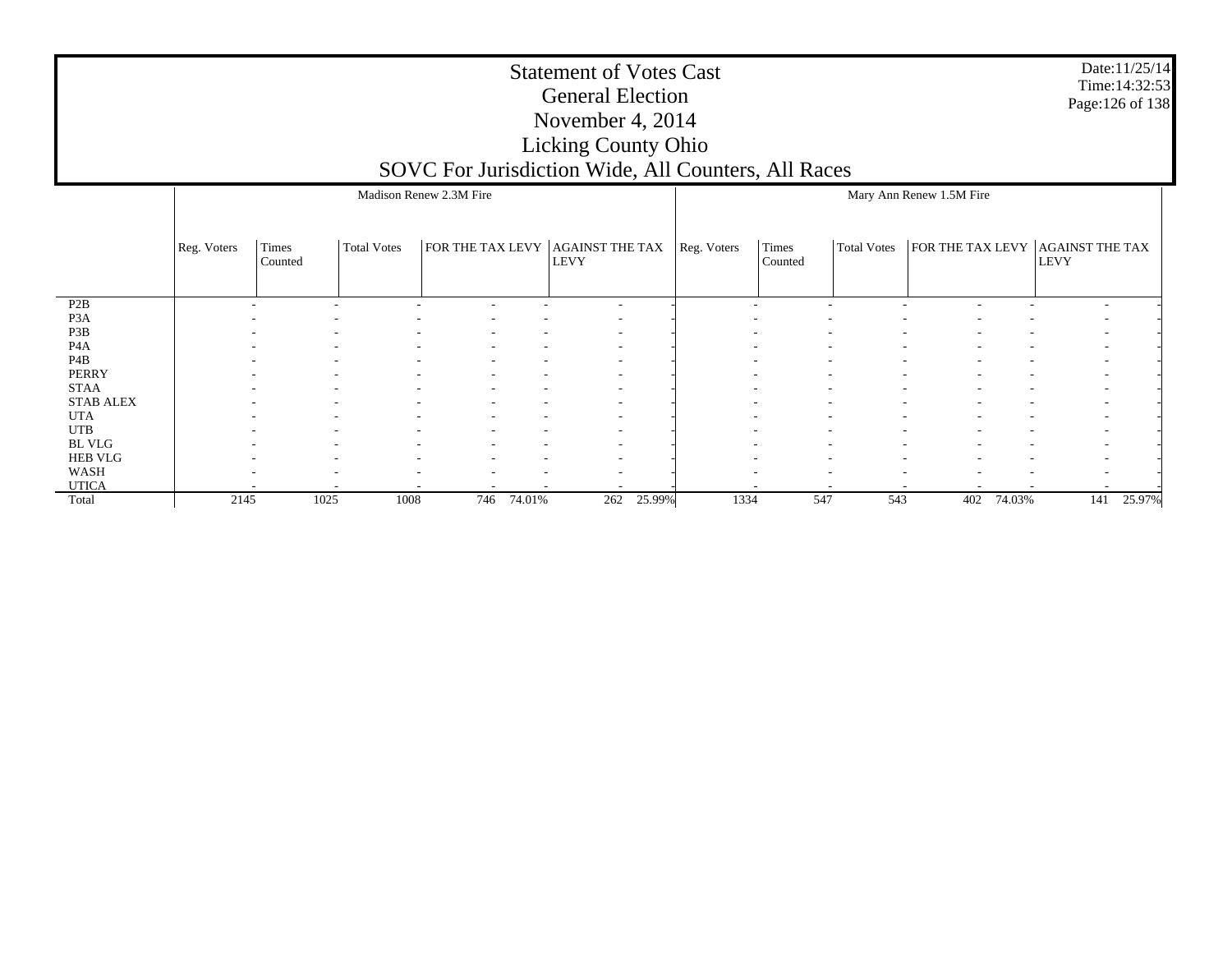Date:11/25/14 Time:14:32:53 Page:126 of 138

|                  |             |                  |                    |                                                      |            |                                                 | $\overline{\phantom{a}}$ |             |                          |                    |                                                      |                          |                                       |            |
|------------------|-------------|------------------|--------------------|------------------------------------------------------|------------|-------------------------------------------------|--------------------------|-------------|--------------------------|--------------------|------------------------------------------------------|--------------------------|---------------------------------------|------------|
|                  |             |                  |                    | Madison Renew 2.3M Fire                              |            |                                                 |                          |             |                          |                    | Mary Ann Renew 1.5M Fire                             |                          |                                       |            |
|                  | Reg. Voters | Times<br>Counted | <b>Total Votes</b> |                                                      |            | FOR THE TAX LEVY AGAINST THE TAX<br><b>LEVY</b> |                          | Reg. Voters | Times<br>Counted         | <b>Total Votes</b> | FOR THE TAX LEVY                                     |                          | <b>AGAINST THE TAX</b><br><b>LEVY</b> |            |
| P <sub>2</sub> B |             |                  |                    |                                                      |            |                                                 |                          |             |                          |                    |                                                      |                          |                                       |            |
| P <sub>3</sub> A |             |                  |                    |                                                      |            |                                                 |                          |             |                          |                    |                                                      |                          |                                       |            |
| P3B              |             | ۰                |                    |                                                      |            |                                                 |                          |             |                          |                    |                                                      |                          |                                       |            |
| P <sub>4</sub> A |             | ۰                | ٠                  | $\overline{\phantom{a}}$<br>$\overline{\phantom{a}}$ |            | $\sim$                                          |                          |             | $\overline{\phantom{a}}$ |                    | $\overline{\phantom{a}}$<br>$\overline{\phantom{a}}$ | $\overline{\phantom{0}}$ | $\overline{\phantom{a}}$              |            |
| P <sub>4</sub> B |             |                  | ٠                  |                                                      |            | $\overline{\phantom{0}}$                        |                          |             |                          |                    |                                                      |                          |                                       |            |
| PERRY            |             |                  |                    | $\overline{\phantom{a}}$                             |            |                                                 |                          |             |                          |                    |                                                      |                          |                                       |            |
| <b>STAA</b>      |             |                  |                    |                                                      |            | $\overline{\phantom{0}}$                        |                          |             |                          |                    |                                                      |                          |                                       |            |
| <b>STAB ALEX</b> |             |                  |                    |                                                      |            |                                                 |                          |             |                          |                    |                                                      |                          |                                       |            |
| <b>UTA</b>       |             |                  |                    | $\overline{\phantom{a}}$<br>$\overline{\phantom{a}}$ |            | $\overline{\phantom{a}}$                        |                          |             | ۰                        |                    | $\overline{\phantom{a}}$                             |                          | $\overline{\phantom{a}}$              |            |
| <b>UTB</b>       |             |                  |                    |                                                      |            |                                                 |                          |             |                          |                    |                                                      |                          |                                       |            |
| <b>BL VLG</b>    |             |                  |                    |                                                      |            |                                                 |                          |             |                          |                    |                                                      |                          |                                       |            |
| <b>HEB VLG</b>   |             |                  |                    |                                                      |            |                                                 |                          |             |                          |                    |                                                      |                          |                                       |            |
| WASH             |             |                  |                    |                                                      |            |                                                 |                          |             |                          |                    |                                                      |                          |                                       |            |
| <b>UTICA</b>     |             |                  |                    |                                                      |            |                                                 |                          |             |                          |                    |                                                      |                          |                                       |            |
| Total            | 2145        | 1025             | 1008               |                                                      | 746 74.01% | 262                                             | 25.99%                   | 1334        | 547                      | 543                | 402                                                  | 74.03%                   |                                       | 141 25.97% |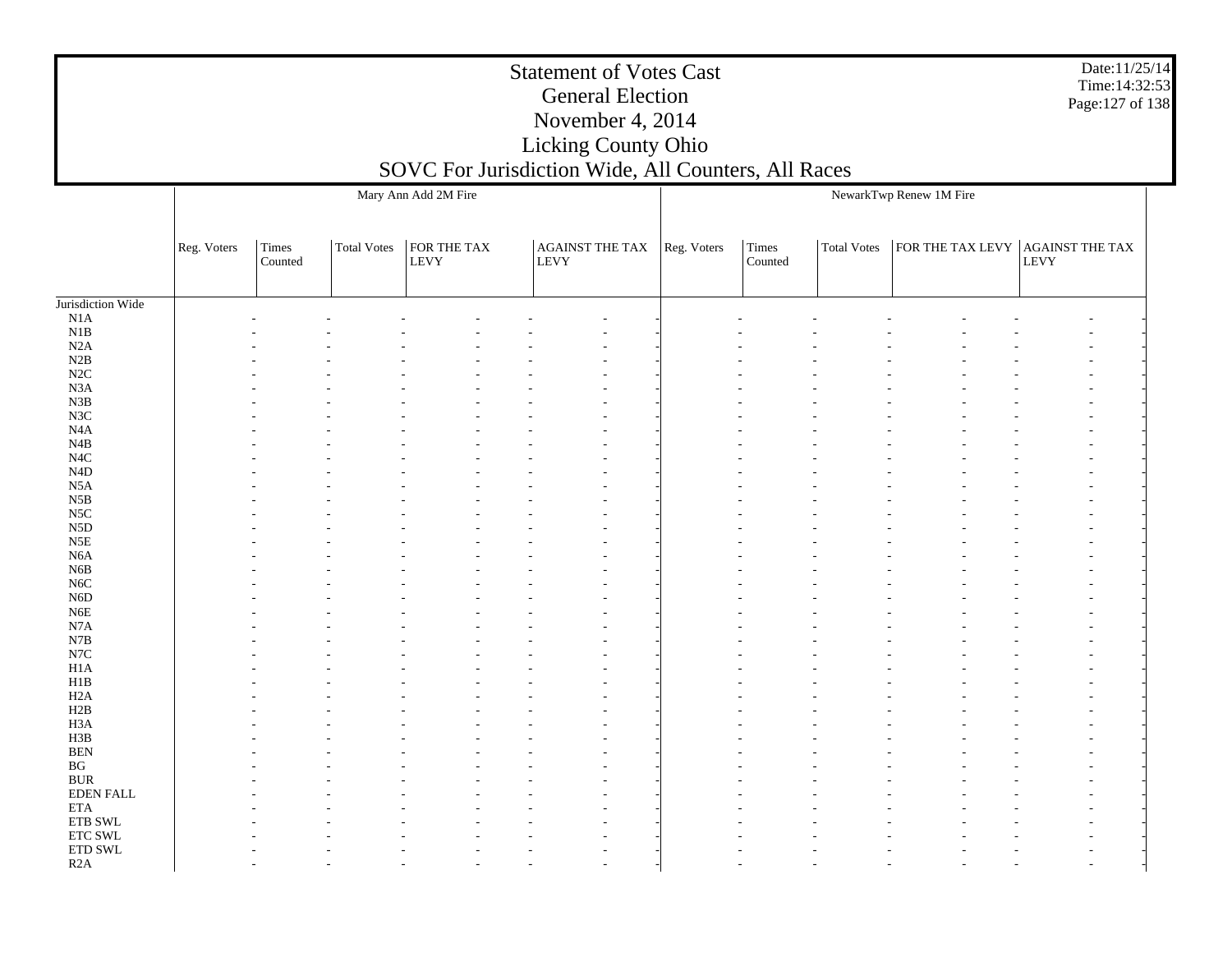Jurisdiction Wide N1A N1B N2A N2B N2C N3A N3B N3C N4A N4B N4C N4D N5A N5B N5C N5D N5E N6A N6B N6C N6D N6E N7A N7B N7C H1A H1B H2A H2B H3A H3B BEN BG BUR EDEN FALL ETA ETB SWL ETC SWL ETD SWL R2AReg. Voters | Times Counted Total Votes FOR THE TAX LEVYAGAINST THE TAX | Reg. Voters | Times LEVY Mary Ann Add 2M Fire Counted Total Votes $\,$ s  $\,$  | FOR THE TAX LEVY | AGAINST THE TAX  $\,$ LEVY NewarkTwp Renew 1M Fire - - - - - - - - - - - - - - - - - - - - - - - - - - - - - - - - - - - - - - - - - - - - - - - - - - - - - - - - - - - - - - - - - - - - - - - - - - - - - - - - - - - - - - - - - - - - - - - - - - - - - - - - - - - - - - - - - - - - - - - - - - - - - - - - - - - - - - - - - - - - - - - - - - - - - - - - - - - - - - - - - - - - - - - - - - - - - - - - - - - - - - - - - - - - - - - - - - - - - - - - - - - - - - - - - - - - - - - - - - - - - - - - - - - - - - - - - - - - - - - - - - - - - - - - - - - - - - - - - - - - - - - - - - - - - - - - - - - - - - - - - - - - - - - - - - - - - - - - - - - - - - - - - - - - - - - - - - - - - - - - - - - - - - - - - - - - - - - - - - - - - - - - - - - - - - - - - - - - - - - - - - - - - - - - - - - - - - - - - - - - - - - - - - - - - - - - - - - - - - - - - - - - - - - - - - - - - - - - - - - - - - - - - - - - - - - - - - - - - - - - - - - - - - - - - - - - - - - - - - - - - - - - - - - - - - - - - - - - - - - - - - - - - - - - - - - - - - - - - - - - - - - - - - - - - - - - - - - - - - - -

Date:11/25/14Time:14:32:53Page:127 of 138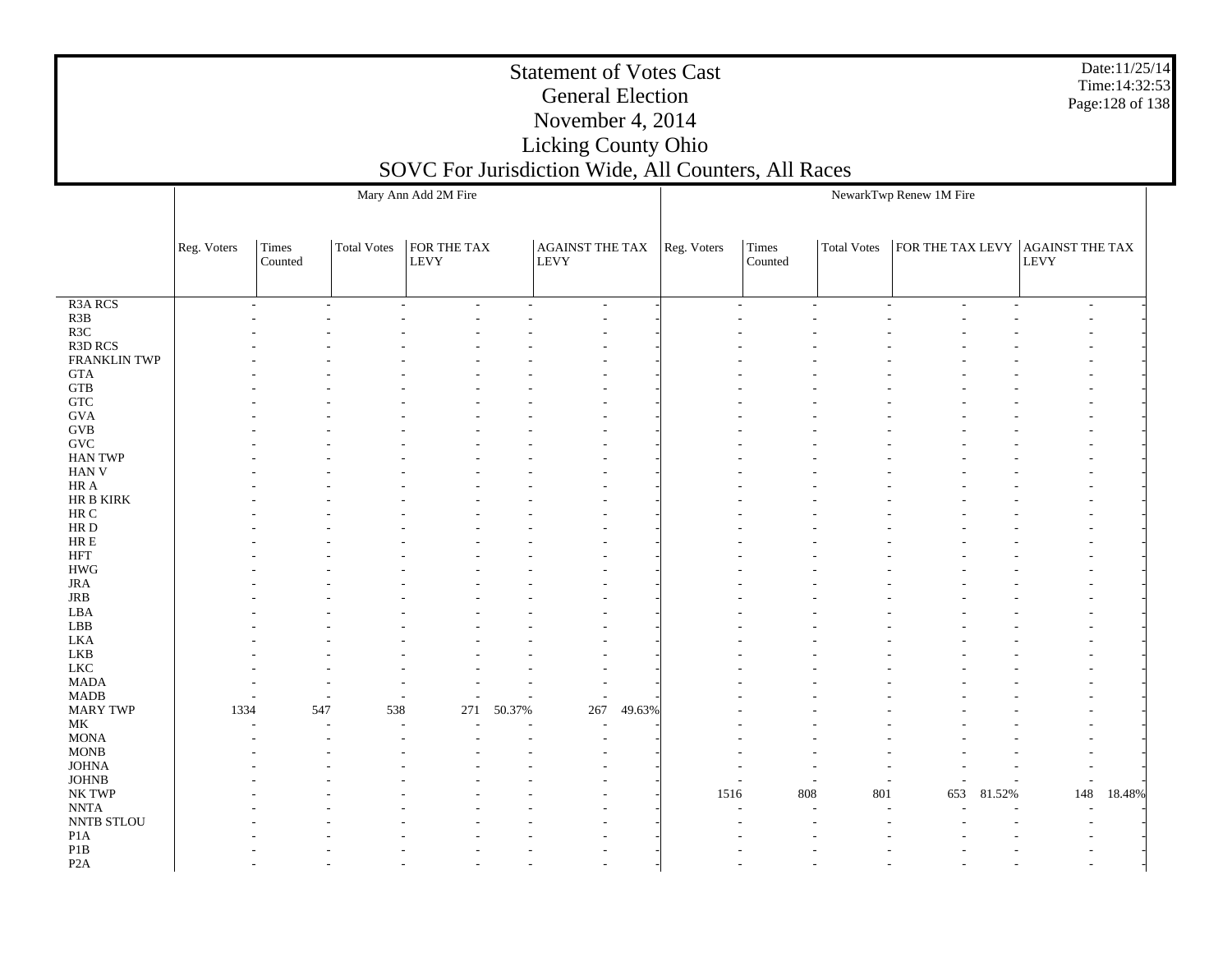| Date: 11/25/14   |
|------------------|
| Time: 14:32:53   |
| Page: 128 of 138 |

|                               |             |                  |                          | Mary Ann Add 2M Fire               |        |                          |        |                |                  |                          | NewarkTwp Renew 1M Fire                    |                |                                        |        |
|-------------------------------|-------------|------------------|--------------------------|------------------------------------|--------|--------------------------|--------|----------------|------------------|--------------------------|--------------------------------------------|----------------|----------------------------------------|--------|
|                               |             |                  |                          |                                    |        |                          |        |                |                  |                          |                                            |                |                                        |        |
|                               | Reg. Voters | Times<br>Counted | Total Votes              | FOR THE TAX<br>LEVY                |        | AGAINST THE TAX<br>LEVY  |        | Reg. Voters    | Times<br>Counted | <b>Total Votes</b>       | FOR THE TAX LEVY                           |                | <b>AGAINST THE TAX</b><br>${\rm LEVY}$ |        |
| R <sub>3</sub> A RCS          |             | $\sim$           | $\overline{\phantom{a}}$ | $\sim$<br>$\overline{\phantom{a}}$ | ÷,     | $\overline{\phantom{a}}$ |        | $\blacksquare$ |                  | $\overline{\phantom{a}}$ | $\overline{a}$<br>$\overline{\phantom{a}}$ | $\overline{a}$ | $\sim$                                 |        |
| R3B                           |             |                  |                          |                                    |        |                          |        |                |                  |                          |                                            |                |                                        |        |
| R3C                           |             |                  |                          |                                    |        |                          |        |                |                  |                          |                                            |                |                                        |        |
| <b>R3D RCS</b>                |             |                  |                          |                                    |        |                          |        |                |                  |                          |                                            |                |                                        |        |
| <b>FRANKLIN TWP</b>           |             |                  |                          |                                    |        |                          |        |                |                  |                          |                                            |                |                                        |        |
| <b>GTA</b>                    |             |                  |                          |                                    |        |                          |        |                |                  |                          |                                            |                |                                        |        |
| <b>GTB</b>                    |             |                  |                          |                                    |        |                          |        |                |                  |                          |                                            |                |                                        |        |
| ${\rm GTC}$                   |             |                  |                          |                                    |        |                          |        |                |                  |                          |                                            |                |                                        |        |
| $\rm GVA$                     |             |                  |                          |                                    |        |                          |        |                |                  |                          |                                            |                |                                        |        |
| $\rm GVB$                     |             |                  |                          |                                    |        |                          |        |                |                  |                          |                                            |                |                                        |        |
| $\operatorname{GVC}$          |             |                  |                          |                                    |        |                          |        |                |                  |                          |                                            |                |                                        |        |
| HAN TWP                       |             |                  |                          |                                    |        |                          |        |                |                  |                          |                                            |                |                                        |        |
| HAN V                         |             |                  |                          |                                    |        |                          |        |                |                  |                          |                                            |                |                                        |        |
| $\rm{HR}$ A                   |             |                  |                          |                                    |        |                          |        |                |                  |                          |                                            |                |                                        |        |
| ${\rm HR}$ B ${\rm KIRK}$     |             |                  |                          |                                    |        |                          |        |                |                  |                          |                                            |                |                                        |        |
| $\rm{HR}$ C                   |             |                  |                          |                                    |        |                          |        |                |                  |                          |                                            |                |                                        |        |
| HR D<br>${\rm HR} \to$        |             |                  |                          |                                    |        |                          |        |                |                  |                          |                                            |                |                                        |        |
| $\operatorname{HFT}$          |             |                  |                          |                                    |        |                          |        |                |                  |                          |                                            |                |                                        |        |
| $\rm HWG$                     |             |                  |                          |                                    |        |                          |        |                |                  |                          |                                            |                |                                        |        |
| <b>JRA</b>                    |             |                  |                          |                                    |        |                          |        |                |                  |                          |                                            |                |                                        |        |
| $_{\rm JRB}$                  |             |                  |                          |                                    |        |                          |        |                |                  |                          |                                            |                |                                        |        |
| LBA                           |             |                  |                          |                                    |        |                          |        |                |                  |                          |                                            |                |                                        |        |
| LBB                           |             |                  |                          |                                    |        |                          |        |                |                  |                          |                                            |                |                                        |        |
| LKA                           |             |                  |                          |                                    |        |                          |        |                |                  |                          |                                            |                |                                        |        |
| ${\rm LKB}$                   |             |                  |                          |                                    |        |                          |        |                |                  |                          |                                            |                |                                        |        |
| ${\rm LKC}$                   |             |                  |                          |                                    |        |                          |        |                |                  |                          |                                            |                |                                        |        |
| <b>MADA</b>                   |             |                  |                          |                                    |        |                          |        |                |                  |                          |                                            |                |                                        |        |
| MADB                          |             |                  |                          |                                    |        | $\overline{\phantom{a}}$ |        |                |                  |                          |                                            |                |                                        |        |
| <b>MARY TWP</b>               | 1334        | 547              | 538                      | 271                                | 50.37% | 267                      | 49.63% |                |                  |                          |                                            |                |                                        |        |
| MK                            |             |                  |                          |                                    |        |                          |        |                |                  |                          |                                            |                |                                        |        |
| $\operatorname{MONA}$         |             |                  |                          |                                    |        |                          |        |                |                  |                          |                                            |                |                                        |        |
| $\rm{MONB}$                   |             |                  |                          |                                    |        |                          |        |                |                  |                          |                                            |                |                                        |        |
| $\mathop{\rm JOHNA}\nolimits$ |             |                  |                          |                                    |        |                          |        |                |                  |                          |                                            |                |                                        |        |
| $_{\rm JOHNB}$                |             |                  |                          |                                    |        |                          |        |                |                  |                          |                                            |                |                                        |        |
| NK TWP                        |             |                  |                          |                                    |        |                          |        | 1516           | 808              | 801                      | 653                                        | 81.52%         | 148                                    | 18.48% |
| $\ensuremath{\text{NNTA}}$    |             |                  |                          |                                    |        |                          |        |                |                  |                          |                                            |                |                                        |        |
| NNTB STLOU                    |             |                  |                          |                                    |        |                          |        |                |                  |                          |                                            |                |                                        |        |
| P1A                           |             |                  |                          |                                    |        |                          |        |                |                  |                          |                                            |                |                                        |        |
| P1B                           |             |                  |                          |                                    |        |                          |        |                |                  |                          |                                            |                |                                        |        |
| P <sub>2</sub> A              |             |                  |                          |                                    |        |                          |        |                |                  |                          |                                            |                |                                        |        |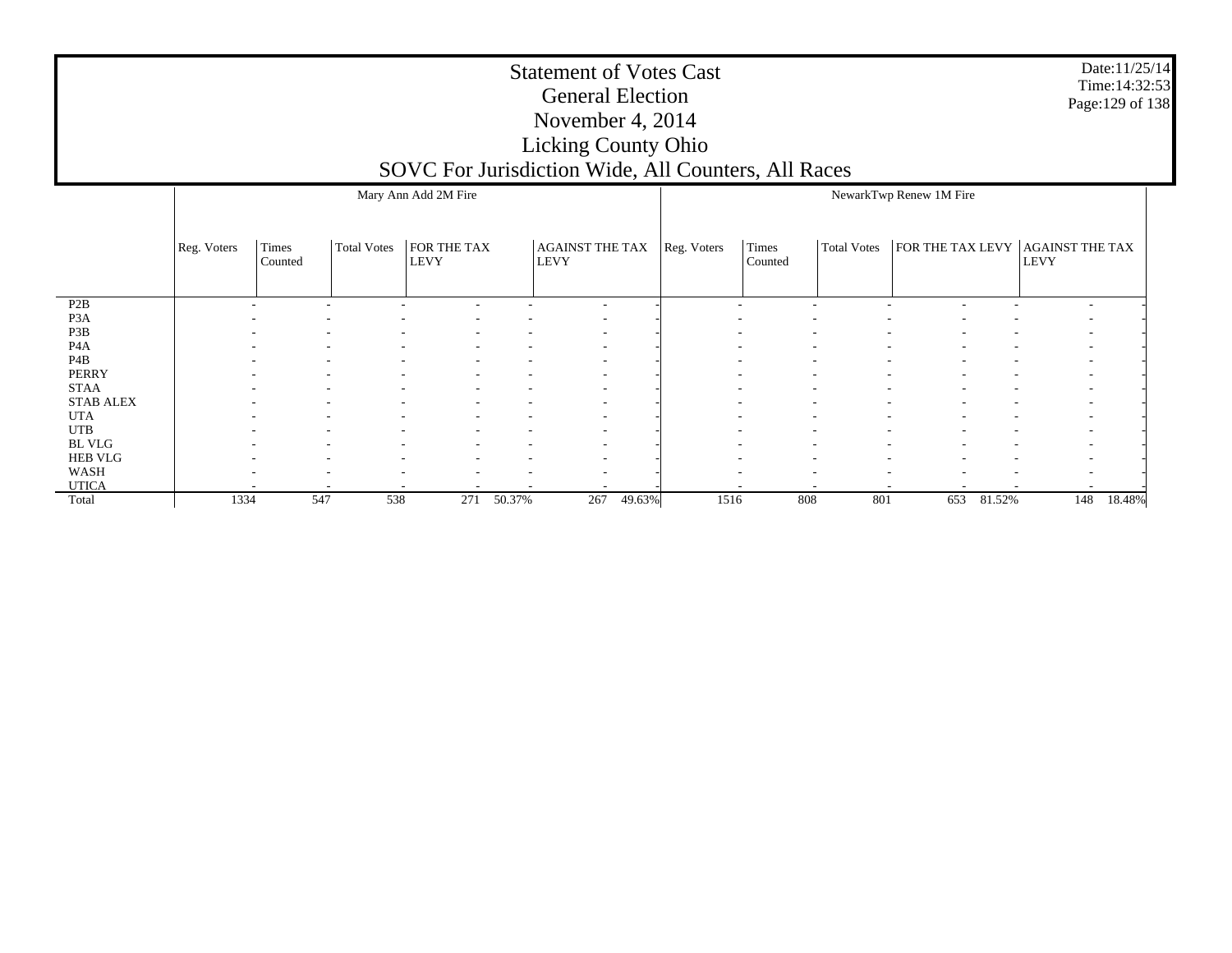# Statement of Votes Cast General ElectionNovember 4, 2014 Licking County Ohio

 P2B P3A P3B P4A P4B PERRYSTAA

 UTA UTB BL VLG HEB VLG WASH UTICATotal

1334

547 538 271 50.37%

SOVC For Jurisdiction Wide, All Counters, All Races STAB ALEXReg. Voters | Times Counted Total Votes FOR THE TAX LEVYAGAINST THE TAX | Reg. Voters | Times LEVY Mary Ann Add 2M Fire Counted Total Votes $\,$ s  $\,$  | FOR THE TAX LEVY | AGAINST THE TAX  $\,$ LEVY NewarkTwp Renew 1M Fire - - - - - - - - - - - - - - - - - - - - - - - - - - - - - - - - - - - - - - - - - - - - - - - - - - - - - - - - - - - - - - - - - - - - - - - - - - - - - - - - - - - - - - - - - - - - - - - - - - - - - - - - - - - - - - - - - - - - - - - - - - - - - - - - - - - - - - - - - - - - - - - - - - - - - - - - - - - - - - - - - - - - - - - - - - - - - - - - - - - - - - -

267 49.63% 1516 808 801 653 81.52% 148 18.48%

Date:11/25/14 Time:14:32:53 Page:129 of 138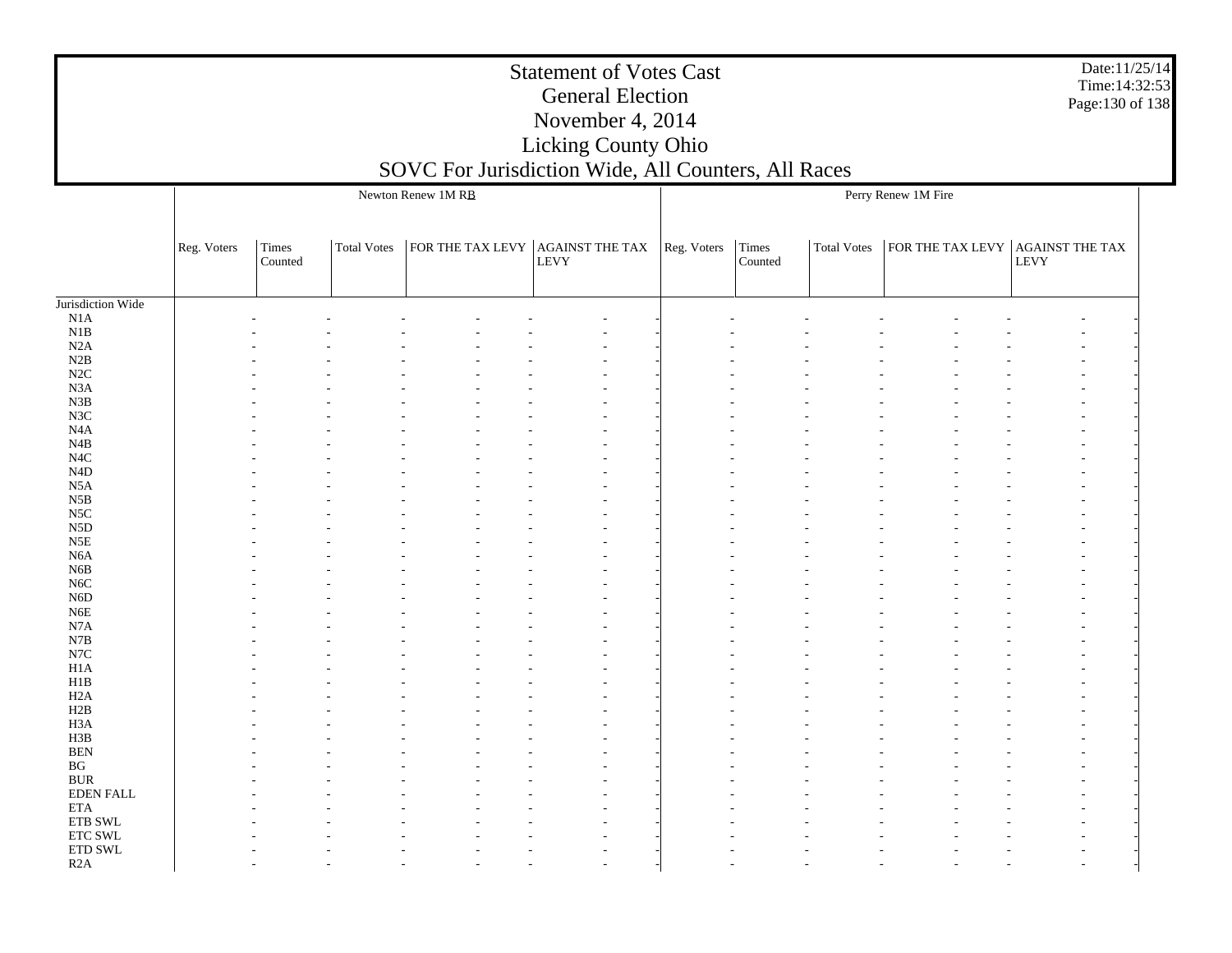Date:11/25/14Time:14:32:53Page:130 of 138

Jurisdiction Wide N1A N1B N2A N2B N2C N3A N3B N3C N4A N4B N4C N4D N5A N5B N5C N5D N5E N6A N6B N6C N6D N6E N7A N7B N7C H1A H1B H2A H2B H3A H3B BEN BG BUR EDEN FALL ETA ETB SWL ETC SWL ETD SWL R2AReg. Voters | Times Counted Total Votess  $|FOR THE TAX LEVY | AGAINST THE TAX | Reg. Voters | Times$ LEVY Newton Renew 1M RBCounted Total Votes $\,$ s  $\,$  | FOR THE TAX LEVY | AGAINST THE TAX LEVYPerry Renew 1M Fire - - - - - - - - - - - - - - - - - - - - - - - - - - - - - - - - - - - - - - - - - - - - - - - - - - - - - - - - - - - - - - - - - - - - - - - - - - - - - - - - - - - - - - - - - - - - - - - - - - - - - - - - - - - - - - - - - - - - - - - - - - - - - - - - - - - - - - - - - - - - - - - - - - - - - - - - - - - - - - - - - - - - - - - - - - - - - - - - - - - - - - - - - - - - - - - - - - - - - - - - - - - - - - - - - - - - - - - - - - - - - - - - - - - - - - - - - - - - - - - - - - - - - - - - - - - - - - - - - - - - - - - - - - - - - - - - - - - - - - - - - - - - - - - - - - - - - - - - - - - - - - - - - - - - - - - - - - - - - - - - - - - - - - - - - - - - - - - - - - - - - - - - - - - - - - - - - - - - - - - - - - - - - - - - - - - - - - - - - - - - - - - - - - - - - - - - - - - - - - - - - - - - - - - - - - - - - - - - - - - - - - - - - - - - - - - - - - - - - - - - - - - - - - - - - - - - - - - - - - - - - - - - - - - - - - - - - - - - - - - - - - - - - - - - - - - - - - - - - - - - - - - - - - - - - - - - - - - - - - - -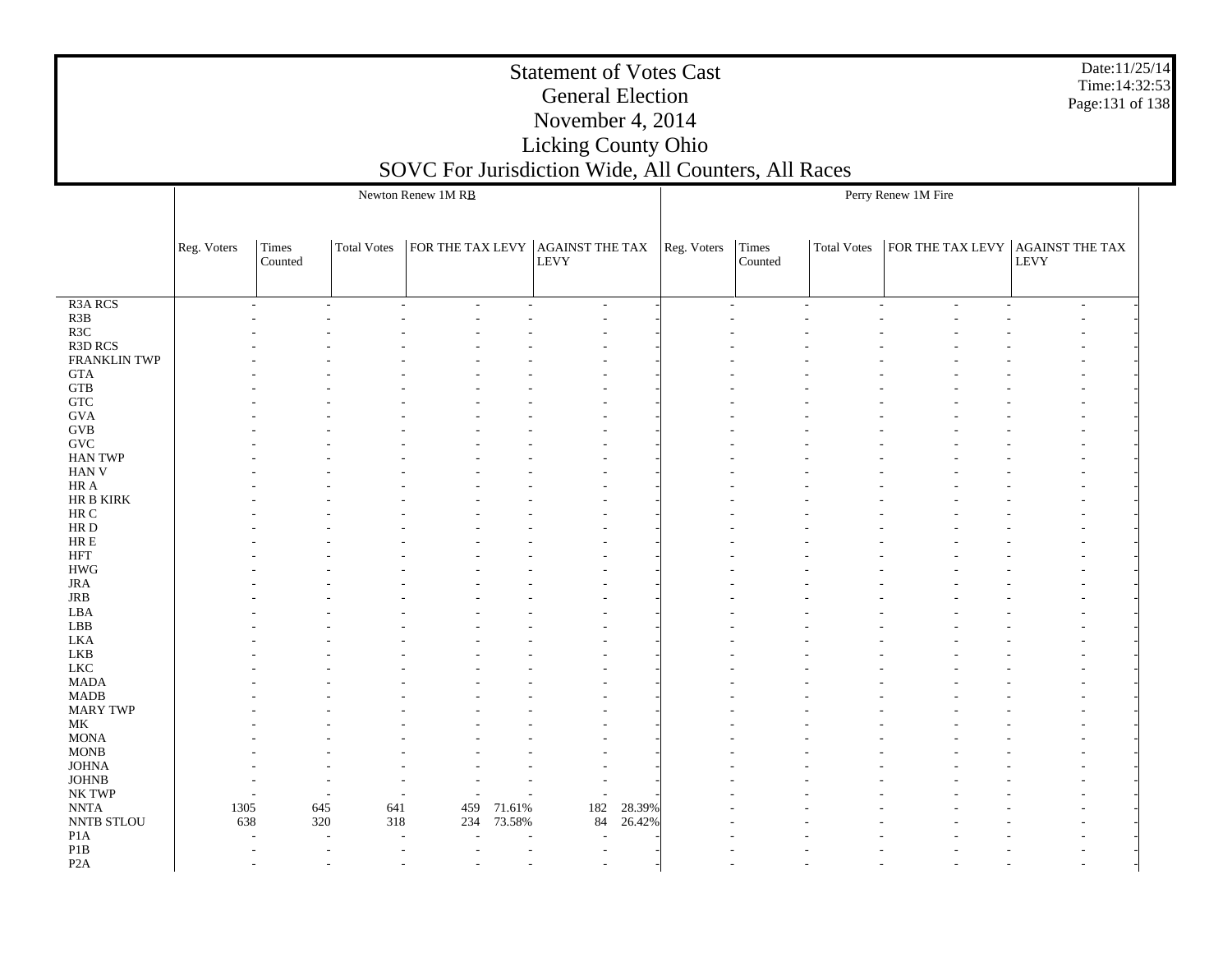R3BR3C

 GTA GTB GTC GVA GVBGVC

HR A

 HR C HR D HR E HFT HWG JRA JRB LBA LBB LKA LKBLKC

MADB

MK

MONB

NNTA

 P1A P1BP2A

 R3A RCS R3D RCS FRANKLIN TWP HAN TWP HAN V HR B KIRK MADA MARY TWP MONA JOHNA JOHNB NK TWP NNTB STLOUReg. Voters | Times Counted Total Votess  $|FOR THE TAX LEVY | AGAINST THE TAX | Reg. Voters | Times$ LEVY Newton Renew 1M RBCounted Total Votes $\,$ s  $\,$  | FOR THE TAX LEVY | AGAINST THE TAX LEVYPerry Renew 1M Fire - - - - - - - - - - - - - - - - - - - - - - - - - - - - - - - - - - - - - - - - - - - - - - - - - - - - - - - - - - - - - - - - - - - - - - - - - - - - - - - - - - - - - - - - - - - - - - - - - - - - - - - - - - - - - - - - - - - - - - - - - - - - - - - - - - - - - - - - - - - - - - - - - - - - - - - - - - - - - - - - - - - - - - - - - - - - - - - - - - - - - - - - - - - - - - - - - - - - - - - - - - - - - - - - - - - - - - - - - - - - - - - - - - - - - - - - - - - - - - - - - - - - - - - - - - - - - - - - - - - - - - - - - - - - - - - - - - - - - - - - - - - - - - - - - - - - - - - - - - - - - - - - - - - - - - - - - - - - - - - - - - - - - - - - - - - - - - - - - - - - - - - - - - - - - - - - - - - - - - - - - - - - - - - - - - - - - - - - - - - - - - - - - - - - - - - - - - - - - - - - - - - - - - - - - - - - - - - - - - - - - - - - - - - - - - - - - - - - - - - - - - - - - - - - - - - - - - - - - - - - - - - - - - - - - - - - 1305 645 641 459 71.61% 182 28.39% - - - - - - - 638 320 318 234 73.58% 84 26.42% - - - - - - - - - - - - - - - - - - - - - -- - - - - - - - - - - - -

- - - - - - - - - - - - -

Date:11/25/14Time:14:32:53Page:131 of 138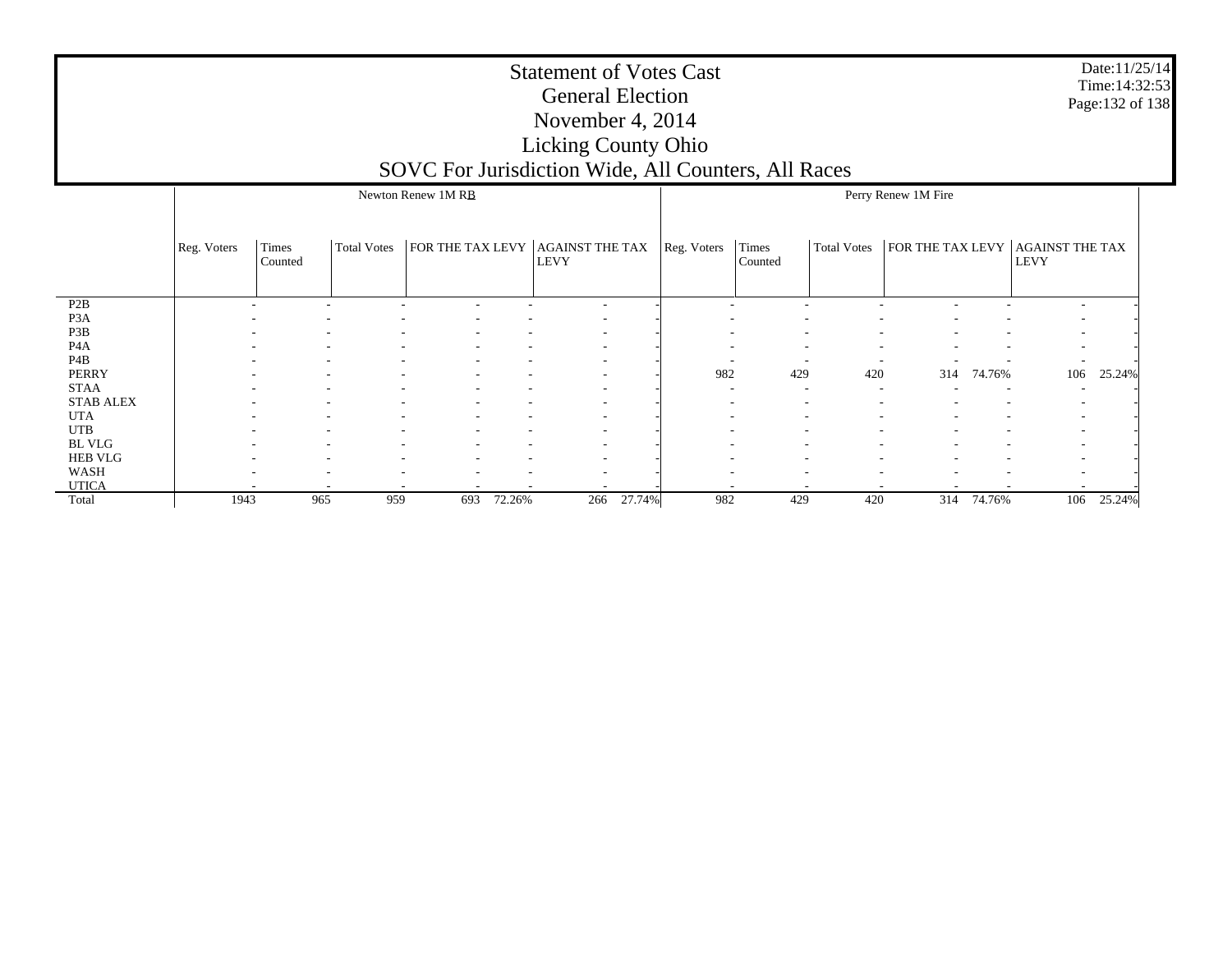|                  |             |                  |                          | Newton Renew 1M RB       |        |                                       |        |             |                  |                    | Perry Renew 1M Fire |            |                                       |            |
|------------------|-------------|------------------|--------------------------|--------------------------|--------|---------------------------------------|--------|-------------|------------------|--------------------|---------------------|------------|---------------------------------------|------------|
|                  | Reg. Voters | Times<br>Counted | <b>Total Votes</b>       | FOR THE TAX LEVY         |        | <b>AGAINST THE TAX</b><br><b>LEVY</b> |        | Reg. Voters | Times<br>Counted | <b>Total Votes</b> | FOR THE TAX LEVY    |            | <b>AGAINST THE TAX</b><br><b>LEVY</b> |            |
| P <sub>2</sub> B |             | $\sim$           | $\overline{\phantom{a}}$ | $\overline{\phantom{a}}$ | ۰      | $\sim$                                |        |             |                  |                    |                     |            | $\overline{\phantom{a}}$              |            |
| P <sub>3</sub> A |             |                  |                          |                          |        |                                       |        |             |                  |                    |                     |            |                                       |            |
| P3B              |             |                  |                          |                          |        | $\overline{\phantom{a}}$              |        |             |                  |                    |                     |            |                                       |            |
| P <sub>4</sub> A |             |                  | $\overline{\phantom{a}}$ | $\overline{\phantom{a}}$ |        | $\overline{\phantom{a}}$              |        |             |                  |                    |                     |            |                                       |            |
| P <sub>4</sub> B |             |                  |                          |                          |        |                                       |        |             |                  |                    |                     |            |                                       |            |
| PERRY            |             |                  |                          |                          |        | $\overline{\phantom{0}}$              |        | 982         | 429              | 420                | 314                 | 74.76%     | 106                                   | 25.24%     |
| <b>STAA</b>      |             |                  | ۰                        | $\overline{\phantom{a}}$ |        | $\sim$                                |        | -           |                  |                    |                     |            |                                       |            |
| <b>STAB ALEX</b> |             |                  |                          |                          |        |                                       |        |             |                  |                    |                     |            |                                       |            |
| <b>UTA</b>       |             |                  |                          | $\overline{\phantom{a}}$ |        | $\overline{\phantom{0}}$              |        |             |                  |                    |                     |            |                                       |            |
| <b>UTB</b>       |             |                  | $\overline{\phantom{a}}$ | $\overline{\phantom{a}}$ |        | $\overline{\phantom{a}}$              |        |             |                  |                    |                     |            |                                       |            |
| <b>BL VLG</b>    |             |                  |                          |                          |        |                                       |        |             |                  |                    |                     |            |                                       |            |
| <b>HEB VLG</b>   |             |                  |                          |                          |        |                                       |        |             |                  |                    |                     |            |                                       |            |
| WASH             |             |                  | ۰                        | $\overline{\phantom{a}}$ |        | $\overline{\phantom{a}}$              |        |             |                  |                    |                     |            |                                       |            |
| <b>UTICA</b>     |             |                  |                          |                          |        |                                       |        |             |                  |                    |                     |            |                                       |            |
| Total            | 1943        | 965              | 959                      | 693                      | 72.26% | 266                                   | 27.74% | 982         | 429              | 420                |                     | 314 74.76% |                                       | 106 25.24% |

Date:11/25/14 Time:14:32:53 Page:132 of 138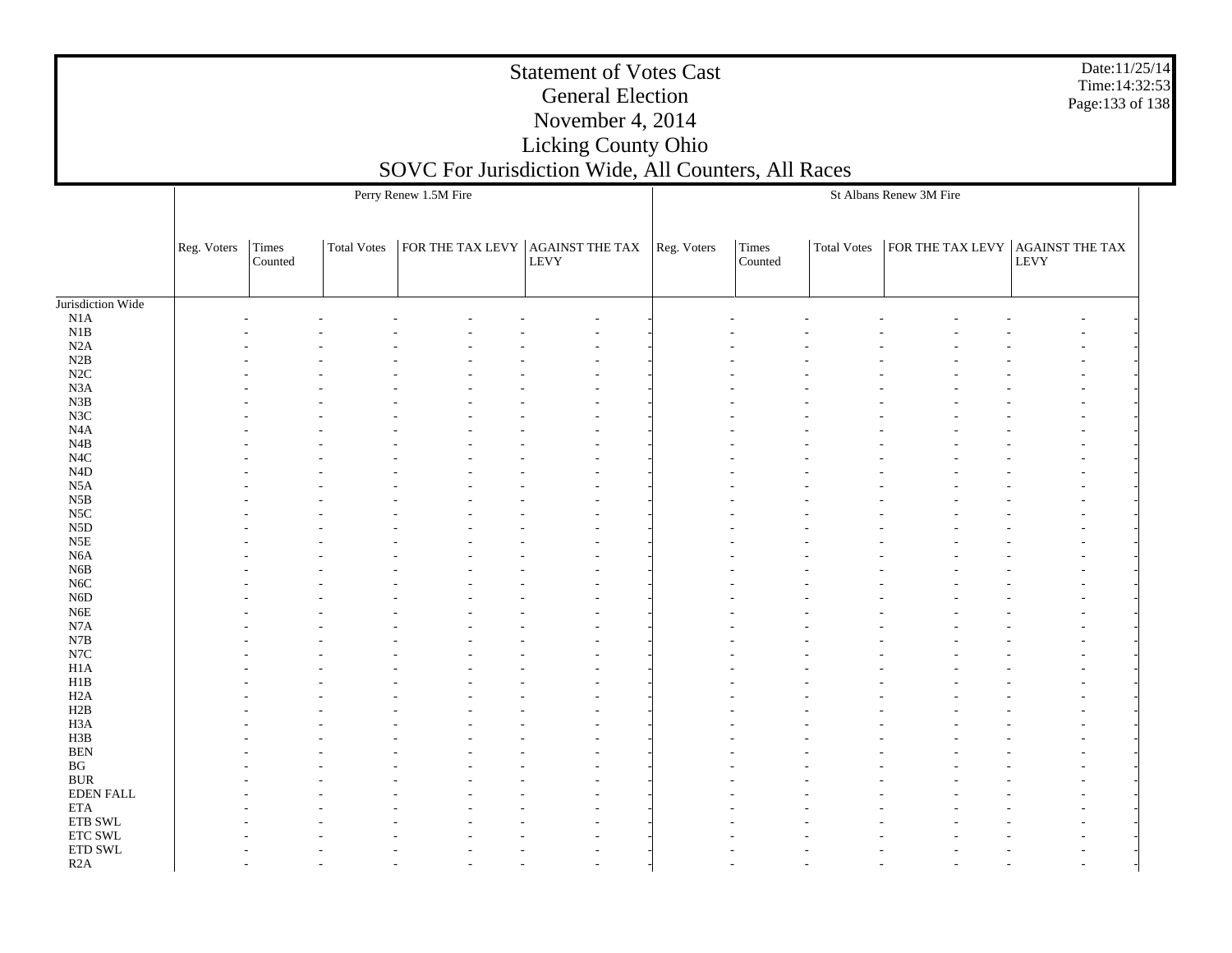Date:11/25/14 Time:14:32:53 Page:133 of 138

|                                |             |                  |                    | Perry Renew 1.5M Fire                                                                                                  |             |                  |             | St Albans Renew 3M Fire          |      |  |
|--------------------------------|-------------|------------------|--------------------|------------------------------------------------------------------------------------------------------------------------|-------------|------------------|-------------|----------------------------------|------|--|
|                                |             |                  |                    |                                                                                                                        |             |                  |             |                                  |      |  |
|                                | Reg. Voters | Times<br>Counted | <b>Total Votes</b> | $\begin{tabular}{ c c } \hline \text{FOR THE TAX LEVY} & \text{AGAINST THE TAX} \\ \hline & \text{LEVY} \end{tabular}$ | Reg. Voters | Times<br>Counted | Total Votes | FOR THE TAX LEVY AGAINST THE TAX | LEVY |  |
| Jurisdiction Wide              |             |                  |                    |                                                                                                                        |             |                  |             |                                  |      |  |
| N1A                            |             |                  |                    |                                                                                                                        |             |                  |             |                                  |      |  |
| $_{\rm N1B}$                   |             |                  |                    |                                                                                                                        |             |                  |             |                                  |      |  |
| N2A                            |             |                  |                    |                                                                                                                        |             |                  |             |                                  |      |  |
| N2B                            |             |                  |                    |                                                                                                                        |             |                  |             |                                  |      |  |
| $\rm N2C$                      |             |                  |                    |                                                                                                                        |             |                  |             |                                  |      |  |
| N3A                            |             |                  |                    |                                                                                                                        |             |                  |             |                                  |      |  |
| ${\bf N3B}$                    |             |                  |                    |                                                                                                                        |             |                  |             |                                  |      |  |
| $_{\rm N3C}$                   |             |                  |                    |                                                                                                                        |             |                  |             |                                  |      |  |
| N4A                            |             |                  |                    |                                                                                                                        |             |                  |             |                                  |      |  |
| $\rm N4B$<br>$_{\mathrm{N4C}}$ |             |                  |                    |                                                                                                                        |             |                  |             |                                  |      |  |
| ${\rm N4D}$                    |             |                  |                    |                                                                                                                        |             |                  |             |                                  |      |  |
| N5A                            |             |                  |                    |                                                                                                                        |             |                  |             |                                  |      |  |
| $_{\rm N5B}$                   |             |                  |                    |                                                                                                                        |             |                  |             |                                  |      |  |
| $_{\rm NSC}$                   |             |                  |                    |                                                                                                                        |             |                  |             |                                  |      |  |
| N <sub>5</sub> D               |             |                  |                    |                                                                                                                        |             |                  |             |                                  |      |  |
| $_{\rm N5E}$                   |             |                  |                    |                                                                                                                        |             |                  |             |                                  |      |  |
| N <sub>6</sub> A               |             |                  |                    |                                                                                                                        |             |                  |             |                                  |      |  |
| N6B                            |             |                  |                    |                                                                                                                        |             |                  |             |                                  |      |  |
| N6C                            |             |                  |                    |                                                                                                                        |             |                  |             |                                  |      |  |
| N <sub>6</sub> D               |             |                  |                    |                                                                                                                        |             |                  |             |                                  |      |  |
| ${\rm N6E}$                    |             |                  |                    |                                                                                                                        |             |                  |             |                                  |      |  |
| $_{\rm N7A}$                   |             |                  |                    |                                                                                                                        |             |                  |             |                                  |      |  |
| $_{\rm N7B}$                   |             |                  |                    |                                                                                                                        |             |                  |             |                                  |      |  |
| $_{\rm N7C}$                   |             |                  |                    |                                                                                                                        |             |                  |             |                                  |      |  |
| H1A                            |             |                  |                    |                                                                                                                        |             |                  |             |                                  |      |  |
| $_{\rm H1B}$                   |             |                  |                    |                                                                                                                        |             |                  |             |                                  |      |  |
| H2A                            |             |                  |                    |                                                                                                                        |             |                  |             |                                  |      |  |
| H2B                            |             |                  |                    |                                                                                                                        |             |                  |             |                                  |      |  |
| H3A                            |             |                  |                    |                                                                                                                        |             |                  |             |                                  |      |  |
| H3B                            |             |                  |                    |                                                                                                                        |             |                  |             |                                  |      |  |
| $\operatorname{BEN}$           |             |                  |                    |                                                                                                                        |             |                  |             |                                  |      |  |
| $\mathbf{B}\mathbf{G}$         |             |                  |                    |                                                                                                                        |             |                  |             |                                  |      |  |
| $\rm BUR$                      |             |                  |                    |                                                                                                                        |             |                  |             |                                  |      |  |
| EDEN FALL                      |             |                  |                    |                                                                                                                        |             |                  |             |                                  |      |  |
| <b>ETA</b><br>${\rm ETB}$ SWL  |             |                  |                    |                                                                                                                        |             |                  |             |                                  |      |  |
| $\ensuremath{\text{ETC}}$ SWL  |             |                  |                    |                                                                                                                        |             |                  |             |                                  |      |  |
| $\rm ETD$ SWL                  |             |                  |                    |                                                                                                                        |             |                  |             |                                  |      |  |
| R2A                            |             |                  |                    |                                                                                                                        |             |                  |             |                                  |      |  |
|                                |             |                  |                    |                                                                                                                        |             |                  |             |                                  |      |  |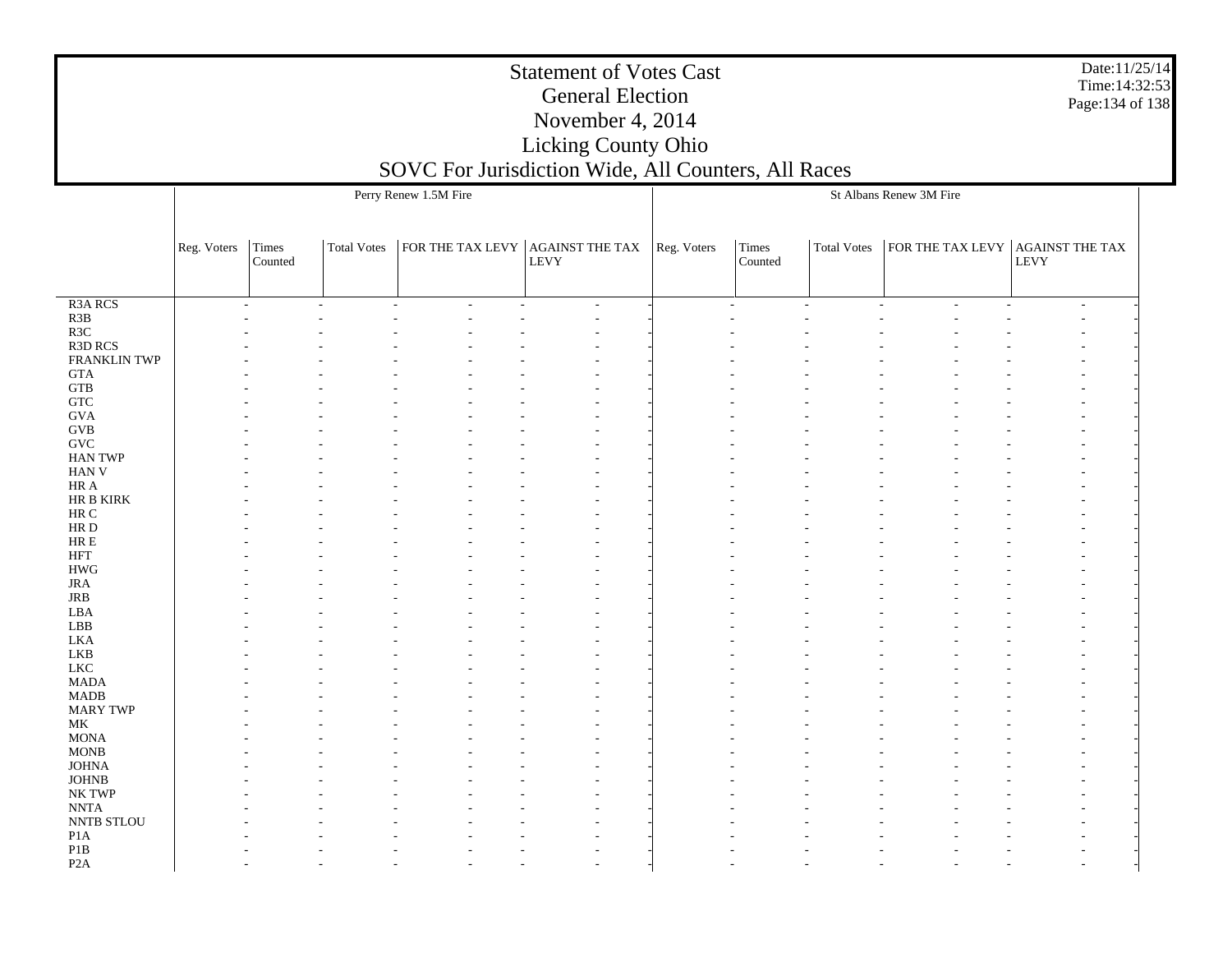| Date:11/25/14    |
|------------------|
| Time: 14:32:53   |
| Page: 134 of 138 |

|                              |                   |                          |             | Perry Renew 1.5M Fire                                                                                        |                |             |                  |                    | St Albans Renew 3M Fire          |                |
|------------------------------|-------------------|--------------------------|-------------|--------------------------------------------------------------------------------------------------------------|----------------|-------------|------------------|--------------------|----------------------------------|----------------|
|                              |                   |                          |             |                                                                                                              |                |             |                  |                    |                                  |                |
|                              | Reg. Voters Times | Counted                  | Total Votes | $\begin{array}{ c c c }\hline \text{FOR THE TAX LEVY} & \text{AGAINST THE TAX} \\ \text{LEVY} & \end{array}$ |                | Reg. Voters | Times<br>Counted | <b>Total Votes</b> | FOR THE TAX LEVY AGAINST THE TAX | LEVY           |
| R <sub>3</sub> A RCS         |                   | $\overline{\phantom{a}}$ | L,          | $\overline{\phantom{a}}$                                                                                     | $\overline{a}$ |             |                  |                    | $\overline{a}$                   | $\overline{a}$ |
| R3B                          |                   |                          |             |                                                                                                              |                |             |                  |                    |                                  |                |
| R3C                          |                   |                          |             |                                                                                                              |                |             |                  |                    |                                  |                |
| R3D RCS                      |                   |                          |             |                                                                                                              |                |             |                  |                    |                                  |                |
| FRANKLIN TWP                 |                   |                          |             |                                                                                                              |                |             |                  |                    |                                  |                |
| $\operatorname{GTA}$         |                   |                          |             |                                                                                                              |                |             |                  |                    |                                  |                |
| <b>GTB</b>                   |                   |                          |             |                                                                                                              |                |             |                  |                    |                                  |                |
| ${\rm GTC}$                  |                   |                          |             |                                                                                                              |                |             |                  |                    |                                  |                |
| $\rm GVA$<br><b>GVB</b>      |                   |                          |             |                                                                                                              |                |             |                  |                    |                                  |                |
| $\operatorname{GVC}$         |                   |                          |             |                                                                                                              |                |             |                  |                    |                                  |                |
| <b>HAN TWP</b>               |                   |                          |             |                                                                                                              |                |             |                  |                    |                                  |                |
| HAN V                        |                   |                          |             |                                                                                                              |                |             |                  |                    |                                  |                |
| $\rm{HR}$ A                  |                   |                          |             |                                                                                                              |                |             |                  |                    |                                  |                |
| HR B KIRK                    |                   |                          |             |                                                                                                              |                |             |                  |                    |                                  |                |
| $\rm{HR}$ C                  |                   |                          |             |                                                                                                              |                |             |                  |                    |                                  |                |
| $\rm HR$ D                   |                   |                          |             |                                                                                                              |                |             |                  |                    |                                  |                |
| ${\rm HR} \to$               |                   |                          |             |                                                                                                              |                |             |                  |                    |                                  |                |
| <b>HFT</b>                   |                   |                          |             |                                                                                                              |                |             |                  |                    |                                  |                |
| <b>HWG</b>                   |                   |                          |             |                                                                                                              |                |             |                  |                    |                                  |                |
| <b>JRA</b>                   |                   |                          |             |                                                                                                              |                |             |                  |                    |                                  |                |
| $_{\rm JRB}$                 |                   |                          |             |                                                                                                              |                |             |                  |                    |                                  |                |
| LBA                          |                   |                          |             |                                                                                                              |                |             |                  |                    |                                  |                |
| LBB                          |                   |                          |             |                                                                                                              |                |             |                  |                    |                                  |                |
| LKA                          |                   |                          |             |                                                                                                              |                |             |                  |                    |                                  |                |
| LKB<br>${\rm LKC}$           |                   |                          |             |                                                                                                              |                |             |                  |                    |                                  |                |
| $\ensuremath{\mathsf{MADA}}$ |                   |                          |             |                                                                                                              |                |             |                  |                    |                                  |                |
| MADB                         |                   |                          |             |                                                                                                              |                |             |                  |                    |                                  |                |
| <b>MARY TWP</b>              |                   |                          |             |                                                                                                              |                |             |                  |                    |                                  |                |
| $\rm MK$                     |                   |                          |             |                                                                                                              |                |             |                  |                    |                                  |                |
| $\operatorname{MONA}$        |                   |                          |             |                                                                                                              |                |             |                  |                    |                                  |                |
| $\rm{MONB}$                  |                   |                          |             |                                                                                                              |                |             |                  |                    |                                  |                |
| <b>JOHNA</b>                 |                   |                          |             |                                                                                                              |                |             |                  |                    |                                  |                |
| $_{\rm JOHNB}$               |                   |                          |             |                                                                                                              |                |             |                  |                    |                                  |                |
| NK TWP                       |                   |                          |             |                                                                                                              |                |             |                  |                    |                                  |                |
| $\ensuremath{\text{NNTA}}$   |                   |                          |             |                                                                                                              |                |             |                  |                    |                                  |                |
| NNTB STLOU                   |                   |                          |             |                                                                                                              |                |             |                  |                    |                                  |                |
| P1A                          |                   |                          |             |                                                                                                              |                |             |                  |                    |                                  |                |
| P1B                          |                   |                          |             |                                                                                                              |                |             |                  |                    |                                  |                |
| P <sub>2</sub> A             |                   |                          |             |                                                                                                              |                |             |                  |                    |                                  |                |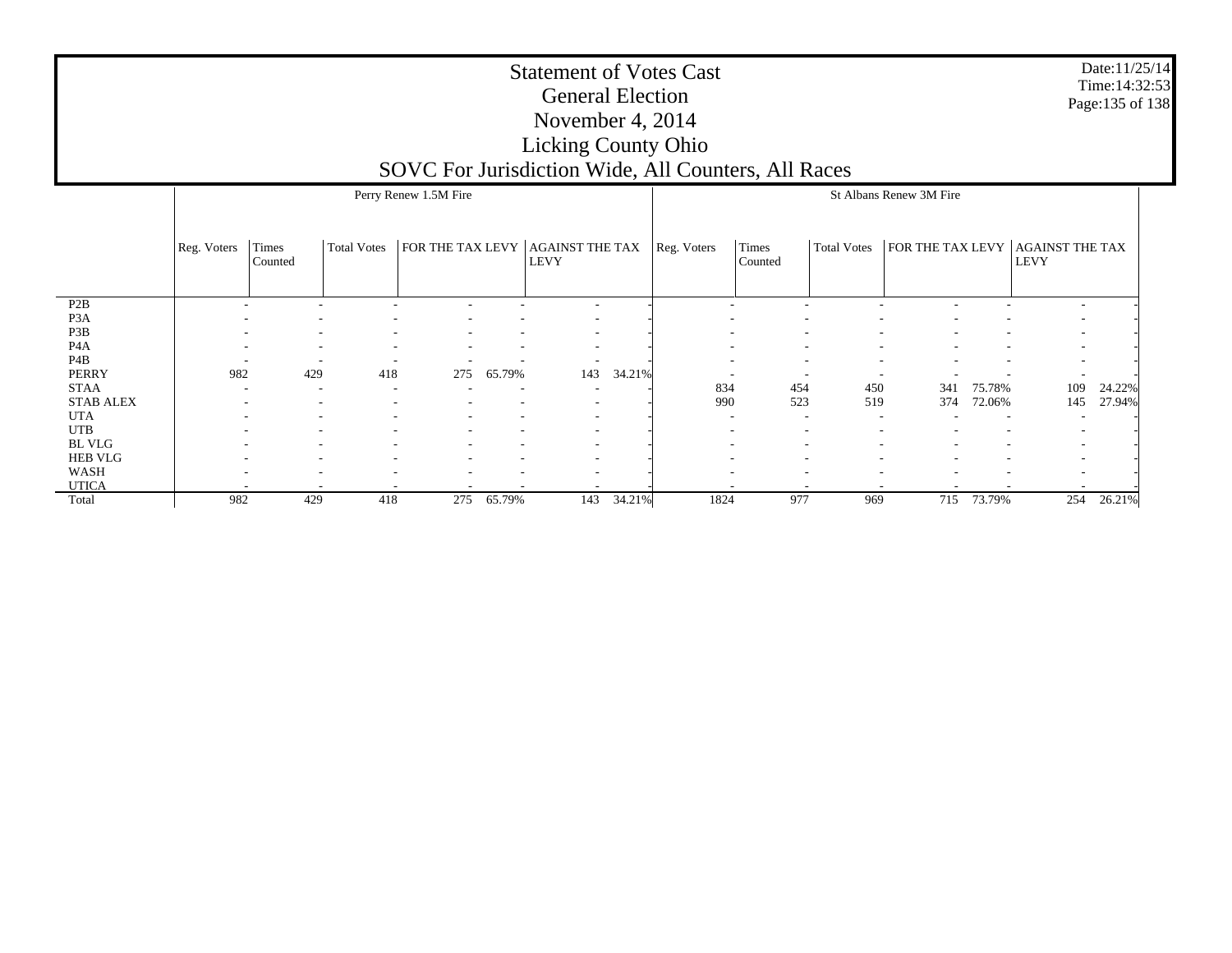P2B P3A P3B P4A P4B PERRY STAA STAB ALEX UTA UTB BL VLG HEB VLG WASH UTICA**Total** Reg. Voters Times Counted Total Votes | FOR THE TAX LEVY | AGAINST THE TAX | Reg. Voters | Times LEVY Perry Renew 1.5M Fire Counted Total Votes $\,$ s  $\,$  | FOR THE TAX LEVY | AGAINST THE TAX LEVY St Albans Renew 3M Fire- - - - - - - - - - - - - - - - - - - - - - - - - - - - - - - - - - - - - - - - - - - - - - - - - - - - - - - - - - - - - - - - - - - 982 429 418 275 65.79% 143 34.21% - - - - - - - - - - - - - 834 454 450 341 75.78% 109 24.22% - - - - - - - - - - - - - - - 990 523 519 374 72.06% 145 27.94% - - - - - - - - - - - - - - - - - - - - - - - - - - - - - - - - - - - - - - - - - - - - - - - - - - - - - - - - - - - - - - - - - - - - - - - - - - - - - - 982 429 418 275 65.79%143 34.21% 1824 977 969 715 73.79% 254 26.21%

Date:11/25/14 Time:14:32:53 Page:135 of 138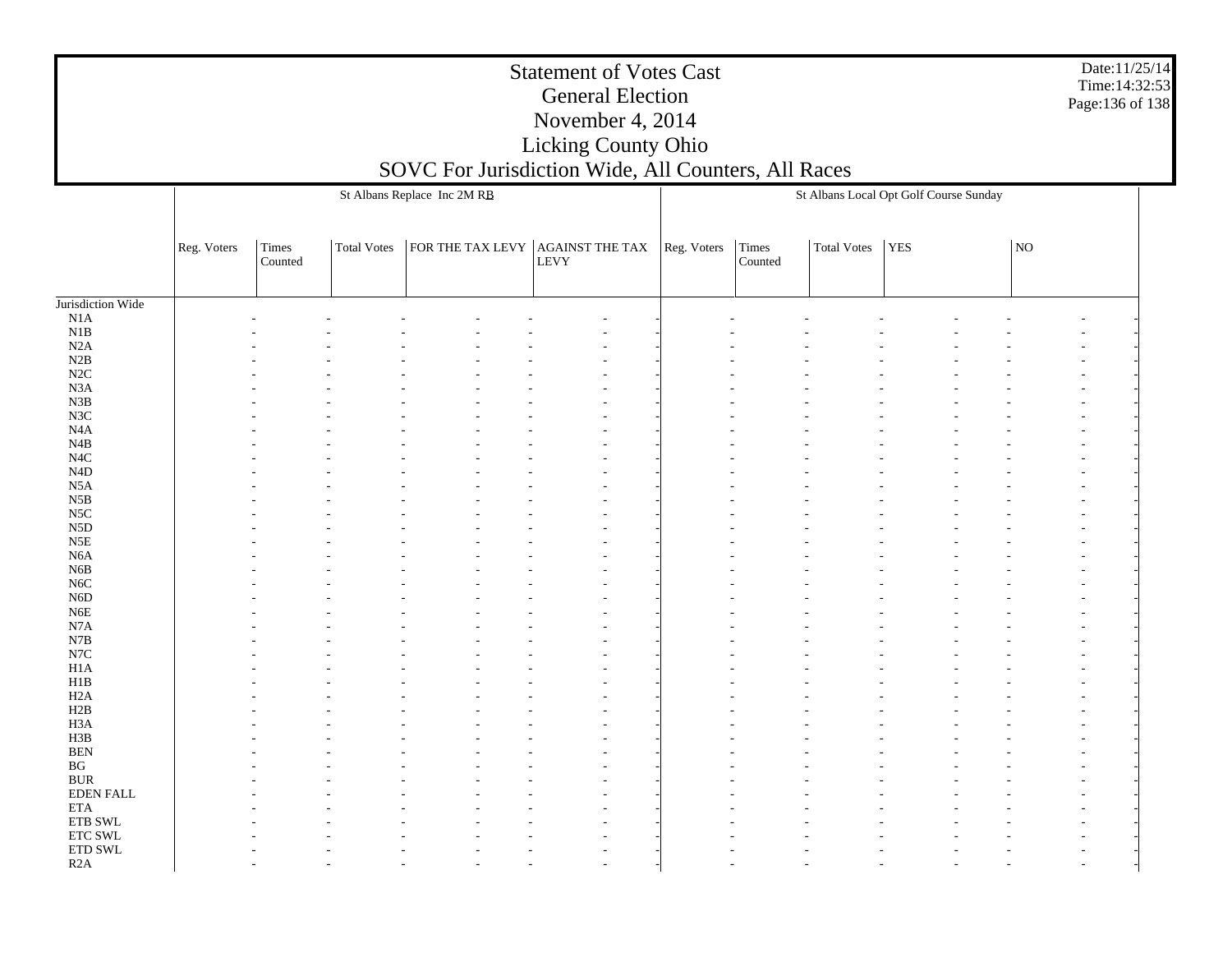Date:11/25/14 Time:14:32:53Page:136 of 138

|                                  |             |                  |             | St Albans Replace Inc 2M RB                                                                                      |             |                  |             | St Albans Local Opt Golf Course Sunday |    |  |
|----------------------------------|-------------|------------------|-------------|------------------------------------------------------------------------------------------------------------------|-------------|------------------|-------------|----------------------------------------|----|--|
|                                  | Reg. Voters | Times<br>Counted | Total Votes | $\begin{array}{ l } \hline \text{FOR THE TAX LEVY} & \text{AGAINST THE TAX} \\ \hline \text{LEVY} & \end{array}$ | Reg. Voters | Times<br>Counted | Total Votes | YES                                    | NO |  |
| Jurisdiction Wide                |             |                  |             |                                                                                                                  |             |                  |             |                                        |    |  |
| $\rm N1A$                        |             |                  |             |                                                                                                                  |             |                  |             |                                        |    |  |
| N1B                              |             |                  |             |                                                                                                                  |             |                  |             |                                        |    |  |
| N2A                              |             |                  |             |                                                                                                                  |             |                  |             |                                        |    |  |
| N2B                              |             |                  |             |                                                                                                                  |             |                  |             |                                        |    |  |
| N2C                              |             |                  |             |                                                                                                                  |             |                  |             |                                        |    |  |
| N <sub>3</sub> A                 |             |                  |             |                                                                                                                  |             |                  |             |                                        |    |  |
| N3B                              |             |                  |             |                                                                                                                  |             |                  |             |                                        |    |  |
| N3C                              |             |                  |             |                                                                                                                  |             |                  |             |                                        |    |  |
| N4A                              |             |                  |             |                                                                                                                  |             |                  |             |                                        |    |  |
| N4B                              |             |                  |             |                                                                                                                  |             |                  |             |                                        |    |  |
| N4C                              |             |                  |             |                                                                                                                  |             |                  |             |                                        |    |  |
| $\rm N4D$                        |             |                  |             |                                                                                                                  |             |                  |             |                                        |    |  |
| N5A                              |             |                  |             |                                                                                                                  |             |                  |             |                                        |    |  |
| $_{\rm N5B}$<br>N <sub>5</sub> C |             |                  |             |                                                                                                                  |             |                  |             |                                        |    |  |
| ${\rm N5D}$                      |             |                  |             |                                                                                                                  |             |                  |             |                                        |    |  |
| N5E                              |             |                  |             |                                                                                                                  |             |                  |             |                                        |    |  |
| N6A                              |             |                  |             |                                                                                                                  |             |                  |             |                                        |    |  |
| N <sub>6</sub> B                 |             |                  |             |                                                                                                                  |             |                  |             |                                        |    |  |
| N <sub>6</sub> C                 |             |                  |             |                                                                                                                  |             |                  |             |                                        |    |  |
| ${\rm N6D}$                      |             |                  |             |                                                                                                                  |             |                  |             |                                        |    |  |
| N6E                              |             |                  |             |                                                                                                                  |             |                  |             |                                        |    |  |
| N7A                              |             |                  |             |                                                                                                                  |             |                  |             |                                        |    |  |
| N7B                              |             |                  |             |                                                                                                                  |             |                  |             |                                        |    |  |
| N7C                              |             |                  |             |                                                                                                                  |             |                  |             |                                        |    |  |
| $_{\rm H1A}$                     |             |                  |             |                                                                                                                  |             |                  |             |                                        |    |  |
| H1B                              |             |                  |             |                                                                                                                  |             |                  |             |                                        |    |  |
| H2A                              |             |                  |             |                                                                                                                  |             |                  |             |                                        |    |  |
| H2B                              |             |                  |             |                                                                                                                  |             |                  |             |                                        |    |  |
| H3A                              |             |                  |             |                                                                                                                  |             |                  |             |                                        |    |  |
| H3B                              |             |                  |             |                                                                                                                  |             |                  |             |                                        |    |  |
| $\operatorname{BEN}$             |             |                  |             |                                                                                                                  |             |                  |             |                                        |    |  |
| $\mathbf{B}\mathbf{G}$           |             |                  |             |                                                                                                                  |             |                  |             |                                        |    |  |
| $\rm BUR$                        |             |                  |             |                                                                                                                  |             |                  |             |                                        |    |  |
| <b>EDEN FALL</b>                 |             |                  |             |                                                                                                                  |             |                  |             |                                        |    |  |
| <b>ETA</b>                       |             |                  |             |                                                                                                                  |             |                  |             |                                        |    |  |
| ${\rm ETB}$ SWL                  |             |                  |             |                                                                                                                  |             |                  |             |                                        |    |  |
| <b>ETC SWL</b>                   |             |                  |             |                                                                                                                  |             |                  |             |                                        |    |  |
| $\rm ETD$ SWL                    |             |                  |             |                                                                                                                  |             |                  |             |                                        |    |  |
| R2A                              |             |                  |             |                                                                                                                  |             |                  |             |                                        |    |  |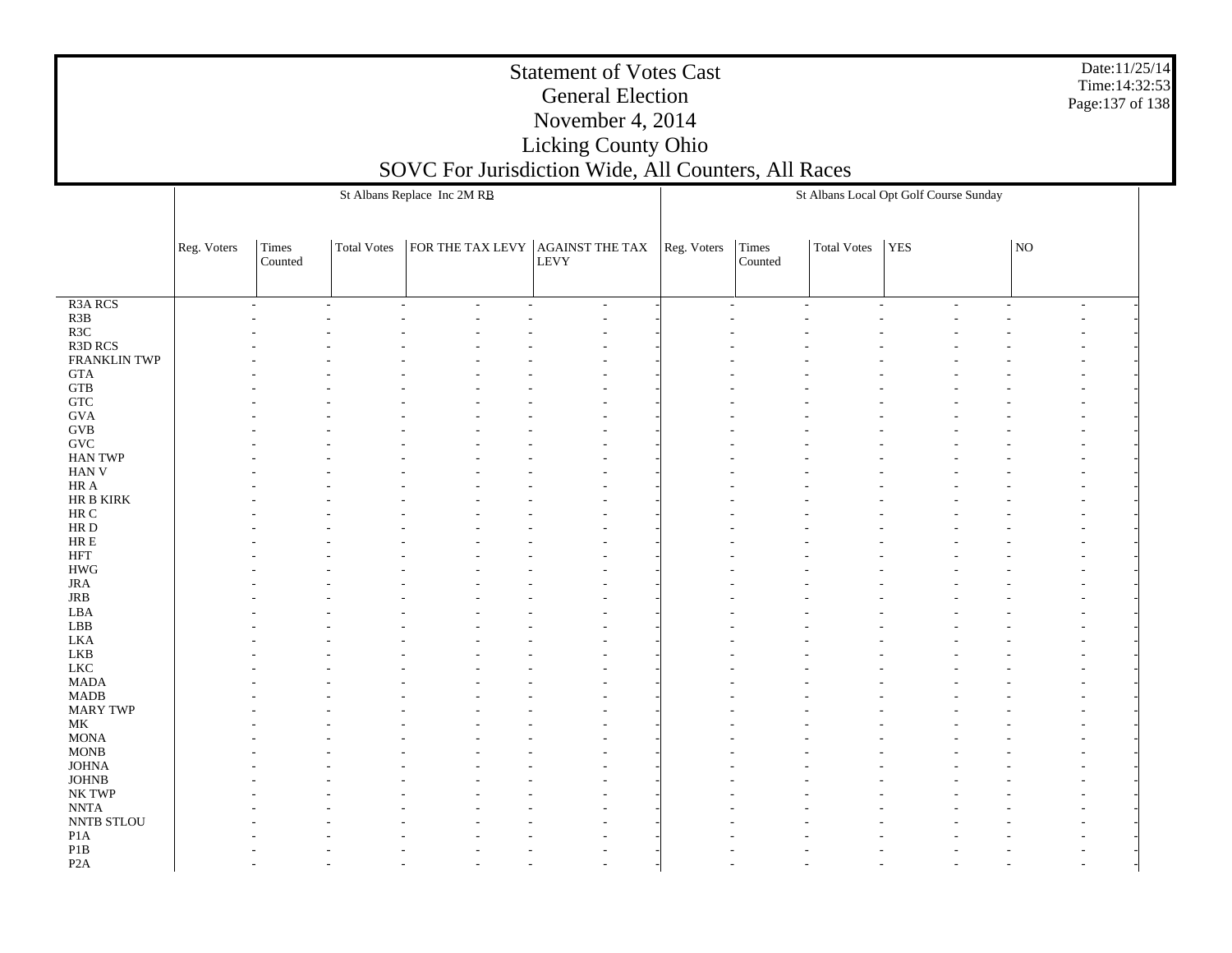Date:11/25/14 Time:14:32:53 Page:137 of 138

|                                |             |                                   |             | St Albans Replace Inc 2M RB              |                |             |                                   |             | St Albans Local Opt Golf Course Sunday |    |  |
|--------------------------------|-------------|-----------------------------------|-------------|------------------------------------------|----------------|-------------|-----------------------------------|-------------|----------------------------------------|----|--|
|                                | Reg. Voters | Times<br>$\operatorname{Counted}$ | Total Votes | $ $ FOR THE TAX LEVY $ $ AGAINST THE TAX | LEVY           | Reg. Voters | Times<br>$\operatorname{Counted}$ | Total Votes | <b>YES</b>                             | NO |  |
| R <sub>3</sub> A RCS           |             |                                   | L,          |                                          | $\overline{a}$ |             |                                   |             |                                        |    |  |
|                                |             |                                   |             |                                          |                |             |                                   |             |                                        |    |  |
| $R3B$<br>$R3C$                 |             |                                   |             |                                          |                |             |                                   |             |                                        |    |  |
| R3D RCS                        |             |                                   |             |                                          |                |             |                                   |             |                                        |    |  |
| FRANKLIN TWP                   |             |                                   |             |                                          |                |             |                                   |             |                                        |    |  |
| $\operatorname{GTA}$           |             |                                   |             |                                          |                |             |                                   |             |                                        |    |  |
| ${\rm GTB}$<br>${\rm GTC}$     |             |                                   |             |                                          |                |             |                                   |             |                                        |    |  |
| $\rm GVA$                      |             |                                   |             |                                          |                |             |                                   |             |                                        |    |  |
| $\rm GVB$                      |             |                                   |             |                                          |                |             |                                   |             |                                        |    |  |
| $\operatorname{GVC}$           |             |                                   |             |                                          |                |             |                                   |             |                                        |    |  |
| <b>HAN TWP</b>                 |             |                                   |             |                                          |                |             |                                   |             |                                        |    |  |
| HAN <sub>V</sub>               |             |                                   |             |                                          |                |             |                                   |             |                                        |    |  |
| $\rm{HR}$ A                    |             |                                   |             |                                          |                |             |                                   |             |                                        |    |  |
| ${\rm HR}$ B ${\rm KIRK}$      |             |                                   |             |                                          |                |             |                                   |             |                                        |    |  |
| $\rm{HR}$ C                    |             |                                   |             |                                          |                |             |                                   |             |                                        |    |  |
| $\rm HR$ D<br>${\rm HR} \to$   |             |                                   |             |                                          |                |             |                                   |             |                                        |    |  |
| <b>HFT</b>                     |             |                                   |             |                                          |                |             |                                   |             |                                        |    |  |
| $\boldsymbol{\mathrm{HWG}}$    |             |                                   |             |                                          |                |             |                                   |             |                                        |    |  |
| $_{\rm JRA}$                   |             |                                   |             |                                          |                |             |                                   |             |                                        |    |  |
| $_{\rm JRB}$                   |             |                                   |             |                                          |                |             |                                   |             |                                        |    |  |
| ${\rm LBA}$                    |             |                                   |             |                                          |                |             |                                   |             |                                        |    |  |
| ${\rm LBB}$                    |             |                                   |             |                                          |                |             |                                   |             |                                        |    |  |
| <b>LKA</b>                     |             |                                   |             |                                          |                |             |                                   |             |                                        |    |  |
| ${\rm LKB}$                    |             |                                   |             |                                          |                |             |                                   |             |                                        |    |  |
| ${\rm LKC}$<br><b>MADA</b>     |             |                                   |             |                                          |                |             |                                   |             |                                        |    |  |
| $\mbox{MADB}$                  |             |                                   |             |                                          |                |             |                                   |             |                                        |    |  |
| MARY TWP                       |             |                                   |             |                                          |                |             |                                   |             |                                        |    |  |
| $\rm MK$                       |             |                                   |             |                                          |                |             |                                   |             |                                        |    |  |
| <b>MONA</b>                    |             |                                   |             |                                          |                |             |                                   |             |                                        |    |  |
| $\rm{MONB}$                    |             |                                   |             |                                          |                |             |                                   |             |                                        |    |  |
| $\rm JOHNA$                    |             |                                   |             |                                          |                |             |                                   |             |                                        |    |  |
| $_{\rm JOHNB}$                 |             |                                   |             |                                          |                |             |                                   |             |                                        |    |  |
| NK TWP                         |             |                                   |             |                                          |                |             |                                   |             |                                        |    |  |
| $\ensuremath{\text{NNTA}}$     |             |                                   |             |                                          |                |             |                                   |             |                                        |    |  |
| NNTB STLOU                     |             |                                   |             |                                          |                |             |                                   |             |                                        |    |  |
| P1A<br>$\mathbf{P}1\mathbf{B}$ |             |                                   |             |                                          |                |             |                                   |             |                                        |    |  |
| P2A                            |             |                                   |             |                                          |                |             |                                   |             |                                        |    |  |